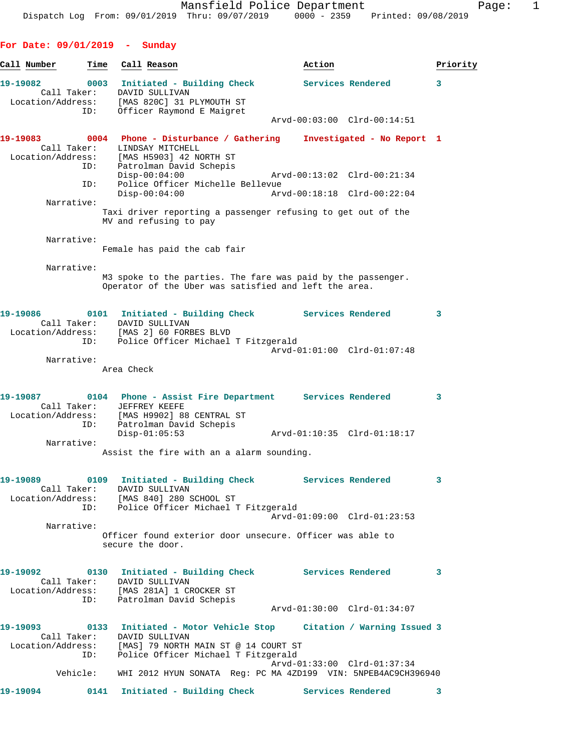| For Date: $09/01/2019$ - | Sunday                                                                                                                          |                                                                                                                       |          |
|--------------------------|---------------------------------------------------------------------------------------------------------------------------------|-----------------------------------------------------------------------------------------------------------------------|----------|
| Call Number<br>Time      | Call Reason                                                                                                                     | Action                                                                                                                | Priority |
| 19-19082<br>Call Taker:  | DAVID SULLIVAN<br>Location/Address: [MAS 820C] 31 PLYMOUTH ST                                                                   | 0003 Initiated - Building Check Services Rendered                                                                     | 3        |
| ID:                      | Officer Raymond E Maigret                                                                                                       | Arvd-00:03:00 Clrd-00:14:51                                                                                           |          |
| 19-19083<br>Call Taker:  | LINDSAY MITCHELL                                                                                                                | 0004 Phone - Disturbance / Gathering Investigated - No Report 1                                                       |          |
| ID:                      | Location/Address: [MAS H5903] 42 NORTH ST<br>Patrolman David Schepis<br>$Disp-00:04:00$                                         | Arvd-00:13:02 Clrd-00:21:34                                                                                           |          |
| ID:                      | Police Officer Michelle Bellevue<br>$Disp-00:04:00$                                                                             | Arvd-00:18:18 Clrd-00:22:04                                                                                           |          |
| Narrative:               | MV and refusing to pay                                                                                                          | Taxi driver reporting a passenger refusing to get out of the                                                          |          |
| Narrative:               | Female has paid the cab fair                                                                                                    |                                                                                                                       |          |
| Narrative:               |                                                                                                                                 | M3 spoke to the parties. The fare was paid by the passenger.<br>Operator of the Uber was satisfied and left the area. |          |
| 19-19086                 | Call Taker: DAVID SULLIVAN                                                                                                      | 0101 Initiated - Building Check Services Rendered                                                                     | 3        |
|                          | Location/Address: [MAS 2] 60 FORBES BLVD<br>ID: Police Officer Michael T Fitzgerald                                             | Arvd-01:01:00 Clrd-01:07:48                                                                                           |          |
| Narrative:               | Area Check                                                                                                                      |                                                                                                                       |          |
| 19-19087<br>Call Taker:  | JEFFREY KEEFE<br>Location/Address: [MAS H9902] 88 CENTRAL ST                                                                    | 0104 Phone - Assist Fire Department Services Rendered                                                                 | 3        |
| ID:<br>Narrative:        | Patrolman David Schepis<br>$Disp-01:05:53$                                                                                      | Arvd-01:10:35 Clrd-01:18:17                                                                                           |          |
|                          | Assist the fire with an a alarm sounding.                                                                                       |                                                                                                                       |          |
|                          | Call Taker: DAVID SULLIVAN<br>Location/Address: [MAS 840] 280 SCHOOL ST<br>ID: Police Officer Michael T Fitzgerald              |                                                                                                                       | 3        |
|                          |                                                                                                                                 | Arvd-01:09:00 Clrd-01:23:53                                                                                           |          |
| Narrative:               | secure the door.                                                                                                                | Officer found exterior door unsecure. Officer was able to                                                             |          |
|                          | Call Taker: DAVID SULLIVAN<br>Location/Address: [MAS 281A] 1 CROCKER ST                                                         |                                                                                                                       | 3        |
|                          | ID: Patrolman David Schepis                                                                                                     | Arvd-01:30:00 Clrd-01:34:07                                                                                           |          |
|                          | Call Taker: DAVID SULLIVAN<br>Location/Address: [MAS] 79 NORTH MAIN ST @ 14 COURT ST<br>ID: Police Officer Michael T Fitzgerald | 19-19093 0133 Initiated - Motor Vehicle Stop Citation / Warning Issued 3                                              |          |
|                          |                                                                                                                                 | Arvd-01:33:00 Clrd-01:37:34<br>Vehicle: WHI 2012 HYUN SONATA Req: PC MA 4ZD199 VIN: 5NPEB4AC9CH396940                 |          |
| 19-19094                 |                                                                                                                                 | 0141 Initiated - Building Check Services Rendered                                                                     | 3        |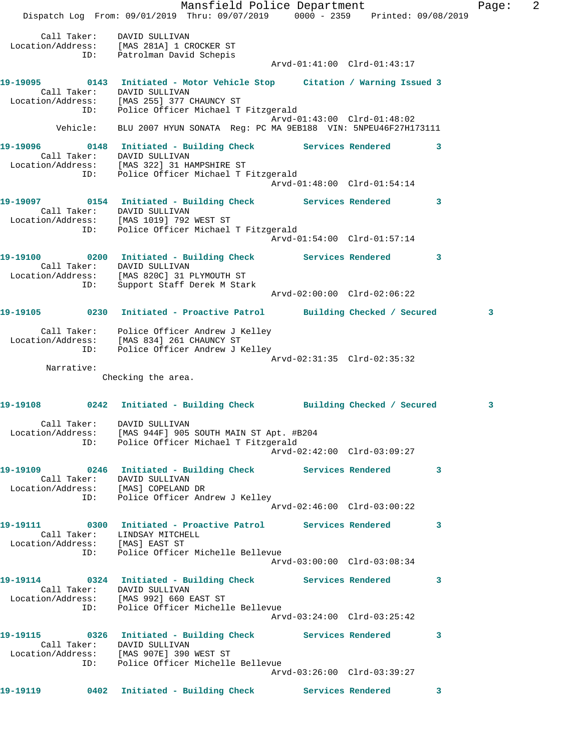Mansfield Police Department Fage: 2 Dispatch Log From: 09/01/2019 Thru: 09/07/2019 0000 - 2359 Printed: 09/08/2019 Call Taker: DAVID SULLIVAN Location/Address: [MAS 281A] 1 CROCKER ST ID: Patrolman David Schepis Arvd-01:41:00 Clrd-01:43:17 **19-19095 0143 Initiated - Motor Vehicle Stop Citation / Warning Issued 3**  Call Taker: DAVID SULLIVAN Location/Address: [MAS 255] 377 CHAUNCY ST ID: Police Officer Michael T Fitzgerald Arvd-01:43:00 Clrd-01:48:02 Vehicle: BLU 2007 HYUN SONATA Reg: PC MA 9EB188 VIN: 5NPEU46F27H173111 **19-19096 0148 Initiated - Building Check Services Rendered 3**  Call Taker: DAVID SULLIVAN Location/Address: [MAS 322] 31 HAMPSHIRE ST ID: Police Officer Michael T Fitzgerald Arvd-01:48:00 Clrd-01:54:14 19-19097 **0154** Initiated - Building Check Services Rendered 3 Call Taker: DAVID SULLIVAN Location/Address: [MAS 1019] 792 WEST ST ID: Police Officer Michael T Fitzgerald Arvd-01:54:00 Clrd-01:57:14 **19-19100 0200 Initiated - Building Check Services Rendered 3**  Call Taker: DAVID SULLIVAN Location/Address: [MAS 820C] 31 PLYMOUTH ST ID: Support Staff Derek M Stark Arvd-02:00:00 Clrd-02:06:22 **19-19105 0230 Initiated - Proactive Patrol Building Checked / Secured 3** Call Taker: Police Officer Andrew J Kelley Location/Address: [MAS 834] 261 CHAUNCY ST ID: Police Officer Andrew J Kelley Arvd-02:31:35 Clrd-02:35:32 Narrative: Checking the area. **19-19108 0242 Initiated - Building Check Building Checked / Secured 3** Call Taker: DAVID SULLIVAN Location/Address: [MAS 944F] 905 SOUTH MAIN ST Apt. #B204 ID: Police Officer Michael T Fitzgerald Arvd-02:42:00 Clrd-03:09:27 **19-19109 0246 Initiated - Building Check Services Rendered 3**  Call Taker: DAVID SULLIVAN Location/Address: [MAS] COPELAND DR ID: Police Officer Andrew J Kelley Arvd-02:46:00 Clrd-03:00:22 **19-19111 0300 Initiated - Proactive Patrol Services Rendered 3**  Call Taker: LINDSAY MITCHELL Location/Address: [MAS] EAST ST ID: Police Officer Michelle Bellevue Arvd-03:00:00 Clrd-03:08:34 **19-19114 0324 Initiated - Building Check Services Rendered 3**  Call Taker: DAVID SULLIVAN Location/Address: [MAS 992] 660 EAST ST ID: Police Officer Michelle Bellevue Arvd-03:24:00 Clrd-03:25:42 **19-19115 0326 Initiated - Building Check Services Rendered 3**  Call Taker: DAVID SULLIVAN Location/Address: [MAS 907E] 390 WEST ST ID: Police Officer Michelle Bellevue Arvd-03:26:00 Clrd-03:39:27 **19-19119 0402 Initiated - Building Check Services Rendered 3**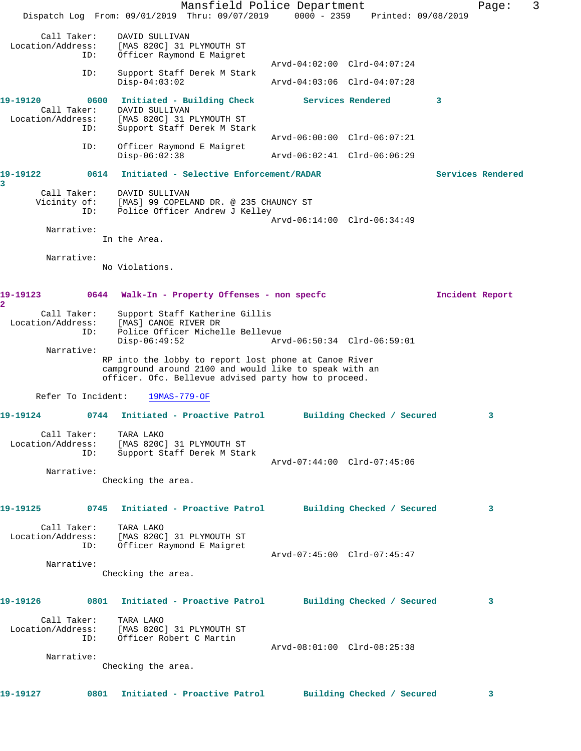|                                         |                                                                   | Mansfield Police Department<br>Dispatch Log From: 09/01/2019 Thru: 09/07/2019                                                                                           | $0000 - 2359$                                              | Printed: 09/08/2019        |                   | Page: | 3 |
|-----------------------------------------|-------------------------------------------------------------------|-------------------------------------------------------------------------------------------------------------------------------------------------------------------------|------------------------------------------------------------|----------------------------|-------------------|-------|---|
| Call Taker:<br>Location/Address:<br>ID: | DAVID SULLIVAN                                                    | [MAS 820C] 31 PLYMOUTH ST<br>Officer Raymond E Maigret                                                                                                                  |                                                            |                            |                   |       |   |
| ID:                                     | $Disp-04:03:02$                                                   | Support Staff Derek M Stark                                                                                                                                             | Arvd-04:02:00 Clrd-04:07:24<br>Arvd-04:03:06 Clrd-04:07:28 |                            |                   |       |   |
| 19-19120<br>Call Taker:                 | 0600<br>DAVID SULLIVAN                                            | Initiated - Building Check                                                                                                                                              |                                                            | Services Rendered          | 3                 |       |   |
| Location/Address:<br>ID:                |                                                                   | [MAS 820C] 31 PLYMOUTH ST<br>Support Staff Derek M Stark                                                                                                                | Arvd-06:00:00 Clrd-06:07:21                                |                            |                   |       |   |
| ID:                                     | $Disp-06:02:38$                                                   | Officer Raymond E Maigret                                                                                                                                               | Arvd-06:02:41 Clrd-06:06:29                                |                            |                   |       |   |
| 19-19122<br>3                           | 0614                                                              | Initiated - Selective Enforcement/RADAR                                                                                                                                 |                                                            |                            | Services Rendered |       |   |
| Call Taker:<br>Vicinity of:<br>ID:      | DAVID SULLIVAN                                                    | [MAS] 99 COPELAND DR. @ 235 CHAUNCY ST<br>Police Officer Andrew J Kelley                                                                                                |                                                            |                            |                   |       |   |
| Narrative:                              | In the Area.                                                      |                                                                                                                                                                         | Arvd-06:14:00 Clrd-06:34:49                                |                            |                   |       |   |
| Narrative:                              | No Violations.                                                    |                                                                                                                                                                         |                                                            |                            |                   |       |   |
| 19-19123<br>$\overline{\mathbf{2}}$     |                                                                   | 0644 Walk-In - Property Offenses - non specfc                                                                                                                           |                                                            |                            | Incident Report   |       |   |
| Call Taker:<br>Location/Address:<br>ID: | [MAS] CANOE RIVER DR<br>$Disp-06:49:52$                           | Support Staff Katherine Gillis<br>Police Officer Michelle Bellevue                                                                                                      | Arvd-06:50:34 Clrd-06:59:01                                |                            |                   |       |   |
| Narrative:                              |                                                                   | RP into the lobby to report lost phone at Canoe River<br>campground around 2100 and would like to speak with an<br>officer. Ofc. Bellevue advised party how to proceed. |                                                            |                            |                   |       |   |
| Refer To Incident:                      | $19MAS - 779 - OF$                                                |                                                                                                                                                                         |                                                            |                            |                   |       |   |
| 19-19124                                | 0744                                                              | Initiated - Proactive Patrol                                                                                                                                            |                                                            | Building Checked / Secured |                   | 3     |   |
| Call Taker:<br>Location/Address:<br>ID: | TARA LAKO<br>[MAS 820C] 31 PLYMOUTH ST                            | Support Staff Derek M Stark                                                                                                                                             | Arvd-07:44:00 Clrd-07:45:06                                |                            |                   |       |   |
| Narrative:                              | Checking the area.                                                |                                                                                                                                                                         |                                                            |                            |                   |       |   |
| 19-19125                                |                                                                   | 0745 Initiated - Proactive Patrol                                                                                                                                       |                                                            | Building Checked / Secured |                   | 3     |   |
| Call Taker:<br>Location/Address:<br>ID: | TARA LAKO<br>[MAS 820C] 31 PLYMOUTH ST                            | Officer Raymond E Maigret                                                                                                                                               | Arvd-07:45:00 Clrd-07:45:47                                |                            |                   |       |   |
| Narrative:                              | Checking the area.                                                |                                                                                                                                                                         |                                                            |                            |                   |       |   |
| 19-19126                                |                                                                   | 0801 Initiated - Proactive Patrol                                                                                                                                       |                                                            | Building Checked / Secured |                   | 3     |   |
| Call Taker:<br>Location/Address:<br>ID: | TARA LAKO<br>[MAS 820C] 31 PLYMOUTH ST<br>Officer Robert C Martin |                                                                                                                                                                         |                                                            |                            |                   |       |   |
| Narrative:                              | Checking the area.                                                |                                                                                                                                                                         | Arvd-08:01:00 Clrd-08:25:38                                |                            |                   |       |   |
| 19-19127                                |                                                                   | 0801 Initiated - Proactive Patrol                                                                                                                                       |                                                            | Building Checked / Secured |                   | 3     |   |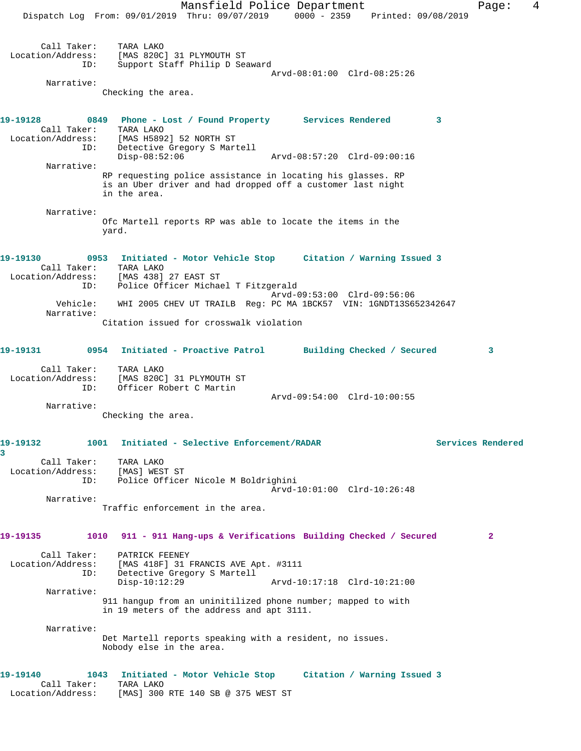Mansfield Police Department Fage: 4 Dispatch Log From: 09/01/2019 Thru: 09/07/2019 0000 - 2359 Printed: 09/08/2019 Call Taker: TARA LAKO Location/Address: [MAS 820C] 31 PLYMOUTH ST ID: Support Staff Philip D Seaward Arvd-08:01:00 Clrd-08:25:26 Narrative: Checking the area. **19-19128 0849 Phone - Lost / Found Property Services Rendered 3**  Call Taker: TARA LAKO Location/Address: [MAS H5892] 52 NORTH ST ID: Detective Gregory S Martell Disp-08:52:06 Arvd-08:57:20 Clrd-09:00:16 Narrative: RP requesting police assistance in locating his glasses. RP is an Uber driver and had dropped off a customer last night in the area. Narrative: Ofc Martell reports RP was able to locate the items in the yard. **19-19130 0953 Initiated - Motor Vehicle Stop Citation / Warning Issued 3**  Call Taker: TARA LAKO Location/Address: [MAS 438] 27 EAST ST ID: Police Officer Michael T Fitzgerald Arvd-09:53:00 Clrd-09:56:06 Vehicle: WHI 2005 CHEV UT TRAILB Reg: PC MA 1BCK57 VIN: 1GNDT13S652342647 Narrative: Citation issued for crosswalk violation **19-19131 0954 Initiated - Proactive Patrol Building Checked / Secured 3** Call Taker: TARA LAKO Location/Address: [MAS 820C] 31 PLYMOUTH ST ID: Officer Robert C Martin Arvd-09:54:00 Clrd-10:00:55 Narrative: Checking the area. **19-19132 1001 Initiated - Selective Enforcement/RADAR Services Rendered 3**  Call Taker: TARA LAKO Location/Address: [MAS] WEST ST ID: Police Officer Nicole M Boldrighini Arvd-10:01:00 Clrd-10:26:48 Narrative: Traffic enforcement in the area. **19-19135 1010 911 - 911 Hang-ups & Verifications Building Checked / Secured 2** Call Taker: PATRICK FEENEY Location/Address: [MAS 418F] 31 FRANCIS AVE Apt. #3111 ID: Detective Gregory S Martell Disp-10:12:29 Arvd-10:17:18 Clrd-10:21:00 Narrative: 911 hangup from an uninitilized phone number; mapped to with in 19 meters of the address and apt 3111. Narrative: Det Martell reports speaking with a resident, no issues. Nobody else in the area. **19-19140 1043 Initiated - Motor Vehicle Stop Citation / Warning Issued 3**  Call Taker: TARA LAKO Location/Address: [MAS] 300 RTE 140 SB @ 375 WEST ST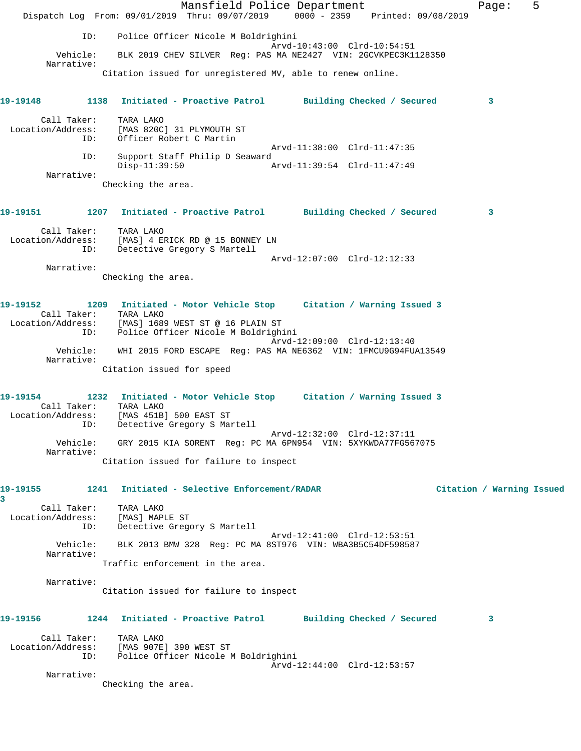Mansfield Police Department Fage: 5 Dispatch Log From: 09/01/2019 Thru: 09/07/2019 0000 - 2359 Printed: 09/08/2019 ID: Police Officer Nicole M Boldrighini Arvd-10:43:00 Clrd-10:54:51 Vehicle: BLK 2019 CHEV SILVER Reg: PAS MA NE2427 VIN: 2GCVKPEC3K1128350 Narrative: Citation issued for unregistered MV, able to renew online. **19-19148 1138 Initiated - Proactive Patrol Building Checked / Secured 3** Call Taker: TARA LAKO Location/Address: [MAS 820C] 31 PLYMOUTH ST ID: Officer Robert C Martin Arvd-11:38:00 Clrd-11:47:35 ID: Support Staff Philip D Seaward Disp-11:39:50 Arvd-11:39:54 Clrd-11:47:49 Narrative: Checking the area. **19-19151 1207 Initiated - Proactive Patrol Building Checked / Secured 3** Call Taker: TARA LAKO Location/Address: [MAS] 4 ERICK RD @ 15 BONNEY LN ID: Detective Gregory S Martell Arvd-12:07:00 Clrd-12:12:33 Narrative: Checking the area. **19-19152 1209 Initiated - Motor Vehicle Stop Citation / Warning Issued 3**  Call Taker: TARA LAKO Location/Address: [MAS] 1689 WEST ST @ 16 PLAIN ST ID: Police Officer Nicole M Boldrighini Arvd-12:09:00 Clrd-12:13:40 Vehicle: WHI 2015 FORD ESCAPE Reg: PAS MA NE6362 VIN: 1FMCU9G94FUA13549 Narrative: Citation issued for speed **19-19154 1232 Initiated - Motor Vehicle Stop Citation / Warning Issued 3**  Call Taker: TARA LAKO Location/Address: [MAS 451B] 500 EAST ST ID: Detective Gregory S Martell Arvd-12:32:00 Clrd-12:37:11 Vehicle: GRY 2015 KIA SORENT Reg: PC MA 6PN954 VIN: 5XYKWDA77FG567075 Narrative: Citation issued for failure to inspect **19-19155 1241 Initiated - Selective Enforcement/RADAR Citation / Warning Issued 3**  Call Taker: TARA LAKO Location/Address: [MAS] MAPLE ST ID: Detective Gregory S Martell Arvd-12:41:00 Clrd-12:53:51 Vehicle: BLK 2013 BMW 328 Reg: PC MA 8ST976 VIN: WBA3B5C54DF598587 Narrative: Traffic enforcement in the area. Narrative: Citation issued for failure to inspect **19-19156 1244 Initiated - Proactive Patrol Building Checked / Secured 3** Call Taker: TARA LAKO Location/Address: [MAS 907E] 390 WEST ST ID: Police Officer Nicole M Boldrighini Arvd-12:44:00 Clrd-12:53:57 Narrative: Checking the area.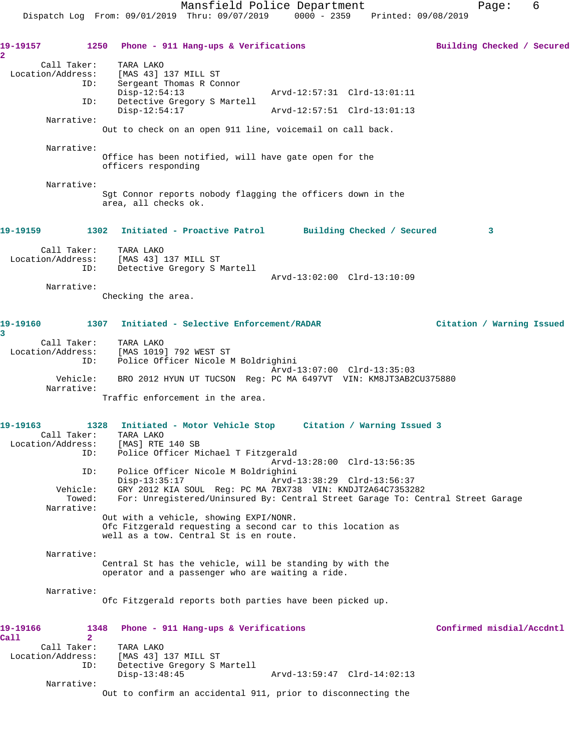19-19157 1250 Phone - 911 Hang-ups & Verifications **19-19157** Building Checked / Secured **2**  Call Taker: TARA LAKO Location/Address: [MAS 43] 137 MILL ST<br>ID: Sergeant Thomas R Com Sergeant Thomas R Connor<br>Disp-12:54:13 Disp-12:54:13 Arvd-12:57:31 Clrd-13:01:11 ID: Detective Gregory S Martell Disp-12:54:17 Arvd-12:57:51 Clrd-13:01:13 Narrative: Out to check on an open 911 line, voicemail on call back. Narrative: Office has been notified, will have gate open for the officers responding Narrative: Sgt Connor reports nobody flagging the officers down in the area, all checks ok. **19-19159 1302 Initiated - Proactive Patrol Building Checked / Secured 3** Call Taker: TARA LAKO Location/Address: [MAS 43] 137 MILL ST ID: Detective Gregory S Martell Arvd-13:02:00 Clrd-13:10:09 Narrative: Checking the area. **19-19160 1307 Initiated - Selective Enforcement/RADAR Citation / Warning Issued 3**  Call Taker: TARA LAKO Location/Address: [MAS 1019] 792 WEST ST ID: Police Officer Nicole M Boldrighini Arvd-13:07:00 Clrd-13:35:03 Vehicle: BRO 2012 HYUN UT TUCSON Reg: PC MA 6497VT VIN: KM8JT3AB2CU375880 Narrative: Traffic enforcement in the area. **19-19163 1328 Initiated - Motor Vehicle Stop Citation / Warning Issued 3**  Call Taker: TARA LAKO Location/Address: [MAS] RTE 140 SB ID: Police Officer Michael T Fitzgerald Arvd-13:28:00 Clrd-13:56:35 ID: Police Officer Nicole M Boldrighini Disp-13:35:17 Arvd-13:38:29 Clrd-13:56:37<br>Vehicle: GRY 2012 KIA SOUL Reg: PC MA 7BX738 VIN: KNDJT2A64C73532 GRY 2012 KIA SOUL Reg: PC MA 7BX738 VIN: KNDJT2A64C7353282 Towed: For: Unregistered/Uninsured By: Central Street Garage To: Central Street Garage Narrative: Out with a vehicle, showing EXPI/NONR. Ofc Fitzgerald requesting a second car to this location as well as a tow. Central St is en route. Narrative: Central St has the vehicle, will be standing by with the operator and a passenger who are waiting a ride. Narrative: Ofc Fitzgerald reports both parties have been picked up. **19-19166 1348 Phone - 911 Hang-ups & Verifications Confirmed misdial/Accdntl Call 2**  Call Taker: TARA LAKO Location/Address: [MAS 43] 137 MILL ST ID: Detective Gregory S Martell Disp-13:48:45 Arvd-13:59:47 Clrd-14:02:13 Narrative: Out to confirm an accidental 911, prior to disconnecting the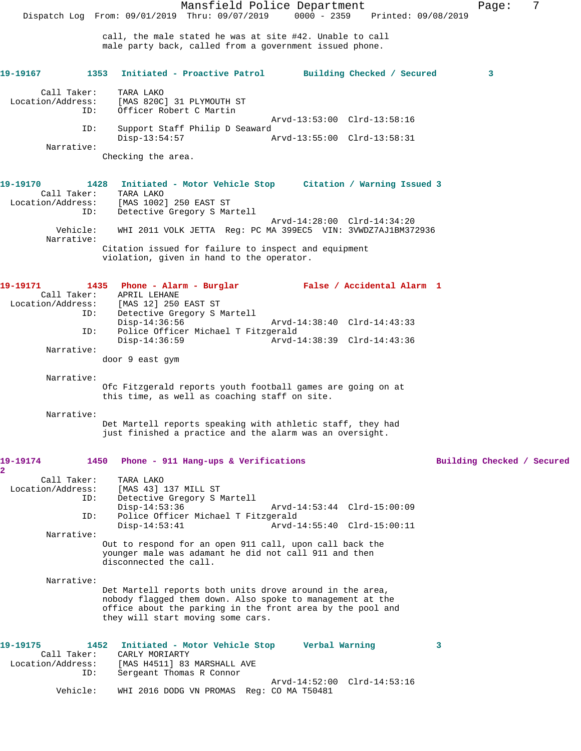Mansfield Police Department Fage: 7 Dispatch Log From: 09/01/2019 Thru: 09/07/2019 0000 - 2359 Printed: 09/08/2019 call, the male stated he was at site #42. Unable to call male party back, called from a government issued phone. **19-19167 1353 Initiated - Proactive Patrol Building Checked / Secured 3** Call Taker: TARA LAKO Location/Address: [MAS 820C] 31 PLYMOUTH ST Officer Robert C Martin Arvd-13:53:00 Clrd-13:58:16<br>TD: Support Staff Philip D Seaward Support Staff Philip D Seaward<br>Disp-13:54:57  $p$  Disp-13:54:57 Arvd-13:55:00 Clrd-13:58:31 Narrative: Checking the area. **19-19170 1428 Initiated - Motor Vehicle Stop Citation / Warning Issued 3**  Call Taker: TARA LAKO Location/Address: [MAS 1002] 250 EAST ST ID: Detective Gregory S Martell Arvd-14:28:00 Clrd-14:34:20 Vehicle: WHI 2011 VOLK JETTA Reg: PC MA 399EC5 VIN: 3VWDZ7AJ1BM372936 Narrative: Citation issued for failure to inspect and equipment violation, given in hand to the operator. **19-19171 1435 Phone - Alarm - Burglar False / Accidental Alarm 1**  Call Taker: APRIL LEHANE Location/Address: [MAS 12] 250 EAST ST<br>ID: Detective Gregory S N Detective Gregory S Martell<br>Disp-14:36:56 Disp-14:36:56 Arvd-14:38:40 Clrd-14:43:33 ID: Police Officer Michael T Fitzgerald Disp-14:36:59 Arvd-14:38:39 Clrd-14:43:36 Narrative: door 9 east gym Narrative: Ofc Fitzgerald reports youth football games are going on at this time, as well as coaching staff on site. Narrative: Det Martell reports speaking with athletic staff, they had just finished a practice and the alarm was an oversight. **19-19174 1450 Phone - 911 Hang-ups & Verifications Building Checked / Secured 2**  Call Taker: TARA LAKO Location/Address: [MAS 43] 137 MILL ST ID: Detective Gregory S Martell Disp-14:53:36 Arvd-14:53:44 Clrd-15:00:09<br>TD: Police Officer Michael T Fitzgerald Police Officer Michael T Fitzgerald<br>1-Disp-14:53:41 Arvd Disp-14:53:41 Arvd-14:55:40 Clrd-15:00:11 Narrative: Out to respond for an open 911 call, upon call back the younger male was adamant he did not call 911 and then disconnected the call. Narrative: Det Martell reports both units drove around in the area, nobody flagged them down. Also spoke to management at the office about the parking in the front area by the pool and they will start moving some cars. **19-19175 1452 Initiated - Motor Vehicle Stop Verbal Warning 3**  Call Taker: CARLY MORIARTY<br>Location/Address: [MAS H4511] 83 [MAS H4511] 83 MARSHALL AVE ID: Sergeant Thomas R Connor Arvd-14:52:00 Clrd-14:53:16 Vehicle: WHI 2016 DODG VN PROMAS Reg: CO MA T50481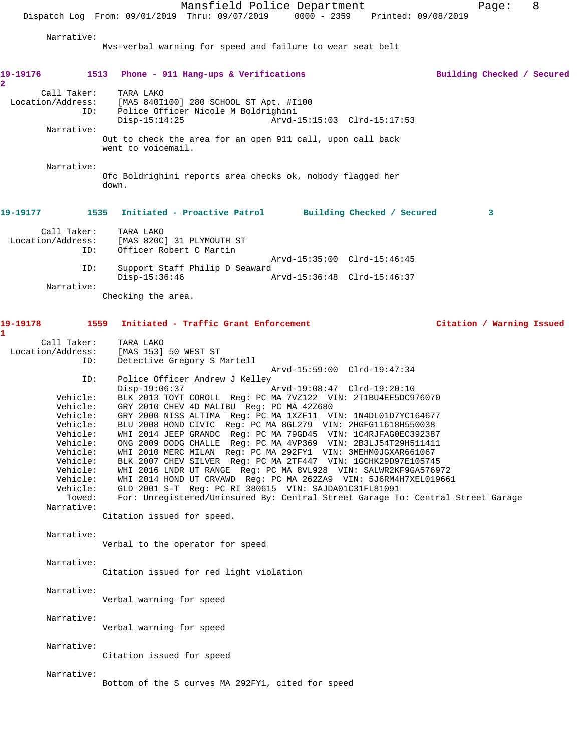Mansfield Police Department Fage: 8 Dispatch Log From: 09/01/2019 Thru: 09/07/2019 0000 - 2359 Printed: 09/08/2019 Narrative: Mvs-verbal warning for speed and failure to wear seat belt **19-19176 1513 Phone - 911 Hang-ups & Verifications Building Checked / Secured 2**  Call Taker: TARA LAKO Location/Address: [MAS 840I100] 280 SCHOOL ST Apt. #I100 Police Officer Nicole M Boldrighini<br>Disp-15:14:25 Arvd-Arvd-15:15:03 Clrd-15:17:53 Narrative: Out to check the area for an open 911 call, upon call back went to voicemail. Narrative: Ofc Boldrighini reports area checks ok, nobody flagged her down. **19-19177 1535 Initiated - Proactive Patrol Building Checked / Secured 3** Call Taker: TARA LAKO Location/Address: [MAS 820C] 31 PLYMOUTH ST ID: Officer Robert C Martin Arvd-15:35:00 Clrd-15:46:45 ID: Support Staff Philip D Seaward Disp-15:36:46 Arvd-15:36:48 Clrd-15:46:37 Narrative: Checking the area. **19-19178 1559 Initiated - Traffic Grant Enforcement Citation / Warning Issued 1**  Call Taker: TARA LAKO Location/Address: [MAS 153] 50 WEST ST ID: Detective Gregory S Martell Arvd-15:59:00 Clrd-19:47:34<br>TD: Police Officer Andrew J Kelley Police Officer Andrew J Kelley<br>Disp-19:06:37 Disp-19:06:37 Arvd-19:08:47 Clrd-19:20:10 Vehicle: BLK 2013 TOYT COROLL Reg: PC MA 7VZ122 VIN: 2T1BU4EE5DC976070 Vehicle: GRY 2010 CHEV 4D MALIBU Reg: PC MA 42Z680<br>Vehicle: GRY 2000 NISS ALTIMA Reg: PC MA 1XZF11 VI<br>Vehicle: BLU 2008 HOND CIVIC Reg: PC MA 8GL279 VII Vehicle: GRY 2000 NISS ALTIMA Reg: PC MA 1XZF11 VIN: 1N4DL01D7YC164677 Vehicle: BLU 2008 HOND CIVIC Reg: PC MA 8GL279 VIN: 2HGFG11618H550038 Vehicle: WHI 2014 JEEP GRANDC Reg: PC MA 79GD45 VIN: 1C4RJFAG0EC392387 Vehicle: ONG 2009 DODG CHALLE Reg: PC MA 4VP369 VIN: 2B3LJ54T29H511411 Vehicle: WHI 2010 MERC MILAN Reg: PC MA 292FY1 VIN: 3MEHM0JGXAR661067 Vehicle: BLK 2007 CHEV SILVER Reg: PC MA 2TF447 VIN: 1GCHK29D97E105745<br>Vehicle: WHI 2016 LNDR UT RANGE Reg: PC MA 8VL928 VIN: SALWR2KF9GA5769<br>Vehicle: WHI 2014 HOND UT CRVAWD Reg: PC MA 262ZA9 VIN: 5J6RM4H7XEL019 WHI 2016 LNDR UT RANGE Reg: PC MA 8VL928 VIN: SALWR2KF9GA576972 WHI 2014 HOND UT CRVAWD Reg: PC MA 262ZA9 VIN: 5J6RM4H7XEL019661 Vehicle: GLD 2001 S-T Reg: PC RI 380615 VIN: SAJDA01C31FL81091 Towed: For: Unregistered/Uninsured By: Central Street Garage To: Central Street Garage Narrative: Citation issued for speed. Narrative: Verbal to the operator for speed Narrative: Citation issued for red light violation Narrative: Verbal warning for speed Narrative: Verbal warning for speed Narrative: Citation issued for speed Narrative: Bottom of the S curves MA 292FY1, cited for speed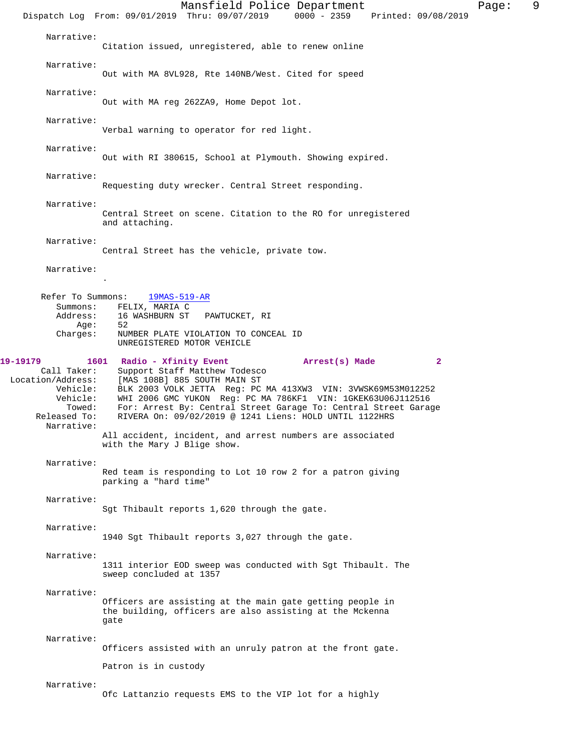Mansfield Police Department Fage: 9 Dispatch Log From: 09/01/2019 Thru: 09/07/2019 0000 - 2359 Printed: 09/08/2019 Narrative: Citation issued, unregistered, able to renew online Narrative: Out with MA 8VL928, Rte 140NB/West. Cited for speed Narrative: Out with MA reg 262ZA9, Home Depot lot. Narrative: Verbal warning to operator for red light. Narrative: Out with RI 380615, School at Plymouth. Showing expired. Narrative: Requesting duty wrecker. Central Street responding. Narrative: Central Street on scene. Citation to the RO for unregistered and attaching. Narrative: Central Street has the vehicle, private tow. Narrative: . Refer To Summons: 19MAS-519-AR Summons: FELIX, MARIA C<br>Address: 16 WASHBURN ST 16 WASHBURN ST PAWTUCKET, RI Age: 52 Charges: NUMBER PLATE VIOLATION TO CONCEAL ID UNREGISTERED MOTOR VEHICLE **19-19179 1601 Radio - Xfinity Event Arrest(s) Made 2**  Call Taker: Support Staff Matthew Todesco<br>Location/Address: [MAS 108B] 885 SOUTH MAIN ST [MAS 108B] 885 SOUTH MAIN ST Vehicle: BLK 2003 VOLK JETTA Reg: PC MA 413XW3 VIN: 3VWSK69M53M012252 Vehicle: WHI 2006 GMC YUKON Reg: PC MA 786KF1 VIN: 1GKEK63U06J112516 Towed: For: Arrest By: Central Street Garage To: Central Street Garage Released To: RIVERA On: 09/02/2019 @ 1241 Liens: HOLD UNTIL 1122HRS Narrative: All accident, incident, and arrest numbers are associated with the Mary J Blige show. Narrative: Red team is responding to Lot 10 row 2 for a patron giving parking a "hard time" Narrative: Sgt Thibault reports 1,620 through the gate. Narrative: 1940 Sgt Thibault reports 3,027 through the gate. Narrative: 1311 interior EOD sweep was conducted with Sgt Thibault. The sweep concluded at 1357 Narrative: Officers are assisting at the main gate getting people in the building, officers are also assisting at the Mckenna gate Narrative: Officers assisted with an unruly patron at the front gate. Patron is in custody Narrative: Ofc Lattanzio requests EMS to the VIP lot for a highly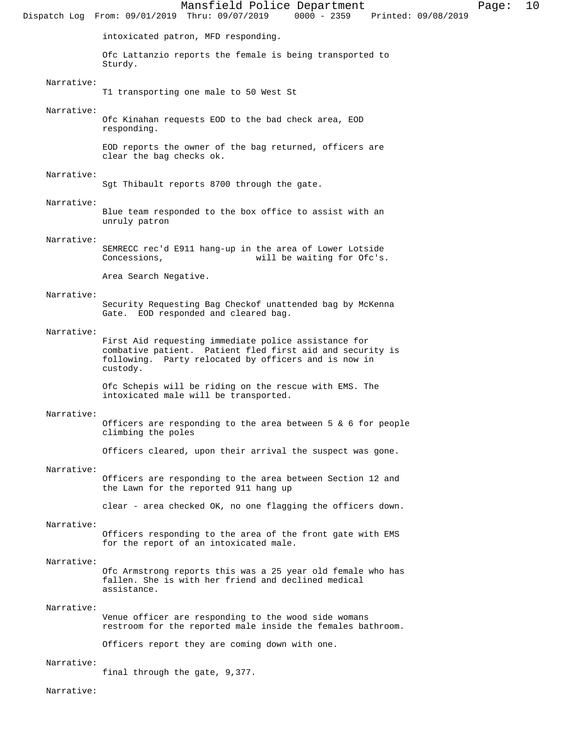Mansfield Police Department Page: 10 Dispatch Log From: 09/01/2019 Thru: 09/07/2019 intoxicated patron, MFD responding. Ofc Lattanzio reports the female is being transported to Sturdy. Narrative: T1 transporting one male to 50 West St Narrative: Ofc Kinahan requests EOD to the bad check area, EOD responding. EOD reports the owner of the bag returned, officers are clear the bag checks ok. Narrative: Sgt Thibault reports 8700 through the gate. Narrative: Blue team responded to the box office to assist with an unruly patron Narrative: SEMRECC rec'd E911 hang-up in the area of Lower Lotside<br>Concessions, will be waiting for Ofc's. will be waiting for Ofc's. Area Search Negative. Narrative: Security Requesting Bag Checkof unattended bag by McKenna Gate. EOD responded and cleared bag. Narrative: First Aid requesting immediate police assistance for combative patient. Patient fled first aid and security is following. Party relocated by officers and is now in custody. Ofc Schepis will be riding on the rescue with EMS. The intoxicated male will be transported. Narrative: Officers are responding to the area between 5  $\&$  6 for people climbing the poles Officers cleared, upon their arrival the suspect was gone. Narrative: Officers are responding to the area between Section 12 and the Lawn for the reported 911 hang up clear - area checked OK, no one flagging the officers down. Narrative: Officers responding to the area of the front gate with EMS for the report of an intoxicated male. Narrative: Ofc Armstrong reports this was a 25 year old female who has fallen. She is with her friend and declined medical assistance. Narrative: Venue officer are responding to the wood side womans restroom for the reported male inside the females bathroom. Officers report they are coming down with one. Narrative:

final through the gate, 9,377.

Narrative: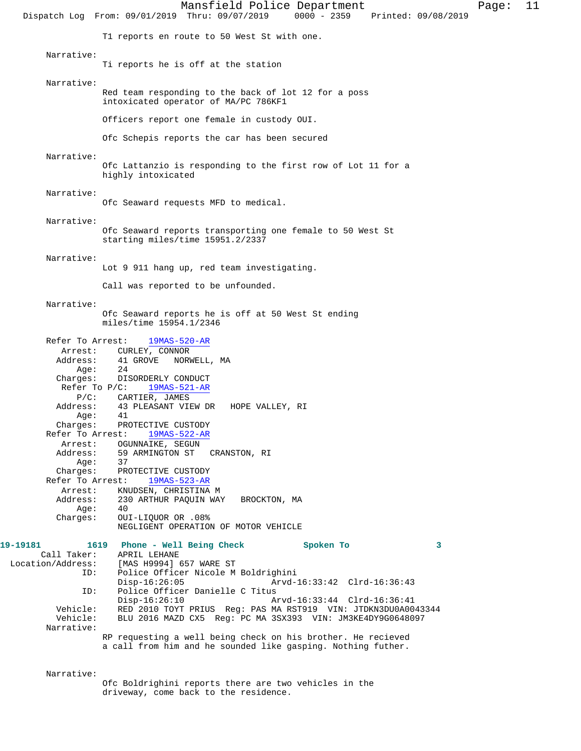Mansfield Police Department Page: 11 Dispatch Log From: 09/01/2019 Thru: 09/07/2019 0000 - 2359 Printed: 09/08/2019 T1 reports en route to 50 West St with one. Narrative: Ti reports he is off at the station Narrative: Red team responding to the back of lot 12 for a poss intoxicated operator of MA/PC 786KF1 Officers report one female in custody OUI. Ofc Schepis reports the car has been secured Narrative: Ofc Lattanzio is responding to the first row of Lot 11 for a highly intoxicated Narrative: Ofc Seaward requests MFD to medical. Narrative: Ofc Seaward reports transporting one female to 50 West St starting miles/time 15951.2/2337 Narrative: Lot 9 911 hang up, red team investigating. Call was reported to be unfounded. Narrative: Ofc Seaward reports he is off at 50 West St ending miles/time 15954.1/2346 Refer To Arrest: 19MAS-520-AR Arrest: CURLEY, CONNOR<br>Address: 41 GROVE NORI 41 GROVE NORWELL, MA Age: 24 Charges: DISORDERLY CONDUCT Refer To P/C: 19MAS-521-AR P/C: CARTIER, JAMES Address: 43 PLEASANT VIEW DR HOPE VALLEY, RI Age: 41 Charges: PROTECTIVE CUSTODY Refer To Arrest: 19MAS-522-AR Arrest: OGUNNAIKE, SEGUN Address: 59 ARMINGTON ST CRANSTON, RI Age: 37 Charges: PROTECTIVE CUSTODY Refer To Arrest: 19MAS-523-AR Arrest: KNUDSEN, CHRISTINA M Address: 230 ARTHUR PAQUIN WAY BROCKTON, MA Age: 40 Charges: OUI-LIQUOR OR .08% NEGLIGENT OPERATION OF MOTOR VEHICLE **19-19181 1619 Phone - Well Being Check Spoken To 3**  Call Taker: APRIL LEHANE Location/Address: [MAS H9994] 657 WARE ST ID: Police Officer Nicole M Boldrighini Disp-16:26:05 Arvd-16:33:42 Clrd-16:36:43<br>ID: Police Officer Danielle C Titus Police Officer Danielle C Titus<br>Disp-16:26:10 A Disp-16:26:10 Arvd-16:33:44 Clrd-16:36:41<br>Vehicle: RED 2010 TOYT PRIUS Reg: PAS MA RST919 VIN: JTDKN3DU0A00 RED 2010 TOYT PRIUS Reg: PAS MA RST919 VIN: JTDKN3DU0A0043344 Vehicle: BLU 2016 MAZD CX5 Reg: PC MA 3SX393 VIN: JM3KE4DY9G0648097 Narrative: RP requesting a well being check on his brother. He recieved a call from him and he sounded like gasping. Nothing futher.

Narrative:

Ofc Boldrighini reports there are two vehicles in the driveway, come back to the residence.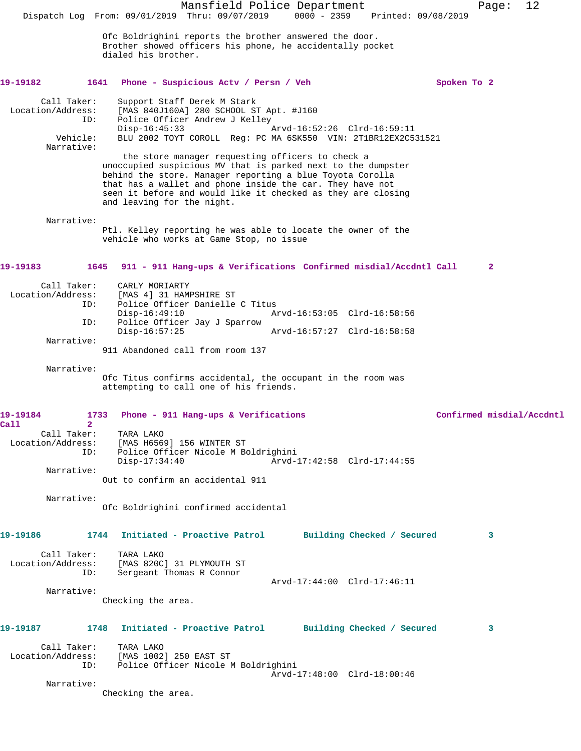|                                                                   | Mansfield Police Department<br>Dispatch Log From: 09/01/2019 Thru: 09/07/2019<br>$0000 - 2359$<br>Printed: 09/08/2019                                                                                                                                                                                                                                                                                                                                                                                                                                                   | 12<br>Page:               |
|-------------------------------------------------------------------|-------------------------------------------------------------------------------------------------------------------------------------------------------------------------------------------------------------------------------------------------------------------------------------------------------------------------------------------------------------------------------------------------------------------------------------------------------------------------------------------------------------------------------------------------------------------------|---------------------------|
|                                                                   | Ofc Boldrighini reports the brother answered the door.<br>Brother showed officers his phone, he accidentally pocket<br>dialed his brother.                                                                                                                                                                                                                                                                                                                                                                                                                              |                           |
| 19-19182                                                          | 1641<br>Phone - Suspicious Actv / Persn / Veh                                                                                                                                                                                                                                                                                                                                                                                                                                                                                                                           | Spoken To 2               |
| Call Taker:<br>Location/Address:<br>ID:<br>Vehicle:<br>Narrative: | Support Staff Derek M Stark<br>[MAS 840J160A] 280 SCHOOL ST Apt. #J160<br>Police Officer Andrew J Kelley<br>$Disp-16:45:33$<br>Arvd-16:52:26 Clrd-16:59:11<br>BLU 2002 TOYT COROLL Req: PC MA 6SK550 VIN: 2T1BR12EX2C531521<br>the store manager requesting officers to check a<br>unoccupied suspicious MV that is parked next to the dumpster<br>behind the store. Manager reporting a blue Toyota Corolla<br>that has a wallet and phone inside the car. They have not<br>seen it before and would like it checked as they are closing<br>and leaving for the night. |                           |
| Narrative:                                                        | Ptl. Kelley reporting he was able to locate the owner of the<br>vehicle who works at Game Stop, no issue                                                                                                                                                                                                                                                                                                                                                                                                                                                                |                           |
| 19-19183                                                          | 911 - 911 Hang-ups & Verifications Confirmed misdial/Accdntl Call<br>1645                                                                                                                                                                                                                                                                                                                                                                                                                                                                                               | $\mathbf{2}$              |
| Call Taker:<br>Location/Address:<br>ID:<br>ID:                    | CARLY MORIARTY<br>[MAS 4] 31 HAMPSHIRE ST<br>Police Officer Danielle C Titus<br>$Disp-16:49:10$<br>Arvd-16:53:05 Clrd-16:58:56<br>Police Officer Jay J Sparrow                                                                                                                                                                                                                                                                                                                                                                                                          |                           |
| Narrative:                                                        | $Disp-16:57:25$<br>Arvd-16:57:27 Clrd-16:58:58<br>911 Abandoned call from room 137                                                                                                                                                                                                                                                                                                                                                                                                                                                                                      |                           |
| Narrative:                                                        | Ofc Titus confirms accidental, the occupant in the room was<br>attempting to call one of his friends.                                                                                                                                                                                                                                                                                                                                                                                                                                                                   |                           |
| 19-19184<br>1733<br>$\overline{2}$                                | Phone - 911 Hang-ups & Verifications                                                                                                                                                                                                                                                                                                                                                                                                                                                                                                                                    | Confirmed misdial/Accdntl |
| Call<br>Call Taker:<br>ID:<br>Narrative:                          | TARA LAKO<br>Location/Address: [MAS H6569] 156 WINTER ST<br>Police Officer Nicole M Boldrighini<br>Arvd-17:42:58 Clrd-17:44:55<br>$Disp-17:34:40$                                                                                                                                                                                                                                                                                                                                                                                                                       |                           |
|                                                                   | Out to confirm an accidental 911                                                                                                                                                                                                                                                                                                                                                                                                                                                                                                                                        |                           |
| Narrative:                                                        | Ofc Boldrighini confirmed accidental                                                                                                                                                                                                                                                                                                                                                                                                                                                                                                                                    |                           |
| 19-19186<br>1744                                                  | Initiated - Proactive Patrol Building Checked / Secured                                                                                                                                                                                                                                                                                                                                                                                                                                                                                                                 | 3                         |
| Call Taker:<br>ID:                                                | TARA LAKO<br>Location/Address: [MAS 820C] 31 PLYMOUTH ST<br>Sergeant Thomas R Connor                                                                                                                                                                                                                                                                                                                                                                                                                                                                                    |                           |
| Narrative:                                                        | Arvd-17:44:00 Clrd-17:46:11<br>Checking the area.                                                                                                                                                                                                                                                                                                                                                                                                                                                                                                                       |                           |
| 19-19187                                                          | 1748 Initiated - Proactive Patrol Building Checked / Secured                                                                                                                                                                                                                                                                                                                                                                                                                                                                                                            | 3                         |
| ID:                                                               | Call Taker: TARA LAKO<br>Location/Address: [MAS 1002] 250 EAST ST<br>Police Officer Nicole M Boldrighini                                                                                                                                                                                                                                                                                                                                                                                                                                                                |                           |
| Narrative:                                                        | Arvd-17:48:00 Clrd-18:00:46<br>Checking the area.                                                                                                                                                                                                                                                                                                                                                                                                                                                                                                                       |                           |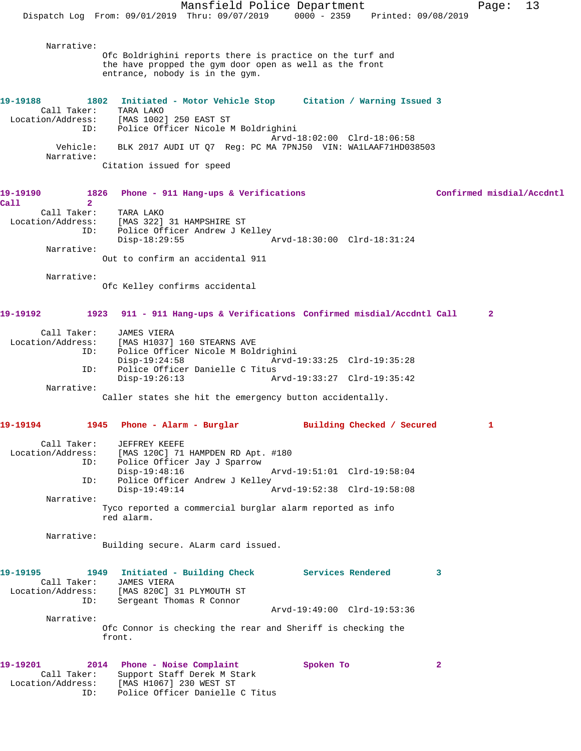|                                  |                                                                                | Mansfield Police Department                                       |                             |                            | Page:                     | 13 |
|----------------------------------|--------------------------------------------------------------------------------|-------------------------------------------------------------------|-----------------------------|----------------------------|---------------------------|----|
|                                  | Dispatch Log From: 09/01/2019 Thru: 09/07/2019 0000 - 2359 Printed: 09/08/2019 |                                                                   |                             |                            |                           |    |
| Narrative:                       |                                                                                |                                                                   |                             |                            |                           |    |
|                                  | Ofc Boldrighini reports there is practice on the turf and                      |                                                                   |                             |                            |                           |    |
|                                  | the have propped the gym door open as well as the front                        |                                                                   |                             |                            |                           |    |
|                                  | entrance, nobody is in the gym.                                                |                                                                   |                             |                            |                           |    |
| 19-19188                         | 1802                                                                           | Initiated - Motor Vehicle Stop Citation / Warning Issued 3        |                             |                            |                           |    |
| Call Taker:<br>Location/Address: | TARA LAKO<br>[MAS 1002] 250 EAST ST                                            |                                                                   |                             |                            |                           |    |
| ID:                              |                                                                                | Police Officer Nicole M Boldrighini                               |                             |                            |                           |    |
|                                  |                                                                                |                                                                   | Arvd-18:02:00 Clrd-18:06:58 |                            |                           |    |
| Vehicle:<br>Narrative:           |                                                                                | BLK 2017 AUDI UT Q7 Reg: PC MA 7PNJ50 VIN: WA1LAAF71HD038503      |                             |                            |                           |    |
|                                  | Citation issued for speed                                                      |                                                                   |                             |                            |                           |    |
| 19-19190                         | 1826                                                                           | Phone - 911 Hang-ups & Verifications                              |                             |                            | Confirmed misdial/Accdntl |    |
| Call<br>$\overline{2}$           |                                                                                |                                                                   |                             |                            |                           |    |
| Call Taker:<br>Location/Address: | TARA LAKO                                                                      | [MAS 322] 31 HAMPSHIRE ST                                         |                             |                            |                           |    |
| ID:                              |                                                                                | Police Officer Andrew J Kelley                                    |                             |                            |                           |    |
|                                  | $Disp-18:29:55$                                                                |                                                                   | Arvd-18:30:00 Clrd-18:31:24 |                            |                           |    |
| Narrative:                       | Out to confirm an accidental 911                                               |                                                                   |                             |                            |                           |    |
|                                  |                                                                                |                                                                   |                             |                            |                           |    |
| Narrative:                       |                                                                                |                                                                   |                             |                            |                           |    |
|                                  | Ofc Kelley confirms accidental                                                 |                                                                   |                             |                            |                           |    |
| 19-19192                         | 1923                                                                           | 911 - 911 Hang-ups & Verifications Confirmed misdial/Accdntl Call |                             |                            | 2                         |    |
| Call Taker:<br>Location/Address: | <b>JAMES VIERA</b>                                                             | [MAS H1037] 160 STEARNS AVE                                       |                             |                            |                           |    |
| ID:                              |                                                                                | Police Officer Nicole M Boldrighini                               |                             |                            |                           |    |
| ID:                              | $Disp-19:24:58$                                                                | Police Officer Danielle C Titus                                   | Arvd-19:33:25 Clrd-19:35:28 |                            |                           |    |
|                                  | $Disp-19:26:13$                                                                |                                                                   | Arvd-19:33:27 Clrd-19:35:42 |                            |                           |    |
| Narrative:                       | Caller states she hit the emergency button accidentally.                       |                                                                   |                             |                            |                           |    |
|                                  |                                                                                |                                                                   |                             |                            |                           |    |
| 19-19194                         | 1945                                                                           | Phone - Alarm - Burglar                                           |                             | Building Checked / Secured |                           |    |
| Call Taker:                      | JEFFREY KEEFE                                                                  |                                                                   |                             |                            |                           |    |
| Location/Address:                | [MAS 120C] 71 HAMPDEN RD Apt. #180                                             |                                                                   |                             |                            |                           |    |
| ID:                              | $Disp-19:48:16$                                                                | Police Officer Jay J Sparrow                                      | Arvd-19:51:01 Clrd-19:58:04 |                            |                           |    |
| ID:                              |                                                                                | Police Officer Andrew J Kelley                                    |                             |                            |                           |    |
| Narrative:                       | $Disp-19:49:14$                                                                |                                                                   | Arvd-19:52:38 Clrd-19:58:08 |                            |                           |    |
|                                  | Tyco reported a commercial burglar alarm reported as info<br>red alarm.        |                                                                   |                             |                            |                           |    |
| Narrative:                       |                                                                                |                                                                   |                             |                            |                           |    |
|                                  | Building secure. ALarm card issued.                                            |                                                                   |                             |                            |                           |    |
|                                  |                                                                                |                                                                   |                             |                            |                           |    |
| 19-19195                         | 1949                                                                           | Initiated - Building Check Services Rendered                      |                             | 3                          |                           |    |
| Call Taker:<br>Location/Address: | <b>JAMES VIERA</b><br>[MAS 820C] 31 PLYMOUTH ST                                |                                                                   |                             |                            |                           |    |
| ID:                              |                                                                                | Sergeant Thomas R Connor                                          |                             |                            |                           |    |
|                                  |                                                                                |                                                                   | Arvd-19:49:00 Clrd-19:53:36 |                            |                           |    |
| Narrative:                       | Ofc Connor is checking the rear and Sheriff is checking the                    |                                                                   |                             |                            |                           |    |
|                                  | front.                                                                         |                                                                   |                             |                            |                           |    |
| 19-19201                         | 2014 Phone - Noise Complaint                                                   |                                                                   | Spoken To                   | $\mathbf{2}$               |                           |    |
| Call Taker:                      |                                                                                | Support Staff Derek M Stark                                       |                             |                            |                           |    |
| Location/Address:<br>ID:         | [MAS H1067] 230 WEST ST                                                        | Police Officer Danielle C Titus                                   |                             |                            |                           |    |
|                                  |                                                                                |                                                                   |                             |                            |                           |    |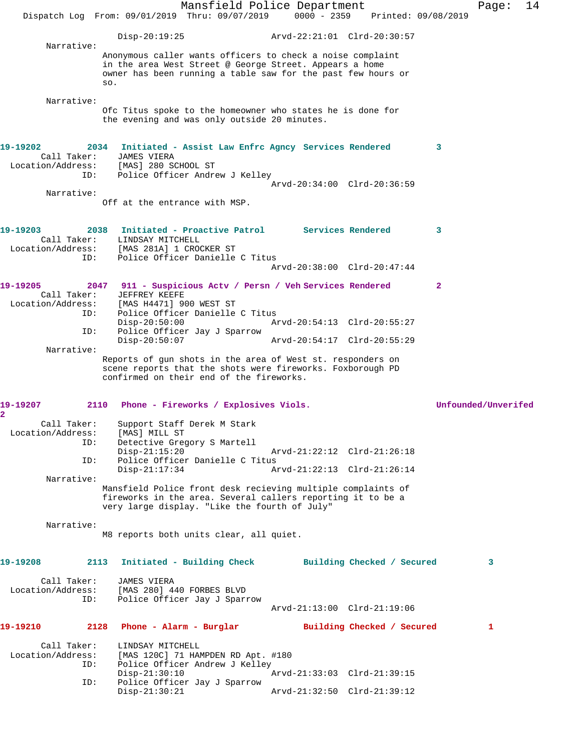|                                                                  | Dispatch Log From: 09/01/2019 Thru: 09/07/2019                                                                                                                                               | Mansfield Police Department                    | $0000 - 2359$ |                             | Printed: 09/08/2019 | Page:               | 14 |
|------------------------------------------------------------------|----------------------------------------------------------------------------------------------------------------------------------------------------------------------------------------------|------------------------------------------------|---------------|-----------------------------|---------------------|---------------------|----|
|                                                                  | $Disp-20:19:25$                                                                                                                                                                              |                                                |               | Arvd-22:21:01 Clrd-20:30:57 |                     |                     |    |
| Narrative:                                                       | Anonymous caller wants officers to check a noise complaint<br>in the area West Street @ George Street. Appears a home<br>owner has been running a table saw for the past few hours or<br>SO. |                                                |               |                             |                     |                     |    |
| Narrative:                                                       | Ofc Titus spoke to the homeowner who states he is done for<br>the evening and was only outside 20 minutes.                                                                                   |                                                |               |                             |                     |                     |    |
| 19-19202<br>Call Taker:<br>Location/Address: [MAS] 280 SCHOOL ST | 2034 Initiated - Assist Law Enfrc Agncy Services Rendered<br>JAMES VIERA                                                                                                                     |                                                |               |                             | 3                   |                     |    |
| ID:                                                              | Police Officer Andrew J Kelley                                                                                                                                                               |                                                |               | Arvd-20:34:00 Clrd-20:36:59 |                     |                     |    |
| Narrative:                                                       | Off at the entrance with MSP.                                                                                                                                                                |                                                |               |                             |                     |                     |    |
| 19-19203<br>Call Taker:<br>Location/Address:                     | 2038<br>LINDSAY MITCHELL<br>[MAS 281A] 1 CROCKER ST                                                                                                                                          | Initiated - Proactive Patrol Services Rendered |               |                             | 3                   |                     |    |
| ID:                                                              |                                                                                                                                                                                              | Police Officer Danielle C Titus                |               | Arvd-20:38:00 Clrd-20:47:44 |                     |                     |    |
| 19-19205<br>Call Taker:<br>Location/Address:                     | 2047 911 - Suspicious Actv / Persn / Veh Services Rendered<br>JEFFREY KEEFE<br>[MAS H4471] 900 WEST ST                                                                                       |                                                |               |                             | $\mathbf{2}$        |                     |    |
| ID:                                                              | Police Officer Danielle C Titus<br>$Disp-20:50:00$                                                                                                                                           |                                                |               | Arvd-20:54:13 Clrd-20:55:27 |                     |                     |    |
| ID:<br>Narrative:                                                | Police Officer Jay J Sparrow<br>$Disp-20:50:07$                                                                                                                                              |                                                |               | Arvd-20:54:17 Clrd-20:55:29 |                     |                     |    |
|                                                                  | Reports of gun shots in the area of West st. responders on<br>scene reports that the shots were fireworks. Foxborough PD<br>confirmed on their end of the fireworks.                         |                                                |               |                             |                     |                     |    |
| 19-19207<br>$\overline{\mathbf{2}}$                              | 2110 Phone - Fireworks / Explosives Viols.                                                                                                                                                   |                                                |               |                             |                     | Unfounded/Unverifed |    |
| Call Taker:<br>Location/Address:<br>ID:                          | Support Staff Derek M Stark<br>[MAS] MILL ST<br>$Disp-21:15:20$                                                                                                                              | Detective Gregory S Martell                    |               | Arvd-21:22:12 Clrd-21:26:18 |                     |                     |    |
| ID:                                                              | Police Officer Danielle C Titus<br>$Disp-21:17:34$                                                                                                                                           |                                                |               | Arvd-21:22:13 Clrd-21:26:14 |                     |                     |    |
| Narrative:                                                       | Mansfield Police front desk recieving multiple complaints of<br>fireworks in the area. Several callers reporting it to be a<br>very large display. "Like the fourth of July"                 |                                                |               |                             |                     |                     |    |
| Narrative:                                                       | M8 reports both units clear, all quiet.                                                                                                                                                      |                                                |               |                             |                     |                     |    |
| 19-19208                                                         | 2113 Initiated - Building Check                                                                                                                                                              |                                                |               | Building Checked / Secured  |                     | 3                   |    |
| Call Taker:<br>Location/Address:<br>ID:                          | <b>JAMES VIERA</b><br>[MAS 280] 440 FORBES BLVD<br>Police Officer Jay J Sparrow                                                                                                              |                                                |               | Arvd-21:13:00 Clrd-21:19:06 |                     |                     |    |
| 19-19210<br>2128                                                 | Phone - Alarm - Burglar                                                                                                                                                                      |                                                |               | Building Checked / Secured  |                     | 1                   |    |
| Call Taker:<br>Location/Address:<br>ID:                          | LINDSAY MITCHELL<br>Police Officer Andrew J Kelley<br>$Disp-21:30:10$                                                                                                                        | [MAS 120C] 71 HAMPDEN RD Apt. #180             |               | Arvd-21:33:03 Clrd-21:39:15 |                     |                     |    |
| ID:                                                              | $Disp-21:30:21$                                                                                                                                                                              | Police Officer Jay J Sparrow                   |               | Arvd-21:32:50 Clrd-21:39:12 |                     |                     |    |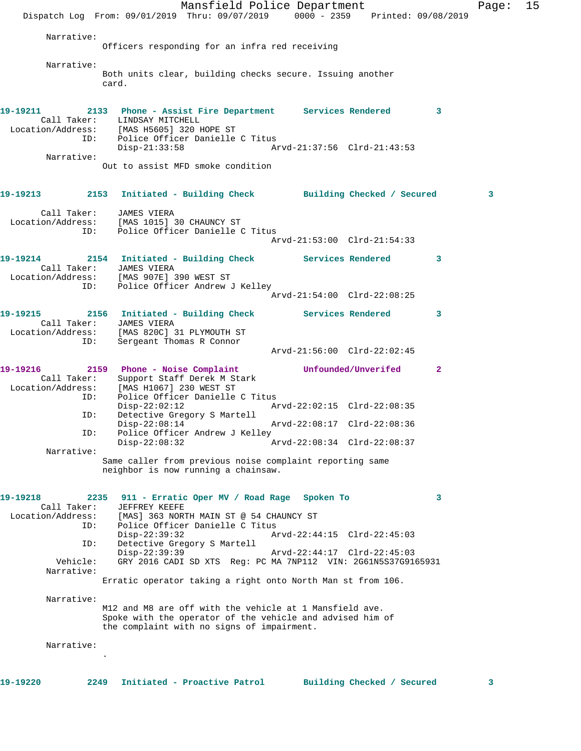Mansfield Police Department Fage: 15 Dispatch Log From: 09/01/2019 Thru: 09/07/2019 0000 - 2359 Printed: 09/08/2019 Narrative: Officers responding for an infra red receiving Narrative: Both units clear, building checks secure. Issuing another card. **19-19211 2133 Phone - Assist Fire Department Services Rendered 3**  Call Taker: LINDSAY MITCHELL Location/Address: [MAS H5605] 320 HOPE ST ID: Police Officer Danielle C Titus Disp-21:33:58 Arvd-21:37:56 Clrd-21:43:53 Narrative: Out to assist MFD smoke condition **19-19213 2153 Initiated - Building Check Building Checked / Secured 3** Call Taker: JAMES VIERA Location/Address: [MAS 1015] 30 CHAUNCY ST ID: Police Officer Danielle C Titus Arvd-21:53:00 Clrd-21:54:33 **19-19214 2154 Initiated - Building Check Services Rendered 3**  Call Taker: JAMES VIERA Location/Address: [MAS 907E] 390 WEST ST ID: Police Officer Andrew J Kelley Arvd-21:54:00 Clrd-22:08:25 **19-19215 2156 Initiated - Building Check Services Rendered 3**  Call Taker: JAMES VIERA Location/Address: [MAS 820C] 31 PLYMOUTH ST ID: Sergeant Thomas R Connor Arvd-21:56:00 Clrd-22:02:45 **19-19216 2159 Phone - Noise Complaint Unfounded/Unverifed 2**  Call Taker: Support Staff Derek M Stark Location/Address: [MAS H1067] 230 WEST ST ID: Police Officer Danielle C Titus Disp-22:02:12 Arvd-22:02:15 Clrd-22:08:35 ID: Detective Gregory S Martell Disp-22:08:14 Arvd-22:08:17 Clrd-22:08:36 ID: Police Officer Andrew J Kelley<br>Disp-22:08:32 A Disp-22:08:32 Arvd-22:08:34 Clrd-22:08:37 Narrative: Same caller from previous noise complaint reporting same neighbor is now running a chainsaw. **19-19218 2235 911 - Erratic Oper MV / Road Rage Spoken To 3**  Call Taker: JEFFREY KEEFE Location/Address: [MAS] 363 NORTH MAIN ST @ 54 CHAUNCY ST ID: Police Officer Danielle C Titus Disp-22:39:32 Arvd-22:44:15 Clrd-22:45:03 ID: Detective Gregory S Martell Disp-22:39:39 Arvd-22:44:17 Clrd-22:45:03 Vehicle: GRY 2016 CADI SD XTS Reg: PC MA 7NP112 VIN: 2G61N5S37G9165931 Narrative: Erratic operator taking a right onto North Man st from 106. Narrative: M12 and M8 are off with the vehicle at 1 Mansfield ave. Spoke with the operator of the vehicle and advised him of the complaint with no signs of impairment. Narrative: .

**19-19220 2249 Initiated - Proactive Patrol Building Checked / Secured 3**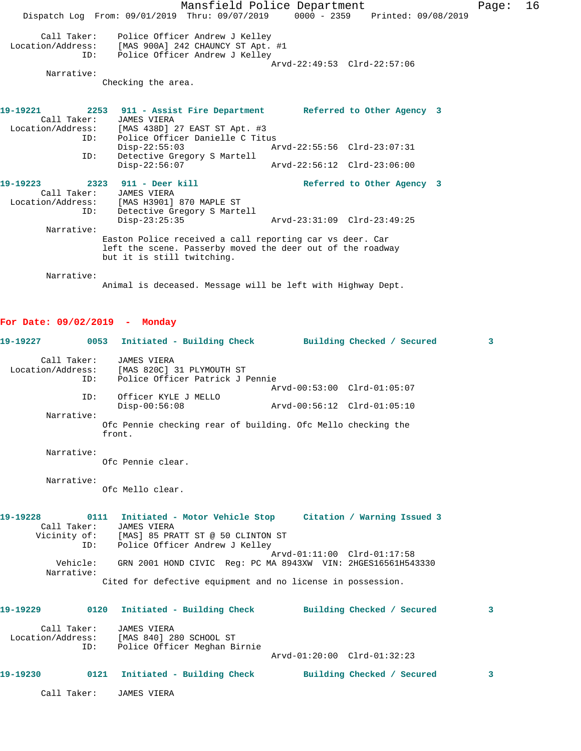Mansfield Police Department Fage: 16 Dispatch Log From: 09/01/2019 Thru: 09/07/2019 0000 - 2359 Printed: 09/08/2019 Call Taker: Police Officer Andrew J Kelley<br>Location/Address: [MAS 900A] 242 CHAUNCY ST Apt. ess: [MAS 900A] 242 CHAUNCY ST Apt. #1<br>ID: Police Officer Andrew J Kelley Police Officer Andrew J Kelley Arvd-22:49:53 Clrd-22:57:06 Narrative: Checking the area. **19-19221 2253 911 - Assist Fire Department Referred to Other Agency 3**  Call Taker:<br>Location/Address: [MAS 438D] 27 EAST ST Apt. #3 ID: Police Officer Danielle C Titus Disp-22:55:03 Arvd-22:55:56 Clrd-23:07:31<br>ID: Detective Gregory S Martell Detective Gregory S Martell<br>Disp-22:56:07 Disp-22:56:07 Arvd-22:56:12 Clrd-23:06:00 19-19223 2323 911 - Deer kill Referred to Other Agency 3<br>Call Taker: JAMES VIERA Call Taker: JAMES VIERA<br>Location/Address: [MAS H3901] ess: [MAS H3901] 870 MAPLE ST<br>ID: Detective Gregory S Marte Detective Gregory S Martell<br>Disp-23:25:35 Disp-23:25:35 Arvd-23:31:09 Clrd-23:49:25 Narrative: Easton Police received a call reporting car vs deer. Car left the scene. Passerby moved the deer out of the roadway but it is still twitching. Narrative: Animal is deceased. Message will be left with Highway Dept.

## **For Date: 09/02/2019 - Monday**

|                                  |      | 19-19227 6053 Initiated - Building Check Building Checked / Secured                                                                                                |                             |                            | $\mathbf{3}$ |
|----------------------------------|------|--------------------------------------------------------------------------------------------------------------------------------------------------------------------|-----------------------------|----------------------------|--------------|
| Call Taker:<br>Location/Address: | ID:  | JAMES VIERA<br>[MAS 820C] 31 PLYMOUTH ST<br>Police Officer Patrick J Pennie                                                                                        |                             |                            |              |
|                                  | ID:  | Officer KYLE J MELLO                                                                                                                                               | Arvd-00:53:00 Clrd-01:05:07 |                            |              |
|                                  |      | $Disp-00:56:08$                                                                                                                                                    | Arvd-00:56:12 Clrd-01:05:10 |                            |              |
| Narrative:                       |      | Ofc Pennie checking rear of building. Ofc Mello checking the<br>front.                                                                                             |                             |                            |              |
| Narrative:                       |      | Ofc Pennie clear.                                                                                                                                                  |                             |                            |              |
| Narrative:                       |      | Ofc Mello clear.                                                                                                                                                   |                             |                            |              |
| 19-19228<br>Call Taker:          | ID:  | 0111 Initiated - Motor Vehicle Stop Citation / Warning Issued 3<br>JAMES VIERA<br>Vicinity of: [MAS] 85 PRATT ST @ 50 CLINTON ST<br>Police Officer Andrew J Kelley |                             |                            |              |
| Vehicle:<br>Narrative:           |      | GRN 2001 HOND CIVIC Req: PC MA 8943XW VIN: 2HGES16561H543330                                                                                                       | Arvd-01:11:00 Clrd-01:17:58 |                            |              |
|                                  |      | Cited for defective equipment and no license in possession.                                                                                                        |                             |                            |              |
| 19-19229 0120                    |      | Initiated - Building Check Building Checked / Secured                                                                                                              |                             |                            | 3            |
| Call Taker:                      | ID:  | JAMES VIERA<br>Location/Address: [MAS 840] 280 SCHOOL ST<br>Police Officer Meghan Birnie                                                                           | Arvd-01:20:00 Clrd-01:32:23 |                            |              |
| 19-19230                         | 0121 | Initiated - Building Check                                                                                                                                         |                             | Building Checked / Secured | 3            |
|                                  |      |                                                                                                                                                                    |                             |                            |              |

Call Taker: JAMES VIERA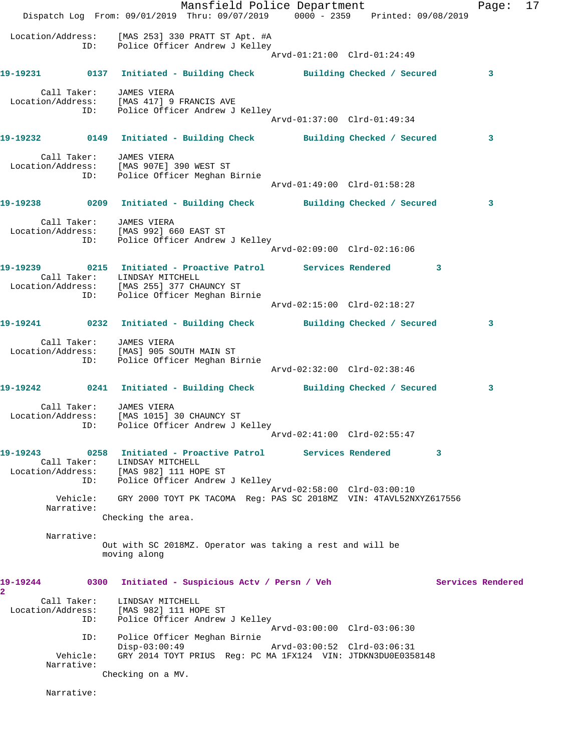Mansfield Police Department Fage: 17 Dispatch Log From: 09/01/2019 Thru: 09/07/2019 0000 - 2359 Printed: 09/08/2019 Location/Address: [MAS 253] 330 PRATT ST Apt. #A ID: Police Officer Andrew J Kelley Arvd-01:21:00 Clrd-01:24:49 **19-19231 0137 Initiated - Building Check Building Checked / Secured 3** Call Taker: JAMES VIERA Location/Address: [MAS 417] 9 FRANCIS AVE ID: Police Officer Andrew J Kelley Arvd-01:37:00 Clrd-01:49:34 **19-19232 0149 Initiated - Building Check Building Checked / Secured 3** Call Taker: JAMES VIERA Location/Address: [MAS 907E] 390 WEST ST ID: Police Officer Meghan Birnie Arvd-01:49:00 Clrd-01:58:28 **19-19238 0209 Initiated - Building Check Building Checked / Secured 3** Call Taker: JAMES VIERA Location/Address: [MAS 992] 660 EAST ST ID: Police Officer Andrew J Kelley Arvd-02:09:00 Clrd-02:16:06 **19-19239 0215 Initiated - Proactive Patrol Services Rendered 3**  Call Taker: LINDSAY MITCHELL Location/Address: [MAS 255] 377 CHAUNCY ST ID: Police Officer Meghan Birnie Arvd-02:15:00 Clrd-02:18:27 **19-19241 0232 Initiated - Building Check Building Checked / Secured 3** Call Taker: JAMES VIERA Location/Address: [MAS] 905 SOUTH MAIN ST ID: Police Officer Meghan Birnie Arvd-02:32:00 Clrd-02:38:46 **19-19242 0241 Initiated - Building Check Building Checked / Secured 3** Call Taker: JAMES VIERA Location/Address: [MAS 1015] 30 CHAUNCY ST ID: Police Officer Andrew J Kelley Arvd-02:41:00 Clrd-02:55:47 **19-19243 0258 Initiated - Proactive Patrol Services Rendered 3**  Call Taker: LINDSAY MITCHELL Location/Address: [MAS 982] 111 HOPE ST ID: Police Officer Andrew J Kelley Arvd-02:58:00 Clrd-03:00:10 Vehicle: GRY 2000 TOYT PK TACOMA Reg: PAS SC 2018MZ VIN: 4TAVL52NXYZ617556 Narrative: Checking the area. Narrative: Out with SC 2018MZ. Operator was taking a rest and will be moving along **19-19244 0300 Initiated - Suspicious Actv / Persn / Veh Services Rendered 2**  Call Taker: LINDSAY MITCHELL Location/Address: [MAS 982] 111 HOPE ST ID: Police Officer Andrew J Kelley Arvd-03:00:00 Clrd-03:06:30 ID: Police Officer Meghan Birnie Disp-03:00:49 Arvd-03:00:52 Clrd-03:06:31 Vehicle: GRY 2014 TOYT PRIUS Reg: PC MA 1FX124 VIN: JTDKN3DU0E0358148 Narrative: Checking on a MV. Narrative: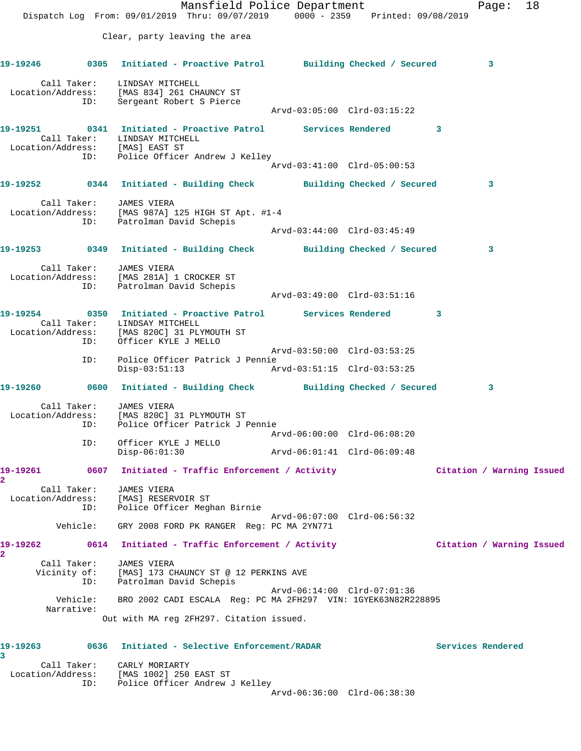Mansfield Police Department Fage: 18 Dispatch Log From: 09/01/2019 Thru: 09/07/2019 0000 - 2359 Printed: 09/08/2019 Clear, party leaving the area **19-19246 0305 Initiated - Proactive Patrol Building Checked / Secured 3** Call Taker: LINDSAY MITCHELL Location/Address: [MAS 834] 261 CHAUNCY ST ID: Sergeant Robert S Pierce Arvd-03:05:00 Clrd-03:15:22 **19-19251 0341 Initiated - Proactive Patrol Services Rendered 3**  Call Taker: LINDSAY MITCHELL Location/Address: [MAS] EAST ST ID: Police Officer Andrew J Kelley Arvd-03:41:00 Clrd-05:00:53 **19-19252 0344 Initiated - Building Check Building Checked / Secured 3** Call Taker: JAMES VIERA Location/Address: [MAS 987A] 125 HIGH ST Apt. #1-4 ID: Patrolman David Schepis Arvd-03:44:00 Clrd-03:45:49 **19-19253 0349 Initiated - Building Check Building Checked / Secured 3** Call Taker: JAMES VIERA Location/Address: [MAS 281A] 1 CROCKER ST ID: Patrolman David Schepis Arvd-03:49:00 Clrd-03:51:16 **19-19254 0350 Initiated - Proactive Patrol Services Rendered 3**  Call Taker: LINDSAY MITCHELL Location/Address: [MAS 820C] 31 PLYMOUTH ST ID: Officer KYLE J MELLO Arvd-03:50:00 Clrd-03:53:25 ID: Police Officer Patrick J Pennie Disp-03:51:13 Arvd-03:51:15 Clrd-03:53:25 **19-19260 0600 Initiated - Building Check Building Checked / Secured 3** Call Taker: JAMES VIERA Location/Address: [MAS 820C] 31 PLYMOUTH ST ID: Police Officer Patrick J Pennie Arvd-06:00:00 Clrd-06:08:20 ID: Officer KYLE J MELLO Disp-06:01:30 Arvd-06:01:41 Clrd-06:09:48 **19-19261 0607 Initiated - Traffic Enforcement / Activity Citation / Warning Issued 2**  Call Taker: JAMES VIERA Location/Address: [MAS] RESERVOIR ST ID: Police Officer Meghan Birnie Arvd-06:07:00 Clrd-06:56:32 Vehicle: GRY 2008 FORD PK RANGER Reg: PC MA 2YN771 **19-19262 0614 Initiated - Traffic Enforcement / Activity Citation / Warning Issued 2**  Call Taker: JAMES VIERA Vicinity of: [MAS] 173 CHAUNCY ST @ 12 PERKINS AVE ID: Patrolman David Schepis Arvd-06:14:00 Clrd-07:01:36 Vehicle: BRO 2002 CADI ESCALA Reg: PC MA 2FH297 VIN: 1GYEK63N82R228895 Narrative: Out with MA reg 2FH297. Citation issued. **19-19263 0636 Initiated - Selective Enforcement/RADAR Services Rendered 3**  Call Taker: CARLY MORIARTY Location/Address: [MAS 1002] 250 EAST ST

 ID: Police Officer Andrew J Kelley Arvd-06:36:00 Clrd-06:38:30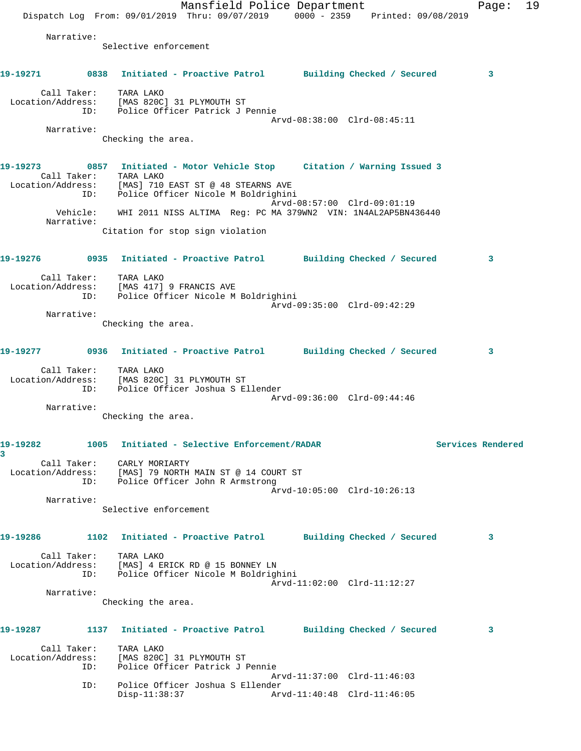Mansfield Police Department Fage: 19 Dispatch Log From: 09/01/2019 Thru: 09/07/2019 0000 - 2359 Printed: 09/08/2019 Narrative: Selective enforcement **19-19271 0838 Initiated - Proactive Patrol Building Checked / Secured 3** Call Taker: TARA LAKO Location/Address: [MAS 820C] 31 PLYMOUTH ST ID: Police Officer Patrick J Pennie Arvd-08:38:00 Clrd-08:45:11 Narrative: Checking the area. **19-19273 0857 Initiated - Motor Vehicle Stop Citation / Warning Issued 3**  Call Taker: TARA LAKO Location/Address: [MAS] 710 EAST ST @ 48 STEARNS AVE ID: Police Officer Nicole M Boldrighini Arvd-08:57:00 Clrd-09:01:19 Vehicle: WHI 2011 NISS ALTIMA Reg: PC MA 379WN2 VIN: 1N4AL2AP5BN436440 Narrative: Citation for stop sign violation **19-19276 0935 Initiated - Proactive Patrol Building Checked / Secured 3** Call Taker: TARA LAKO Location/Address: [MAS 417] 9 FRANCIS AVE ID: Police Officer Nicole M Boldrighini Arvd-09:35:00 Clrd-09:42:29 Narrative: Checking the area. **19-19277 0936 Initiated - Proactive Patrol Building Checked / Secured 3** Call Taker: TARA LAKO Location/Address: [MAS 820C] 31 PLYMOUTH ST ID: Police Officer Joshua S Ellender Arvd-09:36:00 Clrd-09:44:46 Narrative: Checking the area. **19-19282 1005 Initiated - Selective Enforcement/RADAR Services Rendered 3**  Call Taker: CARLY MORIARTY Location/Address: [MAS] 79 NORTH MAIN ST @ 14 COURT ST ID: Police Officer John R Armstrong Arvd-10:05:00 Clrd-10:26:13 Narrative: Selective enforcement **19-19286 1102 Initiated - Proactive Patrol Building Checked / Secured 3** Call Taker: TARA LAKO Location/Address: [MAS] 4 ERICK RD @ 15 BONNEY LN ID: Police Officer Nicole M Boldrighini Arvd-11:02:00 Clrd-11:12:27 Narrative: Checking the area. **19-19287 1137 Initiated - Proactive Patrol Building Checked / Secured 3** Call Taker: TARA LAKO Location/Address: [MAS 820C] 31 PLYMOUTH ST ID: Police Officer Patrick J Pennie Arvd-11:37:00 Clrd-11:46:03 ID: Police Officer Joshua S Ellender Disp-11:38:37 Arvd-11:40:48 Clrd-11:46:05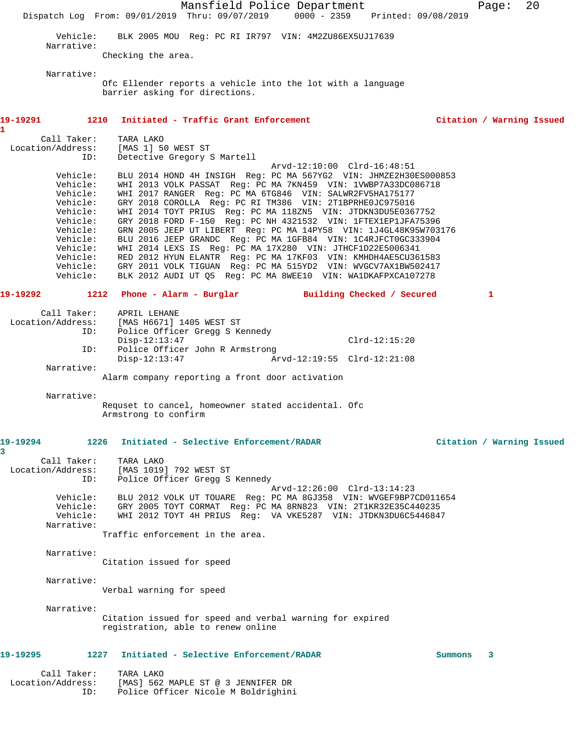|                                                                                                                                              |                                                                                              | Mansfield Police Department                                                                                                                                                                                                                                                                                                                                                                                                                                                                                                                                                                                                                                                                                                                                                                    |                                                |         | Page:                     | 20 |
|----------------------------------------------------------------------------------------------------------------------------------------------|----------------------------------------------------------------------------------------------|------------------------------------------------------------------------------------------------------------------------------------------------------------------------------------------------------------------------------------------------------------------------------------------------------------------------------------------------------------------------------------------------------------------------------------------------------------------------------------------------------------------------------------------------------------------------------------------------------------------------------------------------------------------------------------------------------------------------------------------------------------------------------------------------|------------------------------------------------|---------|---------------------------|----|
|                                                                                                                                              |                                                                                              | Dispatch Log From: 09/01/2019 Thru: 09/07/2019                                                                                                                                                                                                                                                                                                                                                                                                                                                                                                                                                                                                                                                                                                                                                 | 0000 - 2359 Printed: 09/08/2019                |         |                           |    |
| Vehicle:<br>Narrative:                                                                                                                       |                                                                                              | BLK 2005 MOU Reg: PC RI IR797 VIN: 4M2ZU86EX5UJ17639                                                                                                                                                                                                                                                                                                                                                                                                                                                                                                                                                                                                                                                                                                                                           |                                                |         |                           |    |
|                                                                                                                                              | Checking the area.                                                                           |                                                                                                                                                                                                                                                                                                                                                                                                                                                                                                                                                                                                                                                                                                                                                                                                |                                                |         |                           |    |
| Narrative:                                                                                                                                   |                                                                                              | Ofc Ellender reports a vehicle into the lot with a language<br>barrier asking for directions.                                                                                                                                                                                                                                                                                                                                                                                                                                                                                                                                                                                                                                                                                                  |                                                |         |                           |    |
| 19-19291<br>1210                                                                                                                             |                                                                                              | Initiated - Traffic Grant Enforcement                                                                                                                                                                                                                                                                                                                                                                                                                                                                                                                                                                                                                                                                                                                                                          |                                                |         | Citation / Warning Issued |    |
| 1.<br>Call Taker:                                                                                                                            | TARA LAKO                                                                                    |                                                                                                                                                                                                                                                                                                                                                                                                                                                                                                                                                                                                                                                                                                                                                                                                |                                                |         |                           |    |
| Location/Address:                                                                                                                            | [MAS 1] 50 WEST ST<br>ID:                                                                    | Detective Gregory S Martell                                                                                                                                                                                                                                                                                                                                                                                                                                                                                                                                                                                                                                                                                                                                                                    |                                                |         |                           |    |
| Vehicle:<br>Vehicle:<br>Vehicle:<br>Vehicle:<br>Vehicle:<br>Vehicle:<br>Vehicle:<br>Vehicle:<br>Vehicle:<br>Vehicle:<br>Vehicle:<br>Vehicle: |                                                                                              | BLU 2014 HOND 4H INSIGH Req: PC MA 567YG2 VIN: JHMZE2H30ES000853<br>WHI 2013 VOLK PASSAT Req: PC MA 7KN459 VIN: 1VWBP7A33DC086718<br>WHI 2017 RANGER Req: PC MA 6TG846 VIN: SALWR2FV5HA175177<br>GRY 2018 COROLLA Req: PC RI TM386 VIN: 2T1BPRHE0JC975016<br>WHI 2014 TOYT PRIUS Reg: PC MA 118ZN5 VIN: JTDKN3DU5E0367752<br>GRY 2018 FORD F-150 Reg: PC NH 4321532 VIN: 1FTEX1EP1JFA75396<br>GRN 2005 JEEP UT LIBERT Reg: PC MA 14PY58 VIN: 1J4GL48K95W703176<br>BLU 2016 JEEP GRANDC Req: PC MA 1GFB84 VIN: 1C4RJFCT0GC333904<br>WHI 2014 LEXS IS Reg: PC MA 17X280 VIN: JTHCF1D22E5006341<br>RED 2012 HYUN ELANTR Reg: PC MA 17KF03 VIN: KMHDH4AE5CU361583<br>GRY 2011 VOLK TIGUAN Reg: PC MA 515YD2 VIN: WVGCV7AX1BW502417<br>BLK 2012 AUDI UT Q5 Req: PC MA 8WEE10 VIN: WA1DKAFPXCA107278 | Arvd-12:10:00 Clrd-16:48:51                    |         |                           |    |
| 19-19292                                                                                                                                     |                                                                                              | 1212 Phone - Alarm - Burglar Building Checked / Secured                                                                                                                                                                                                                                                                                                                                                                                                                                                                                                                                                                                                                                                                                                                                        |                                                |         | 1                         |    |
| Call Taker:<br>Location/Address:<br>Narrative:                                                                                               | APRIL LEHANE<br>[MAS H6671] 1405 WEST ST<br>ID:<br>$Disp-12:13:47$<br>ID:<br>$Disp-12:13:47$ | Police Officer Gregg S Kennedy<br>Police Officer John R Armstrong<br>Alarm company reporting a front door activation                                                                                                                                                                                                                                                                                                                                                                                                                                                                                                                                                                                                                                                                           | $Clrd-12:15:20$<br>Arvd-12:19:55 Clrd-12:21:08 |         |                           |    |
| Narrative:                                                                                                                                   |                                                                                              |                                                                                                                                                                                                                                                                                                                                                                                                                                                                                                                                                                                                                                                                                                                                                                                                |                                                |         |                           |    |
|                                                                                                                                              | Armstrong to confirm                                                                         | Requset to cancel, homeowner stated accidental. Ofc                                                                                                                                                                                                                                                                                                                                                                                                                                                                                                                                                                                                                                                                                                                                            |                                                |         |                           |    |
| 19-19294<br>3                                                                                                                                | 1226                                                                                         | Initiated - Selective Enforcement/RADAR                                                                                                                                                                                                                                                                                                                                                                                                                                                                                                                                                                                                                                                                                                                                                        |                                                |         | Citation / Warning Issued |    |
| Call Taker:<br>Location/Address:                                                                                                             | TARA LAKO<br>[MAS 1019] 792 WEST ST<br>ID:                                                   | Police Officer Gregg S Kennedy                                                                                                                                                                                                                                                                                                                                                                                                                                                                                                                                                                                                                                                                                                                                                                 |                                                |         |                           |    |
|                                                                                                                                              |                                                                                              |                                                                                                                                                                                                                                                                                                                                                                                                                                                                                                                                                                                                                                                                                                                                                                                                | Arvd-12:26:00 Clrd-13:14:23                    |         |                           |    |
| Vehicle:<br>Vehicle:<br>Vehicle:                                                                                                             |                                                                                              | BLU 2012 VOLK UT TOUARE Req: PC MA 8GJ358 VIN: WVGEF9BP7CD011654<br>GRY 2005 TOYT CORMAT Reg: PC MA 8RN823 VIN: 2T1KR32E35C440235<br>WHI 2012 TOYT 4H PRIUS Reg: VA VKE5287 VIN: JTDKN3DU6C5446847                                                                                                                                                                                                                                                                                                                                                                                                                                                                                                                                                                                             |                                                |         |                           |    |
| Narrative:                                                                                                                                   |                                                                                              | Traffic enforcement in the area.                                                                                                                                                                                                                                                                                                                                                                                                                                                                                                                                                                                                                                                                                                                                                               |                                                |         |                           |    |
| Narrative:                                                                                                                                   | Citation issued for speed                                                                    |                                                                                                                                                                                                                                                                                                                                                                                                                                                                                                                                                                                                                                                                                                                                                                                                |                                                |         |                           |    |
| Narrative:                                                                                                                                   | Verbal warning for speed                                                                     |                                                                                                                                                                                                                                                                                                                                                                                                                                                                                                                                                                                                                                                                                                                                                                                                |                                                |         |                           |    |
| Narrative:                                                                                                                                   |                                                                                              | Citation issued for speed and verbal warning for expired<br>registration, able to renew online                                                                                                                                                                                                                                                                                                                                                                                                                                                                                                                                                                                                                                                                                                 |                                                |         |                           |    |
| 19-19295                                                                                                                                     | 1227                                                                                         | Initiated - Selective Enforcement/RADAR                                                                                                                                                                                                                                                                                                                                                                                                                                                                                                                                                                                                                                                                                                                                                        |                                                | Summons | 3                         |    |
| Call Taker:<br>Location/Address:                                                                                                             | TARA LAKO<br>ID:                                                                             | [MAS] 562 MAPLE ST @ 3 JENNIFER DR<br>Police Officer Nicole M Boldrighini                                                                                                                                                                                                                                                                                                                                                                                                                                                                                                                                                                                                                                                                                                                      |                                                |         |                           |    |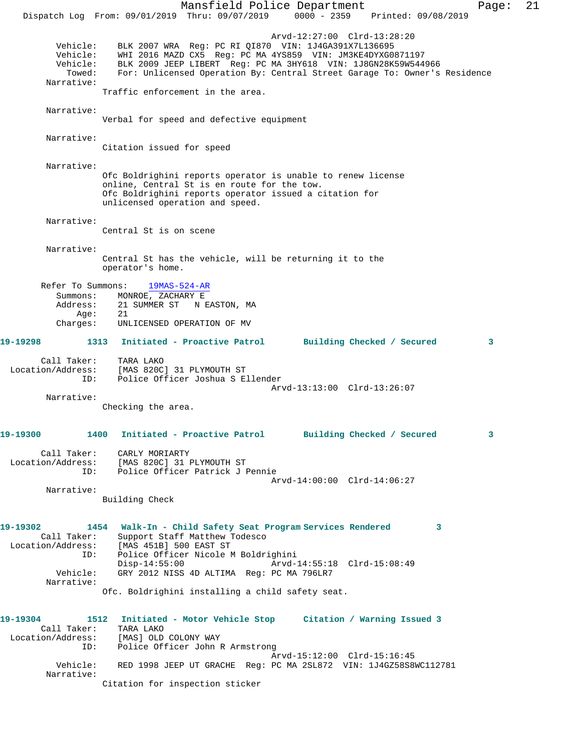Mansfield Police Department Page: 21 Dispatch Log From: 09/01/2019 Thru: 09/07/2019 0000 - 2359 Printed: 09/08/2019 Arvd-12:27:00 Clrd-13:28:20 Vehicle: BLK 2007 WRA Reg: PC RI QI870 VIN: 1J4GA391X7L136695 Vehicle: WHI 2016 MAZD CX5 Reg: PC MA 4YS859 VIN: JM3KE4DYXG0871197 Vehicle: BLK 2009 JEEP LIBERT Reg: PC MA 3HY618 VIN: 1J8GN28K59W544966 Towed: For: Unlicensed Operation By: Central Street Garage To: Owner's Residence Narrative: Traffic enforcement in the area. Narrative: Verbal for speed and defective equipment Narrative: Citation issued for speed Narrative: Ofc Boldrighini reports operator is unable to renew license online, Central St is en route for the tow. Ofc Boldrighini reports operator issued a citation for unlicensed operation and speed. Narrative: Central St is on scene Narrative: Central St has the vehicle, will be returning it to the operator's home. Refer To Summons: 19MAS-524-AR Summons: MONROE, ZACHARY E Address: 21 SUMMER ST N EASTON, MA<br>Ade: 21 Age: Charges: UNLICENSED OPERATION OF MV **19-19298 1313 Initiated - Proactive Patrol Building Checked / Secured 3** Call Taker: TARA LAKO Location/Address: [MAS 820C] 31 PLYMOUTH ST ID: Police Officer Joshua S Ellender Arvd-13:13:00 Clrd-13:26:07 Narrative: Checking the area. **19-19300 1400 Initiated - Proactive Patrol Building Checked / Secured 3** Call Taker: CARLY MORIARTY Location/Address: [MAS 820C] 31 PLYMOUTH ST ID: Police Officer Patrick J Pennie Arvd-14:00:00 Clrd-14:06:27 Narrative: Building Check **19-19302 1454 Walk-In - Child Safety Seat Program Services Rendered 3**  Call Taker: Support Staff Matthew Todesco Location/Address: [MAS 451B] 500 EAST ST ID: Police Officer Nicole M Boldrighini Disp-14:55:00 Arvd-14:55:18 Clrd-15:08:49 Vehicle: GRY 2012 NISS 4D ALTIMA Reg: PC MA 796LR7 Narrative: Ofc. Boldrighini installing a child safety seat. **19-19304 1512 Initiated - Motor Vehicle Stop Citation / Warning Issued 3**  Call Taker: TARA LAKO Location/Address: [MAS] OLD COLONY WAY ID: Police Officer John R Armstrong Arvd-15:12:00 Clrd-15:16:45 Vehicle: RED 1998 JEEP UT GRACHE Reg: PC MA 2SL872 VIN: 1J4GZ58S8WC112781 Narrative: Citation for inspection sticker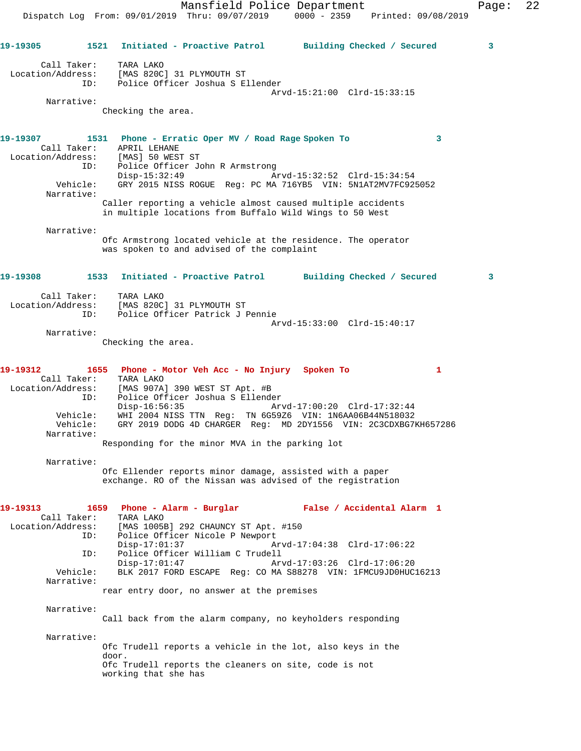Mansfield Police Department Fage: 22 Dispatch Log From: 09/01/2019 Thru: 09/07/2019 0000 - 2359 Printed: 09/08/2019 **19-19305 1521 Initiated - Proactive Patrol Building Checked / Secured 3** Call Taker: TARA LAKO Location/Address: [MAS 820C] 31 PLYMOUTH ST ID: Police Officer Joshua S Ellender Arvd-15:21:00 Clrd-15:33:15 Checking the area. **19-19307 1531 Phone - Erratic Oper MV / Road Rage Spoken To 3**  Call Taker: APRIL LEHANE Location/Address: [MAS] 50 WEST ST ID: Police Officer John R Armstrong Disp-15:32:49 Arvd-15:32:52 Clrd-15:34:54 Vehicle: GRY 2015 NISS ROGUE Reg: PC MA 716YB5 VIN: 5N1AT2MV7FC925052 Caller reporting a vehicle almost caused multiple accidents in multiple locations from Buffalo Wild Wings to 50 West

Narrative:

Narrative:

Narrative:

Ofc Armstrong located vehicle at the residence. The operator was spoken to and advised of the complaint

## **19-19308 1533 Initiated - Proactive Patrol Building Checked / Secured 3**

| Call Taker:       | TARA LAKO                       |  |
|-------------------|---------------------------------|--|
| Location/Address: | [MAS 820C] 31 PLYMOUTH ST       |  |
| TD:               | Police Officer Patrick J Pennie |  |
|                   | Arvd-15:33:00 Clrd-15:40:17     |  |

Narrative:

Checking the area.

**19-19312 1655 Phone - Motor Veh Acc - No Injury Spoken To 1**  Call Taker: TARA LAKO Location/Address: [MAS 907A] 390 WEST ST Apt. #B ID: Police Officer Joshua S Ellender Disp-16:56:35 Arvd-17:00:20 Clrd-17:32:44 Vehicle: WHI 2004 NISS TTN Reg: TN 6G59Z6 VIN: 1N6AA06B44N518032 Vehicle: GRY 2019 DODG 4D CHARGER Reg: MD 2DY1556 VIN: 2C3CDXBG7KH657286 Narrative:

Responding for the minor MVA in the parking lot

Narrative:

Ofc Ellender reports minor damage, assisted with a paper exchange. RO of the Nissan was advised of the registration

| 19-19313   |     | 1659 Phone - Alarm - Burglar                                                  | False / Accidental Alarm 1 |
|------------|-----|-------------------------------------------------------------------------------|----------------------------|
|            |     | Call Taker: TARA LAKO                                                         |                            |
|            |     | Location/Address: [MAS 1005B] 292 CHAUNCY ST Apt. #150                        |                            |
|            |     | ID: Police Officer Nicole P Newport                                           |                            |
|            |     | Disp-17:01:37                                                                 |                            |
|            | ID: | Police Officer William C Trudell                                              |                            |
|            |     | $Disp-17:01:47$                                                               |                            |
| Vehicle:   |     | BLK 2017 FORD ESCAPE Req: CO MA S88278 VIN: 1FMCU9JD0HUC16213                 |                            |
| Narrative: |     |                                                                               |                            |
|            |     | rear entry door, no answer at the premises                                    |                            |
| Narrative: |     |                                                                               |                            |
|            |     | Call back from the alarm company, no keyholders responding                    |                            |
| Narrative: |     |                                                                               |                            |
|            |     | Ofc Trudell reports a vehicle in the lot, also keys in the                    |                            |
|            |     | door.                                                                         |                            |
|            |     | Ofc Trudell reports the cleaners on site, code is not<br>working that she has |                            |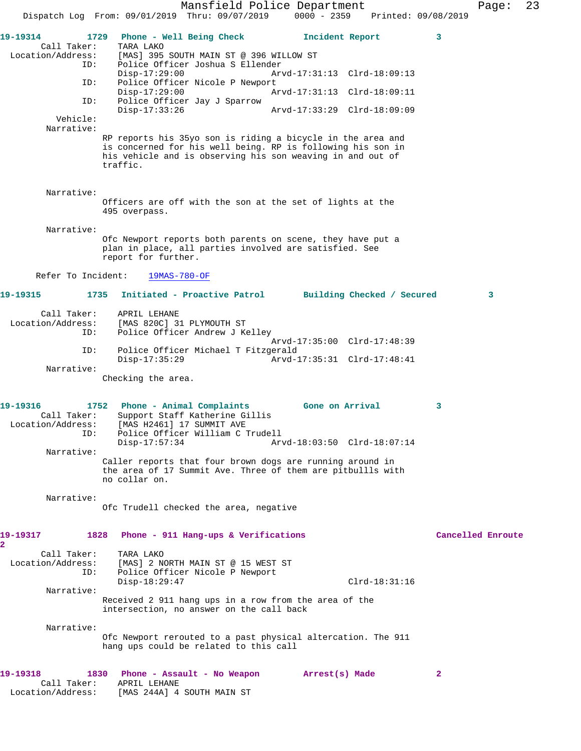Mansfield Police Department Fage: 23 Dispatch Log From: 09/01/2019 Thru: 09/07/2019 0000 - 2359 Printed: 09/08/2019 **19-19314 1729 Phone - Well Being Check Incident Report 3**  Call Taker: TARA LAKO<br>Location/Address: [MAS] 395 [MAS] 395 SOUTH MAIN ST @ 396 WILLOW ST ID: Police Officer Joshua S Ellender Disp-17:29:00 Arvd-17:31:13 Clrd-18:09:13<br>TD: Police Officer Nicole P Newport Police Officer Nicole P Newport<br>Disp-17:29:00 Ar Disp-17:29:00 Arvd-17:31:13 Clrd-18:09:11 ID: Police Officer Jay J Sparrow Disp-17:33:26 Arvd-17:33:29 Clrd-18:09:09 Vehicle: Narrative: RP reports his 35yo son is riding a bicycle in the area and is concerned for his well being. RP is following his son in his vehicle and is observing his son weaving in and out of traffic. Narrative: Officers are off with the son at the set of lights at the 495 overpass. Narrative: Ofc Newport reports both parents on scene, they have put a plan in place, all parties involved are satisfied. See report for further. Refer To Incident: 19MAS-780-OF **19-19315 1735 Initiated - Proactive Patrol Building Checked / Secured 3** Call Taker: APRIL LEHANE Location/Address: [MAS 820C] 31 PLYMOUTH ST<br>ID: Police Officer Andrew J K Police Officer Andrew J Kelley Arvd-17:35:00 Clrd-17:48:39<br>TD: Police Officer Michael T Fitzgerald Police Officer Michael T Fitzgerald Disp-17:35:29 Arvd-17:35:31 Clrd-17:48:41 Narrative: Checking the area. **19-19316 1752 Phone - Animal Complaints Gone on Arrival 3**  Call Taker: Support Staff Katherine Gillis Location/Address: [MAS H2461] 17 SUMMIT AVE ID: Police Officer William C Trudell Disp-17:57:34 Arvd-18:03:50 Clrd-18:07:14 Narrative: Caller reports that four brown dogs are running around in the area of 17 Summit Ave. Three of them are pitbullls with no collar on. Narrative: Ofc Trudell checked the area, negative **19-19317 1828 Phone - 911 Hang-ups & Verifications Cancelled Enroute 2**  Call Taker: TARA LAKO Location/Address: [MAS] 2 NORTH MAIN ST @ 15 WEST ST ID: Police Officer Nicole P Newport Disp-18:29:47 Clrd-18:31:16 Narrative: Received 2 911 hang ups in a row from the area of the intersection, no answer on the call back Narrative: Ofc Newport rerouted to a past physical altercation. The 911 hang ups could be related to this call **19-19318 1830 Phone - Assault - No Weapon Arrest(s) Made 2**  Call Taker: APRIL LEHANE Location/Address: [MAS 244A] 4 SOUTH MAIN ST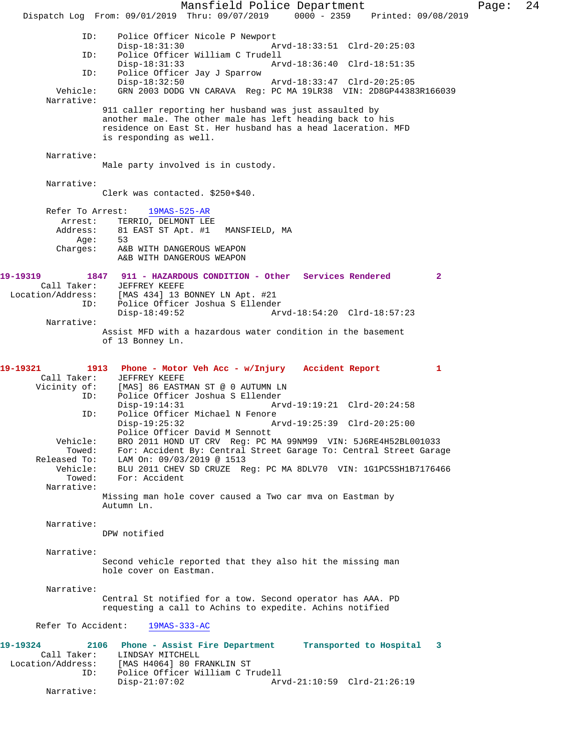Mansfield Police Department Page: 24 Dispatch Log From: 09/01/2019 Thru: 09/07/2019 0000 - 2359 Printed: 09/08/2019 ID: Police Officer Nicole P Newport Disp-18:31:30 Arvd-18:33:51 Clrd-20:25:03 ID: Police Officer William C Trudell Disp-18:31:33 Arvd-18:36:40 Clrd-18:51:35<br>ID: Police Officer Jav J Sparrow Police Officer Jay J Sparrow Disp-18:32:50 Arvd-18:33:47 Clrd-20:25:05 Vehicle: GRN 2003 DODG VN CARAVA Reg: PC MA 19LR38 VIN: 2D8GP44383R166039 Narrative: 911 caller reporting her husband was just assaulted by another male. The other male has left heading back to his residence on East St. Her husband has a head laceration. MFD is responding as well. Narrative: Male party involved is in custody. Narrative: Clerk was contacted. \$250+\$40. Refer To Arrest: 19MAS-525-AR Arrest: TERRIO, DELMONT LEE<br>Address: 81 EAST ST Apt. #1 MANSFIELD, MA 81 EAST ST Apt. #1<br>53 Age: Charges: A&B WITH DANGEROUS WEAPON A&B WITH DANGEROUS WEAPON **19-19319 1847 911 - HAZARDOUS CONDITION - Other Services Rendered 2**  JEFFREY KEEFE Location/Address: [MAS 434] 13 BONNEY LN Apt. #21 ID: Police Officer Joshua S Ellender Arvd-18:54:20 Clrd-18:57:23 Narrative: Assist MFD with a hazardous water condition in the basement of 13 Bonney Ln. **19-19321 1913 Phone - Motor Veh Acc - w/Injury Accident Report 1**  Call Taker: JEFFREY KEEFE<br>Vicinity of: [MAS] 86 EASTI of: [MAS] 86 EASTMAN ST @ 0 AUTUMN LN<br>TD: Police Officer Joshua S Ellender Police Officer Joshua S Ellender<br>Disp-19:14:31 Arv Disp-19:14:31 Arvd-19:19:21 Clrd-20:24:58 ID: Police Officer Michael N Fenore<br>Disp-19:25:32 A Disp-19:25:32 Arvd-19:25:39 Clrd-20:25:00 Police Officer David M Sennott Vehicle: BRO 2011 HOND UT CRV Reg: PC MA 99NM99 VIN: 5J6RE4H52BL001033 Towed: For: Accident By: Central Street Garage To: Central Street Garage Released To: LAM On: 09/03/2019 @ 1513 Vehicle: BLU 2011 CHEV SD CRUZE Reg: PC MA 8DLV70 VIN: 1G1PC5SH1B7176466 For: Accident Narrative: Missing man hole cover caused a Two car mva on Eastman by Autumn Ln. Narrative: DPW notified Narrative: Second vehicle reported that they also hit the missing man hole cover on Eastman. Narrative: Central St notified for a tow. Second operator has AAA. PD requesting a call to Achins to expedite. Achins notified Refer To Accident: 19MAS-333-AC **19-19324 2106 Phone - Assist Fire Department Transported to Hospital 3**  Call Taker: LINDSAY MITCHELL Location/Address: [MAS H4064] 80 FRANKLIN ST ID: Police Officer William C Trudell Arvd-21:10:59 Clrd-21:26:19 Narrative: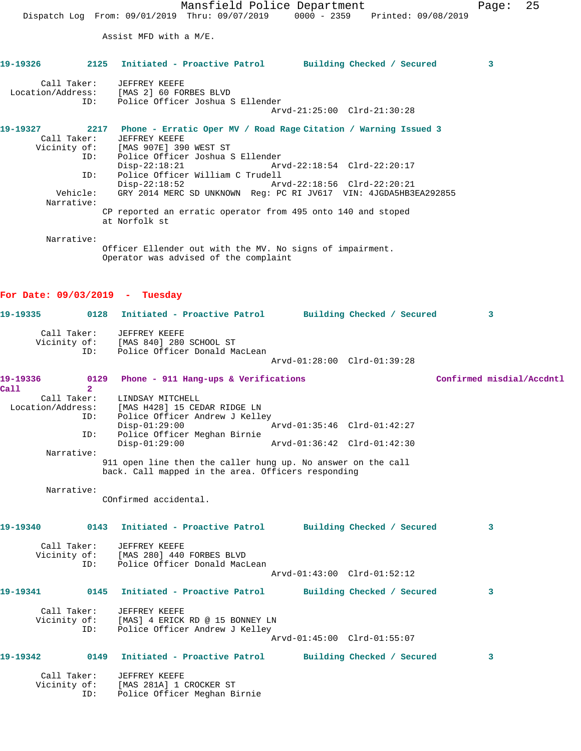Mansfield Police Department Fage: 25 Dispatch Log From: 09/01/2019 Thru: 09/07/2019 0000 - 2359 Printed: 09/08/2019 Assist MFD with a M/E. **19-19326 2125 Initiated - Proactive Patrol Building Checked / Secured 3** Call Taker: JEFFREY KEEFE Location/Address: [MAS 2] 60 FORBES BLVD ID: Police Officer Joshua S Ellender Arvd-21:25:00 Clrd-21:30:28 **19-19327 2217 Phone - Erratic Oper MV / Road Rage Citation / Warning Issued 3**  Call Taker: JEFFREY KEEFE Vicinity of: [MAS 907E] 390 WEST ST ID: Police Officer Joshua S Ellender Disp-22:18:21 Arvd-22:18:54 Clrd-22:20:17 ID: Police Officer William C Trudell Disp-22:18:52 Arvd-22:18:56 Clrd-22:20:21 Vehicle: GRY 2014 MERC SD UNKNOWN Reg: PC RI JV617 VIN: 4JGDA5HB3EA292855 Narrative: CP reported an erratic operator from 495 onto 140 and stoped at Norfolk st Narrative: Officer Ellender out with the MV. No signs of impairment. Operator was advised of the complaint **For Date: 09/03/2019 - Tuesday 19-19335 0128 Initiated - Proactive Patrol Building Checked / Secured 3** Call Taker: JEFFREY KEEFE Vicinity of: [MAS 840] 280 SCHOOL ST ID: Police Officer Donald MacLean Arvd-01:28:00 Clrd-01:39:28 19-19336 0129 Phone - 911 Hang-ups & Verifications **Confirmed misdial/Accdntl Call 2**  Call Taker: LINDSAY MITCHELL Location/Address: [MAS H428] 15 CEDAR RIDGE LN ID: Police Officer Andrew J Kelley Disp-01:29:00 Arvd-01:35:46 Clrd-01:42:27 ID: Police Officer Meghan Birnie Disp-01:29:00 Arvd-01:36:42 Clrd-01:42:30 Narrative: 911 open line then the caller hung up. No answer on the call back. Call mapped in the area. Officers responding Narrative: COnfirmed accidental. **19-19340 0143 Initiated - Proactive Patrol Building Checked / Secured 3** Call Taker: JEFFREY KEEFE Vicinity of: [MAS 280] 440 FORBES BLVD ID: Police Officer Donald MacLean Arvd-01:43:00 Clrd-01:52:12 **19-19341 0145 Initiated - Proactive Patrol Building Checked / Secured 3** Call Taker: JEFFREY KEEFE Vicinity of: [MAS] 4 ERICK RD @ 15 BONNEY LN OI: IMADI I ANION NO U I .<br>ID: Police Officer Andrew J Kelley Arvd-01:45:00 Clrd-01:55:07 **19-19342 0149 Initiated - Proactive Patrol Building Checked / Secured 3** Call Taker: JEFFREY KEEFE Vicinity of: [MAS 281A] 1 CROCKER ST ID: Police Officer Meghan Birnie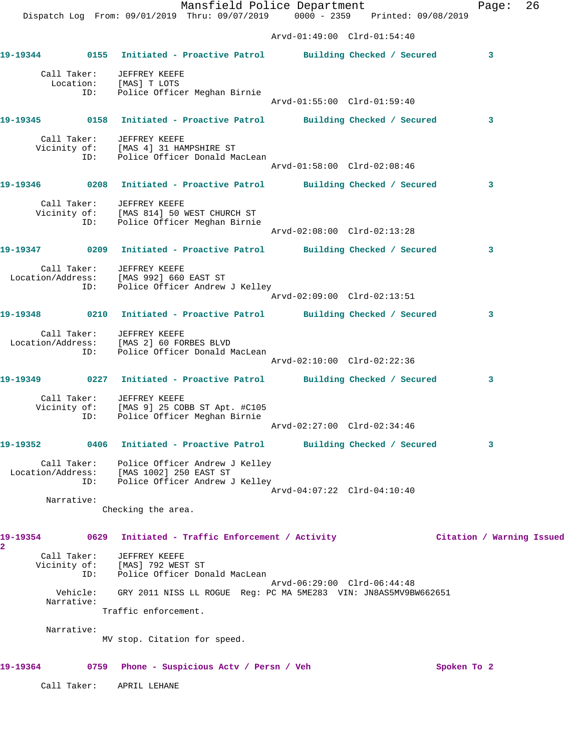**19-19344 0155 Initiated - Proactive Patrol Building Checked / Secured 3**

Arvd-01:49:00 Clrd-01:54:40

 Call Taker: JEFFREY KEEFE Location: [MAS] T LOTS ID: Police Officer Meghan Birnie Arvd-01:55:00 Clrd-01:59:40 **19-19345 0158 Initiated - Proactive Patrol Building Checked / Secured 3** Call Taker: JEFFREY KEEFE Vicinity of: [MAS 4] 31 HAMPSHIRE ST ID: Police Officer Donald MacLean Arvd-01:58:00 Clrd-02:08:46 **19-19346 0208 Initiated - Proactive Patrol Building Checked / Secured 3** Call Taker: JEFFREY KEEFE Vicinity of: [MAS 814] 50 WEST CHURCH ST ID: Police Officer Meghan Birnie Arvd-02:08:00 Clrd-02:13:28 **19-19347 0209 Initiated - Proactive Patrol Building Checked / Secured 3** Call Taker: JEFFREY KEEFE Location/Address: [MAS 992] 660 EAST ST ID: Police Officer Andrew J Kelley Arvd-02:09:00 Clrd-02:13:51 **19-19348 0210 Initiated - Proactive Patrol Building Checked / Secured 3** Call Taker: JEFFREY KEEFE Location/Address: [MAS 2] 60 FORBES BLVD ID: Police Officer Donald MacLean Arvd-02:10:00 Clrd-02:22:36 **19-19349 0227 Initiated - Proactive Patrol Building Checked / Secured 3** Call Taker: JEFFREY KEEFE Vicinity of: [MAS 9] 25 COBB ST Apt. #C105 ID: Police Officer Meghan Birnie Arvd-02:27:00 Clrd-02:34:46 **19-19352 0406 Initiated - Proactive Patrol Building Checked / Secured 3** Call Taker: Police Officer Andrew J Kelley Location/Address: [MAS 1002] 250 EAST ST ID: Police Officer Andrew J Kelley Arvd-04:07:22 Clrd-04:10:40 Narrative: Checking the area. **19-19354 0629 Initiated - Traffic Enforcement / Activity Citation / Warning Issued** Call Taker: JEFFREY KEEFE Vicinity of: [MAS] 792 WEST ST ID: Police Officer Donald MacLean Arvd-06:29:00 Clrd-06:44:48 Vehicle: GRY 2011 NISS LL ROGUE Reg: PC MA 5ME283 VIN: JN8AS5MV9BW662651 Narrative: Traffic enforcement. Narrative: MV stop. Citation for speed. 19-19364 0759 Phone - Suspicious Actv / Persn / Veh Spoken To 2 Call Taker: APRIL LEHANE

**2**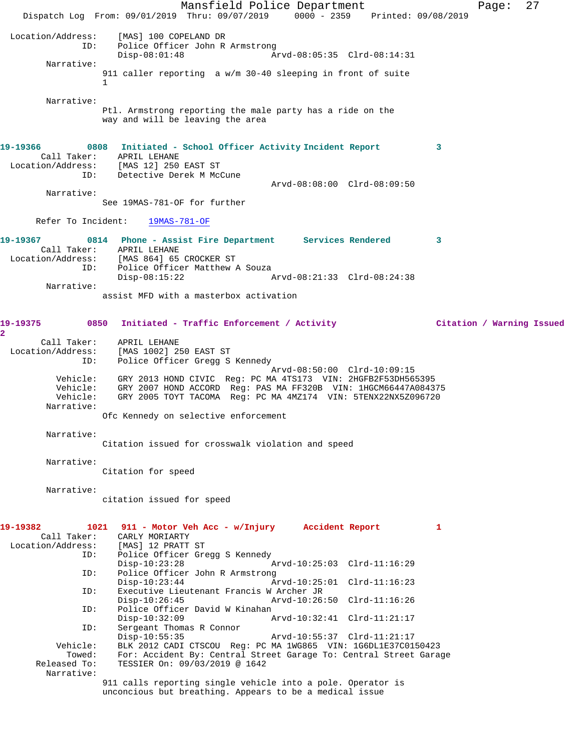Mansfield Police Department Page: 27 Dispatch Log From: 09/01/2019 Thru: 09/07/2019 0000 - 2359 Printed: 09/08/2019 Location/Address: [MAS] 100 COPELAND DR Police Officer John R Armstrong<br>Disp-08:01:48 A Arvd-08:05:35 Clrd-08:14:31 Narrative: 911 caller reporting a w/m 30-40 sleeping in front of suite 1 Narrative: Ptl. Armstrong reporting the male party has a ride on the way and will be leaving the area **19-19366 0808 Initiated - School Officer Activity Incident Report 3**  Call Taker: APRIL LEHANE Location/Address: [MAS 12] 250 EAST ST ID: Detective Derek M McCune Arvd-08:08:00 Clrd-08:09:50 Narrative: See 19MAS-781-OF for further Refer To Incident: 19MAS-781-OF **19-19367 0814 Phone - Assist Fire Department Services Rendered 3**  Call Taker: APRIL LEHANE<br>Location/Address: [MAS 864] 65 [MAS 864] 65 CROCKER ST ID: Police Officer Matthew A Souza Disp-08:15:22 Arvd-08:21:33 Clrd-08:24:38 Narrative: assist MFD with a masterbox activation **19-19375 0850 Initiated - Traffic Enforcement / Activity Citation / Warning Issued 2**  Call Taker: APRIL LEHANE Location/Address: [MAS 1002] 250 EAST ST Police Officer Gregg S Kennedy Arvd-08:50:00 Clrd-10:09:15 Vehicle: GRY 2013 HOND CIVIC Reg: PC MA 4TS173 VIN: 2HGFB2F53DH565395 Vehicle: GRY 2007 HOND ACCORD Reg: PAS MA FF320B VIN: 1HGCM66447A084375 Vehicle: GRY 2005 TOYT TACOMA Reg: PC MA 4MZ174 VIN: 5TENX22NX5Z096720 Narrative: Ofc Kennedy on selective enforcement Narrative: Citation issued for crosswalk violation and speed Narrative: Citation for speed Narrative: citation issued for speed **19-19382 1021 911 - Motor Veh Acc - w/Injury Accident Report 1**  Call Taker: CARLY MORIARTY<br>.on/Address: [MAS] 12 PRATT ST Location/Address: ID: Police Officer Gregg S Kennedy Disp-10:23:28 Arvd-10:25:03 Clrd-11:16:29 ID: Police Officer John R Armstrong Disp-10:23:44 Arvd-10:25:01 Clrd-11:16:23<br>ID: Executive Lieutenant Francis W Archer JR Executive Lieutenant Francis W Archer JR<br>Disp-10:26:45 Arvd-10:26: Disp-10:26:45 Arvd-10:26:50 Clrd-11:16:26 ID: Police Officer David W Kinahan Disp-10:32:09 Arvd-10:32:41 Clrd-11:21:17 ID: Sergeant Thomas R Connor Disp-10:55:35 Arvd-10:55:37 Clrd-11:21:17<br>Vehicle: BLK 2012 CADI CTSCOU Req: PC MA 1WG865 VIN: 1G6DL1E37C01 hicle: BLK 2012 CADI CTSCOU Reg: PC MA 1WG865 VIN: 1G6DL1E37C0150423<br>Towed: For: Accident By: Central Street Garage To: Central Street Gara Towed: For: Accident By: Central Street Garage To: Central Street Garage Released To: TESSIER On: 09/03/2019 @ 1642 TESSIER On: 09/03/2019 @ 1642 Narrative: 911 calls reporting single vehicle into a pole. Operator is unconcious but breathing. Appears to be a medical issue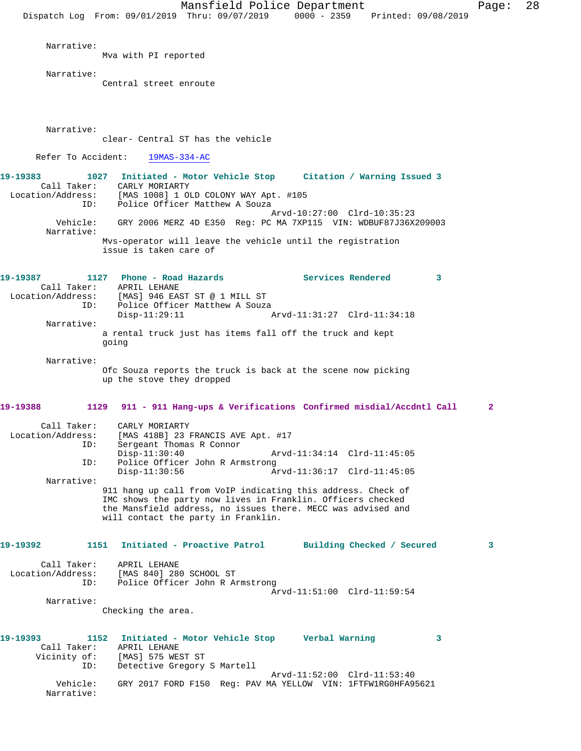Mansfield Police Department Page: 28 Dispatch Log From: 09/01/2019 Thru: 09/07/2019 0000 - 2359 Printed: 09/08/2019 Narrative: Mva with PI reported Narrative: Central street enroute Narrative: clear- Central ST has the vehicle Refer To Accident: 19MAS-334-AC **19-19383 1027 Initiated - Motor Vehicle Stop Citation / Warning Issued 3**  Call Taker: CARLY MORIARTY Location/Address: [MAS 1008] 1 OLD COLONY WAY Apt. #105 ID: Police Officer Matthew A Souza Arvd-10:27:00 Clrd-10:35:23 Vehicle: GRY 2006 MERZ 4D E350 Reg: PC MA 7XP115 VIN: WDBUF87J36X209003 Narrative: Mvs-operator will leave the vehicle until the registration issue is taken care of **19-19387 1127 Phone - Road Hazards Services Rendered 3**  Call Taker: APRIL LEHANE Location/Address: [MAS] 946 EAST ST @ 1 MILL ST ID: Police Officer Matthew A Souza<br>Disp-11:29:11 Disp-11:29:11 Arvd-11:31:27 Clrd-11:34:18 Narrative: a rental truck just has items fall off the truck and kept going Narrative: Ofc Souza reports the truck is back at the scene now picking up the stove they dropped **19-19388 1129 911 - 911 Hang-ups & Verifications Confirmed misdial/Accdntl Call 2** Call Taker: CARLY MORIARTY<br>Location/Address: [MAS 418B] 23 E Extember 1888 1281 FRANCIS AVE Apt. #17<br>ID: Sergeant Thomas R Connor Sergeant Thomas R Connor<br>Disp-11:30:40 Disp-11:30:40 Arvd-11:34:14 Clrd-11:45:05<br>TD: Police Officer John R Armstrong Police Officer John R Armstrong<br>Disp-11:30:56 Ar Arvd-11:36:17 Clrd-11:45:05 Narrative: 911 hang up call from VoIP indicating this address. Check of IMC shows the party now lives in Franklin. Officers checked the Mansfield address, no issues there. MECC was advised and will contact the party in Franklin. **19-19392 1151 Initiated - Proactive Patrol Building Checked / Secured 3** Call Taker: APRIL LEHANE Location/Address: [MAS 840] 280 SCHOOL ST ID: Police Officer John R Armstrong Arvd-11:51:00 Clrd-11:59:54 Narrative: Checking the area. **19-19393 1152 Initiated - Motor Vehicle Stop Verbal Warning 3**  Call Taker: APRIL LEHANE Vicinity of: [MAS] 575 WEST ST ID: Detective Gregory S Martell Arvd-11:52:00 Clrd-11:53:40 Vehicle: GRY 2017 FORD F150 Reg: PAV MA YELLOW VIN: 1FTFW1RG0HFA95621 Narrative: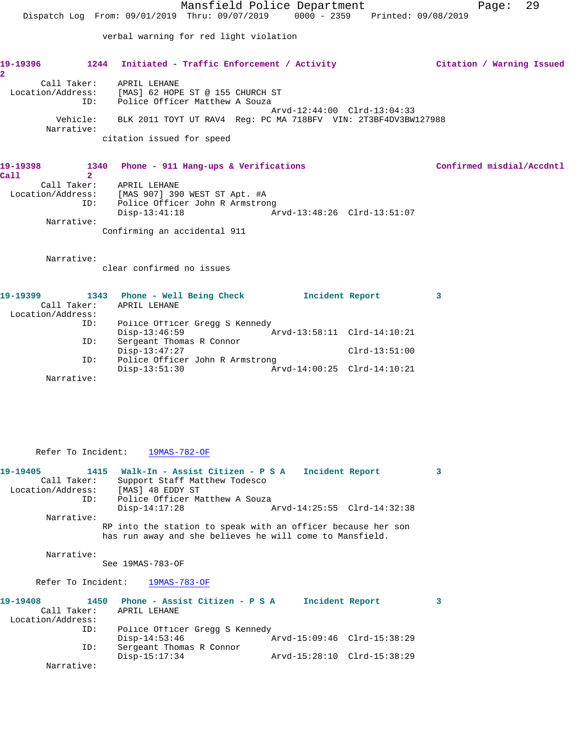Mansfield Police Department Fage: 29 Dispatch Log From: 09/01/2019 Thru: 09/07/2019 0000 - 2359 Printed: 09/08/2019 verbal warning for red light violation **19-19396 1244 Initiated - Traffic Enforcement / Activity Citation / Warning Issued 2**  Call Taker: APRIL LEHANE Location/Address: [MAS] 62 HOPE ST @ 155 CHURCH ST ID: Police Officer Matthew A Souza Arvd-12:44:00 Clrd-13:04:33 Vehicle: BLK 2011 TOYT UT RAV4 Reg: PC MA 718BFV VIN: 2T3BF4DV3BW127988 Narrative: citation issued for speed 19-19398 **1340** Phone - 911 Hang-ups & Verifications **19-19398** Confirmed misdial/Accdntl **Call 2** Call Taker: APRIL LEHANE Location/Address: [MAS 907] 390 WEST ST Apt. #A ID: Police Officer John R Armstrong Disp-13:41:18 Arvd-13:48:26 Clrd-13:51:07 Narrative: Confirming an accidental 911

Narrative:

clear confirmed no issues

| 19-19399          | 1343 | Phone - Well Being Check        |  | Incident Report             |                 |  |
|-------------------|------|---------------------------------|--|-----------------------------|-----------------|--|
| Call Taker:       |      | APRIL LEHANE                    |  |                             |                 |  |
| Location/Address: |      |                                 |  |                             |                 |  |
|                   | ID:  | Police Officer Gregg S Kennedy  |  |                             |                 |  |
|                   |      | $Disp-13:46:59$                 |  | Arvd-13:58:11 Clrd-14:10:21 |                 |  |
|                   | ID:  | Sergeant Thomas R Connor        |  |                             |                 |  |
|                   |      | $Disp-13:47:27$                 |  |                             | $Clrd-13:51:00$ |  |
|                   | ID:  | Police Officer John R Armstrong |  |                             |                 |  |
|                   |      | $Disp-13:51:30$                 |  | Arvd-14:00:25 Clrd-14:10:21 |                 |  |
| Narrative:        |      |                                 |  |                             |                 |  |
|                   |      |                                 |  |                             |                 |  |

Refer To Incident: 19MAS-782-OF

| 19-19405          |             | 1415 Walk-In - Assist Citizen - P S A Incident Report                                                                    |                             | $\mathbf{3}$ |
|-------------------|-------------|--------------------------------------------------------------------------------------------------------------------------|-----------------------------|--------------|
|                   | Call Taker: | Support Staff Matthew Todesco                                                                                            |                             |              |
|                   |             | Location/Address: [MAS] 48 EDDY ST                                                                                       |                             |              |
|                   |             | ID: Police Officer Matthew A Souza                                                                                       |                             |              |
|                   |             | $Disp-14:17:28$                                                                                                          |                             |              |
|                   | Narrative:  |                                                                                                                          |                             |              |
|                   |             | RP into the station to speak with an officer because her son<br>has run away and she believes he will come to Mansfield. |                             |              |
|                   | Narrative:  | See 19MAS-783-OF                                                                                                         |                             |              |
|                   |             | Refer To Incident: 19MAS-783-OF                                                                                          |                             |              |
| 19-19408          |             | 1450 Phone - Assist Citizen - P S A 1 Incident Report                                                                    |                             | 3            |
|                   | Call Taker: | APRIL LEHANE                                                                                                             |                             |              |
| Location/Address: |             |                                                                                                                          |                             |              |
|                   | ID:         | Police Officer Gregg S Kennedy                                                                                           |                             |              |
|                   |             | $Disp-14:53:46$                                                                                                          | Arvd-15:09:46 Clrd-15:38:29 |              |
|                   | ID:         | Sergeant Thomas R Connor                                                                                                 |                             |              |
|                   |             | $Disp-15:17:34$                                                                                                          | Arvd-15:28:10 Clrd-15:38:29 |              |
|                   | Narrative:  |                                                                                                                          |                             |              |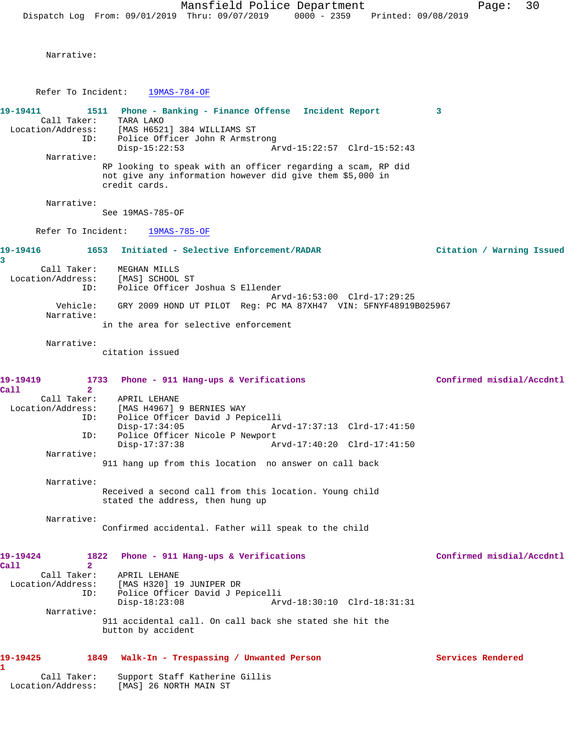Narrative:

Refer To Incident: 19MAS-784-OF

**19-19411 1511 Phone - Banking - Finance Offense Incident Report 3**  Call Taker: TARA LAKO

 Location/Address: [MAS H6521] 384 WILLIAMS ST ID: Police Officer John R Armstrong Disp-15:22:53 Arvd-15:22:57 Clrd-15:52:43 Narrative: RP looking to speak with an officer regarding a scam, RP did

not give any information however did give them \$5,000 in credit cards.

Narrative:

See 19MAS-785-OF

Refer To Incident: 19MAS-785-OF

**19-19416 1653 Initiated - Selective Enforcement/RADAR Citation / Warning Issued 3**  Call Taker: MEGHAN MILLS Location/Address: [MAS] SCHOOL ST ID: Police Officer Joshua S Ellender

 Arvd-16:53:00 Clrd-17:29:25 Vehicle: GRY 2009 HOND UT PILOT Reg: PC MA 87XH47 VIN: 5FNYF48919B025967 Narrative:

in the area for selective enforcement

Narrative:

citation issued

| 19-19419<br>Ca11                 | 1733 Phone - 911 Hang-ups & Verifications<br>$\overline{2}$                                | Confirmed misdial/Accdntl |
|----------------------------------|--------------------------------------------------------------------------------------------|---------------------------|
| Call Taker:<br>Location/Address: | APRIL LEHANE<br>[MAS H4967] 9 BERNIES WAY                                                  |                           |
|                                  | Police Officer David J Pepicelli<br>ID:<br>$Disp-17:34:05$                                 |                           |
| ID:                              | Police Officer Nicole P Newport                                                            |                           |
|                                  | Arvd-17:40:20 Clrd-17:41:50<br>$Disp-17:37:38$                                             |                           |
| Narrative:                       |                                                                                            |                           |
|                                  | 911 hang up from this location no answer on call back                                      |                           |
| Narrative:                       |                                                                                            |                           |
|                                  | Received a second call from this location. Young child<br>stated the address, then hung up |                           |
| Narrative:                       |                                                                                            |                           |
|                                  | Confirmed accidental. Father will speak to the child                                       |                           |
| 19-19424                         | 1822 Phone - 911 Hang-ups & Verifications                                                  | Confirmed misdial/Accdntl |
| Call                             | $\mathbf{2}$                                                                               |                           |
| Call Taker:                      | APRIL LEHANE                                                                               |                           |
| Location/Address:                | [MAS H320] 19 JUNIPER DR<br>Police Officer David J Pepicelli<br>ID:                        |                           |
|                                  | Arvd-18:30:10 Clrd-18:31:31<br>$Disp-18:23:08$                                             |                           |
| Narrative:                       |                                                                                            |                           |
|                                  | 911 accidental call. On call back she stated she hit the<br>button by accident             |                           |

## **19-19425 1849 Walk-In - Trespassing / Unwanted Person Services Rendered**

**1**  Call Taker: Support Staff Katherine Gillis Location/Address: [MAS] 26 NORTH MAIN ST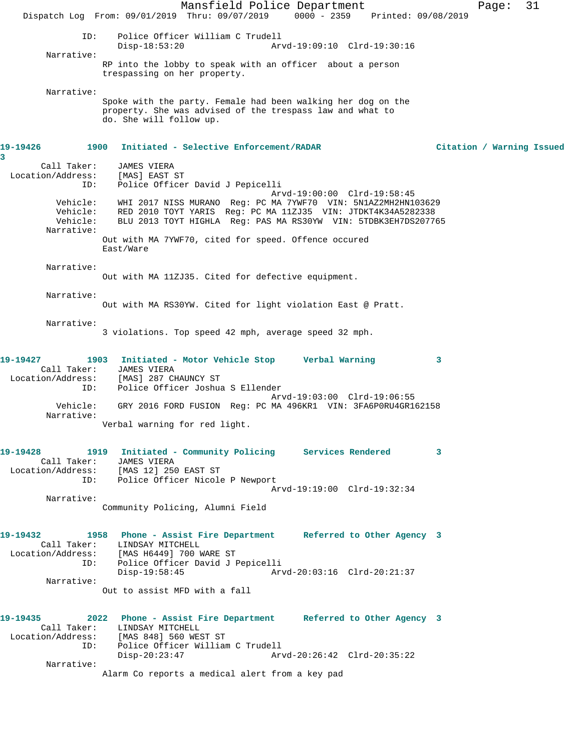Mansfield Police Department Page: 31 Dispatch Log From: 09/01/2019 Thru: 09/07/2019 0000 - 2359 Printed: 09/08/2019 ID: Police Officer William C Trudell Disp-18:53:20 Arvd-19:09:10 Clrd-19:30:16 Narrative: RP into the lobby to speak with an officer about a person trespassing on her property. Narrative: Spoke with the party. Female had been walking her dog on the property. She was advised of the trespass law and what to do. She will follow up. **19-19426 1900 Initiated - Selective Enforcement/RADAR Citation / Warning Issued 3**  Call Taker: JAMES VIERA<br>:on/Address: [MAS] EAST ST Location/Address: ID: Police Officer David J Pepicelli Arvd-19:00:00 Clrd-19:58:45 Vehicle: WHI 2017 NISS MURANO Reg: PC MA 7YWF70 VIN: 5N1AZ2MH2HN103629 Vehicle: RED 2010 TOYT YARIS Reg: PC MA 11ZJ35 VIN: JTDKT4K34A5282338 Vehicle: BLU 2013 TOYT HIGHLA Reg: PAS MA RS30YW VIN: 5TDBK3EH7DS207765 Narrative: Out with MA 7YWF70, cited for speed. Offence occured East/Ware Narrative: Out with MA 11ZJ35. Cited for defective equipment. Narrative: Out with MA RS30YW. Cited for light violation East @ Pratt. Narrative: 3 violations. Top speed 42 mph, average speed 32 mph. **19-19427 1903 Initiated - Motor Vehicle Stop Verbal Warning 3**  Call Taker: JAMES VIERA Location/Address: [MAS] 287 CHAUNCY ST ID: Police Officer Joshua S Ellender Arvd-19:03:00 Clrd-19:06:55 Vehicle: GRY 2016 FORD FUSION Reg: PC MA 496KR1 VIN: 3FA6P0RU4GR162158 Narrative: Verbal warning for red light. **19-19428 1919 Initiated - Community Policing Services Rendered 3**  Call Taker: JAMES VIERA<br>ion/Address: [MAS 12] 250 EAST ST Cair rolls<br>
Location/Address:<br>
ID: Police Officer Nicole P Newport Arvd-19:19:00 Clrd-19:32:34 Narrative: Community Policing, Alumni Field **19-19432 1958 Phone - Assist Fire Department Referred to Other Agency 3**  Call Taker: LINDSAY MITCHELL Location/Address: [MAS H6449] 700 WARE ST ID: Police Officer David J Pepicelli Disp-19:58:45 Arvd-20:03:16 Clrd-20:21:37 Narrative: Out to assist MFD with a fall **19-19435 2022 Phone - Assist Fire Department Referred to Other Agency 3**  Call Taker: LINDSAY MITCHELL Location/Address: [MAS 848] 560 WEST ST Police Officer William C Trudell<br>Disp-20:23:47 Ar Disp-20:23:47 Arvd-20:26:42 Clrd-20:35:22 Narrative: Alarm Co reports a medical alert from a key pad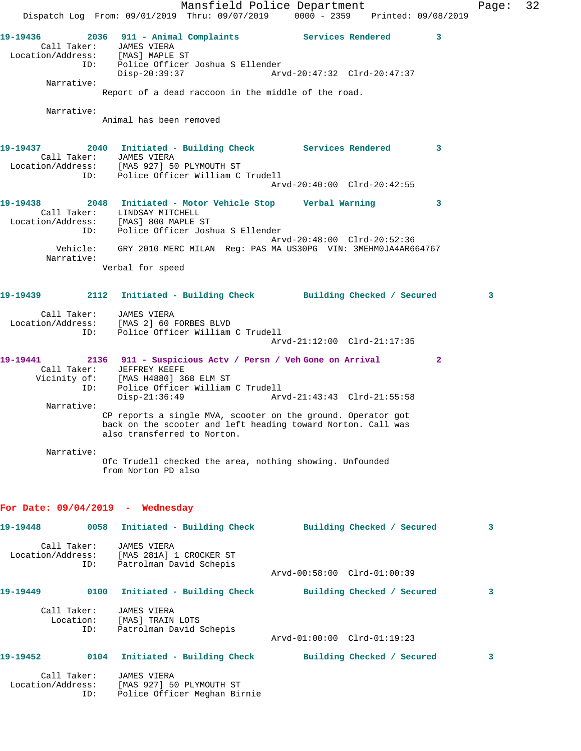Mansfield Police Department Fage: 32 Dispatch Log From: 09/01/2019 Thru: 09/07/2019 0000 - 2359 Printed: 09/08/2019 **19-19436 2036 911 - Animal Complaints Services Rendered 3**  Call Taker: JAMES VIERA Location/Address: [MAS] MAPLE ST ID: Police Officer Joshua S Ellender Disp-20:39:37 Arvd-20:47:32 Clrd-20:47:37 Narrative: Report of a dead raccoon in the middle of the road. Narrative: Animal has been removed **19-19437 2040 Initiated - Building Check Services Rendered 3**  Call Taker: JAMES VIERA Location/Address: [MAS 927] 50 PLYMOUTH ST ID: Police Officer William C Trudell Arvd-20:40:00 Clrd-20:42:55 **19-19438 2048 Initiated - Motor Vehicle Stop Verbal Warning 3**  Call Taker: LINDSAY MITCHELL Location/Address: [MAS] 800 MAPLE ST ID: Police Officer Joshua S Ellender Arvd-20:48:00 Clrd-20:52:36 Vehicle: GRY 2010 MERC MILAN Reg: PAS MA US30PG VIN: 3MEHM0JA4AR664767 Narrative: Verbal for speed **19-19439 2112 Initiated - Building Check Building Checked / Secured 3** Call Taker: JAMES VIERA Location/Address: [MAS 2] 60 FORBES BLVD ID: Police Officer William C Trudell Arvd-21:12:00 Clrd-21:17:35 **19-19441 2136 911 - Suspicious Actv / Persn / Veh Gone on Arrival 2**  Call Taker: JEFFREY KEEFE Vicinity of: [MAS H4880] 368 ELM ST ID: Police Officer William C Trudell<br>Disp-21:36:49 Arv Arvd-21:43:43 Clrd-21:55:58 Narrative: CP reports a single MVA, scooter on the ground. Operator got back on the scooter and left heading toward Norton. Call was also transferred to Norton. Narrative: Ofc Trudell checked the area, nothing showing. Unfounded from Norton PD also **For Date: 09/04/2019 - Wednesday 19-19448 0058 Initiated - Building Check Building Checked / Secured 3** Call Taker: JAMES VIERA Location/Address: [MAS 281A] 1 CROCKER ST ID: Patrolman David Schepis Arvd-00:58:00 Clrd-01:00:39 **19-19449 0100 Initiated - Building Check Building Checked / Secured 3** Call Taker: JAMES VIERA Location: [MAS] TRAIN LOTS ID: Patrolman David Schepis Arvd-01:00:00 Clrd-01:19:23 **19-19452 0104 Initiated - Building Check Building Checked / Secured 3** Call Taker: JAMES VIERA Location/Address: [MAS 927] 50 PLYMOUTH ST ID: Police Officer Meghan Birnie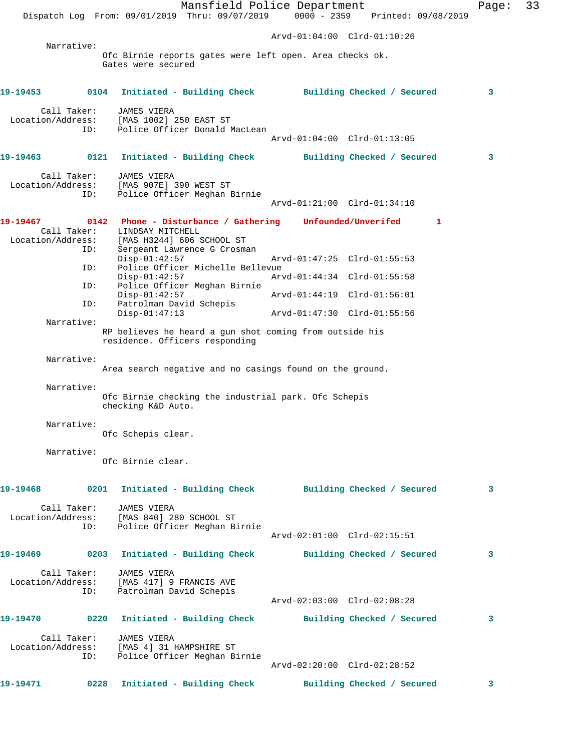Mansfield Police Department Page: 33 Dispatch Log From: 09/01/2019 Thru: 09/07/2019 0000 - 2359 Printed: 09/08/2019 Arvd-01:04:00 Clrd-01:10:26 Narrative: Ofc Birnie reports gates were left open. Area checks ok. Gates were secured **19-19453 0104 Initiated - Building Check Building Checked / Secured 3** Call Taker: JAMES VIERA Location/Address: [MAS 1002] 250 EAST ST ID: Police Officer Donald MacLean Arvd-01:04:00 Clrd-01:13:05 **19-19463 0121 Initiated - Building Check Building Checked / Secured 3** Call Taker: JAMES VIERA Location/Address: [MAS 907E] 390 WEST ST ID: Police Officer Meghan Birnie Arvd-01:21:00 Clrd-01:34:10 **19-19467 0142 Phone - Disturbance / Gathering Unfounded/Unverifed 1**  Call Taker: LINDSAY MITCHELL<br>Location/Address: [MAS H3244] 606 9 Location/Address: [MAS H3244] 606 SCHOOL ST ID: Sergeant Lawrence G Crosman Disp-01:42:57 Arvd-01:47:25 Clrd-01:55:53 ID: Police Officer Michelle Bellevue Disp-01:42:57 Arvd-01:44:34 Clrd-01:55:58 ID: Police Officer Meghan Birnie Disp-01:42:57 Arvd-01:44:19 Clrd-01:56:01 ID: Patrolman David Schepis Disp-01:47:13 Arvd-01:47:30 Clrd-01:55:56 Narrative: RP believes he heard a gun shot coming from outside his residence. Officers responding Narrative: Area search negative and no casings found on the ground. Narrative: Ofc Birnie checking the industrial park. Ofc Schepis checking K&D Auto. Narrative: Ofc Schepis clear. Narrative: Ofc Birnie clear. **19-19468 0201 Initiated - Building Check Building Checked / Secured 3** Call Taker: JAMES VIERA Location/Address: [MAS 840] 280 SCHOOL ST ID: Police Officer Meghan Birnie Arvd-02:01:00 Clrd-02:15:51 **19-19469 0203 Initiated - Building Check Building Checked / Secured 3** Call Taker: JAMES VIERA Location/Address: [MAS 417] 9 FRANCIS AVE ID: Patrolman David Schepis Arvd-02:03:00 Clrd-02:08:28 **19-19470 0220 Initiated - Building Check Building Checked / Secured 3** Call Taker: JAMES VIERA Location/Address: [MAS 4] 31 HAMPSHIRE ST ID: Police Officer Meghan Birnie Arvd-02:20:00 Clrd-02:28:52 **19-19471 0228 Initiated - Building Check Building Checked / Secured 3**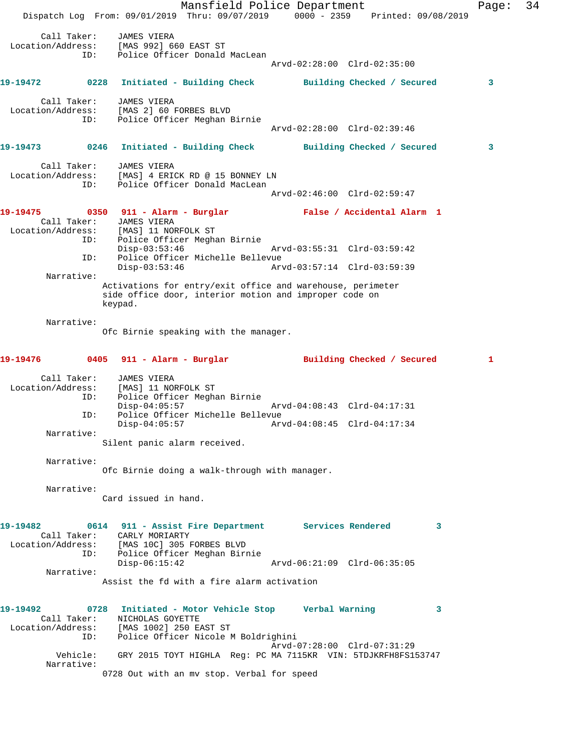Mansfield Police Department Fage: 34 Dispatch Log From: 09/01/2019 Thru: 09/07/2019 0000 - 2359 Printed: 09/08/2019 Call Taker: JAMES VIERA Location/Address: [MAS 992] 660 EAST ST ID: Police Officer Donald MacLean Arvd-02:28:00 Clrd-02:35:00 **19-19472 0228 Initiated - Building Check Building Checked / Secured 3** Call Taker: JAMES VIERA Location/Address: [MAS 2] 60 FORBES BLVD ID: Police Officer Meghan Birnie Arvd-02:28:00 Clrd-02:39:46 **19-19473 0246 Initiated - Building Check Building Checked / Secured 3** Call Taker: JAMES VIERA Location/Address: [MAS] 4 ERICK RD @ 15 BONNEY LN ID: Police Officer Donald MacLean Arvd-02:46:00 Clrd-02:59:47 **19-19475 0350 911 - Alarm - Burglar False / Accidental Alarm 1**  Call Taker: JAMES VIERA<br>Location/Address: [MAS] 11 NO Location/Address: [MAS] 11 NORFOLK ST ID: Police Officer Meghan Birnie Disp-03:53:46 Arvd-03:55:31 Clrd-03:59:42 ID: Police Officer Michelle Bellevue Disp-03:53:46 Arvd-03:57:14 Clrd-03:59:39 Narrative: Activations for entry/exit office and warehouse, perimeter side office door, interior motion and improper code on keypad. Narrative: Ofc Birnie speaking with the manager. **19-19476 0405 911 - Alarm - Burglar Building Checked / Secured 1** Call Taker: JAMES VIERA Location/Address: [MAS] 11 NORFOLK ST ID: Police Officer Meghan Birnie Disp-04:05:57 Arvd-04:08:43 Clrd-04:17:31 ID: Police Officer Michelle Bellevue Disp-04:05:57 Arvd-04:08:45 Clrd-04:17:34 Narrative: Silent panic alarm received. Narrative: Ofc Birnie doing a walk-through with manager. Narrative: Card issued in hand. **19-19482 0614 911 - Assist Fire Department Services Rendered 3**  Call Taker: CARLY MORIARTY Location/Address: [MAS 10C] 305 FORBES BLVD ID: Police Officer Meghan Birnie Disp-06:15:42 Arvd-06:21:09 Clrd-06:35:05 Narrative: Assist the fd with a fire alarm activation **19-19492 0728 Initiated - Motor Vehicle Stop Verbal Warning 3**  Call Taker: NICHOLAS GOYETTE Location/Address: [MAS 1002] 250 EAST ST ID: Police Officer Nicole M Boldrighini Arvd-07:28:00 Clrd-07:31:29 Vehicle: GRY 2015 TOYT HIGHLA Reg: PC MA 7115KR VIN: 5TDJKRFH8FS153747 Narrative: 0728 Out with an mv stop. Verbal for speed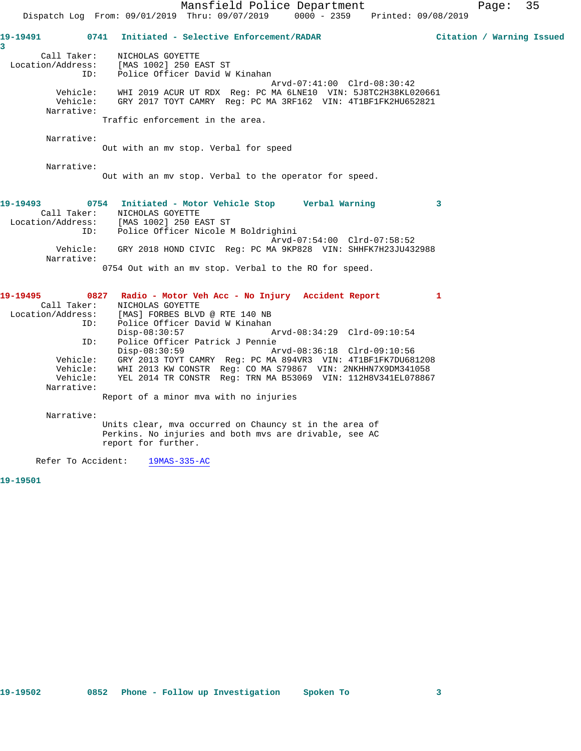Mansfield Police Department Page: 35 Dispatch Log From: 09/01/2019 Thru: 09/07/2019 0000 - 2359 Printed: 09/08/2019 **19-19491 0741 Initiated - Selective Enforcement/RADAR Citation / Warning Issued 3**  Call Taker: NICHOLAS GOYETTE Location/Address: [MAS 1002] 250 EAST ST ID: Police Officer David W Kinahan Arvd-07:41:00 Clrd-08:30:42 Vehicle: WHI 2019 ACUR UT RDX Reg: PC MA 6LNE10 VIN: 5J8TC2H38KL020661 Vehicle: GRY 2017 TOYT CAMRY Reg: PC MA 3RF162 VIN: 4T1BF1FK2HU652821 Narrative: Traffic enforcement in the area. Narrative: Out with an mv stop. Verbal for speed Narrative: Out with an mv stop. Verbal to the operator for speed. **19-19493 0754 Initiated - Motor Vehicle Stop Verbal Warning 3**  Call Taker: NICHOLAS GOYETTE Location/Address: [MAS 1002] 250 EAST ST ID: Police Officer Nicole M Boldrighini Arvd-07:54:00 Clrd-07:58:52 Vehicle: GRY 2018 HOND CIVIC Reg: PC MA 9KP828 VIN: SHHFK7H23JU432988

 Location/Address: [MAS] FORBES BLVD @ RTE 140 NB ID: Police Officer David W Kinahan<br>Disp-08:30:57 Disp-08:30:57 Arvd-08:34:29 Clrd-09:10:54 ID: Police Officer Patrick J Pennie Disp-08:30:59 Arvd-08:36:18 Clrd-09:10:56 Vehicle: GRY 2013 TOYT CAMRY Reg: PC MA 894VR3 VIN: 4T1BF1FK7DU681208 Vehicle: WHI 2013 KW CONSTR Reg: CO MA S79867 VIN: 2NKHHN7X9DM341058 Vehicle: YEL 2014 TR CONSTR Reg: TRN MA B53069 VIN: 112H8V341EL078867 Narrative:

**19-19495 0827 Radio - Motor Veh Acc - No Injury Accident Report 1** 

0754 Out with an mv stop. Verbal to the RO for speed.

Report of a minor mva with no injuries

 Narrative: Units clear, mva occurred on Chauncy st in the area of Perkins. No injuries and both mvs are drivable, see AC report for further.

Refer To Accident: 19MAS-335-AC

Narrative:

Call Taker: NICHOLAS GOYETTE

**19-19501**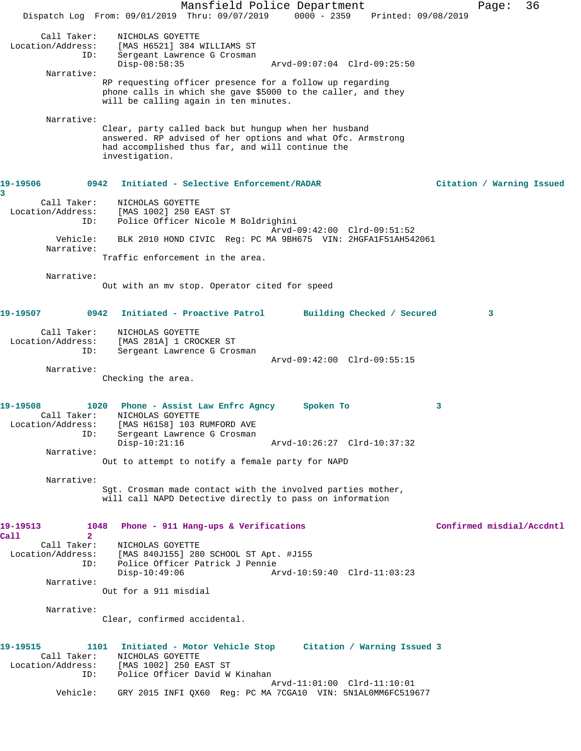Mansfield Police Department Page: 36 Dispatch Log From: 09/01/2019 Thru: 09/07/2019 0000 - 2359 Printed: 09/08/2019 Call Taker: NICHOLAS GOYETTE Location/Address: [MAS H6521] 384 WILLIAMS ST ID: Sergeant Lawrence G Crosman Disp-08:58:35 Arvd-09:07:04 Clrd-09:25:50 Narrative: RP requesting officer presence for a follow up regarding phone calls in which she gave \$5000 to the caller, and they will be calling again in ten minutes. Narrative: Clear, party called back but hungup when her husband answered. RP advised of her options and what Ofc. Armstrong had accomplished thus far, and will continue the investigation. **19-19506 0942 Initiated - Selective Enforcement/RADAR Citation / Warning Issued 3**  Call Taker: NICHOLAS GOYETTE Location/Address: [MAS 1002] 250 EAST ST ID: Police Officer Nicole M Boldrighini Arvd-09:42:00 Clrd-09:51:52 Vehicle: BLK 2010 HOND CIVIC Reg: PC MA 9BH675 VIN: 2HGFA1F51AH542061 Narrative: Traffic enforcement in the area. Narrative: Out with an mv stop. Operator cited for speed **19-19507 0942 Initiated - Proactive Patrol Building Checked / Secured 3** Call Taker: NICHOLAS GOYETTE Location/Address: [MAS 281A] 1 CROCKER ST ID: Sergeant Lawrence G Crosman Arvd-09:42:00 Clrd-09:55:15 Narrative: Checking the area. **19-19508 1020 Phone - Assist Law Enfrc Agncy Spoken To 3**  Call Taker: NICHOLAS GOYETTE Location/Address: [MAS H6158] 103 RUMFORD AVE ID: Sergeant Lawrence G Crosman<br>Disp-10:21:16 Arvd-10:26:27 Clrd-10:37:32 Narrative: Out to attempt to notify a female party for NAPD Narrative: Sgt. Crosman made contact with the involved parties mother, will call NAPD Detective directly to pass on information **19-19513 1048 Phone - 911 Hang-ups & Verifications Confirmed misdial/Accdntl Call 2**  Call Taker: <br>
MICHOLAS GOYETTE<br>
Location/Address: [MAS 840J155] 28 [MAS 840J155] 280 SCHOOL ST Apt. #J155 ID: Police Officer Patrick J Pennie Disp-10:49:06 Arvd-10:59:40 Clrd-11:03:23 Narrative: Out for a 911 misdial Narrative: Clear, confirmed accidental. **19-19515 1101 Initiated - Motor Vehicle Stop Citation / Warning Issued 3**  Call Taker: NICHOLAS GOYETTE Location/Address: [MAS 1002] 250 EAST ST ID: Police Officer David W Kinahan Arvd-11:01:00 Clrd-11:10:01 Vehicle: GRY 2015 INFI QX60 Reg: PC MA 7CGA10 VIN: 5N1AL0MM6FC519677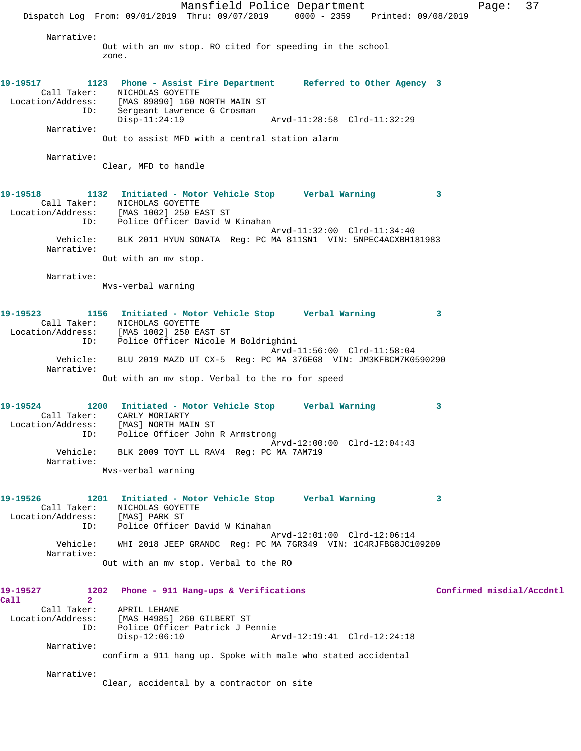Mansfield Police Department Page: 37 Dispatch Log From: 09/01/2019 Thru: 09/07/2019 0000 - 2359 Printed: 09/08/2019 Narrative: Out with an mv stop. RO cited for speeding in the school zone. **19-19517 1123 Phone - Assist Fire Department Referred to Other Agency 3**  Call Taker: NICHOLAS GOYETTE Location/Address: [MAS 89890] 160 NORTH MAIN ST ID: Sergeant Lawrence G Crosman Disp-11:24:19 Arvd-11:28:58 Clrd-11:32:29 Narrative: Out to assist MFD with a central station alarm Narrative: Clear, MFD to handle **19-19518 1132 Initiated - Motor Vehicle Stop Verbal Warning 3**  Call Taker: NICHOLAS GOYETTE Location/Address: [MAS 1002] 250 EAST ST ID: Police Officer David W Kinahan Arvd-11:32:00 Clrd-11:34:40 Vehicle: BLK 2011 HYUN SONATA Reg: PC MA 811SN1 VIN: 5NPEC4ACXBH181983 Narrative: Out with an mv stop. Narrative: Mvs-verbal warning **19-19523 1156 Initiated - Motor Vehicle Stop Verbal Warning 3**  Call Taker: NICHOLAS GOYETTE Location/Address: [MAS 1002] 250 EAST ST ID: Police Officer Nicole M Boldrighini Arvd-11:56:00 Clrd-11:58:04 Vehicle: BLU 2019 MAZD UT CX-5 Reg: PC MA 376EG8 VIN: JM3KFBCM7K0590290 Narrative: Out with an mv stop. Verbal to the ro for speed **19-19524 1200 Initiated - Motor Vehicle Stop Verbal Warning 3**  Call Taker: CARLY MORIARTY Location/Address: [MAS] NORTH MAIN ST ID: Police Officer John R Armstrong Arvd-12:00:00 Clrd-12:04:43 Vehicle: BLK 2009 TOYT LL RAV4 Reg: PC MA 7AM719 Narrative: Mvs-verbal warning **19-19526 1201 Initiated - Motor Vehicle Stop Verbal Warning 3**  Call Taker: NICHOLAS GOYETTE Location/Address: [MAS] PARK ST ID: Police Officer David W Kinahan Arvd-12:01:00 Clrd-12:06:14 Vehicle: WHI 2018 JEEP GRANDC Reg: PC MA 7GR349 VIN: 1C4RJFBG8JC109209 Narrative: Out with an mv stop. Verbal to the RO **19-19527 1202 Phone - 911 Hang-ups & Verifications Confirmed misdial/Accdntl Call 2**  Call Taker: APRIL LEHANE Location/Address: [MAS H4985] 260 GILBERT ST ID: Police Officer Patrick J Pennie Disp-12:06:10 Arvd-12:19:41 Clrd-12:24:18 Narrative: confirm a 911 hang up. Spoke with male who stated accidental Narrative: Clear, accidental by a contractor on site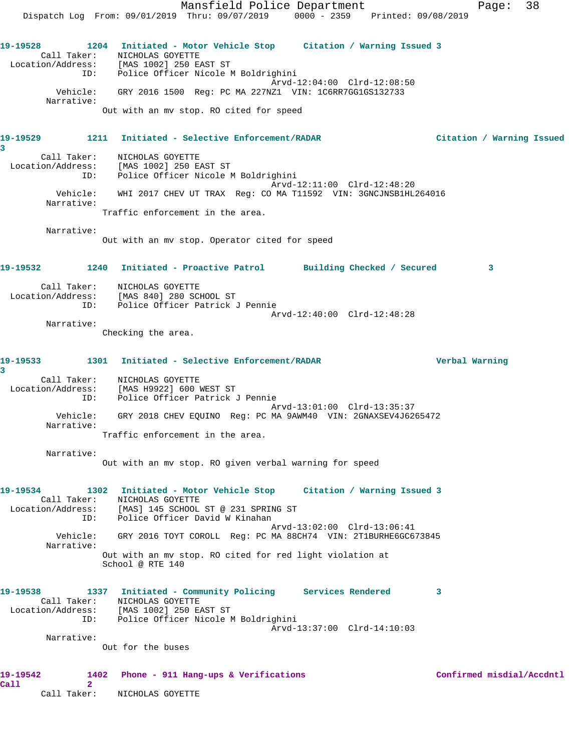Mansfield Police Department Fage: 38 Dispatch Log From: 09/01/2019 Thru: 09/07/2019 0000 - 2359 Printed: 09/08/2019 **19-19528 1204 Initiated - Motor Vehicle Stop Citation / Warning Issued 3**  Call Taker: NICHOLAS GOYETTE Location/Address: [MAS 1002] 250 EAST ST ID: Police Officer Nicole M Boldrighini Arvd-12:04:00 Clrd-12:08:50 Vehicle: GRY 2016 1500 Reg: PC MA 227NZ1 VIN: 1C6RR7GG1GS132733 Narrative: Out with an mv stop. RO cited for speed **19-19529 1211 Initiated - Selective Enforcement/RADAR Citation / Warning Issued 3**  Call Taker: NICHOLAS GOYETTE Location/Address: [MAS 1002] 250 EAST ST ID: Police Officer Nicole M Boldrighini Arvd-12:11:00 Clrd-12:48:20 Vehicle: WHI 2017 CHEV UT TRAX Reg: CO MA T11592 VIN: 3GNCJNSB1HL264016 Narrative: Traffic enforcement in the area. Narrative: Out with an mv stop. Operator cited for speed **19-19532 1240 Initiated - Proactive Patrol Building Checked / Secured 3** Call Taker: NICHOLAS GOYETTE Location/Address: [MAS 840] 280 SCHOOL ST ID: Police Officer Patrick J Pennie Arvd-12:40:00 Clrd-12:48:28 Narrative: Checking the area. **19-19533 1301 Initiated - Selective Enforcement/RADAR Verbal Warning 3**  Call Taker: NICHOLAS GOYETTE Location/Address: [MAS H9922] 600 WEST ST ID: Police Officer Patrick J Pennie Arvd-13:01:00 Clrd-13:35:37 Vehicle: GRY 2018 CHEV EQUINO Reg: PC MA 9AWM40 VIN: 2GNAXSEV4J6265472 Narrative: Traffic enforcement in the area. Narrative: Out with an mv stop. RO given verbal warning for speed **19-19534 1302 Initiated - Motor Vehicle Stop Citation / Warning Issued 3**  Call Taker: NICHOLAS GOYETTE Location/Address: [MAS] 145 SCHOOL ST @ 231 SPRING ST ID: Police Officer David W Kinahan Arvd-13:02:00 Clrd-13:06:41 Vehicle: GRY 2016 TOYT COROLL Reg: PC MA 88CH74 VIN: 2T1BURHE6GC673845 Narrative: Out with an mv stop. RO cited for red light violation at School @ RTE 140 **19-19538 1337 Initiated - Community Policing Services Rendered 3**  Call Taker: NICHOLAS GOYETTE Location/Address: [MAS 1002] 250 EAST ST ID: Police Officer Nicole M Boldrighini Arvd-13:37:00 Clrd-14:10:03 Narrative: Out for the buses **19-19542 1402 Phone - 911 Hang-ups & Verifications Confirmed misdial/Accdntl Call 2** 

Call Taker: NICHOLAS GOYETTE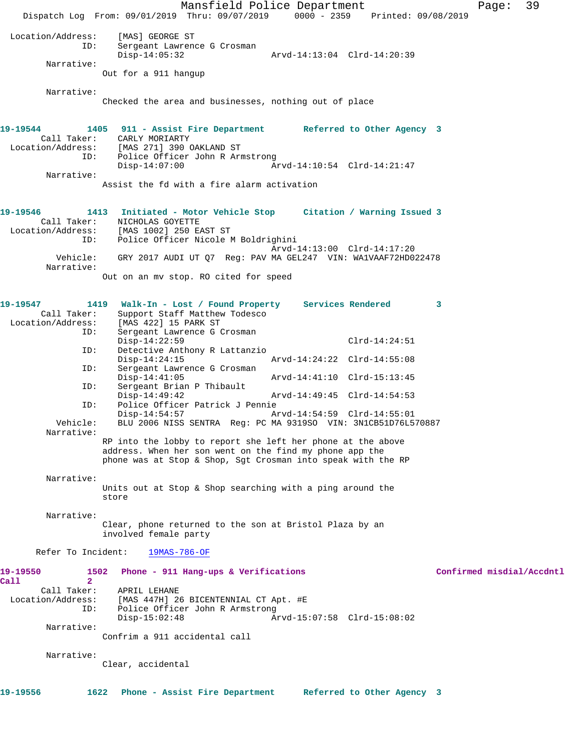Mansfield Police Department Page: 39 Dispatch Log From: 09/01/2019 Thru: 09/07/2019 0000 - 2359 Printed: 09/08/2019 Location/Address: [MAS] GEORGE ST Sergeant Lawrence G Crosman<br>Disp-14:05:32 Disp-14:05:32 Arvd-14:13:04 Clrd-14:20:39 Narrative: Out for a 911 hangup Narrative: Checked the area and businesses, nothing out of place **19-19544 1405 911 - Assist Fire Department Referred to Other Agency 3**  Call Taker: CARLY MORIARTY Location/Address: [MAS 271] 390 OAKLAND ST ID: Police Officer John R Armstrong Disp-14:07:00 Arvd-14:10:54 Clrd-14:21:47 Narrative: Assist the fd with a fire alarm activation **19-19546 1413 Initiated - Motor Vehicle Stop Citation / Warning Issued 3**  Call Taker: <br>
MICHOLAS GOYETTE<br>
Location/Address: [MAS 1002] 250 E.<br>
ID: Police Officer N [MAS 1002] 250 EAST ST Police Officer Nicole M Boldrighini Arvd-14:13:00 Clrd-14:17:20 Vehicle: GRY 2017 AUDI UT Q7 Reg: PAV MA GEL247 VIN: WA1VAAF72HD022478 Narrative: Out on an mv stop. RO cited for speed **19-19547 1419 Walk-In - Lost / Found Property Services Rendered 3**  Call Taker: Support Staff Matthew Todesco Location/Address: [MAS 422] 15 PARK ST ID: Sergeant Lawrence G Crosman Disp-14:22:59 Clrd-14:24:51<br>ID: Detective Anthony R Lattanzio Detective Anthony R Lattanzio<br>Disp-14:24:15 Disp-14:24:15 Arvd-14:24:22 Clrd-14:55:08<br>TD: Sergeant Lawrence G Crosman Sergeant Lawrence G Crosman<br>Disp-14:41:05 Arvd-14:41:10 Clrd-15:13:45 ID: Sergeant Brian P Thibault Disp-14:49:42 Arvd-14:49:45 Clrd-14:54:53<br>ID: Police Officer Patrick J Pennie Police Officer Patrick J Pennie<br>Disp-14:54:57 A Disp-14:54:57 Arvd-14:54:59 Clrd-14:55:01<br>Vehicle: BLU 2006 NISS SENTRA Reg: PC MA 9319SO VIN: 3N1CB51D76L5 BLU 2006 NISS SENTRA Reg: PC MA 9319SO VIN: 3N1CB51D76L570887 Narrative: RP into the lobby to report she left her phone at the above address. When her son went on the find my phone app the phone was at Stop & Shop, Sgt Crosman into speak with the RP Narrative: Units out at Stop & Shop searching with a ping around the store Narrative: Clear, phone returned to the son at Bristol Plaza by an involved female party Refer To Incident: 19MAS-786-OF **19-19550 1502 Phone - 911 Hang-ups & Verifications Confirmed misdial/Accdntl Call 2**  Call Taker: APRIL LEHANE Location/Address: [MAS 447H] 26 BICENTENNIAL CT Apt. #E ID: Police Officer John R Armstrong<br>Disp-15:02:48 Disp-15:02:48 Arvd-15:07:58 Clrd-15:08:02 Narrative: Confrim a 911 accidental call Narrative: Clear, accidental **19-19556 1622 Phone - Assist Fire Department Referred to Other Agency 3**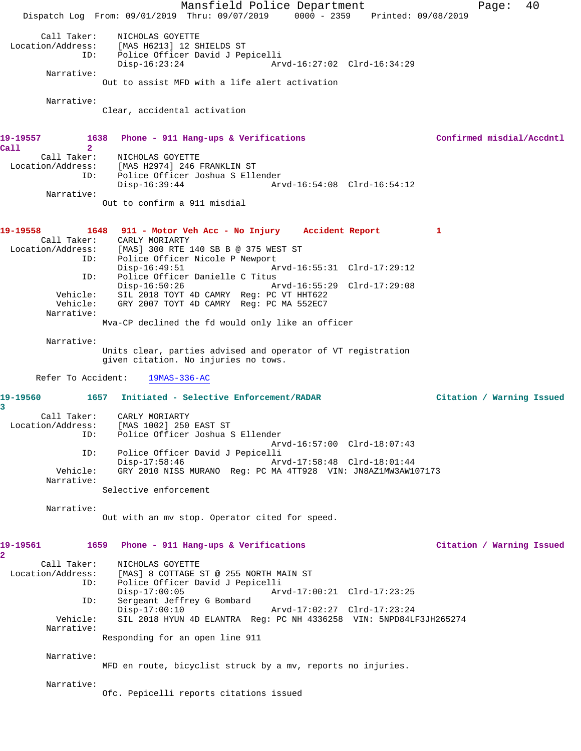Mansfield Police Department Page: 40 Dispatch Log From: 09/01/2019 Thru: 09/07/2019 0000 - 2359 Printed: 09/08/2019 Call Taker: NICHOLAS GOYETTE<br>Location/Address: [MAS H6213] 12 SI [MAS H6213] 12 SHIELDS ST ID: Police Officer David J Pepicelli Disp-16:23:24 Arvd-16:27:02 Clrd-16:34:29 Narrative: Out to assist MFD with a life alert activation Narrative: Clear, accidental activation **19-19557 1638 Phone - 911 Hang-ups & Verifications Confirmed misdial/Accdntl Call 2**  Call Taker: NICHOLAS GOYETTE Location/Address: [MAS H2974] 246 FRANKLIN ST<br>ID: Police Officer Joshua S Elle Police Officer Joshua S Ellender Disp-16:39:44 Arvd-16:54:08 Clrd-16:54:12 Narrative: Out to confirm a 911 misdial **19-19558 1648 911 - Motor Veh Acc - No Injury Accident Report 1**  Call Taker: CARLY MORIARTY<br>Location/Address: [MAS] 300 RTE 1 ess: [MAS] 300 RTE 140 SB B @ 375 WEST ST<br>ID: Police Officer Nicole P Newport Police Officer Nicole P Newport<br>Disp-16:49:51 Am Disp-16:49:51 Arvd-16:55:31 Clrd-17:29:12 ID: Police Officer Danielle C Titus<br>Disp-16:50:26 Am Disp-16:50:26 Arvd-16:55:29 Clrd-17:29:08 Vehicle: SIL 2018 TOYT 4D CAMRY Reg: PC VT HHT622 Vehicle: GRY 2007 TOYT 4D CAMRY Reg: PC MA 552EC7 Narrative: Mva-CP declined the fd would only like an officer Narrative: Units clear, parties advised and operator of VT registration given citation. No injuries no tows. Refer To Accident: 19MAS-336-AC **19-19560 1657 Initiated - Selective Enforcement/RADAR Citation / Warning Issued 3**  Call Taker: CARLY MORIARTY<br>Location/Address: [MAS 1002] 250 ess: [MAS 1002] 250 EAST ST<br>ID: Police Officer Joshua Police Officer Joshua S Ellender Arvd-16:57:00 Clrd-18:07:43 ID: Police Officer David J Pepicelli Disp-17:58:46 Arvd-17:58:48 Clrd-18:01:44<br>Vehicle: GRY 2010 NISS MURANO Reg: PC MA 4TT928 VIN: JN8AZ1MW3AW1 Vehicle: GRY 2010 NISS MURANO Reg: PC MA 4TT928 VIN: JN8AZ1MW3AW107173 Narrative: Selective enforcement Narrative: Out with an mv stop. Operator cited for speed. **19-19561 1659 Phone - 911 Hang-ups & Verifications Citation / Warning Issued 2**  Call Taker: NICHOLAS GOYETTE<br>[MAS] 8 COTTAGE; ess: [MAS] 8 COTTAGE ST @ 255 NORTH MAIN ST<br>ID: Police Officer David J Pepicelli Police Officer David J Pepicelli Disp-17:00:05 Arvd-17:00:21 Clrd-17:23:25<br>ID: Sergeant Jeffrey G Bombard Sergeant Jeffrey G Bombard Disp-17:00:10 Arvd-17:02:27 Clrd-17:23:24<br>Vehicle: SIL 2018 HVIN 4D ELANTRA Reg: PC NH 4336258 VIN: 5NPD84L SIL 2018 HYUN 4D ELANTRA Reg: PC NH 4336258 VIN: 5NPD84LF3JH265274 Narrative: Responding for an open line 911 Narrative: MFD en route, bicyclist struck by a mv, reports no injuries. Narrative: Ofc. Pepicelli reports citations issued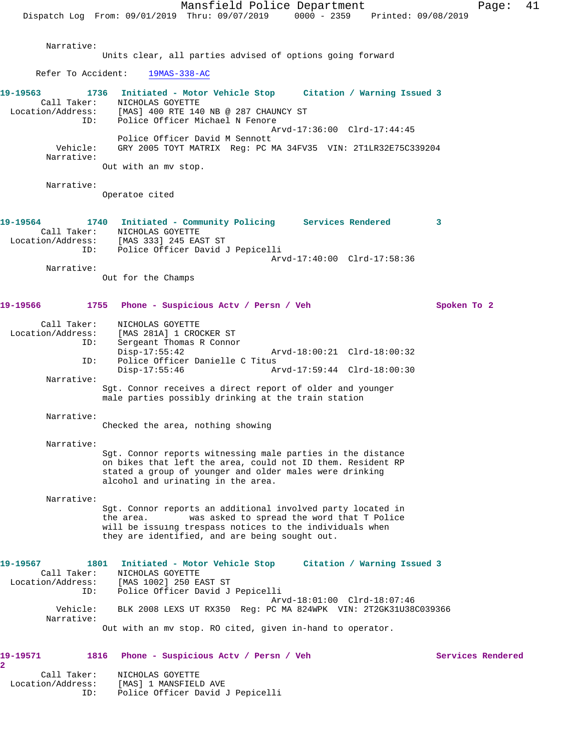Mansfield Police Department Fage: 41 Dispatch Log From: 09/01/2019 Thru: 09/07/2019 0000 - 2359 Printed: 09/08/2019 Narrative: Units clear, all parties advised of options going forward Refer To Accident: 19MAS-338-AC **19-19563 1736 Initiated - Motor Vehicle Stop Citation / Warning Issued 3**  Call Taker: NICHOLAS GOYETTE Location/Address: [MAS] 400 RTE 140 NB @ 287 CHAUNCY ST ID: Police Officer Michael N Fenore Arvd-17:36:00 Clrd-17:44:45 Police Officer David M Sennott Vehicle: GRY 2005 TOYT MATRIX Reg: PC MA 34FV35 VIN: 2T1LR32E75C339204 Narrative: Out with an mv stop. Narrative: Operatoe cited **19-19564 1740 Initiated - Community Policing Services Rendered 3**  Call Taker: NICHOLAS GOYETTE Location/Address: [MAS 333] 245 EAST ST ID: Police Officer David J Pepicelli Arvd-17:40:00 Clrd-17:58:36 Narrative: Out for the Champs **19-19566 1755 Phone - Suspicious Actv / Persn / Veh Spoken To 2** Call Taker: NICHOLAS GOYETTE Location/Address: [MAS 281A] 1 CROCKER ST ID: Sergeant Thomas R Connor Disp-17:55:42 Arvd-18:00:21 Clrd-18:00:32<br>ID: Police Officer Danielle C Titus Police Officer Danielle C Titus<br>Disp-17:55:46 Ar Disp-17:55:46 Arvd-17:59:44 Clrd-18:00:30 Narrative: Sgt. Connor receives a direct report of older and younger male parties possibly drinking at the train station Narrative: Checked the area, nothing showing Narrative: Sgt. Connor reports witnessing male parties in the distance on bikes that left the area, could not ID them. Resident RP stated a group of younger and older males were drinking alcohol and urinating in the area. Narrative: Sgt. Connor reports an additional involved party located in the area. was asked to spread the word that T Police will be issuing trespass notices to the individuals when they are identified, and are being sought out. **19-19567 1801 Initiated - Motor Vehicle Stop Citation / Warning Issued 3**  Call Taker: NICHOLAS GOYETTE Location/Address: [MAS 1002] 250 EAST ST ID: Police Officer David J Pepicelli Arvd-18:01:00 Clrd-18:07:46 Vehicle: BLK 2008 LEXS UT RX350 Reg: PC MA 824WPK VIN: 2T2GK31U38C039366 Narrative: Out with an mv stop. RO cited, given in-hand to operator. **19-19571 1816 Phone - Suspicious Actv / Persn / Veh Services Rendered 2** 

 Call Taker: NICHOLAS GOYETTE Location/Address: [MAS] 1 MANSFIELD AVE ID: Police Officer David J Pepicelli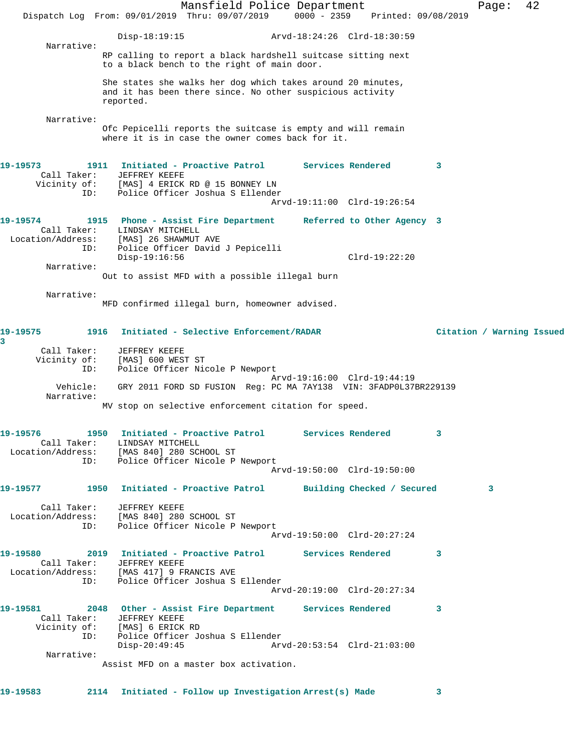Mansfield Police Department Fage: 42 Dispatch Log From: 09/01/2019 Thru: 09/07/2019 0000 - 2359 Printed: 09/08/2019 Disp-18:19:15 Arvd-18:24:26 Clrd-18:30:59 Narrative: RP calling to report a black hardshell suitcase sitting next to a black bench to the right of main door. She states she walks her dog which takes around 20 minutes, and it has been there since. No other suspicious activity reported. Narrative: Ofc Pepicelli reports the suitcase is empty and will remain where it is in case the owner comes back for it. **19-19573 1911 Initiated - Proactive Patrol Services Rendered 3**  Call Taker: JEFFREY KEEFE Vicinity of: [MAS] 4 ERICK RD @ 15 BONNEY LN ID: Police Officer Joshua S Ellender Arvd-19:11:00 Clrd-19:26:54 **19-19574 1915 Phone - Assist Fire Department Referred to Other Agency 3**  Call Taker: LINDSAY MITCHELL Location/Address: [MAS] 26 SHAWMUT AVE ID: Police Officer David J Pepicelli Disp-19:16:56 Clrd-19:22:20 Narrative: Out to assist MFD with a possible illegal burn Narrative: MFD confirmed illegal burn, homeowner advised. **19-19575 1916 Initiated - Selective Enforcement/RADAR Citation / Warning Issued 3**  Call Taker: JEFFREY KEEFE Vicinity of: [MAS] 600 WEST ST ID: Police Officer Nicole P Newport Arvd-19:16:00 Clrd-19:44:19 Vehicle: GRY 2011 FORD SD FUSION Reg: PC MA 7AY138 VIN: 3FADP0L37BR229139 Narrative: MV stop on selective enforcement citation for speed. **19-19576 1950 Initiated - Proactive Patrol Services Rendered 3**  Call Taker: LINDSAY MITCHELL Location/Address: [MAS 840] 280 SCHOOL ST ID: Police Officer Nicole P Newport Arvd-19:50:00 Clrd-19:50:00 **19-19577 1950 Initiated - Proactive Patrol Building Checked / Secured 3** Call Taker: JEFFREY KEEFE Location/Address: [MAS 840] 280 SCHOOL ST ID: Police Officer Nicole P Newport Arvd-19:50:00 Clrd-20:27:24 **19-19580 2019 Initiated - Proactive Patrol Services Rendered 3**  Call Taker: JEFFREY KEEFE Location/Address: [MAS 417] 9 FRANCIS AVE ID: Police Officer Joshua S Ellender Arvd-20:19:00 Clrd-20:27:34 **19-19581 2048 Other - Assist Fire Department Services Rendered 3**  Call Taker: JEFFREY KEEFE Vicinity of: [MAS] 6 ERICK RD ID: Police Officer Joshua S Ellender Disp-20:49:45 Arvd-20:53:54 Clrd-21:03:00 Narrative: Assist MFD on a master box activation. **19-19583 2114 Initiated - Follow up Investigation Arrest(s) Made 3**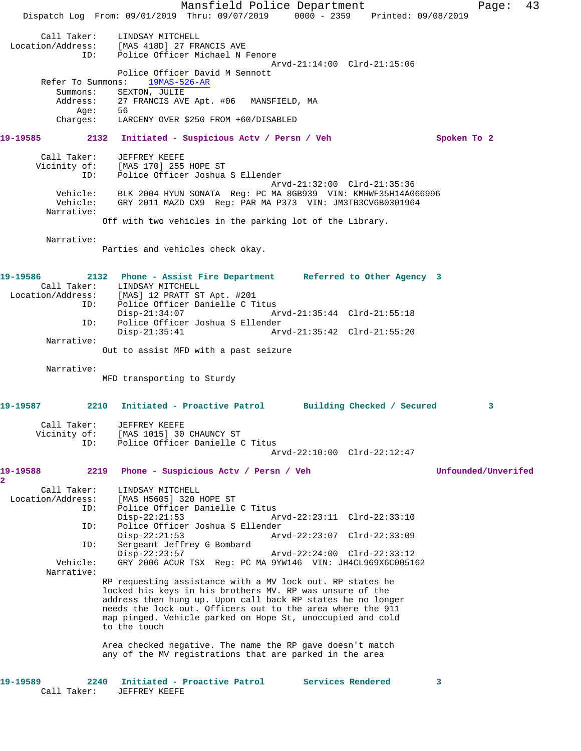Mansfield Police Department Fage: 43 Dispatch Log From: 09/01/2019 Thru: 09/07/2019 0000 - 2359 Printed: 09/08/2019 Call Taker: LINDSAY MITCHELL<br>Location/Address: [MAS 418D] 27 FR. ess: [MAS 418D] 27 FRANCIS AVE<br>ID: Police Officer Michael N Police Officer Michael N Fenore Arvd-21:14:00 Clrd-21:15:06 Police Officer David M Sennott<br>ns: 19MAS-526-AR Refer To Summons: Summons: SEXTON, JULIE<br>Address: 27 FRANCIS AVI 27 FRANCIS AVE Apt. #06 MANSFIELD, MA<br>56 Age:<br>:Charges LARCENY OVER \$250 FROM +60/DISABLED **19-19585 2132 Initiated - Suspicious Actv / Persn / Veh Spoken To 2** Call Taker: JEFFREY KEEFE Vicinity of: [MAS 170] 255 HOPE ST ID: Police Officer Joshua S Ellender Arvd-21:32:00 Clrd-21:35:36 Vehicle: BLK 2004 HYUN SONATA Reg: PC MA 8GB939 VIN: KMHWF35H14A066996 Vehicle: GRY 2011 MAZD CX9 Reg: PAR MA P373 VIN: JM3TB3CV6B0301964 Narrative: Off with two vehicles in the parking lot of the Library. Narrative: Parties and vehicles check okay. **19-19586 2132 Phone - Assist Fire Department Referred to Other Agency 3**  Call Taker: LINDSAY MITCHELL<br>Location/Address: [MAS] 12 PRATT ST ess: [MAS] 12 PRATT ST Apt. #201<br>ID: Police Officer Danielle C.T. Police Officer Danielle C Titus<br>Disp-21:34:07 A Disp-21:34:07 Arvd-21:35:44 Clrd-21:55:18 ID: Police Officer Joshua S Ellender Disp-21:35:41 Arvd-21:35:42 Clrd-21:55:20 Narrative: Out to assist MFD with a past seizure Narrative: MFD transporting to Sturdy **19-19587 2210 Initiated - Proactive Patrol Building Checked / Secured 3** Call Taker: JEFFREY KEEFE Vicinity of: [MAS 1015] 30 CHAUNCY ST ID: Police Officer Danielle C Titus Arvd-22:10:00 Clrd-22:12:47 **19-19588 2219 Phone - Suspicious Actv / Persn / Veh Unfounded/Unverifed 2**  Call Taker: LINDSAY MITCHELL<br>Location/Address: [MAS H5605] 320 1 [MAS H5605] 320 HOPE ST ID: Police Officer Danielle C Titus<br>Disp-22:21:53 A Disp-22:21:53 Arvd-22:23:11 Clrd-22:33:10<br>TD: Police Officer Joshua S Ellender ID: Police Officer Joshua S Ellender Disp-22:21:53 Arvd-22:23:07 Clrd-22:33:09 ID: Sergeant Jeffrey G Bombard Disp-22:23:57 Arvd-22:24:00 Clrd-22:33:12<br>Vehicle: GRY 2006 ACUR TSX Req: PC MA 9YW146 VIN: JH4CL969X6C0051 GRY 2006 ACUR TSX Reg: PC MA 9YW146 VIN: JH4CL969X6C005162 Narrative: RP requesting assistance with a MV lock out. RP states he locked his keys in his brothers MV. RP was unsure of the address then hung up. Upon call back RP states he no longer needs the lock out. Officers out to the area where the 911 map pinged. Vehicle parked on Hope St, unoccupied and cold to the touch Area checked negative. The name the RP gave doesn't match any of the MV registrations that are parked in the area **19-19589 2240 Initiated - Proactive Patrol Services Rendered 3**  Call Taker: JEFFREY KEEFE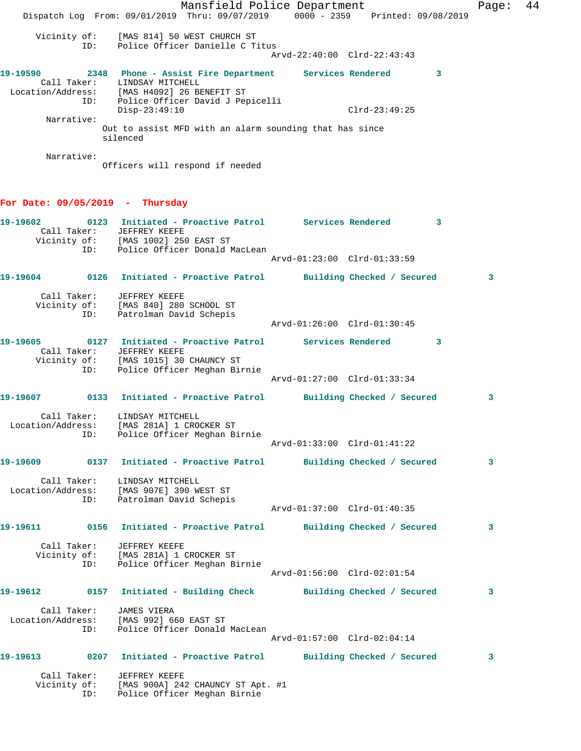Mansfield Police Department Fage: 44 Dispatch Log From: 09/01/2019 Thru: 09/07/2019 0000 - 2359 Printed: 09/08/2019 Vicinity of: [MAS 814] 50 WEST CHURCH ST ID: Police Officer Danielle C Titus Arvd-22:40:00 Clrd-22:43:43 **19-19590 2348 Phone - Assist Fire Department Services Rendered 3**  Call Taker: LINDSAY MITCHELL Location/Address: [MAS H4092] 26 BENEFIT ST ID: Police Officer David J Pepicelli Disp-23:49:10 Clrd-23:49:25 Narrative: Out to assist MFD with an alarm sounding that has since silenced Narrative: Officers will respond if needed **For Date: 09/05/2019 - Thursday 19-19602 0123 Initiated - Proactive Patrol Services Rendered 3**  Call Taker: JEFFREY KEEFE Vicinity of: [MAS 1002] 250 EAST ST ID: Police Officer Donald MacLean Arvd-01:23:00 Clrd-01:33:59 **19-19604 0126 Initiated - Proactive Patrol Building Checked / Secured 3** Call Taker: JEFFREY KEEFE Vicinity of: [MAS 840] 280 SCHOOL ST ID: Patrolman David Schepis Arvd-01:26:00 Clrd-01:30:45 **19-19605 0127 Initiated - Proactive Patrol Services Rendered 3**  Call Taker: JEFFREY KEEFE Vicinity of: [MAS 1015] 30 CHAUNCY ST ID: Police Officer Meghan Birnie Arvd-01:27:00 Clrd-01:33:34 **19-19607 0133 Initiated - Proactive Patrol Building Checked / Secured 3** Call Taker: LINDSAY MITCHELL Location/Address: [MAS 281A] 1 CROCKER ST ID: Police Officer Meghan Birnie Arvd-01:33:00 Clrd-01:41:22 **19-19609 0137 Initiated - Proactive Patrol Building Checked / Secured 3** Call Taker: LINDSAY MITCHELL Location/Address: [MAS 907E] 390 WEST ST ID: Patrolman David Schepis Arvd-01:37:00 Clrd-01:40:35 **19-19611 0156 Initiated - Proactive Patrol Building Checked / Secured 3** Call Taker: JEFFREY KEEFE Vicinity of: [MAS 281A] 1 CROCKER ST ID: Police Officer Meghan Birnie Arvd-01:56:00 Clrd-02:01:54 **19-19612 0157 Initiated - Building Check Building Checked / Secured 3** Call Taker: JAMES VIERA Location/Address: [MAS 992] 660 EAST ST ID: Police Officer Donald MacLean Arvd-01:57:00 Clrd-02:04:14 **19-19613 0207 Initiated - Proactive Patrol Building Checked / Secured 3** Call Taker: JEFFREY KEEFE Vicinity of: [MAS 900A] 242 CHAUNCY ST Apt. #1 ID: Police Officer Meghan Birnie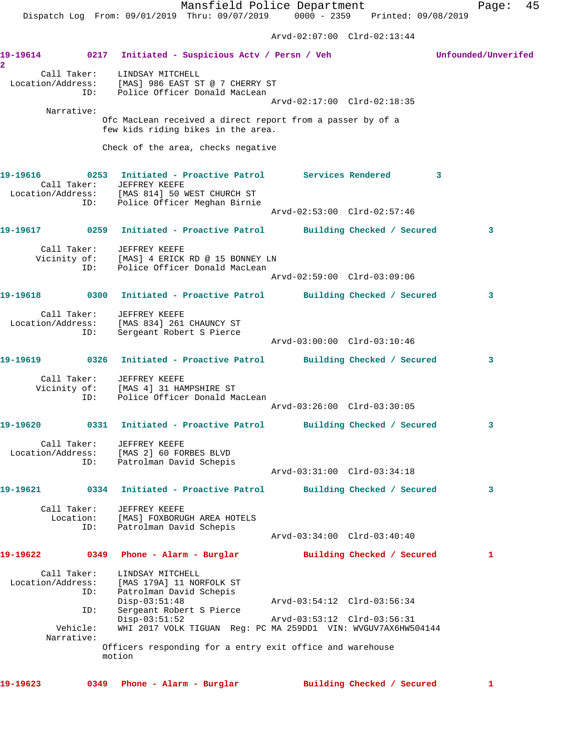Arvd-02:07:00 Clrd-02:13:44

**19-19614 0217 Initiated - Suspicious Actv / Persn / Veh Unfounded/Unverifed 2**  Call Taker: LINDSAY MITCHELL Location/Address: [MAS] 986 EAST ST @ 7 CHERRY ST ID: Police Officer Donald MacLean Arvd-02:17:00 Clrd-02:18:35 Narrative: Ofc MacLean received a direct report from a passer by of a few kids riding bikes in the area. Check of the area, checks negative **19-19616 0253 Initiated - Proactive Patrol Services Rendered 3**  Call Taker: JEFFREY KEEFE Location/Address: [MAS 814] 50 WEST CHURCH ST ID: Police Officer Meghan Birnie Arvd-02:53:00 Clrd-02:57:46 **19-19617 0259 Initiated - Proactive Patrol Building Checked / Secured 3** Call Taker: JEFFREY KEEFE Vicinity of: [MAS] 4 ERICK RD @ 15 BONNEY LN ID: Police Officer Donald MacLean Arvd-02:59:00 Clrd-03:09:06 **19-19618 0300 Initiated - Proactive Patrol Building Checked / Secured 3** Call Taker: JEFFREY KEEFE Location/Address: [MAS 834] 261 CHAUNCY ST ID: Sergeant Robert S Pierce Arvd-03:00:00 Clrd-03:10:46 **19-19619 0326 Initiated - Proactive Patrol Building Checked / Secured 3** Call Taker: JEFFREY KEEFE Vicinity of: [MAS 4] 31 HAMPSHIRE ST ID: Police Officer Donald MacLean Arvd-03:26:00 Clrd-03:30:05 **19-19620 0331 Initiated - Proactive Patrol Building Checked / Secured 3** Call Taker: JEFFREY KEEFE Location/Address: [MAS 2] 60 FORBES BLVD ID: Patrolman David Schepis Arvd-03:31:00 Clrd-03:34:18 **19-19621 0334 Initiated - Proactive Patrol Building Checked / Secured 3** Call Taker: JEFFREY KEEFE Location: [MAS] FOXBORUGH AREA HOTELS ID: Patrolman David Schepis Arvd-03:34:00 Clrd-03:40:40 **19-19622 0349 Phone - Alarm - Burglar Building Checked / Secured 1** Call Taker: LINDSAY MITCHELL Location/Address: [MAS 179A] 11 NORFOLK ST ID: Patrolman David Schepis Disp-03:51:48 Arvd-03:54:12 Clrd-03:56:34<br>ID: Sergeant Robert S Pierce<br>Disp-03:51:52 Arvd-03:53:12 Clrd-03:56:31<br>Disp-03:51:52 Clrd-03:56:31 Sergeant Robert S Pierce Disp-03:51:52 Arvd-03:53:12 Clrd-03:56:31 Vehicle: WHI 2017 VOLK TIGUAN Reg: PC MA 259DD1 VIN: WVGUV7AX6HW504144 Narrative: Officers responding for a entry exit office and warehouse motion

**19-19623 0349 Phone - Alarm - Burglar Building Checked / Secured 1**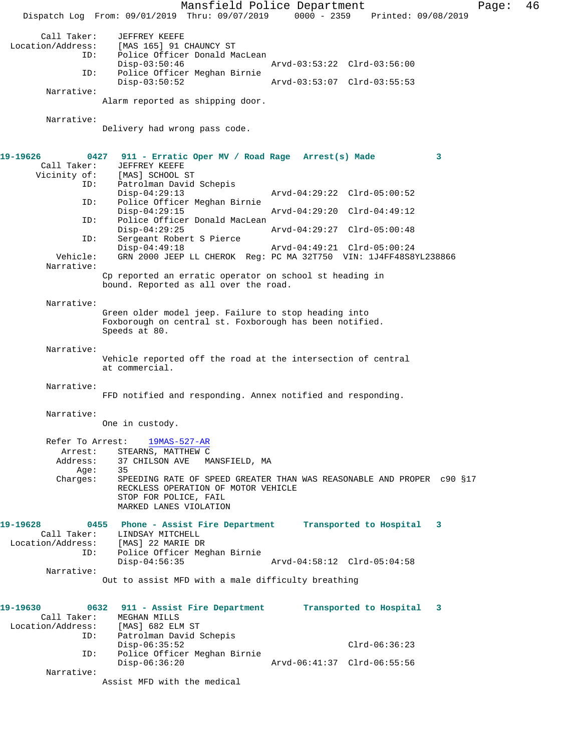Mansfield Police Department Page: 46 Dispatch Log From: 09/01/2019 Thru: 09/07/2019 0000 - 2359 Printed: 09/08/2019 Call Taker: JEFFREY KEEFE<br>Location/Address: [MAS 165] 91 ( [MAS 165] 91 CHAUNCY ST ID: Police Officer Donald MacLean Disp-03:50:46 Arvd-03:53:22 Clrd-03:56:00<br>ID: Police Officer Meghan Birnie Police Officer Meghan Birnie Disp-03:50:52 Arvd-03:53:07 Clrd-03:55:53 Narrative: Alarm reported as shipping door. Narrative: Delivery had wrong pass code. **19-19626 0427 911 - Erratic Oper MV / Road Rage Arrest(s) Made 3**  Call Taker: JEFFREY KEEFE<br>Vicinity of: [MAS] SCHOOL : [MAS] SCHOOL ST ID: Patrolman David Schepis Disp-04:29:13 Arvd-04:29:22 Clrd-05:00:52<br>ID: Police Officer Meghan Birnie Police Officer Meghan Birnie Disp-04:29:15 Arvd-04:29:20 Clrd-04:49:12<br>ID: Police Officer Donald MacLean Police Officer Donald MacLean<br>Disp-04:29:25 Disp-04:29:25 Arvd-04:29:27 Clrd-05:00:48 ID: Sergeant Robert S Pierce Disp-04:49:18 Arvd-04:49:21 Clrd-05:00:24 Vehicle: GRN 2000 JEEP LL CHEROK Reg: PC MA 32T750 VIN: 1J4FF48S8YL238866 Narrative: Cp reported an erratic operator on school st heading in bound. Reported as all over the road. Narrative: Green older model jeep. Failure to stop heading into Foxborough on central st. Foxborough has been notified. Speeds at 80. Narrative: Vehicle reported off the road at the intersection of central at commercial. Narrative: FFD notified and responding. Annex notified and responding. Narrative: One in custody. Refer To Arrest: 19MAS-527-AR Arrest: STEARNS, MATTHEW C<br>Address: 37 CHILSON AVE MA 37 CHILSON AVE MANSFIELD, MA<br>35 Age: Charges: SPEEDING RATE OF SPEED GREATER THAN WAS REASONABLE AND PROPER c90 §17 RECKLESS OPERATION OF MOTOR VEHICLE STOP FOR POLICE, FAIL MARKED LANES VIOLATION **19-19628 0455 Phone - Assist Fire Department Transported to Hospital 3**  Call Taker: LINDSAY MITCHELL Location/Address: [MAS] 22 MARIE DR ID: Police Officer Meghan Birnie Disp-04:56:35 Arvd-04:58:12 Clrd-05:04:58 Narrative: Out to assist MFD with a male difficulty breathing **19-19630 0632 911 - Assist Fire Department Transported to Hospital 3**  Call Taker: MEGHAN MILLS<br>.on/Address: [MAS] 682 ELM ST Location/Address: ID: Patrolman David Schepis Disp-06:35:52 Clrd-06:36:23<br>ID: Police Officer Meghan Birnie Police Officer Meghan Birnie<br>Disp-06:36:20 Arvd-06:41:37 Clrd-06:55:56 Narrative: Assist MFD with the medical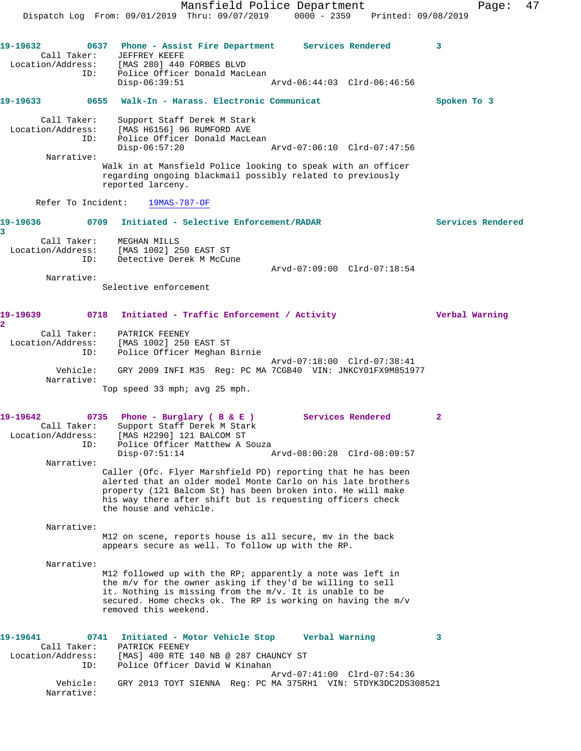Mansfield Police Department Fage: 47 Dispatch Log From: 09/01/2019 Thru: 09/07/2019 0000 - 2359 Printed: 09/08/2019 **19-19632 0637 Phone - Assist Fire Department Services Rendered 3**  Call Taker: JEFFREY KEEFE Location/Address: [MAS 280] 440 FORBES BLVD ID: Police Officer Donald MacLean Disp-06:39:51 Arvd-06:44:03 Clrd-06:46:56 **19-19633 0655 Walk-In - Harass. Electronic Communicat Spoken To 3** Call Taker: Support Staff Derek M Stark Location/Address: [MAS H6156] 96 RUMFORD AVE ID: Police Officer Donald MacLean Disp-06:57:20 Arvd-07:06:10 Clrd-07:47:56 Narrative: Walk in at Mansfield Police looking to speak with an officer regarding ongoing blackmail possibly related to previously reported larceny. Refer To Incident: 19MAS-787-OF **19-19636 0709 Initiated - Selective Enforcement/RADAR Services Rendered 3**  Call Taker: MEGHAN MILLS Location/Address: [MAS 1002] 250 EAST ST ID: Detective Derek M McCune Arvd-07:09:00 Clrd-07:18:54 Narrative: Selective enforcement **19-19639 0718 Initiated - Traffic Enforcement / Activity Verbal Warning 2**  Call Taker: PATRICK FEENEY Location/Address: [MAS 1002] 250 EAST ST ID: Police Officer Meghan Birnie Arvd-07:18:00 Clrd-07:38:41 Vehicle: GRY 2009 INFI M35 Reg: PC MA 7CGB40 VIN: JNKCY01FX9M851977 Narrative: Top speed 33 mph; avg 25 mph. **19-19642 0735 Phone - Burglary ( B & E ) Services Rendered 2**  Call Taker: Support Staff Derek M Stark Location/Address: [MAS H2290] 121 BALCOM ST ID: Police Officer Matthew A Souza Disp-07:51:14 Arvd-08:00:28 Clrd-08:09:57 Narrative: Caller (Ofc. Flyer Marshfield PD) reporting that he has been alerted that an older model Monte Carlo on his late brothers property (121 Balcom St) has been broken into. He will make his way there after shift but is requesting officers check the house and vehicle. Narrative: M12 on scene, reports house is all secure, mv in the back appears secure as well. To follow up with the RP. Narrative: M12 followed up with the RP; apparently a note was left in the m/v for the owner asking if they'd be willing to sell it. Nothing is missing from the m/v. It is unable to be secured. Home checks ok. The RP is working on having the m/v removed this weekend. **19-19641 0741 Initiated - Motor Vehicle Stop Verbal Warning 3**  Call Taker: PATRICK FEENEY Location/Address: [MAS] 400 RTE 140 NB @ 287 CHAUNCY ST ID: Police Officer David W Kinahan Arvd-07:41:00 Clrd-07:54:36 Vehicle: GRY 2013 TOYT SIENNA Reg: PC MA 375RH1 VIN: 5TDYK3DC2DS308521 Narrative: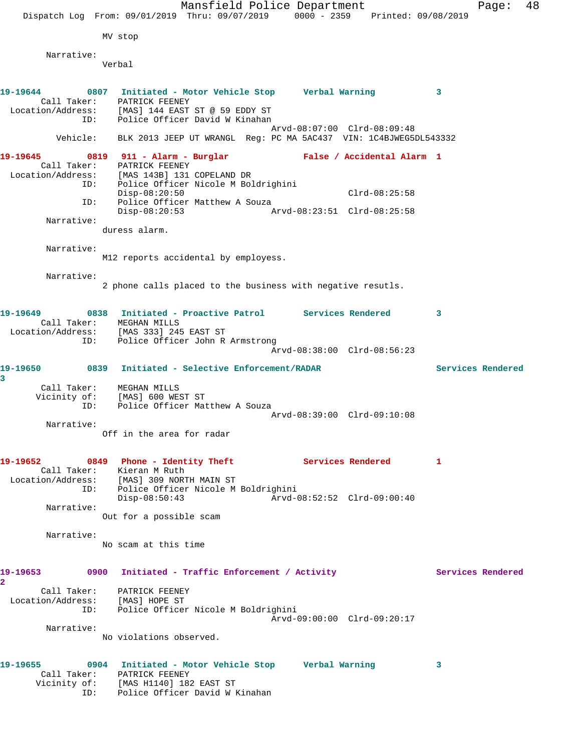| Dispatch Log From: 09/01/2019 Thru: 09/07/2019 0000 - 2359 Printed: 09/08/2019 |     |                                                                           | Mansfield Police Department |                             |                 |    | Page:             | 48 |
|--------------------------------------------------------------------------------|-----|---------------------------------------------------------------------------|-----------------------------|-----------------------------|-----------------|----|-------------------|----|
|                                                                                |     |                                                                           |                             |                             |                 |    |                   |    |
|                                                                                |     | MV stop                                                                   |                             |                             |                 |    |                   |    |
| Narrative:                                                                     |     |                                                                           |                             |                             |                 |    |                   |    |
|                                                                                |     | Verbal                                                                    |                             |                             |                 |    |                   |    |
| 19–19644                                                                       |     | 0807 Initiated - Motor Vehicle Stop Verbal Warning                        |                             |                             |                 | 3  |                   |    |
| Location/Address: [MAS] 144 EAST ST @ 59 EDDY ST                               |     | Call Taker: PATRICK FEENEY                                                |                             |                             |                 |    |                   |    |
|                                                                                | ID: | Police Officer David W Kinahan                                            |                             |                             |                 |    |                   |    |
|                                                                                |     | Vehicle: BLK 2013 JEEP UT WRANGL Reg: PC MA 5AC437 VIN: 1C4BJWEG5DL543332 |                             | Arvd-08:07:00 Clrd-08:09:48 |                 |    |                   |    |
| 19–19645                                                                       |     | 0819 911 - Alarm - Burglar                                                |                             | False / Accidental Alarm 1  |                 |    |                   |    |
| Location/Address: [MAS 143B] 131 COPELAND DR                                   |     | Call Taker: PATRICK FEENEY                                                |                             |                             |                 |    |                   |    |
|                                                                                |     | ID: Police Officer Nicole M Boldrighini<br>$Disp-08:20:50$                |                             |                             | $Clrd-08:25:58$ |    |                   |    |
| ID:                                                                            |     | Police Officer Matthew A Souza                                            |                             |                             |                 |    |                   |    |
| Narrative:                                                                     |     | $Disp-08:20:53$                                                           |                             | Arvd-08:23:51 Clrd-08:25:58 |                 |    |                   |    |
|                                                                                |     | duress alarm.                                                             |                             |                             |                 |    |                   |    |
| Narrative:                                                                     |     |                                                                           |                             |                             |                 |    |                   |    |
|                                                                                |     | M12 reports accidental by employess.                                      |                             |                             |                 |    |                   |    |
| Narrative:                                                                     |     |                                                                           |                             |                             |                 |    |                   |    |
|                                                                                |     | 2 phone calls placed to the business with negative resutls.               |                             |                             |                 |    |                   |    |
| 19-19649                                                                       |     | 0838 Initiated - Proactive Patrol Services Rendered                       |                             |                             |                 | 3  |                   |    |
| Location/Address: [MAS 333] 245 EAST ST                                        |     | Call Taker: MEGHAN MILLS                                                  |                             |                             |                 |    |                   |    |
|                                                                                | ID: | Police Officer John R Armstrong                                           |                             | Arvd-08:38:00 Clrd-08:56:23 |                 |    |                   |    |
|                                                                                |     |                                                                           |                             |                             |                 |    |                   |    |
| 19-19650<br>3                                                                  |     | 0839 Initiated - Selective Enforcement/RADAR                              |                             |                             |                 |    | Services Rendered |    |
|                                                                                |     | Call Taker: MEGHAN MILLS<br>Vicinity of: [MAS] 600 WEST ST                |                             |                             |                 |    |                   |    |
| ID:                                                                            |     | Police Officer Matthew A Souza                                            |                             |                             |                 |    |                   |    |
| Narrative:                                                                     |     |                                                                           |                             | Arvd-08:39:00 Clrd-09:10:08 |                 |    |                   |    |
|                                                                                |     | Off in the area for radar                                                 |                             |                             |                 |    |                   |    |
| 19-19652                                                                       |     | 0849 Phone - Identity Theft Manus Services Rendered                       |                             |                             |                 | -1 |                   |    |
| Location/Address: [MAS] 309 NORTH MAIN ST                                      |     | Call Taker: Kieran M Ruth                                                 |                             |                             |                 |    |                   |    |
| ID:                                                                            |     | Police Officer Nicole M Boldrighini                                       |                             |                             |                 |    |                   |    |
| Narrative:                                                                     |     | $Disp-08:50:43$                                                           |                             | Arvd-08:52:52 Clrd-09:00:40 |                 |    |                   |    |
|                                                                                |     | Out for a possible scam                                                   |                             |                             |                 |    |                   |    |
| Narrative:                                                                     |     |                                                                           |                             |                             |                 |    |                   |    |
|                                                                                |     | No scam at this time                                                      |                             |                             |                 |    |                   |    |
| 19-19653                                                                       |     | 0900 Initiated - Traffic Enforcement / Activity                           |                             |                             |                 |    | Services Rendered |    |
| $\overline{\mathbf{2}}$                                                        |     | Call Taker: PATRICK FEENEY                                                |                             |                             |                 |    |                   |    |
| Location/Address: [MAS] HOPE ST                                                |     |                                                                           |                             |                             |                 |    |                   |    |
|                                                                                |     | ID: Police Officer Nicole M Boldrighini                                   |                             | Arvd-09:00:00 Clrd-09:20:17 |                 |    |                   |    |
| Narrative:                                                                     |     | No violations observed.                                                   |                             |                             |                 |    |                   |    |
|                                                                                |     |                                                                           |                             |                             |                 |    |                   |    |
| 19–19655                                                                       |     | 0904 Initiated - Motor Vehicle Stop Verbal Warning                        |                             |                             |                 | 3  |                   |    |
|                                                                                |     | Call Taker: PATRICK FEENEY<br>Vicinity of: [MAS H1140] 182 EAST ST        |                             |                             |                 |    |                   |    |
| ID:                                                                            |     | Police Officer David W Kinahan                                            |                             |                             |                 |    |                   |    |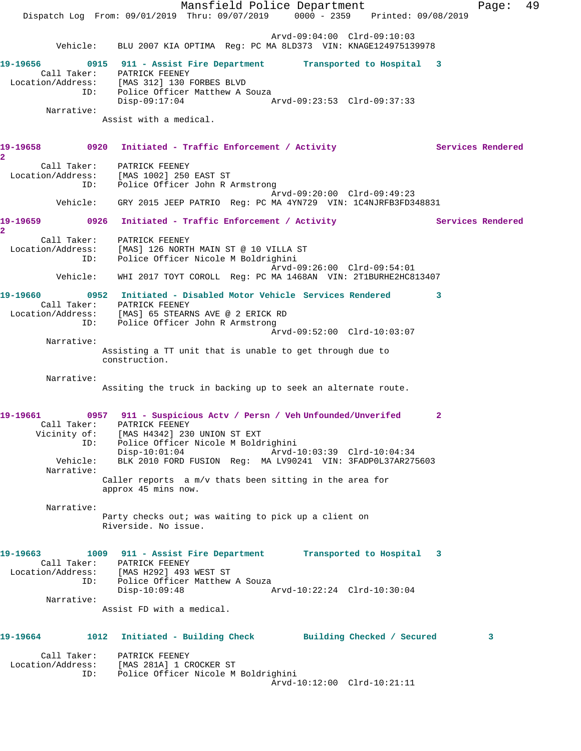Mansfield Police Department Fage: 49 Dispatch Log From: 09/01/2019 Thru: 09/07/2019 0000 - 2359 Printed: 09/08/2019 Arvd-09:04:00 Clrd-09:10:03 Vehicle: BLU 2007 KIA OPTIMA Reg: PC MA 8LD373 VIN: KNAGE124975139978 **19-19656 0915 911 - Assist Fire Department Transported to Hospital 3**  Call Taker: PATRICK FEENEY Location/Address: [MAS 312] 130 FORBES BLVD ID: Police Officer Matthew A Souza<br>Disp-09:17:04 Disp-09:17:04 Arvd-09:23:53 Clrd-09:37:33 Narrative: Assist with a medical. 19-19658 0920 Initiated - Traffic Enforcement / Activity **Services Rendered 2**  Call Taker: PATRICK FEENEY Location/Address: [MAS 1002] 250 EAST ST ID: Police Officer John R Armstrong Arvd-09:20:00 Clrd-09:49:23 Vehicle: GRY 2015 JEEP PATRIO Reg: PC MA 4YN729 VIN: 1C4NJRFB3FD348831 19-19659 **0926** Initiated - Traffic Enforcement / Activity **Services Rendered 2**  Call Taker: PATRICK FEENEY Location/Address: [MAS] 126 NORTH MAIN ST @ 10 VILLA ST ID: Police Officer Nicole M Boldrighini Arvd-09:26:00 Clrd-09:54:01 Vehicle: WHI 2017 TOYT COROLL Reg: PC MA 1468AN VIN: 2T1BURHE2HC813407 **19-19660 0952 Initiated - Disabled Motor Vehicle Services Rendered 3**  Call Taker: PATRICK FEENEY Location/Address: [MAS] 65 STEARNS AVE @ 2 ERICK RD ID: Police Officer John R Armstrong Arvd-09:52:00 Clrd-10:03:07 Narrative: Assisting a TT unit that is unable to get through due to construction. Narrative: Assiting the truck in backing up to seek an alternate route. **19-19661 0957 911 - Suspicious Actv / Persn / Veh Unfounded/Unverifed 2**  Call Taker: PATRICK FEENEY Vicinity of: [MAS H4342] 230 UNION ST EXT ID: Police Officer Nicole M Boldrighini Disp-10:01:04 Arvd-10:03:39 Clrd-10:04:34 Vehicle: BLK 2010 FORD FUSION Reg: MA LV90241 VIN: 3FADP0L37AR275603 Narrative: Caller reports a m/v thats been sitting in the area for approx 45 mins now. Narrative: Party checks out; was waiting to pick up a client on Riverside. No issue. **19-19663 1009 911 - Assist Fire Department Transported to Hospital 3**  Call Taker: PATRICK FEENEY Location/Address: [MAS H292] 493 WEST ST ID: Police Officer Matthew A Souza Disp-10:09:48 Arvd-10:22:24 Clrd-10:30:04 Narrative: Assist FD with a medical. **19-19664 1012 Initiated - Building Check Building Checked / Secured 3** Call Taker: PATRICK FEENEY Location/Address: [MAS 281A] 1 CROCKER ST ID: Police Officer Nicole M Boldrighini Arvd-10:12:00 Clrd-10:21:11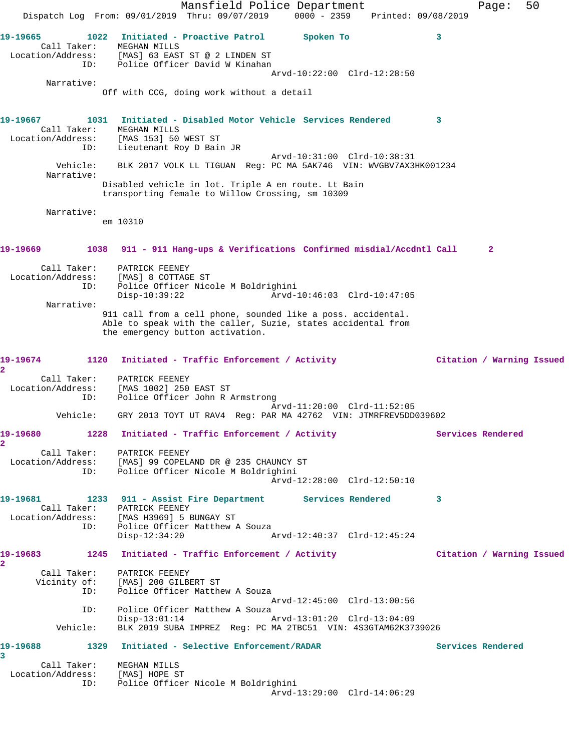Mansfield Police Department Form Page: 50 Dispatch Log From: 09/01/2019 Thru: 09/07/2019 0000 - 2359 Printed: 09/08/2019 **19-19665 1022 Initiated - Proactive Patrol Spoken To 3**  Call Taker: MEGHAN MILLS Location/Address: [MAS] 63 EAST ST @ 2 LINDEN ST ID: Police Officer David W Kinahan Arvd-10:22:00 Clrd-12:28:50 Narrative: Off with CCG, doing work without a detail **19-19667 1031 Initiated - Disabled Motor Vehicle Services Rendered 3**  Call Taker: MEGHAN MILLS Location/Address: [MAS 153] 50 WEST ST ID: Lieutenant Roy D Bain JR Arvd-10:31:00 Clrd-10:38:31 Vehicle: BLK 2017 VOLK LL TIGUAN Reg: PC MA 5AK746 VIN: WVGBV7AX3HK001234 Narrative: Disabled vehicle in lot. Triple A en route. Lt Bain transporting female to Willow Crossing, sm 10309 Narrative: em 10310 **19-19669 1038 911 - 911 Hang-ups & Verifications Confirmed misdial/Accdntl Call 2** Call Taker: PATRICK FEENEY Location/Address: [MAS] 8 COTTAGE ST ID: Police Officer Nicole M Boldrighini Arvd-10:46:03 Clrd-10:47:05 Narrative: 911 call from a cell phone, sounded like a poss. accidental. Able to speak with the caller, Suzie, states accidental from the emergency button activation. **19-19674 1120 Initiated - Traffic Enforcement / Activity Citation / Warning Issued 2**  Call Taker: PATRICK FEENEY Location/Address: [MAS 1002] 250 EAST ST ID: Police Officer John R Armstrong Arvd-11:20:00 Clrd-11:52:05 Vehicle: GRY 2013 TOYT UT RAV4 Reg: PAR MA 42762 VIN: JTMRFREV5DD039602 19-19680 1228 Initiated - Traffic Enforcement / Activity **Services Rendered 2**  Call Taker: PATRICK FEENEY Location/Address: [MAS] 99 COPELAND DR @ 235 CHAUNCY ST ID: Police Officer Nicole M Boldrighini Arvd-12:28:00 Clrd-12:50:10 **19-19681 1233 911 - Assist Fire Department Services Rendered 3**  Call Taker: PATRICK FEENEY Location/Address: [MAS H3969] 5 BUNGAY ST ID: Police Officer Matthew A Souza Disp-12:34:20 Arvd-12:40:37 Clrd-12:45:24 **19-19683 1245 Initiated - Traffic Enforcement / Activity Citation / Warning Issued 2**  Call Taker: PATRICK FEENEY Vicinity of: [MAS] 200 GILBERT ST ID: Police Officer Matthew A Souza Arvd-12:45:00 Clrd-13:00:56 ID: Police Officer Matthew A Souza Disp-13:01:14 Arvd-13:01:20 Clrd-13:04:09 Vehicle: BLK 2019 SUBA IMPREZ Reg: PC MA 2TBC51 VIN: 4S3GTAM62K3739026 **19-19688 1329 Initiated - Selective Enforcement/RADAR Services Rendered 3**  Call Taker: MEGHAN MILLS Location/Address: [MAS] HOPE ST ID: Police Officer Nicole M Boldrighini Arvd-13:29:00 Clrd-14:06:29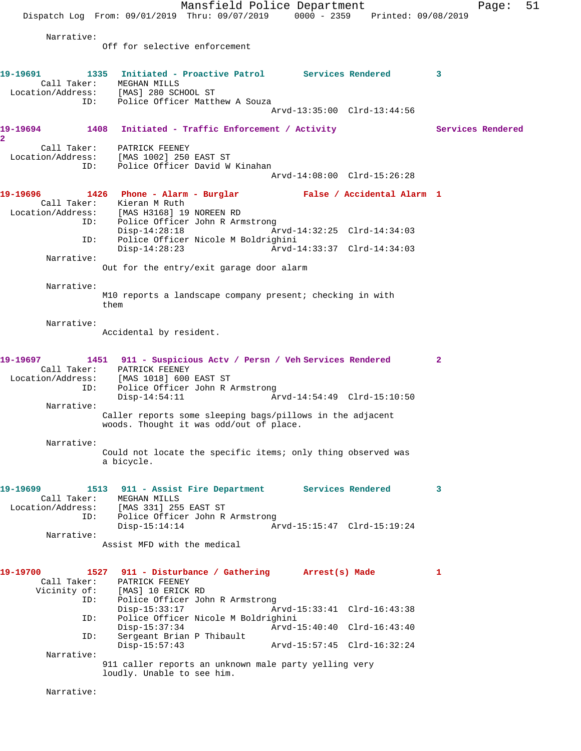Mansfield Police Department Page: 51 Dispatch Log From: 09/01/2019 Thru: 09/07/2019 0000 - 2359 Printed: 09/08/2019 Narrative: Off for selective enforcement **19-19691 1335 Initiated - Proactive Patrol Services Rendered 3**  Call Taker: MEGHAN MILLS Location/Address: [MAS] 280 SCHOOL ST ID: Police Officer Matthew A Souza Arvd-13:35:00 Clrd-13:44:56 19-19694 1408 Initiated - Traffic Enforcement / Activity **Services Rendered 2**  Call Taker: PATRICK FEENEY Location/Address: [MAS 1002] 250 EAST ST Police Officer David W Kinahan Arvd-14:08:00 Clrd-15:26:28 **19-19696 1426 Phone - Alarm - Burglar False / Accidental Alarm 1**  Call Taker: Kieran M Ruth Location/Address: [MAS H3168] 19 NOREEN RD ID: Police Officer John R Armstrong Disp-14:28:18 Arvd-14:32:25 Clrd-14:34:03<br>ID: Police Officer Nicole M Boldrighini Police Officer Nicole M Boldrighini<br>Disp-14:28:23 Arvd- Disp-14:28:23 Arvd-14:33:37 Clrd-14:34:03 Narrative: Out for the entry/exit garage door alarm Narrative: M10 reports a landscape company present; checking in with them Narrative: Accidental by resident. **19-19697 1451 911 - Suspicious Actv / Persn / Veh Services Rendered 2**  Call Taker: PATRICK FEENEY Location/Address: [MAS 1018] 600 EAST ST ID: Police Officer John R Armstrong<br>Disp-14:54:11 Ar Arvd-14:54:49 Clrd-15:10:50 Narrative: Caller reports some sleeping bags/pillows in the adjacent woods. Thought it was odd/out of place. Narrative: Could not locate the specific items; only thing observed was a bicycle. **19-19699 1513 911 - Assist Fire Department Services Rendered 3**  Call Taker: MEGHAN MILLS Location/Address: [MAS 331] 255 EAST ST ID: Police Officer John R Armstrong<br>Disp-15:14:14 Ar Disp-15:14:14 Arvd-15:15:47 Clrd-15:19:24 Narrative: Assist MFD with the medical **19-19700 1527 911 - Disturbance / Gathering Arrest(s) Made 1**  Call Taker: PATRICK FEENEY<br>Vicinity of: [MAS] 10 ERICK [MAS] 10 ERICK RD ID: Police Officer John R Armstrong<br>Disp-15:33:17 Am Arvd-15:33:41 Clrd-16:43:38 ID: Police Officer Nicole M Boldrighini Disp-15:37:34 Arvd-15:40:40 Clrd-16:43:40 ID: Sergeant Brian P Thibault Disp-15:57:43 Arvd-15:57:45 Clrd-16:32:24 Narrative: 911 caller reports an unknown male party yelling very loudly. Unable to see him.

Narrative: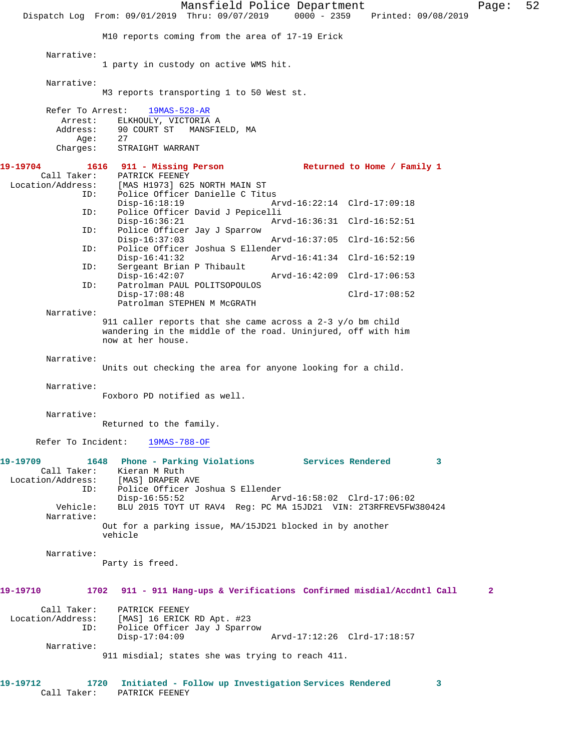Mansfield Police Department Page: 52 Dispatch Log From: 09/01/2019 Thru: 09/07/2019 0000 - 2359 Printed: 09/08/2019 M10 reports coming from the area of 17-19 Erick Narrative: 1 party in custody on active WMS hit. Narrative: M3 reports transporting 1 to 50 West st. Refer To Arrest: 19MAS-528-AR Arrest: ELKHOULY, VICTORIA A Address: 90 COURT ST MANSFIELD, MA Age: 27 Charges: STRAIGHT WARRANT **19-19704 1616 911 - Missing Person Returned to Home / Family 1**  Call Taker: PATRICK FEENEY<br>Location/Address: [MAS H1973] 62! [MAS H1973] 625 NORTH MAIN ST ID: Police Officer Danielle C Titus Disp-16:18:19 Arvd-16:22:14 Clrd-17:09:18<br>ID: Police Officer David J Pepicelli Police Officer David J Pepicelli Disp-16:36:21 Arvd-16:36:31 Clrd-16:52:51<br>ID: Police Officer Jay J Sparrow Police Officer Jay J Sparrow<br>Disp-16:37:03 Disp-16:37:03 Arvd-16:37:05 Clrd-16:52:56 ID: Police Officer Joshua S Ellender Disp-16:41:32 Arvd-16:41:34 Clrd-16:52:19 ID: Sergeant Brian P Thibault Disp-16:42:07 Arvd-16:42:09 Clrd-17:06:53<br>TD: Patrolman PAUL POLITSOPOULOS Patrolman PAUL POLITSOPOULOS Disp-17:08:48 Clrd-17:08:52 Patrolman STEPHEN M McGRATH Narrative: 911 caller reports that she came across a 2-3 y/o bm child wandering in the middle of the road. Uninjured, off with him now at her house. Narrative: Units out checking the area for anyone looking for a child. Narrative: Foxboro PD notified as well. Narrative: Returned to the family. Refer To Incident: 19MAS-788-OF **19-19709 1648 Phone - Parking Violations Services Rendered 3**  Call Taker: Kieran M Ruth<br>ion/Address: [MAS] DRAPER AVE Location/Address: ID: Police Officer Joshua S Ellender Disp-16:55:52 Arvd-16:58:02 Clrd-17:06:02 Vehicle: BLU 2015 TOYT UT RAV4 Reg: PC MA 15JD21 VIN: 2T3RFREV5FW380424 Narrative: Out for a parking issue, MA/15JD21 blocked in by another vehicle Narrative: Party is freed. **19-19710 1702 911 - 911 Hang-ups & Verifications Confirmed misdial/Accdntl Call 2** Call Taker: PATRICK FEENEY Location/Address: [MAS] 16 ERICK RD Apt. #23 ID: Police Officer Jay J Sparrow Disp-17:04:09 Arvd-17:12:26 Clrd-17:18:57 Narrative: 911 misdial; states she was trying to reach 411. **19-19712 1720 Initiated - Follow up Investigation Services Rendered 3**  Call Taker: PATRICK FEENEY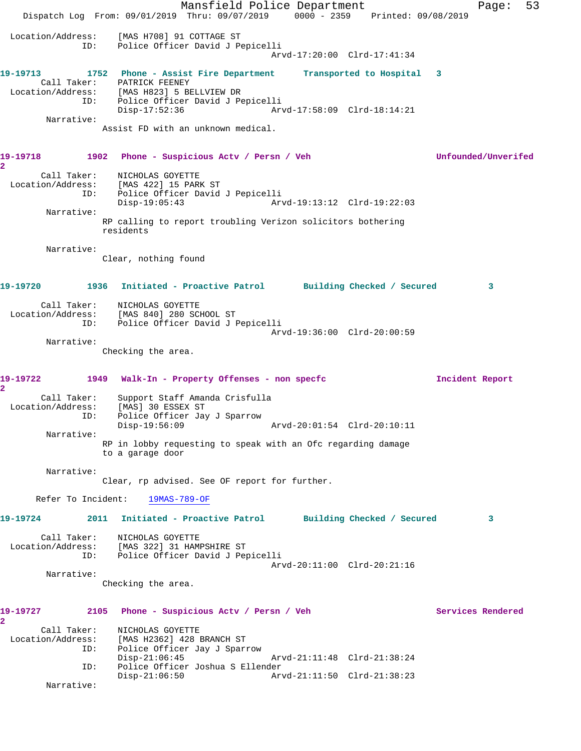Mansfield Police Department Fage: 53 Dispatch Log From: 09/01/2019 Thru: 09/07/2019 0000 - 2359 Printed: 09/08/2019 Location/Address: [MAS H708] 91 COTTAGE ST ID: Police Officer David J Pepicelli Arvd-17:20:00 Clrd-17:41:34 **19-19713 1752 Phone - Assist Fire Department Transported to Hospital 3**  Call Taker: PATRICK FEENEY Location/Address: [MAS H823] 5 BELLVIEW DR ID: Police Officer David J Pepicelli Disp-17:52:36 Arvd-17:58:09 Clrd-18:14:21 Narrative: Assist FD with an unknown medical. **19-19718 1902 Phone - Suspicious Actv / Persn / Veh Unfounded/Unverifed 2**  Call Taker: NICHOLAS GOYETTE Location/Address: [MAS 422] 15 PARK ST ID: Police Officer David J Pepicelli Disp-19:05:43 Arvd-19:13:12 Clrd-19:22:03 Narrative: RP calling to report troubling Verizon solicitors bothering residents Narrative: Clear, nothing found **19-19720 1936 Initiated - Proactive Patrol Building Checked / Secured 3** Call Taker: NICHOLAS GOYETTE Location/Address: [MAS 840] 280 SCHOOL ST ID: Police Officer David J Pepicelli Arvd-19:36:00 Clrd-20:00:59 Narrative: Checking the area. **19-19722 1949 Walk-In - Property Offenses - non specfc Incident Report 2**  Call Taker: Support Staff Amanda Crisfulla Location/Address: [MAS] 30 ESSEX ST ID: Police Officer Jay J Sparrow Disp-19:56:09 Arvd-20:01:54 Clrd-20:10:11 Narrative: RP in lobby requesting to speak with an Ofc regarding damage to a garage door Narrative: Clear, rp advised. See OF report for further. Refer To Incident: 19MAS-789-OF **19-19724 2011 Initiated - Proactive Patrol Building Checked / Secured 3** Call Taker: NICHOLAS GOYETTE Location/Address: [MAS 322] 31 HAMPSHIRE ST ID: Police Officer David J Pepicelli Arvd-20:11:00 Clrd-20:21:16 Narrative: Checking the area. **19-19727 2105 Phone - Suspicious Actv / Persn / Veh Services Rendered 2**  Call Taker: NICHOLAS GOYETTE<br>Location/Address: [MAS H2362] 428 I [MAS H2362] 428 BRANCH ST ID: Police Officer Jay J Sparrow Disp-21:06:45 Arvd-21:11:48 Clrd-21:38:24 ID: Police Officer Joshua S Ellender Disp-21:06:50 Arvd-21:11:50 Clrd-21:38:23 Narrative: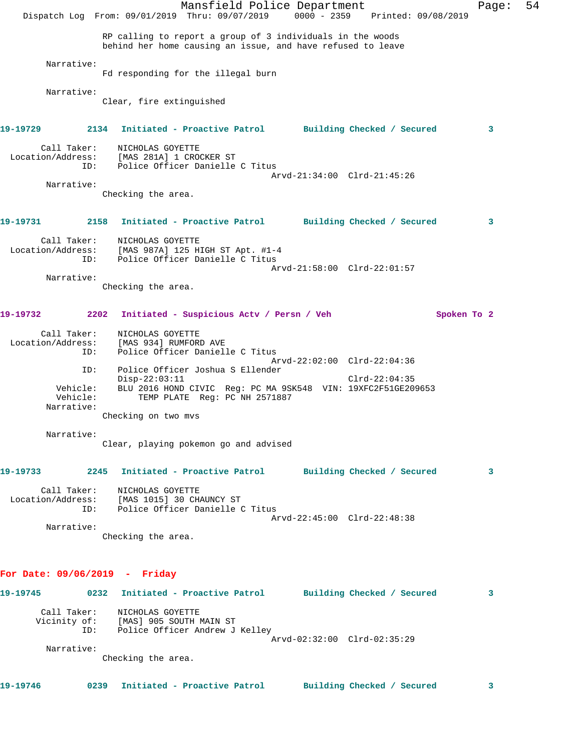|                                                                             | Dispatch Log From: 09/01/2019 Thru: 09/07/2019 0000 - 2359 Printed: 09/08/2019                             |                                           | Mansfield Police Department                                                                                               |                            |             | Page: | 54 |
|-----------------------------------------------------------------------------|------------------------------------------------------------------------------------------------------------|-------------------------------------------|---------------------------------------------------------------------------------------------------------------------------|----------------------------|-------------|-------|----|
|                                                                             |                                                                                                            |                                           | RP calling to report a group of 3 individuals in the woods<br>behind her home causing an issue, and have refused to leave |                            |             |       |    |
| Narrative:                                                                  | Fd responding for the illegal burn                                                                         |                                           |                                                                                                                           |                            |             |       |    |
| Narrative:                                                                  | Clear, fire extinguished                                                                                   |                                           |                                                                                                                           |                            |             |       |    |
| 19-19729                                                                    | 2134 Initiated - Proactive Patrol Building Checked / Secured                                               |                                           |                                                                                                                           |                            |             | 3     |    |
| Call Taker:<br>Location/Address: [MAS 281A] 1 CROCKER ST<br>ID:             | NICHOLAS GOYETTE                                                                                           | Police Officer Danielle C Titus           |                                                                                                                           |                            |             |       |    |
| Narrative:                                                                  | Checking the area.                                                                                         |                                           | Arvd-21:34:00 Clrd-21:45:26                                                                                               |                            |             |       |    |
| 19-19731                                                                    | 2158 Initiated - Proactive Patrol Building Checked / Secured                                               |                                           |                                                                                                                           |                            |             | 3     |    |
| Call Taker:<br>Location/Address: [MAS 987A] 125 HIGH ST Apt. #1-4<br>ID:    | NICHOLAS GOYETTE                                                                                           | Police Officer Danielle C Titus           | Arvd-21:58:00 Clrd-22:01:57                                                                                               |                            |             |       |    |
| Narrative:                                                                  | Checking the area.                                                                                         |                                           |                                                                                                                           |                            |             |       |    |
| 2202<br>19-19732                                                            |                                                                                                            | Initiated - Suspicious Actv / Persn / Veh |                                                                                                                           |                            | Spoken To 2 |       |    |
| Call Taker:<br>Location/Address:<br>ID:                                     | NICHOLAS GOYETTE<br>[MAS 934] RUMFORD AVE                                                                  | Police Officer Danielle C Titus           |                                                                                                                           |                            |             |       |    |
| ID:<br>Vehicle:                                                             | $Disp-22:03:11$                                                                                            | Police Officer Joshua S Ellender          | Arvd-22:02:00 Clrd-22:04:36<br>BLU 2016 HOND CIVIC Reg: PC MA 9SK548 VIN: 19XFC2F51GE209653                               | $Clrd-22:04:35$            |             |       |    |
| Vehicle:<br>Narrative:                                                      |                                                                                                            | TEMP PLATE Reg: PC NH 2571887             |                                                                                                                           |                            |             |       |    |
| Narrative:                                                                  | Checking on two mvs                                                                                        |                                           |                                                                                                                           |                            |             |       |    |
|                                                                             | Clear, playing pokemon go and advised                                                                      |                                           |                                                                                                                           |                            |             |       |    |
| 19-19733                                                                    | 2245 Initiated - Proactive Patrol Building Checked / Secured                                               |                                           |                                                                                                                           |                            |             | 3     |    |
| Call Taker:<br>Location/Address: [MAS 1015] 30 CHAUNCY ST                   | NICHOLAS GOYETTE<br>ID: Police Officer Danielle C Titus                                                    |                                           | Arvd-22:45:00 Clrd-22:48:38                                                                                               |                            |             |       |    |
| Narrative:                                                                  | Checking the area.                                                                                         |                                           |                                                                                                                           |                            |             |       |    |
| For Date: 09/06/2019 - Friday                                               |                                                                                                            |                                           |                                                                                                                           |                            |             |       |    |
| 19-19745 		 0232 Initiated - Proactive Patrol 		 Building Checked / Secured |                                                                                                            |                                           |                                                                                                                           |                            |             | 3     |    |
|                                                                             | Call Taker: NICHOLAS GOYETTE<br>Vicinity of: [MAS] 905 SOUTH MAIN ST<br>ID: Police Officer Andrew J Kelley |                                           |                                                                                                                           |                            |             |       |    |
| Narrative:                                                                  |                                                                                                            |                                           | Arvd-02:32:00 Clrd-02:35:29                                                                                               |                            |             |       |    |
|                                                                             | Checking the area.                                                                                         |                                           |                                                                                                                           |                            |             |       |    |
| 19-19746                                                                    | 0239 Initiated – Proactive Patrol                                                                          |                                           |                                                                                                                           | Building Checked / Secured |             | 3     |    |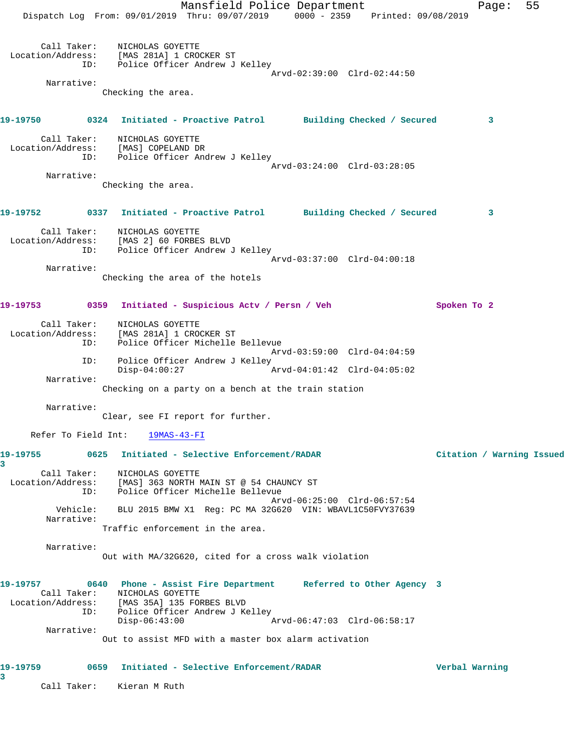Mansfield Police Department Fage: 55 Dispatch Log From: 09/01/2019 Thru: 09/07/2019 0000 - 2359 Printed: 09/08/2019 Call Taker: NICHOLAS GOYETTE Location/Address: [MAS 281A] 1 CROCKER ST ID: Police Officer Andrew J Kelley Arvd-02:39:00 Clrd-02:44:50 Narrative: Checking the area. **19-19750 0324 Initiated - Proactive Patrol Building Checked / Secured 3** Call Taker: NICHOLAS GOYETTE Location/Address: [MAS] COPELAND DR ID: Police Officer Andrew J Kelley Arvd-03:24:00 Clrd-03:28:05 Narrative: Checking the area. **19-19752 0337 Initiated - Proactive Patrol Building Checked / Secured 3** Call Taker: NICHOLAS GOYETTE Location/Address: [MAS 2] 60 FORBES BLVD ID: Police Officer Andrew J Kelley Arvd-03:37:00 Clrd-04:00:18 Narrative: Checking the area of the hotels 19-19753 0359 Initiated - Suspicious Actv / Persn / Veh Spoken To 2 Call Taker: NICHOLAS GOYETTE Location/Address: [MAS 281A] 1 CROCKER ST ID: Police Officer Michelle Bellevue Arvd-03:59:00 Clrd-04:04:59 ID: Police Officer Andrew J Kelley Disp-04:00:27 Arvd-04:01:42 Clrd-04:05:02 Narrative: Checking on a party on a bench at the train station Narrative: Clear, see FI report for further. Refer To Field Int: 19MAS-43-FI **19-19755 0625 Initiated - Selective Enforcement/RADAR Citation / Warning Issued 3**  Call Taker: NICHOLAS GOYETTE Location/Address: [MAS] 363 NORTH MAIN ST @ 54 CHAUNCY ST ID: Police Officer Michelle Bellevue Arvd-06:25:00 Clrd-06:57:54 Vehicle: BLU 2015 BMW X1 Reg: PC MA 32G620 VIN: WBAVL1C50FVY37639 Narrative: Traffic enforcement in the area. Narrative: Out with MA/32G620, cited for a cross walk violation **19-19757 0640 Phone - Assist Fire Department Referred to Other Agency 3**  Call Taker: NICHOLAS GOYETTE Location/Address: [MAS 35A] 135 FORBES BLVD ID: Police Officer Andrew J Kelley  $Disp-06:43:00$  Narrative: Out to assist MFD with a master box alarm activation **19-19759 0659 Initiated - Selective Enforcement/RADAR Verbal Warning 3**  Call Taker: Kieran M Ruth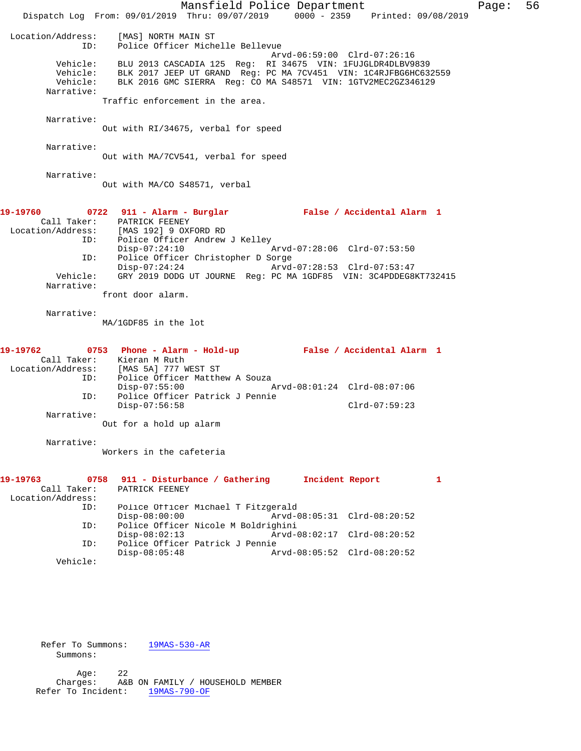|                                                      | Mansfield Police Department                                                                                                                                                                                                                | Page: | 56 |
|------------------------------------------------------|--------------------------------------------------------------------------------------------------------------------------------------------------------------------------------------------------------------------------------------------|-------|----|
|                                                      | Dispatch Log From: 09/01/2019 Thru: 09/07/2019 0000 - 2359 Printed: 09/08/2019                                                                                                                                                             |       |    |
| Location/Address:<br>ID:                             | [MAS] NORTH MAIN ST<br>Police Officer Michelle Bellevue<br>Arvd-06:59:00 Clrd-07:26:16                                                                                                                                                     |       |    |
| Vehicle:<br>Vehicle:<br>Narrative:                   | BLU 2013 CASCADIA 125 Reg: RI 34675 VIN: 1FUJGLDR4DLBV9839<br>Vehicle: BLK 2017 JEEP UT GRAND Reg: PC MA 7CV451 VIN: 1C4RJFBG6HC632559<br>BLK 2016 GMC SIERRA Req: CO MA S48571 VIN: 1GTV2MEC2GZ346129<br>Traffic enforcement in the area. |       |    |
| Narrative:                                           | Out with RI/34675, verbal for speed                                                                                                                                                                                                        |       |    |
| Narrative:                                           | Out with MA/7CV541, verbal for speed                                                                                                                                                                                                       |       |    |
| Narrative:                                           | Out with MA/CO S48571, verbal                                                                                                                                                                                                              |       |    |
| 19-19760                                             | 0722 911 - Alarm - Burglar                                 False / Accidental Alarm 1<br>Call Taker: PATRICK FEENEY<br>Location/Address: [MAS 192] 9 OXFORD RD                                                                             |       |    |
| ID:<br>ID:                                           | Police Officer Andrew J Kelley<br>$Disp-07:24:10$<br>Arvd-07:28:06 Clrd-07:53:50<br>Police Officer Christopher D Sorge<br>Disp-07:24:24<br>Arvd-07:28:53 Clrd-07:53:47                                                                     |       |    |
| Vehicle:<br>Narrative:                               | GRY 2019 DODG UT JOURNE Reg: PC MA 1GDF85 VIN: 3C4PDDEG8KT732415<br>front door alarm.                                                                                                                                                      |       |    |
| Narrative:                                           | MA/1GDF85 in the lot                                                                                                                                                                                                                       |       |    |
| 19-19762<br>ID:                                      | 0753 Phone - Alarm - Hold-up - False / Accidental Alarm 1<br>Call Taker: Kieran M Ruth<br>Location/Address: [MAS 5A] 777 WEST ST<br>Police Officer Matthew A Souza                                                                         |       |    |
| ID:                                                  | $Disp-07:55:00$<br>Arvd-08:01:24 Clrd-08:07:06<br>Police Officer Patrick J Pennie                                                                                                                                                          |       |    |
| Narrative:                                           | $Disp-07:56:58$<br>$Clrd-07:59:23$<br>Out for a hold up alarm                                                                                                                                                                              |       |    |
| Narrative:                                           | Workers in the cafeteria                                                                                                                                                                                                                   |       |    |
| 19-19763<br>0758<br>Call Taker:<br>Location/Address: | Incident Report<br>911 - Disturbance / Gathering<br>1<br>PATRICK FEENEY                                                                                                                                                                    |       |    |
| ID:<br>ID:                                           | Police Officer Michael T Fitzgerald<br>$Disp-08:00:00$<br>Police Officer Nicole M Boldrighini                                                                                                                                              |       |    |
| ID:                                                  | $Disp-08:02:13$<br>Arvd-08:02:17 Clrd-08:20:52<br>Police Officer Patrick J Pennie<br>$Disp-08:05:48$<br>Arvd-08:05:52 Clrd-08:20:52                                                                                                        |       |    |
| Vehicle:                                             |                                                                                                                                                                                                                                            |       |    |
|                                                      |                                                                                                                                                                                                                                            |       |    |

Refer To Summons: 19MAS-530-AR

Summons:

 Age: 22 Charges: A&B ON FAMILY / HOUSEHOLD MEMBER Refer To Incident: 19MAS-790-OF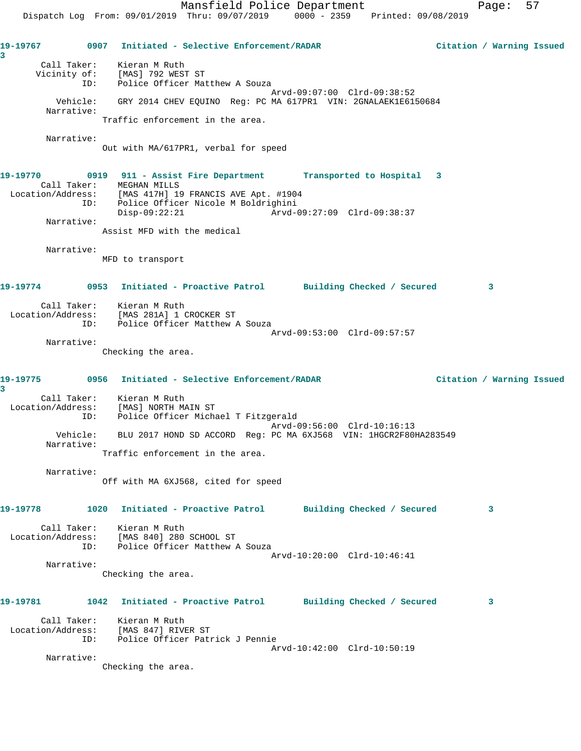**19-19767 0907 Initiated - Selective Enforcement/RADAR Citation / Warning Issued 3**  Call Taker: Kieran M Ruth Vicinity of: [MAS] 792 WEST ST ID: Police Officer Matthew A Souza Arvd-09:07:00 Clrd-09:38:52 Vehicle: GRY 2014 CHEV EQUINO Reg: PC MA 617PR1 VIN: 2GNALAEK1E6150684 Narrative: Traffic enforcement in the area. Narrative: Out with MA/617PR1, verbal for speed **19-19770 0919 911 - Assist Fire Department Transported to Hospital 3**  Call Taker: MEGHAN MILLS Location/Address: [MAS 417H] 19 FRANCIS AVE Apt. #1904 ID: Police Officer Nicole M Boldrighini<br>Disp-09:22:21 Arvd-C Disp-09:22:21 Arvd-09:27:09 Clrd-09:38:37 Narrative: Assist MFD with the medical Narrative: MFD to transport **19-19774 0953 Initiated - Proactive Patrol Building Checked / Secured 3** Call Taker: Kieran M Ruth Location/Address: [MAS 281A] 1 CROCKER ST ID: Police Officer Matthew A Souza Arvd-09:53:00 Clrd-09:57:57 Narrative: Checking the area. **19-19775 0956 Initiated - Selective Enforcement/RADAR Citation / Warning Issued 3**  Call Taker: Kieran M Ruth Location/Address: [MAS] NORTH MAIN ST ID: Police Officer Michael T Fitzgerald Arvd-09:56:00 Clrd-10:16:13 Vehicle: BLU 2017 HOND SD ACCORD Reg: PC MA 6XJ568 VIN: 1HGCR2F80HA283549 Narrative: Traffic enforcement in the area. Narrative: Off with MA 6XJ568, cited for speed **19-19778 1020 Initiated - Proactive Patrol Building Checked / Secured 3** Call Taker: Kieran M Ruth Location/Address: [MAS 840] 280 SCHOOL ST ID: Police Officer Matthew A Souza Arvd-10:20:00 Clrd-10:46:41 Narrative: Checking the area. **19-19781 1042 Initiated - Proactive Patrol Building Checked / Secured 3** Call Taker: Kieran M Ruth Location/Address: [MAS 847] RIVER ST ID: Police Officer Patrick J Pennie Arvd-10:42:00 Clrd-10:50:19 Narrative: Checking the area.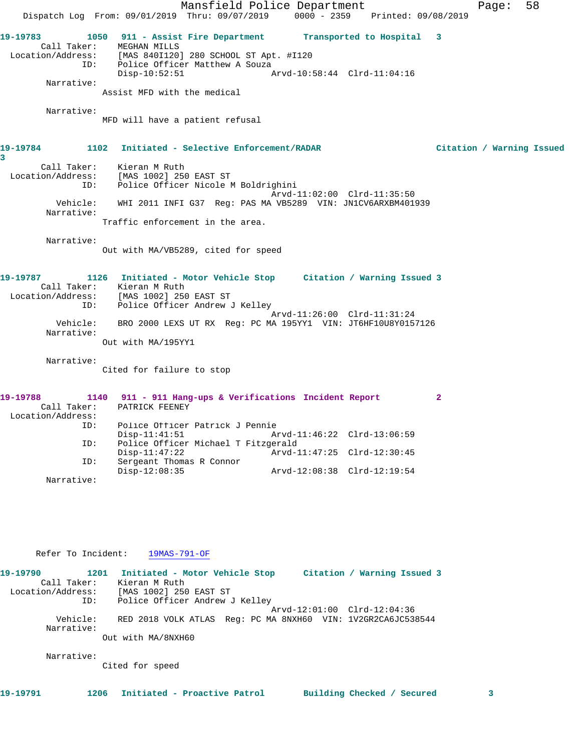Mansfield Police Department Fage: 58 Dispatch Log From: 09/01/2019 Thru: 09/07/2019 0000 - 2359 Printed: 09/08/2019 **19-19783 1050 911 - Assist Fire Department Transported to Hospital 3**  Call Taker: MEGHAN MILLS Location/Address: [MAS 840I120] 280 SCHOOL ST Apt. #I120 ID: Police Officer Matthew A Souza Disp-10:52:51 Arvd-10:58:44 Clrd-11:04:16 Narrative: Assist MFD with the medical Narrative: MFD will have a patient refusal **19-19784 1102 Initiated - Selective Enforcement/RADAR Citation / Warning Issued 3**  Call Taker: Kieran M Ruth Location/Address: [MAS 1002] 250 EAST ST ID: Police Officer Nicole M Boldrighini Arvd-11:02:00 Clrd-11:35:50 Vehicle: WHI 2011 INFI G37 Reg: PAS MA VB5289 VIN: JN1CV6ARXBM401939 Narrative: Traffic enforcement in the area. Narrative: Out with MA/VB5289, cited for speed **19-19787 1126 Initiated - Motor Vehicle Stop Citation / Warning Issued 3**  Call Taker: Kieran M Ruth Location/Address: [MAS 1002] 250 EAST ST ID: Police Officer Andrew J Kelley Arvd-11:26:00 Clrd-11:31:24 Vehicle: BRO 2000 LEXS UT RX Reg: PC MA 195YY1 VIN: JT6HF10U8Y0157126 Narrative: Out with MA/195YY1 Narrative: Cited for failure to stop **19-19788 1140 911 - 911 Hang-ups & Verifications Incident Report 2**  Call Taker: PATRICK FEENEY Location/Address: ID: Police Officer Patrick J Pennie Disp-11:41:51 Arvd-11:46:22 Clrd-13:06:59 ID: Police Officer Michael T Fitzgerald Disp-11:47:22 Arvd-11:47:25 Clrd-12:30:45 ID: Sergeant Thomas R Connor Disp-12:08:35 Arvd-12:08:38 Clrd-12:19:54 Narrative:

## Refer To Incident: 19MAS-791-OF

| 19-19790<br>1201       | Initiated - Motor Vehicle Stop<br>Citation / Warning Issued 3 |
|------------------------|---------------------------------------------------------------|
| Call Taker:            | Kieran M Ruth                                                 |
| Location/Address:      | [MAS 1002] 250 EAST ST                                        |
| ID:                    | Police Officer Andrew J Kelley                                |
|                        | Arvd-12:01:00 Clrd-12:04:36                                   |
| Vehicle:<br>Narrative: | RED 2018 VOLK ATLAS Req: PC MA 8NXH60 VIN: 1V2GR2CA6JC538544  |
|                        | Out with MA/8NXH60                                            |
| Narrative:             |                                                               |
|                        | Cited for speed                                               |
|                        |                                                               |

**19-19791 1206 Initiated - Proactive Patrol Building Checked / Secured 3**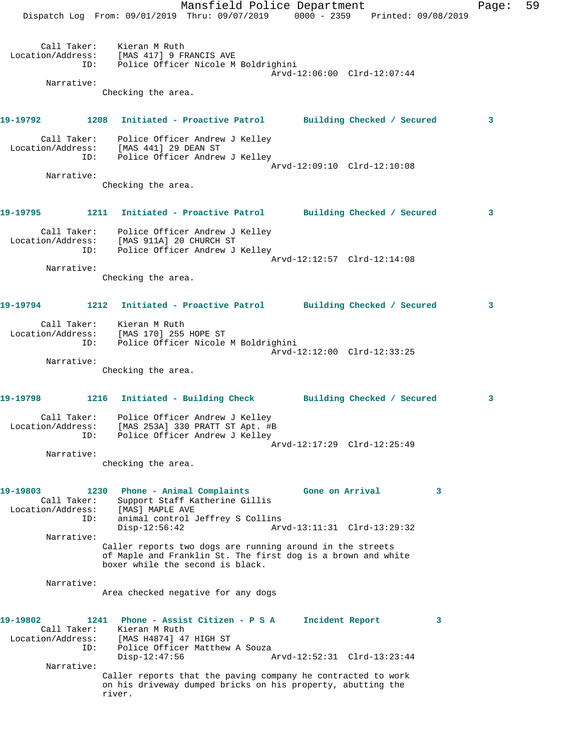Mansfield Police Department Fage: 59 Dispatch Log From: 09/01/2019 Thru: 09/07/2019 0000 - 2359 Printed: 09/08/2019 Call Taker: Kieran M Ruth Location/Address: [MAS 417] 9 FRANCIS AVE ID: Police Officer Nicole M Boldrighini Arvd-12:06:00 Clrd-12:07:44 Narrative: Checking the area. **19-19792 1208 Initiated - Proactive Patrol Building Checked / Secured 3** Call Taker: Police Officer Andrew J Kelley Location/Address: [MAS 441] 29 DEAN ST ID: Police Officer Andrew J Kelley Arvd-12:09:10 Clrd-12:10:08 Narrative: Checking the area. **19-19795 1211 Initiated - Proactive Patrol Building Checked / Secured 3** Call Taker: Police Officer Andrew J Kelley Location/Address: [MAS 911A] 20 CHURCH ST ID: Police Officer Andrew J Kelley Arvd-12:12:57 Clrd-12:14:08 Narrative: Checking the area. **19-19794 1212 Initiated - Proactive Patrol Building Checked / Secured 3** Call Taker: Kieran M Ruth Location/Address: [MAS 170] 255 HOPE ST ID: Police Officer Nicole M Boldrighini Arvd-12:12:00 Clrd-12:33:25 Narrative: Checking the area. **19-19798 1216 Initiated - Building Check Building Checked / Secured 3** Call Taker: Police Officer Andrew J Kelley Location/Address: [MAS 253A] 330 PRATT ST Apt. #B ID: Police Officer Andrew J Kelley Arvd-12:17:29 Clrd-12:25:49 Narrative: checking the area. **19-19803 1230 Phone - Animal Complaints Gone on Arrival 3**  Call Taker: Support Staff Katherine Gillis Location/Address: [MAS] MAPLE AVE ID: animal control Jeffrey S Collins<br>Disp-12:56:42 Arv Arvd-13:11:31 Clrd-13:29:32 Narrative: Caller reports two dogs are running around in the streets of Maple and Franklin St. The first dog is a brown and white boxer while the second is black. Narrative: Area checked negative for any dogs **19-19802 1241 Phone - Assist Citizen - P S A Incident Report 3**  Call Taker: Kieran M Ruth Location/Address: [MAS H4874] 47 HIGH ST ID: Police Officer Matthew A Souza Disp-12:47:56 Arvd-12:52:31 Clrd-13:23:44 Narrative: Caller reports that the paving company he contracted to work on his driveway dumped bricks on his property, abutting the river.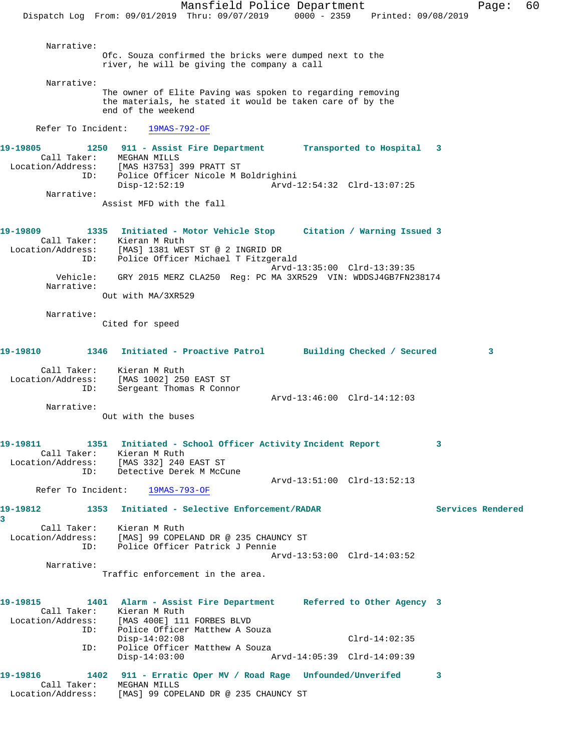Mansfield Police Department Fage: 60 Dispatch Log From: 09/01/2019 Thru: 09/07/2019 0000 - 2359 Printed: 09/08/2019 Narrative: Ofc. Souza confirmed the bricks were dumped next to the river, he will be giving the company a call Narrative: The owner of Elite Paving was spoken to regarding removing the materials, he stated it would be taken care of by the end of the weekend Refer To Incident: 19MAS-792-OF **19-19805 1250 911 - Assist Fire Department Transported to Hospital 3**  Call Taker: MEGHAN MILLS Location/Address: [MAS H3753] 399 PRATT ST ID: Police Officer Nicole M Boldrighini Disp-12:52:19 Arvd-12:54:32 Clrd-13:07:25 Narrative: Assist MFD with the fall **19-19809 1335 Initiated - Motor Vehicle Stop Citation / Warning Issued 3**  Call Taker: Kieran M Ruth Location/Address: [MAS] 1381 WEST ST @ 2 INGRID DR ID: Police Officer Michael T Fitzgerald Arvd-13:35:00 Clrd-13:39:35 Vehicle: GRY 2015 MERZ CLA250 Reg: PC MA 3XR529 VIN: WDDSJ4GB7FN238174 Narrative: Out with MA/3XR529 Narrative: Cited for speed **19-19810 1346 Initiated - Proactive Patrol Building Checked / Secured 3** Call Taker: Kieran M Ruth Location/Address: [MAS 1002] 250 EAST ST ID: Sergeant Thomas R Connor Arvd-13:46:00 Clrd-14:12:03 Narrative: Out with the buses **19-19811 1351 Initiated - School Officer Activity Incident Report 3**  Call Taker: Kieran M Ruth Location/Address: [MAS 332] 240 EAST ST ID: Detective Derek M McCune Arvd-13:51:00 Clrd-13:52:13<br>19MAS-793-OF **Arvel** Refer To Incident: **19-19812 1353 Initiated - Selective Enforcement/RADAR Services Rendered 3**  Call Taker: Kieran M Ruth Location/Address: [MAS] 99 COPELAND DR @ 235 CHAUNCY ST ID: Police Officer Patrick J Pennie Arvd-13:53:00 Clrd-14:03:52 Narrative: Traffic enforcement in the area. **19-19815 1401 Alarm - Assist Fire Department Referred to Other Agency 3**  Call Taker: Kieran M Ruth<br>Location/Address: [MAS 400E] 111 [MAS 400E] 111 FORBES BLVD ID: Police Officer Matthew A Souza Disp-14:02:08 Clrd-14:02:35 ID: Police Officer Matthew A Souza<br>Disp-14:03:00 A Disp-14:03:00 Arvd-14:05:39 Clrd-14:09:39 **19-19816 1402 911 - Erratic Oper MV / Road Rage Unfounded/Unverifed 3**  Call Taker: MEGHAN MILLS Location/Address: [MAS] 99 COPELAND DR @ 235 CHAUNCY ST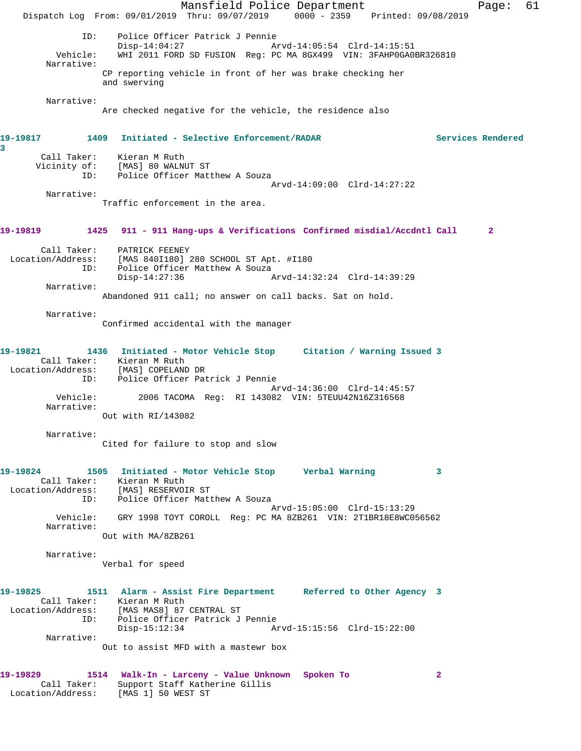Mansfield Police Department Fage: 61 Dispatch Log From: 09/01/2019 Thru: 09/07/2019 0000 - 2359 Printed: 09/08/2019 ID: Police Officer Patrick J Pennie Disp-14:04:27 <br>Vehicle: WHI 2011 FORD SD FUSION Req: PC MA 8GX499 VIN: 3FAHP0GA0 WHI 2011 FORD SD FUSION Reg: PC MA 8GX499 VIN: 3FAHP0GA0BR326810 Narrative: CP reporting vehicle in front of her was brake checking her and swerving Narrative: Are checked negative for the vehicle, the residence also **19-19817 1409 Initiated - Selective Enforcement/RADAR Services Rendered 3**  Call Taker: Kieran M Ruth Vicinity of: [MAS] 80 WALNUT ST ID: Police Officer Matthew A Souza Arvd-14:09:00 Clrd-14:27:22 Narrative: Traffic enforcement in the area. **19-19819 1425 911 - 911 Hang-ups & Verifications Confirmed misdial/Accdntl Call 2** Call Taker: PATRICK FEENEY Location/Address: [MAS 840I180] 280 SCHOOL ST Apt. #I180 ID: Police Officer Matthew A Souza<br>Disp-14:27:36 Disp-14:27:36 Arvd-14:32:24 Clrd-14:39:29 Narrative: Abandoned 911 call; no answer on call backs. Sat on hold. Narrative: Confirmed accidental with the manager **19-19821 1436 Initiated - Motor Vehicle Stop Citation / Warning Issued 3**  Call Taker: Kieran M Ruth<br>Location/Address: [MAS] COPELAND DR Location/Address: [MAS] COPELAND DR ID: Police Officer Patrick J Pennie Arvd-14:36:00 Clrd-14:45:57<br>Vehicle: 2006 TACOMA Reg: RI 143082 VIN: 5TEUU42N16Z316568 2006 TACOMA Reg: RI 143082 VIN: 5TEUU42N16Z316568 Narrative: Out with RI/143082 Narrative: Cited for failure to stop and slow **19-19824 1505 Initiated - Motor Vehicle Stop Verbal Warning 3**  Call Taker: Kieran M Ruth Location/Address: [MAS] RESERVOIR ST ID: Police Officer Matthew A Souza Arvd-15:05:00 Clrd-15:13:29 Vehicle: GRY 1998 TOYT COROLL Reg: PC MA 8ZB261 VIN: 2T1BR18E8WC056562 Narrative: Out with MA/8ZB261 Narrative: Verbal for speed **19-19825 1511 Alarm - Assist Fire Department Referred to Other Agency 3**  Call Taker: Kieran M Ruth<br>Location/Address: [MAS MAS8] 87 [MAS MAS8] 87 CENTRAL ST ID: Police Officer Patrick J Pennie Disp-15:12:34 Arvd-15:15:56 Clrd-15:22:00 Narrative: Out to assist MFD with a mastewr box **19-19829 1514 Walk-In - Larceny - Value Unknown Spoken To 2**  Call Taker: Support Staff Katherine Gillis Location/Address: [MAS 1] 50 WEST ST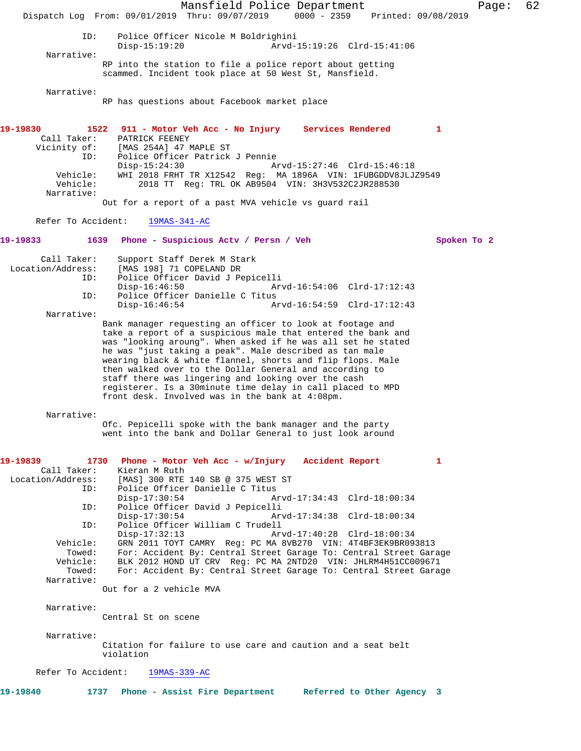Mansfield Police Department Fage: 62 Dispatch Log From: 09/01/2019 Thru: 09/07/2019 0000 - 2359 Printed: 09/08/2019 ID: Police Officer Nicole M Boldrighini Disp-15:19:20 Arvd-15:19:26 Clrd-15:41:06 Narrative: RP into the station to file a police report about getting scammed. Incident took place at 50 West St, Mansfield. Narrative: RP has questions about Facebook market place **19-19830 1522 911 - Motor Veh Acc - No Injury Services Rendered 1**  Call Taker: PATRICK FEENEY Vicinity of: [MAS 254A] 47 MAPLE ST ID: Police Officer Patrick J Pennie Disp-15:24:30 Arvd-15:27:46 Clrd-15:46:18<br>Vehicle: WHI 2018 FRHT TR X12542 Req: MA 1896A VIN: 1FUBGDDV8JLJ WHI 2018 FRHT TR X12542 Reg: MA 1896A VIN: 1FUBGDDV8JLJZ9549 Vehicle: 2018 TT Reg: TRL OK AB9504 VIN: 3H3V532C2JR288530 Narrative: Out for a report of a past MVA vehicle vs guard rail Refer To Accident: 19MAS-341-AC **19-19833 1639 Phone - Suspicious Actv / Persn / Veh Spoken To 2** Call Taker: Support Staff Derek M Stark Location/Address: [MAS 198] 71 COPELAND DR ID: Police Officer David J Pepicelli Disp-16:46:50 Arvd-16:54:06 Clrd-17:12:43<br>ID: Police Officer Danielle C Titus Police Officer Danielle C Titus<br>Disp-16:46:54 A Arvd-16:54:59 Clrd-17:12:43 Narrative: Bank manager requesting an officer to look at footage and take a report of a suspicious male that entered the bank and was "looking aroung". When asked if he was all set he stated he was "just taking a peak". Male described as tan male wearing black & white flannel, shorts and flip flops. Male then walked over to the Dollar General and according to staff there was lingering and looking over the cash registerer. Is a 30minute time delay in call placed to MPD front desk. Involved was in the bank at 4:08pm. Narrative: Ofc. Pepicelli spoke with the bank manager and the party went into the bank and Dollar General to just look around **19-19839 1730 Phone - Motor Veh Acc - w/Injury Accident Report 1**  Call Taker: Kieran M Ruth Location/Address: [MAS] 300 RTE 140 SB @ 375 WEST ST ID: Police Officer Danielle C Titus<br>Disp-17:30:54 A Disp-17:30:54 Arvd-17:34:43 Clrd-18:00:34 ID: Police Officer David J Pepicelli Disp-17:30:54 Arvd-17:34:38 Clrd-18:00:34<br>ID: Police Officer William C Trudell Police Officer William C Trudell Disp-17:32:13 Arvd-17:40:28 Clrd-18:00:34 Vehicle: GRN 2011 TOYT CAMRY Reg: PC MA 8VB270 VIN: 4T4BF3EK9BR093813 Towed: For: Accident By: Central Street Garage To: Central Street Garage Vehicle: BLK 2012 HOND UT CRV Reg: PC MA 2NTD20 VIN: JHLRM4H51CC009671 Towed: For: Accident By: Central Street Garage To: Central Street Garage Narrative: Out for a 2 vehicle MVA Narrative: Central St on scene Narrative: Citation for failure to use care and caution and a seat belt violation Refer To Accident: 19MAS-339-AC **19-19840 1737 Phone - Assist Fire Department Referred to Other Agency 3**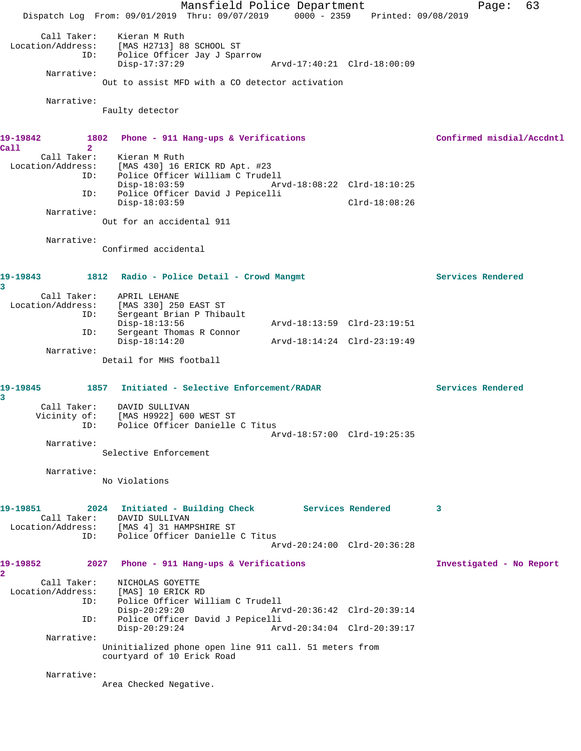Mansfield Police Department Fage: 63 Dispatch Log From: 09/01/2019 Thru: 09/07/2019 0000 - 2359 Printed: 09/08/2019 Call Taker: Kieran M Ruth Location/Address: [MAS H2713] 88 SCHOOL ST ID: Police Officer Jay J Sparrow Disp-17:37:29 Arvd-17:40:21 Clrd-18:00:09 Narrative: Out to assist MFD with a CO detector activation Narrative: Faulty detector **19-19842 1802 Phone - 911 Hang-ups & Verifications Confirmed misdial/Accdntl Call 2**  Call Taker: Kieran M Ruth Location/Address: [MAS 430] 16 ERICK RD Apt. #23 ID: Police Officer William C Trudell Disp-18:03:59 Arvd-18:08:22 Clrd-18:10:25 ID: Police Officer David J Pepicelli Disp-18:03:59 Clrd-18:08:26 Narrative: Out for an accidental 911 Narrative: Confirmed accidental 19-19843 1812 Radio - Police Detail - Crowd Mangmt **19-19843** Services Rendered **3**  Call Taker: APRIL LEHANE<br>Location/Address: [MAS 330] 250 ess: [MAS 330] 250 EAST ST<br>ID: Sergeant Brian P Thib Sergeant Brian P Thibault<br>Disp-18:13:56 Disp-18:13:56 Arvd-18:13:59 Clrd-23:19:51 DISP-18.13.50<br>ID: Sergeant Thomas R Connor Disp-18:14:20 Arvd-18:14:24 Clrd-23:19:49 Narrative: Detail for MHS football **19-19845 1857 Initiated - Selective Enforcement/RADAR Services Rendered 3**  Call Taker: DAVID SULLIVAN Vicinity of: [MAS H9922] 600 WEST ST ID: Police Officer Danielle C Titus Arvd-18:57:00 Clrd-19:25:35 Narrative: Selective Enforcement Narrative: No Violations **19-19851 2024 Initiated - Building Check Services Rendered 3**  Call Taker: DAVID SULLIVAN Location/Address: [MAS 4] 31 HAMPSHIRE ST ID: Police Officer Danielle C Titus Arvd-20:24:00 Clrd-20:36:28 **19-19852 2027 Phone - 911 Hang-ups & Verifications Investigated - No Report 2**  Call Taker: NICHOLAS GOYETTE Location/Address: [MAS] 10 ERICK RD<br>ID: Police Officer Wil Police Officer William C Trudell<br>Disp-20:29:20 Arv Disp-20:29:20 Arvd-20:36:42 Clrd-20:39:14<br>ID: Police Officer David J Pepicelli Police Officer David J Pepicelli Disp-20:29:24 Arvd-20:34:04 Clrd-20:39:17 Narrative: Uninitialized phone open line 911 call. 51 meters from courtyard of 10 Erick Road Narrative: Area Checked Negative.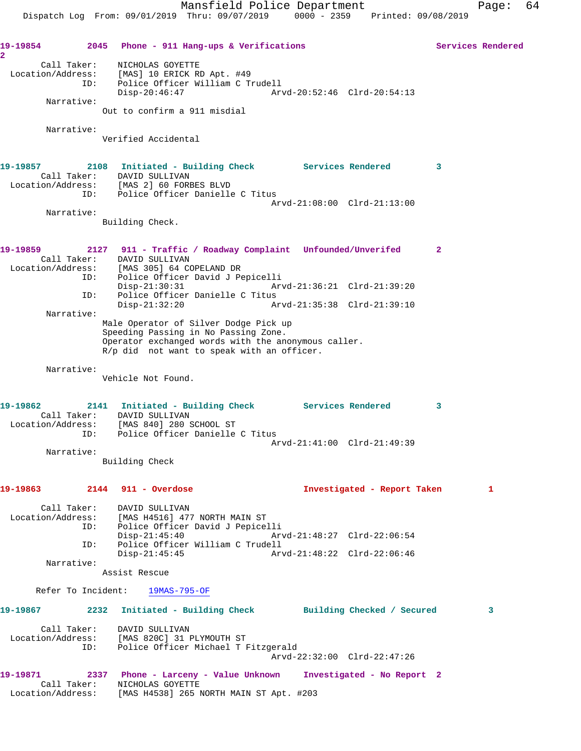**19-19854 2045 Phone - 911 Hang-ups & Verifications Services Rendered 2**  Call Taker: NICHOLAS GOYETTE Location/Address: [MAS] 10 ERICK RD Apt. #49 ID: Police Officer William C Trudell Disp-20:46:47 Arvd-20:52:46 Clrd-20:54:13 Narrative: Out to confirm a 911 misdial Narrative: Verified Accidental **19-19857 2108 Initiated - Building Check Services Rendered 3**  Call Taker: DAVID SULLIVAN Location/Address: [MAS 2] 60 FORBES BLVD ID: Police Officer Danielle C Titus Arvd-21:08:00 Clrd-21:13:00 Narrative: Building Check. **19-19859 2127 911 - Traffic / Roadway Complaint Unfounded/Unverifed 2**  Call Taker: DAVID SULLIVAN Location/Address: [MAS 305] 64 COPELAND DR ID: Police Officer David J Pepicelli Disp-21:30:31 Arvd-21:36:21 Clrd-21:39:20 ID: Police Officer Danielle C Titus Disp-21:32:20 Arvd-21:35:38 Clrd-21:39:10 Narrative: Male Operator of Silver Dodge Pick up Speeding Passing in No Passing Zone. Operator exchanged words with the anonymous caller. R/p did not want to speak with an officer. Narrative: Vehicle Not Found. **19-19862 2141 Initiated - Building Check Services Rendered 3**  Call Taker: DAVID SULLIVAN Location/Address: [MAS 840] 280 SCHOOL ST ERSS. THE ORD CONSTRUCT CONSTRUCT CONSTRUCT DATA POLICE CONSTRUCT POLICE Arvd-21:41:00 Clrd-21:49:39 Narrative: Building Check **19-19863 2144 911 - Overdose Investigated - Report Taken 1** Call Taker: DAVID SULLIVAN Location/Address: [MAS H4516] 477 NORTH MAIN ST ID: Police Officer David J Pepicelli Disp-21:45:40 Arvd-21:48:27 Clrd-22:06:54 ID: Police Officer William C Trudell<br>Disp-21:45:45 Disp-21:45:45 Arvd-21:48:22 Clrd-22:06:46 Narrative: Assist Rescue Refer To Incident: 19MAS-795-OF **19-19867 2232 Initiated - Building Check Building Checked / Secured 3** Call Taker: DAVID SULLIVAN Location/Address: [MAS 820C] 31 PLYMOUTH ST ID: Police Officer Michael T Fitzgerald Arvd-22:32:00 Clrd-22:47:26 **19-19871 2337 Phone - Larceny - Value Unknown Investigated - No Report 2**  Call Taker: NICHOLAS GOYETTE Location/Address: [MAS H4538] 265 NORTH MAIN ST Apt. #203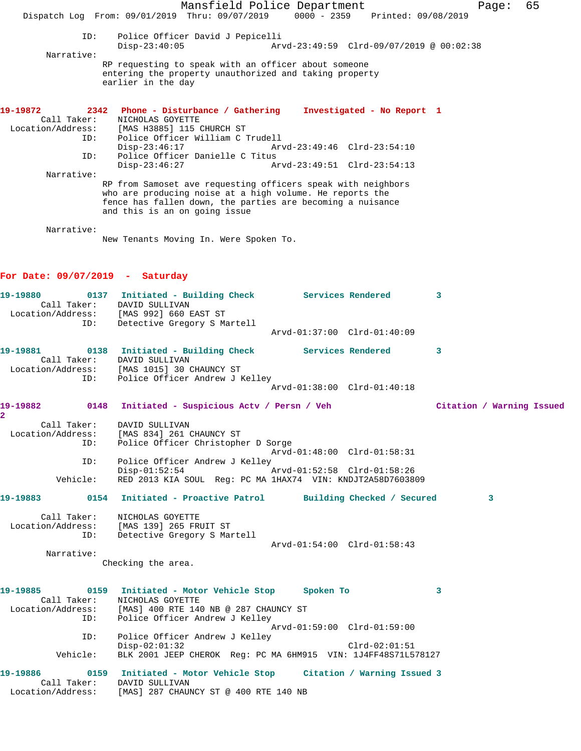Mansfield Police Department Fage: 65 Dispatch Log From: 09/01/2019 Thru: 09/07/2019 0000 - 2359 Printed: 09/08/2019 ID: Police Officer David J Pepicelli Disp-23:40:05 Arvd-23:49:59 Clrd-09/07/2019 @ 00:02:38 Narrative: RP requesting to speak with an officer about someone entering the property unauthorized and taking property earlier in the day **19-19872 2342 Phone - Disturbance / Gathering Investigated - No Report 1**  Call Taker: NICHOLAS GOYETTE Location/Address: [MAS H3885] 115 CHURCH ST ID: Police Officer William C Trudell Arvd-23:49:46 Clrd-23:54:10 ID: Police Officer Danielle C Titus Disp-23:46:27 Arvd-23:49:51 Clrd-23:54:13 Narrative: RP from Samoset ave requesting officers speak with neighbors who are producing noise at a high volume. He reports the fence has fallen down, the parties are becoming a nuisance and this is an on going issue Narrative: New Tenants Moving In. Were Spoken To. **For Date: 09/07/2019 - Saturday 19-19880 0137 Initiated - Building Check Services Rendered 3**  Call Taker: DAVID SULLIVAN Location/Address: [MAS 992] 660 EAST ST ID: Detective Gregory S Martell Arvd-01:37:00 Clrd-01:40:09 **19-19881 0138 Initiated - Building Check Services Rendered 3**  Call Taker: DAVID SULLIVAN Location/Address: [MAS 1015] 30 CHAUNCY ST ID: Police Officer Andrew J Kelley Arvd-01:38:00 Clrd-01:40:18 **19-19882 0148 Initiated - Suspicious Actv / Persn / Veh Citation / Warning Issued 2**  Call Taker: DAVID SULLIVAN Location/Address: [MAS 834] 261 CHAUNCY ST ID: Police Officer Christopher D Sorge Arvd-01:48:00 Clrd-01:58:31<br>ID: Police Officer Andrew J Kellev Police Officer Andrew J Kelley Disp-01:52:54 Arvd-01:52:58 Clrd-01:58:26<br>Vehicle: RED 2013 KIA SOUL Req: PC MA 1HAX74 VIN: KNDJT2A58D76038 RED 2013 KIA SOUL Reg: PC MA 1HAX74 VIN: KNDJT2A58D7603809 **19-19883 0154 Initiated - Proactive Patrol Building Checked / Secured 3** Call Taker: NICHOLAS GOYETTE Location/Address: [MAS 139] 265 FRUIT ST ID: Detective Gregory S Martell Arvd-01:54:00 Clrd-01:58:43 Narrative: Checking the area. **19-19885 0159 Initiated - Motor Vehicle Stop Spoken To 3**  Call Taker: NICHOLAS GOYETTE Location/Address: [MAS] 400 RTE 140 NB @ 287 CHAUNCY ST ID: Police Officer Andrew J Kelley Arvd-01:59:00 Clrd-01:59:00 ID: Police Officer Andrew J Kelley Disp-02:01:32 Clrd-02:01:51 Vehicle: BLK 2001 JEEP CHEROK Reg: PC MA 6HM915 VIN: 1J4FF48S71L578127 **19-19886 0159 Initiated - Motor Vehicle Stop Citation / Warning Issued 3**  Call Taker: DAVID SULLIVAN Location/Address: [MAS] 287 CHAUNCY ST @ 400 RTE 140 NB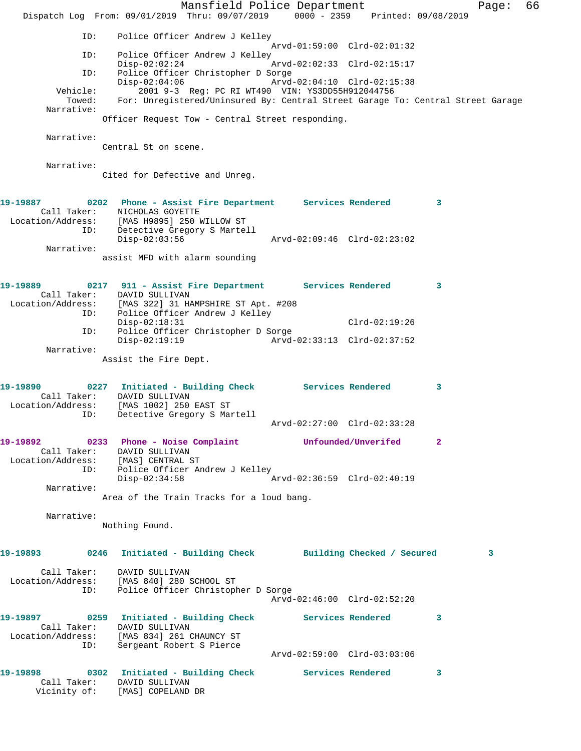Mansfield Police Department Fage: 66 Dispatch Log From: 09/01/2019 Thru: 09/07/2019 0000 - 2359 Printed: 09/08/2019 ID: Police Officer Andrew J Kelley Arvd-01:59:00 Clrd-02:01:32 ID: Police Officer Andrew J Kelley Disp-02:02:24 Arvd-02:02:33 Clrd-02:15:17 ID: Police Officer Christopher D Sorge<br>Disp-02:04:06 Arvd-02:04:10 Clrd-02:15:38 Disp-02:04:06 Arvd-02:04:10 Clrd-02:15:38 Vehicle: 2001 9-3 Reg: PC RI WT490 VIN: YS3DD55H912044756 Towed: For: Unregistered/Uninsured By: Central Street Garage To: Central Street Garage Narrative: Officer Request Tow - Central Street responding. Narrative: Central St on scene. Narrative: Cited for Defective and Unreg. **19-19887 0202 Phone - Assist Fire Department Services Rendered 3**  Call Taker: NICHOLAS GOYETTE Location/Address: [MAS H9895] 250 WILLOW ST ID: Detective Gregory S Martell Disp-02:03:56 Arvd-02:09:46 Clrd-02:23:02 Narrative: assist MFD with alarm sounding **19-19889 0217 911 - Assist Fire Department Services Rendered 3**  Call Taker: DAVID SULLIVAN Location/Address: [MAS 322] 31 HAMPSHIRE ST Apt. #208 ID: Police Officer Andrew J Kelley Disp-02:18:31 Clrd-02:19:26 ID: Police Officer Christopher D Sorge  $Disp-02:19:19$  Narrative: Assist the Fire Dept. **19-19890 0227 Initiated - Building Check Services Rendered 3**  Call Taker: DAVID SULLIVAN Location/Address: [MAS 1002] 250 EAST ST ID: Detective Gregory S Martell Arvd-02:27:00 Clrd-02:33:28 **19-19892 0233 Phone - Noise Complaint Unfounded/Unverifed 2**  Call Taker: DAVID SULLIVAN Location/Address: [MAS] CENTRAL ST ID: Police Officer Andrew J Kelley Disp-02:34:58 Arvd-02:36:59 Clrd-02:40:19 Narrative: Area of the Train Tracks for a loud bang. Narrative: Nothing Found. **19-19893 0246 Initiated - Building Check Building Checked / Secured 3** Call Taker: DAVID SULLIVAN Location/Address: [MAS 840] 280 SCHOOL ST ID: Police Officer Christopher D Sorge Arvd-02:46:00 Clrd-02:52:20 **19-19897 0259 Initiated - Building Check Services Rendered 3**  Call Taker: DAVID SULLIVAN Location/Address: [MAS 834] 261 CHAUNCY ST ID: Sergeant Robert S Pierce Arvd-02:59:00 Clrd-03:03:06 **19-19898 0302 Initiated - Building Check Services Rendered 3**  Call Taker: DAVID SULLIVAN Vicinity of: [MAS] COPELAND DR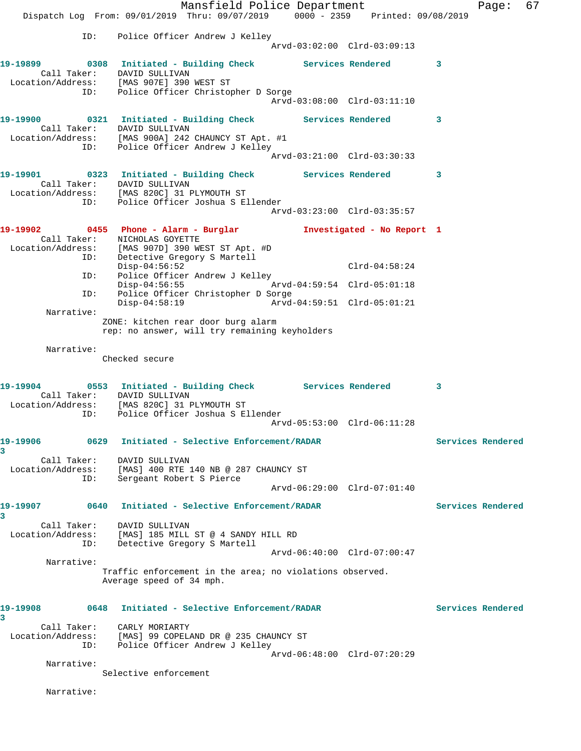Mansfield Police Department Fage: 67 Dispatch Log From: 09/01/2019 Thru: 09/07/2019 0000 - 2359 Printed: 09/08/2019 ID: Police Officer Andrew J Kelley Arvd-03:02:00 Clrd-03:09:13 19-19899 **0308** Initiated - Building Check Services Rendered 3 Call Taker: DAVID SULLIVAN Location/Address: [MAS 907E] 390 WEST ST ID: Police Officer Christopher D Sorge Arvd-03:08:00 Clrd-03:11:10 **19-19900 0321 Initiated - Building Check Services Rendered 3**  Call Taker: DAVID SULLIVAN Location/Address: [MAS 900A] 242 CHAUNCY ST Apt. #1 ID: Police Officer Andrew J Kelley Arvd-03:21:00 Clrd-03:30:33 **19-19901 0323 Initiated - Building Check Services Rendered 3**  Call Taker: DAVID SULLIVAN Location/Address: [MAS 820C] 31 PLYMOUTH ST ID: Police Officer Joshua S Ellender Arvd-03:23:00 Clrd-03:35:57 **19-19902 0455 Phone - Alarm - Burglar Investigated - No Report 1**  Call Taker: NICHOLAS GOYETTE Location/Address: [MAS 907D] 390 WEST ST Apt. #D ID: Detective Gregory S Martell Disp-04:56:52 Clrd-04:58:24 ID: Police Officer Andrew J Kelley Disp-04:56:55 Arvd-04:59:54 Clrd-05:01:18 ID: Police Officer Christopher D Sorge<br>Disp-04:58:19 Arvd- Disp-04:58:19 Arvd-04:59:51 Clrd-05:01:21 Narrative: ZONE: kitchen rear door burg alarm rep: no answer, will try remaining keyholders Narrative: Checked secure **19-19904 0553 Initiated - Building Check Services Rendered 3**  Call Taker: DAVID SULLIVAN Location/Address: [MAS 820C] 31 PLYMOUTH ST ID: Police Officer Joshua S Ellender Arvd-05:53:00 Clrd-06:11:28 **19-19906 0629 Initiated - Selective Enforcement/RADAR Services Rendered 3**  Call Taker: DAVID SULLIVAN Location/Address: [MAS] 400 RTE 140 NB @ 287 CHAUNCY ST ID: Sergeant Robert S Pierce Arvd-06:29:00 Clrd-07:01:40 **19-19907 0640 Initiated - Selective Enforcement/RADAR Services Rendered 3**  Call Taker: DAVID SULLIVAN Location/Address: [MAS] 185 MILL ST @ 4 SANDY HILL RD ID: Detective Gregory S Martell Arvd-06:40:00 Clrd-07:00:47 Narrative: Traffic enforcement in the area; no violations observed. Average speed of 34 mph. **19-19908 0648 Initiated - Selective Enforcement/RADAR Services Rendered 3**  Call Taker: CARLY MORIARTY Location/Address: [MAS] 99 COPELAND DR @ 235 CHAUNCY ST ID: Police Officer Andrew J Kelley Arvd-06:48:00 Clrd-07:20:29 Narrative: Selective enforcement

Narrative: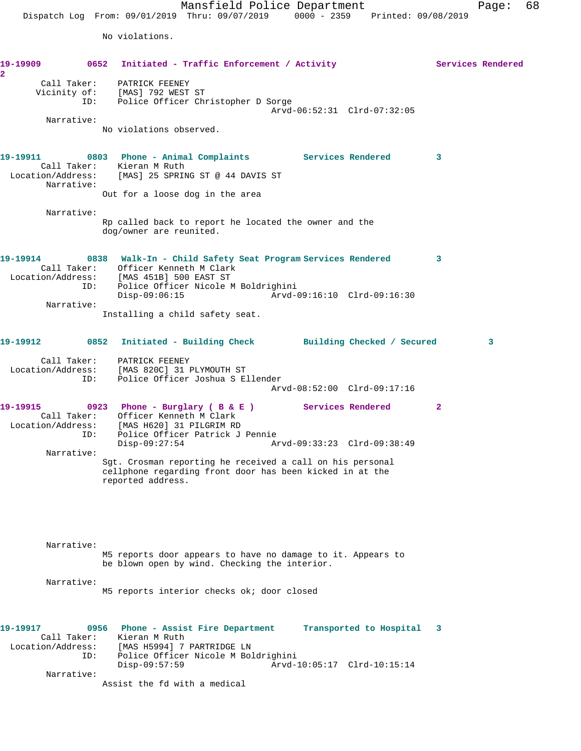Mansfield Police Department Page: 68 Dispatch Log From: 09/01/2019 Thru: 09/07/2019 0000 - 2359 Printed: 09/08/2019

No violations.

| 19-19909<br>2                                |             | 0652 Initiated - Traffic Enforcement / Activity                                                                                                                                                   |                             |                         | Services Rendered          |   |
|----------------------------------------------|-------------|---------------------------------------------------------------------------------------------------------------------------------------------------------------------------------------------------|-----------------------------|-------------------------|----------------------------|---|
|                                              | ID:         | Call Taker: PATRICK FEENEY<br>Vicinity of: [MAS] 792 WEST ST<br>Police Officer Christopher D Sorge                                                                                                | Arvd-06:52:31 Clrd-07:32:05 |                         |                            |   |
| Narrative:                                   |             | No violations observed.                                                                                                                                                                           |                             |                         |                            |   |
| Narrative:                                   |             | 19-19911 		 0803 Phone - Animal Complaints Services Rendered<br>Call Taker: Kieran M Ruth<br>Location/Address: [MAS] 25 SPRING ST @ 44 DAVIS ST                                                   |                             |                         | $\overline{\phantom{a}}$ 3 |   |
|                                              |             | Out for a loose dog in the area                                                                                                                                                                   |                             |                         |                            |   |
| Narrative:                                   |             | Rp called back to report he located the owner and the<br>dog/owner are reunited.                                                                                                                  |                             |                         |                            |   |
|                                              |             | 19-19914 6838 Walk-In - Child Safety Seat Program Services Rendered<br>Call Taker: Officer Kenneth M Clark<br>Location/Address: [MAS 451B] 500 EAST ST<br>ID: Police Officer Nicole M Boldrighini |                             |                         | 3                          |   |
|                                              |             | $Disp-09:06:15$                                                                                                                                                                                   | Arvd-09:16:10 Clrd-09:16:30 |                         |                            |   |
| Narrative:                                   |             | Installing a child safety seat.                                                                                                                                                                   |                             |                         |                            |   |
| 19-19912 0852                                |             | Initiated - Building Check Building Checked / Secured                                                                                                                                             |                             |                         |                            | 3 |
|                                              | ID:         | Call Taker: PATRICK FEENEY<br>Location/Address: [MAS 820C] 31 PLYMOUTH ST<br>Police Officer Joshua S Ellender                                                                                     |                             |                         |                            |   |
|                                              |             |                                                                                                                                                                                                   | Arvd-08:52:00 Clrd-09:17:16 |                         |                            |   |
| 19-19915                                     |             | 0923 Phone - Burglary ( B & E ) Services Rendered<br>Call Taker: Officer Kenneth M Clark<br>Location/Address: [MAS H620] 31 PILGRIM RD<br>ID: Police Officer Patrick J Pennie                     |                             |                         | $\mathbf{2}$               |   |
| Narrative:                                   |             | Disp-09:27:54                                                                                                                                                                                     | Arvd-09:33:23 Clrd-09:38:49 |                         |                            |   |
|                                              |             | Sgt. Crosman reporting he received a call on his personal<br>cellphone regarding front door has been kicked in at the<br>reported address.                                                        |                             |                         |                            |   |
|                                              |             |                                                                                                                                                                                                   |                             |                         |                            |   |
| Narrative:                                   |             | M5 reports door appears to have no damage to it. Appears to<br>be blown open by wind. Checking the interior.                                                                                      |                             |                         |                            |   |
| Narrative:                                   |             | M5 reports interior checks ok; door closed                                                                                                                                                        |                             |                         |                            |   |
| 19-19917<br>Call Taker:<br>Location/Address: | 0956<br>ID: | Phone - Assist Fire Department<br>Kieran M Ruth<br>[MAS H5994] 7 PARTRIDGE LN<br>Police Officer Nicole M Boldrighini                                                                              |                             | Transported to Hospital | 3                          |   |
| Narrative:                                   |             | Disp-09:57:59<br>Assist the fd with a medical                                                                                                                                                     | Arvd-10:05:17 Clrd-10:15:14 |                         |                            |   |
|                                              |             |                                                                                                                                                                                                   |                             |                         |                            |   |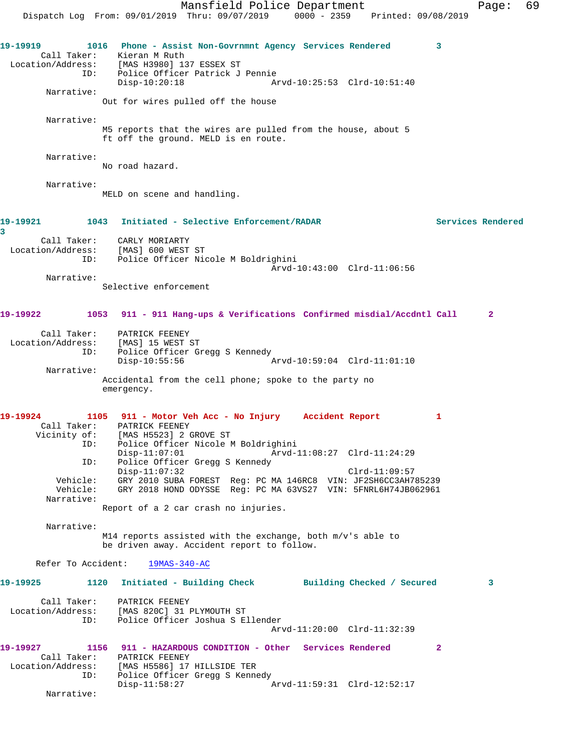Mansfield Police Department Fage: 69 Dispatch Log From: 09/01/2019 Thru: 09/07/2019 0000 - 2359 Printed: 09/08/2019 **19-19919 1016 Phone - Assist Non-Govrnmnt Agency Services Rendered 3**  Call Taker: Kieran M Ruth Location/Address: [MAS H3980] 137 ESSEX ST ess: [MAS H3980] 137 ESSEX ST<br>ID: Police Officer Patrick J Pennie<br>Disp-10:20:18 Disp-10:20:18 Arvd-10:25:53 Clrd-10:51:40 Narrative: Out for wires pulled off the house Narrative: M5 reports that the wires are pulled from the house, about 5 ft off the ground. MELD is en route. Narrative: No road hazard. Narrative: MELD on scene and handling. **19-19921 1043 Initiated - Selective Enforcement/RADAR Services Rendered 3**  Call Taker: CARLY MORIARTY Location/Address: [MAS] 600 WEST ST ID: Police Officer Nicole M Boldrighini Arvd-10:43:00 Clrd-11:06:56 Narrative: Selective enforcement **19-19922 1053 911 - 911 Hang-ups & Verifications Confirmed misdial/Accdntl Call 2** Call Taker: PATRICK FEENEY Location/Address: [MAS] 15 WEST ST ID: Police Officer Gregg S Kennedy Disp-10:55:56 Arvd-10:59:04 Clrd-11:01:10 Narrative: Accidental from the cell phone; spoke to the party no emergency. **19-19924 1105 911 - Motor Veh Acc - No Injury Accident Report 1**  Call Taker: PATRICK FEENEY Vicinity of: [MAS H5523] 2 GROVE ST ID: Police Officer Nicole M Boldrighini<br>Disp-11:07:01 Arvd- Disp-11:07:01 Arvd-11:08:27 Clrd-11:24:29 ID: Police Officer Gregg S Kennedy Disp-11:07:32 Clrd-11:09:57 Vehicle: GRY 2010 SUBA FOREST Reg: PC MA 146RC8 VIN: JF2SH6CC3AH785239 Vehicle: GRY 2018 HOND ODYSSE Reg: PC MA 63VS27 VIN: 5FNRL6H74JB062961 Narrative: Report of a 2 car crash no injuries. Narrative: M14 reports assisted with the exchange, both m/v's able to be driven away. Accident report to follow. Refer To Accident: 19MAS-340-AC **19-19925 1120 Initiated - Building Check Building Checked / Secured 3** Call Taker: PATRICK FEENEY Location/Address: [MAS 820C] 31 PLYMOUTH ST ID: Police Officer Joshua S Ellender Arvd-11:20:00 Clrd-11:32:39 **19-19927 1156 911 - HAZARDOUS CONDITION - Other Services Rendered 2**  Call Taker: PATRICK FEENEY Location/Address: [MAS H5586] 17 HILLSIDE TER ID: Police Officer Gregg S Kennedy Disp-11:58:27 Arvd-11:59:31 Clrd-12:52:17 Narrative: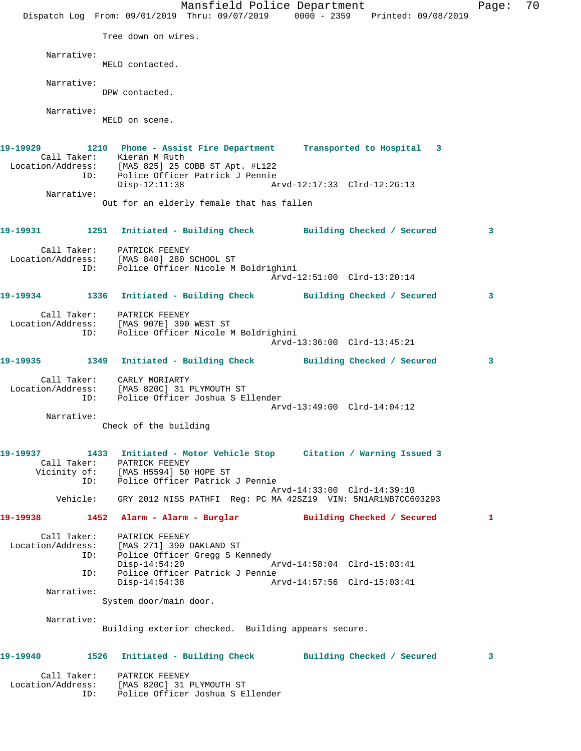Mansfield Police Department Fage: 70 Dispatch Log From: 09/01/2019 Thru: 09/07/2019 0000 - 2359 Printed: 09/08/2019 Tree down on wires. Narrative: MELD contacted. Narrative: DPW contacted. Narrative: MELD on scene. **19-19929 1210 Phone - Assist Fire Department Transported to Hospital 3**  Call Taker: Kieran M Ruth Location/Address: [MAS 825] 25 COBB ST Apt. #L122 ID: Police Officer Patrick J Pennie Disp-12:11:38 Arvd-12:17:33 Clrd-12:26:13 Narrative: Out for an elderly female that has fallen **19-19931 1251 Initiated - Building Check Building Checked / Secured 3** Call Taker: PATRICK FEENEY Location/Address: [MAS 840] 280 SCHOOL ST ID: Police Officer Nicole M Boldrighini Arvd-12:51:00 Clrd-13:20:14 **19-19934 1336 Initiated - Building Check Building Checked / Secured 3** Call Taker: PATRICK FEENEY Location/Address: [MAS 907E] 390 WEST ST ID: Police Officer Nicole M Boldrighini Arvd-13:36:00 Clrd-13:45:21 **19-19935 1349 Initiated - Building Check Building Checked / Secured 3** Call Taker: CARLY MORIARTY Location/Address: [MAS 820C] 31 PLYMOUTH ST ID: Police Officer Joshua S Ellender Arvd-13:49:00 Clrd-14:04:12 Narrative: Check of the building **19-19937 1433 Initiated - Motor Vehicle Stop Citation / Warning Issued 3**  Call Taker: PATRICK FEENEY Vicinity of: [MAS H5594] 50 HOPE ST<br>TD: Police Officer Patrick Police Officer Patrick J Pennie Arvd-14:33:00 Clrd-14:39:10 Vehicle: GRY 2012 NISS PATHFI Reg: PC MA 42SZ19 VIN: 5N1AR1NB7CC603293 **19-19938 1452 Alarm - Alarm - Burglar Building Checked / Secured 1** Call Taker: PATRICK FEENEY Location/Address: [MAS 271] 390 OAKLAND ST ID: Police Officer Gregg S Kennedy Disp-14:54:20 Arvd-14:58:04 Clrd-15:03:41 ID: Police Officer Patrick J Pennie Disp-14:54:38 Arvd-14:57:56 Clrd-15:03:41 Narrative: System door/main door. Narrative: Building exterior checked. Building appears secure. **19-19940 1526 Initiated - Building Check Building Checked / Secured 3** Call Taker: PATRICK FEENEY Location/Address: [MAS 820C] 31 PLYMOUTH ST ID: Police Officer Joshua S Ellender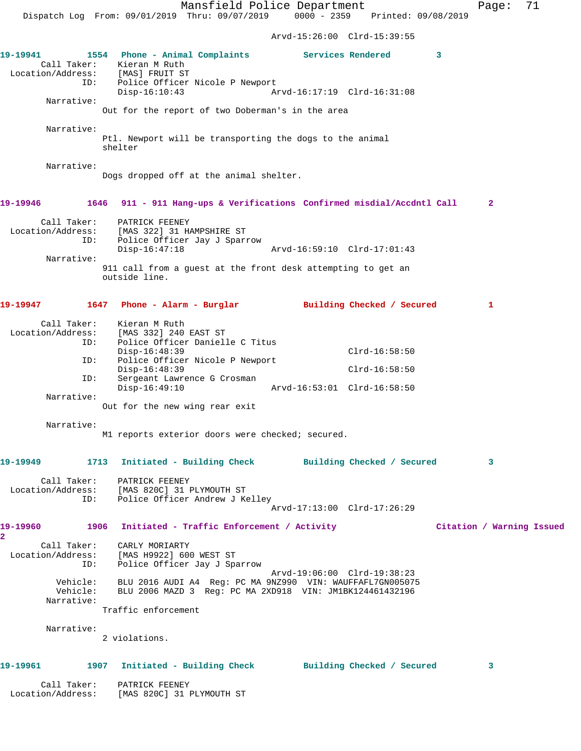Mansfield Police Department Fage: 71

Dispatch Log From: 09/01/2019 Thru: 09/07/2019 0000 - 2359 Printed: 09/08/2019

Arvd-15:26:00 Clrd-15:39:55

| 19-19941     |                    | 1554 Phone - Animal Complaints Services Rendered<br>Call Taker: Kieran M Ruth<br>Location/Address: [MAS] FRUIT ST                                  |                             |                            | 3 |                           |
|--------------|--------------------|----------------------------------------------------------------------------------------------------------------------------------------------------|-----------------------------|----------------------------|---|---------------------------|
| Narrative:   | ID:                | Police Officer Nicole P Newport<br>$Disp-16:10:43$                                                                                                 | Arvd-16:17:19 Clrd-16:31:08 |                            |   |                           |
|              |                    | Out for the report of two Doberman's in the area                                                                                                   |                             |                            |   |                           |
| Narrative:   |                    | Ptl. Newport will be transporting the dogs to the animal<br>shelter                                                                                |                             |                            |   |                           |
| Narrative:   |                    | Dogs dropped off at the animal shelter.                                                                                                            |                             |                            |   |                           |
| 19-19946     |                    | 1646 911 - 911 Hang-ups & Verifications Confirmed misdial/Accdntl Call                                                                             |                             |                            |   | $\mathbf{2}$              |
|              | Call Taker:<br>ID: | PATRICK FEENEY<br>Location/Address: [MAS 322] 31 HAMPSHIRE ST<br>ID: Police Officer Jay J Spar:<br>Police Officer Jay J Sparrow<br>$Disp-16:47:18$ | Arvd-16:59:10 Clrd-17:01:43 |                            |   |                           |
| Narrative:   |                    |                                                                                                                                                    |                             |                            |   |                           |
|              |                    | 911 call from a quest at the front desk attempting to get an<br>outside line.                                                                      |                             |                            |   |                           |
| 19-19947     |                    | 1647 Phone - Alarm - Burglar               Building Checked / Secured                                                                              |                             |                            |   | $\mathbf{1}$              |
| Call Taker:  |                    | Kieran M Ruth                                                                                                                                      |                             |                            |   |                           |
|              | ID:                | Location/Address: [MAS 332] 240 EAST ST<br>Police Officer Danielle C Titus                                                                         |                             |                            |   |                           |
|              | ID:                | $Disp-16:48:39$<br>Police Officer Nicole P Newport                                                                                                 |                             | $Clrd-16:58:50$            |   |                           |
|              |                    | $Disp-16:48:39$                                                                                                                                    |                             | $Clrd-16:58:50$            |   |                           |
|              | ID:                | Sergeant Lawrence G Crosman<br>$Disp-16:49:10$                                                                                                     | Arvd-16:53:01 Clrd-16:58:50 |                            |   |                           |
| Narrative:   |                    | Out for the new wing rear exit                                                                                                                     |                             |                            |   |                           |
|              |                    |                                                                                                                                                    |                             |                            |   |                           |
| Narrative:   |                    | M1 reports exterior doors were checked; secured.                                                                                                   |                             |                            |   |                           |
| 19-19949     |                    | 1713 Initiated - Building Check                                                                                                                    |                             | Building Checked / Secured |   | 3                         |
|              |                    | Call Taker: PATRICK FEENEY<br>Location/Address: [MAS 820C] 31 PLYMOUTH ST<br>ID: Police Officer Andrew J Kelley                                    | Arvd-17:13:00 Clrd-17:26:29 |                            |   |                           |
| 19-19960     |                    | 1906 Initiated - Traffic Enforcement / Activity                                                                                                    |                             |                            |   | Citation / Warning Issued |
| $\mathbf{2}$ |                    | Call Taker: CARLY MORIARTY<br>Location/Address: [MAS H9922] 600 WEST ST<br>ID: Police Officer Jay J Sparrow                                        |                             |                            |   |                           |
|              | Narrative:         | Vehicle: BLU 2016 AUDI A4 Reg: PC MA 9NZ990 VIN: WAUFFAFL7GN005075<br>Vehicle: BLU 2006 MAZD 3 Reg: PC MA 2XD918 VIN: JM1BK124461432196            | Arvd-19:06:00 Clrd-19:38:23 |                            |   |                           |
|              |                    | Traffic enforcement                                                                                                                                |                             |                            |   |                           |
| Narrative:   |                    | 2 violations.                                                                                                                                      |                             |                            |   |                           |
| 19-19961     |                    | 1907 Initiated - Building Check Building Checked / Secured                                                                                         |                             |                            |   | 3                         |
|              |                    | Call Taker: PATRICK FEENEY<br>Location/Address: [MAS 820C] 31 PLYMOUTH ST                                                                          |                             |                            |   |                           |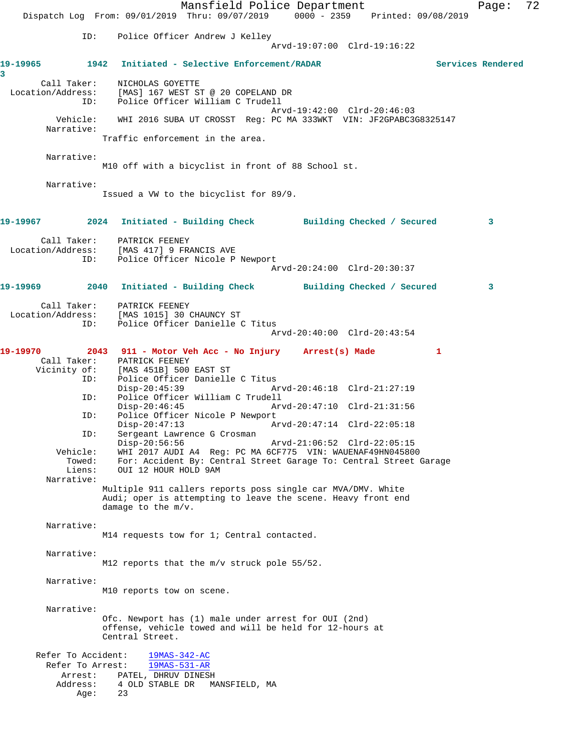Mansfield Police Department Page: 72 Dispatch Log From: 09/01/2019 Thru: 09/07/2019 0000 - 2359 Printed: 09/08/2019 ID: Police Officer Andrew J Kelley Arvd-19:07:00 Clrd-19:16:22 **19-19965 1942 Initiated - Selective Enforcement/RADAR Services Rendered 3**  Call Taker: NICHOLAS GOYETTE Location/Address: [MAS] 167 WEST ST @ 20 COPELAND DR ID: Police Officer William C Trudell Arvd-19:42:00 Clrd-20:46:03<br>Vehicle: WHI 2016 SUBA UT CROSST Req: PC MA 333WKT VIN: JF2GPABC3 Vehicle: WHI 2016 SUBA UT CROSST Reg: PC MA 333WKT VIN: JF2GPABC3G8325147 Narrative: Traffic enforcement in the area. Narrative: M10 off with a bicyclist in front of 88 School st. Narrative: Issued a VW to the bicyclist for 89/9. **19-19967 2024 Initiated - Building Check Building Checked / Secured 3** Call Taker: PATRICK FEENEY Location/Address: [MAS 417] 9 FRANCIS AVE ID: Police Officer Nicole P Newport Arvd-20:24:00 Clrd-20:30:37 **19-19969 2040 Initiated - Building Check Building Checked / Secured 3** Call Taker: PATRICK FEENEY Location/Address: [MAS 1015] 30 CHAUNCY ST ID: Police Officer Danielle C Titus Arvd-20:40:00 Clrd-20:43:54 **19-19970 2043 911 - Motor Veh Acc - No Injury Arrest(s) Made 1**  Call Taker: PATRICK FEENEY<br>Vicinity of: [MAS 451B] 500 of: [MAS 451B] 500 EAST ST<br>ID: Police Officer Danielle Police Officer Danielle C Titus<br>Disp-20:45:39 Ar Disp-20:45:39 Arvd-20:46:18 Clrd-21:27:19 ID: Police Officer William C Trudell Disp-20:46:45 Arvd-20:47:10 Clrd-21:31:56<br>TD: Police Officer Nicole P Newport Police Officer Nicole P Newport Disp-20:47:13 Arvd-20:47:14 Clrd-22:05:18 ID: Sergeant Lawrence G Crosman Arvd-21:06:52 Clrd-22:05:15 Vehicle: WHI 2017 AUDI A4 Reg: PC MA 6CF775 VIN: WAUENAF49HN045800 Towed: For: Accident By: Central Street Garage To: Central Street Garage Liens: OUI 12 HOUR HOLD 9AM Narrative: Multiple 911 callers reports poss single car MVA/DMV. White Audi; oper is attempting to leave the scene. Heavy front end damage to the m/v. Narrative: M14 requests tow for 1; Central contacted. Narrative: M12 reports that the m/v struck pole 55/52. Narrative: M10 reports tow on scene. Narrative: Ofc. Newport has (1) male under arrest for OUI (2nd) offense, vehicle towed and will be held for 12-hours at Central Street. Refer To Accident: 19MAS-342-AC Refer To Arrest: 19MAS-531-AR Arrest: PATEL, DHRUV DINESH Address: 4 OLD STABLE DR MANSFIELD, MA Age: 23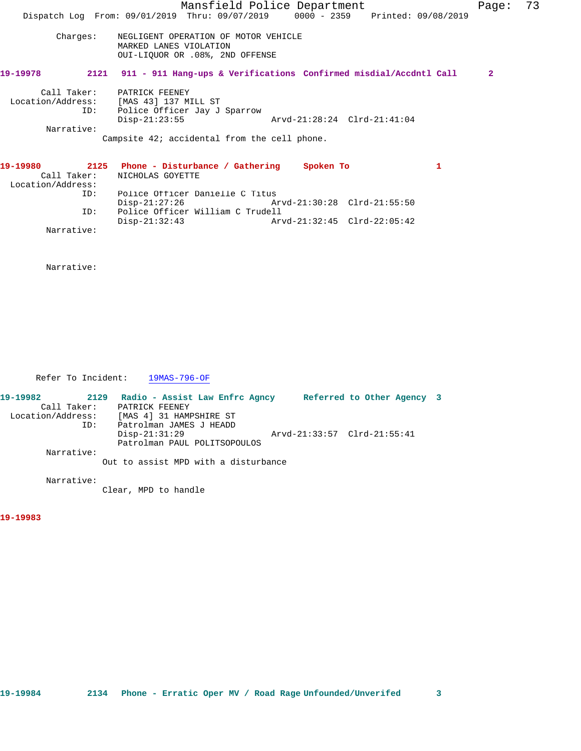|                   | Mansfield Police Department                                                    | Page:        | 73 |
|-------------------|--------------------------------------------------------------------------------|--------------|----|
|                   | Dispatch Log From: 09/01/2019 Thru: 09/07/2019 0000 - 2359 Printed: 09/08/2019 |              |    |
|                   |                                                                                |              |    |
| Charges:          | NEGLIGENT OPERATION OF MOTOR VEHICLE                                           |              |    |
|                   | MARKED LANES VIOLATION<br>OUI-LIQUOR OR .08%, 2ND OFFENSE                      |              |    |
| 19-19978          |                                                                                |              |    |
|                   | 2121 911 - 911 Hang-ups & Verifications Confirmed misdial/Accdntl Call         | $\mathbf{2}$ |    |
| Call Taker:       | PATRICK FEENEY                                                                 |              |    |
|                   | Location/Address: [MAS 43] 137 MILL ST                                         |              |    |
| ID:               | Police Officer Jay J Sparrow                                                   |              |    |
|                   | $Disp-21:23:55$<br>Arvd-21:28:24 Clrd-21:41:04                                 |              |    |
| Narrative:        |                                                                                |              |    |
|                   | Campsite 42; accidental from the cell phone.                                   |              |    |
| 19-19980          | 2125 Phone - Disturbance / Gathering<br>Spoken To<br>1                         |              |    |
| Call Taker:       | NICHOLAS GOYETTE                                                               |              |    |
| Location/Address: |                                                                                |              |    |
| ID:               | Police Officer Danielle C Titus                                                |              |    |
|                   | $Disp-21:27:26$                                                                |              |    |
| ID:               | Police Officer William C Trudell                                               |              |    |
|                   | $Disp-21:32:43$                                                                |              |    |
| Narrative:        |                                                                                |              |    |

Narrative:

Refer To Incident: 19MAS-796-OF

| 19-19982          | 2129 | Radio - Assist Law Enfrc Agncy       |                             | Referred to Other Agency 3 |  |
|-------------------|------|--------------------------------------|-----------------------------|----------------------------|--|
| Call Taker:       |      | PATRICK FEENEY                       |                             |                            |  |
| Location/Address: |      | [MAS 4] 31 HAMPSHIRE ST              |                             |                            |  |
|                   | ID:  | Patrolman JAMES J HEADD              |                             |                            |  |
|                   |      | $Disp-21:31:29$                      | Arvd-21:33:57 Clrd-21:55:41 |                            |  |
|                   |      | Patrolman PAUL POLITSOPOULOS         |                             |                            |  |
| Narrative:        |      |                                      |                             |                            |  |
|                   |      | Out to assist MPD with a disturbance |                             |                            |  |

Narrative:

Clear, MPD to handle

**19-19983**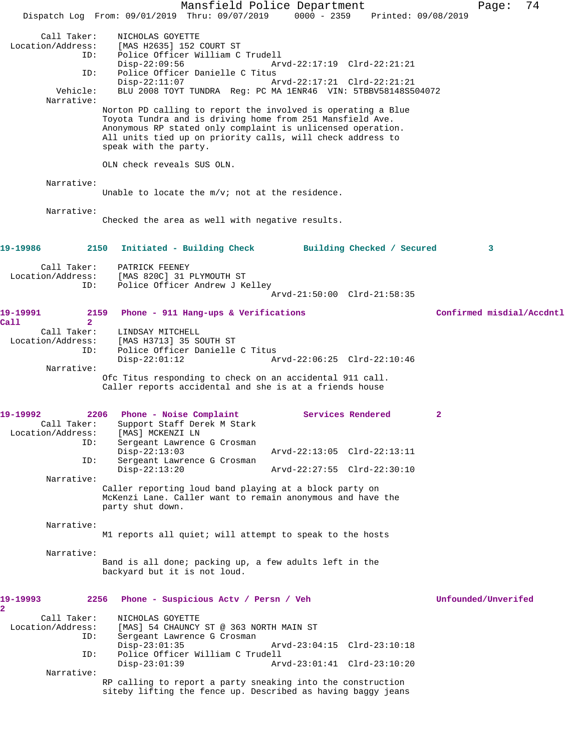Mansfield Police Department Page: 74 Dispatch Log From: 09/01/2019 Thru: 09/07/2019 0000 - 2359 Printed: 09/08/2019 Call Taker: NICHOLAS GOYETTE<br>Iocation/Address: [MAS H2635] 152 [MAS H2635] 152 COURT ST ID: Police Officer William C Trudell Disp-22:09:56 Arvd-22:17:19 Clrd-22:21:21<br>ID: Police Officer Danielle C Titus Police Officer Danielle C Titus Disp-22:11:07 Arvd-22:17:21 Clrd-22:21:21 Vehicle: BLU 2008 TOYT TUNDRA Reg: PC MA 1ENR46 VIN: 5TBBV58148S504072 Narrative: Norton PD calling to report the involved is operating a Blue Toyota Tundra and is driving home from 251 Mansfield Ave. Anonymous RP stated only complaint is unlicensed operation. All units tied up on priority calls, will check address to speak with the party. OLN check reveals SUS OLN. Narrative: Unable to locate the m/v; not at the residence. Narrative: Checked the area as well with negative results. **19-19986 2150 Initiated - Building Check Building Checked / Secured 3** Call Taker: PATRICK FEENEY<br>Location/Address: [MAS 820C] 31 I ess: [MAS 820C] 31 PLYMOUTH ST<br>ID: Police Officer Andrew J Ke Police Officer Andrew J Kelley Arvd-21:50:00 Clrd-21:58:35 **19-19991 2159 Phone - 911 Hang-ups & Verifications Confirmed misdial/Accdntl Call 2**  Call Taker: LINDSAY MITCHELL Location/Address: [MAS H3713] 35 SOUTH ST Police Officer Danielle C Titus<br>Disp-22:01:12 A Arvd-22:06:25 Clrd-22:10:46 Narrative: Ofc Titus responding to check on an accidental 911 call. Caller reports accidental and she is at a friends house 19-19992 2206 Phone - Noise Complaint **Services Rendered** 2<br>Call Taker: Support Staff Derek M Stark Support Staff Derek M Stark<br>[MAS] MCKENZI LN Location/Address:<br>ID: Sergeant Lawrence G Crosman<br>Disp-22:13:03 Disp-22:13:03 Arvd-22:13:05 Clrd-22:13:11 ID: Sergeant Lawrence G Crosman Disp-22:13:20 Arvd-22:27:55 Clrd-22:30:10 Narrative: Caller reporting loud band playing at a block party on McKenzi Lane. Caller want to remain anonymous and have the party shut down. Narrative: M1 reports all quiet; will attempt to speak to the hosts Narrative: Band is all done; packing up, a few adults left in the backyard but it is not loud. **19-19993 2256 Phone - Suspicious Actv / Persn / Veh Unfounded/Unverifed 2**  Call Taker: NICHOLAS GOYETTE Location/Address: [MAS] 54 CHAUNCY ST @ 363 NORTH MAIN ST ID: Sergeant Lawrence G Crosman Disp-23:01:35 Arvd-23:04:15 Clrd-23:10:18 ID: Police Officer William C Trudell Disp-23:01:39 Arvd-23:01:41 Clrd-23:10:20 Narrative: RP calling to report a party sneaking into the construction siteby lifting the fence up. Described as having baggy jeans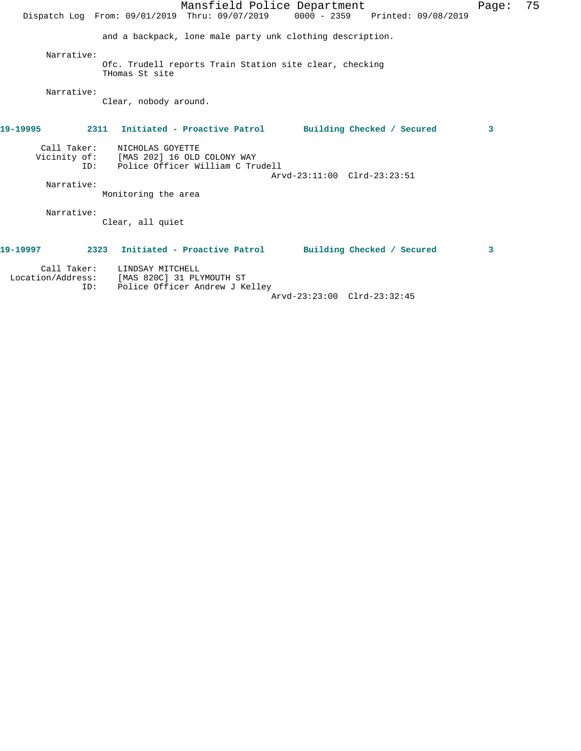| Mansfield Police Department<br>Dispatch Log From: 09/01/2019 Thru: 09/07/2019 0000 - 2359 Printed: 09/08/2019                                         | Page: | 75 |
|-------------------------------------------------------------------------------------------------------------------------------------------------------|-------|----|
| and a backpack, lone male party unk clothing description.                                                                                             |       |    |
| Narrative:<br>Ofc. Trudell reports Train Station site clear, checking<br>THomas St site                                                               |       |    |
| Narrative:<br>Clear, nobody around.                                                                                                                   |       |    |
| 19-19995<br>2311 Initiated - Proactive Patrol Building Checked / Secured                                                                              | 3     |    |
| Call Taker:<br>NICHOLAS GOYETTE<br>Vicinity of: [MAS 202] 16 OLD COLONY WAY<br>Police Officer William C Trudell<br>TD:<br>Arvd-23:11:00 Clrd-23:23:51 |       |    |
| Narrative:<br>Monitoring the area                                                                                                                     |       |    |
| Narrative:<br>Clear, all quiet                                                                                                                        |       |    |
| 19-19997<br>2323 Initiated - Proactive Patrol Building Checked / Secured                                                                              | 3     |    |
| Call Taker:<br>LINDSAY MITCHELL<br>Location/Address:<br>[MAS 820C] 31 PLYMOUTH ST<br>ID:<br>Police Officer Andrew J Kelley                            |       |    |

Arvd-23:23:00 Clrd-23:32:45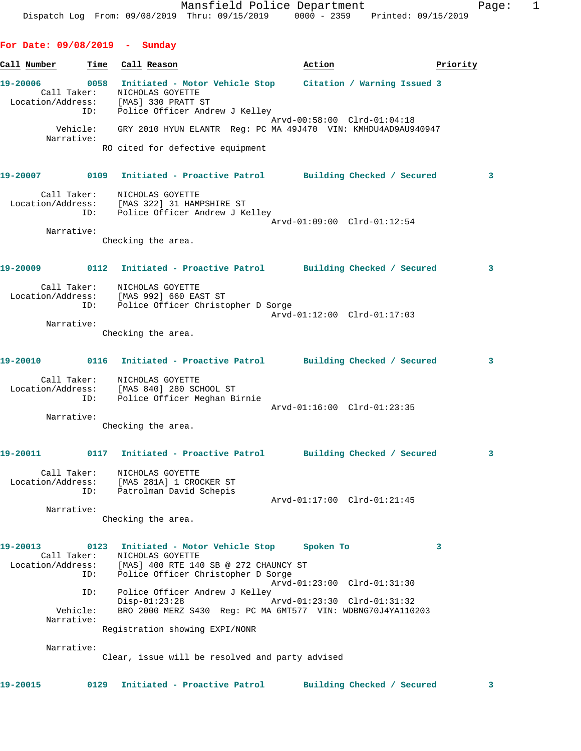**For Date: 09/08/2019 - Sunday** Call Number **Time** Call Reason **Action Action Priority 19-20006 0058 Initiated - Motor Vehicle Stop Citation / Warning Issued 3**  Call Taker: NICHOLAS GOYETTE Location/Address: [MAS] 330 PRATT ST ID: Police Officer Andrew J Kelley Arvd-00:58:00 Clrd-01:04:18 Vehicle: GRY 2010 HYUN ELANTR Reg: PC MA 49J470 VIN: KMHDU4AD9AU940947 Narrative: RO cited for defective equipment **19-20007 0109 Initiated - Proactive Patrol Building Checked / Secured 3** Call Taker: NICHOLAS GOYETTE Location/Address: [MAS 322] 31 HAMPSHIRE ST ID: Police Officer Andrew J Kelley Arvd-01:09:00 Clrd-01:12:54 Narrative: Checking the area. **19-20009 0112 Initiated - Proactive Patrol Building Checked / Secured 3** Call Taker: NICHOLAS GOYETTE Location/Address: [MAS 992] 660 EAST ST ID: Police Officer Christopher D Sorge Arvd-01:12:00 Clrd-01:17:03 Narrative: Checking the area. **19-20010 0116 Initiated - Proactive Patrol Building Checked / Secured 3** Call Taker: NICHOLAS GOYETTE Location/Address: [MAS 840] 280 SCHOOL ST ID: Police Officer Meghan Birnie Arvd-01:16:00 Clrd-01:23:35 Narrative: Checking the area. **19-20011 0117 Initiated - Proactive Patrol Building Checked / Secured 3** Call Taker: NICHOLAS GOYETTE Location/Address: [MAS 281A] 1 CROCKER ST ID: Patrolman David Schepis Arvd-01:17:00 Clrd-01:21:45 Narrative: Checking the area. **19-20013 0123 Initiated - Motor Vehicle Stop Spoken To 3**  Call Taker: NICHOLAS GOYETTE Location/Address: [MAS] 400 RTE 140 SB @ 272 CHAUNCY ST ID: Police Officer Christopher D Sorge Arvd-01:23:00 Clrd-01:31:30 ID: Police Officer Andrew J Kelley Disp-01:23:28 Arvd-01:23:30 Clrd-01:31:32 Vehicle: BRO 2000 MERZ S430 Reg: PC MA 6MT577 VIN: WDBNG70J4YA110203 Narrative: Registration showing EXPI/NONR Narrative: Clear, issue will be resolved and party advised

**19-20015 0129 Initiated - Proactive Patrol Building Checked / Secured 3**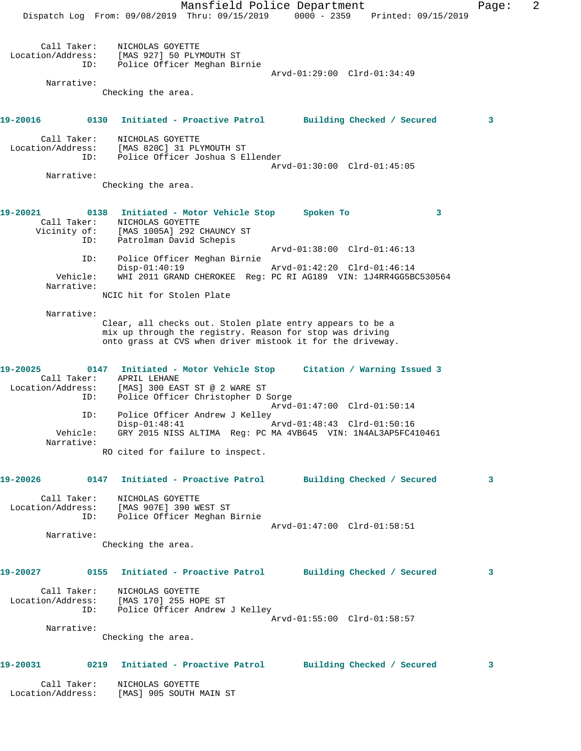Mansfield Police Department Fage: 2 Dispatch Log From: 09/08/2019 Thru: 09/15/2019 0000 - 2359 Printed: 09/15/2019 Call Taker: NICHOLAS GOYETTE Location/Address: [MAS 927] 50 PLYMOUTH ST ID: Police Officer Meghan Birnie Arvd-01:29:00 Clrd-01:34:49 Narrative: Checking the area. **19-20016 0130 Initiated - Proactive Patrol Building Checked / Secured 3** Call Taker: NICHOLAS GOYETTE Location/Address: [MAS 820C] 31 PLYMOUTH ST ID: Police Officer Joshua S Ellender Arvd-01:30:00 Clrd-01:45:05 Narrative: Checking the area. **19-20021 0138 Initiated - Motor Vehicle Stop Spoken To 3**  Call Taker: NICHOLAS GOYETTE Vicinity of: [MAS 1005A] 292 CHAUNCY ST<br>ID: Patrolman David Schepis Patrolman David Schepis Arvd-01:38:00 Clrd-01:46:13 ID: Police Officer Meghan Birnie Disp-01:40:19 Arvd-01:42:20 Clrd-01:46:14 Vehicle: WHI 2011 GRAND CHEROKEE Reg: PC RI AG189 VIN: 1J4RR4GG5BC530564 Narrative: NCIC hit for Stolen Plate Narrative: Clear, all checks out. Stolen plate entry appears to be a mix up through the registry. Reason for stop was driving onto grass at CVS when driver mistook it for the driveway. **19-20025 0147 Initiated - Motor Vehicle Stop Citation / Warning Issued 3**  Call Taker: APRIL LEHANE Location/Address: [MAS] 300 EAST ST @ 2 WARE ST ID: Police Officer Christopher D Sorge Arvd-01:47:00 Clrd-01:50:14 ID: Police Officer Andrew J Kelley Disp-01:48:41 Arvd-01:48:43 Clrd-01:50:16 Vehicle: GRY 2015 NISS ALTIMA Reg: PC MA 4VB645 VIN: 1N4AL3AP5FC410461 Narrative: RO cited for failure to inspect. **19-20026 0147 Initiated - Proactive Patrol Building Checked / Secured 3** Call Taker: NICHOLAS GOYETTE Location/Address: [MAS 907E] 390 WEST ST ID: Police Officer Meghan Birnie Arvd-01:47:00 Clrd-01:58:51 Narrative: Checking the area. **19-20027 0155 Initiated - Proactive Patrol Building Checked / Secured 3** Call Taker: NICHOLAS GOYETTE Location/Address: [MAS 170] 255 HOPE ST ID: Police Officer Andrew J Kelley Arvd-01:55:00 Clrd-01:58:57 Narrative: Checking the area. **19-20031 0219 Initiated - Proactive Patrol Building Checked / Secured 3** Call Taker: NICHOLAS GOYETTE Location/Address: [MAS] 905 SOUTH MAIN ST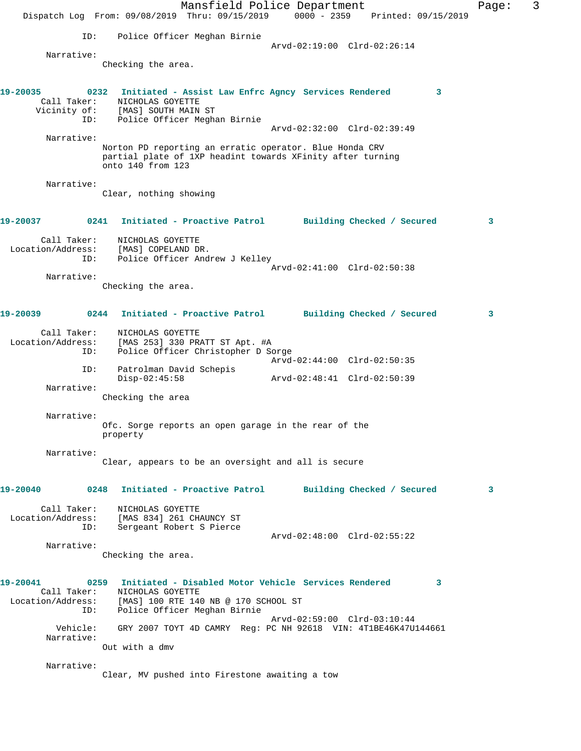Mansfield Police Department Fage: 3 Dispatch Log From: 09/08/2019 Thru: 09/15/2019 0000 - 2359 Printed: 09/15/2019 ID: Police Officer Meghan Birnie Arvd-02:19:00 Clrd-02:26:14 Narrative: Checking the area. **19-20035 0232 Initiated - Assist Law Enfrc Agncy Services Rendered 3**  Call Taker: NICHOLAS GOYETTE Vicinity of: [MAS] SOUTH MAIN ST ID: Police Officer Meghan Birnie Arvd-02:32:00 Clrd-02:39:49 Narrative: Norton PD reporting an erratic operator. Blue Honda CRV partial plate of 1XP headint towards XFinity after turning onto 140 from 123 Narrative: Clear, nothing showing **19-20037 0241 Initiated - Proactive Patrol Building Checked / Secured 3** Call Taker: NICHOLAS GOYETTE Location/Address: [MAS] COPELAND DR. ESS: IPAN, COLLETING 2...<br>ID: Police Officer Andrew J Kelley Arvd-02:41:00 Clrd-02:50:38 Narrative: Checking the area. **19-20039 0244 Initiated - Proactive Patrol Building Checked / Secured 3** Call Taker: NICHOLAS GOYETTE Location/Address: [MAS 253] 330 PRATT ST Apt. #A ID: Police Officer Christopher D Sorge Arvd-02:44:00 Clrd-02:50:35 ID: Patrolman David Schepis Disp-02:45:58 Arvd-02:48:41 Clrd-02:50:39 Narrative: Checking the area Narrative: Ofc. Sorge reports an open garage in the rear of the property Narrative: Clear, appears to be an oversight and all is secure **19-20040 0248 Initiated - Proactive Patrol Building Checked / Secured 3** Call Taker: NICHOLAS GOYETTE Location/Address: [MAS 834] 261 CHAUNCY ST ID: Sergeant Robert S Pierce Arvd-02:48:00 Clrd-02:55:22 Narrative: Checking the area. **19-20041 0259 Initiated - Disabled Motor Vehicle Services Rendered 3**  Call Taker: NICHOLAS GOYETTE Location/Address: [MAS] 100 RTE 140 NB @ 170 SCHOOL ST ID: Police Officer Meghan Birnie Arvd-02:59:00 Clrd-03:10:44 Vehicle: GRY 2007 TOYT 4D CAMRY Reg: PC NH 92618 VIN: 4T1BE46K47U144661 Narrative: Out with a dmv Narrative: Clear, MV pushed into Firestone awaiting a tow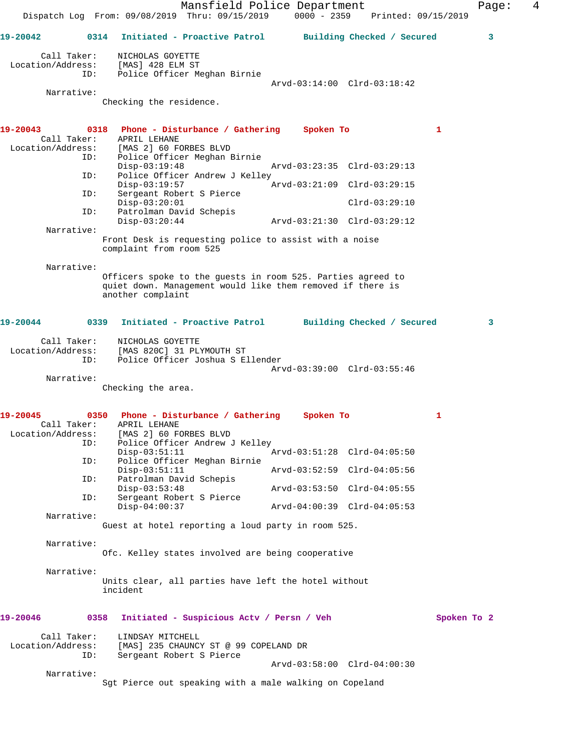Mansfield Police Department Fage: 4 Dispatch Log From: 09/08/2019 Thru: 09/15/2019 0000 - 2359 Printed: 09/15/2019 **19-20042 0314 Initiated - Proactive Patrol Building Checked / Secured 3** Call Taker: NICHOLAS GOYETTE Location/Address: [MAS] 428 ELM ST ID: Police Officer Meghan Birnie Arvd-03:14:00 Clrd-03:18:42 Narrative: Checking the residence. **19-20043 0318 Phone - Disturbance / Gathering Spoken To 1**  Call Taker: APRIL LEHANE Location/Address: [MAS 2] 60 FORBES BLVD ID: Police Officer Meghan Birnie Disp-03:19:48 Arvd-03:23:35 Clrd-03:29:13<br>ID: Police Officer Andrew J Kelley Police Officer Andrew J Kelley Disp-03:19:57 Arvd-03:21:09 Clrd-03:29:15 ID: Sergeant Robert S Pierce Disp-03:20:01 Clrd-03:29:10 ID: Patrolman David Schepis Disp-03:20:44 Arvd-03:21:30 Clrd-03:29:12 Narrative: Front Desk is requesting police to assist with a noise complaint from room 525 Narrative: Officers spoke to the guests in room 525. Parties agreed to quiet down. Management would like them removed if there is another complaint **19-20044 0339 Initiated - Proactive Patrol Building Checked / Secured 3** Call Taker: NICHOLAS GOYETTE<br>Location/Address: [MAS 820C] 31 PL ess: [MAS 820C] 31 PLYMOUTH ST<br>ID: Police Officer Joshua S E Police Officer Joshua S Ellender Arvd-03:39:00 Clrd-03:55:46 Narrative: Checking the area. **19-20045 0350 Phone - Disturbance / Gathering Spoken To 1**  Call Taker: APRIL LEHANE Location/Address: [MAS 2] 60 FORBES BLVD<br>ID: Police Officer Andrew Police Officer Andrew J Kelley Disp-03:51:11 Arvd-03:51:28 Clrd-04:05:50<br>ID: Police Officer Meghan Birnie Police Officer Meghan Birnie<br>Disp-03:51:11 Disp-03:51:11 Arvd-03:52:59 Clrd-04:05:56<br>ID: Patrolman David Schepis Patrolman David Schepis<br>Disp-03:53:48 Disp-03:53:48 Arvd-03:53:50 Clrd-04:05:55 ID: Sergeant Robert S Pierce Disp-04:00:37 Arvd-04:00:39 Clrd-04:05:53 Narrative: Guest at hotel reporting a loud party in room 525. Narrative: Ofc. Kelley states involved are being cooperative Narrative: Units clear, all parties have left the hotel without incident **19-20046 0358 Initiated - Suspicious Actv / Persn / Veh Spoken To 2** Call Taker: LINDSAY MITCHELL Location/Address: [MAS] 235 CHAUNCY ST @ 99 COPELAND DR ID: Sergeant Robert S Pierce Arvd-03:58:00 Clrd-04:00:30 Narrative: Sgt Pierce out speaking with a male walking on Copeland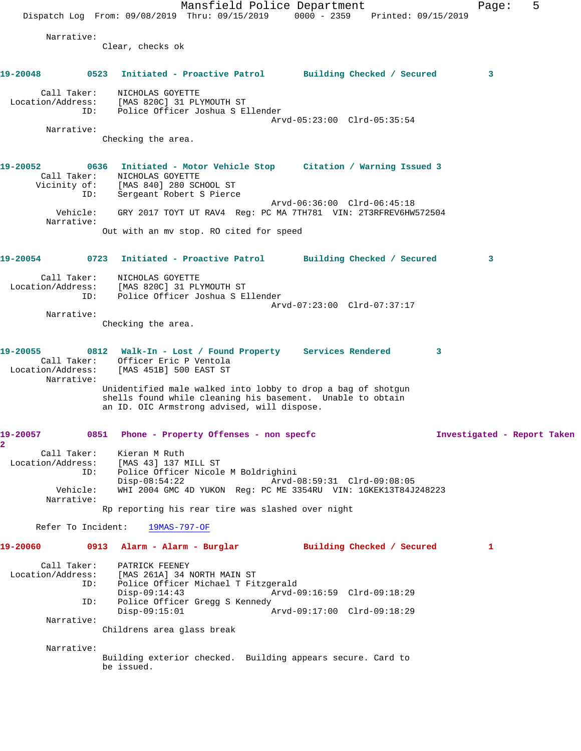Mansfield Police Department Fage: 5 Dispatch Log From: 09/08/2019 Thru: 09/15/2019 0000 - 2359 Printed: 09/15/2019 Narrative: Clear, checks ok **19-20048 0523 Initiated - Proactive Patrol Building Checked / Secured 3** Call Taker: NICHOLAS GOYETTE Location/Address: [MAS 820C] 31 PLYMOUTH ST ID: Police Officer Joshua S Ellender Arvd-05:23:00 Clrd-05:35:54 Narrative: Checking the area. **19-20052 0636 Initiated - Motor Vehicle Stop Citation / Warning Issued 3**  Call Taker: NICHOLAS GOYETTE Vicinity of: [MAS 840] 280 SCHOOL ST ID: Sergeant Robert S Pierce Arvd-06:36:00 Clrd-06:45:18 Vehicle: GRY 2017 TOYT UT RAV4 Reg: PC MA 7TH781 VIN: 2T3RFREV6HW572504 Narrative: Out with an mv stop. RO cited for speed **19-20054 0723 Initiated - Proactive Patrol Building Checked / Secured 3** Call Taker: NICHOLAS GOYETTE Location/Address: [MAS 820C] 31 PLYMOUTH ST ID: Police Officer Joshua S Ellender Arvd-07:23:00 Clrd-07:37:17 Narrative: Checking the area. **19-20055 0812 Walk-In - Lost / Found Property Services Rendered 3**  Call Taker: Officer Eric P Ventola Location/Address: [MAS 451B] 500 EAST ST Narrative: Unidentified male walked into lobby to drop a bag of shotgun shells found while cleaning his basement. Unable to obtain an ID. OIC Armstrong advised, will dispose. **19-20057 0851 Phone - Property Offenses - non specfc Investigated - Report Taken 2**  Call Taker: Kieran M Ruth Location/Address: [MAS 43] 137 MILL ST ID: Police Officer Nicole M Boldrighini Disp-08:54:22 <br>Vehicle: WHI 2004 GMC 4D YUKON Req: PC ME 3354RU VIN: 1GKEK13T84J Vehicle: WHI 2004 GMC 4D YUKON Reg: PC ME 3354RU VIN: 1GKEK13T84J248223 Narrative: Rp reporting his rear tire was slashed over night Refer To Incident: 19MAS-797-OF **19-20060 0913 Alarm - Alarm - Burglar Building Checked / Secured 1** Call Taker: PATRICK FEENEY<br>Location/Address: [MAS 261A] 34 1 [MAS 261A] 34 NORTH MAIN ST ID: Police Officer Michael T Fitzgerald Disp-09:14:43 Arvd-09:16:59 Clrd-09:18:29 ID: Police Officer Gregg S Kennedy Disp-09:15:01 Arvd-09:17:00 Clrd-09:18:29 Narrative: Childrens area glass break Narrative: Building exterior checked. Building appears secure. Card to be issued.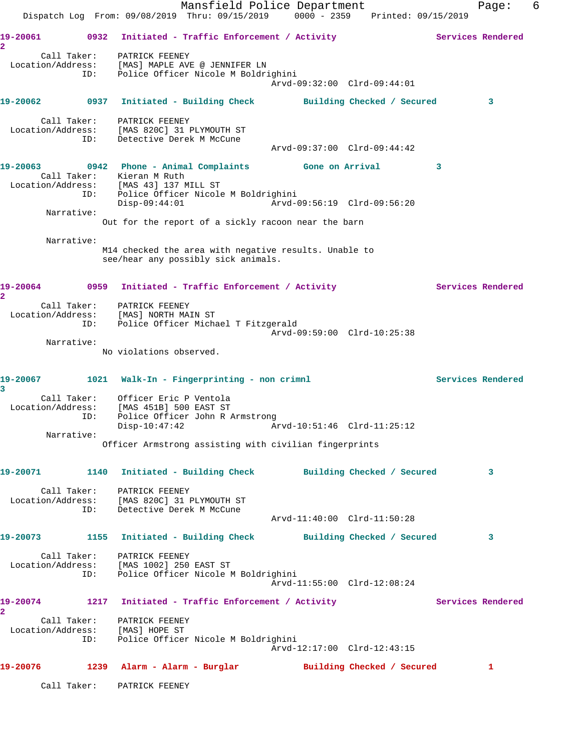Mansfield Police Department Fage: 6 Dispatch Log From: 09/08/2019 Thru: 09/15/2019 0000 - 2359 Printed: 09/15/2019 19-20061 0932 Initiated - Traffic Enforcement / Activity **Services Rendered 2**  Call Taker: PATRICK FEENEY Location/Address: [MAS] MAPLE AVE @ JENNIFER LN ID: Police Officer Nicole M Boldrighini Arvd-09:32:00 Clrd-09:44:01 **19-20062 0937 Initiated - Building Check Building Checked / Secured 3** Call Taker: PATRICK FEENEY Location/Address: [MAS 820C] 31 PLYMOUTH ST ID: Detective Derek M McCune Arvd-09:37:00 Clrd-09:44:42 **19-20063 0942 Phone - Animal Complaints Gone on Arrival 3**  Call Taker: Kieran M Ruth Location/Address: [MAS 43] 137 MILL ST ID: Police Officer Nicole M Boldrighini Disp-09:44:01 Arvd-09:56:19 Clrd-09:56:20 Narrative: Out for the report of a sickly racoon near the barn Narrative: M14 checked the area with negative results. Unable to see/hear any possibly sick animals. 19-20064 0959 Initiated - Traffic Enforcement / Activity **Services Rendered 2**  Call Taker: PATRICK FEENEY Location/Address: [MAS] NORTH MAIN ST ID: Police Officer Michael T Fitzgerald Arvd-09:59:00 Clrd-10:25:38 Narrative: No violations observed. 19-20067 1021 Walk-In - Fingerprinting - non crimnl **Services Rendered 3**  Call Taker: Officer Eric P Ventola Location/Address: [MAS 451B] 500 EAST ST ID: Police Officer John R Armstrong Disp-10:47:42 Arvd-10:51:46 Clrd-11:25:12 Narrative: Officer Armstrong assisting with civilian fingerprints **19-20071 1140 Initiated - Building Check Building Checked / Secured 3** Call Taker: PATRICK FEENEY Location/Address: [MAS 820C] 31 PLYMOUTH ST ID: Detective Derek M McCune Arvd-11:40:00 Clrd-11:50:28 **19-20073 1155 Initiated - Building Check Building Checked / Secured 3** Call Taker: PATRICK FEENEY Location/Address: [MAS 1002] 250 EAST ST ID: Police Officer Nicole M Boldrighini Arvd-11:55:00 Clrd-12:08:24 19-20074 1217 Initiated - Traffic Enforcement / Activity **Services Rendered 2**  Call Taker: PATRICK FEENEY Location/Address: [MAS] HOPE ST ID: Police Officer Nicole M Boldrighini Arvd-12:17:00 Clrd-12:43:15 **19-20076 1239 Alarm - Alarm - Burglar Building Checked / Secured 1** Call Taker: PATRICK FEENEY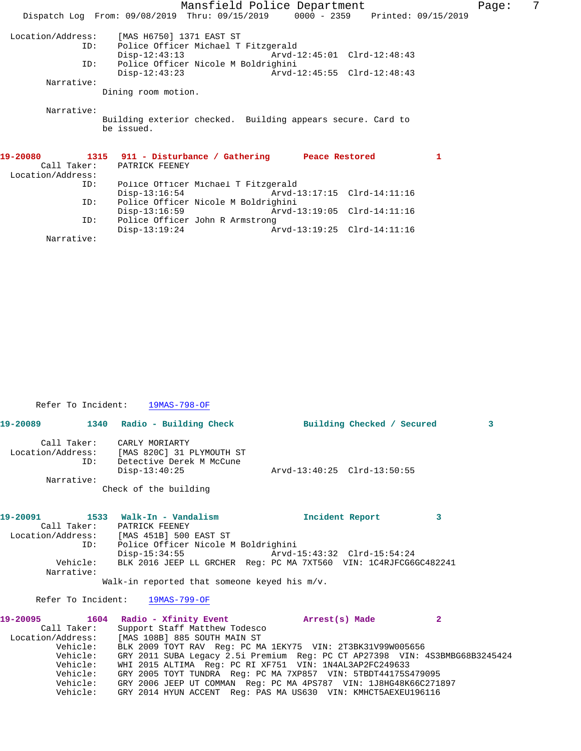| Mansfield Police Department |                                                                                |                             |  |   |  |  |
|-----------------------------|--------------------------------------------------------------------------------|-----------------------------|--|---|--|--|
|                             | Dispatch Log From: 09/08/2019 Thru: 09/15/2019 0000 - 2359 Printed: 09/15/2019 |                             |  |   |  |  |
|                             | Location/Address: [MAS H6750] 1371 EAST ST                                     |                             |  |   |  |  |
| ID:                         | Police Officer Michael T Fitzgerald                                            |                             |  |   |  |  |
|                             | $Disp-12:43:13$                                                                |                             |  |   |  |  |
| ID:                         | Police Officer Nicole M Boldrighini                                            |                             |  |   |  |  |
|                             | $\rho_{1sp-12:43:23}$ $\rho_{1sp-12:43:23}$ $\rho_{1sp-12:48:43}$              |                             |  |   |  |  |
| Narrative:                  |                                                                                |                             |  |   |  |  |
|                             | Dining room motion.                                                            |                             |  |   |  |  |
| Narrative:                  | Building exterior checked. Building appears secure. Card to<br>be issued.      |                             |  |   |  |  |
|                             | 19-20080 1315 911 - Disturbance / Gathering Peace Restored                     |                             |  | 1 |  |  |
|                             | Call Taker: PATRICK FEENEY                                                     |                             |  |   |  |  |
| Location/Address:           |                                                                                |                             |  |   |  |  |
| ID:                         | Police Officer Michael T Fitzgerald                                            |                             |  |   |  |  |
|                             | Disp-13:16:54 Arvd-13:17:15 Clrd-14:11:16                                      |                             |  |   |  |  |
| ID:                         | Police Officer Nicole M Boldrighini                                            |                             |  |   |  |  |
|                             | $Disp-13:16:59$                                                                | Arvd-13:19:05 Clrd-14:11:16 |  |   |  |  |
| ID:                         | Police Officer John R Armstrong<br>$Disp-13:19:24$                             | Arvd-13:19:25 Clrd-14:11:16 |  |   |  |  |
|                             |                                                                                |                             |  |   |  |  |

Narrative:

Refer To Incident: 19MAS-798-OF

|             |                                                                                                                              | 19-20089 1340 Radio - Building Check Building Checked / Secured                      | $\overline{\mathbf{3}}$ |
|-------------|------------------------------------------------------------------------------------------------------------------------------|--------------------------------------------------------------------------------------|-------------------------|
|             | Call Taker: CARLY MORIARTY<br>Location/Address: [MAS 820C] 31 PLYMOUTH ST<br>ID: Detective Derek M McCune<br>$Disp-13:40:25$ | Arvd-13:40:25 Clrd-13:50:55                                                          |                         |
| Narrative:  |                                                                                                                              |                                                                                      |                         |
|             | Check of the building                                                                                                        |                                                                                      |                         |
|             |                                                                                                                              | Incident Report                                                                      | 3                       |
|             | Call Taker: PATRICK FEENEY                                                                                                   |                                                                                      |                         |
|             | Location/Address: [MAS 451B] 500 EAST ST                                                                                     |                                                                                      |                         |
|             | ID: Police Officer Nicole M Boldrighini                                                                                      |                                                                                      |                         |
|             |                                                                                                                              | Disp-15:34:55 Arvd-15:43:32 Clrd-15:54:24                                            |                         |
|             |                                                                                                                              | Vehicle: BLK 2016 JEEP LL GRCHER Req: PC MA 7XT560 VIN: 1C4RJFCG6GC482241            |                         |
| Narrative:  |                                                                                                                              |                                                                                      |                         |
|             | Walk-in reported that someone keyed his $m/v$ .                                                                              |                                                                                      |                         |
|             | Refer To Incident: 19MAS-799-OF                                                                                              |                                                                                      |                         |
|             | 19-20095 1604 Radio - Xfinity Event 19-20095 1604                                                                            |                                                                                      | $\overline{2}$          |
| Call Taker: | Support Staff Matthew Todesco                                                                                                |                                                                                      |                         |
|             | Location/Address: [MAS 108B] 885 SOUTH MAIN ST                                                                               |                                                                                      |                         |
|             |                                                                                                                              | Vehicle: BLK 2009 TOYT RAV Reg: PC MA 1EKY75 VIN: 2T3BK31V99W005656                  |                         |
|             |                                                                                                                              | Vehicle: GRY 2011 SUBA Legacy 2.5i Premium Reg: PC CT AP27398 VIN: 4S3BMBG68B3245424 |                         |
|             |                                                                                                                              | Vehicle: WHI 2015 ALTIMA Reg: PC RI XF751 VIN: 1N4AL3AP2FC249633                     |                         |
| Vehicle:    |                                                                                                                              | GRY 2005 TOYT TUNDRA Req: PC MA 7XP857 VIN: 5TBDT44175S479095                        |                         |

 Vehicle: GRY 2006 JEEP UT COMMAN Reg: PC MA 4PS787 VIN: 1J8HG48K66C271897 Vehicle: GRY 2014 HYUN ACCENT Reg: PAS MA US630 VIN: KMHCT5AEXEU196116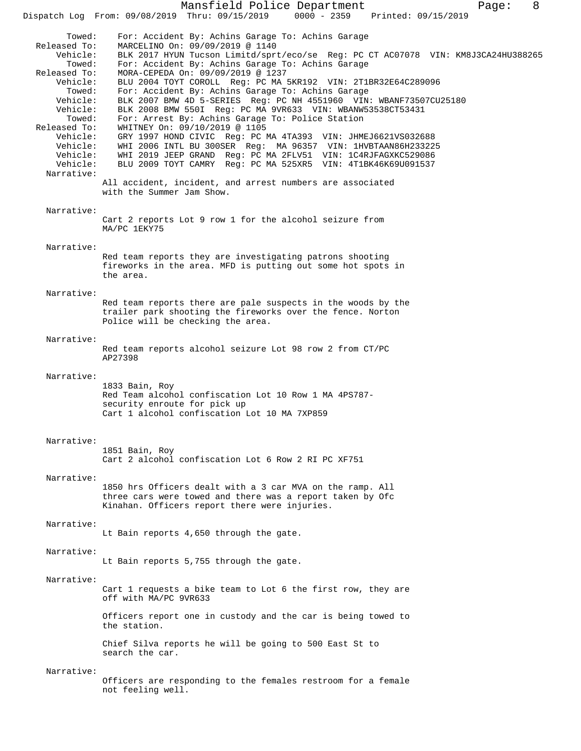Mansfield Police Department Page: 8 Dispatch Log From: 09/08/2019 Thru: 09/15/2019 0000 - 2359 Towed: For: Accident By: Achins Garage To: Achins Garage Released To: MARCELINO On: 09/09/2019 @ 1140 BLK 2017 HYUN Tucson Limitd/sprt/eco/se Reg: PC CT AC07078 VIN: KM8J3CA24HU388265 Towed: For: Accident By: Achins Garage To: Achins Garage Released To: MORA-CEPEDA On: 09/09/2019 @ 1237 Vehicle: BLU 2004 TOYT COROLL Reg: PC MA 5KR192 VIN: 2T1BR32E64C289096 Towed: For: Accident By: Achins Garage To: Achins Garage Vehicle: BLK 2007 BMW 4D 5-SERIES Reg: PC NH 4551960 VIN: WBANF73507CU25180 Vehicle: BLK 2008 BMW 550I Reg: PC MA 9VR633 VIN: WBANW53538CT53431 Towed: For: Arrest By: Achins Garage To: Police Station Released To: WHITNEY On: 09/10/2019 @ 1105 Vehicle: GRY 1997 HOND CIVIC Reg: PC MA 4TA393 VIN: JHMEJ6621VS032688 Vehicle: WHI 2006 INTL BU 300SER Reg: MA 96357 VIN: 1HVBTAAN86H233225 Vehicle: WHI 2019 JEEP GRAND Reg: PC MA 2FLV51 VIN: 1C4RJFAGXKC529086 Vehicle: BLU 2009 TOYT CAMRY Reg: PC MA 525XR5 VIN: 4T1BK46K69U091537 Narrative: All accident, incident, and arrest numbers are associated with the Summer Jam Show. Narrative: Cart 2 reports Lot 9 row 1 for the alcohol seizure from MA/PC 1EKY75 Narrative: Red team reports they are investigating patrons shooting fireworks in the area. MFD is putting out some hot spots in the area. Narrative: Red team reports there are pale suspects in the woods by the trailer park shooting the fireworks over the fence. Norton Police will be checking the area. Narrative: Red team reports alcohol seizure Lot 98 row 2 from CT/PC AP27398 Narrative: 1833 Bain, Roy Red Team alcohol confiscation Lot 10 Row 1 MA 4PS787 security enroute for pick up Cart 1 alcohol confiscation Lot 10 MA 7XP859 Narrative: 1851 Bain, Roy Cart 2 alcohol confiscation Lot 6 Row 2 RI PC XF751 Narrative: 1850 hrs Officers dealt with a 3 car MVA on the ramp. All three cars were towed and there was a report taken by Ofc Kinahan. Officers report there were injuries. Narrative: Lt Bain reports 4,650 through the gate. Narrative: Lt Bain reports 5,755 through the gate. Narrative: Cart 1 requests a bike team to Lot 6 the first row, they are off with MA/PC 9VR633 Officers report one in custody and the car is being towed to the station. Chief Silva reports he will be going to 500 East St to search the car. Narrative: Officers are responding to the females restroom for a female not feeling well.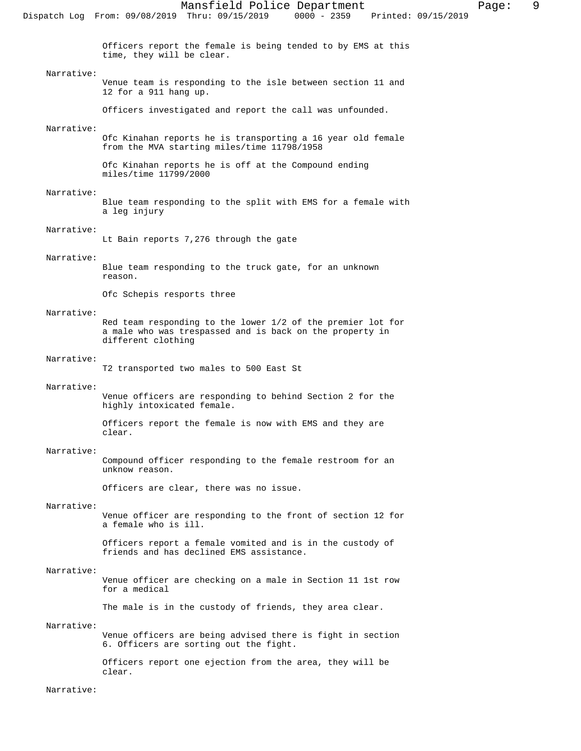Officers report the female is being tended to by EMS at this time, they will be clear.

## Narrative:

Venue team is responding to the isle between section 11 and 12 for a 911 hang up.

Officers investigated and report the call was unfounded.

## Narrative:

Ofc Kinahan reports he is transporting a 16 year old female from the MVA starting miles/time 11798/1958

Ofc Kinahan reports he is off at the Compound ending miles/time 11799/2000

## Narrative:

Blue team responding to the split with EMS for a female with a leg injury

## Narrative:

Lt Bain reports 7,276 through the gate

## Narrative:

Blue team responding to the truck gate, for an unknown reason.

Ofc Schepis resports three

## Narrative:

Red team responding to the lower 1/2 of the premier lot for a male who was trespassed and is back on the property in different clothing

#### Narrative:

T2 transported two males to 500 East St

#### Narrative:

Venue officers are responding to behind Section 2 for the highly intoxicated female.

Officers report the female is now with EMS and they are clear.

## Narrative:

Compound officer responding to the female restroom for an unknow reason.

Officers are clear, there was no issue.

## Narrative:

Venue officer are responding to the front of section 12 for a female who is ill.

Officers report a female vomited and is in the custody of friends and has declined EMS assistance.

## Narrative:

Venue officer are checking on a male in Section 11 1st row for a medical

The male is in the custody of friends, they area clear.

## Narrative:

Venue officers are being advised there is fight in section 6. Officers are sorting out the fight.

Officers report one ejection from the area, they will be clear.

Narrative: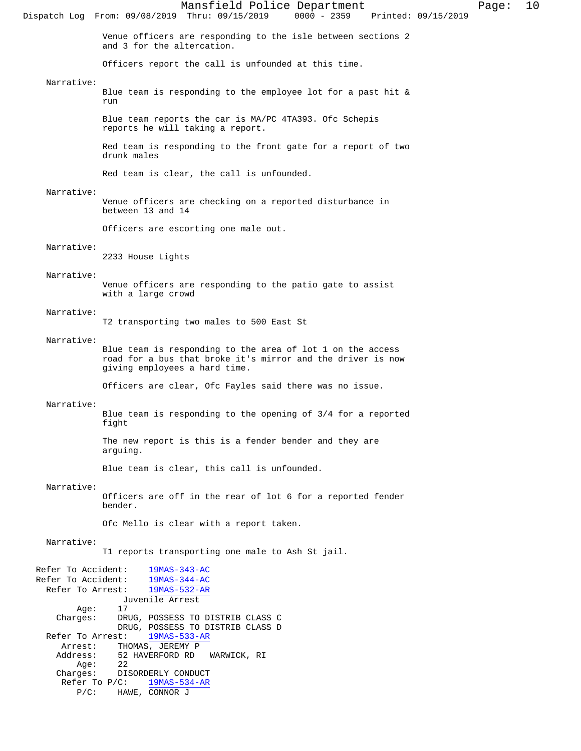Mansfield Police Department Page: 10 Dispatch Log From: 09/08/2019 Thru: 09/15/2019 Venue officers are responding to the isle between sections 2 and 3 for the altercation. Officers report the call is unfounded at this time. Narrative: Blue team is responding to the employee lot for a past hit & run Blue team reports the car is MA/PC 4TA393. Ofc Schepis reports he will taking a report. Red team is responding to the front gate for a report of two drunk males Red team is clear, the call is unfounded. Narrative: Venue officers are checking on a reported disturbance in between 13 and 14 Officers are escorting one male out. Narrative: 2233 House Lights Narrative: Venue officers are responding to the patio gate to assist with a large crowd Narrative: T2 transporting two males to 500 East St Narrative: Blue team is responding to the area of lot 1 on the access road for a bus that broke it's mirror and the driver is now giving employees a hard time. Officers are clear, Ofc Fayles said there was no issue. Narrative: Blue team is responding to the opening of 3/4 for a reported fight The new report is this is a fender bender and they are arguing. Blue team is clear, this call is unfounded. Narrative: Officers are off in the rear of lot 6 for a reported fender bender. Ofc Mello is clear with a report taken. Narrative: T1 reports transporting one male to Ash St jail. Refer To Accident:  $\frac{19MAS-343-AC}{19MAS-344-AC}$ Refer To Accident:  $\frac{19MAS-344-AC}{19MAS-532-AR}$ Refer To Arrest: Juvenile Arrest Age: Charges: DRUG, POSSESS TO DISTRIB CLASS C DRUG, POSSESS TO DISTRIB CLASS D<br>st: 19MAS-533-AR Refer To Arrest: Arrest: THOMAS, JEREMY P<br>Address: 52 HAVERFORD RD 52 HAVERFORD RD WARWICK, RI Age: 22<br>Charges: DI: DISORDERLY CONDUCT<br>P/C: 19MAS-534-AR Refer To  $P/C$ : P/C: HAWE, CONNOR J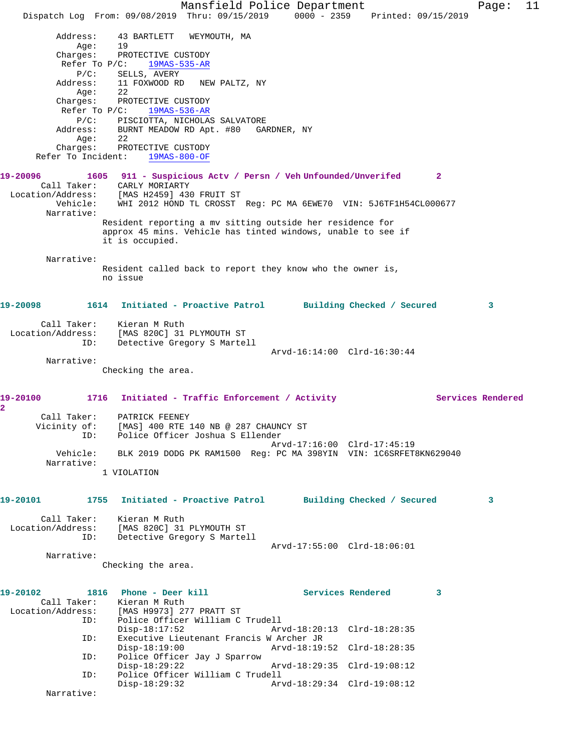Mansfield Police Department Fage: 11 Dispatch Log From: 09/08/2019 Thru: 09/15/2019 0000 - 2359 Printed: 09/15/2019 Address: 43 BARTLETT WEYMOUTH, MA Age: 19 Charges: PROTECTIVE CUSTODY Refer To P/C: 19MAS-535-AR P/C: SELLS, AVERY Address: 11 FOXWOOD RD NEW PALTZ, NY Age: 22 Charges: PROTECTIVE CUSTODY Refer To P/C: 19MAS-536-AR P/C: PISCIOTTA, NICHOLAS SALVATORE Address: BURNT MEADOW RD Apt. #80 GARDNER, NY Age: 22 Charges: PROTECTIVE CUSTODY Refer To Incident: 19MAS-800-OF **19-20096 1605 911 - Suspicious Actv / Persn / Veh Unfounded/Unverifed 2**  Call Taker: CARLY MORIARTY Location/Address: [MAS H2459] 430 FRUIT ST Vehicle: WHI 2012 HOND TL CROSST Reg: PC MA 6EWE70 VIN: 5J6TF1H54CL000677 Narrative: Resident reporting a mv sitting outside her residence for approx 45 mins. Vehicle has tinted windows, unable to see if it is occupied. Narrative: Resident called back to report they know who the owner is, no issue **19-20098 1614 Initiated - Proactive Patrol Building Checked / Secured 3** Call Taker: Kieran M Ruth Location/Address: [MAS 820C] 31 PLYMOUTH ST ID: Detective Gregory S Martell Arvd-16:14:00 Clrd-16:30:44 Narrative: Checking the area. 19-20100 1716 Initiated - Traffic Enforcement / Activity **Services Rendered 2**  Call Taker: PATRICK FEENEY Vicinity of: [MAS] 400 RTE 140 NB @ 287 CHAUNCY ST ID: Police Officer Joshua S Ellender Arvd-17:16:00 Clrd-17:45:19 Vehicle: BLK 2019 DODG PK RAM1500 Reg: PC MA 398YIN VIN: 1C6SRFET8KN629040 Narrative: 1 VIOLATION **19-20101 1755 Initiated - Proactive Patrol Building Checked / Secured 3** Call Taker: Kieran M Ruth Location/Address: [MAS 820C] 31 PLYMOUTH ST ID: Detective Gregory S Martell Arvd-17:55:00 Clrd-18:06:01 Narrative: Checking the area. **19-20102 1816 Phone - Deer kill Services Rendered 3**  Call Taker: Kieran M Ruth<br>Location/Address: [MAS H9973] 27 Location/Address: [MAS H9973] 277 PRATT ST ID: Police Officer William C Trudell Disp-18:17:52 Arvd-18:20:13 Clrd-18:28:35 ID: Executive Lieutenant Francis W Archer JR Arvd-18:19:52 Clrd-18:28:35 ID: Police Officer Jay J Sparrow Disp-18:29:22 Arvd-18:29:35 Clrd-19:08:12 ID: Police Officer William C Trudell Disp-18:29:32 Arvd-18:29:34 Clrd-19:08:12 Narrative: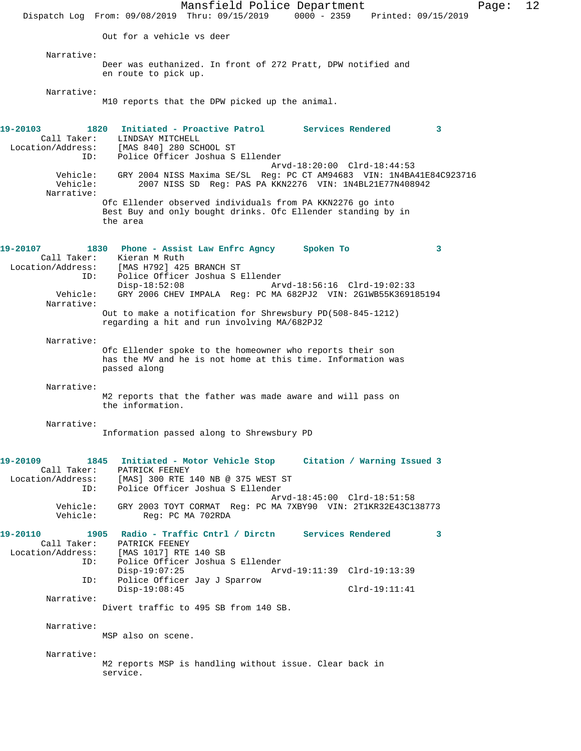Mansfield Police Department Page: 12 Dispatch Log From: 09/08/2019 Thru: 09/15/2019 0000 - 2359 Printed: 09/15/2019 Out for a vehicle vs deer Narrative: Deer was euthanized. In front of 272 Pratt, DPW notified and en route to pick up. Narrative: M10 reports that the DPW picked up the animal. **19-20103 1820 Initiated - Proactive Patrol Services Rendered 3**  Call Taker: LINDSAY MITCHELL Location/Address: [MAS 840] 280 SCHOOL ST ID: Police Officer Joshua S Ellender Arvd-18:20:00 Clrd-18:44:53 Vehicle: GRY 2004 NISS Maxima SE/SL Reg: PC CT AM94683 VIN: 1N4BA41E84C923716<br>Vehicle: 2007 NISS SD Reg: PAS PA KKN2276 VIN: 1N4BL21E77N408942 2007 NISS SD Reg: PAS PA KKN2276 VIN: 1N4BL21E77N408942 Narrative: Ofc Ellender observed individuals from PA KKN2276 go into Best Buy and only bought drinks. Ofc Ellender standing by in the area **19-20107 1830 Phone - Assist Law Enfrc Agncy Spoken To 3**  Call Taker: Kieran M Ruth Location/Address: [MAS H792] 425 BRANCH ST ID: Police Officer Joshua S Ellender Disp-18:52:08 Arvd-18:56:16 Clrd-19:02:33 Vehicle: GRY 2006 CHEV IMPALA Reg: PC MA 682PJ2 VIN: 2G1WB55K369185194 Narrative: Out to make a notification for Shrewsbury PD(508-845-1212) regarding a hit and run involving MA/682PJ2 Narrative: Ofc Ellender spoke to the homeowner who reports their son has the MV and he is not home at this time. Information was passed along Narrative: M2 reports that the father was made aware and will pass on the information. Narrative: Information passed along to Shrewsbury PD **19-20109 1845 Initiated - Motor Vehicle Stop Citation / Warning Issued 3**  Call Taker: PATRICK FEENEY Location/Address: [MAS] 300 RTE 140 NB @ 375 WEST ST ID: Police Officer Joshua S Ellender Arvd-18:45:00 Clrd-18:51:58 Vehicle: GRY 2003 TOYT CORMAT Reg: PC MA 7XBY90 VIN: 2T1KR32E43C138773 Reg: PC MA 702RDA **19-20110 1905 Radio - Traffic Cntrl / Dirctn Services Rendered 3**  Call Taker: PATRICK FEENEY<br>Location/Address: [MAS 1017] RTE ess: [MAS 1017] RTE 140 SB<br>ID: Police Officer Joshua Police Officer Joshua S Ellender<br>Disp-19:07:25 Arv Disp-19:07:25 Arvd-19:11:39 Clrd-19:13:39 ID: Police Officer Jay J Sparrow Disp-19:08:45 Clrd-19:11:41 Narrative: Divert traffic to 495 SB from 140 SB. Narrative: MSP also on scene. Narrative: M2 reports MSP is handling without issue. Clear back in service.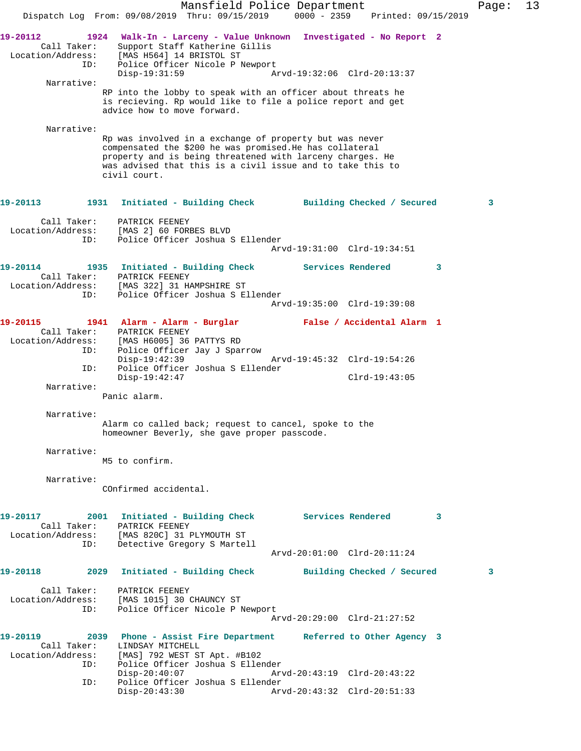Mansfield Police Department Fage: 13 Dispatch Log From: 09/08/2019 Thru: 09/15/2019 0000 - 2359 Printed: 09/15/2019 **19-20112 1924 Walk-In - Larceny - Value Unknown Investigated - No Report 2**  Call Taker: Support Staff Katherine Gillis Location/Address: [MAS H564] 14 BRISTOL ST ID: Police Officer Nicole P Newport Disp-19:31:59 Arvd-19:32:06 Clrd-20:13:37 Narrative: RP into the lobby to speak with an officer about threats he is recieving. Rp would like to file a police report and get advice how to move forward. Narrative: Rp was involved in a exchange of property but was never compensated the \$200 he was promised.He has collateral property and is being threatened with larceny charges. He was advised that this is a civil issue and to take this to civil court. **19-20113 1931 Initiated - Building Check Building Checked / Secured 3** Call Taker: PATRICK FEENEY Location/Address: [MAS 2] 60 FORBES BLVD ID: Police Officer Joshua S Ellender Arvd-19:31:00 Clrd-19:34:51 **19-20114 1935 Initiated - Building Check Services Rendered 3**  Call Taker: PATRICK FEENEY Location/Address: [MAS 322] 31 HAMPSHIRE ST ID: Police Officer Joshua S Ellender Arvd-19:35:00 Clrd-19:39:08 **19-20115 1941 Alarm - Alarm - Burglar False / Accidental Alarm 1**  Call Taker: PATRICK FEENEY Location/Address: [MAS H6005] 36 PATTYS RD ID: Police Officer Jay J Sparrow Disp-19:42:39 Arvd-19:45:32 Clrd-19:54:26 ID: Police Officer Joshua S Ellender Disp-19:42:47 Clrd-19:43:05 Narrative: Panic alarm. Narrative: Alarm co called back; request to cancel, spoke to the homeowner Beverly, she gave proper passcode. Narrative: M5 to confirm. Narrative: COnfirmed accidental. 19-20117 2001 Initiated - Building Check Services Rendered 3 Call Taker: PATRICK FEENEY Location/Address: [MAS 820C] 31 PLYMOUTH ST ID: Detective Gregory S Martell Arvd-20:01:00 Clrd-20:11:24 **19-20118 2029 Initiated - Building Check Building Checked / Secured 3** Call Taker: PATRICK FEENEY Location/Address: [MAS 1015] 30 CHAUNCY ST ID: Police Officer Nicole P Newport Arvd-20:29:00 Clrd-21:27:52 **19-20119 2039 Phone - Assist Fire Department Referred to Other Agency 3**  Call Taker: LINDSAY MITCHELL Location/Address: [MAS] 792 WEST ST Apt. #B102 ID: Police Officer Joshua S Ellender Disp-20:40:07 Arvd-20:43:19 Clrd-20:43:22 ID: Police Officer Joshua S Ellender Disp-20:43:30 Arvd-20:43:32 Clrd-20:51:33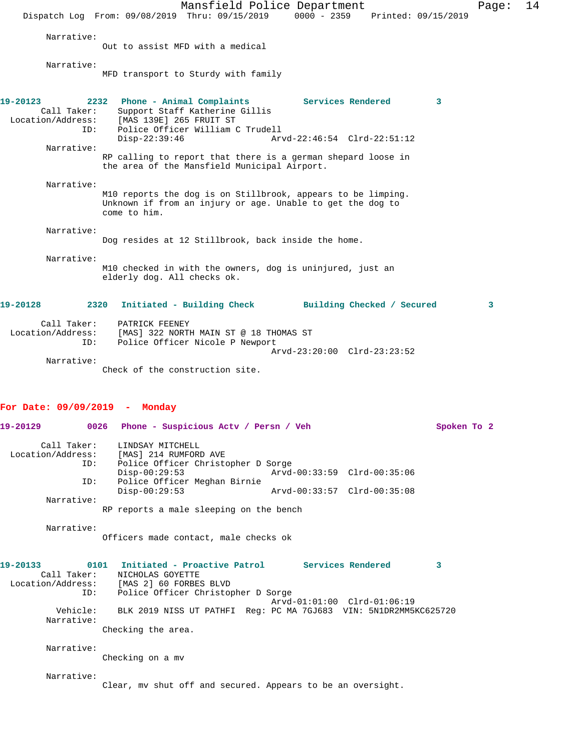Mansfield Police Department Page: 14 Dispatch Log From: 09/08/2019 Thru: 09/15/2019 0000 - 2359 Printed: 09/15/2019 Narrative: Out to assist MFD with a medical Narrative: MFD transport to Sturdy with family **19-20123 2232 Phone - Animal Complaints Services Rendered 3**  Call Taker: Support Staff Katherine Gillis Location/Address: [MAS 139E] 265 FRUIT ST ID: Police Officer William C Trudell Disp-22:39:46 Arvd-22:46:54 Clrd-22:51:12 Narrative: RP calling to report that there is a german shepard loose in the area of the Mansfield Municipal Airport. Narrative: M10 reports the dog is on Stillbrook, appears to be limping. Unknown if from an injury or age. Unable to get the dog to come to him. Narrative: Dog resides at 12 Stillbrook, back inside the home. Narrative: M10 checked in with the owners, dog is uninjured, just an elderly dog. All checks ok. **19-20128 2320 Initiated - Building Check Building Checked / Secured 3** Call Taker: PATRICK FEENEY Location/Address: [MAS] 322 NORTH MAIN ST @ 18 THOMAS ST ID: Police Officer Nicole P Newport Arvd-23:20:00 Clrd-23:23:52 Narrative: Check of the construction site. **For Date: 09/09/2019 - Monday 19-20129 0026 Phone - Suspicious Actv / Persn / Veh Spoken To 2** Call Taker: LINDSAY MITCHELL Location/Address: [MAS] 214 RUMFORD AVE ID: Police Officer Christopher D Sorge Disp-00:29:53 Arvd-00:33:59 Clrd-00:35:06 ID: Police Officer Meghan Birnie Disp-00:29:53 Arvd-00:33:57 Clrd-00:35:08

RP reports a male sleeping on the bench

Narrative:

Narrative:

Officers made contact, male checks ok

| 19-20133<br>0101<br>Call Taker: | Initiated - Proactive Patrol<br>Services Rendered<br>NICHOLAS GOYETTE |  |
|---------------------------------|-----------------------------------------------------------------------|--|
| Location/Address:               | [MAS 2] 60 FORBES BLVD                                                |  |
| ID:                             | Police Officer Christopher D Sorge                                    |  |
|                                 | Arvd-01:01:00 Clrd-01:06:19                                           |  |
| Vehicle:<br>Narrative:          | BLK 2019 NISS UT PATHFI Req: PC MA 7GJ683 VIN: 5N1DR2MM5KC625720      |  |
|                                 | Checking the area.                                                    |  |
| Narrative:                      |                                                                       |  |
|                                 | Checking on a mv                                                      |  |
| Narrative:                      |                                                                       |  |
|                                 | Clear, my shut off and secured. Appears to be an oversight.           |  |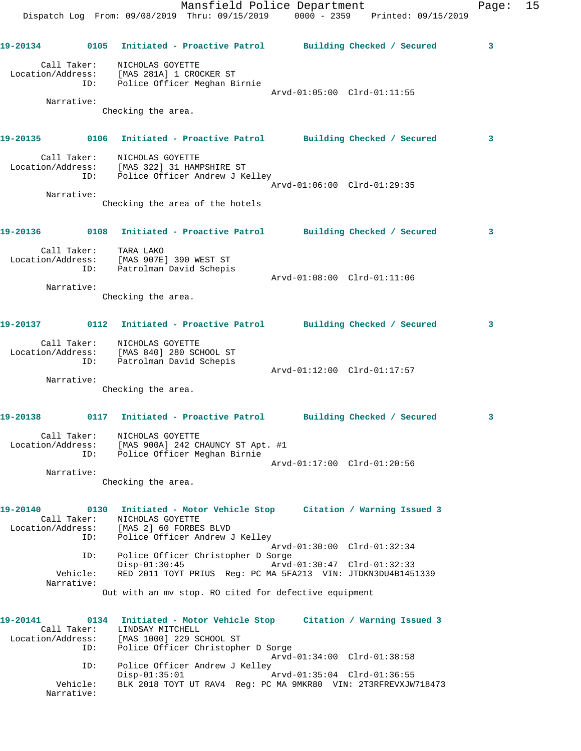|                                              |                                                                                                               | Mansfield Police Department<br>Dispatch Log From: 09/08/2019 Thru: 09/15/2019 0000 - 2359 Printed: 09/15/2019 | 15<br>Page: |
|----------------------------------------------|---------------------------------------------------------------------------------------------------------------|---------------------------------------------------------------------------------------------------------------|-------------|
|                                              |                                                                                                               |                                                                                                               | 3           |
| Call Taker:<br>ID:                           | NICHOLAS GOYETTE<br>Location/Address: [MAS 281A] 1 CROCKER ST<br>Police Officer Meghan Birnie                 | Arvd-01:05:00 Clrd-01:11:55                                                                                   |             |
| Narrative:                                   | Checking the area.                                                                                            |                                                                                                               |             |
|                                              |                                                                                                               |                                                                                                               | 3           |
| ID:                                          | Call Taker: NICHOLAS GOYETTE<br>Location/Address: [MAS 322] 31 HAMPSHIRE ST<br>Police Officer Andrew J Kelley | Arvd-01:06:00 Clrd-01:29:35                                                                                   |             |
| Narrative:                                   |                                                                                                               |                                                                                                               |             |
|                                              | Checking the area of the hotels                                                                               |                                                                                                               |             |
|                                              |                                                                                                               |                                                                                                               | 3           |
|                                              | Call Taker: TARA LAKO<br>Location/Address: [MAS 907E] 390 WEST ST<br>ID: Patrolman David Schepis              |                                                                                                               |             |
| Narrative:                                   |                                                                                                               | Arvd-01:08:00 Clrd-01:11:06                                                                                   |             |
|                                              | Checking the area.                                                                                            |                                                                                                               |             |
|                                              |                                                                                                               |                                                                                                               | 3           |
|                                              | Call Taker: NICHOLAS GOYETTE<br>Location/Address: [MAS 840] 280 SCHOOL ST<br>ID: Patrolman David Schepis      |                                                                                                               |             |
| Narrative:                                   |                                                                                                               | Arvd-01:12:00 Clrd-01:17:57                                                                                   |             |
|                                              | Checking the area.                                                                                            |                                                                                                               |             |
| 19-20138                                     |                                                                                                               | 0117 Initiated - Proactive Patrol Building Checked / Secured                                                  | 3           |
| Call Taker:<br>Location/Address:<br>ID:      | NICHOLAS GOYETTE<br>[MAS 900A] 242 CHAUNCY ST Apt. #1<br>Police Officer Meghan Birnie                         |                                                                                                               |             |
|                                              |                                                                                                               | Arvd-01:17:00 Clrd-01:20:56                                                                                   |             |
| Narrative:                                   | Checking the area.                                                                                            |                                                                                                               |             |
| 19-20140<br>Call Taker:<br>ID:               | NICHOLAS GOYETTE<br>Location/Address: [MAS 2] 60 FORBES BLVD<br>Police Officer Andrew J Kelley                | 0130 Initiated - Motor Vehicle Stop Citation / Warning Issued 3                                               |             |
| ID:                                          | Police Officer Christopher D Sorge                                                                            | Arvd-01:30:00 Clrd-01:32:34                                                                                   |             |
| Vehicle:                                     | $Disp-01:30:45$                                                                                               | Arvd-01:30:47 Clrd-01:32:33<br>RED 2011 TOYT PRIUS Req: PC MA 5FA213 VIN: JTDKN3DU4B1451339                   |             |
| Narrative:                                   | Out with an mv stop. RO cited for defective equipment                                                         |                                                                                                               |             |
| 19-20141<br>Call Taker:<br>Location/Address: | LINDSAY MITCHELL<br>[MAS 1000] 229 SCHOOL ST                                                                  | 0134 Initiated - Motor Vehicle Stop Citation / Warning Issued 3                                               |             |
| ID:                                          | Police Officer Christopher D Sorge                                                                            | Arvd-01:34:00 Clrd-01:38:58                                                                                   |             |
| ID:                                          | Police Officer Andrew J Kelley<br>$Disp-01:35:01$                                                             | Arvd-01:35:04 Clrd-01:36:55                                                                                   |             |

Vehicle: BLK 2018 TOYT UT RAV4 Reg: PC MA 9MKR80 VIN: 2T3RFREVXJW718473

Narrative: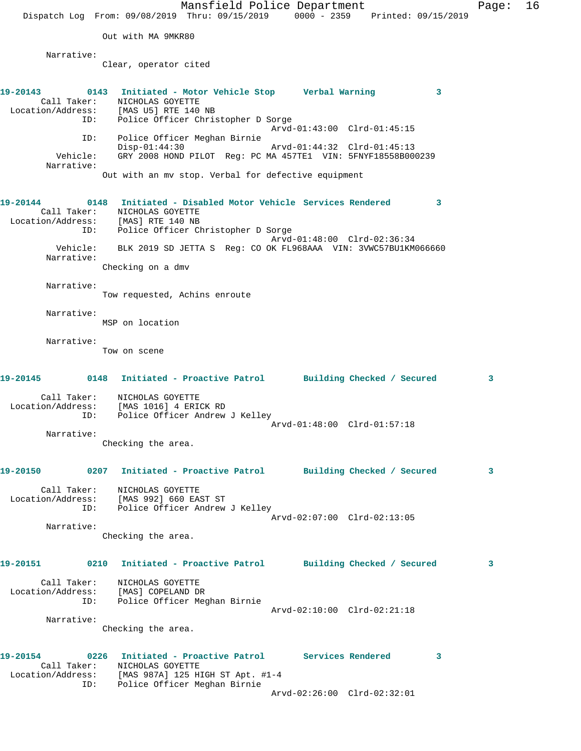Mansfield Police Department Fage: 16 Dispatch Log From: 09/08/2019 Thru: 09/15/2019 0000 - 2359 Printed: 09/15/2019 Out with MA 9MKR80 Narrative: Clear, operator cited **19-20143 0143 Initiated - Motor Vehicle Stop Verbal Warning 3**  Call Taker: NICHOLAS GOYETTE Location/Address: [MAS U5] RTE 140 NB ID: Police Officer Christopher D Sorge Arvd-01:43:00 Clrd-01:45:15 ID: Police Officer Meghan Birnie Disp-01:44:30 Arvd-01:44:32 Clrd-01:45:13 Vehicle: GRY 2008 HOND PILOT Reg: PC MA 457TE1 VIN: 5FNYF18558B000239 Narrative: Out with an mv stop. Verbal for defective equipment **19-20144 0148 Initiated - Disabled Motor Vehicle Services Rendered 3**  Call Taker: NICHOLAS GOYETTE Location/Address: [MAS] RTE 140 NB ID: Police Officer Christopher D Sorge Arvd-01:48:00 Clrd-02:36:34 Vehicle: BLK 2019 SD JETTA S Reg: CO OK FL968AAA VIN: 3VWC57BU1KM066660 Narrative: Checking on a dmv Narrative: Tow requested, Achins enroute Narrative: MSP on location Narrative: Tow on scene **19-20145 0148 Initiated - Proactive Patrol Building Checked / Secured 3** Call Taker: NICHOLAS GOYETTE Location/Address: [MAS 1016] 4 ERICK RD ID: Police Officer Andrew J Kelley Arvd-01:48:00 Clrd-01:57:18 Narrative: Checking the area. **19-20150 0207 Initiated - Proactive Patrol Building Checked / Secured 3** Call Taker: NICHOLAS GOYETTE Location/Address: [MAS 992] 660 EAST ST ID: Police Officer Andrew J Kelley Arvd-02:07:00 Clrd-02:13:05 Narrative: Checking the area. **19-20151 0210 Initiated - Proactive Patrol Building Checked / Secured 3** Call Taker: NICHOLAS GOYETTE Location/Address: [MAS] COPELAND DR ID: Police Officer Meghan Birnie Arvd-02:10:00 Clrd-02:21:18 Narrative: Checking the area. **19-20154 0226 Initiated - Proactive Patrol Services Rendered 3**  Call Taker: NICHOLAS GOYETTE Location/Address: [MAS 987A] 125 HIGH ST Apt. #1-4 ID: Police Officer Meghan Birnie Arvd-02:26:00 Clrd-02:32:01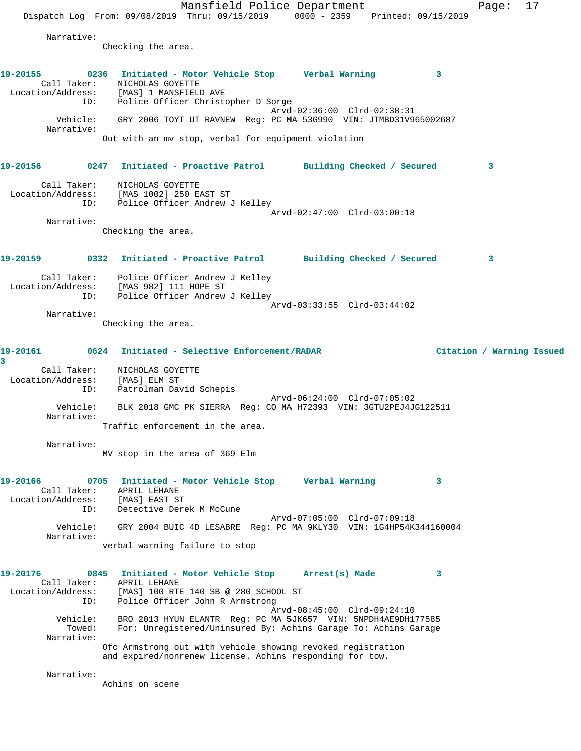Mansfield Police Department Fage: 17 Dispatch Log From: 09/08/2019 Thru: 09/15/2019 0000 - 2359 Printed: 09/15/2019 Narrative: Checking the area. **19-20155 0236 Initiated - Motor Vehicle Stop Verbal Warning 3**  Call Taker: NICHOLAS GOYETTE Location/Address: [MAS] 1 MANSFIELD AVE ID: Police Officer Christopher D Sorge Arvd-02:36:00 Clrd-02:38:31 Vehicle: GRY 2006 TOYT UT RAVNEW Reg: PC MA 53G990 VIN: JTMBD31V965002687 Narrative: Out with an mv stop, verbal for equipment violation **19-20156 0247 Initiated - Proactive Patrol Building Checked / Secured 3** Call Taker: NICHOLAS GOYETTE Location/Address: [MAS 1002] 250 EAST ST ID: Police Officer Andrew J Kelley Arvd-02:47:00 Clrd-03:00:18 Narrative: Checking the area. **19-20159 0332 Initiated - Proactive Patrol Building Checked / Secured 3** Call Taker: Police Officer Andrew J Kelley Location/Address: [MAS 982] 111 HOPE ST ID: Police Officer Andrew J Kelley Arvd-03:33:55 Clrd-03:44:02 Narrative: Checking the area. **19-20161 0624 Initiated - Selective Enforcement/RADAR Citation / Warning Issued 3**  Call Taker: NICHOLAS GOYETTE Location/Address: [MAS] ELM ST ID: Patrolman David Schepis Arvd-06:24:00 Clrd-07:05:02 Vehicle: BLK 2018 GMC PK SIERRA Reg: CO MA H72393 VIN: 3GTU2PEJ4JG122511 Narrative: Traffic enforcement in the area. Narrative: MV stop in the area of 369 Elm **19-20166 0705 Initiated - Motor Vehicle Stop Verbal Warning 3**  Call Taker: APRIL LEHANE Location/Address: [MAS] EAST ST ID: Detective Derek M McCune Arvd-07:05:00 Clrd-07:09:18 Vehicle: GRY 2004 BUIC 4D LESABRE Reg: PC MA 9KLY30 VIN: 1G4HP54K344160004 Narrative: verbal warning failure to stop **19-20176 0845 Initiated - Motor Vehicle Stop Arrest(s) Made 3**  Call Taker: APRIL LEHANE Location/Address: [MAS] 100 RTE 140 SB @ 280 SCHOOL ST ID: Police Officer John R Armstrong Arvd-08:45:00 Clrd-09:24:10 Vehicle: BRO 2013 HYUN ELANTR Reg: PC MA 5JK657 VIN: 5NPDH4AE9DH177585 Towed: For: Unregistered/Uninsured By: Achins Garage To: Achins Garage Narrative: Ofc Armstrong out with vehicle showing revoked registration and expired/nonrenew license. Achins responding for tow. Narrative: Achins on scene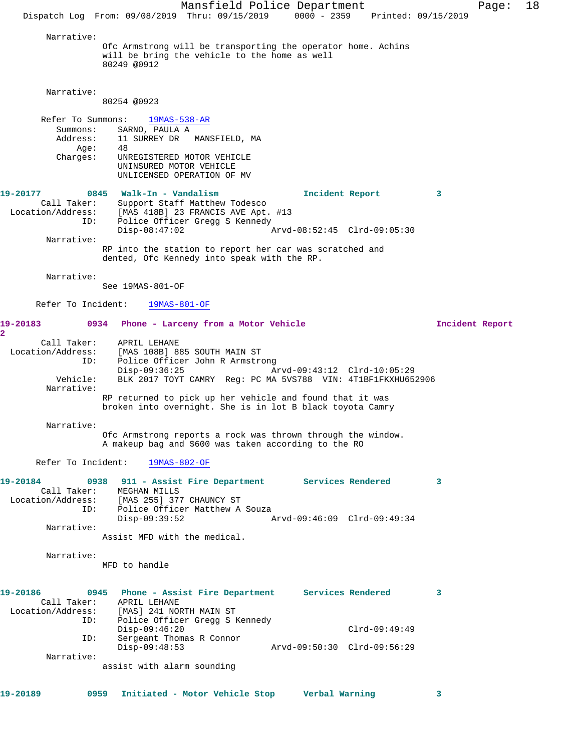Mansfield Police Department Page: 18 Dispatch Log From: 09/08/2019 Thru: 09/15/2019 0000 - 2359 Printed: 09/15/2019 Narrative: Ofc Armstrong will be transporting the operator home. Achins will be bring the vehicle to the home as well 80249 @0912 Narrative: 80254 @0923 Refer To Summons: 19MAS-538-AR Summons: SARNO, PAULA A Address: 11 SURREY DR MANSFIELD, MA Age: 48 Charges: UNREGISTERED MOTOR VEHICLE UNINSURED MOTOR VEHICLE UNLICENSED OPERATION OF MV **19-20177 0845 Walk-In - Vandalism Incident Report 3**  Call Taker: Support Staff Matthew Todesco Location/Address: [MAS 418B] 23 FRANCIS AVE Apt. #13 ID: Police Officer Gregg S Kennedy<br>Disp-08:47:02 A Disp-08:47:02 Arvd-08:52:45 Clrd-09:05:30 Narrative: RP into the station to report her car was scratched and dented, Ofc Kennedy into speak with the RP. Narrative: See 19MAS-801-OF Refer To Incident: 19MAS-801-OF **19-20183 0934 Phone - Larceny from a Motor Vehicle Incident Report 2**  Call Taker: APRIL LEHANE Location/Address: [MAS 108B] 885 SOUTH MAIN ST ID: Police Officer John R Armstrong<br>Disp-09:36:25 Mrvd-09:43:12 Clrd-10:05:29 Disp-09:36:25 Arvd-09:43:12 Clrd-10:05:29 Vehicle: BLK 2017 TOYT CAMRY Reg: PC MA 5VS788 VIN: 4T1BF1FKXHU652906 Narrative: RP returned to pick up her vehicle and found that it was broken into overnight. She is in lot B black toyota Camry Narrative: Ofc Armstrong reports a rock was thrown through the window. A makeup bag and \$600 was taken according to the RO Refer To Incident: 19MAS-802-OF **19-20184 0938 911 - Assist Fire Department Services Rendered 3**  Call Taker: MEGHAN MILLS Location/Address: [MAS 255] 377 CHAUNCY ST ID: IMAS נכ ו סיוטאתט // CARS:<br>ID: Police Officer Matthew A Souza<br>Disp-09:39:52 Disp-09:39:52 Arvd-09:46:09 Clrd-09:49:34 Narrative: Assist MFD with the medical. Narrative: MFD to handle **19-20186 0945 Phone - Assist Fire Department Services Rendered 3**  Call Taker: APRIL LEHANE<br>Location/Address: [MAS] 241 NOR<br>ID: Police Office [MAS] 241 NORTH MAIN ST Police Officer Gregg S Kennedy Disp-09:46:20 Clrd-09:49:49 ID: Sergeant Thomas R Connor Disp-09:48:53 Arvd-09:50:30 Clrd-09:56:29 Narrative: assist with alarm sounding **19-20189 0959 Initiated - Motor Vehicle Stop Verbal Warning 3**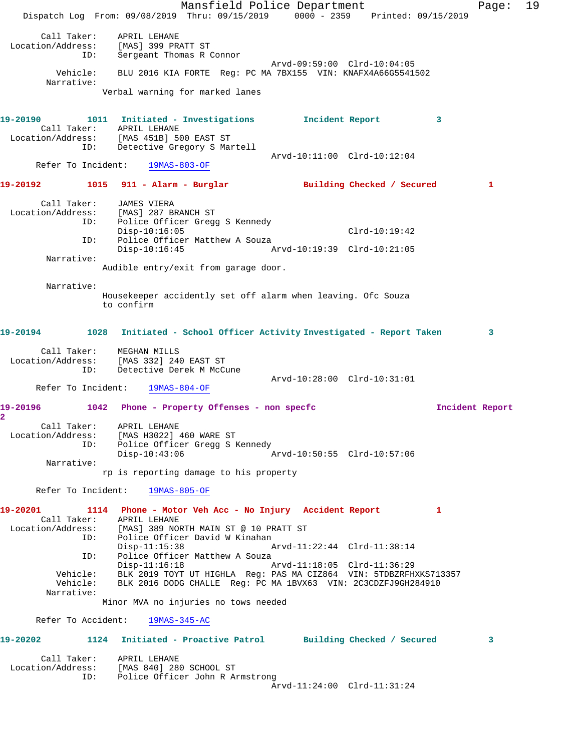Mansfield Police Department Fage: 19 Dispatch Log From: 09/08/2019 Thru: 09/15/2019 0000 - 2359 Printed: 09/15/2019 Call Taker: APRIL LEHANE Location/Address: [MAS] 399 PRATT ST ID: Sergeant Thomas R Connor Arvd-09:59:00 Clrd-10:04:05 Vehicle: BLU 2016 KIA FORTE Reg: PC MA 7BX155 VIN: KNAFX4A66G5541502 Narrative: Verbal warning for marked lanes **19-20190 1011 Initiated - Investigations Incident Report 3**  Call Taker: APRIL LEHANE Location/Address: [MAS 451B] 500 EAST ST ID: Detective Gregory S Martell Arvd-10:11:00 Clrd-10:12:04 Refer To Incident: 19MAS-803-OF **19-20192 1015 911 - Alarm - Burglar Building Checked / Secured 1** Call Taker: JAMES VIERA Location/Address: [MAS] 287 BRANCH ST ID: Police Officer Gregg S Kennedy Disp-10:16:05 Clrd-10:19:42 ID: Police Officer Matthew A Souza Disp-10:16:45 Arvd-10:19:39 Clrd-10:21:05 Narrative: Audible entry/exit from garage door. Narrative: Housekeeper accidently set off alarm when leaving. Ofc Souza to confirm **19-20194 1028 Initiated - School Officer Activity Investigated - Report Taken 3** Call Taker: MEGHAN MILLS Location/Address: [MAS 332] 240 EAST ST ID: Detective Derek M McCune Arvd-10:28:00 Clrd-10:31:01 Refer To Incident: 19MAS-804-OF **19-20196 1042 Phone - Property Offenses - non specfc Incident Report 2**  Call Taker: APRIL LEHANE Location/Address: [MAS H3022] 460 WARE ST ID: Police Officer Gregg S Kennedy Disp-10:43:06 Arvd-10:50:55 Clrd-10:57:06 Narrative: rp is reporting damage to his property Refer To Incident: 19MAS-805-OF **19-20201 1114 Phone - Motor Veh Acc - No Injury Accident Report 1**  Call Taker: APRIL LEHANE Location/Address: [MAS] 389 NORTH MAIN ST @ 10 PRATT ST ID: Police Officer David W Kinahan Arvd-11:22:44 Clrd-11:38:14 ID: Police Officer Matthew A Souza Disp-11:16:18 Arvd-11:18:05 Clrd-11:36:29 Vehicle: BLK 2019 TOYT UT HIGHLA Reg: PAS MA CIZ864 VIN: 5TDBZRFHXKS713357 Vehicle: BLK 2016 DODG CHALLE Reg: PC MA 1BVX63 VIN: 2C3CDZFJ9GH284910 Narrative: Minor MVA no injuries no tows needed Refer To Accident: 19MAS-345-AC **19-20202 1124 Initiated - Proactive Patrol Building Checked / Secured 3** Call Taker: APRIL LEHANE Location/Address: [MAS 840] 280 SCHOOL ST ID: Police Officer John R Armstrong Arvd-11:24:00 Clrd-11:31:24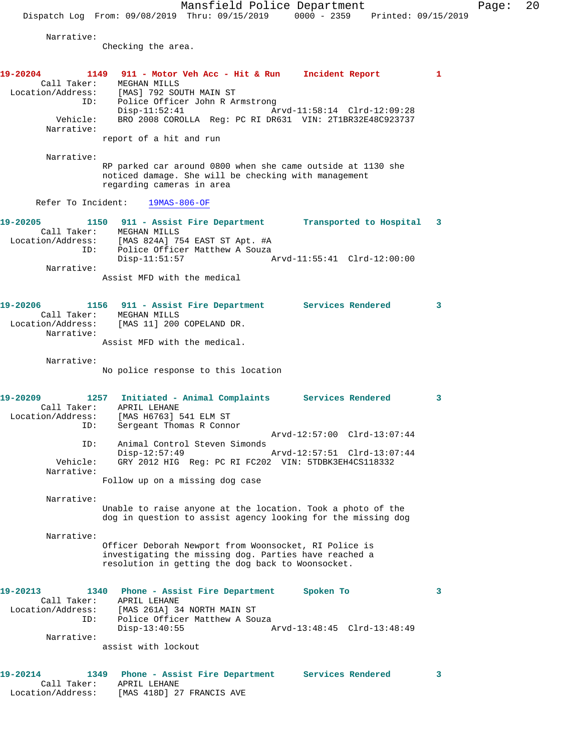Mansfield Police Department Page: 20 Dispatch Log From: 09/08/2019 Thru: 09/15/2019 0000 - 2359 Printed: 09/15/2019 Narrative: Checking the area. **19-20204 1149 911 - Motor Veh Acc - Hit & Run Incident Report 1**  Call Taker: MEGHAN MILLS Location/Address: [MAS] 792 SOUTH MAIN ST ID: Police Officer John R Armstrong Disp-11:52:41 Arvd-11:58:14 Clrd-12:09:28 Vehicle: BRO 2008 COROLLA Reg: PC RI DR631 VIN: 2T1BR32E48C923737 Narrative: report of a hit and run Narrative: RP parked car around 0800 when she came outside at 1130 she noticed damage. She will be checking with management regarding cameras in area Refer To Incident: 19MAS-806-OF **19-20205 1150 911 - Assist Fire Department Transported to Hospital 3**  Call Taker: MEGHAN MILLS Location/Address: [MAS 824A] 754 EAST ST Apt. #A ID: Police Officer Matthew A Souza Disp-11:51:57 Arvd-11:55:41 Clrd-12:00:00 Narrative: Assist MFD with the medical **19-20206 1156 911 - Assist Fire Department Services Rendered 3**  Call Taker: MEGHAN MILLS Location/Address: [MAS 11] 200 COPELAND DR. Narrative: Assist MFD with the medical. Narrative: No police response to this location **19-20209 1257 Initiated - Animal Complaints Services Rendered 3**  Call Taker: APRIL LEHANE Location/Address: [MAS H6763] 541 ELM ST ID: Sergeant Thomas R Connor Arvd-12:57:00 Clrd-13:07:44 ID: Animal Control Steven Simonds Disp-12:57:49 Arvd-12:57:51 Clrd-13:07:44 Vehicle: GRY 2012 HIG Reg: PC RI FC202 VIN: 5TDBK3EH4CS118332 Narrative: Follow up on a missing dog case Narrative: Unable to raise anyone at the location. Took a photo of the dog in question to assist agency looking for the missing dog Narrative: Officer Deborah Newport from Woonsocket, RI Police is investigating the missing dog. Parties have reached a resolution in getting the dog back to Woonsocket. **19-20213 1340 Phone - Assist Fire Department Spoken To 3**  Call Taker: APRIL LEHANE Location/Address: [MAS 261A] 34 NORTH MAIN ST ID: Police Officer Matthew A Souza<br>Disp-13:40:55 Disp-13:40:55 Arvd-13:48:45 Clrd-13:48:49 Narrative: assist with lockout **19-20214 1349 Phone - Assist Fire Department Services Rendered 3**  Call Taker: APRIL LEHANE

Location/Address: [MAS 418D] 27 FRANCIS AVE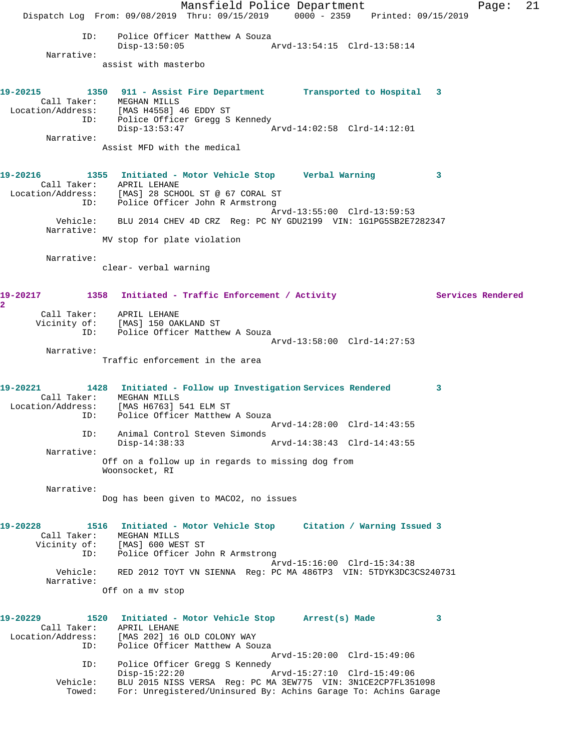Mansfield Police Department The Page: 21 Dispatch Log From: 09/08/2019 Thru: 09/15/2019 0000 - 2359 Printed: 09/15/2019 ID: Police Officer Matthew A Souza<br>Disp-13:50:05 A Disp-13:50:05 Arvd-13:54:15 Clrd-13:58:14 Narrative: assist with masterbo **19-20215 1350 911 - Assist Fire Department Transported to Hospital 3**  Call Taker: MEGHAN MILLS Location/Address: [MAS H4558] 46 EDDY ST ID: Police Officer Gregg S Kennedy Disp-13:53:47 Arvd-14:02:58 Clrd-14:12:01 Narrative: Assist MFD with the medical **19-20216 1355 Initiated - Motor Vehicle Stop Verbal Warning 3**  Call Taker: APRIL LEHANE Location/Address: [MAS] 28 SCHOOL ST @ 67 CORAL ST ID: Police Officer John R Armstrong Arvd-13:55:00 Clrd-13:59:53 Vehicle: BLU 2014 CHEV 4D CRZ Reg: PC NY GDU2199 VIN: 1G1PG5SB2E7282347 Narrative: MV stop for plate violation Narrative: clear- verbal warning 19-20217 1358 Initiated - Traffic Enforcement / Activity **Services Rendered 2**  Call Taker: APRIL LEHANE Vicinity of: [MAS] 150 OAKLAND ST ID: Police Officer Matthew A Souza Arvd-13:58:00 Clrd-14:27:53 Narrative: Traffic enforcement in the area **19-20221 1428 Initiated - Follow up Investigation Services Rendered 3**  Call Taker: MEGHAN MILLS Location/Address: [MAS H6763] 541 ELM ST ID: Police Officer Matthew A Souza Arvd-14:28:00 Clrd-14:43:55 ID: Animal Control Steven Simonds Arvd-14:38:43 Clrd-14:43:55 Narrative: Off on a follow up in regards to missing dog from Woonsocket, RI Narrative: Dog has been given to MACO2, no issues **19-20228 1516 Initiated - Motor Vehicle Stop Citation / Warning Issued 3**  Call Taker: MEGHAN MILLS Vicinity of: [MAS] 600 WEST ST ID: Police Officer John R Armstrong Arvd-15:16:00 Clrd-15:34:38 Vehicle: RED 2012 TOYT VN SIENNA Reg: PC MA 486TP3 VIN: 5TDYK3DC3CS240731 Narrative: Off on a mv stop **19-20229 1520 Initiated - Motor Vehicle Stop Arrest(s) Made 3**  Call Taker: APRIL LEHANE Location/Address: [MAS 202] 16 OLD COLONY WAY ID: Police Officer Matthew A Souza Arvd-15:20:00 Clrd-15:49:06 ID: Police Officer Gregg S Kennedy<br>Disp-15:22:20 Disp-15:22:20 Arvd-15:27:10 Clrd-15:49:06 Vehicle: BLU 2015 NISS VERSA Reg: PC MA 3EW775 VIN: 3N1CE2CP7FL351098 Towed: For: Unregistered/Uninsured By: Achins Garage To: Achins Garage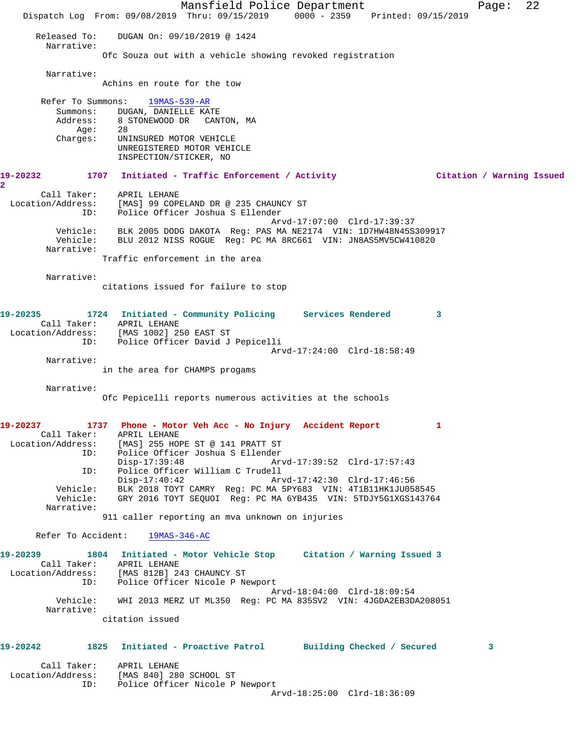Mansfield Police Department Page: 22 Dispatch Log From: 09/08/2019 Thru: 09/15/2019 0000 - 2359 Printed: 09/15/2019 Released To: DUGAN On: 09/10/2019 @ 1424 Narrative: Ofc Souza out with a vehicle showing revoked registration Narrative: Achins en route for the tow Refer To Summons: 19MAS-539-AR Summons: DUGAN, DANIELLE KATE Address: 8 STONEWOOD DR CANTON, MA Age: 28 Charges: UNINSURED MOTOR VEHICLE UNREGISTERED MOTOR VEHICLE INSPECTION/STICKER, NO **19-20232 1707 Initiated - Traffic Enforcement / Activity Citation / Warning Issued 2**  Call Taker: APRIL LEHANE Location/Address: [MAS] 99 COPELAND DR @ 235 CHAUNCY ST ID: Police Officer Joshua S Ellender Arvd-17:07:00 Clrd-17:39:37 Vehicle: BLK 2005 DODG DAKOTA Reg: PAS MA NE2174 VIN: 1D7HW48N45S309917 Vehicle: BLU 2012 NISS ROGUE Reg: PC MA 8RC661 VIN: JN8AS5MV5CW410820 Narrative: Traffic enforcement in the area Narrative: citations issued for failure to stop **19-20235 1724 Initiated - Community Policing Services Rendered 3**  Call Taker: APRIL LEHANE Location/Address: [MAS 1002] 250 EAST ST ID: Police Officer David J Pepicelli Arvd-17:24:00 Clrd-18:58:49 Narrative: in the area for CHAMPS progams Narrative: Ofc Pepicelli reports numerous activities at the schools **19-20237 1737 Phone - Motor Veh Acc - No Injury Accident Report 1**  Call Taker: APRIL LEHANE Location/Address: [MAS] 255 HOPE ST @ 141 PRATT ST ID: Police Officer Joshua S Ellender Disp-17:39:48 Arvd-17:39:52 Clrd-17:57:43<br>ID: Police Officer William C Trudell ID: Police Officer William C Trudell Disp-17:40:42 Arvd-17:42:30 Clrd-17:46:56 Vehicle: BLK 2018 TOYT CAMRY Reg: PC MA 5PY683 VIN: 4T1B11HK1JU058545 Vehicle: GRY 2016 TOYT SEQUOI Reg: PC MA 6YB435 VIN: 5TDJY5G1XGS143764 Narrative: 911 caller reporting an mva unknown on injuries Refer To Accident: 19MAS-346-AC **19-20239 1804 Initiated - Motor Vehicle Stop Citation / Warning Issued 3**  Call Taker: APRIL LEHANE Location/Address: [MAS 812B] 243 CHAUNCY ST ID: Police Officer Nicole P Newport Arvd-18:04:00 Clrd-18:09:54 Vehicle: WHI 2013 MERZ UT ML350 Reg: PC MA 835SV2 VIN: 4JGDA2EB3DA208051 Narrative: citation issued **19-20242 1825 Initiated - Proactive Patrol Building Checked / Secured 3** Call Taker: APRIL LEHANE Location/Address: [MAS 840] 280 SCHOOL ST ID: Police Officer Nicole P Newport Arvd-18:25:00 Clrd-18:36:09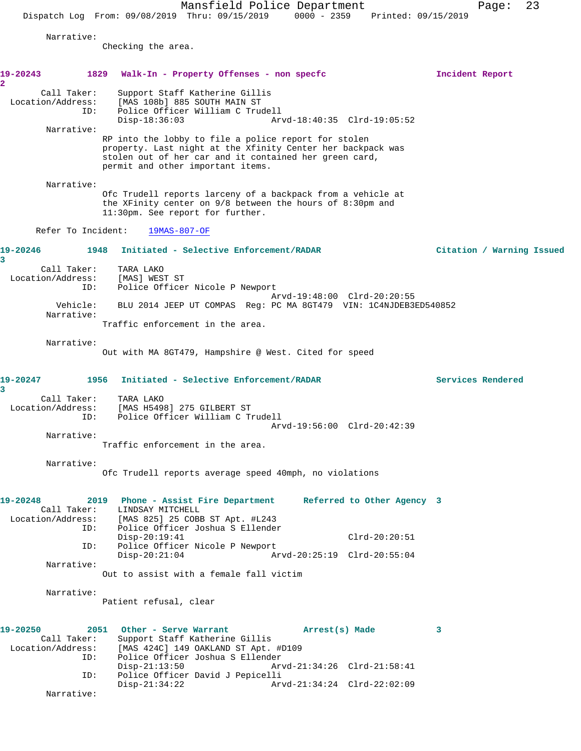Mansfield Police Department Fage: 23 Dispatch Log From: 09/08/2019 Thru: 09/15/2019 0000 - 2359 Printed: 09/15/2019 Narrative: Checking the area. **19-20243 1829 Walk-In - Property Offenses - non specfc Incident Report 2**  Call Taker: Support Staff Katherine Gillis Location/Address: [MAS 108b] 885 SOUTH MAIN ST ID: Police Officer William C Trudell Arvd-18:40:35 Clrd-19:05:52 Narrative: RP into the lobby to file a police report for stolen property. Last night at the Xfinity Center her backpack was stolen out of her car and it contained her green card, permit and other important items. Narrative: Ofc Trudell reports larceny of a backpack from a vehicle at the XFinity center on 9/8 between the hours of 8:30pm and 11:30pm. See report for further. Refer To Incident: 19MAS-807-OF **19-20246 1948 Initiated - Selective Enforcement/RADAR Citation / Warning Issued 3**  Call Taker: TARA LAKO Location/Address: [MAS] WEST ST ID: Police Officer Nicole P Newport Arvd-19:48:00 Clrd-20:20:55 Vehicle: BLU 2014 JEEP UT COMPAS Reg: PC MA 8GT479 VIN: 1C4NJDEB3ED540852 Narrative: Traffic enforcement in the area. Narrative: Out with MA 8GT479, Hampshire @ West. Cited for speed **19-20247 1956 Initiated - Selective Enforcement/RADAR Services Rendered 3**  Call Taker: TARA LAKO Location/Address: [MAS H5498] 275 GILBERT ST ID: Police Officer William C Trudell Arvd-19:56:00 Clrd-20:42:39 Narrative: Traffic enforcement in the area. Narrative: Ofc Trudell reports average speed 40mph, no violations **19-20248 2019 Phone - Assist Fire Department Referred to Other Agency 3**  Call Taker: LINDSAY MITCHELL<br>Location/Address: [MAS 825] 25 COBI [MAS 825] 25 COBB ST Apt. #L243 ID: Police Officer Joshua S Ellender Disp-20:19:41 Clrd-20:20:51<br>TD: Police Officer Nicole P Newport Police Officer Nicole P Newport<br>Disp-20:21:04 Ar Disp-20:21:04 Arvd-20:25:19 Clrd-20:55:04 Narrative: Out to assist with a female fall victim Narrative: Patient refusal, clear **19-20250 2051 Other - Serve Warrant Arrest(s) Made 3**  Call Taker: Support Staff Katherine Gillis Location/Address: [MAS 424C] 149 OAKLAND ST Apt. #D109 ID: Police Officer Joshua S Ellender Disp-21:13:50 Arvd-21:34:26 Clrd-21:58:41 ID: Police Officer David J Pepicelli Disp-21:34:22 Arvd-21:34:24 Clrd-22:02:09

Narrative: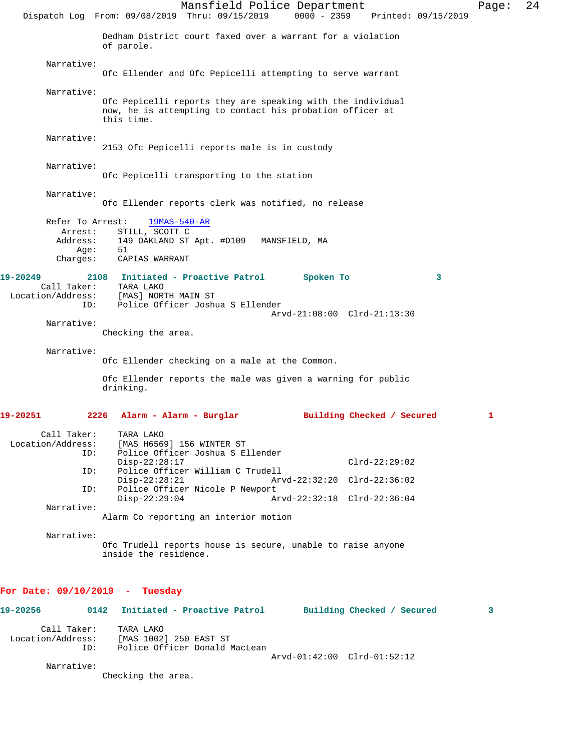Mansfield Police Department Page: 24 Dispatch Log From: 09/08/2019 Thru: 09/15/2019 0000 - 2359 Printed: 09/15/2019 Dedham District court faxed over a warrant for a violation of parole. Narrative: Ofc Ellender and Ofc Pepicelli attempting to serve warrant Narrative: Ofc Pepicelli reports they are speaking with the individual now, he is attempting to contact his probation officer at this time. Narrative: 2153 Ofc Pepicelli reports male is in custody Narrative: Ofc Pepicelli transporting to the station Narrative: Ofc Ellender reports clerk was notified, no release Refer To Arrest: 19MAS-540-AR Arrest: STILL, SCOTT C<br>Address: 149 OAKLAND ST 149 OAKLAND ST Apt. #D109 MANSFIELD, MA<br>51 Age: Charges: CAPIAS WARRANT **19-20249 2108 Initiated - Proactive Patrol Spoken To 3**  Call Taker: TARA LAKO<br>Location/Address: [MAS] NOR ss: [MAS] NORTH MAIN ST:<br>ID: Police Officer Joshu Police Officer Joshua S Ellender Arvd-21:08:00 Clrd-21:13:30 Narrative: Checking the area. Narrative: Ofc Ellender checking on a male at the Common. Ofc Ellender reports the male was given a warning for public drinking. **19-20251 2226 Alarm - Alarm - Burglar Building Checked / Secured 1** Call Taker: TARA LAKO<br>Location/Address: [MAS H656 ess: [MAS H6569] 156 WINTER ST<br>ID: Police Officer Joshua S E Police Officer Joshua S Ellender Disp-22:28:17 Clrd-22:29:02<br>ID: Police Officer William C Trudell Police Officer William C Trudell<br>Disp-22:28:21 Arv Disp-22:28:21 Arvd-22:32:20 Clrd-22:36:02 ID: Police Officer Nicole P Newport<br>Disp-22:29:04 A Disp-22:29:04 Arvd-22:32:18 Clrd-22:36:04 Narrative: Alarm Co reporting an interior motion Narrative: Ofc Trudell reports house is secure, unable to raise anyone inside the residence. **For Date: 09/10/2019 - Tuesday 19-20256 0142 Initiated - Proactive Patrol Building Checked / Secured 3** Call Taker: TARA LAKO Location/Address: [MAS 1002] 250 EAST ST ID: Police Officer Donald MacLean Arvd-01:42:00 Clrd-01:52:12 Narrative: Checking the area.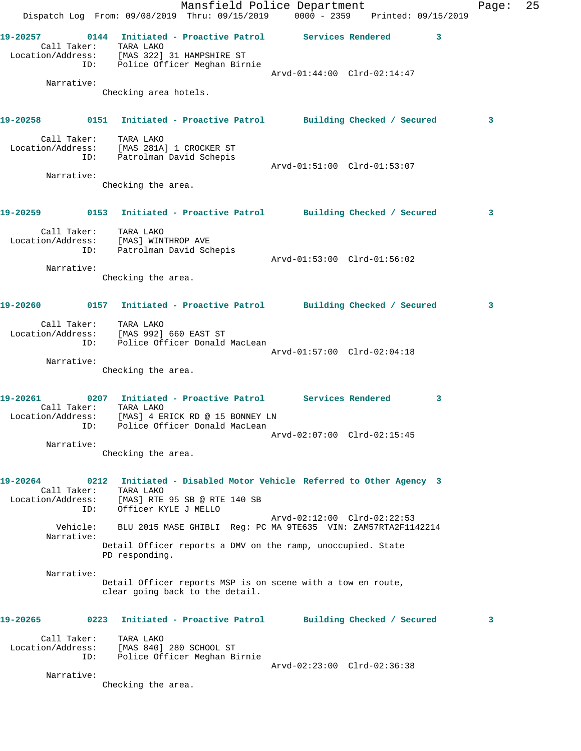|                   |             |                                                                                                   | Mansfield Police Department                                                                      |  |                             |                         | Page: | 25 |
|-------------------|-------------|---------------------------------------------------------------------------------------------------|--------------------------------------------------------------------------------------------------|--|-----------------------------|-------------------------|-------|----|
|                   |             |                                                                                                   | Dispatch Log From: 09/08/2019 Thru: 09/15/2019 0000 - 2359 Printed: 09/15/2019                   |  |                             |                         |       |    |
|                   | ID:         | Call Taker: TARA LAKO<br>Location/Address: [MAS 322] 31 HAMPSHIRE ST                              | 19-20257   0144 Initiated - Proactive Patrol   Services Rendered<br>Police Officer Meghan Birnie |  |                             | $\overline{\mathbf{3}}$ |       |    |
|                   |             |                                                                                                   |                                                                                                  |  | Arvd-01:44:00 Clrd-02:14:47 |                         |       |    |
|                   | Narrative:  | Checking area hotels.                                                                             |                                                                                                  |  |                             |                         |       |    |
|                   |             |                                                                                                   |                                                                                                  |  |                             |                         |       |    |
|                   |             |                                                                                                   |                                                                                                  |  |                             |                         | 3     |    |
|                   |             | Call Taker: TARA LAKO<br>Location/Address: [MAS 281A] 1 CROCKER ST<br>ID: Patrolman David Schepis |                                                                                                  |  |                             |                         |       |    |
|                   | Narrative:  |                                                                                                   |                                                                                                  |  | Arvd-01:51:00 Clrd-01:53:07 |                         |       |    |
|                   |             | Checking the area.                                                                                |                                                                                                  |  |                             |                         |       |    |
|                   |             |                                                                                                   |                                                                                                  |  |                             |                         |       |    |
|                   |             |                                                                                                   |                                                                                                  |  |                             |                         | 3     |    |
|                   | ID:         | Call Taker: TARA LAKO<br>Location/Address: [MAS] WINTHROP AVE<br>Patrolman David Schepis          |                                                                                                  |  |                             |                         |       |    |
|                   | Narrative:  |                                                                                                   |                                                                                                  |  | Arvd-01:53:00 Clrd-01:56:02 |                         |       |    |
|                   |             | Checking the area.                                                                                |                                                                                                  |  |                             |                         |       |    |
|                   |             |                                                                                                   |                                                                                                  |  |                             |                         |       |    |
|                   |             |                                                                                                   | 19-20260 0157 Initiated - Proactive Patrol Building Checked / Secured                            |  |                             |                         | 3     |    |
|                   | ID:         | Call Taker: TARA LAKO<br>Location/Address: [MAS 992] 660 EAST ST                                  | Police Officer Donald MacLean                                                                    |  |                             |                         |       |    |
|                   |             |                                                                                                   |                                                                                                  |  | Arvd-01:57:00 Clrd-02:04:18 |                         |       |    |
|                   | Narrative:  | Checking the area.                                                                                |                                                                                                  |  |                             |                         |       |    |
|                   |             |                                                                                                   |                                                                                                  |  |                             |                         |       |    |
|                   |             | Call Taker: TARA LAKO                                                                             | 19-20261               0207   Initiated – Proactive Patrol           Services Rendered           |  |                             | 3                       |       |    |
| Location/Address: |             |                                                                                                   | [MAS] 4 ERICK RD @ 15 BONNEY LN<br>ID: Police Officer Donald MacLean                             |  |                             |                         |       |    |
|                   | Narrative:  |                                                                                                   |                                                                                                  |  | Arvd-02:07:00 Clrd-02:15:45 |                         |       |    |
|                   |             | Checking the area.                                                                                |                                                                                                  |  |                             |                         |       |    |
|                   |             |                                                                                                   |                                                                                                  |  |                             |                         |       |    |
| 19-20264          | Call Taker: | TARA LAKO                                                                                         | 0212 Initiated - Disabled Motor Vehicle Referred to Other Agency 3                               |  |                             |                         |       |    |
|                   | ID:         | Officer KYLE J MELLO                                                                              | Location/Address: [MAS] RTE 95 SB @ RTE 140 SB                                                   |  |                             |                         |       |    |
|                   |             |                                                                                                   |                                                                                                  |  | Arvd-02:12:00 Clrd-02:22:53 |                         |       |    |
|                   | Narrative:  |                                                                                                   | Vehicle: BLU 2015 MASE GHIBLI Req: PC MA 9TE635 VIN: ZAM57RTA2F1142214                           |  |                             |                         |       |    |
|                   |             | PD responding.                                                                                    | Detail Officer reports a DMV on the ramp, unoccupied. State                                      |  |                             |                         |       |    |
|                   | Narrative:  |                                                                                                   | Detail Officer reports MSP is on scene with a tow en route,<br>clear going back to the detail.   |  |                             |                         |       |    |
| 19-20265          |             |                                                                                                   | 0223 Initiated - Proactive Patrol Building Checked / Secured                                     |  |                             |                         | 3     |    |
|                   | ID:         | Call Taker: TARA LAKO<br>Location/Address: [MAS 840] 280 SCHOOL ST                                | Police Officer Meghan Birnie                                                                     |  |                             |                         |       |    |
|                   | Narrative:  |                                                                                                   |                                                                                                  |  | Arvd-02:23:00 Clrd-02:36:38 |                         |       |    |
|                   |             | Checking the area.                                                                                |                                                                                                  |  |                             |                         |       |    |
|                   |             |                                                                                                   |                                                                                                  |  |                             |                         |       |    |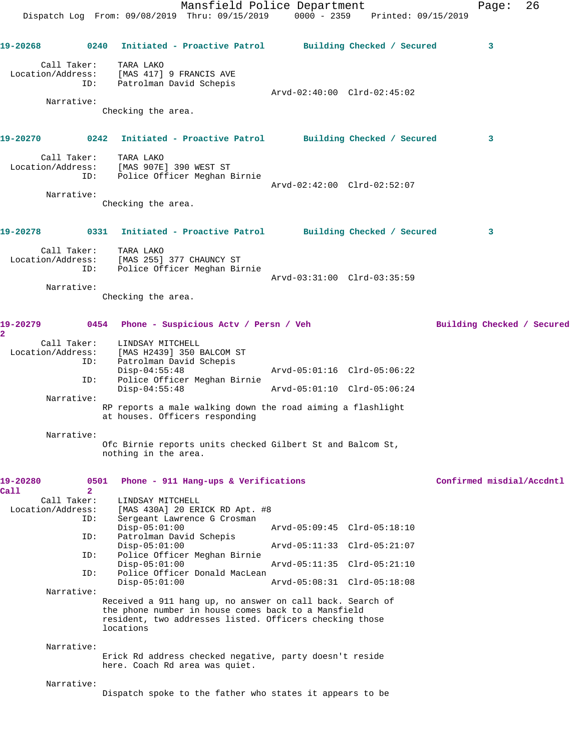Mansfield Police Department Fage: 26 Dispatch Log From: 09/08/2019 Thru: 09/15/2019 0000 - 2359 Printed: 09/15/2019 **19-20268 0240 Initiated - Proactive Patrol Building Checked / Secured 3** Call Taker: TARA LAKO Location/Address: [MAS 417] 9 FRANCIS AVE ID: Patrolman David Schepis Arvd-02:40:00 Clrd-02:45:02 Narrative: Checking the area. **19-20270 0242 Initiated - Proactive Patrol Building Checked / Secured 3** Call Taker: TARA LAKO Location/Address: [MAS 907E] 390 WEST ST ID: Police Officer Meghan Birnie Arvd-02:42:00 Clrd-02:52:07 Narrative: Checking the area. **19-20278 0331 Initiated - Proactive Patrol Building Checked / Secured 3** Call Taker: TARA LAKO Location/Address: [MAS 255] 377 CHAUNCY ST ID: Police Officer Meghan Birnie Arvd-03:31:00 Clrd-03:35:59 Narrative: Checking the area. **19-20279 0454 Phone - Suspicious Actv / Persn / Veh Building Checked / Secured 2**  Call Taker: LINDSAY MITCHELL Location/Address: [MAS H2439] 350 BALCOM ST ID: Patrolman David Schepis Disp-04:55:48 Arvd-05:01:16 Clrd-05:06:22<br>Disp-04:55:48 Arvd-05:01:10 Clrd-05:06:24<br>Disp-04:55:48 Arvd-05:01:10 Clrd-05:06:24 Police Officer Meghan Birnie Arvd-05:01:10 Clrd-05:06:24 Narrative: RP reports a male walking down the road aiming a flashlight at houses. Officers responding Narrative: Ofc Birnie reports units checked Gilbert St and Balcom St, nothing in the area. **19-20280 0501 Phone - 911 Hang-ups & Verifications Confirmed misdial/Accdntl Call 2**  Call Taker: LINDSAY MITCHELL Location/Address: [MAS 430A] 20 ERICK RD Apt. #8 ID: Sergeant Lawrence G Crosman Disp-05:01:00 Arvd-05:09:45 Clrd-05:18:10 ID: Patrolman David Schepis<br>Disp-05:01:00 Disp-05:01:00 Arvd-05:11:33 Clrd-05:21:07 ID: Police Officer Meghan Birnie Disp-05:01:00 Arvd-05:11:35 Clrd-05:21:10 ID: Police Officer Donald MacLean Arvd-05:08:31 Clrd-05:18:08 Narrative: Received a 911 hang up, no answer on call back. Search of the phone number in house comes back to a Mansfield resident, two addresses listed. Officers checking those locations Narrative: Erick Rd address checked negative, party doesn't reside here. Coach Rd area was quiet. Narrative: Dispatch spoke to the father who states it appears to be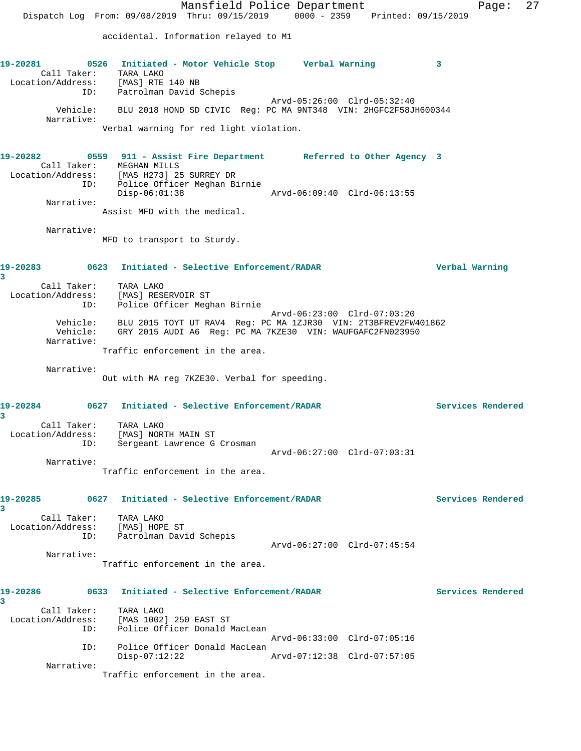Mansfield Police Department Fage: 27 Dispatch Log From: 09/08/2019 Thru: 09/15/2019 0000 - 2359 Printed: 09/15/2019 accidental. Information relayed to M1 **19-20281 0526 Initiated - Motor Vehicle Stop Verbal Warning 3**  Call Taker: TARA LAKO Location/Address: [MAS] RTE 140 NB ID: Patrolman David Schepis Arvd-05:26:00 Clrd-05:32:40 Vehicle: BLU 2018 HOND SD CIVIC Reg: PC MA 9NT348 VIN: 2HGFC2F58JH600344 Narrative: Verbal warning for red light violation. **19-20282 0559 911 - Assist Fire Department Referred to Other Agency 3**  Call Taker: MEGHAN MILLS Location/Address: [MAS H273] 25 SURREY DR ID: Police Officer Meghan Birnie Disp-06:01:38 Arvd-06:09:40 Clrd-06:13:55 Narrative: Assist MFD with the medical. Narrative: MFD to transport to Sturdy. **19-20283 0623 Initiated - Selective Enforcement/RADAR Verbal Warning 3**  Call Taker: TARA LAKO Location/Address: [MAS] RESERVOIR ST ID: Police Officer Meghan Birnie Arvd-06:23:00 Clrd-07:03:20 Vehicle: BLU 2015 TOYT UT RAV4 Reg: PC MA 1ZJR30 VIN: 2T3BFREV2FW401862 Vehicle: GRY 2015 AUDI A6 Reg: PC MA 7KZE30 VIN: WAUFGAFC2FN023950 Narrative: Traffic enforcement in the area. Narrative: Out with MA reg 7KZE30. Verbal for speeding. **19-20284 0627 Initiated - Selective Enforcement/RADAR Services Rendered 3**  Call Taker: TARA LAKO Location/Address: [MAS] NORTH MAIN ST ID: Sergeant Lawrence G Crosman Arvd-06:27:00 Clrd-07:03:31 Narrative: Traffic enforcement in the area. **19-20285 0627 Initiated - Selective Enforcement/RADAR Services Rendered 3**  Call Taker: TARA LAKO Location/Address: [MAS] HOPE ST ID: Patrolman David Schepis Arvd-06:27:00 Clrd-07:45:54 Narrative: Traffic enforcement in the area. **19-20286 0633 Initiated - Selective Enforcement/RADAR Services Rendered 3**  Call Taker: TARA LAKO Location/Address: [MAS 1002] 250 EAST ST ID: Police Officer Donald MacLean Arvd-06:33:00 Clrd-07:05:16 ID: Police Officer Donald MacLean<br>Disp-07:12:22 Arvd-07:12:38 Clrd-07:57:05  $Disp-07:12:22$  Narrative: Traffic enforcement in the area.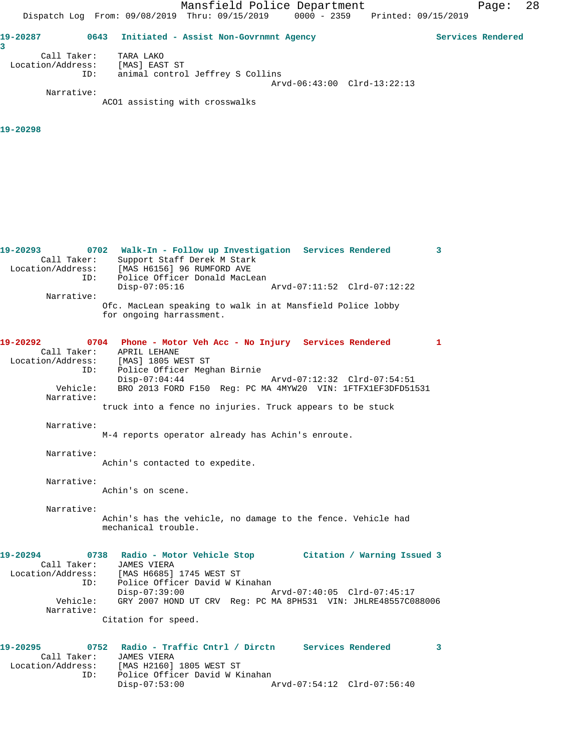**19-20287 0643 Initiated - Assist Non-Govrnmnt Agency Services Rendered 3**  Call Taker: TARA LAKO Location/Address: [MAS] EAST ST ID: animal control Jeffrey S Collins Arvd-06:43:00 Clrd-13:22:13 Narrative:

ACO1 assisting with crosswalks

# **19-20298**

**19-20293 0702 Walk-In - Follow up Investigation Services Rendered 3**  Call Taker: Support Staff Derek M Stark Location/Address: [MAS H6156] 96 RUMFORD AVE ID: Police Officer Donald MacLean Disp-07:05:16 Arvd-07:11:52 Clrd-07:12:22 Narrative: Ofc. MacLean speaking to walk in at Mansfield Police lobby for ongoing harrassment. **19-20292 0704 Phone - Motor Veh Acc - No Injury Services Rendered 1**  Call Taker: APRIL LEHANE Location/Address: [MAS] 1805 WEST ST ID: Police Officer Meghan Birnie Disp-07:04:44 Arvd-07:12:32 Clrd-07:54:51 Vehicle: BRO 2013 FORD F150 Reg: PC MA 4MYW20 VIN: 1FTFX1EF3DFD51531 Narrative: truck into a fence no injuries. Truck appears to be stuck Narrative: M-4 reports operator already has Achin's enroute. Narrative: Achin's contacted to expedite. Narrative: Achin's on scene. Narrative: Achin's has the vehicle, no damage to the fence. Vehicle had mechanical trouble. **19-20294 0738 Radio - Motor Vehicle Stop Citation / Warning Issued 3**  Call Taker: JAMES VIERA Location/Address: [MAS H6685] 1745 WEST ST ID: Police Officer David W Kinahan<br>Disp-07:39:00 P Disp-07:39:00 Arvd-07:40:05 Clrd-07:45:17 Vehicle: GRY 2007 HOND UT CRV Reg: PC MA 8PH531 VIN: JHLRE48557C088006 Narrative: Citation for speed. **19-20295 0752 Radio - Traffic Cntrl / Dirctn Services Rendered 3**  Call Taker: JAMES VIERA Location/Address: [MAS H2160] 1805 WEST ST ID: Police Officer David W Kinahan

Disp-07:53:00 Arvd-07:54:12 Clrd-07:56:40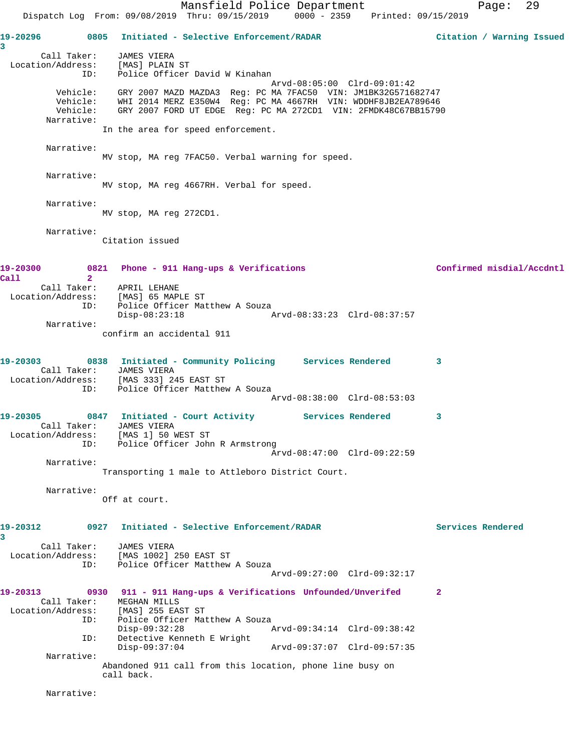Mansfield Police Department Page: 29 Dispatch Log From: 09/08/2019 Thru: 09/15/2019 0000 - 2359 Printed: 09/15/2019 **19-20296 0805 Initiated - Selective Enforcement/RADAR Citation / Warning Issued 3**  Call Taker: JAMES VIERA Location/Address: [MAS] PLAIN ST ID: Police Officer David W Kinahan Arvd-08:05:00 Clrd-09:01:42 Vehicle: GRY 2007 MAZD MAZDA3 Reg: PC MA 7FAC50 VIN: JM1BK32G571682747 Vehicle: WHI 2014 MERZ E350W4 Reg: PC MA 4667RH VIN: WDDHF8JB2EA789646 Vehicle: GRY 2007 FORD UT EDGE Reg: PC MA 272CD1 VIN: 2FMDK48C67BB15790 Narrative: In the area for speed enforcement. Narrative: MV stop, MA reg 7FAC50. Verbal warning for speed. Narrative: MV stop, MA reg 4667RH. Verbal for speed. Narrative: MV stop, MA reg 272CD1. Narrative: Citation issued 19-20300 0821 Phone - 911 Hang-ups & Verifications **Confirmed misdial/Accdntl Call 2**  Call Taker: APRIL LEHANE Location/Address: [MAS] 65 MAPLE ST ID: Police Officer Matthew A Souza Disp-08:23:18 Arvd-08:33:23 Clrd-08:37:57 Narrative: confirm an accidental 911 **19-20303 0838 Initiated - Community Policing Services Rendered 3**  Call Taker: JAMES VIERA Location/Address: [MAS 333] 245 EAST ST ID: Police Officer Matthew A Souza Arvd-08:38:00 Clrd-08:53:03 19-20305 0847 Initiated - Court Activity Services Rendered 3 Call Taker: JAMES VIERA Location/Address: [MAS 1] 50 WEST ST ID: Police Officer John R Armstrong Arvd-08:47:00 Clrd-09:22:59 Narrative: Transporting 1 male to Attleboro District Court. Narrative: Off at court. **19-20312 0927 Initiated - Selective Enforcement/RADAR Services Rendered 3**  Call Taker: JAMES VIERA Location/Address: [MAS 1002] 250 EAST ST ID: Police Officer Matthew A Souza Arvd-09:27:00 Clrd-09:32:17 **19-20313 0930 911 - 911 Hang-ups & Verifications Unfounded/Unverifed 2**  Call Taker: MEGHAN MILLS<br>Location/Address: [MAS] 255 EAS Location/Address: [MAS] 255 EAST ST ID: Police Officer Matthew A Souza Disp-09:32:28 Arvd-09:34:14 Clrd-09:38:42 ID: Detective Kenneth E Wright Disp-09:37:04 Arvd-09:37:07 Clrd-09:57:35 Narrative: Abandoned 911 call from this location, phone line busy on call back. Narrative: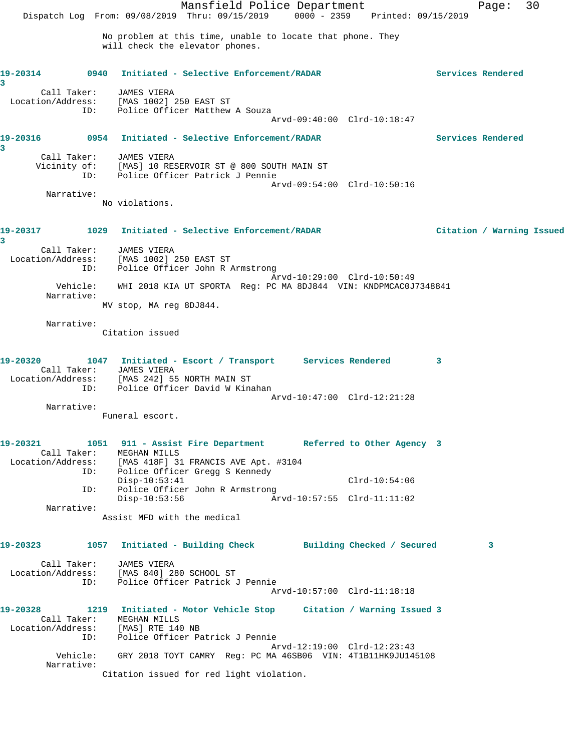Mansfield Police Department Page: 30 Dispatch Log From: 09/08/2019 Thru: 09/15/2019 0000 - 2359 Printed: 09/15/2019 No problem at this time, unable to locate that phone. They will check the elevator phones. **19-20314 0940 Initiated - Selective Enforcement/RADAR Services Rendered 3**  Call Taker: JAMES VIERA Location/Address: [MAS 1002] 250 EAST ST ID: Police Officer Matthew A Souza Arvd-09:40:00 Clrd-10:18:47 **19-20316 0954 Initiated - Selective Enforcement/RADAR Services Rendered 3**  Call Taker: JAMES VIERA Vicinity of: [MAS] 10 RESERVOIR ST @ 800 SOUTH MAIN ST ID: Police Officer Patrick J Pennie Arvd-09:54:00 Clrd-10:50:16 Narrative: No violations. **19-20317 1029 Initiated - Selective Enforcement/RADAR Citation / Warning Issued 3**  Call Taker: JAMES VIERA Location/Address: [MAS 1002] 250 EAST ST ID: Police Officer John R Armstrong Arvd-10:29:00 Clrd-10:50:49 Vehicle: WHI 2018 KIA UT SPORTA Reg: PC MA 8DJ844 VIN: KNDPMCAC0J7348841 Narrative: MV stop, MA reg 8DJ844. Narrative: Citation issued **19-20320 1047 Initiated - Escort / Transport Services Rendered 3**  Call Taker: JAMES VIERA Location/Address: [MAS 242] 55 NORTH MAIN ST ID: Police Officer David W Kinahan Arvd-10:47:00 Clrd-12:21:28 Narrative: Funeral escort. **19-20321 1051 911 - Assist Fire Department Referred to Other Agency 3**  Call Taker: MEGHAN MILLS Location/Address: [MAS 418F] 31 FRANCIS AVE Apt. #3104 ID: Police Officer Gregg S Kennedy Disp-10:53:41 Clrd-10:54:06<br>ID: Police Officer John R Armstrong Clrd-10:54:06 ID: Police Officer John R Armstrong Disp-10:53:56 Arvd-10:57:55 Clrd-11:11:02 Narrative: Assist MFD with the medical **19-20323 1057 Initiated - Building Check Building Checked / Secured 3** Call Taker: JAMES VIERA Location/Address: [MAS 840] 280 SCHOOL ST ID: Police Officer Patrick J Pennie Arvd-10:57:00 Clrd-11:18:18 **19-20328 1219 Initiated - Motor Vehicle Stop Citation / Warning Issued 3**  Call Taker: MEGHAN MILLS Location/Address: [MAS] RTE 140 NB ID: Police Officer Patrick J Pennie Arvd-12:19:00 Clrd-12:23:43 Vehicle: GRY 2018 TOYT CAMRY Reg: PC MA 46SB06 VIN: 4T1B11HK9JU145108 Narrative: Citation issued for red light violation.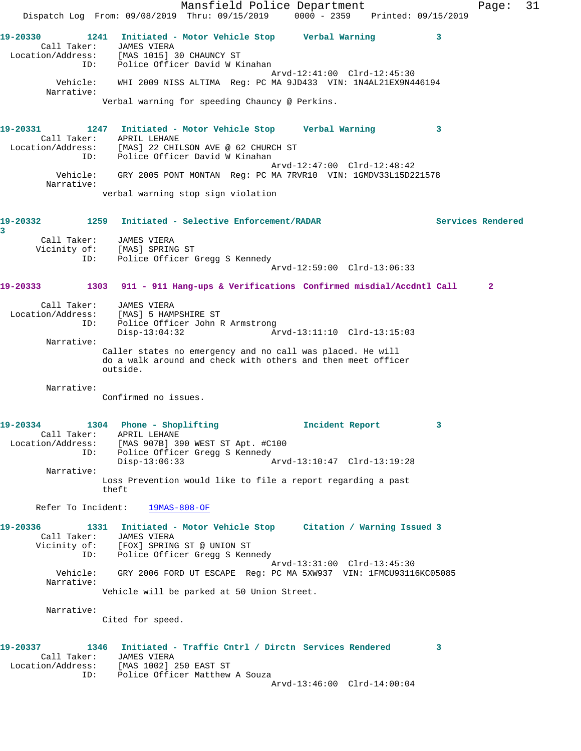Mansfield Police Department Fage: 31 Dispatch Log From: 09/08/2019 Thru: 09/15/2019 0000 - 2359 Printed: 09/15/2019 **19-20330 1241 Initiated - Motor Vehicle Stop Verbal Warning 3**  Call Taker: JAMES VIERA Location/Address: [MAS 1015] 30 CHAUNCY ST ID: Police Officer David W Kinahan Arvd-12:41:00 Clrd-12:45:30 Vehicle: WHI 2009 NISS ALTIMA Reg: PC MA 9JD433 VIN: 1N4AL21EX9N446194 Narrative: Verbal warning for speeding Chauncy @ Perkins. **19-20331 1247 Initiated - Motor Vehicle Stop Verbal Warning 3**  Call Taker: APRIL LEHANE Location/Address: [MAS] 22 CHILSON AVE @ 62 CHURCH ST ID: Police Officer David W Kinahan Arvd-12:47:00 Clrd-12:48:42 Vehicle: GRY 2005 PONT MONTAN Reg: PC MA 7RVR10 VIN: 1GMDV33L15D221578 Narrative: verbal warning stop sign violation **19-20332 1259 Initiated - Selective Enforcement/RADAR Services Rendered 3**  Call Taker: JAMES VIERA Vicinity of: [MAS] SPRING ST ID: נאשא הראדע האווארט ( DI: Police Officer Gregg S Kennedy Arvd-12:59:00 Clrd-13:06:33 **19-20333 1303 911 - 911 Hang-ups & Verifications Confirmed misdial/Accdntl Call 2** Call Taker: JAMES VIERA Location/Address: [MAS] 5 HAMPSHIRE ST ID: Police Officer John R Armstrong Disp-13:04:32 Arvd-13:11:10 Clrd-13:15:03 Narrative: Caller states no emergency and no call was placed. He will do a walk around and check with others and then meet officer outside. Narrative: Confirmed no issues. **19-20334 1304 Phone - Shoplifting Incident Report 3**  Call Taker: APRIL LEHANE Location/Address: [MAS 907B] 390 WEST ST Apt. #C100 ID: Police Officer Gregg S Kennedy<br>Disp-13:06:33 Arvd-13:10:47 Clrd-13:19:28 Disp-13:06:33 Narrative: Loss Prevention would like to file a report regarding a past theft Refer To Incident: 19MAS-808-OF **19-20336 1331 Initiated - Motor Vehicle Stop Citation / Warning Issued 3**  Call Taker: JAMES VIERA Vicinity of: [FOX] SPRING ST @ UNION ST ID: Police Officer Gregg S Kennedy Arvd-13:31:00 Clrd-13:45:30 Vehicle: GRY 2006 FORD UT ESCAPE Reg: PC MA 5XW937 VIN: 1FMCU93116KC05085 Narrative: Vehicle will be parked at 50 Union Street. Narrative: Cited for speed. **19-20337 1346 Initiated - Traffic Cntrl / Dirctn Services Rendered 3**  Call Taker: JAMES VIERA Location/Address: [MAS 1002] 250 EAST ST ID: Police Officer Matthew A Souza Arvd-13:46:00 Clrd-14:00:04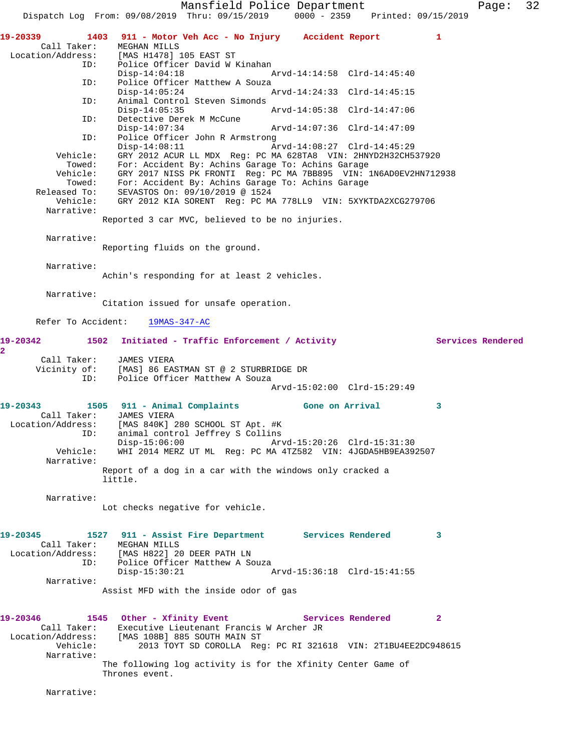Mansfield Police Department Page: 32 Dispatch Log From: 09/08/2019 Thru: 09/15/2019 0000 - 2359 Printed: 09/15/2019 **19-20339 1403 911 - Motor Veh Acc - No Injury Accident Report 1**  Call Taker: MEGHAN MILLS<br>Location/Address: [MAS H1478] [MAS H1478] 105 EAST ST ID: Police Officer David W Kinahan Disp-14:04:18 Arvd-14:14:58 Clrd-14:45:40<br>ID: Police Officer Matthew A Souza Police Officer Matthew A Souza<br>Disp-14:05:24 Arvd-14:24:33 Clrd-14:45:15 ID: Animal Control Steven Simonds Disp-14:05:35 Arvd-14:05:38 Clrd-14:47:06 ID: Detective Derek M McCune Disp-14:07:34 Arvd-14:07:36 Clrd-14:47:09 ID: Police Officer John R Armstrong Disp-14:08:11 Arvd-14:08:27 Clrd-14:45:29 Vehicle: GRY 2012 ACUR LL MDX Reg: PC MA 628TA8 VIN: 2HNYD2H32CH537920 Towed: For: Accident By: Achins Garage To: Achins Garage Vehicle: GRY 2017 NISS PK FRONTI Reg: PC MA 7BB895 VIN: 1N6AD0EV2HN712938 Towed: For: Accident By: Achins Garage To: Achins Garage Released To: SEVASTOS On: 09/10/2019 @ 1524 Vehicle: GRY 2012 KIA SORENT Reg: PC MA 778LL9 VIN: 5XYKTDA2XCG279706 Narrative: Reported 3 car MVC, believed to be no injuries. Narrative: Reporting fluids on the ground. Narrative: Achin's responding for at least 2 vehicles. Narrative: Citation issued for unsafe operation. Refer To Accident: 19MAS-347-AC 19-20342 1502 Initiated - Traffic Enforcement / Activity **Services Rendered 2**  Call Taker: JAMES VIERA Vicinity of: [MAS] 86 EASTMAN ST @ 2 STURBRIDGE DR ID: Police Officer Matthew A Souza Arvd-15:02:00 Clrd-15:29:49 **19-20343 1505 911 - Animal Complaints Gone on Arrival 3**  Call Taker: JAMES VIERA Location/Address: [MAS 840K] 280 SCHOOL ST Apt. #K ID: animal control Jeffrey S Collins<br>Disp-15:06:00 Ar Disp-15:06:00 Arvd-15:20:26 Clrd-15:31:30<br>Vehicle: WHI 2014 MERZ UT ML Req: PC MA 4TZ582 VIN: 4JGDA5HB9EA392 Vehicle: WHI 2014 MERZ UT ML Reg: PC MA 4TZ582 VIN: 4JGDA5HB9EA392507 Narrative: Report of a dog in a car with the windows only cracked a little. Narrative: Lot checks negative for vehicle. **19-20345 1527 911 - Assist Fire Department Services Rendered 3**  Call Taker: MEGHAN MILLS Location/Address: [MAS H822] 20 DEER PATH LN ID: Police Officer Matthew A Souza<br>Disp-15:30:21 Disp-15:30:21 Arvd-15:36:18 Clrd-15:41:55 Narrative: Assist MFD with the inside odor of gas 19-20346 1545 Other - Xfinity Event **Services Rendered** 2 Call Taker: Executive Lieutenant Francis W Archer JR Location/Address: [MAS 108B] 885 SOUTH MAIN ST Vehicle: 2013 TOYT SD COROLLA Reg: PC RI 321618 VIN: 2T1BU4EE2DC948615 Narrative: The following log activity is for the Xfinity Center Game of Thrones event. Narrative: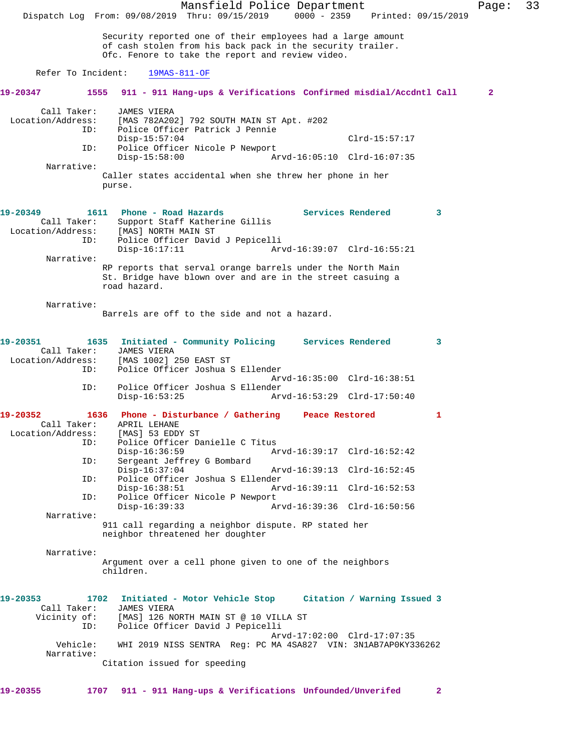Mansfield Police Department Page: 33 Dispatch Log From: 09/08/2019 Thru: 09/15/2019 0000 - 2359 Printed: 09/15/2019 Security reported one of their employees had a large amount of cash stolen from his back pack in the security trailer. Ofc. Fenore to take the report and review video. Refer To Incident: 19MAS-811-OF **19-20347 1555 911 - 911 Hang-ups & Verifications Confirmed misdial/Accdntl Call 2** Call Taker: JAMES VIERA Location/Address: [MAS 782A202] 792 SOUTH MAIN ST Apt. #202 Police Officer Patrick J Pennie Disp-15:57:04 Clrd-15:57:17<br>ID: Police Officer Nicole P Newport Police Officer Nicole P Newport<br>Disp-15:58:00 Ar Disp-15:58:00 Arvd-16:05:10 Clrd-16:07:35 Narrative: Caller states accidental when she threw her phone in her purse. **19-20349 1611 Phone - Road Hazards Services Rendered 3**  Call Taker: Support Staff Katherine Gillis Location/Address: [MAS] NORTH MAIN ST<br>ID: Police Officer David Police Officer David J Pepicelli<br>Disp-16:17:11 Arv Disp-16:17:11 Arvd-16:39:07 Clrd-16:55:21 Narrative: RP reports that serval orange barrels under the North Main St. Bridge have blown over and are in the street casuing a road hazard. Narrative: Barrels are off to the side and not a hazard. **19-20351 1635 Initiated - Community Policing Services Rendered 3**  Call Taker: JAMES VIERA<br>Location/Address: [MAS 1002] [MAS 1002] 250 EAST ST ID: Police Officer Joshua S Ellender Arvd-16:35:00 Clrd-16:38:51 ID: Police Officer Joshua S Ellender Disp-16:53:25 Arvd-16:53:29 Clrd-17:50:40 **19-20352 1636 Phone - Disturbance / Gathering Peace Restored 1**  Call Taker: APRIL LEHANE<br>.on/Address: [MAS] 53 EDDY ST Location/Address:<br>ID: Police Officer Danielle C Titus<br>Disp-16:36:59 A Disp-16:36:59 Arvd-16:39:17 Clrd-16:52:42<br>ID: Sergeant Jeffrey G Bombard Sergeant Jeffrey G Bombard<br>Disp-16:37:04 Arvd-16:39:13 Clrd-16:52:45 ID: Police Officer Joshua S Ellender Disp-16:38:51 Arvd-16:39:11 Clrd-16:52:53 ID: Police Officer Nicole P Newport<br>Disp-16:39:33 Disp-16:39:33 Arvd-16:39:36 Clrd-16:50:56 Narrative: 911 call regarding a neighbor dispute. RP stated her neighbor threatened her doughter Narrative: Argument over a cell phone given to one of the neighbors children. **19-20353 1702 Initiated - Motor Vehicle Stop Citation / Warning Issued 3**  Call Taker: JAMES VIERA Vicinity of: [MAS] 126 NORTH MAIN ST @ 10 VILLA ST ID: Police Officer David J Pepicelli Arvd-17:02:00 Clrd-17:07:35<br>Vehicle: WHI 2019 NISS SENTRA Reg: PC MA 4SA827 VIN: 3N1AB7AP0KY3 WHI 2019 NISS SENTRA Reg: PC MA 4SA827 VIN: 3N1AB7AP0KY336262 Narrative: Citation issued for speeding **19-20355 1707 911 - 911 Hang-ups & Verifications Unfounded/Unverifed 2**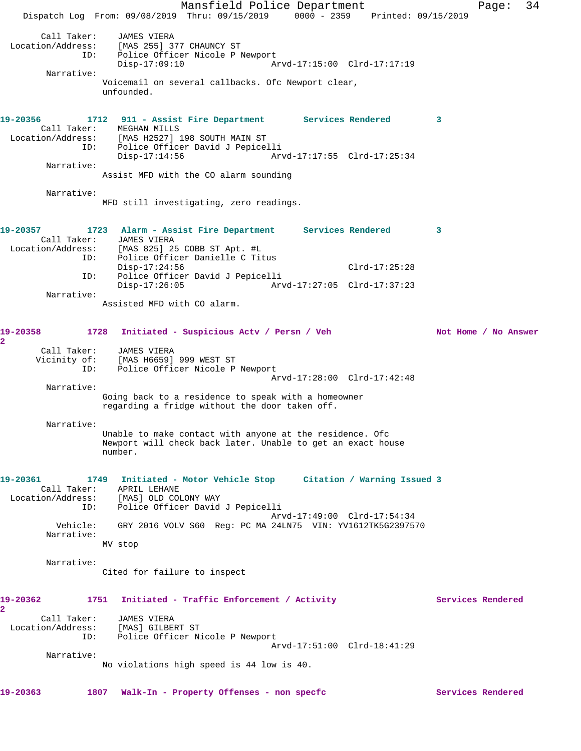Mansfield Police Department Fage: 34 Dispatch Log From: 09/08/2019 Thru: 09/15/2019 0000 - 2359 Printed: 09/15/2019 Call Taker: JAMES VIERA Location/Address: [MAS 255] 377 CHAUNCY ST ID: Police Officer Nicole P Newport Police Officer Nicole P Newport<br>Disp-17:09:10 Arvd-17:15:00 Clrd-17:17:19 Narrative: Voicemail on several callbacks. Ofc Newport clear, unfounded. **19-20356 1712 911 - Assist Fire Department Services Rendered 3**  Call Taker: MEGHAN MILLS Location/Address: [MAS H2527] 198 SOUTH MAIN ST ID: Police Officer David J Pepicelli Disp-17:14:56 Arvd-17:17:55 Clrd-17:25:34 Narrative: Assist MFD with the CO alarm sounding Narrative: MFD still investigating, zero readings. **19-20357 1723 Alarm - Assist Fire Department Services Rendered 3**  Call Taker: JAMES VIERA Location/Address: [MAS 825] 25 COBB ST Apt. #L ID: Police Officer Danielle C Titus Disp-17:24:56 Clrd-17:25:28 ID: Police Officer David J Pepicelli Disp-17:26:05 Arvd-17:27:05 Clrd-17:37:23 Narrative: Assisted MFD with CO alarm. 19-20358 1728 Initiated - Suspicious Actv / Persn / Veh Not Home / No Answer **2**  Call Taker: JAMES VIERA Vicinity of: [MAS H6659] 999 WEST ST ID: Police Officer Nicole P Newport Arvd-17:28:00 Clrd-17:42:48 Narrative: Going back to a residence to speak with a homeowner regarding a fridge without the door taken off. Narrative: Unable to make contact with anyone at the residence. Ofc Newport will check back later. Unable to get an exact house number. **19-20361 1749 Initiated - Motor Vehicle Stop Citation / Warning Issued 3**  Call Taker: APRIL LEHANE Location/Address: [MAS] OLD COLONY WAY ID: Police Officer David J Pepicelli Arvd-17:49:00 Clrd-17:54:34 Vehicle: GRY 2016 VOLV S60 Reg: PC MA 24LN75 VIN: YV1612TK5G2397570 Narrative: MV stop Narrative: Cited for failure to inspect 19-20362 1751 Initiated - Traffic Enforcement / Activity **Services Rendered 2**  Call Taker: JAMES VIERA Location/Address: [MAS] GILBERT ST ID: Police Officer Nicole P Newport Arvd-17:51:00 Clrd-18:41:29 Narrative: No violations high speed is 44 low is 40. **19-20363 1807 Walk-In - Property Offenses - non specfc Services Rendered**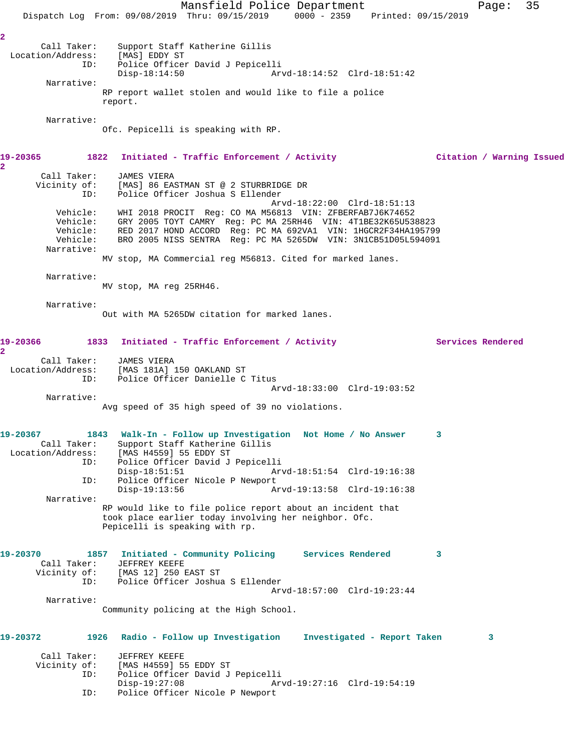Mansfield Police Department Fage: 35 Dispatch Log From: 09/08/2019 Thru: 09/15/2019 0000 - 2359 Printed: 09/15/2019 **2**  Call Taker: Support Staff Katherine Gillis<br>ion/Address: [MAS] EDDY ST Location/Address: ID: Police Officer David J Pepicelli Disp-18:14:50 Arvd-18:14:52 Clrd-18:51:42 Narrative: RP report wallet stolen and would like to file a police report. Narrative: Ofc. Pepicelli is speaking with RP. **19-20365 1822 Initiated - Traffic Enforcement / Activity Citation / Warning Issued 2**  Call Taker: JAMES VIERA Vicinity of: [MAS] 86 EASTMAN ST @ 2 STURBRIDGE DR<br>ID: Police Officer Joshua S Ellender Police Officer Joshua S Ellender Arvd-18:22:00 Clrd-18:51:13 Vehicle: WHI 2018 PROCIT Reg: CO MA M56813 VIN: ZFBERFAB7J6K74652 Vehicle: GRY 2005 TOYT CAMRY Reg: PC MA 25RH46 VIN: 4T1BE32K65U538823 Vehicle: RED 2017 HOND ACCORD Reg: PC MA 692VA1 VIN: 1HGCR2F34HA195799 Vehicle: BRO 2005 NISS SENTRA Reg: PC MA 5265DW VIN: 3N1CB51D05L594091 Narrative: MV stop, MA Commercial reg M56813. Cited for marked lanes. Narrative: MV stop, MA reg 25RH46. Narrative: Out with MA 5265DW citation for marked lanes. 19-20366 1833 Initiated - Traffic Enforcement / Activity **Services Rendered 2**  Call Taker: JAMES VIERA<br>Location/Address: [MAS 181A] ess: [MAS 181A] 150 OAKLAND ST<br>ID: Police Officer Danielle C Police Officer Danielle C Titus Arvd-18:33:00 Clrd-19:03:52 Narrative: Avg speed of 35 high speed of 39 no violations. **19-20367 1843 Walk-In - Follow up Investigation Not Home / No Answer 3**  Call Taker: Support Staff Katherine Gillis<br>Location/Address: [MAS H4559] 55 EDDY ST [MAS H4559] 55 EDDY ST ID: Police Officer David J Pepicelli Disp-18:51:51 Arvd-18:51:54 Clrd-19:16:38 ID: Police Officer Nicole P Newport Disp-19:13:56 Arvd-19:13:58 Clrd-19:16:38 Narrative: RP would like to file police report about an incident that took place earlier today involving her neighbor. Ofc. Pepicelli is speaking with rp. **19-20370 1857 Initiated - Community Policing Services Rendered 3**  Call Taker: JEFFREY KEEFE Vicinity of: [MAS 12] 250 EAST ST<br>ID: Police Officer Joshua Police Officer Joshua S Ellender Arvd-18:57:00 Clrd-19:23:44 Narrative: Community policing at the High School. **19-20372 1926 Radio - Follow up Investigation Investigated - Report Taken 3** Call Taker: JEFFREY KEEFE Vicinity of: [MAS H4559] 55 EDDY ST<br>ID: Police Officer David J Police Officer David J Pepicelli<br>Disp-19:27:08 Ar Disp-19:27:08 Arvd-19:27:16 Clrd-19:54:19<br>ID: Police Officer Nicole P Newport Police Officer Nicole P Newport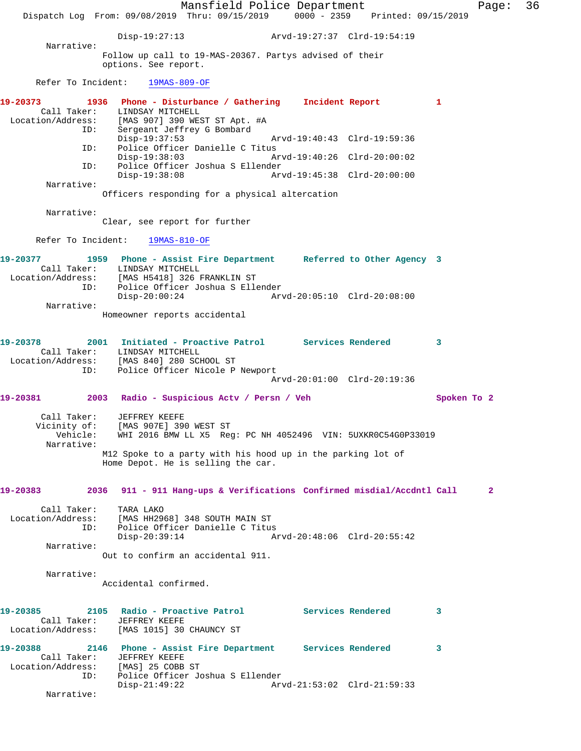Mansfield Police Department Page: 36 Dispatch Log From: 09/08/2019 Thru: 09/15/2019 0000 - 2359 Printed: 09/15/2019 Disp-19:27:13 Arvd-19:27:37 Clrd-19:54:19 Narrative: Follow up call to 19-MAS-20367. Partys advised of their options. See report. Refer To Incident: 19MAS-809-OF **19-20373 1936 Phone - Disturbance / Gathering Incident Report 1**  Call Taker: LINDSAY MITCHELL Location/Address: [MAS 907] 390 WEST ST Apt. #A<br>ID: Sergeant Jeffrey G Bombard Sergeant Jeffrey G Bombard<br>Disp-19:37:53 Disp-19:37:53 Arvd-19:40:43 Clrd-19:59:36<br>ID: Police Officer Danielle C Titus Police Officer Danielle C Titus<br>Disp-19:38:03 A Disp-19:38:03 Arvd-19:40:26 Clrd-20:00:02 ID: Police Officer Joshua S Ellender Disp-19:38:08 Arvd-19:45:38 Clrd-20:00:00 Narrative: Officers responding for a physical altercation Narrative: Clear, see report for further Refer To Incident: 19MAS-810-OF **19-20377 1959 Phone - Assist Fire Department Referred to Other Agency 3**  Call Taker: LINDSAY MITCHELL Location/Address: [MAS H5418] 326 FRANKLIN ST ID: Police Officer Joshua S Ellender Disp-20:00:24 Arvd-20:05:10 Clrd-20:08:00 Narrative: Homeowner reports accidental **19-20378 2001 Initiated - Proactive Patrol Services Rendered 3**  Call Taker: LINDSAY MITCHELL<br>ion/Address: [MAS 840] 280 SCHOOL ST Location/Address:<br>ID: Police Officer Nicole P Newport Arvd-20:01:00 Clrd-20:19:36 **19-20381 2003 Radio - Suspicious Actv / Persn / Veh Spoken To 2** Call Taker: JEFFREY KEEFE Vicinity of: [MAS 907E] 390 WEST ST<br>Vehicle: WHI 2016 BMW LL X5 Reg Vehicle: WHI 2016 BMW LL X5 Reg: PC NH 4052496 VIN: 5UXKR0C54G0P33019 Narrative: M12 Spoke to a party with his hood up in the parking lot of Home Depot. He is selling the car. **19-20383 2036 911 - 911 Hang-ups & Verifications Confirmed misdial/Accdntl Call 2** Call Taker: TARA LAKO Location/Address: [MAS HH2968] 348 SOUTH MAIN ST ID: Police Officer Danielle C Titus<br>Disp-20:39:14 A Disp-20:39:14 Arvd-20:48:06 Clrd-20:55:42 Narrative: Out to confirm an accidental 911. Narrative: Accidental confirmed. **19-20385 2105 Radio - Proactive Patrol Services Rendered 3**  Call Taker: JEFFREY KEEFE Location/Address: [MAS 1015] 30 CHAUNCY ST **19-20388 2146 Phone - Assist Fire Department Services Rendered 3**  Call Taker: JEFFREY KEEFE<br>ion/Address: [MAS] 25 COBB ST Location/Address: ID: Police Officer Joshua S Ellender Disp-21:49:22 Arvd-21:53:02 Clrd-21:59:33 Narrative: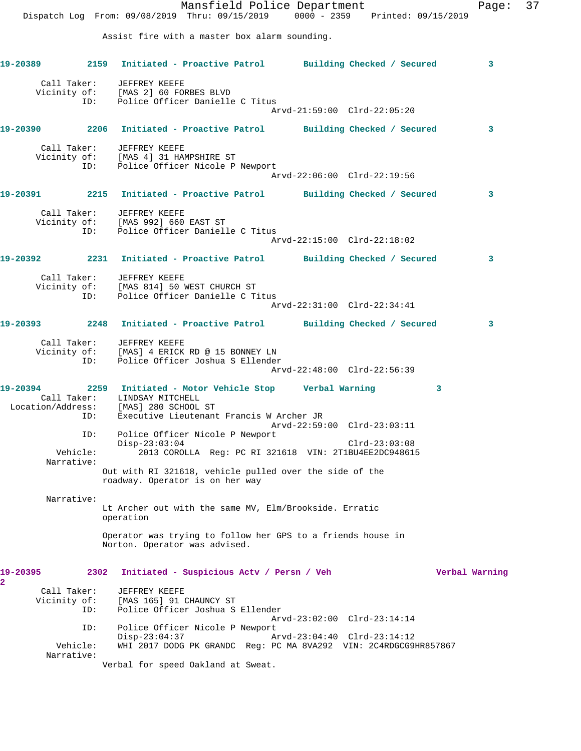Mansfield Police Department Page: 37 Dispatch Log From: 09/08/2019 Thru: 09/15/2019 0000 - 2359 Printed: 09/15/2019 Assist fire with a master box alarm sounding. **19-20389 2159 Initiated - Proactive Patrol Building Checked / Secured 3** Call Taker: JEFFREY KEEFE Vicinity of: [MAS 2] 60 FORBES BLVD ID: Police Officer Danielle C Titus Arvd-21:59:00 Clrd-22:05:20 **19-20390 2206 Initiated - Proactive Patrol Building Checked / Secured 3** Call Taker: JEFFREY KEEFE Vicinity of: [MAS 4] 31 HAMPSHIRE ST ID: Police Officer Nicole P Newport Arvd-22:06:00 Clrd-22:19:56 **19-20391 2215 Initiated - Proactive Patrol Building Checked / Secured 3** Call Taker: JEFFREY KEEFE Vicinity of: [MAS 992] 660 EAST ST ID: Police Officer Danielle C Titus Arvd-22:15:00 Clrd-22:18:02 **19-20392 2231 Initiated - Proactive Patrol Building Checked / Secured 3** Call Taker: JEFFREY KEEFE Vicinity of: [MAS 814] 50 WEST CHURCH ST ID: Police Officer Danielle C Titus Arvd-22:31:00 Clrd-22:34:41 **19-20393 2248 Initiated - Proactive Patrol Building Checked / Secured 3** Call Taker: JEFFREY KEEFE Vicinity of: [MAS] 4 ERICK RD @ 15 BONNEY LN ID: Police Officer Joshua S Ellender Arvd-22:48:00 Clrd-22:56:39 **19-20394 2259 Initiated - Motor Vehicle Stop Verbal Warning 3**  Call Taker: LINDSAY MITCHELL Location/Address: [MAS] 280 SCHOOL ST ID: Executive Lieutenant Francis W Archer JR Arvd-22:59:00 Clrd-23:03:11 ID: Police Officer Nicole P Newport Disp-23:03:04 Clrd-23:03:08 Vehicle: 2013 COROLLA Reg: PC RI 321618 VIN: 2T1BU4EE2DC948615 Narrative: Out with RI 321618, vehicle pulled over the side of the roadway. Operator is on her way Narrative: Lt Archer out with the same MV, Elm/Brookside. Erratic operation Operator was trying to follow her GPS to a friends house in Norton. Operator was advised. **19-20395 2302 Initiated - Suspicious Actv / Persn / Veh Verbal Warning 2**  Call Taker: JEFFREY KEEFE Vicinity of: [MAS 165] 91 CHAUNCY ST ID: Police Officer Joshua S Ellender Arvd-23:02:00 Clrd-23:14:14 ID: Police Officer Nicole P Newport Disp-23:04:37 Arvd-23:04:40 Clrd-23:14:12<br>Vehicle: WHI 2017 DODG PK GRANDC Req: PC MA 8VA292 VIN: 2C4RDGCG9P WHI 2017 DODG PK GRANDC Reg: PC MA 8VA292 VIN: 2C4RDGCG9HR857867 Narrative: Verbal for speed Oakland at Sweat.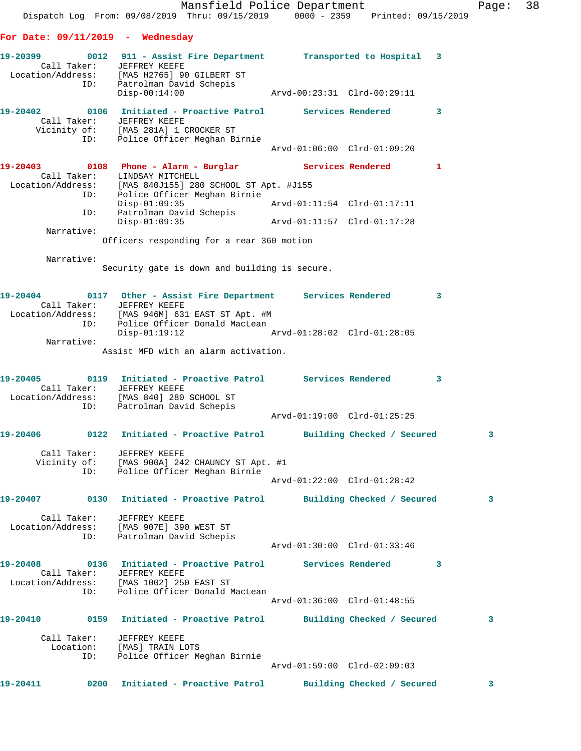Mansfield Police Department Fage: 38 Dispatch Log From: 09/08/2019 Thru: 09/15/2019 0000 - 2359 Printed: 09/15/2019 **For Date: 09/11/2019 - Wednesday 19-20399 0012 911 - Assist Fire Department Transported to Hospital 3**  Call Taker: JEFFREY KEEFE Location/Address: [MAS H2765] 90 GILBERT ST ID: Patrolman David Schepis Disp-00:14:00 Arvd-00:23:31 Clrd-00:29:11 **19-20402 0106 Initiated - Proactive Patrol Services Rendered 3**  Call Taker: JEFFREY KEEFE Vicinity of: [MAS 281A] 1 CROCKER ST ID: Police Officer Meghan Birnie Arvd-01:06:00 Clrd-01:09:20 **19-20403 0108 Phone - Alarm - Burglar Services Rendered 1**  Call Taker: LINDSAY MITCHELL Location/Address: [MAS 840J155] 280 SCHOOL ST Apt. #J155 ID: Police Officer Meghan Birnie Disp-01:09:35 Arvd-01:11:54 Clrd-01:17:11 ID: Patrolman David Schepis Disp-01:09:35 Arvd-01:11:57 Clrd-01:17:28 Narrative: Officers responding for a rear 360 motion Narrative: Security gate is down and building is secure. **19-20404 0117 Other - Assist Fire Department Services Rendered 3**  Call Taker: JEFFREY KEEFE Location/Address: [MAS 946M] 631 EAST ST Apt. #M ID: Police Officer Donald MacLean<br>ID: Police Officer Donald MacLean<br>Disp-01:19:12 Disp-01:19:12 Arvd-01:28:02 Clrd-01:28:05 Narrative: Assist MFD with an alarm activation. **19-20405 0119 Initiated - Proactive Patrol Services Rendered 3**  Call Taker: JEFFREY KEEFE Location/Address: [MAS 840] 280 SCHOOL ST ID: Patrolman David Schepis Arvd-01:19:00 Clrd-01:25:25 **19-20406 0122 Initiated - Proactive Patrol Building Checked / Secured 3** Call Taker: JEFFREY KEEFE Vicinity of: [MAS 900A] 242 CHAUNCY ST Apt. #1 ID: Police Officer Meghan Birnie Arvd-01:22:00 Clrd-01:28:42 **19-20407 0130 Initiated - Proactive Patrol Building Checked / Secured 3** Call Taker: JEFFREY KEEFE Location/Address: [MAS 907E] 390 WEST ST ID: Patrolman David Schepis Arvd-01:30:00 Clrd-01:33:46 **19-20408 0136 Initiated - Proactive Patrol Services Rendered 3**  Call Taker: JEFFREY KEEFE Location/Address: [MAS 1002] 250 EAST ST ID: Police Officer Donald MacLean Arvd-01:36:00 Clrd-01:48:55 **19-20410 0159 Initiated - Proactive Patrol Building Checked / Secured 3** Call Taker: JEFFREY KEEFE Location: [MAS] TRAIN LOTS ID: Police Officer Meghan Birnie Arvd-01:59:00 Clrd-02:09:03 **19-20411 0200 Initiated - Proactive Patrol Building Checked / Secured 3**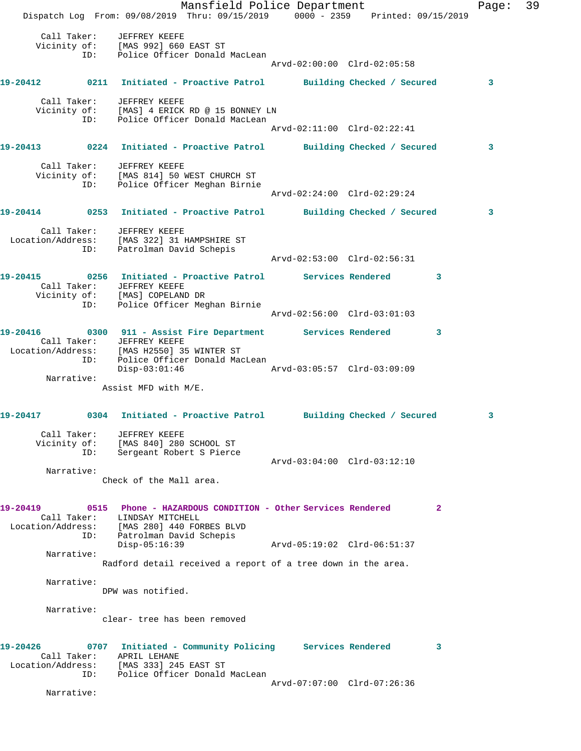Mansfield Police Department Fage: 39 Dispatch Log From: 09/08/2019 Thru: 09/15/2019 0000 - 2359 Printed: 09/15/2019 Call Taker: JEFFREY KEEFE Vicinity of: [MAS 992] 660 EAST ST ID: Police Officer Donald MacLean Arvd-02:00:00 Clrd-02:05:58 **19-20412 0211 Initiated - Proactive Patrol Building Checked / Secured 3** Call Taker: JEFFREY KEEFE Vicinity of: [MAS] 4 ERICK RD @ 15 BONNEY LN ID: Police Officer Donald MacLean Arvd-02:11:00 Clrd-02:22:41 **19-20413 0224 Initiated - Proactive Patrol Building Checked / Secured 3** Call Taker: JEFFREY KEEFE Vicinity of: [MAS 814] 50 WEST CHURCH ST ID: Police Officer Meghan Birnie Arvd-02:24:00 Clrd-02:29:24 **19-20414 0253 Initiated - Proactive Patrol Building Checked / Secured 3** Call Taker: JEFFREY KEEFE Location/Address: [MAS 322] 31 HAMPSHIRE ST ID: Patrolman David Schepis Arvd-02:53:00 Clrd-02:56:31 **19-20415 0256 Initiated - Proactive Patrol Services Rendered 3**  Call Taker: JEFFREY KEEFE Vicinity of: [MAS] COPELAND DR ID: Police Officer Meghan Birnie Arvd-02:56:00 Clrd-03:01:03 **19-20416 0300 911 - Assist Fire Department Services Rendered 3**  Call Taker: JEFFREY KEEFE Location/Address: [MAS H2550] 35 WINTER ST ID: Police Officer Donald MacLean Disp-03:01:46 Arvd-03:05:57 Clrd-03:09:09 Narrative: Assist MFD with M/E. **19-20417 0304 Initiated - Proactive Patrol Building Checked / Secured 3** Call Taker: JEFFREY KEEFE Vicinity of: [MAS 840] 280 SCHOOL ST ID: Sergeant Robert S Pierce Arvd-03:04:00 Clrd-03:12:10 Narrative: Check of the Mall area. **19-20419 0515 Phone - HAZARDOUS CONDITION - Other Services Rendered 2**  Call Taker: LINDSAY MITCHELL Location/Address: [MAS 280] 440 FORBES BLVD ID: Patrolman David Schepis Disp-05:16:39 Arvd-05:19:02 Clrd-06:51:37 Narrative: Radford detail received a report of a tree down in the area. Narrative: DPW was notified. Narrative: clear- tree has been removed **19-20426 0707 Initiated - Community Policing Services Rendered 3**  Call Taker: APRIL LEHANE Location/Address: [MAS 333] 245 EAST ST ID: Police Officer Donald MacLean Arvd-07:07:00 Clrd-07:26:36 Narrative: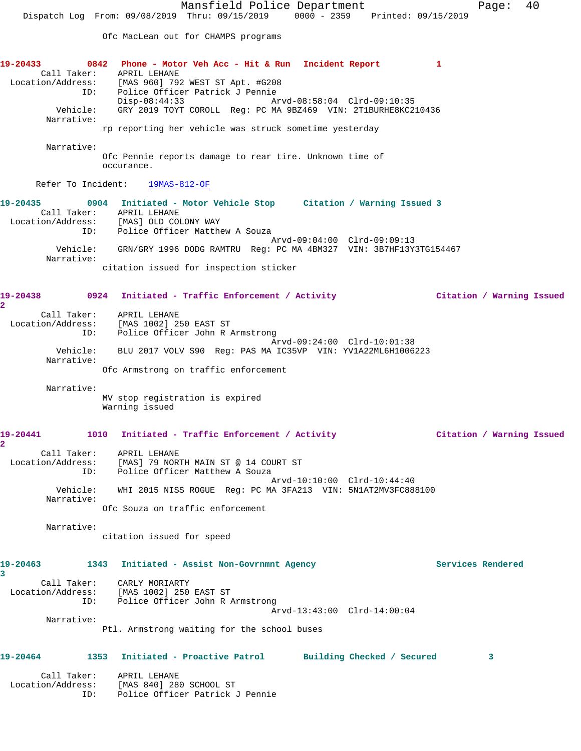Mansfield Police Department Fage: 40 Dispatch Log From: 09/08/2019 Thru: 09/15/2019 0000 - 2359 Printed: 09/15/2019 Ofc MacLean out for CHAMPS programs **19-20433 0842 Phone - Motor Veh Acc - Hit & Run Incident Report 1**  Call Taker: APRIL LEHANE Location/Address: [MAS 960] 792 WEST ST Apt. #G208 ID: Police Officer Patrick J Pennie Disp-08:44:33 Arvd-08:58:04 Clrd-09:10:35 Vehicle: GRY 2019 TOYT COROLL Reg: PC MA 9BZ469 VIN: 2T1BURHE8KC210436 Narrative: rp reporting her vehicle was struck sometime yesterday Narrative: Ofc Pennie reports damage to rear tire. Unknown time of occurance. Refer To Incident:  $\frac{19MAS-812-OF}{}$ **19-20435 0904 Initiated - Motor Vehicle Stop Citation / Warning Issued 3**  Call Taker: APRIL LEHANE Location/Address: [MAS] OLD COLONY WAY ID: Police Officer Matthew A Souza Arvd-09:04:00 Clrd-09:09:13 Vehicle: GRN/GRY 1996 DODG RAMTRU Reg: PC MA 4BM327 VIN: 3B7HF13Y3TG154467 Narrative: citation issued for inspection sticker **19-20438 0924 Initiated - Traffic Enforcement / Activity Citation / Warning Issued 2**  Call Taker: APRIL LEHANE Location/Address: [MAS 1002] 250 EAST ST ID: Police Officer John R Armstrong Arvd-09:24:00 Clrd-10:01:38 Vehicle: BLU 2017 VOLV S90 Reg: PAS MA IC35VP VIN: YV1A22ML6H1006223 Narrative: Ofc Armstrong on traffic enforcement Narrative: MV stop registration is expired Warning issued **19-20441 1010 Initiated - Traffic Enforcement / Activity Citation / Warning Issued 2**  Call Taker: APRIL LEHANE Location/Address: [MAS] 79 NORTH MAIN ST @ 14 COURT ST ID: Police Officer Matthew A Souza Arvd-10:10:00 Clrd-10:44:40 Vehicle: WHI 2015 NISS ROGUE Reg: PC MA 3FA213 VIN: 5N1AT2MV3FC888100 Narrative: Ofc Souza on traffic enforcement Narrative: citation issued for speed **19-20463 1343 Initiated - Assist Non-Govrnmnt Agency Services Rendered 3**  Call Taker: CARLY MORIARTY Location/Address: [MAS 1002] 250 EAST ST ID: Police Officer John R Armstrong Arvd-13:43:00 Clrd-14:00:04 Narrative: Ptl. Armstrong waiting for the school buses **19-20464 1353 Initiated - Proactive Patrol Building Checked / Secured 3** Call Taker: APRIL LEHANE Location/Address: [MAS 840] 280 SCHOOL ST

ID: Police Officer Patrick J Pennie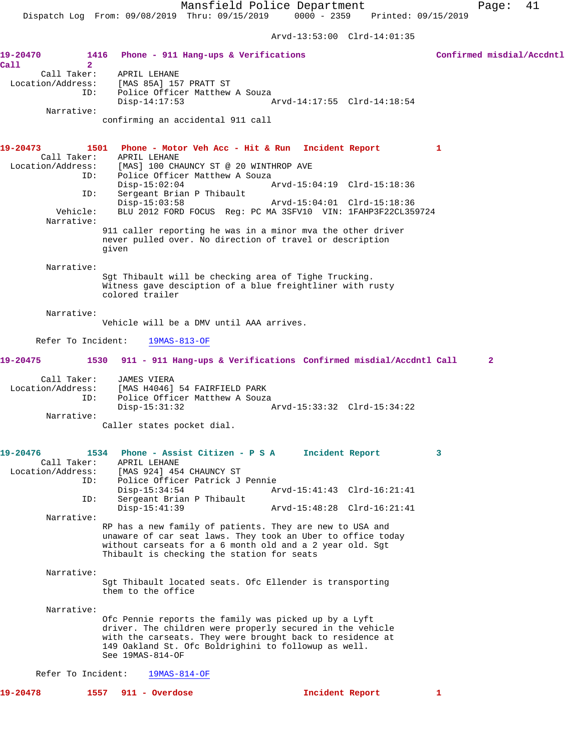Arvd-13:53:00 Clrd-14:01:35

| 19-20470<br>Call<br>$\mathbf{2}$                    | 1416 Phone - 911 Hang-ups & Verifications                                                                                                                                                                                                                   |                                                                   | Confirmed misdial/Accdntl |
|-----------------------------------------------------|-------------------------------------------------------------------------------------------------------------------------------------------------------------------------------------------------------------------------------------------------------------|-------------------------------------------------------------------|---------------------------|
| Call Taker:<br>Location/Address:<br>ID:             | APRIL LEHANE<br>[MAS 85A] 157 PRATT ST<br>Police Officer Matthew A Souza<br>$Disp-14:17:53$                                                                                                                                                                 | Arvd-14:17:55 Clrd-14:18:54                                       |                           |
| Narrative:                                          | confirming an accidental 911 call                                                                                                                                                                                                                           |                                                                   |                           |
| 19-20473<br>Call Taker:<br>Location/Address:<br>ID: | 1501 Phone - Motor Veh Acc - Hit & Run Incident Report<br>APRIL LEHANE<br>[MAS] 100 CHAUNCY ST @ 20 WINTHROP AVE<br>Police Officer Matthew A Souza                                                                                                          |                                                                   | $\mathbf{1}$              |
| ID:                                                 | $Disp-15:02:04$<br>Sergeant Brian P Thibault<br>$Disp-15:03:58$                                                                                                                                                                                             | Arvd-15:04:19 Clrd-15:18:36                                       |                           |
| Vehicle:<br>Narrative:                              |                                                                                                                                                                                                                                                             | BLU 2012 FORD FOCUS Reg: PC MA 3SFV10 VIN: 1FAHP3F22CL359724      |                           |
|                                                     | 911 caller reporting he was in a minor mva the other driver<br>never pulled over. No direction of travel or description<br>given                                                                                                                            |                                                                   |                           |
| Narrative:                                          | Sqt Thibault will be checking area of Tighe Trucking.<br>Witness gave desciption of a blue freightliner with rusty<br>colored trailer                                                                                                                       |                                                                   |                           |
| Narrative:                                          | Vehicle will be a DMV until AAA arrives.                                                                                                                                                                                                                    |                                                                   |                           |
| Refer To Incident:                                  | $19MAS-813-OF$                                                                                                                                                                                                                                              |                                                                   |                           |
| 19-20475<br>1530                                    |                                                                                                                                                                                                                                                             | 911 - 911 Hang-ups & Verifications Confirmed misdial/Accdntl Call | $\mathbf{2}$              |
| Call Taker:<br>Location/Address:<br>ID:             | <b>JAMES VIERA</b><br>[MAS H4046] 54 FAIRFIELD PARK<br>Police Officer Matthew A Souza<br>$Disp-15:31:32$                                                                                                                                                    | Arvd-15:33:32 Clrd-15:34:22                                       |                           |
| Narrative:                                          | Caller states pocket dial.                                                                                                                                                                                                                                  |                                                                   |                           |
| 19-20476<br>Call Taker:<br>ID:                      | 1534 Phone - Assist Citizen - P S A Incident Report<br>APRIL LEHANE<br>Location/Address: [MAS 924] 454 CHAUNCY ST<br>Police Officer Patrick J Pennie                                                                                                        |                                                                   | 3                         |
| ID:                                                 | $Disp-15:34:54$<br>Sergeant Brian P Thibault<br>$Disp-15:41:39$                                                                                                                                                                                             | Arvd-15:41:43 Clrd-16:21:41<br>Arvd-15:48:28 Clrd-16:21:41        |                           |
| Narrative:                                          | RP has a new family of patients. They are new to USA and<br>unaware of car seat laws. They took an Uber to office today<br>without carseats for a 6 month old and a 2 year old. Sgt<br>Thibault is checking the station for seats                           |                                                                   |                           |
| Narrative:                                          | Sgt Thibault located seats. Ofc Ellender is transporting<br>them to the office                                                                                                                                                                              |                                                                   |                           |
| Narrative:                                          | Ofc Pennie reports the family was picked up by a Lyft<br>driver. The children were properly secured in the vehicle<br>with the carseats. They were brought back to residence at<br>149 Oakland St. Ofc Boldrighini to followup as well.<br>See 19MAS-814-OF |                                                                   |                           |
| Refer To Incident:                                  | $19MAS-814-OF$                                                                                                                                                                                                                                              |                                                                   |                           |
| 19-20478                                            | 1557<br>911 - Overdose                                                                                                                                                                                                                                      | Incident Report                                                   | 1                         |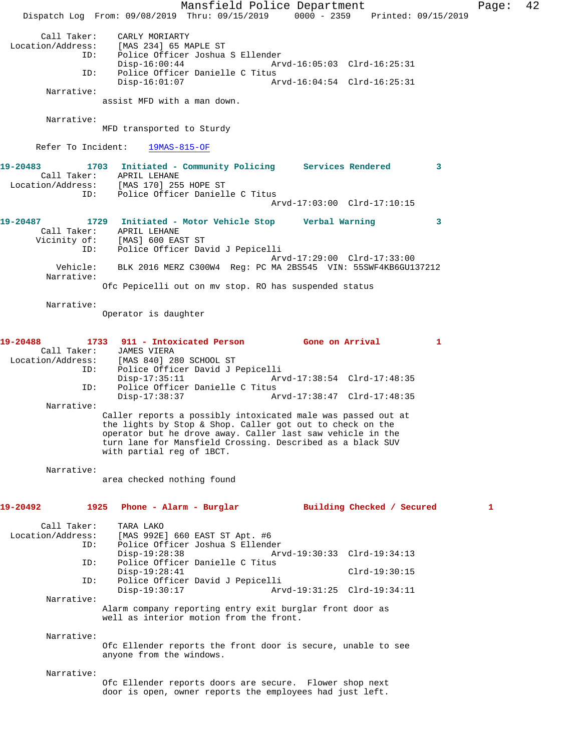Mansfield Police Department Fage: 42 Dispatch Log From: 09/08/2019 Thru: 09/15/2019 0000 - 2359 Printed: 09/15/2019 Call Taker: CARLY MORIARTY Location/Address: [MAS 234] 65 MAPLE ST ID: Police Officer Joshua S Ellender Disp-16:00:44 Arvd-16:05:03 Clrd-16:25:31 ID: Police Officer Danielle C Titus Disp-16:01:07 Arvd-16:04:54 Clrd-16:25:31 Narrative: assist MFD with a man down. Narrative: MFD transported to Sturdy Refer To Incident: 19MAS-815-OF **19-20483 1703 Initiated - Community Policing Services Rendered 3**  Call Taker: APRIL LEHANE Location/Address: [MAS 170] 255 HOPE ST ID: Police Officer Danielle C Titus Arvd-17:03:00 Clrd-17:10:15 **19-20487 1729 Initiated - Motor Vehicle Stop Verbal Warning 3**  Call Taker: APRIL LEHANE<br>Vicinity of: [MAS] 600 EAST ST Vicinity of:<br>ID: Police Officer David J Pepicelli Arvd-17:29:00 Clrd-17:33:00 Vehicle: BLK 2016 MERZ C300W4 Reg: PC MA 2BS545 VIN: 55SWF4KB6GU137212 Narrative: Ofc Pepicelli out on mv stop. RO has suspended status Narrative: Operator is daughter **19-20488 1733 911 - Intoxicated Person Gone on Arrival 1**  Call Taker: JAMES VIERA<br>Location/Address: [MAS 840] 28 [MAS 840] 280 SCHOOL ST ID: Police Officer David J Pepicelli<br>Disp-17:35:11 Arv Disp-17:35:11 Arvd-17:38:54 Clrd-17:48:35 ID: Police Officer Danielle C Titus Disp-17:38:37 Arvd-17:38:47 Clrd-17:48:35 Narrative: Caller reports a possibly intoxicated male was passed out at the lights by Stop & Shop. Caller got out to check on the operator but he drove away. Caller last saw vehicle in the turn lane for Mansfield Crossing. Described as a black SUV with partial reg of 1BCT. Narrative: area checked nothing found **19-20492 1925 Phone - Alarm - Burglar Building Checked / Secured 1** Call Taker: TARA LAKO<br>Location/Address: [MAS 992E [MAS 992E] 660 EAST ST Apt. #6 ID: Police Officer Joshua S Ellender Disp-19:28:38 Arvd-19:30:33 Clrd-19:34:13<br>ID: Police Officer Danielle C Titus Police Officer Danielle C Titus Disp-19:28:41 Clrd-19:30:15<br>ID: Police Officer David J Pepicelli Police Officer David J Pepicelli Disp-19:30:17 Arvd-19:31:25 Clrd-19:34:11 Narrative: Alarm company reporting entry exit burglar front door as well as interior motion from the front. Narrative: Ofc Ellender reports the front door is secure, unable to see anyone from the windows. Narrative: Ofc Ellender reports doors are secure. Flower shop next door is open, owner reports the employees had just left.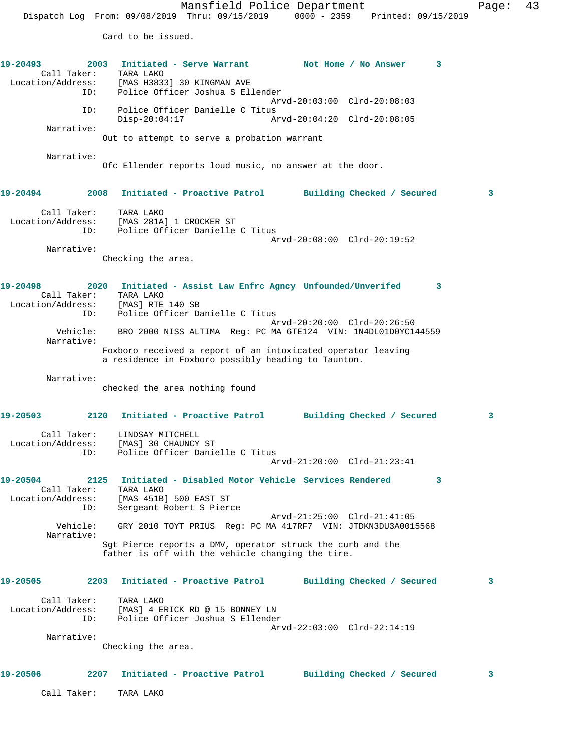Card to be issued.

19-20493 2003 Initiated - Serve Warrant Not Home / No Answer 3 Call Taker: TARA LAKO Location/Address: [MAS H3833] 30 KINGMAN AVE ID: Police Officer Joshua S Ellender Arvd-20:03:00 Clrd-20:08:03 ID: Police Officer Danielle C Titus Disp-20:04:17 Arvd-20:04:20 Clrd-20:08:05 Narrative: Out to attempt to serve a probation warrant Narrative: Ofc Ellender reports loud music, no answer at the door. **19-20494 2008 Initiated - Proactive Patrol Building Checked / Secured 3** Call Taker: TARA LAKO Location/Address: [MAS 281A] 1 CROCKER ST ID: Police Officer Danielle C Titus Arvd-20:08:00 Clrd-20:19:52 Narrative: Checking the area. **19-20498 2020 Initiated - Assist Law Enfrc Agncy Unfounded/Unverifed 3**  Call Taker: TARA LAKO Location/Address: [MAS] RTE 140 SB ID: Police Officer Danielle C Titus Arvd-20:20:00 Clrd-20:26:50 Vehicle: BRO 2000 NISS ALTIMA Reg: PC MA 6TE124 VIN: 1N4DL01D0YC144559 Narrative: Foxboro received a report of an intoxicated operator leaving a residence in Foxboro possibly heading to Taunton. Narrative: checked the area nothing found **19-20503 2120 Initiated - Proactive Patrol Building Checked / Secured 3** Call Taker: LINDSAY MITCHELL Location/Address: [MAS] 30 CHAUNCY ST ID: Police Officer Danielle C Titus Arvd-21:20:00 Clrd-21:23:41 **19-20504 2125 Initiated - Disabled Motor Vehicle Services Rendered 3**  Call Taker: TARA LAKO Location/Address: [MAS 451B] 500 EAST ST ID: Sergeant Robert S Pierce Arvd-21:25:00 Clrd-21:41:05 Vehicle: GRY 2010 TOYT PRIUS Reg: PC MA 417RF7 VIN: JTDKN3DU3A0015568 Narrative: Sgt Pierce reports a DMV, operator struck the curb and the father is off with the vehicle changing the tire. **19-20505 2203 Initiated - Proactive Patrol Building Checked / Secured 3** Call Taker: TARA LAKO Location/Address: [MAS] 4 ERICK RD @ 15 BONNEY LN ID: Police Officer Joshua S Ellender Arvd-22:03:00 Clrd-22:14:19 Narrative: Checking the area. **19-20506 2207 Initiated - Proactive Patrol Building Checked / Secured 3** Call Taker: TARA LAKO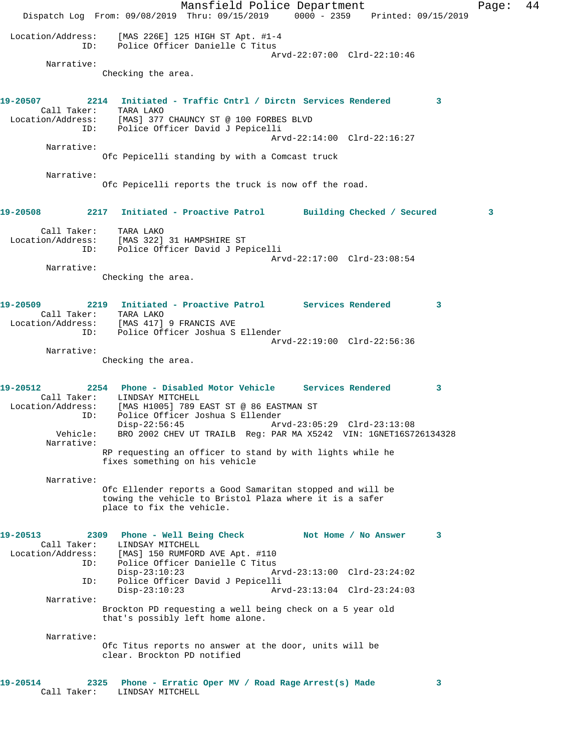Mansfield Police Department Fage: 44 Dispatch Log From: 09/08/2019 Thru: 09/15/2019 0000 - 2359 Printed: 09/15/2019 Location/Address: [MAS 226E] 125 HIGH ST Apt. #1-4 ID: Police Officer Danielle C Titus Arvd-22:07:00 Clrd-22:10:46 Narrative: Checking the area. **19-20507 2214 Initiated - Traffic Cntrl / Dirctn Services Rendered 3**  Call Taker: TARA LAKO<br>Location/Address: [MAS] 377<br>ID: Police Of: [MAS] 377 CHAUNCY ST @ 100 FORBES BLVD Police Officer David J Pepicelli Arvd-22:14:00 Clrd-22:16:27 Narrative: Ofc Pepicelli standing by with a Comcast truck Narrative: Ofc Pepicelli reports the truck is now off the road. **19-20508 2217 Initiated - Proactive Patrol Building Checked / Secured 3** Call Taker: TARA LAKO Location/Address: [MAS 322] 31 HAMPSHIRE ST ID: Police Officer David J Pepicelli Arvd-22:17:00 Clrd-23:08:54 Narrative: Checking the area. **19-20509 2219 Initiated - Proactive Patrol Services Rendered 3**  Call Taker: TARA LAKO Location/Address: [MAS 417] 9 FRANCIS AVE ID: Police Officer Joshua S Ellender Arvd-22:19:00 Clrd-22:56:36 Narrative: Checking the area. **19-20512 2254 Phone - Disabled Motor Vehicle Services Rendered 3**  Call Taker: LINDSAY MITCHELL Location/Address: [MAS H1005] 789 EAST ST @ 86 EASTMAN ST ID: Police Officer Joshua S Ellender Disp-22:56:45 Arvd-23:05:29 Clrd-23:13:08 Vehicle: BRO 2002 CHEV UT TRAILB Reg: PAR MA X5242 VIN: 1GNET16S726134328 Narrative: RP requesting an officer to stand by with lights while he fixes something on his vehicle Narrative: Ofc Ellender reports a Good Samaritan stopped and will be towing the vehicle to Bristol Plaza where it is a safer place to fix the vehicle. 19-20513 2309 Phone - Well Being Check Not Home / No Answer 3 Call Taker: LINDSAY MITCHELL Location/Address: [MAS] 150 RUMFORD AVE Apt. #110 ID: Police Officer Danielle C Titus Disp-23:10:23 Arvd-23:13:00 Clrd-23:24:02<br>ID: Police Officer David J Pepicelli Police Officer David J Pepicelli<br>Disp-23:10:23 Arv Disp-23:10:23 Arvd-23:13:04 Clrd-23:24:03 Narrative: Brockton PD requesting a well being check on a 5 year old that's possibly left home alone. Narrative: Ofc Titus reports no answer at the door, units will be clear. Brockton PD notified **19-20514 2325 Phone - Erratic Oper MV / Road Rage Arrest(s) Made 3**  Call Taker: LINDSAY MITCHELL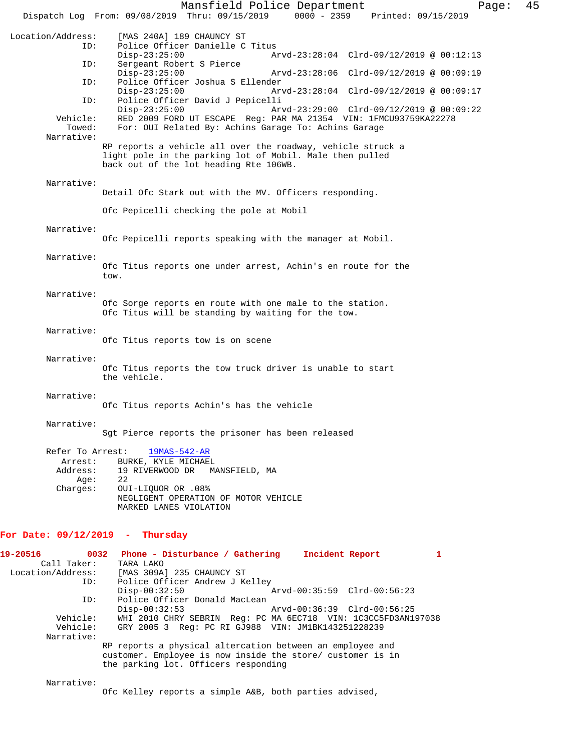|                                                     | Mansfield Police Department<br>Dispatch Log From: 09/08/2019 Thru: 09/15/2019<br>$0000 - 2359$<br>Printed: 09/15/2019                                                                   | Page: | 45 |
|-----------------------------------------------------|-----------------------------------------------------------------------------------------------------------------------------------------------------------------------------------------|-------|----|
| Location/Address:<br>ID:                            | [MAS 240A] 189 CHAUNCY ST<br>Police Officer Danielle C Titus                                                                                                                            |       |    |
| ID:                                                 | $Disp-23:25:00$<br>Arvd-23:28:04 Clrd-09/12/2019 @ 00:12:13<br>Sergeant Robert S Pierce                                                                                                 |       |    |
| ID:                                                 | $Disp-23:25:00$<br>Arvd-23:28:06 Clrd-09/12/2019 @ 00:09:19<br>Police Officer Joshua S Ellender                                                                                         |       |    |
| ID:                                                 | $Disp-23:25:00$<br>Arvd-23:28:04 Clrd-09/12/2019 @ 00:09:17<br>Police Officer David J Pepicelli                                                                                         |       |    |
| Vehicle:<br>Towed:<br>Narrative:                    | $Disp-23:25:00$<br>Arvd-23:29:00 Clrd-09/12/2019 @ 00:09:22<br>RED 2009 FORD UT ESCAPE Req: PAR MA 21354 VIN: 1FMCU93759KA22278<br>For: OUI Related By: Achins Garage To: Achins Garage |       |    |
|                                                     | RP reports a vehicle all over the roadway, vehicle struck a<br>light pole in the parking lot of Mobil. Male then pulled<br>back out of the lot heading Rte 106WB.                       |       |    |
| Narrative:                                          | Detail Ofc Stark out with the MV. Officers responding.                                                                                                                                  |       |    |
|                                                     | Ofc Pepicelli checking the pole at Mobil                                                                                                                                                |       |    |
| Narrative:                                          | Ofc Pepicelli reports speaking with the manager at Mobil.                                                                                                                               |       |    |
| Narrative:                                          | Ofc Titus reports one under arrest, Achin's en route for the<br>tow.                                                                                                                    |       |    |
| Narrative:                                          | Ofc Sorge reports en route with one male to the station.<br>Ofc Titus will be standing by waiting for the tow.                                                                          |       |    |
| Narrative:                                          | Ofc Titus reports tow is on scene                                                                                                                                                       |       |    |
| Narrative:                                          | Ofc Titus reports the tow truck driver is unable to start<br>the vehicle.                                                                                                               |       |    |
| Narrative:                                          | Ofc Titus reports Achin's has the vehicle                                                                                                                                               |       |    |
| Narrative:                                          | Sgt Pierce reports the prisoner has been released                                                                                                                                       |       |    |
| Refer To Arrest:<br>Arrest:<br>Address:<br>Age:     | 19MAS-542-AR<br>BURKE, KYLE MICHAEL<br>19 RIVERWOOD DR MANSFIELD, MA<br>22                                                                                                              |       |    |
| Charges:                                            | OUI-LIQUOR OR .08%<br>NEGLIGENT OPERATION OF MOTOR VEHICLE<br>MARKED LANES VIOLATION                                                                                                    |       |    |
| For Date: $09/12/2019$ - Thursday                   |                                                                                                                                                                                         |       |    |
| 19-20516<br>Call Taker:<br>Location/Address:<br>ID: | 0032 Phone - Disturbance / Gathering Incident Report<br>$\mathbf{1}$<br>TARA LAKO<br>[MAS 309A] 235 CHAUNCY ST<br>Police Officer Andrew J Kelley                                        |       |    |
| ID:                                                 | $Disp-00:32:50$<br>Arvd-00:35:59 Clrd-00:56:23<br>Police Officer Donald MacLean<br>$Disp-00:32:53$<br>Arvd-00:36:39 Clrd-00:56:25                                                       |       |    |
| Vehicle:<br>Vehicle:<br>Narrative:                  | WHI 2010 CHRY SEBRIN Req: PC MA 6EC718 VIN: 1C3CC5FD3AN197038<br>GRY 2005 3 Reg: PC RI GJ988 VIN: JM1BK143251228239                                                                     |       |    |

RP reports a physical altercation between an employee and customer. Employee is now inside the store/ customer is in the parking lot. Officers responding

Narrative:

Ofc Kelley reports a simple A&B, both parties advised,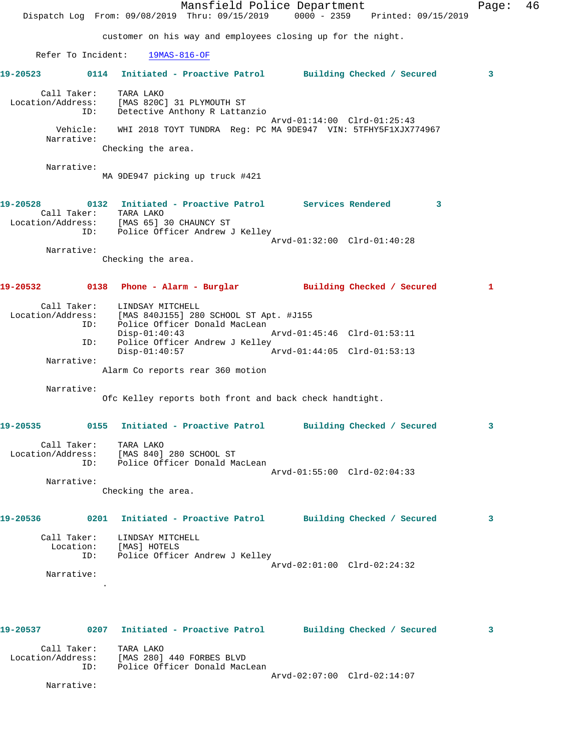Mansfield Police Department Fage: 46 Dispatch Log From: 09/08/2019 Thru: 09/15/2019 0000 - 2359 Printed: 09/15/2019 customer on his way and employees closing up for the night. Refer To Incident: 19MAS-816-OF **19-20523 0114 Initiated - Proactive Patrol Building Checked / Secured 3** Call Taker: TARA LAKO Location/Address: [MAS 820C] 31 PLYMOUTH ST ID: Detective Anthony R Lattanzio Arvd-01:14:00 Clrd-01:25:43 Vehicle: WHI 2018 TOYT TUNDRA Reg: PC MA 9DE947 VIN: 5TFHY5F1XJX774967 Narrative: Checking the area. Narrative: MA 9DE947 picking up truck #421 **19-20528 0132 Initiated - Proactive Patrol Services Rendered 3**  Call Taker: TARA LAKO Location/Address: [MAS 65] 30 CHAUNCY ST ID: Police Officer Andrew J Kelley Arvd-01:32:00 Clrd-01:40:28 Narrative: Checking the area. **19-20532 0138 Phone - Alarm - Burglar Building Checked / Secured 1** Call Taker: LINDSAY MITCHELL Location/Address: [MAS 840J155] 280 SCHOOL ST Apt. #J155 ID: Police Officer Donald MacLean Disp-01:40:43 Arvd-01:45:46 Clrd-01:53:11 ID: Police Officer Andrew J Kelley<br>Disp-01:40:57 Arvd-01:44:05 Clrd-01:53:13 Narrative: Alarm Co reports rear 360 motion Narrative: Ofc Kelley reports both front and back check handtight. **19-20535 0155 Initiated - Proactive Patrol Building Checked / Secured 3** Call Taker: TARA LAKO Location/Address: [MAS 840] 280 SCHOOL ST ID: Police Officer Donald MacLean Arvd-01:55:00 Clrd-02:04:33 Narrative: Checking the area. **19-20536 0201 Initiated - Proactive Patrol Building Checked / Secured 3** Call Taker: LINDSAY MITCHELL Location: [MAS] HOTELS ID: Police Officer Andrew J Kelley Arvd-02:01:00 Clrd-02:24:32 Narrative: . **19-20537 0207 Initiated - Proactive Patrol Building Checked / Secured 3**

 Call Taker: TARA LAKO Location/Address: [MAS 280] 440 FORBES BLVD ID: Police Officer Donald MacLean Arvd-02:07:00 Clrd-02:14:07

Narrative: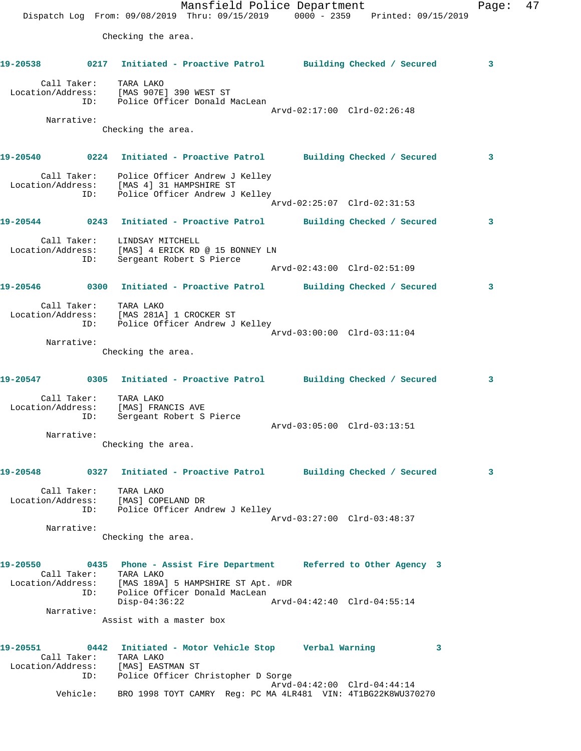Mansfield Police Department Page: 47 Dispatch Log From: 09/08/2019 Thru: 09/15/2019 0000 - 2359 Printed: 09/15/2019 Checking the area. **19-20538 0217 Initiated - Proactive Patrol Building Checked / Secured 3** Call Taker: TARA LAKO Location/Address: [MAS 907E] 390 WEST ST ID: Police Officer Donald MacLean Arvd-02:17:00 Clrd-02:26:48 Narrative: Checking the area. **19-20540 0224 Initiated - Proactive Patrol Building Checked / Secured 3** Call Taker: Police Officer Andrew J Kelley Location/Address: [MAS 4] 31 HAMPSHIRE ST ID: Police Officer Andrew J Kelley Arvd-02:25:07 Clrd-02:31:53 **19-20544 0243 Initiated - Proactive Patrol Building Checked / Secured 3** Call Taker: LINDSAY MITCHELL Location/Address: [MAS] 4 ERICK RD @ 15 BONNEY LN ID: Sergeant Robert S Pierce Arvd-02:43:00 Clrd-02:51:09 **19-20546 0300 Initiated - Proactive Patrol Building Checked / Secured 3** Call Taker: TARA LAKO Location/Address: [MAS 281A] 1 CROCKER ST ID: Police Officer Andrew J Kelley Arvd-03:00:00 Clrd-03:11:04 Narrative: Checking the area. **19-20547 0305 Initiated - Proactive Patrol Building Checked / Secured 3** Call Taker: TARA LAKO Location/Address: [MAS] FRANCIS AVE ID: Sergeant Robert S Pierce Arvd-03:05:00 Clrd-03:13:51 Narrative: Checking the area. **19-20548 0327 Initiated - Proactive Patrol Building Checked / Secured 3** Call Taker: TARA LAKO Location/Address: [MAS] COPELAND DR ID: Police Officer Andrew J Kelley Arvd-03:27:00 Clrd-03:48:37 Narrative: Checking the area. **19-20550 0435 Phone - Assist Fire Department Referred to Other Agency 3**  Call Taker: TARA LAKO Location/Address: [MAS 189A] 5 HAMPSHIRE ST Apt. #DR ID: Police Officer Donald MacLean Disp-04:36:22 Arvd-04:42:40 Clrd-04:55:14 Narrative: Assist with a master box **19-20551 0442 Initiated - Motor Vehicle Stop Verbal Warning 3**  Call Taker: TARA LAKO Location/Address: [MAS] EASTMAN ST ID: Police Officer Christopher D Sorge Arvd-04:42:00 Clrd-04:44:14 Vehicle: BRO 1998 TOYT CAMRY Reg: PC MA 4LR481 VIN: 4T1BG22K8WU370270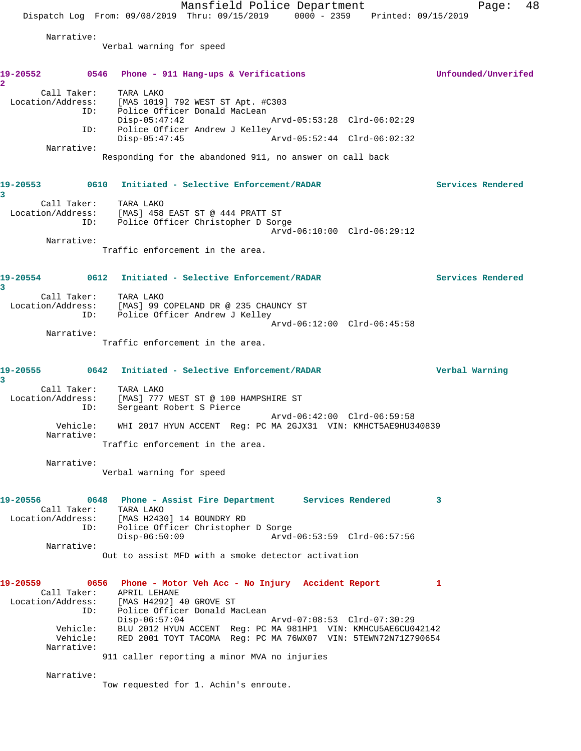Mansfield Police Department Page: 48 Dispatch Log From: 09/08/2019 Thru: 09/15/2019 0000 - 2359 Printed: 09/15/2019 Narrative: Verbal warning for speed **19-20552 0546 Phone - 911 Hang-ups & Verifications Unfounded/Unverifed 2**  Call Taker: TARA LAKO Location/Address: [MAS 1019] 792 WEST ST Apt. #C303 ID: Police Officer Donald MacLean Disp-05:47:42 Arvd-05:53:28 Clrd-06:02:29<br>ID: Police Officer Andrew J Kelley Police Officer Andrew J Kelley<br>Disp-05:47:45 Arvd-05:52:44 Clrd-06:02:32 Narrative: Responding for the abandoned 911, no answer on call back **19-20553 0610 Initiated - Selective Enforcement/RADAR Services Rendered 3**  Call Taker: TARA LAKO Location/Address: [MAS] 458 EAST ST @ 444 PRATT ST ID: Police Officer Christopher D Sorge Arvd-06:10:00 Clrd-06:29:12 Narrative: Traffic enforcement in the area. **19-20554 0612 Initiated - Selective Enforcement/RADAR Services Rendered 3**  Call Taker: TARA LAKO Location/Address: [MAS] 99 COPELAND DR @ 235 CHAUNCY ST ID: Police Officer Andrew J Kelley Arvd-06:12:00 Clrd-06:45:58 Narrative: Traffic enforcement in the area. **19-20555 0642 Initiated - Selective Enforcement/RADAR Verbal Warning 3**  Call Taker: TARA LAKO Location/Address: [MAS] 777 WEST ST @ 100 HAMPSHIRE ST ID: Sergeant Robert S Pierce Arvd-06:42:00 Clrd-06:59:58 Vehicle: WHI 2017 HYUN ACCENT Reg: PC MA 2GJX31 VIN: KMHCT5AE9HU340839 Narrative: Traffic enforcement in the area. Narrative: Verbal warning for speed **19-20556 0648 Phone - Assist Fire Department Services Rendered 3**  Call Taker: TARA LAKO Location/Address: [MAS H2430] 14 BOUNDRY RD ID: Police Officer Christopher D Sorge Disp-06:50:09 Arvd-06:53:59 Clrd-06:57:56 Narrative: Out to assist MFD with a smoke detector activation **19-20559 0656 Phone - Motor Veh Acc - No Injury Accident Report 1**  Call Taker: APRIL LEHANE Location/Address: [MAS H4292] 40 GROVE ST<br>ID: Police Officer Donald Ma Police Officer Donald MacLean Disp-06:57:04 Arvd-07:08:53 Clrd-07:30:29 Vehicle: BLU 2012 HYUN ACCENT Reg: PC MA 981HP1 VIN: KMHCU5AE6CU042142 Vehicle: RED 2001 TOYT TACOMA Reg: PC MA 76WX07 VIN: 5TEWN72N71Z790654 Narrative: 911 caller reporting a minor MVA no injuries Narrative: Tow requested for 1. Achin's enroute.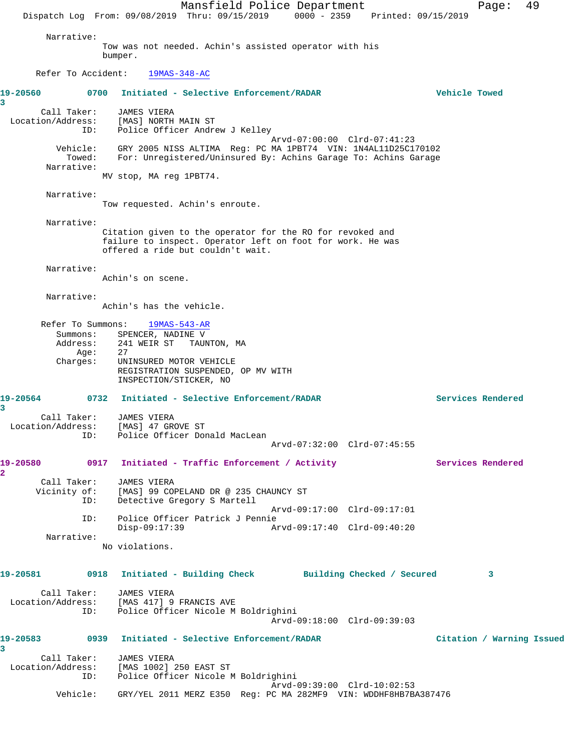Mansfield Police Department Page: 49 Dispatch Log From: 09/08/2019 Thru: 09/15/2019 0000 - 2359 Printed: 09/15/2019 Narrative: Tow was not needed. Achin's assisted operator with his bumper. Refer To Accident: 19MAS-348-AC **19-20560 0700 Initiated - Selective Enforcement/RADAR Vehicle Towed 3**  Call Taker: JAMES VIERA Location/Address: [MAS] NORTH MAIN ST<br>ID: Police Officer Andre Police Officer Andrew J Kelley Arvd-07:00:00 Clrd-07:41:23 Vehicle: GRY 2005 NISS ALTIMA Reg: PC MA 1PBT74 VIN: 1N4AL11D25C170102 Towed: For: Unregistered/Uninsured By: Achins Garage To: Achins Garage Narrative: MV stop, MA reg 1PBT74. Narrative: Tow requested. Achin's enroute. Narrative: Citation given to the operator for the RO for revoked and failure to inspect. Operator left on foot for work. He was offered a ride but couldn't wait. Narrative: Achin's on scene. Narrative: Achin's has the vehicle. Refer To Summons: 19MAS-543-AR Summons: SPENCER, NADINE V Address: 241 WEIR ST TAUNTON, MA<br>Age: 27 Age: Charges: UNINSURED MOTOR VEHICLE REGISTRATION SUSPENDED, OP MV WITH INSPECTION/STICKER, NO **19-20564 0732 Initiated - Selective Enforcement/RADAR Services Rendered 3**  Call Taker: JAMES VIERA Location/Address: [MAS] 47 GROVE ST ID: Police Officer Donald MacLean Arvd-07:32:00 Clrd-07:45:55 **19-20580 0917 Initiated - Traffic Enforcement / Activity Services Rendered 2**  Call Taker: JAMES VIERA Vicinity of: [MAS] 99 COPELAND DR @ 235 CHAUNCY ST<br>ID: Detective Gregory S Martell Detective Gregory S Martell Arvd-09:17:00 Clrd-09:17:01 ID: Police Officer Patrick J Pennie Disp-09:17:39 Arvd-09:17:40 Clrd-09:40:20 Narrative: No violations. **19-20581 0918 Initiated - Building Check Building Checked / Secured 3** Call Taker: JAMES VIERA Location/Address: [MAS 417] 9 FRANCIS AVE ID: Police Officer Nicole M Boldrighini Arvd-09:18:00 Clrd-09:39:03 **19-20583 0939 Initiated - Selective Enforcement/RADAR Citation / Warning Issued 3**  Call Taker: JAMES VIERA Location/Address: [MAS 1002] 250 EAST ST ID: Police Officer Nicole M Boldrighini Arvd-09:39:00 Clrd-10:02:53 Vehicle: GRY/YEL 2011 MERZ E350 Reg: PC MA 282MF9 VIN: WDDHF8HB7BA387476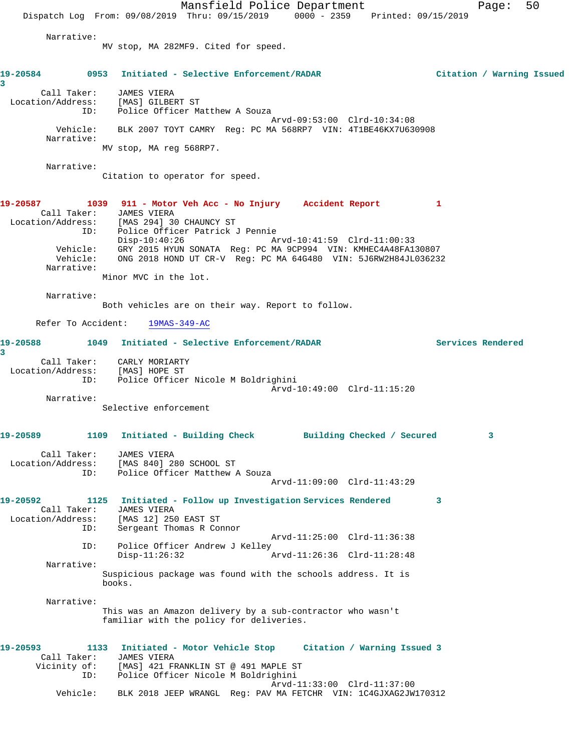Mansfield Police Department Page: 50 Dispatch Log From: 09/08/2019 Thru: 09/15/2019 0000 - 2359 Printed: 09/15/2019 Narrative: MV stop, MA 282MF9. Cited for speed. **19-20584 0953 Initiated - Selective Enforcement/RADAR Citation / Warning Issued 3**  Call Taker: JAMES VIERA Location/Address: [MAS] GILBERT ST ID: Police Officer Matthew A Souza Arvd-09:53:00 Clrd-10:34:08 Vehicle: BLK 2007 TOYT CAMRY Reg: PC MA 568RP7 VIN: 4T1BE46KX7U630908 Narrative: MV stop, MA reg 568RP7. Narrative: Citation to operator for speed. **19-20587 1039 911 - Motor Veh Acc - No Injury Accident Report 1**  Call Taker: JAMES VIERA Location/Address: [MAS 294] 30 CHAUNCY ST ID: Police Officer Patrick J Pennie Disp-10:40:26 Arvd-10:41:59 Clrd-11:00:33 Vehicle: GRY 2015 HYUN SONATA Reg: PC MA 9CP994 VIN: KMHEC4A48FA130807 Vehicle: ONG 2018 HOND UT CR-V Reg: PC MA 64G480 VIN: 5J6RW2H84JL036232 Narrative: Minor MVC in the lot. Narrative: Both vehicles are on their way. Report to follow. Refer To Accident: 19MAS-349-AC **19-20588 1049 Initiated - Selective Enforcement/RADAR Services Rendered 3**  Call Taker: CARLY MORIARTY Location/Address: [MAS] HOPE ST ID: Police Officer Nicole M Boldrighini Arvd-10:49:00 Clrd-11:15:20 Narrative: Selective enforcement **19-20589 1109 Initiated - Building Check Building Checked / Secured 3** Call Taker: JAMES VIERA Location/Address: [MAS 840] 280 SCHOOL ST ID: Police Officer Matthew A Souza Arvd-11:09:00 Clrd-11:43:29 **19-20592 1125 Initiated - Follow up Investigation Services Rendered 3**  Call Taker: JAMES VIERA Location/Address: [MAS 12] 250 EAST ST ID: Sergeant Thomas R Connor Arvd-11:25:00 Clrd-11:36:38 ID: Police Officer Andrew J Kelley<br>Disp-11:26:32 Disp-11:26:32 Arvd-11:26:36 Clrd-11:28:48 Narrative: Suspicious package was found with the schools address. It is books. Narrative: This was an Amazon delivery by a sub-contractor who wasn't familiar with the policy for deliveries. **19-20593 1133 Initiated - Motor Vehicle Stop Citation / Warning Issued 3**  Call Taker: JAMES VIERA Vicinity of: [MAS] 421 FRANKLIN ST @ 491 MAPLE ST ID: Police Officer Nicole M Boldrighini Arvd-11:33:00 Clrd-11:37:00 Vehicle: BLK 2018 JEEP WRANGL Reg: PAV MA FETCHR VIN: 1C4GJXAG2JW170312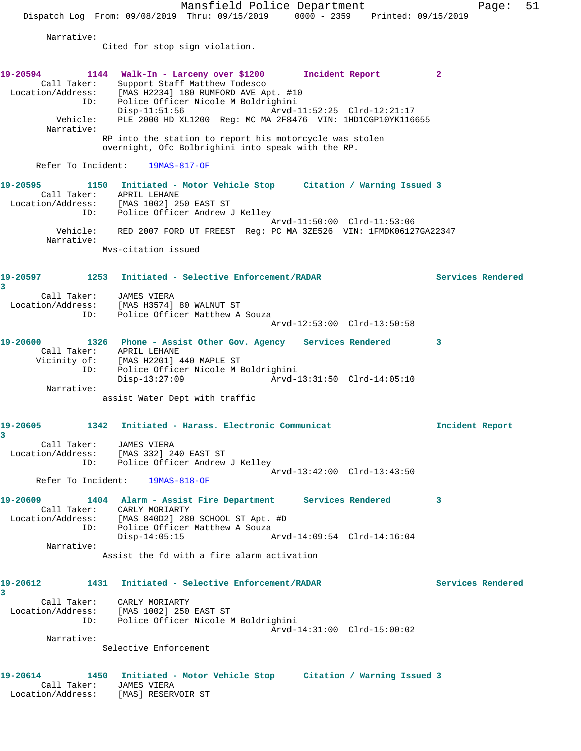Mansfield Police Department Fage: 51 Dispatch Log From: 09/08/2019 Thru: 09/15/2019 0000 - 2359 Printed: 09/15/2019 Narrative: Cited for stop sign violation. **19-20594 1144 Walk-In - Larceny over \$1200 Incident Report 2**  Call Taker: Support Staff Matthew Todesco Location/Address: [MAS H2234] 180 RUMFORD AVE Apt. #10 ID: Police Officer Nicole M Boldrighini Disp-11:51:56 Arvd-11:52:25 Clrd-12:21:17 Vehicle: PLE 2000 HD XL1200 Reg: MC MA 2F8476 VIN: 1HD1CGP10YK116655 Narrative: RP into the station to report his motorcycle was stolen overnight, Ofc Bolbrighini into speak with the RP. Refer To Incident: 19MAS-817-OF **19-20595 1150 Initiated - Motor Vehicle Stop Citation / Warning Issued 3**  Call Taker: APRIL LEHANE Location/Address: [MAS 1002] 250 EAST ST ID: Police Officer Andrew J Kelley Arvd-11:50:00 Clrd-11:53:06 Vehicle: RED 2007 FORD UT FREEST Reg: PC MA 3ZE526 VIN: 1FMDK06127GA22347 Narrative: Mvs-citation issued **19-20597 1253 Initiated - Selective Enforcement/RADAR Services Rendered 3**  Call Taker: JAMES VIERA Location/Address: [MAS H3574] 80 WALNUT ST ID: Police Officer Matthew A Souza Arvd-12:53:00 Clrd-13:50:58 **19-20600 1326 Phone - Assist Other Gov. Agency Services Rendered 3**  Call Taker: APRIL LEHANE Vicinity of: [MAS H2201] 440 MAPLE ST ID: Police Officer Nicole M Boldrighini Disp-13:27:09 Arvd-13:31:50 Clrd-14:05:10 Narrative: assist Water Dept with traffic **19-20605 1342 Initiated - Harass. Electronic Communicat Incident Report 3**  Call Taker: JAMES VIERA Location/Address: [MAS 332] 240 EAST ST ID: Police Officer Andrew J Kelley Arvd-13:42:00 Clrd-13:43:50 Refer To Incident: 19MAS-818-OF **19-20609 1404 Alarm - Assist Fire Department Services Rendered 3**  Call Taker: CARLY MORIARTY Location/Address: [MAS 840D2] 280 SCHOOL ST Apt. #D ID: Police Officer Matthew A Souza<br>Disp-14:05:15 Disp-14:05:15 Arvd-14:09:54 Clrd-14:16:04 Narrative: Assist the fd with a fire alarm activation **19-20612 1431 Initiated - Selective Enforcement/RADAR Services Rendered 3**  Call Taker: CARLY MORIARTY Location/Address: [MAS 1002] 250 EAST ST ID: Police Officer Nicole M Boldrighini Arvd-14:31:00 Clrd-15:00:02 Narrative: Selective Enforcement **19-20614 1450 Initiated - Motor Vehicle Stop Citation / Warning Issued 3**  Call Taker: JAMES VIERA Location/Address: [MAS] RESERVOIR ST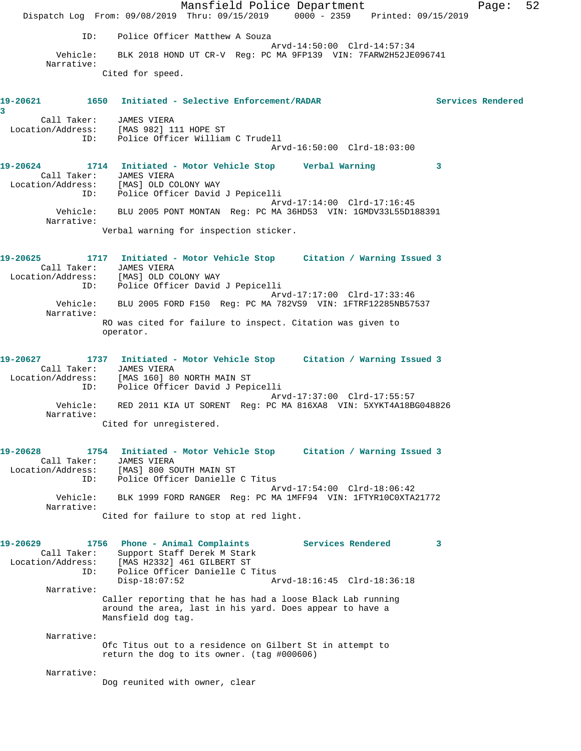Mansfield Police Department Page: 52 Dispatch Log From: 09/08/2019 Thru: 09/15/2019 0000 - 2359 Printed: 09/15/2019 ID: Police Officer Matthew A Souza Arvd-14:50:00 Clrd-14:57:34 Vehicle: BLK 2018 HOND UT CR-V Reg: PC MA 9FP139 VIN: 7FARW2H52JE096741 Narrative: Cited for speed. **19-20621 1650 Initiated - Selective Enforcement/RADAR Services Rendered 3**  Call Taker: JAMES VIERA Location/Address: [MAS 982] 111 HOPE ST ID: Police Officer William C Trudell Arvd-16:50:00 Clrd-18:03:00 **19-20624 1714 Initiated - Motor Vehicle Stop Verbal Warning 3**  Call Taker: JAMES VIERA Location/Address: [MAS] OLD COLONY WAY ID: Police Officer David J Pepicelli Arvd-17:14:00 Clrd-17:16:45 Vehicle: BLU 2005 PONT MONTAN Reg: PC MA 36HD53 VIN: 1GMDV33L55D188391 Narrative: Verbal warning for inspection sticker. **19-20625 1717 Initiated - Motor Vehicle Stop Citation / Warning Issued 3**  Call Taker: JAMES VIERA Location/Address: [MAS] OLD COLONY WAY ID: Police Officer David J Pepicelli Arvd-17:17:00 Clrd-17:33:46 Vehicle: BLU 2005 FORD F150 Reg: PC MA 782VS9 VIN: 1FTRF12285NB57537 Narrative: RO was cited for failure to inspect. Citation was given to operator. **19-20627 1737 Initiated - Motor Vehicle Stop Citation / Warning Issued 3**  Call Taker: JAMES VIERA Location/Address: [MAS 160] 80 NORTH MAIN ST ID: Police Officer David J Pepicelli Arvd-17:37:00 Clrd-17:55:57 Vehicle: RED 2011 KIA UT SORENT Reg: PC MA 816XA8 VIN: 5XYKT4A18BG048826 Narrative: Cited for unregistered. **19-20628 1754 Initiated - Motor Vehicle Stop Citation / Warning Issued 3**  Call Taker: JAMES VIERA Location/Address: [MAS] 800 SOUTH MAIN ST ID: Police Officer Danielle C Titus Arvd-17:54:00 Clrd-18:06:42 Vehicle: BLK 1999 FORD RANGER Reg: PC MA 1MFF94 VIN: 1FTYR10C0XTA21772 Narrative: Cited for failure to stop at red light. **19-20629 1756 Phone - Animal Complaints Services Rendered 3**  Call Taker: Support Staff Derek M Stark Location/Address: [MAS H2332] 461 GILBERT ST ID: Police Officer Danielle C Titus Disp-18:07:52 Arvd-18:16:45 Clrd-18:36:18 Narrative: Caller reporting that he has had a loose Black Lab running around the area, last in his yard. Does appear to have a Mansfield dog tag. Narrative: Ofc Titus out to a residence on Gilbert St in attempt to return the dog to its owner. (tag #000606) Narrative: Dog reunited with owner, clear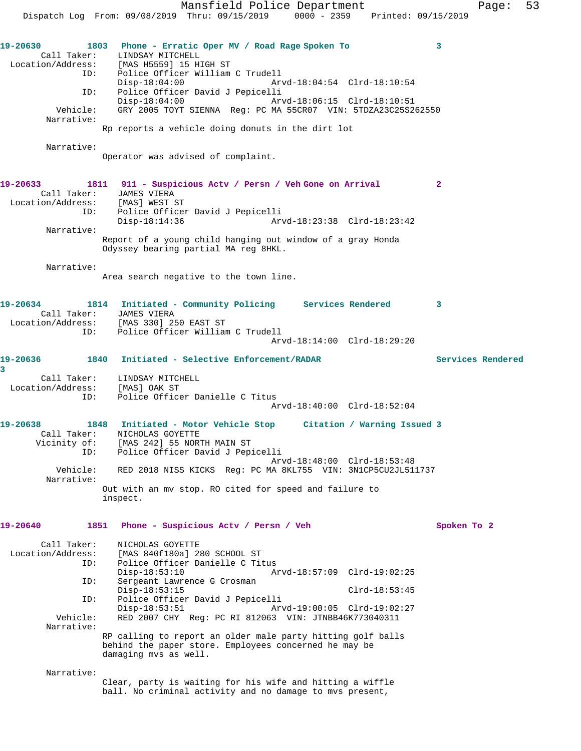Dispatch Log From: 09/08/2019 Thru: 09/15/2019 0000 - 2359 Printed: 09/15/2019 **19-20630 1803 Phone - Erratic Oper MV / Road Rage Spoken To 3**  Call Taker: LINDSAY MITCHELL Location/Address: [MAS H5559] 15 HIGH ST ID: Police Officer William C Trudell Disp-18:04:00 Arvd-18:04:54 Clrd-18:10:54 ID: Police Officer David J Pepicelli Disp-18:04:00 Arvd-18:06:15 Clrd-18:10:51 Vehicle: GRY 2005 TOYT SIENNA Reg: PC MA 55CR07 VIN: 5TDZA23C25S262550 Narrative: Rp reports a vehicle doing donuts in the dirt lot Narrative: Operator was advised of complaint. **19-20633 1811 911 - Suspicious Actv / Persn / Veh Gone on Arrival 2**  Call Taker: JAMES VIERA Location/Address: [MAS] WEST ST ID: Police Officer David J Pepicelli Disp-18:14:36 Arvd-18:23:38 Clrd-18:23:42 Narrative: Report of a young child hanging out window of a gray Honda Odyssey bearing partial MA reg 8HKL. Narrative: Area search negative to the town line. **19-20634 1814 Initiated - Community Policing Services Rendered 3**  Call Taker: JAMES VIERA Location/Address: [MAS 330] 250 EAST ST ID: Police Officer William C Trudell Arvd-18:14:00 Clrd-18:29:20 **19-20636 1840 Initiated - Selective Enforcement/RADAR Services Rendered 3**  Call Taker: LINDSAY MITCHELL Location/Address: [MAS] OAK ST ID: Police Officer Danielle C Titus Arvd-18:40:00 Clrd-18:52:04 **19-20638 1848 Initiated - Motor Vehicle Stop Citation / Warning Issued 3**  Call Taker: NICHOLAS GOYETTE Vicinity of: [MAS 242] 55 NORTH MAIN ST ID: Police Officer David J Pepicelli Arvd-18:48:00 Clrd-18:53:48<br>Vehicle: RED 2018 NISS KICKS Req: PC MA 8KL755 VIN: 3N1CP5CU2JL51 RED 2018 NISS KICKS Reg: PC MA 8KL755 VIN: 3N1CP5CU2JL511737 Narrative: Out with an mv stop. RO cited for speed and failure to inspect. **19-20640 1851 Phone - Suspicious Actv / Persn / Veh Spoken To 2** Call Taker: NICHOLAS GOYETTE Location/Address: [MAS 840f180a] 280 SCHOOL ST ID: Police Officer Danielle C Titus Disp-18:53:10 Arvd-18:57:09 Clrd-19:02:25<br>ID: Sergeant Lawrence G Crosman Sergeant Lawrence G Crosman Disp-18:53:15 Clrd-18:53:45 ID: Police Officer David J Pepicelli Disp-18:53:51 Arvd-19:00:05 Clrd-19:02:27 Vehicle: RED 2007 CHY Reg: PC RI 812063 VIN: JTNBB46K773040311 Narrative: RP calling to report an older male party hitting golf balls behind the paper store. Employees concerned he may be damaging mvs as well. Narrative: Clear, party is waiting for his wife and hitting a wiffle ball. No criminal activity and no damage to mvs present,

Mansfield Police Department Fage: 53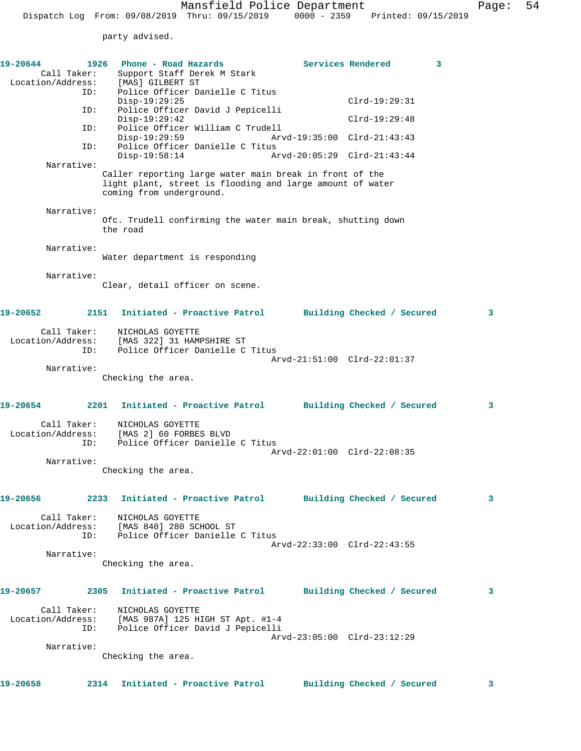party advised.

| 19-20644<br>Call Taker:<br>Location/Address: |      | 1926 Phone - Road Hazards<br>Support Staff Derek M Stark<br>[MAS] GILBERT ST                                                                                   |                             | Services Rendered | 3 |
|----------------------------------------------|------|----------------------------------------------------------------------------------------------------------------------------------------------------------------|-----------------------------|-------------------|---|
|                                              | ID:  | Police Officer Danielle C Titus                                                                                                                                |                             |                   |   |
| ID:                                          |      | $Disp-19:29:25$<br>Police Officer David J Pepicelli                                                                                                            |                             | $Clrd-19:29:31$   |   |
|                                              | ID:  | $Disp-19:29:42$<br>Police Officer William C Trudell                                                                                                            |                             | $Clrd-19:29:48$   |   |
|                                              | ID:  | $Disp-19:29:59$<br>Police Officer Danielle C Titus                                                                                                             | Arvd-19:35:00 Clrd-21:43:43 |                   |   |
| Narrative:                                   |      | $Disp-19:58:14$                                                                                                                                                | Arvd-20:05:29 Clrd-21:43:44 |                   |   |
|                                              |      | Caller reporting large water main break in front of the<br>light plant, street is flooding and large amount of water<br>coming from underground.               |                             |                   |   |
| Narrative:                                   |      |                                                                                                                                                                |                             |                   |   |
|                                              |      | Ofc. Trudell confirming the water main break, shutting down<br>the road                                                                                        |                             |                   |   |
| Narrative:                                   |      | Water department is responding                                                                                                                                 |                             |                   |   |
|                                              |      |                                                                                                                                                                |                             |                   |   |
| Narrative:                                   |      | Clear, detail officer on scene.                                                                                                                                |                             |                   |   |
| 19-20652                                     | 2151 | Initiated - Proactive Patrol Building Checked / Secured                                                                                                        |                             |                   | 3 |
| Call Taker:<br>Location/Address:             | ID:  | NICHOLAS GOYETTE<br>[MAS 322] 31 HAMPSHIRE ST<br>Police Officer Danielle C Titus                                                                               |                             |                   |   |
| Narrative:                                   |      |                                                                                                                                                                | Arvd-21:51:00 Clrd-22:01:37 |                   |   |
|                                              |      | Checking the area.                                                                                                                                             |                             |                   |   |
| 19-20654                                     | 2201 | Initiated - Proactive Patrol Building Checked / Secured                                                                                                        |                             |                   | 3 |
| Call Taker:                                  | ID:  | NICHOLAS GOYETTE<br>Location/Address: [MAS 2] 60 FORBES BLVD<br>Police Officer Danielle C Titus                                                                |                             |                   |   |
| Narrative:                                   |      |                                                                                                                                                                | Arvd-22:01:00 Clrd-22:08:35 |                   |   |
|                                              |      | Checking the area.                                                                                                                                             |                             |                   |   |
|                                              |      | 19-20656 2233 Initiated - Proactive Patrol Building Checked / Secured                                                                                          |                             |                   | 3 |
| Location/Address:                            | ID:  | Call Taker: NICHOLAS GOYETTE<br>ion/Address: [MAS 840] 280 SCHOOL ST<br>Police Officer Danielle C Titus                                                        | Arvd-22:33:00 Clrd-22:43:55 |                   |   |
| Narrative:                                   |      |                                                                                                                                                                |                             |                   |   |
|                                              |      | Checking the area.                                                                                                                                             |                             |                   |   |
| 19-20657                                     |      | 2305 Initiated - Proactive Patrol Building Checked / Secured                                                                                                   |                             |                   | 3 |
|                                              |      | Call Taker: NICHOLAS GOYETTE<br>Location/Address: [MAS 987A] 125 HIGH ST Apt. #1-4<br>ID: Police Officer David J Pepicelli<br>Police Officer David J Pepicelli |                             |                   |   |
| Narrative:                                   |      |                                                                                                                                                                | Arvd-23:05:00 Clrd-23:12:29 |                   |   |
|                                              |      | Checking the area.                                                                                                                                             |                             |                   |   |
| 19-20658                                     | 2314 | Initiated - Proactive Patrol Building Checked / Secured                                                                                                        |                             |                   | 3 |
|                                              |      |                                                                                                                                                                |                             |                   |   |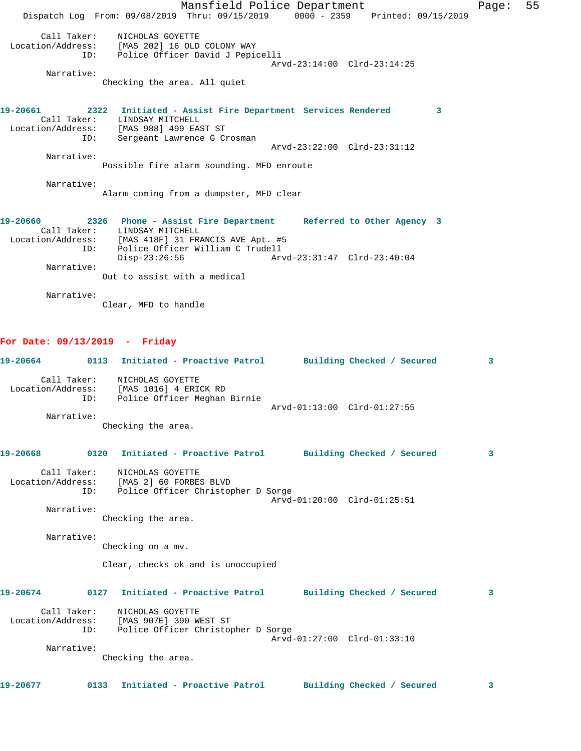Mansfield Police Department Fage: 55 Dispatch Log From: 09/08/2019 Thru: 09/15/2019 0000 - 2359 Printed: 09/15/2019 Call Taker: NICHOLAS GOYETTE Location/Address: [MAS 202] 16 OLD COLONY WAY ID: Police Officer David J Pepicelli Arvd-23:14:00 Clrd-23:14:25 Narrative: Checking the area. All quiet **19-20661 2322 Initiated - Assist Fire Department Services Rendered 3**  Call Taker: LINDSAY MITCHELL Location/Address: [MAS 988] 499 EAST ST ID: Sergeant Lawrence G Crosman Arvd-23:22:00 Clrd-23:31:12 Narrative: Possible fire alarm sounding. MFD enroute Narrative: Alarm coming from a dumpster, MFD clear **19-20660 2326 Phone - Assist Fire Department Referred to Other Agency 3**  Call Taker: LINDSAY MITCHELL Location/Address: [MAS 418F] 31 FRANCIS AVE Apt. #5 ID: Police Officer William C Trudell Disp-23:26:56 Arvd-23:31:47 Clrd-23:40:04 Narrative: Out to assist with a medical Narrative: Clear, MFD to handle **For Date: 09/13/2019 - Friday**

**19-20664 0113 Initiated - Proactive Patrol Building Checked / Secured 3** Call Taker: NICHOLAS GOYETTE Location/Address: [MAS 1016] 4 ERICK RD ID: Police Officer Meghan Birnie Arvd-01:13:00 Clrd-01:27:55 Narrative: Checking the area. **19-20668 0120 Initiated - Proactive Patrol Building Checked / Secured 3** Call Taker: NICHOLAS GOYETTE Location/Address: [MAS 2] 60 FORBES BLVD ID: Police Officer Christopher D Sorge Arvd-01:20:00 Clrd-01:25:51 Narrative: Checking the area. Narrative: Checking on a mv. Clear, checks ok and is unoccupied **19-20674 0127 Initiated - Proactive Patrol Building Checked / Secured 3** Call Taker: NICHOLAS GOYETTE Location/Address: [MAS 907E] 390 WEST ST ID: Police Officer Christopher D Sorge Arvd-01:27:00 Clrd-01:33:10 Narrative: Checking the area. **19-20677 0133 Initiated - Proactive Patrol Building Checked / Secured 3**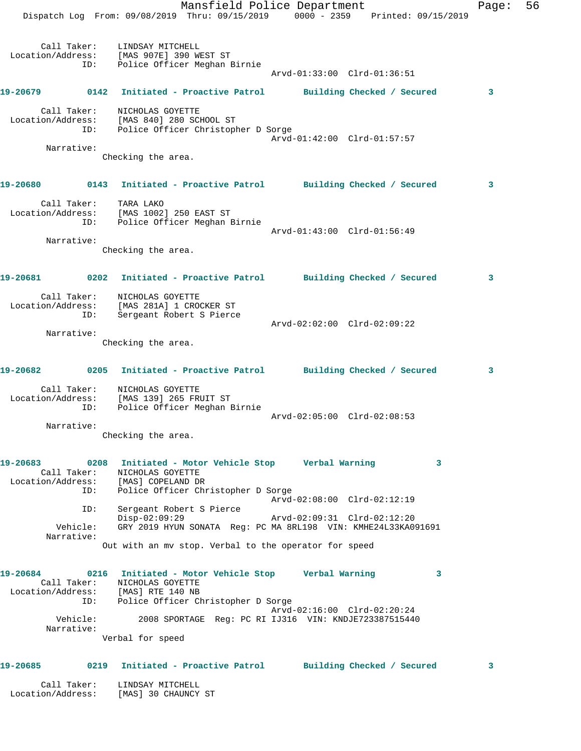|          |                    | Mansfield Police Department<br>Dispatch Log From: 09/08/2019 Thru: 09/15/2019 0000 - 2359 Printed: 09/15/2019                                                           | Page: | 56 |
|----------|--------------------|-------------------------------------------------------------------------------------------------------------------------------------------------------------------------|-------|----|
|          | ID:                | Call Taker: LINDSAY MITCHELL<br>Location/Address: [MAS 907E] 390 WEST ST<br>Police Officer Meghan Birnie<br>Arvd-01:33:00 Clrd-01:36:51                                 |       |    |
|          |                    | 19-20679   0142   Initiated - Proactive Patrol   Building Checked / Secured                                                                                             | 3     |    |
|          | Call Taker:        | NICHOLAS GOYETTE<br>Location/Address: [MAS 840] 280 SCHOOL ST<br>ID: Police Officer Christopher D Sorge<br>Arvd-01:42:00 Clrd-01:57:57                                  |       |    |
|          | Narrative:         | Checking the area.                                                                                                                                                      |       |    |
|          |                    |                                                                                                                                                                         |       |    |
|          |                    | 19-20680   0143   Initiated - Proactive Patrol   Building Checked / Secured                                                                                             | 3     |    |
|          | Call Taker:<br>ID: | TARA LAKO<br>Location/Address: [MAS 1002] 250 EAST ST<br>Police Officer Meghan Birnie                                                                                   |       |    |
|          | Narrative:         | Arvd-01:43:00 Clrd-01:56:49                                                                                                                                             |       |    |
|          |                    | Checking the area.                                                                                                                                                      |       |    |
|          |                    |                                                                                                                                                                         | 3     |    |
|          | ID:                | Call Taker: NICHOLAS GOYETTE<br>Location/Address: [MAS 281A] 1 CROCKER ST<br>Sergeant Robert S Pierce                                                                   |       |    |
|          | Narrative:         | Arvd-02:02:00 Clrd-02:09:22                                                                                                                                             |       |    |
|          |                    | Checking the area.                                                                                                                                                      |       |    |
|          |                    |                                                                                                                                                                         | 3     |    |
|          |                    | Call Taker: NICHOLAS GOYETTE<br>Location/Address: [MAS 139] 265 FRUIT ST<br>ID: Police Officer Meghan 1<br>Police Officer Meghan Birnie                                 |       |    |
|          | Narrative:         | Arvd-02:05:00 Clrd-02:08:53                                                                                                                                             |       |    |
|          |                    | Checking the area.                                                                                                                                                      |       |    |
|          |                    | 19-20683 0208 Initiated - Motor Vehicle Stop Verbal Warning<br>3<br>Call Taker: NICHOLAS GOYETTE<br>Location/Address: [MAS] COPELAND DR                                 |       |    |
|          | ID:                | Police Officer Christopher D Sorge<br>Arvd-02:08:00 Clrd-02:12:19                                                                                                       |       |    |
|          | ID:<br>Vehicle:    | Sergeant Robert S Pierce<br>$Disp-02:09:29$<br>GRY 2019 HYUN SONATA Reg: PC MA 8RL198 VIN: KMHE24L33KA091691                                                            |       |    |
|          | Narrative:         | Out with an my stop. Verbal to the operator for speed                                                                                                                   |       |    |
|          |                    |                                                                                                                                                                         |       |    |
| 19-20684 |                    | 0216 Initiated - Motor Vehicle Stop Gerbal Warning<br>3<br>Call Taker: NICHOLAS GOYETTE<br>Location/Address: [MAS] RTE 140 NB<br>ID: Police Officer Christopher D Sorge |       |    |
|          | Vehicle:           | Arvd-02:16:00 Clrd-02:20:24<br>2008 SPORTAGE Reg: PC RI IJ316 VIN: KNDJE723387515440                                                                                    |       |    |
|          | Narrative:         | Verbal for speed                                                                                                                                                        |       |    |
|          |                    |                                                                                                                                                                         |       |    |
|          |                    | 19-20685 0219 Initiated - Proactive Patrol Building Checked / Secured                                                                                                   | 3     |    |
|          |                    | Call Taker: LINDSAY MITCHELL                                                                                                                                            |       |    |

Location/Address: [MAS] 30 CHAUNCY ST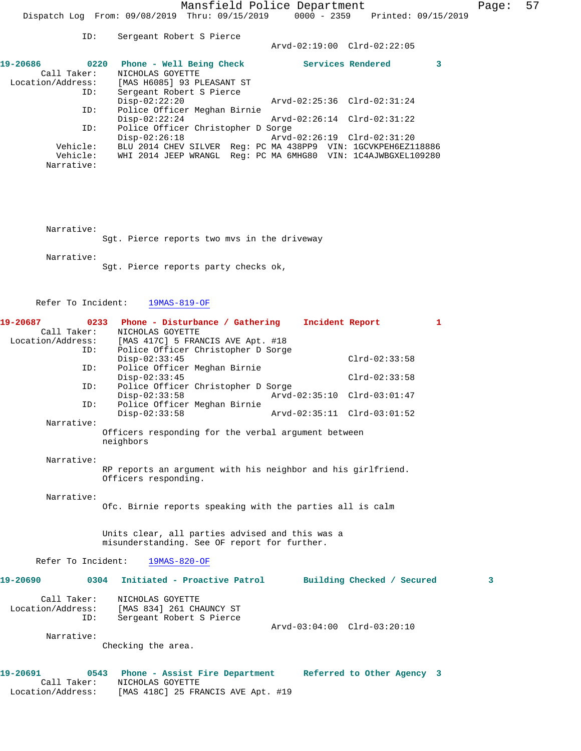|      | Page: |  |
|------|-------|--|
| 2019 |       |  |

|                   | . . <i>.</i> . | DOLACANO RODOLO D FICICO<br>Arvd-02:19:00 Clrd-02:22:05          |  |
|-------------------|----------------|------------------------------------------------------------------|--|
| 19-20686          | 0220           | Services Rendered<br>Phone - Well Being Check                    |  |
| Call Taker:       |                | NICHOLAS GOYETTE                                                 |  |
| Location/Address: |                | [MAS H6085] 93 PLEASANT ST                                       |  |
|                   | ID:            | Sergeant Robert S Pierce                                         |  |
|                   |                | $Disp-02:22:20$<br>Arvd-02:25:36 Clrd-02:31:24                   |  |
|                   | ID:            | Police Officer Meghan Birnie                                     |  |
|                   |                | $Disp-02:22:24$<br>Arvd-02:26:14 Clrd-02:31:22                   |  |
|                   | ID:            | Police Officer Christopher D Sorge                               |  |
|                   |                | $Disp-02:26:18$<br>Arvd-02:26:19 Clrd-02:31:20                   |  |
| Vehicle:          |                | BLU 2014 CHEV SILVER Req: PC MA 438PP9 VIN: 1GCVKPEH6EZ118886    |  |
|                   | Vehicle:       | Reg: PC MA 6MHG80 VIN: 1C4AJWBGXEL109280<br>WHI 2014 JEEP WRANGL |  |
| Narrative:        |                |                                                                  |  |
|                   |                |                                                                  |  |

Narrative:

Sgt. Pierce reports two mvs in the driveway

Narrative:

Sgt. Pierce reports party checks ok,

ID: Sergeant Robert S Pierce

Refer To Incident: 19MAS-819-OF

| 19-20687           | 0233 Phone - Disturbance / Gathering                                                                    |                             | Incident Report | 1 |
|--------------------|---------------------------------------------------------------------------------------------------------|-----------------------------|-----------------|---|
| Call Taker:        | NICHOLAS GOYETTE<br>Call Taker: NICHOLAS GOYETTE<br>Location/Address: [MAS 417C] 5 FRANCIS AVE Apt. #18 |                             |                 |   |
| ID:                | Police Officer Christopher D Sorge                                                                      |                             |                 |   |
|                    | $Disp-02:33:45$                                                                                         |                             | $Clrd-02:33:58$ |   |
| ID:                | Police Officer Meghan Birnie                                                                            |                             |                 |   |
|                    | $Disp-02:33:45$                                                                                         |                             | $Clrd-02:33:58$ |   |
| ID:                | Police Officer Christopher D Sorge                                                                      |                             |                 |   |
|                    | $Disp-02:33:58$                                                                                         | Arvd-02:35:10 Clrd-03:01:47 |                 |   |
| ID:                | Police Officer Meghan Birnie                                                                            |                             |                 |   |
|                    | $Disp-02:33:58$                                                                                         | Arvd-02:35:11 Clrd-03:01:52 |                 |   |
| Narrative:         |                                                                                                         |                             |                 |   |
|                    | Officers responding for the verbal argument between<br>neighbors                                        |                             |                 |   |
| Narrative:         |                                                                                                         |                             |                 |   |
|                    | RP reports an argument with his neighbor and his girlfriend.                                            |                             |                 |   |
|                    | Officers responding.                                                                                    |                             |                 |   |
|                    |                                                                                                         |                             |                 |   |
| Narrative:         |                                                                                                         |                             |                 |   |
|                    | Ofc. Birnie reports speaking with the parties all is calm                                               |                             |                 |   |
|                    |                                                                                                         |                             |                 |   |
|                    |                                                                                                         |                             |                 |   |
|                    | Units clear, all parties advised and this was a<br>misunderstanding. See OF report for further.         |                             |                 |   |
|                    |                                                                                                         |                             |                 |   |
| Refer To Incident: | $19MAS-820-OF$                                                                                          |                             |                 |   |
|                    | 19-20690 0304 Initiated - Proactive Patrol Building Checked / Secured                                   |                             |                 | 3 |
| Call Taker:        | NICHOLAS GOYETTE                                                                                        |                             |                 |   |
| Location/Address:  | [MAS 834] 261 CHAUNCY ST                                                                                |                             |                 |   |
| ID:                | Sergeant Robert S Pierce                                                                                |                             |                 |   |
|                    |                                                                                                         | Arvd-03:04:00 Clrd-03:20:10 |                 |   |
| Narrative:         |                                                                                                         |                             |                 |   |
|                    | Checking the area.                                                                                      |                             |                 |   |
| 19-20691           | 0543 Phone - Assist Fire Department Referred to Other Agency 3                                          |                             |                 |   |
| Call Taker:        | NICHOLAS GOYETTE                                                                                        |                             |                 |   |
| Location/Address:  | [MAS 418C] 25 FRANCIS AVE Apt. #19                                                                      |                             |                 |   |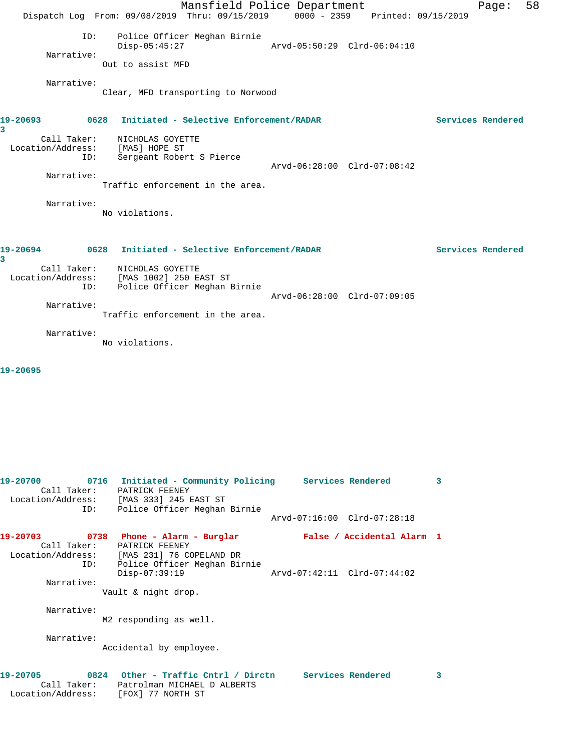|               |                                         | Dispatch Log From: 09/08/2019 Thru: 09/15/2019 0000 - 2359 Printed: 09/15/2019  | Mansfield Police Department        |                             |  | Page:             | 58 |
|---------------|-----------------------------------------|---------------------------------------------------------------------------------|------------------------------------|-----------------------------|--|-------------------|----|
|               | ID:<br>Narrative:                       | $Disp-05:45:27$<br>Out to assist MFD                                            | Police Officer Meghan Birnie       | Arvd-05:50:29 Clrd-06:04:10 |  |                   |    |
|               | Narrative:                              |                                                                                 | Clear, MFD transporting to Norwood |                             |  |                   |    |
| 19-20693<br>3 |                                         | 0628 Initiated - Selective Enforcement/RADAR                                    |                                    |                             |  | Services Rendered |    |
|               | Call Taker:<br>ID:<br>Narrative:        | NICHOLAS GOYETTE<br>Location/Address: [MAS] HOPE ST<br>Sergeant Robert S Pierce | Traffic enforcement in the area.   | Arvd-06:28:00 Clrd-07:08:42 |  |                   |    |
|               | Narrative:                              | No violations.                                                                  |                                    |                             |  |                   |    |
| 19-20694<br>3 |                                         | 0628 Initiated - Selective Enforcement/RADAR                                    |                                    |                             |  | Services Rendered |    |
|               | Call Taker:<br>Location/Address:<br>ID: | NICHOLAS GOYETTE<br>[MAS 1002] 250 EAST ST                                      | Police Officer Meghan Birnie       | Arvd-06:28:00 Clrd-07:09:05 |  |                   |    |
|               | Narrative:                              |                                                                                 | Traffic enforcement in the area.   |                             |  |                   |    |
|               | Narrative:                              | No violations.                                                                  |                                    |                             |  |                   |    |

**19-20695** 

| 19-20700                                        | 0716 Initiated - Community Policing Services Rendered<br>Call Taker: PATRICK FEENEY<br>Location/Address: [MAS 333] 245 EAST ST                                             |                                                           | 3 |
|-------------------------------------------------|----------------------------------------------------------------------------------------------------------------------------------------------------------------------------|-----------------------------------------------------------|---|
|                                                 | ID: Police Officer Meghan Birnie                                                                                                                                           | Arvd-07:16:00 Clrd-07:28:18                               |   |
| 19-20703<br>Call Taker:<br>Narrative:           | 0738 Phone - Alarm - Burglar<br>PATRICK FEENEY<br>Location/Address: [MAS 231] 76 COPELAND DR<br>ID: Police Officer Meghan Birnie<br>$Disp-07:39:19$<br>Vault & night drop. | False / Accidental Alarm 1<br>Arvd-07:42:11 Clrd-07:44:02 |   |
| Narrative:<br>Narrative:                        | M2 responding as well.<br>Accidental by employee.                                                                                                                          |                                                           |   |
| 19-20705<br>Location/Address: [FOX] 77 NORTH ST | 0824 Other - Traffic Cntrl / Dirctn Services Rendered<br>Call Taker: Patrolman MICHAEL D ALBERTS                                                                           |                                                           | 3 |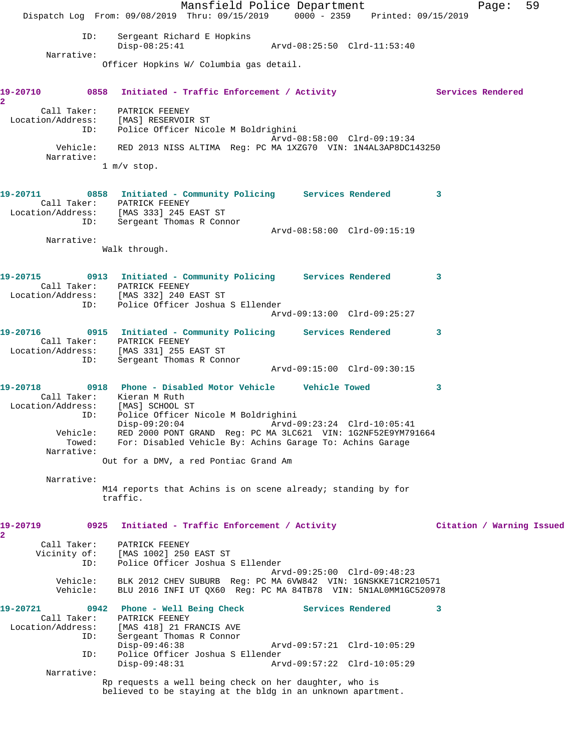Mansfield Police Department Fage: 59 Dispatch Log From: 09/08/2019 Thru: 09/15/2019 0000 - 2359 Printed: 09/15/2019 ID: Sergeant Richard E Hopkins Disp-08:25:41 Arvd-08:25:50 Clrd-11:53:40 Narrative: Officer Hopkins W/ Columbia gas detail. 19-20710 0858 Initiated - Traffic Enforcement / Activity **Services Rendered 2**  Call Taker: PATRICK FEENEY Location/Address: [MAS] RESERVOIR ST ID: Police Officer Nicole M Boldrighini Arvd-08:58:00 Clrd-09:19:34 Vehicle: RED 2013 NISS ALTIMA Reg: PC MA 1XZG70 VIN: 1N4AL3AP8DC143250 Narrative: 1 m/v stop. **19-20711 0858 Initiated - Community Policing Services Rendered 3**  Call Taker: PATRICK FEENEY Location/Address: [MAS 333] 245 EAST ST ID: Sergeant Thomas R Connor Arvd-08:58:00 Clrd-09:15:19 Narrative: Walk through. **19-20715 0913 Initiated - Community Policing Services Rendered 3**  Call Taker: PATRICK FEENEY Location/Address: [MAS 332] 240 EAST ST ID: Police Officer Joshua S Ellender Arvd-09:13:00 Clrd-09:25:27 **19-20716 0915 Initiated - Community Policing Services Rendered 3**  Call Taker: PATRICK FEENEY<br>tion/Address: [MAS 331] 255 EAST ST Location/Address:<br>ID: Sergeant Thomas R Connor Arvd-09:15:00 Clrd-09:30:15 **19-20718 0918 Phone - Disabled Motor Vehicle Vehicle Towed 3**  Call Taker: Kieran M Ruth Location/Address: [MAS] SCHOOL ST ID: Police Officer Nicole M Boldrighini Disp-09:20:04 Arvd-09:23:24 Clrd-10:05:41 Vehicle: RED 2000 PONT GRAND Reg: PC MA 3LC621 VIN: 1G2NF52E9YM791664 Towed: For: Disabled Vehicle By: Achins Garage To: Achins Garage Narrative: Out for a DMV, a red Pontiac Grand Am Narrative: M14 reports that Achins is on scene already; standing by for traffic. **19-20719 0925 Initiated - Traffic Enforcement / Activity Citation / Warning Issued 2**  Call Taker: PATRICK FEENEY Vicinity of: [MAS 1002] 250 EAST ST ID: Police Officer Joshua S Ellender Arvd-09:25:00 Clrd-09:48:23 Vehicle: BLK 2012 CHEV SUBURB Reg: PC MA 6VW842 VIN: 1GNSKKE71CR210571 Vehicle: BLU 2016 INFI UT QX60 Reg: PC MA 84TB78 VIN: 5N1AL0MM1GC520978 **19-20721 0942 Phone - Well Being Check Services Rendered 3**  Call Taker: PATRICK FEENEY Location/Address: [MAS 418] 21 FRANCIS AVE<br>ID: Sergeant Thomas R Connor Sergeant Thomas R Connor Disp-09:46:38 Arvd-09:57:21 Clrd-10:05:29 ID: Police Officer Joshua S Ellender<br>Disp-09:48:31 Arv Arvd-09:57:22 Clrd-10:05:29 Narrative: Rp requests a well being check on her daughter, who is believed to be staying at the bldg in an unknown apartment.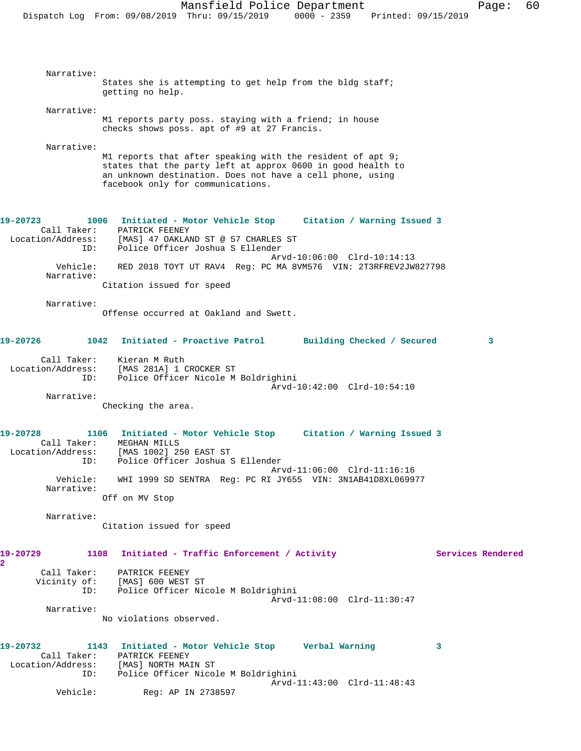| Narrative:                 |                                                                                                                           |
|----------------------------|---------------------------------------------------------------------------------------------------------------------------|
|                            | States she is attempting to get help from the bldg staff;<br>getting no help.                                             |
| Narrative:                 |                                                                                                                           |
|                            | M1 reports party poss. staying with a friend; in house                                                                    |
|                            | checks shows poss. apt of #9 at 27 Francis.                                                                               |
| Narrative:                 |                                                                                                                           |
|                            | M1 reports that after speaking with the resident of apt 9;<br>states that the party left at approx 0600 in good health to |
|                            | an unknown destination. Does not have a cell phone, using                                                                 |
|                            | facebook only for communications.                                                                                         |
|                            |                                                                                                                           |
| 19-20723                   | 1006 Initiated - Motor Vehicle Stop Citation / Warning Issued 3                                                           |
| Location/Address:          | Call Taker: PATRICK FEENEY<br>[MAS] 47 OAKLAND ST @ 57 CHARLES ST                                                         |
| ID:                        | Police Officer Joshua S Ellender                                                                                          |
| Vehicle:                   | Arvd-10:06:00 Clrd-10:14:13<br>RED 2018 TOYT UT RAV4 Reg: PC MA 8VM576 VIN: 2T3RFREV2JW827798                             |
| Narrative:                 |                                                                                                                           |
|                            | Citation issued for speed                                                                                                 |
| Narrative:                 |                                                                                                                           |
|                            | Offense occurred at Oakland and Swett.                                                                                    |
| 19-20726                   | 1042 Initiated - Proactive Patrol Building Checked / Secured<br>3                                                         |
| Call Taker:                |                                                                                                                           |
|                            | Kieran M Ruth<br>Location/Address: [MAS 281A] 1 CROCKER ST                                                                |
| ID:                        | Police Officer Nicole M Boldrighini                                                                                       |
| Narrative:                 | Arvd-10:42:00 Clrd-10:54:10                                                                                               |
|                            | Checking the area.                                                                                                        |
| 19-20728                   | 1106 Initiated - Motor Vehicle Stop Citation / Warning Issued 3                                                           |
| Call Taker:                | MEGHAN MILLS                                                                                                              |
| Location/Address:<br>ID:   | [MAS 1002] 250 EAST ST<br>Police Officer Joshua S Ellender                                                                |
|                            | Arvd-11:06:00 Clrd-11:16:16                                                                                               |
| Vehicle:<br>Narrative:     | WHI 1999 SD SENTRA Reg: PC RI JY655 VIN: 3N1AB41D8XL069977                                                                |
|                            | Off on MV Stop                                                                                                            |
| Narrative:                 |                                                                                                                           |
|                            | Citation issued for speed                                                                                                 |
|                            |                                                                                                                           |
| 19-20729<br>$\overline{2}$ | 1108 Initiated - Traffic Enforcement / Activity<br>Services Rendered                                                      |
|                            | Call Taker: PATRICK FEENEY<br>Vicinity of: [MAS] 600 WEST ST                                                              |
|                            | ID: Police Officer Nicole M Boldrighini                                                                                   |
| Narrative:                 | Arvd-11:08:00 Clrd-11:30:47                                                                                               |
|                            | No violations observed.                                                                                                   |
|                            |                                                                                                                           |
| 19-20732                   | 1143 Initiated - Motor Vehicle Stop Verbal Warning<br>3<br>Call Taker: PATRICK FEENEY                                     |
|                            | Location/Address: [MAS] NORTH MAIN ST                                                                                     |
|                            | ID: Police Officer Nicole M Boldrighini<br>Arvd-11:43:00 Clrd-11:48:43                                                    |
| Vehicle:                   | Reg: AP IN 2738597                                                                                                        |
|                            |                                                                                                                           |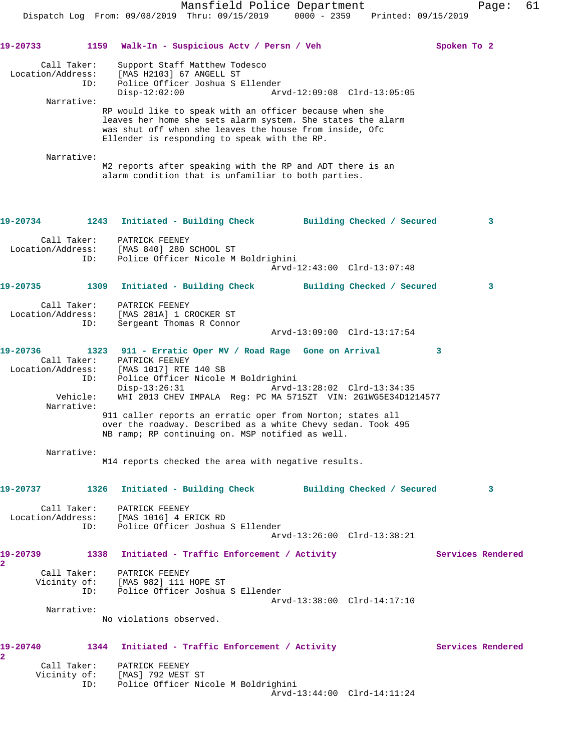**19-20733 1159 Walk-In - Suspicious Actv / Persn / Veh Spoken To 2** Call Taker: Support Staff Matthew Todesco Location/Address: [MAS H2103] 67 ANGELL ST ID: Police Officer Joshua S Ellender Disp-12:02:00 Arvd-12:09:08 Clrd-13:05:05 Narrative: RP would like to speak with an officer because when she leaves her home she sets alarm system. She states the alarm was shut off when she leaves the house from inside, Ofc Ellender is responding to speak with the RP. Narrative: M2 reports after speaking with the RP and ADT there is an alarm condition that is unfamiliar to both parties. **19-20734 1243 Initiated - Building Check Building Checked / Secured 3** Call Taker: PATRICK FEENEY Location/Address: [MAS 840] 280 SCHOOL ST ID: Police Officer Nicole M Boldrighini Arvd-12:43:00 Clrd-13:07:48 **19-20735 1309 Initiated - Building Check Building Checked / Secured 3** Call Taker: PATRICK FEENEY Location/Address: [MAS 281A] 1 CROCKER ST ID: Sergeant Thomas R Connor Arvd-13:09:00 Clrd-13:17:54 **19-20736 1323 911 - Erratic Oper MV / Road Rage Gone on Arrival 3**  Call Taker: PATRICK FEENEY Location/Address: [MAS 1017] RTE 140 SB ID: Police Officer Nicole M Boldrighini<br>Disp-13:26:31 Arvd-1 Disp-13:26:31 Arvd-13:28:02 Clrd-13:34:35 Vehicle: WHI 2013 CHEV IMPALA Reg: PC MA 5715ZT VIN: 2G1WG5E34D1214577 Narrative: 911 caller reports an erratic oper from Norton; states all over the roadway. Described as a white Chevy sedan. Took 495 NB ramp; RP continuing on. MSP notified as well. Narrative: M14 reports checked the area with negative results. **19-20737 1326 Initiated - Building Check Building Checked / Secured 3** Call Taker: PATRICK FEENEY Location/Address: [MAS 1016] 4 ERICK RD ID: Police Officer Joshua S Ellender Arvd-13:26:00 Clrd-13:38:21 19-20739 1338 Initiated - Traffic Enforcement / Activity **Services Rendered 2**  Call Taker: PATRICK FEENEY Vicinity of: [MAS 982] 111 HOPE ST ID: Police Officer Joshua S Ellender Arvd-13:38:00 Clrd-14:17:10 Narrative: No violations observed. 19-20740 1344 Initiated - Traffic Enforcement / Activity **Services Rendered 2**  Call Taker: PATRICK FEENEY Vicinity of: [MAS] 792 WEST ST

 ID: Police Officer Nicole M Boldrighini Arvd-13:44:00 Clrd-14:11:24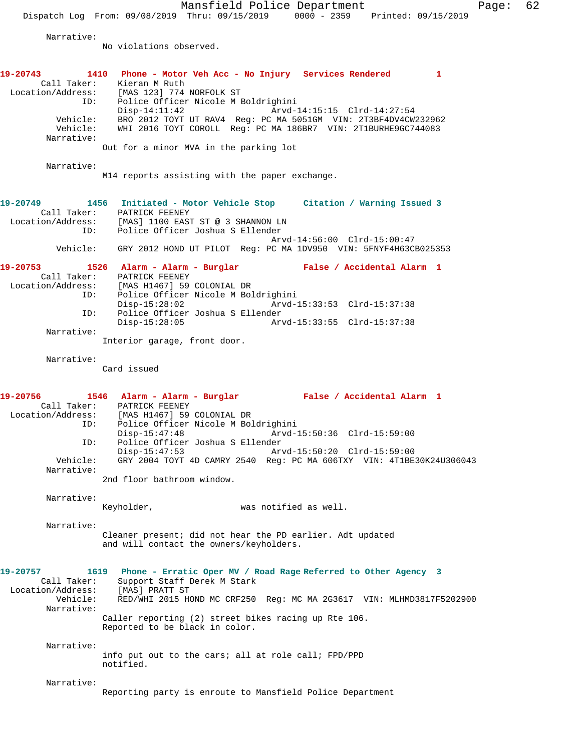Mansfield Police Department Page: 62 Dispatch Log From: 09/08/2019 Thru: 09/15/2019 0000 - 2359 Printed: 09/15/2019 Narrative: No violations observed. **19-20743 1410 Phone - Motor Veh Acc - No Injury Services Rendered 1**  Call Taker: Kieran M Ruth Location/Address: [MAS 123] 774 NORFOLK ST ID: Police Officer Nicole M Boldrighini Disp-14:11:42 Arvd-14:15:15 Clrd-14:27:54 Vehicle: BRO 2012 TOYT UT RAV4 Reg: PC MA 5051GM VIN: 2T3BF4DV4CW232962 Vehicle: WHI 2016 TOYT COROLL Reg: PC MA 186BR7 VIN: 2T1BURHE9GC744083 Narrative: Out for a minor MVA in the parking lot Narrative: M14 reports assisting with the paper exchange. **19-20749 1456 Initiated - Motor Vehicle Stop Citation / Warning Issued 3**  Call Taker: PATRICK FEENEY Location/Address: [MAS] 1100 EAST ST @ 3 SHANNON LN ID: Police Officer Joshua S Ellender Arvd-14:56:00 Clrd-15:00:47 Vehicle: GRY 2012 HOND UT PILOT Reg: PC MA 1DV950 VIN: 5FNYF4H63CB025353 **19-20753 1526 Alarm - Alarm - Burglar False / Accidental Alarm 1**  Call Taker: PATRICK FEENEY<br>Location/Address: [MAS H1467] 59 ess: [MAS H1467] 59 COLONIAL DR<br>TD: Police Officer Nicole M Bol Police Officer Nicole M Boldrighini Disp-15:28:02 Arvd-15:33:53 Clrd-15:37:38<br>TD: Police Officer Joshua S Ellender ID: Police Officer Joshua S Ellender Disp-15:28:05 Arvd-15:33:55 Clrd-15:37:38 Narrative: Interior garage, front door. Narrative: Card issued **19-20756 1546 Alarm - Alarm - Burglar False / Accidental Alarm 1**  Call Taker: PATRICK FEENEY Location/Address: [MAS H1467] 59 COLONIAL DR ID: Police Officer Nicole M Boldrighini<br>Disp-15:47:48 Arvd-1 Disp-15:47:48 Arvd-15:50:36 Clrd-15:59:00 ID: Police Officer Joshua S Ellender Disp-15:47:53 Arvd-15:50:20 Clrd-15:59:00 Vehicle: GRY 2004 TOYT 4D CAMRY 2540 Reg: PC MA 606TXY VIN: 4T1BE30K24U306043 Narrative: 2nd floor bathroom window. Narrative: Keyholder, was notified as well. Narrative: Cleaner present; did not hear the PD earlier. Adt updated and will contact the owners/keyholders. **19-20757 1619 Phone - Erratic Oper MV / Road Rage Referred to Other Agency 3**  Call Taker: Support Staff Derek M Stark<br>ion/Address: [MAS] PRATT ST Location/Address: Vehicle: RED/WHI 2015 HOND MC CRF250 Reg: MC MA 2G3617 VIN: MLHMD3817F5202900 Narrative: Caller reporting (2) street bikes racing up Rte 106. Reported to be black in color. Narrative: info put out to the cars; all at role call; FPD/PPD notified. Narrative: Reporting party is enroute to Mansfield Police Department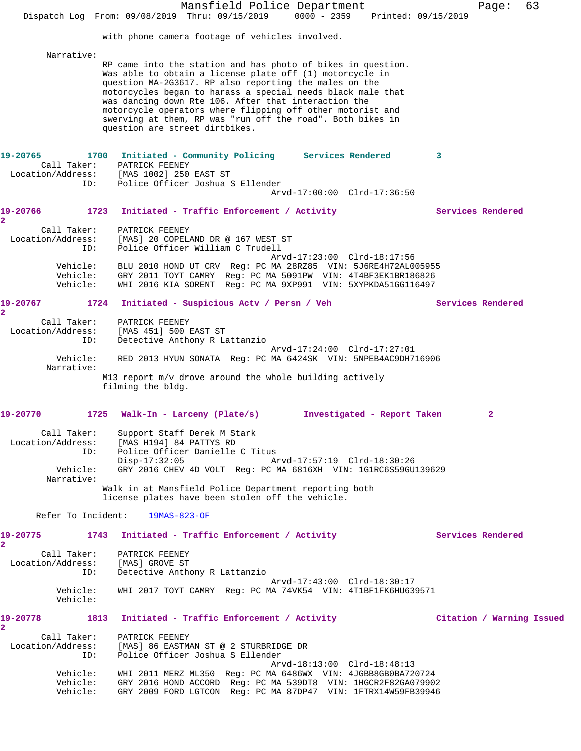| with phone camera footage of vehicles involved.<br>Narrative:<br>RP came into the station and has photo of bikes in question.<br>Was able to obtain a license plate off (1) motorcycle in<br>question MA-2G3617. RP also reporting the males on the<br>motorcycles began to harass a special needs black male that<br>was dancing down Rte 106. After that interaction the<br>motorcycle operators where flipping off other motorist and<br>swerving at them, RP was "run off the road". Both bikes in<br>question are street dirtbikes.<br>1700 Initiated - Community Policing Services Rendered<br>3<br>PATRICK FEENEY<br>Call Taker:<br>Location/Address: [MAS 1002] 250 EAST ST<br>Police Officer Joshua S Ellender<br>ID:<br>Arvd-17:00:00 Clrd-17:36:50<br>1723<br>Initiated - Traffic Enforcement / Activity<br>Services Rendered<br>Call Taker:<br>PATRICK FEENEY<br>Location/Address:<br>[MAS] 20 COPELAND DR @ 167 WEST ST<br>Police Officer William C Trudell<br>ID:<br>Arvd-17:23:00 Clrd-18:17:56<br>Vehicle:<br>BLU 2010 HOND UT CRV Reg: PC MA 28RZ85 VIN: 5J6RE4H72AL005955<br>Vehicle:<br>GRY 2011 TOYT CAMRY Reg: PC MA 5091PW VIN: 4T4BF3EK1BR186826<br>Vehicle:<br>WHI 2016 KIA SORENT Req: PC MA 9XP991 VIN: 5XYPKDA51GG116497<br>1724<br>Initiated - Suspicious Actv / Persn / Veh<br>Services Rendered<br>Call Taker:<br>PATRICK FEENEY<br>Location/Address:<br>[MAS 451] 500 EAST ST<br>Detective Anthony R Lattanzio<br>ID:<br>Arvd-17:24:00 Clrd-17:27:01<br>Vehicle:<br>RED 2013 HYUN SONATA Reg: PC MA 6424SK VIN: 5NPEB4AC9DH716906<br>Narrative:<br>M13 report m/v drove around the whole building actively<br>filming the bldg.<br>1725 Walk-In - Larceny (Plate/s)<br>Investigated - Report Taken<br>2<br>Call Taker:<br>Support Staff Derek M Stark<br>Location/Address: [MAS H194] 84 PATTYS RD<br>Police Officer Danielle C Titus<br>ID:<br>Arvd-17:57:19 Clrd-18:30:26<br>$Disp-17:32:05$<br>GRY 2016 CHEV 4D VOLT Reg: PC MA 6816XH VIN: 1G1RC6S59GU139629<br>Vehicle:<br>Narrative:<br>Walk in at Mansfield Police Department reporting both<br>license plates have been stolen off the vehicle.<br>Refer To Incident: 19MAS-823-OF<br>1743 Initiated - Traffic Enforcement / Activity<br>Services Rendered<br>Call Taker: PATRICK FEENEY<br>Location/Address: [MAS] GROVE ST<br>ID:<br>Detective Anthony R Lattanzio<br>Arvd-17:43:00 Clrd-18:30:17<br>Vehicle:<br>WHI 2017 TOYT CAMRY Req: PC MA 74VK54 VIN: 4T1BF1FK6HU639571<br>Vehicle:<br>1813 Initiated - Traffic Enforcement / Activity<br>Citation / Warning Issued<br>Call Taker:<br>PATRICK FEENEY<br>Location/Address: [MAS] 86 EASTMAN ST @ 2 STURBRIDGE DR<br>Police Officer Joshua S Ellender<br>ID:<br>Arvd-18:13:00 Clrd-18:48:13<br>Vehicle: WHI 2011 MERZ ML350 Reg: PC MA 6486WX VIN: 4JGBB8GB0BA720724<br>Vehicle: GRY 2016 HOND ACCORD Req: PC MA 539DT8 VIN: 1HGCR2F82GA079902<br>Vehicle:<br>GRY 2009 FORD LGTCON Req: PC MA 87DP47 VIN: 1FTRX14W59FB39946 |  | Mansfield Police Department<br>Dispatch Log From: 09/08/2019 Thru: 09/15/2019 0000 - 2359 Printed: 09/15/2019 | Page: | 63 |
|--------------------------------------------------------------------------------------------------------------------------------------------------------------------------------------------------------------------------------------------------------------------------------------------------------------------------------------------------------------------------------------------------------------------------------------------------------------------------------------------------------------------------------------------------------------------------------------------------------------------------------------------------------------------------------------------------------------------------------------------------------------------------------------------------------------------------------------------------------------------------------------------------------------------------------------------------------------------------------------------------------------------------------------------------------------------------------------------------------------------------------------------------------------------------------------------------------------------------------------------------------------------------------------------------------------------------------------------------------------------------------------------------------------------------------------------------------------------------------------------------------------------------------------------------------------------------------------------------------------------------------------------------------------------------------------------------------------------------------------------------------------------------------------------------------------------------------------------------------------------------------------------------------------------------------------------------------------------------------------------------------------------------------------------------------------------------------------------------------------------------------------------------------------------------------------------------------------------------------------------------------------------------------------------------------------------------------------------------------------------------------------------------------------------------------------------------------------------------------------------------------------------------------------------------------------------------------------------------------------------------------------------------------------------------------------------------------------------------------------------------------------------------------------------------------------------------------------------------------------------------------------------------------------------------------------------------------------------------|--|---------------------------------------------------------------------------------------------------------------|-------|----|
|                                                                                                                                                                                                                                                                                                                                                                                                                                                                                                                                                                                                                                                                                                                                                                                                                                                                                                                                                                                                                                                                                                                                                                                                                                                                                                                                                                                                                                                                                                                                                                                                                                                                                                                                                                                                                                                                                                                                                                                                                                                                                                                                                                                                                                                                                                                                                                                                                                                                                                                                                                                                                                                                                                                                                                                                                                                                                                                                                                          |  |                                                                                                               |       |    |
| 19-20765<br>19-20766<br>$\overline{a}$<br>19-20767<br>2<br>19-20770<br>19-20775<br>$\mathbf{2}$<br>19-20778<br>2                                                                                                                                                                                                                                                                                                                                                                                                                                                                                                                                                                                                                                                                                                                                                                                                                                                                                                                                                                                                                                                                                                                                                                                                                                                                                                                                                                                                                                                                                                                                                                                                                                                                                                                                                                                                                                                                                                                                                                                                                                                                                                                                                                                                                                                                                                                                                                                                                                                                                                                                                                                                                                                                                                                                                                                                                                                         |  |                                                                                                               |       |    |
|                                                                                                                                                                                                                                                                                                                                                                                                                                                                                                                                                                                                                                                                                                                                                                                                                                                                                                                                                                                                                                                                                                                                                                                                                                                                                                                                                                                                                                                                                                                                                                                                                                                                                                                                                                                                                                                                                                                                                                                                                                                                                                                                                                                                                                                                                                                                                                                                                                                                                                                                                                                                                                                                                                                                                                                                                                                                                                                                                                          |  |                                                                                                               |       |    |
|                                                                                                                                                                                                                                                                                                                                                                                                                                                                                                                                                                                                                                                                                                                                                                                                                                                                                                                                                                                                                                                                                                                                                                                                                                                                                                                                                                                                                                                                                                                                                                                                                                                                                                                                                                                                                                                                                                                                                                                                                                                                                                                                                                                                                                                                                                                                                                                                                                                                                                                                                                                                                                                                                                                                                                                                                                                                                                                                                                          |  |                                                                                                               |       |    |
|                                                                                                                                                                                                                                                                                                                                                                                                                                                                                                                                                                                                                                                                                                                                                                                                                                                                                                                                                                                                                                                                                                                                                                                                                                                                                                                                                                                                                                                                                                                                                                                                                                                                                                                                                                                                                                                                                                                                                                                                                                                                                                                                                                                                                                                                                                                                                                                                                                                                                                                                                                                                                                                                                                                                                                                                                                                                                                                                                                          |  |                                                                                                               |       |    |
|                                                                                                                                                                                                                                                                                                                                                                                                                                                                                                                                                                                                                                                                                                                                                                                                                                                                                                                                                                                                                                                                                                                                                                                                                                                                                                                                                                                                                                                                                                                                                                                                                                                                                                                                                                                                                                                                                                                                                                                                                                                                                                                                                                                                                                                                                                                                                                                                                                                                                                                                                                                                                                                                                                                                                                                                                                                                                                                                                                          |  |                                                                                                               |       |    |
|                                                                                                                                                                                                                                                                                                                                                                                                                                                                                                                                                                                                                                                                                                                                                                                                                                                                                                                                                                                                                                                                                                                                                                                                                                                                                                                                                                                                                                                                                                                                                                                                                                                                                                                                                                                                                                                                                                                                                                                                                                                                                                                                                                                                                                                                                                                                                                                                                                                                                                                                                                                                                                                                                                                                                                                                                                                                                                                                                                          |  |                                                                                                               |       |    |
|                                                                                                                                                                                                                                                                                                                                                                                                                                                                                                                                                                                                                                                                                                                                                                                                                                                                                                                                                                                                                                                                                                                                                                                                                                                                                                                                                                                                                                                                                                                                                                                                                                                                                                                                                                                                                                                                                                                                                                                                                                                                                                                                                                                                                                                                                                                                                                                                                                                                                                                                                                                                                                                                                                                                                                                                                                                                                                                                                                          |  |                                                                                                               |       |    |
|                                                                                                                                                                                                                                                                                                                                                                                                                                                                                                                                                                                                                                                                                                                                                                                                                                                                                                                                                                                                                                                                                                                                                                                                                                                                                                                                                                                                                                                                                                                                                                                                                                                                                                                                                                                                                                                                                                                                                                                                                                                                                                                                                                                                                                                                                                                                                                                                                                                                                                                                                                                                                                                                                                                                                                                                                                                                                                                                                                          |  |                                                                                                               |       |    |
|                                                                                                                                                                                                                                                                                                                                                                                                                                                                                                                                                                                                                                                                                                                                                                                                                                                                                                                                                                                                                                                                                                                                                                                                                                                                                                                                                                                                                                                                                                                                                                                                                                                                                                                                                                                                                                                                                                                                                                                                                                                                                                                                                                                                                                                                                                                                                                                                                                                                                                                                                                                                                                                                                                                                                                                                                                                                                                                                                                          |  |                                                                                                               |       |    |
|                                                                                                                                                                                                                                                                                                                                                                                                                                                                                                                                                                                                                                                                                                                                                                                                                                                                                                                                                                                                                                                                                                                                                                                                                                                                                                                                                                                                                                                                                                                                                                                                                                                                                                                                                                                                                                                                                                                                                                                                                                                                                                                                                                                                                                                                                                                                                                                                                                                                                                                                                                                                                                                                                                                                                                                                                                                                                                                                                                          |  |                                                                                                               |       |    |
|                                                                                                                                                                                                                                                                                                                                                                                                                                                                                                                                                                                                                                                                                                                                                                                                                                                                                                                                                                                                                                                                                                                                                                                                                                                                                                                                                                                                                                                                                                                                                                                                                                                                                                                                                                                                                                                                                                                                                                                                                                                                                                                                                                                                                                                                                                                                                                                                                                                                                                                                                                                                                                                                                                                                                                                                                                                                                                                                                                          |  |                                                                                                               |       |    |
|                                                                                                                                                                                                                                                                                                                                                                                                                                                                                                                                                                                                                                                                                                                                                                                                                                                                                                                                                                                                                                                                                                                                                                                                                                                                                                                                                                                                                                                                                                                                                                                                                                                                                                                                                                                                                                                                                                                                                                                                                                                                                                                                                                                                                                                                                                                                                                                                                                                                                                                                                                                                                                                                                                                                                                                                                                                                                                                                                                          |  |                                                                                                               |       |    |
|                                                                                                                                                                                                                                                                                                                                                                                                                                                                                                                                                                                                                                                                                                                                                                                                                                                                                                                                                                                                                                                                                                                                                                                                                                                                                                                                                                                                                                                                                                                                                                                                                                                                                                                                                                                                                                                                                                                                                                                                                                                                                                                                                                                                                                                                                                                                                                                                                                                                                                                                                                                                                                                                                                                                                                                                                                                                                                                                                                          |  |                                                                                                               |       |    |
|                                                                                                                                                                                                                                                                                                                                                                                                                                                                                                                                                                                                                                                                                                                                                                                                                                                                                                                                                                                                                                                                                                                                                                                                                                                                                                                                                                                                                                                                                                                                                                                                                                                                                                                                                                                                                                                                                                                                                                                                                                                                                                                                                                                                                                                                                                                                                                                                                                                                                                                                                                                                                                                                                                                                                                                                                                                                                                                                                                          |  |                                                                                                               |       |    |
|                                                                                                                                                                                                                                                                                                                                                                                                                                                                                                                                                                                                                                                                                                                                                                                                                                                                                                                                                                                                                                                                                                                                                                                                                                                                                                                                                                                                                                                                                                                                                                                                                                                                                                                                                                                                                                                                                                                                                                                                                                                                                                                                                                                                                                                                                                                                                                                                                                                                                                                                                                                                                                                                                                                                                                                                                                                                                                                                                                          |  |                                                                                                               |       |    |
|                                                                                                                                                                                                                                                                                                                                                                                                                                                                                                                                                                                                                                                                                                                                                                                                                                                                                                                                                                                                                                                                                                                                                                                                                                                                                                                                                                                                                                                                                                                                                                                                                                                                                                                                                                                                                                                                                                                                                                                                                                                                                                                                                                                                                                                                                                                                                                                                                                                                                                                                                                                                                                                                                                                                                                                                                                                                                                                                                                          |  |                                                                                                               |       |    |
|                                                                                                                                                                                                                                                                                                                                                                                                                                                                                                                                                                                                                                                                                                                                                                                                                                                                                                                                                                                                                                                                                                                                                                                                                                                                                                                                                                                                                                                                                                                                                                                                                                                                                                                                                                                                                                                                                                                                                                                                                                                                                                                                                                                                                                                                                                                                                                                                                                                                                                                                                                                                                                                                                                                                                                                                                                                                                                                                                                          |  |                                                                                                               |       |    |
|                                                                                                                                                                                                                                                                                                                                                                                                                                                                                                                                                                                                                                                                                                                                                                                                                                                                                                                                                                                                                                                                                                                                                                                                                                                                                                                                                                                                                                                                                                                                                                                                                                                                                                                                                                                                                                                                                                                                                                                                                                                                                                                                                                                                                                                                                                                                                                                                                                                                                                                                                                                                                                                                                                                                                                                                                                                                                                                                                                          |  |                                                                                                               |       |    |
|                                                                                                                                                                                                                                                                                                                                                                                                                                                                                                                                                                                                                                                                                                                                                                                                                                                                                                                                                                                                                                                                                                                                                                                                                                                                                                                                                                                                                                                                                                                                                                                                                                                                                                                                                                                                                                                                                                                                                                                                                                                                                                                                                                                                                                                                                                                                                                                                                                                                                                                                                                                                                                                                                                                                                                                                                                                                                                                                                                          |  |                                                                                                               |       |    |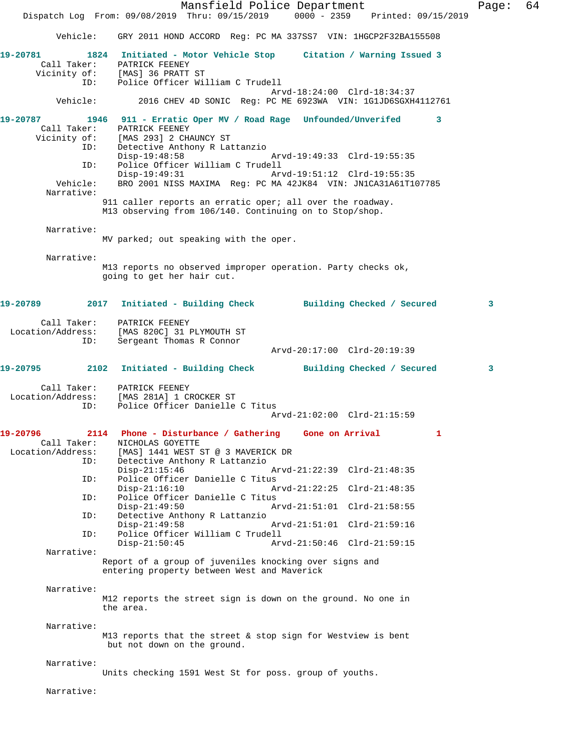Mansfield Police Department Fage: 64 Dispatch Log From: 09/08/2019 Thru: 09/15/2019 0000 - 2359 Printed: 09/15/2019 Vehicle: GRY 2011 HOND ACCORD Reg: PC MA 337SS7 VIN: 1HGCP2F32BA155508 **19-20781 1824 Initiated - Motor Vehicle Stop Citation / Warning Issued 3**  Call Taker: PATRICK FEENEY Vicinity of: [MAS] 36 PRATT ST ID: Police Officer William C Trudell Arvd-18:24:00 Clrd-18:34:37<br>Vehicle: 2016 CHEV 4D SONIC Reg: PC ME 6923WA VIN: 1G1JD6SGXH4 2016 CHEV 4D SONIC Reg: PC ME 6923WA VIN: 1G1JD6SGXH4112761 **19-20787 1946 911 - Erratic Oper MV / Road Rage Unfounded/Unverifed 3**  Call Taker: PATRICK FEENEY<br>Vicinity of: [MAS 293] 2 CHA of: [MAS 293] 2 CHAUNCY ST<br>ID: Detective Anthony R Lat Detective Anthony R Lattanzio<br>Disp-19:48:58 Disp-19:48:58 Arvd-19:49:33 Clrd-19:55:35<br>TD: Police Officer William C Trudell Police Officer William C Trudell<br>Disp-19:49:31 Ar Disp-19:49:31 Arvd-19:51:12 Clrd-19:55:35 Vehicle: BRO 2001 NISS MAXIMA Reg: PC MA 42JK84 VIN: JN1CA31A61T107785 Narrative: 911 caller reports an erratic oper; all over the roadway. M13 observing from 106/140. Continuing on to Stop/shop. Narrative: MV parked; out speaking with the oper. Narrative: M13 reports no observed improper operation. Party checks ok, going to get her hair cut. **19-20789 2017 Initiated - Building Check Building Checked / Secured 3** Call Taker: PATRICK FEENEY Location/Address: [MAS 820C] 31 PLYMOUTH ST ID: Sergeant Thomas R Connor Arvd-20:17:00 Clrd-20:19:39 **19-20795 2102 Initiated - Building Check Building Checked / Secured 3** Call Taker: PATRICK FEENEY Location/Address: [MAS 281A] 1 CROCKER ST Police Officer Danielle C Titus Arvd-21:02:00 Clrd-21:15:59 **19-20796 2114 Phone - Disturbance / Gathering Gone on Arrival 1**  Call Taker: NICHOLAS GOYETTE Location/Address: [MAS] 1441 WEST ST @ 3 MAVERICK DR Detective Anthony R Lattanzio<br>Disp-21:15:46 Disp-21:15:46 Arvd-21:22:39 Clrd-21:48:35<br>ID: Police Officer Danielle C Titus Police Officer Danielle C Titus<br>Disp-21:16:10 A Arvd-21:22:25 Clrd-21:48:35 ID: Police Officer Danielle C Titus Disp-21:49:50 Arvd-21:51:01 Clrd-21:58:55<br>ID: Detective Anthony R Lattanzio Detective Anthony R Lattanzio<br>Disp-21:49:58 Arvd-21:51:01 Clrd-21:59:16 ID: Police Officer William C Trudell Disp-21:50:45 Arvd-21:50:46 Clrd-21:59:15 Narrative: Report of a group of juveniles knocking over signs and entering property between West and Maverick Narrative: M12 reports the street sign is down on the ground. No one in the area. Narrative: M13 reports that the street & stop sign for Westview is bent but not down on the ground. Narrative: Units checking 1591 West St for poss. group of youths. Narrative: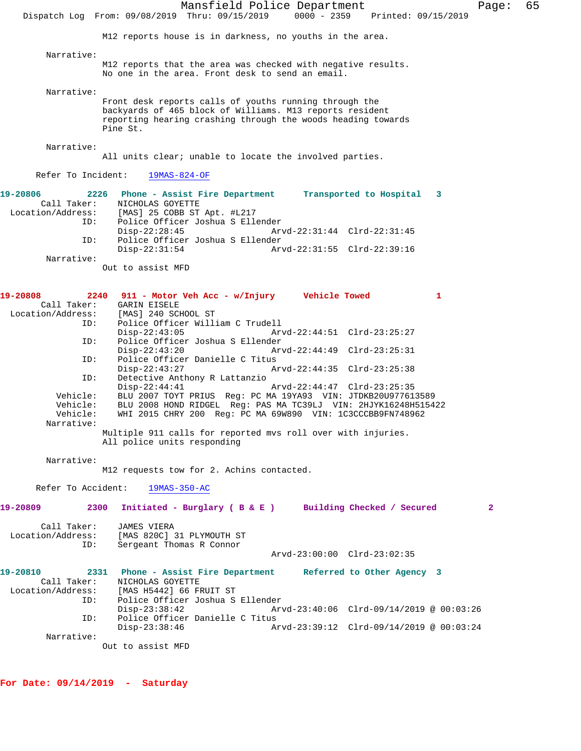Mansfield Police Department Fage: 65 Dispatch Log From: 09/08/2019 Thru: 09/15/2019 0000 - 2359 Printed: 09/15/2019 M12 reports house is in darkness, no youths in the area. Narrative: M12 reports that the area was checked with negative results. No one in the area. Front desk to send an email. Narrative: Front desk reports calls of youths running through the backyards of 465 block of Williams. M13 reports resident reporting hearing crashing through the woods heading towards Pine St. Narrative: All units clear; unable to locate the involved parties. Refer To Incident: 19MAS-824-OF **19-20806 2226 Phone - Assist Fire Department Transported to Hospital 3**  Call Taker: NICHOLAS GOYETTE Location/Address: [MAS] 25 COBB ST Apt. #L217 ID: Police Officer Joshua S Ellender Disp-22:28:45 Arvd-22:31:44 Clrd-22:31:45 ID: Police Officer Joshua S Ellender Disp-22:31:54 Arvd-22:31:55 Clrd-22:39:16 Narrative: Out to assist MFD **19-20808 2240 911 - Motor Veh Acc - w/Injury Vehicle Towed 1**  Call Taker: GARIN EISELE Location/Address: [MAS] 240 SCHOOL ST ID: Police Officer William C Trudell Disp-22:43:05 Arvd-22:44:51 Clrd-23:25:27 ID: Police Officer Joshua S Ellender Disp-22:43:20 Arvd-22:44:49 Clrd-23:25:31 ID: Police Officer Danielle C Titus Disp-22:43:27 Arvd-22:44:35 Clrd-23:25:38 ID: Detective Anthony R Lattanzio Disp-22:44:41 Arvd-22:44:47 Clrd-23:25:35 Vehicle: BLU 2007 TOYT PRIUS Reg: PC MA 19YA93 VIN: JTDKB20U977613589 Vehicle: BLU 2008 HOND RIDGEL Reg: PAS MA TC39LJ VIN: 2HJYK16248H515422 Vehicle: WHI 2015 CHRY 200 Reg: PC MA 69W890 VIN: 1C3CCCBB9FN748962 Narrative: Multiple 911 calls for reported mvs roll over with injuries. All police units responding Narrative: M12 requests tow for 2. Achins contacted. Refer To Accident: 19MAS-350-AC **19-20809 2300 Initiated - Burglary ( B & E ) Building Checked / Secured 2** Call Taker: JAMES VIERA Location/Address: [MAS 820C] 31 PLYMOUTH ST ID: Sergeant Thomas R Connor Arvd-23:00:00 Clrd-23:02:35 **19-20810 2331 Phone - Assist Fire Department Referred to Other Agency 3**  Call Taker: NICHOLAS GOYETTE Location/Address: [MAS H5442] 66 FRUIT ST ID: Police Officer Joshua S Ellender Disp-23:38:42 Arvd-23:40:06 Clrd-09/14/2019 @ 00:03:26 ID: Police Officer Danielle C Titus Disp-23:38:46 Arvd-23:39:12 Clrd-09/14/2019 @ 00:03:24 Narrative: Out to assist MFD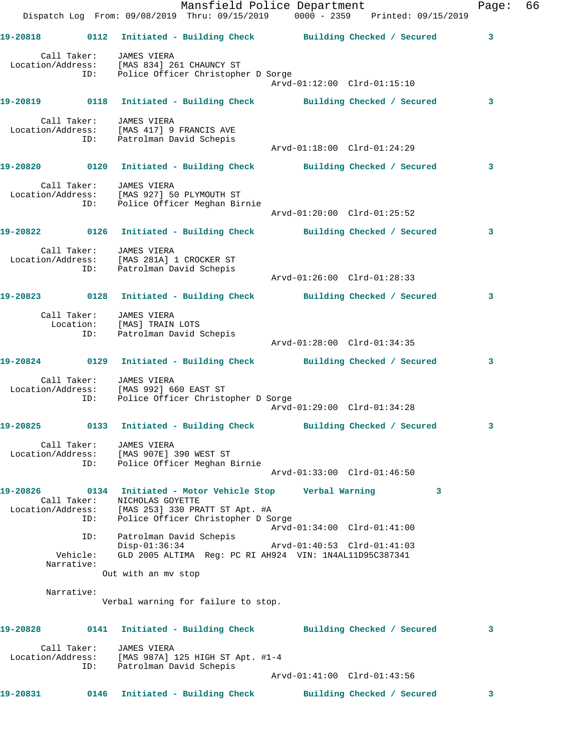|          |                               | Dispatch Log From: 09/08/2019 Thru: 09/15/2019 0000 - 2359 Printed: 09/15/2019                                                                                         | Mansfield Police Department                                |                            | Page: | 66 |
|----------|-------------------------------|------------------------------------------------------------------------------------------------------------------------------------------------------------------------|------------------------------------------------------------|----------------------------|-------|----|
|          |                               | 19-20818   0112    Initiated - Building Check    Building Checked / Secured                                                                                            |                                                            |                            | 3     |    |
|          | ID:                           | Call Taker: JAMES VIERA<br>Location/Address: [MAS 834] 261 CHAUNCY ST<br>Police Officer Christopher D Sorge                                                            | Arvd-01:12:00 Clrd-01:15:10                                |                            |       |    |
|          |                               | 19-20819   0118   Initiated - Building Check   Building Checked / Secured                                                                                              |                                                            |                            | 3     |    |
|          |                               | Call Taker: JAMES VIERA<br>Location/Address: [MAS 417] 9 FRANCIS AVE<br>ID: Patrolman David Schepis                                                                    | Arvd-01:18:00 Clrd-01:24:29                                |                            |       |    |
|          |                               | 19-20820      0120 Initiated - Building Check      Building Checked / Secured                                                                                          |                                                            |                            | 3     |    |
|          |                               | Call Taker: JAMES VIERA<br>Location/Address: [MAS 927] 50 PLYMOUTH ST<br>ID: Police Officer Meghan Birnie                                                              | Arvd-01:20:00 Clrd-01:25:52                                |                            |       |    |
|          |                               | 19-20822   0126 Initiated - Building Check   Building Checked / Secured                                                                                                |                                                            |                            | 3     |    |
|          |                               | Call Taker: JAMES VIERA<br>Location/Address: [MAS 281A] 1 CROCKER ST<br>ID: Patrolman David Schepis                                                                    |                                                            |                            |       |    |
|          |                               | 19-20823 0128 Initiated - Building Check Building Checked / Secured                                                                                                    |                                                            |                            | 3     |    |
|          |                               | Call Taker: JAMES VIERA<br>Location: [MAS] TRAIN LOTS<br>ID: Patrolman David Schepis                                                                                   | Arvd-01:28:00 Clrd-01:34:35                                |                            |       |    |
|          |                               | 19-20824   0129   Initiated - Building Check   Building Checked / Secured                                                                                              |                                                            |                            | 3     |    |
|          |                               | Call Taker:    JAMES VIERA<br>Location/Address: [MAS 992] 660 EAST ST<br>ID: Police Officer Christopher D Sorge                                                        | Arvd-01:29:00 Clrd-01:34:28                                |                            |       |    |
|          |                               | 19-20825 0133 Initiated - Building Check Building Checked / Secured                                                                                                    |                                                            |                            |       |    |
|          | Call Taker:<br>ID:            | JAMES VIERA<br>Location/Address: [MAS 907E] 390 WEST ST<br>Police Officer Meghan Birnie                                                                                | Arvd-01:33:00 Clrd-01:46:50                                |                            |       |    |
| 19-20826 | Call Taker:<br>ID:            | 0134 Initiated - Motor Vehicle Stop       Verbal Warning<br>NICHOLAS GOYETTE<br>Location/Address: [MAS 253] 330 PRATT ST Apt. #A<br>Police Officer Christopher D Sorge |                                                            |                            | 3     |    |
|          | ID:<br>Vehicle:<br>Narrative: | Patrolman David Schepis<br>$Disp-01:36:34$<br>GLD 2005 ALTIMA Req: PC RI AH924 VIN: 1N4AL11D95C387341<br>Out with an my stop                                           | Arvd-01:34:00 Clrd-01:41:00<br>Arvd-01:40:53 Clrd-01:41:03 |                            |       |    |
|          | Narrative:                    | Verbal warning for failure to stop.                                                                                                                                    |                                                            |                            |       |    |
| 19-20828 |                               | 0141 Initiated - Building Check Building Checked / Secured                                                                                                             |                                                            |                            | 3     |    |
|          | Call Taker:<br>ID:            | <b>JAMES VIERA</b><br>Location/Address: [MAS 987A] 125 HIGH ST Apt. #1-4<br>Patrolman David Schepis                                                                    | Arvd-01:41:00 Clrd-01:43:56                                |                            |       |    |
| 19-20831 |                               | 0146 Initiated - Building Check                                                                                                                                        |                                                            | Building Checked / Secured | 3     |    |
|          |                               |                                                                                                                                                                        |                                                            |                            |       |    |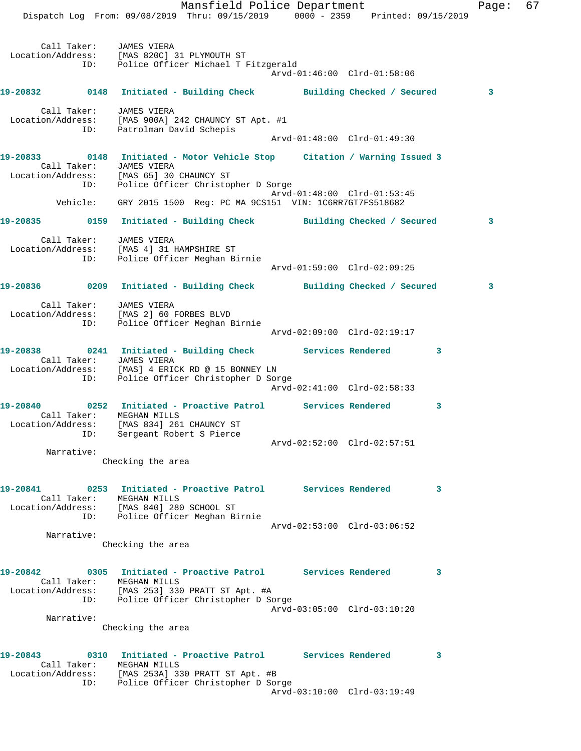Mansfield Police Department Fage: 67 Dispatch Log From: 09/08/2019 Thru: 09/15/2019 0000 - 2359 Printed: 09/15/2019 Call Taker: JAMES VIERA Location/Address: [MAS 820C] 31 PLYMOUTH ST ID: Police Officer Michael T Fitzgerald Arvd-01:46:00 Clrd-01:58:06 **19-20832 0148 Initiated - Building Check Building Checked / Secured 3** Call Taker: JAMES VIERA Location/Address: [MAS 900A] 242 CHAUNCY ST Apt. #1 ID: Patrolman David Schepis Arvd-01:48:00 Clrd-01:49:30 **19-20833 0148 Initiated - Motor Vehicle Stop Citation / Warning Issued 3**  Call Taker: JAMES VIERA Location/Address: [MAS 65] 30 CHAUNCY ST ID: Police Officer Christopher D Sorge Arvd-01:48:00 Clrd-01:53:45 Vehicle: GRY 2015 1500 Reg: PC MA 9CS151 VIN: 1C6RR7GT7FS518682 **19-20835 0159 Initiated - Building Check Building Checked / Secured 3** Call Taker: JAMES VIERA Location/Address: [MAS 4] 31 HAMPSHIRE ST ID: Police Officer Meghan Birnie Arvd-01:59:00 Clrd-02:09:25 **19-20836 0209 Initiated - Building Check Building Checked / Secured 3** Call Taker: JAMES VIERA Location/Address: [MAS 2] 60 FORBES BLVD ID: Police Officer Meghan Birnie Arvd-02:09:00 Clrd-02:19:17 **19-20838 0241 Initiated - Building Check Services Rendered 3**  Call Taker: JAMES VIERA Location/Address: [MAS] 4 ERICK RD @ 15 BONNEY LN ID: Police Officer Christopher D Sorge Arvd-02:41:00 Clrd-02:58:33 **19-20840 0252 Initiated - Proactive Patrol Services Rendered 3**  Call Taker: MEGHAN MILLS Location/Address: [MAS 834] 261 CHAUNCY ST ID: Sergeant Robert S Pierce Arvd-02:52:00 Clrd-02:57:51 Narrative: Checking the area **19-20841 0253 Initiated - Proactive Patrol Services Rendered 3**  Call Taker: MEGHAN MILLS Location/Address: [MAS 840] 280 SCHOOL ST ID: Police Officer Meghan Birnie Arvd-02:53:00 Clrd-03:06:52 Narrative: Checking the area **19-20842 0305 Initiated - Proactive Patrol Services Rendered 3**  Call Taker: MEGHAN MILLS Location/Address: [MAS 253] 330 PRATT ST Apt. #A ID: Police Officer Christopher D Sorge Arvd-03:05:00 Clrd-03:10:20 Narrative: Checking the area **19-20843 0310 Initiated - Proactive Patrol Services Rendered 3**  Call Taker: MEGHAN MILLS Location/Address: [MAS 253A] 330 PRATT ST Apt. #B ID: Police Officer Christopher D Sorge Arvd-03:10:00 Clrd-03:19:49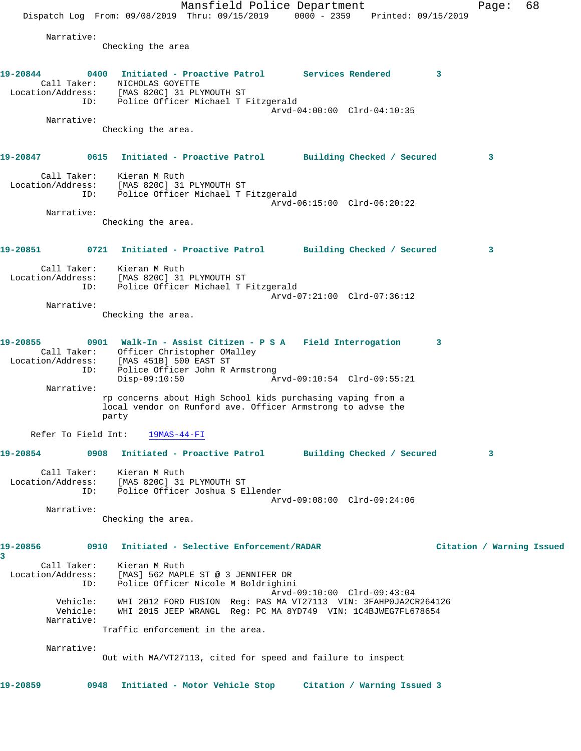Mansfield Police Department Fage: 68 Dispatch Log From: 09/08/2019 Thru: 09/15/2019 0000 - 2359 Printed: 09/15/2019 Narrative: Checking the area **19-20844 0400 Initiated - Proactive Patrol Services Rendered 3**  Call Taker: NICHOLAS GOYETTE Location/Address: [MAS 820C] 31 PLYMOUTH ST ID: Police Officer Michael T Fitzgerald Arvd-04:00:00 Clrd-04:10:35 Narrative: Checking the area. **19-20847 0615 Initiated - Proactive Patrol Building Checked / Secured 3** Call Taker: Kieran M Ruth Location/Address: [MAS 820C] 31 PLYMOUTH ST ID: Police Officer Michael T Fitzgerald Arvd-06:15:00 Clrd-06:20:22 Narrative: Checking the area. **19-20851 0721 Initiated - Proactive Patrol Building Checked / Secured 3** Call Taker: Kieran M Ruth Location/Address: [MAS 820C] 31 PLYMOUTH ST ID: Police Officer Michael T Fitzgerald Arvd-07:21:00 Clrd-07:36:12 Narrative: Checking the area. **19-20855 0901 Walk-In - Assist Citizen - P S A Field Interrogation 3**  Call Taker: Officer Christopher OMalley Location/Address: [MAS 451B] 500 EAST ST ID: Police Officer John R Armstrong Disp-09:10:50 Arvd-09:10:54 Clrd-09:55:21 Narrative: rp concerns about High School kids purchasing vaping from a local vendor on Runford ave. Officer Armstrong to advse the party Refer To Field Int: 19MAS-44-FI **19-20854 0908 Initiated - Proactive Patrol Building Checked / Secured 3** Call Taker: Kieran M Ruth Location/Address: [MAS 820C] 31 PLYMOUTH ST ID: Police Officer Joshua S Ellender Arvd-09:08:00 Clrd-09:24:06 Narrative: Checking the area. **19-20856 0910 Initiated - Selective Enforcement/RADAR Citation / Warning Issued 3**  Call Taker: Kieran M Ruth Location/Address: [MAS] 562 MAPLE ST @ 3 JENNIFER DR ID: Police Officer Nicole M Boldrighini Arvd-09:10:00 Clrd-09:43:04 Vehicle: WHI 2012 FORD FUSION Reg: PAS MA VT27113 VIN: 3FAHP0JA2CR264126 Vehicle: WHI 2015 JEEP WRANGL Reg: PC MA 8YD749 VIN: 1C4BJWEG7FL678654 Narrative: Traffic enforcement in the area. Narrative: Out with MA/VT27113, cited for speed and failure to inspect **19-20859 0948 Initiated - Motor Vehicle Stop Citation / Warning Issued 3**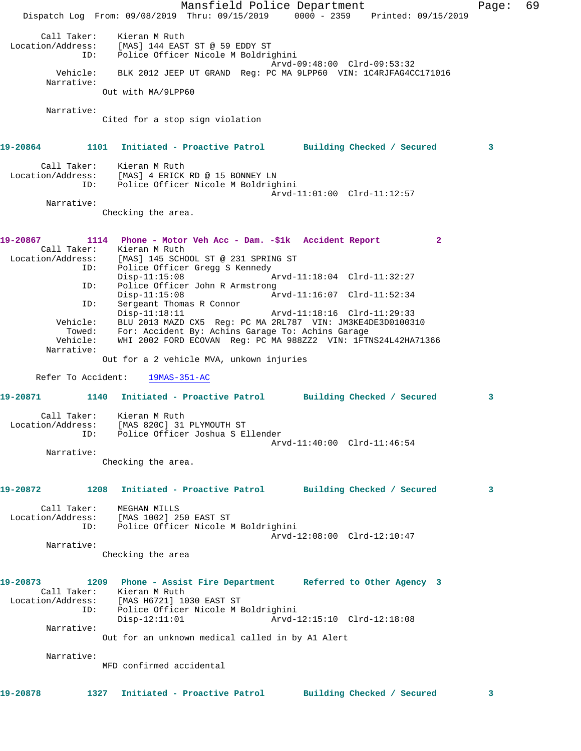Mansfield Police Department Fage: 69 Dispatch Log From: 09/08/2019 Thru: 09/15/2019 0000 - 2359 Printed: 09/15/2019 Call Taker: Kieran M Ruth Location/Address: [MAS] 144 EAST ST @ 59 EDDY ST ID: Police Officer Nicole M Boldrighini Arvd-09:48:00 Clrd-09:53:32 Vehicle: BLK 2012 JEEP UT GRAND Reg: PC MA 9LPP60 VIN: 1C4RJFAG4CC171016 Narrative: Out with MA/9LPP60 Narrative: Cited for a stop sign violation **19-20864 1101 Initiated - Proactive Patrol Building Checked / Secured 3** Call Taker: Kieran M Ruth Location/Address: [MAS] 4 ERICK RD @ 15 BONNEY LN ID: Police Officer Nicole M Boldrighini Arvd-11:01:00 Clrd-11:12:57 Narrative: Checking the area. **19-20867 1114 Phone - Motor Veh Acc - Dam. -\$1k Accident Report 2**  Call Taker: Kieran M Ruth Location/Address: [MAS] 145 SCHOOL ST @ 231 SPRING ST ID: Police Officer Gregg S Kennedy<br>Disp-11:15:08  $Arvd-11:18:04$  Clrd-11:32:27 ID: Police Officer John R Armstrong Arvd-11:16:07 Clrd-11:52:34 ID: Sergeant Thomas R Connor Disp-11:18:11 Arvd-11:18:16 Clrd-11:29:33 Vehicle: BLU 2013 MAZD CX5 Reg: PC MA 2RL787 VIN: JM3KE4DE3D0100310 Towed: For: Accident By: Achins Garage To: Achins Garage Vehicle: WHI 2002 FORD ECOVAN Reg: PC MA 988ZZ2 VIN: 1FTNS24L42HA71366 Narrative: Out for a 2 vehicle MVA, unkown injuries Refer To Accident: 19MAS-351-AC **19-20871 1140 Initiated - Proactive Patrol Building Checked / Secured 3** Call Taker: Kieran M Ruth Location/Address: [MAS 820C] 31 PLYMOUTH ST ID: Police Officer Joshua S Ellender Arvd-11:40:00 Clrd-11:46:54 Narrative: Checking the area. **19-20872 1208 Initiated - Proactive Patrol Building Checked / Secured 3** Call Taker: MEGHAN MILLS Location/Address: [MAS 1002] 250 EAST ST ID: Police Officer Nicole M Boldrighini Arvd-12:08:00 Clrd-12:10:47 Narrative: Checking the area **19-20873 1209 Phone - Assist Fire Department Referred to Other Agency 3**  Call Taker: Kieran M Ruth Location/Address: [MAS H6721] 1030 EAST ST ID: Police Officer Nicole M Boldrighini Disp-12:11:01 Arvd-12:15:10 Clrd-12:18:08 Narrative: Out for an unknown medical called in by A1 Alert Narrative: MFD confirmed accidental **19-20878 1327 Initiated - Proactive Patrol Building Checked / Secured 3**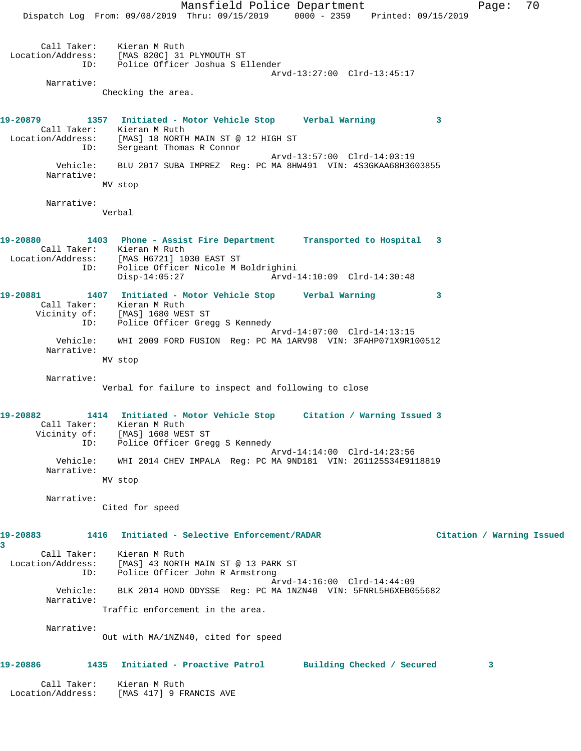Mansfield Police Department Fage: 70 Dispatch Log From: 09/08/2019 Thru: 09/15/2019 0000 - 2359 Printed: 09/15/2019 Call Taker: Kieran M Ruth Location/Address: [MAS 820C] 31 PLYMOUTH ST ID: Police Officer Joshua S Ellender Arvd-13:27:00 Clrd-13:45:17 Narrative: Checking the area. **19-20879 1357 Initiated - Motor Vehicle Stop Verbal Warning 3**  Call Taker: Kieran M Ruth Location/Address: [MAS] 18 NORTH MAIN ST @ 12 HIGH ST ID: Sergeant Thomas R Connor Arvd-13:57:00 Clrd-14:03:19 Vehicle: BLU 2017 SUBA IMPREZ Reg: PC MA 8HW491 VIN: 4S3GKAA68H3603855 Narrative: MV stop Narrative: Verbal **19-20880 1403 Phone - Assist Fire Department Transported to Hospital 3**  Call Taker: Kieran M Ruth Location/Address: [MAS H6721] 1030 EAST ST ID: Police Officer Nicole M Boldrighini Disp-14:05:27 Arvd-14:10:09 Clrd-14:30:48 **19-20881 1407 Initiated - Motor Vehicle Stop Verbal Warning 3**  Call Taker: Kieran M Ruth Vicinity of: [MAS] 1680 WEST ST ID: Police Officer Gregg S Kennedy Arvd-14:07:00 Clrd-14:13:15 Vehicle: WHI 2009 FORD FUSION Reg: PC MA 1ARV98 VIN: 3FAHP071X9R100512 Narrative: MV stop Narrative: Verbal for failure to inspect and following to close **19-20882 1414 Initiated - Motor Vehicle Stop Citation / Warning Issued 3**  Call Taker: Kieran M Ruth Vicinity of: [MAS] 1608 WEST ST ID: Police Officer Gregg S Kennedy Arvd-14:14:00 Clrd-14:23:56 Vehicle: WHI 2014 CHEV IMPALA Reg: PC MA 9ND181 VIN: 2G1125S34E9118819 Narrative: MV stop Narrative: Cited for speed **19-20883 1416 Initiated - Selective Enforcement/RADAR Citation / Warning Issued 3**  Call Taker: Kieran M Ruth Location/Address: [MAS] 43 NORTH MAIN ST @ 13 PARK ST ID: Police Officer John R Armstrong Arvd-14:16:00 Clrd-14:44:09 Vehicle: BLK 2014 HOND ODYSSE Reg: PC MA 1NZN40 VIN: 5FNRL5H6XEB055682 Narrative: Traffic enforcement in the area. Narrative: Out with MA/1NZN40, cited for speed **19-20886 1435 Initiated - Proactive Patrol Building Checked / Secured 3** Call Taker: Kieran M Ruth

Location/Address: [MAS 417] 9 FRANCIS AVE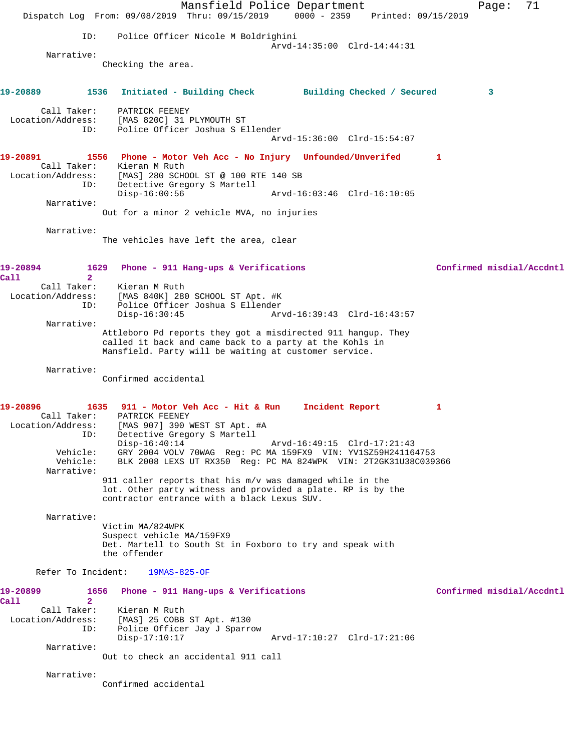Mansfield Police Department Page: 71 Dispatch Log From: 09/08/2019 Thru: 09/15/2019 0000 - 2359 Printed: 09/15/2019 ID: Police Officer Nicole M Boldrighini Arvd-14:35:00 Clrd-14:44:31 Narrative: Checking the area. **19-20889 1536 Initiated - Building Check Building Checked / Secured 3** Call Taker: PATRICK FEENEY Location/Address: [MAS 820C] 31 PLYMOUTH ST ID: Police Officer Joshua S Ellender Arvd-15:36:00 Clrd-15:54:07 **19-20891 1556 Phone - Motor Veh Acc - No Injury Unfounded/Unverifed 1**  Call Taker: Kieran M Ruth Location/Address: [MAS] 280 SCHOOL ST @ 100 RTE 140 SB ID: Detective Gregory S Martell Disp-16:00:56 Arvd-16:03:46 Clrd-16:10:05 Narrative: Out for a minor 2 vehicle MVA, no injuries Narrative: The vehicles have left the area, clear **19-20894 1629 Phone - 911 Hang-ups & Verifications Confirmed misdial/Accdntl Call 2**  Call Taker: Kieran M Ruth Location/Address: [MAS 840K] 280 SCHOOL ST Apt. #K ID: Police Officer Joshua S Ellender Disp-16:30:45 Arvd-16:39:43 Clrd-16:43:57 Narrative: Attleboro Pd reports they got a misdirected 911 hangup. They called it back and came back to a party at the Kohls in Mansfield. Party will be waiting at customer service. Narrative: Confirmed accidental **19-20896 1635 911 - Motor Veh Acc - Hit & Run Incident Report 1**  Call Taker: PATRICK FEENEY Location/Address: [MAS 907] 390 WEST ST Apt. #A ID: Detective Gregory S Martell Disp-16:40:14 Arvd-16:49:15 Clrd-17:21:43 Vehicle: GRY 2004 VOLV 70WAG Reg: PC MA 159FX9 VIN: YV1SZ59H241164753 Vehicle: BLK 2008 LEXS UT RX350 Reg: PC MA 824WPK VIN: 2T2GK31U38C039366 Narrative: 911 caller reports that his m/v was damaged while in the lot. Other party witness and provided a plate. RP is by the contractor entrance with a black Lexus SUV. Narrative: Victim MA/824WPK Suspect vehicle MA/159FX9 Det. Martell to South St in Foxboro to try and speak with the offender Refer To Incident: 19MAS-825-OF **19-20899 1656 Phone - 911 Hang-ups & Verifications Confirmed misdial/Accdntl Call 2**  Call Taker: Kieran M Ruth Location/Address: [MAS] 25 COBB ST Apt. #130 ID: Police Officer Jay J Sparrow Disp-17:10:17 Arvd-17:10:27 Clrd-17:21:06 Narrative: Out to check an accidental 911 call Narrative: Confirmed accidental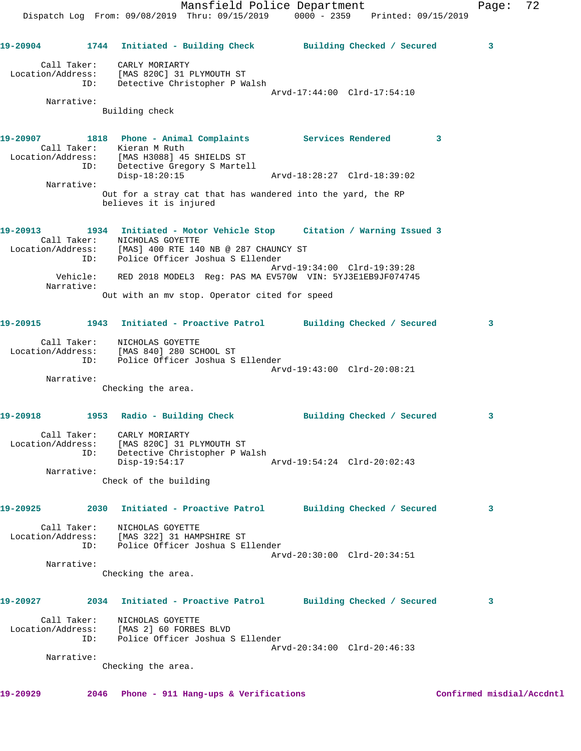Mansfield Police Department Fage: 72 Dispatch Log From: 09/08/2019 Thru: 09/15/2019 0000 - 2359 Printed: 09/15/2019 **19-20904 1744 Initiated - Building Check Building Checked / Secured 3** Call Taker: CARLY MORIARTY Location/Address: [MAS 820C] 31 PLYMOUTH ST ID: Detective Christopher P Walsh Arvd-17:44:00 Clrd-17:54:10 Narrative: Building check **19-20907 1818 Phone - Animal Complaints Services Rendered 3**  Call Taker: Kieran M Ruth Location/Address: [MAS H3088] 45 SHIELDS ST ID: Detective Gregory S Martell Disp-18:20:15 Arvd-18:28:27 Clrd-18:39:02 Narrative: Out for a stray cat that has wandered into the yard, the RP believes it is injured **19-20913 1934 Initiated - Motor Vehicle Stop Citation / Warning Issued 3**  Call Taker: NICHOLAS GOYETTE Location/Address: [MAS] 400 RTE 140 NB @ 287 CHAUNCY ST ID: Police Officer Joshua S Ellender Arvd-19:34:00 Clrd-19:39:28 Vehicle: RED 2018 MODEL3 Reg: PAS MA EV570W VIN: 5YJ3E1EB9JF074745 Narrative: Out with an mv stop. Operator cited for speed **19-20915 1943 Initiated - Proactive Patrol Building Checked / Secured 3** Call Taker: NICHOLAS GOYETTE Location/Address: [MAS 840] 280 SCHOOL ST ID: Police Officer Joshua S Ellender Arvd-19:43:00 Clrd-20:08:21 Narrative: Checking the area. 19-20918 1953 Radio - Building Check **Building Checked / Secured** 3 Call Taker: CARLY MORIARTY Location/Address: [MAS 820C] 31 PLYMOUTH ST ID: Detective Christopher P Walsh Disp-19:54:17 Arvd-19:54:24 Clrd-20:02:43 Narrative: Check of the building **19-20925 2030 Initiated - Proactive Patrol Building Checked / Secured 3** Call Taker: NICHOLAS GOYETTE Location/Address: [MAS 322] 31 HAMPSHIRE ST ID: Police Officer Joshua S Ellender Arvd-20:30:00 Clrd-20:34:51

Narrative:

Checking the area.

### **19-20927 2034 Initiated - Proactive Patrol Building Checked / Secured 3**

 Call Taker: NICHOLAS GOYETTE Location/Address: [MAS 2] 60 FORBES BLVD ID: Police Officer Joshua S Ellender Arvd-20:34:00 Clrd-20:46:33 Narrative:

Checking the area.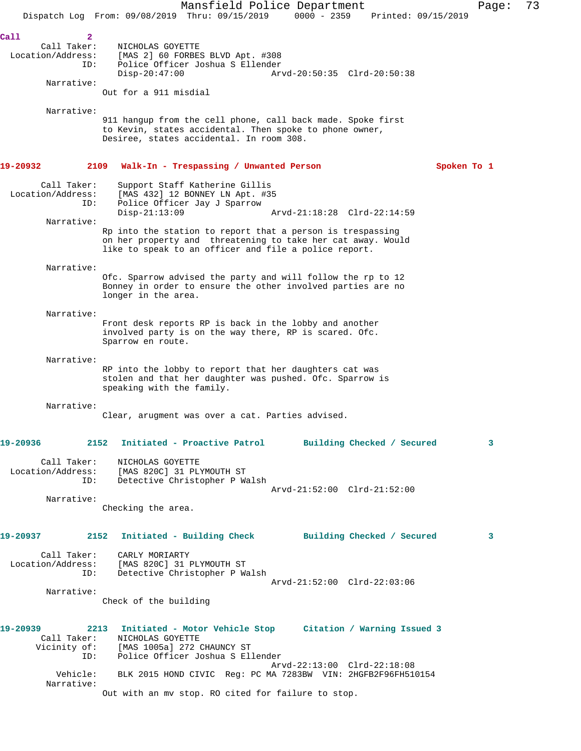Mansfield Police Department Page: 73 Dispatch Log From: 09/08/2019 Thru: 09/15/2019 0000 - 2359 Printed: 09/15/2019 **Call 2**  Call Taker: NICHOLAS GOYETTE Location/Address: [MAS 2] 60 FORBES BLVD Apt. #308 ID: Police Officer Joshua S Ellender Disp-20:47:00 Arvd-20:50:35 Clrd-20:50:38 Narrative: Out for a 911 misdial Narrative: 911 hangup from the cell phone, call back made. Spoke first to Kevin, states accidental. Then spoke to phone owner, Desiree, states accidental. In room 308. **19-20932 2109 Walk-In - Trespassing / Unwanted Person Spoken To 1** Call Taker: Support Staff Katherine Gillis Location/Address: [MAS 432] 12 BONNEY LN Apt. #35 ID: Police Officer Jay J Sparrow Disp-21:13:09 Arvd-21:18:28 Clrd-22:14:59 Narrative: Rp into the station to report that a person is trespassing on her property and threatening to take her cat away. Would like to speak to an officer and file a police report. Narrative: Ofc. Sparrow advised the party and will follow the rp to 12 Bonney in order to ensure the other involved parties are no longer in the area. Narrative: Front desk reports RP is back in the lobby and another involved party is on the way there, RP is scared. Ofc. Sparrow en route. Narrative: RP into the lobby to report that her daughters cat was stolen and that her daughter was pushed. Ofc. Sparrow is speaking with the family. Narrative: Clear, arugment was over a cat. Parties advised. **19-20936 2152 Initiated - Proactive Patrol Building Checked / Secured 3** Call Taker: NICHOLAS GOYETTE Location/Address: [MAS 820C] 31 PLYMOUTH ST ID: Detective Christopher P Walsh Arvd-21:52:00 Clrd-21:52:00 Narrative: Checking the area. **19-20937 2152 Initiated - Building Check Building Checked / Secured 3** Call Taker: CARLY MORIARTY Location/Address: [MAS 820C] 31 PLYMOUTH ST ID: Detective Christopher P Walsh Arvd-21:52:00 Clrd-22:03:06 Narrative: Check of the building **19-20939 2213 Initiated - Motor Vehicle Stop Citation / Warning Issued 3**  Call Taker: NICHOLAS GOYETTE Vicinity of: [MAS 1005a] 272 CHAUNCY ST ID: Police Officer Joshua S Ellender Arvd-22:13:00 Clrd-22:18:08 Vehicle: BLK 2015 HOND CIVIC Reg: PC MA 7283BW VIN: 2HGFB2F96FH510154 Narrative: Out with an mv stop. RO cited for failure to stop.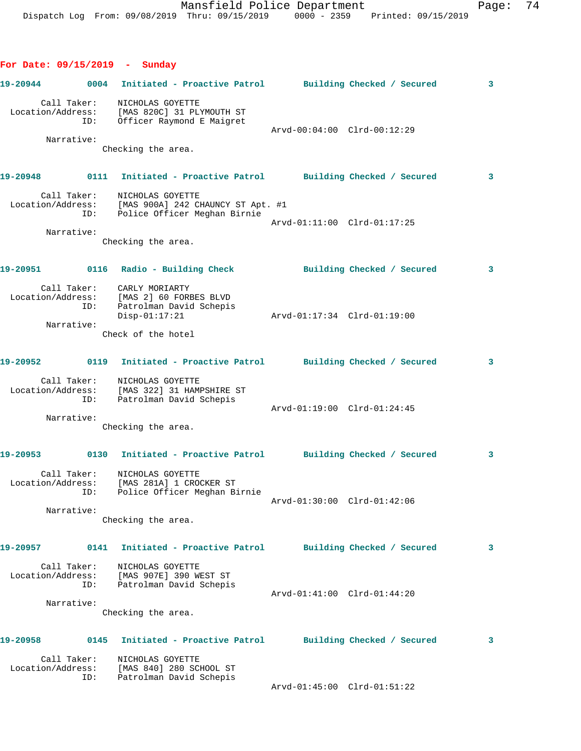**For Date: 09/15/2019 - Sunday**

```
19-20944 0004 Initiated - Proactive Patrol Building Checked / Secured 3
 Call Taker: NICHOLAS GOYETTE
 Location/Address: [MAS 820C] 31 PLYMOUTH ST
 ID: Officer Raymond E Maigret
                                      Arvd-00:04:00 Clrd-00:12:29
       Narrative: 
         Checking the area.
19-20948 0111 Initiated - Proactive Patrol Building Checked / Secured 3
 Call Taker: NICHOLAS GOYETTE
 Location/Address: [MAS 900A] 242 CHAUNCY ST Apt. #1
 ID: Police Officer Meghan Birnie
                                      Arvd-01:11:00 Clrd-01:17:25
       Narrative: 
             Checking the area.
19-20951 0116 Radio - Building Check Building Checked / Secured 3
 Call Taker: CARLY MORIARTY
 Location/Address: [MAS 2] 60 FORBES BLVD
 ID: Patrolman David Schepis
 Disp-01:17:21 Arvd-01:17:34 Clrd-01:19:00
       Narrative: 
             Check of the hotel
19-20952 0119 Initiated - Proactive Patrol Building Checked / Secured 3
 Call Taker: NICHOLAS GOYETTE
 Location/Address: [MAS 322] 31 HAMPSHIRE ST
 ID: Patrolman David Schepis
 Arvd-01:19:00 Clrd-01:24:45
 Narrative: 
         Checking the area.
19-20953 0130 Initiated - Proactive Patrol Building Checked / Secured 3
 Call Taker: NICHOLAS GOYETTE
 Location/Address: [MAS 281A] 1 CROCKER ST
           ID: Police Officer Meghan Birnie
                               Arvd-01:30:00 Clrd-01:42:06
       Narrative: 
             Checking the area.
19-20957 0141 Initiated - Proactive Patrol Building Checked / Secured 3
 Call Taker: NICHOLAS GOYETTE
 Location/Address: [MAS 907E] 390 WEST ST
 ID: Patrolman David Schepis
 Arvd-01:41:00 Clrd-01:44:20
 Narrative: 
             Checking the area.
19-20958 0145 Initiated - Proactive Patrol Building Checked / Secured 3
      Call Taker: NICHOLAS GOYETTE
 Location/Address: [MAS 840] 280 SCHOOL ST
 ID: Patrolman David Schepis
 Arvd-01:45:00 Clrd-01:51:22
```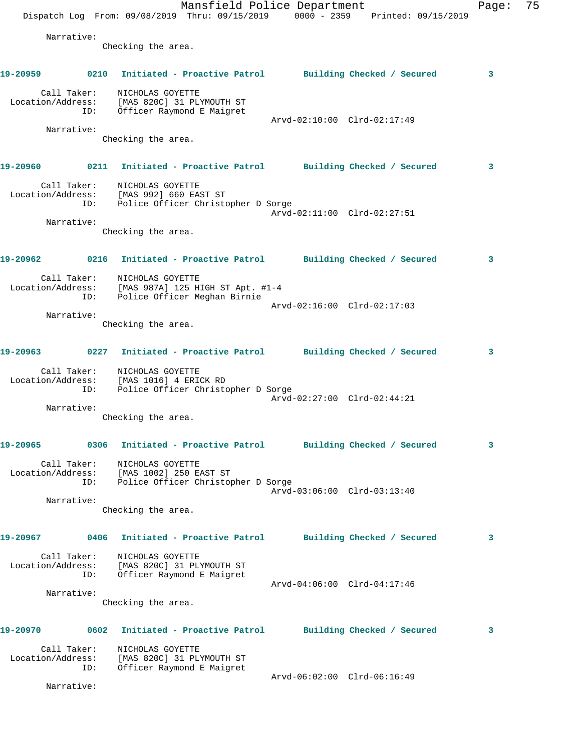Mansfield Police Department Fage: 75 Dispatch Log From: 09/08/2019 Thru: 09/15/2019 0000 - 2359 Printed: 09/15/2019 Narrative: Checking the area. **19-20959 0210 Initiated - Proactive Patrol Building Checked / Secured 3** Call Taker: NICHOLAS GOYETTE Location/Address: [MAS 820C] 31 PLYMOUTH ST ID: Officer Raymond E Maigret Arvd-02:10:00 Clrd-02:17:49 Narrative: Checking the area. **19-20960 0211 Initiated - Proactive Patrol Building Checked / Secured 3** Call Taker: NICHOLAS GOYETTE Location/Address: [MAS 992] 660 EAST ST ID: Police Officer Christopher D Sorge Arvd-02:11:00 Clrd-02:27:51 Narrative: Checking the area. **19-20962 0216 Initiated - Proactive Patrol Building Checked / Secured 3** Call Taker: NICHOLAS GOYETTE Location/Address: [MAS 987A] 125 HIGH ST Apt. #1-4 ID: Police Officer Meghan Birnie Arvd-02:16:00 Clrd-02:17:03 Narrative: Checking the area. **19-20963 0227 Initiated - Proactive Patrol Building Checked / Secured 3** Call Taker: NICHOLAS GOYETTE Location/Address: [MAS 1016] 4 ERICK RD ID: Police Officer Christopher D Sorge Arvd-02:27:00 Clrd-02:44:21 Narrative: Checking the area. **19-20965 0306 Initiated - Proactive Patrol Building Checked / Secured 3** Call Taker: NICHOLAS GOYETTE Location/Address: [MAS 1002] 250 EAST ST ID: Police Officer Christopher D Sorge Arvd-03:06:00 Clrd-03:13:40 Narrative: Checking the area. **19-20967 0406 Initiated - Proactive Patrol Building Checked / Secured 3** Call Taker: NICHOLAS GOYETTE Location/Address: [MAS 820C] 31 PLYMOUTH ST ID: Officer Raymond E Maigret Arvd-04:06:00 Clrd-04:17:46 Narrative: Checking the area. **19-20970 0602 Initiated - Proactive Patrol Building Checked / Secured 3** Call Taker: NICHOLAS GOYETTE Location/Address: [MAS 820C] 31 PLYMOUTH ST ID: Officer Raymond E Maigret Arvd-06:02:00 Clrd-06:16:49 Narrative: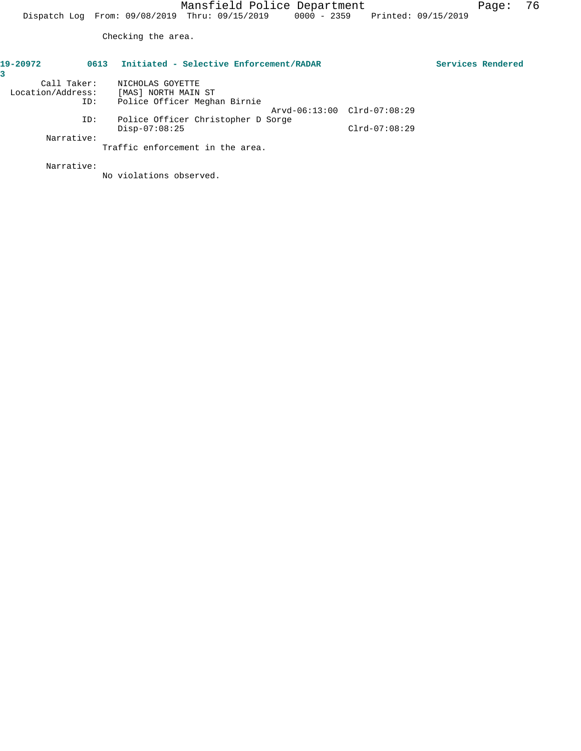Checking the area.

| 19-20972          | 0613 | Initiated - Selective Enforcement/RADAR |                 | Services Rendered |
|-------------------|------|-----------------------------------------|-----------------|-------------------|
|                   |      |                                         |                 |                   |
| Call Taker:       |      | NICHOLAS GOYETTE                        |                 |                   |
| Location/Address: |      | [MAS] NORTH MAIN ST                     |                 |                   |
|                   | ID:  | Police Officer Meghan Birnie            |                 |                   |
|                   |      | Arvd-06:13:00 Clrd-07:08:29             |                 |                   |
|                   | ID:  | Police Officer Christopher D Sorge      |                 |                   |
|                   |      | $Disp-07:08:25$                         | $Clrd-07:08:29$ |                   |
| Narrative:        |      |                                         |                 |                   |
|                   |      | Traffic enforcement in the area.        |                 |                   |

Narrative:

No violations observed.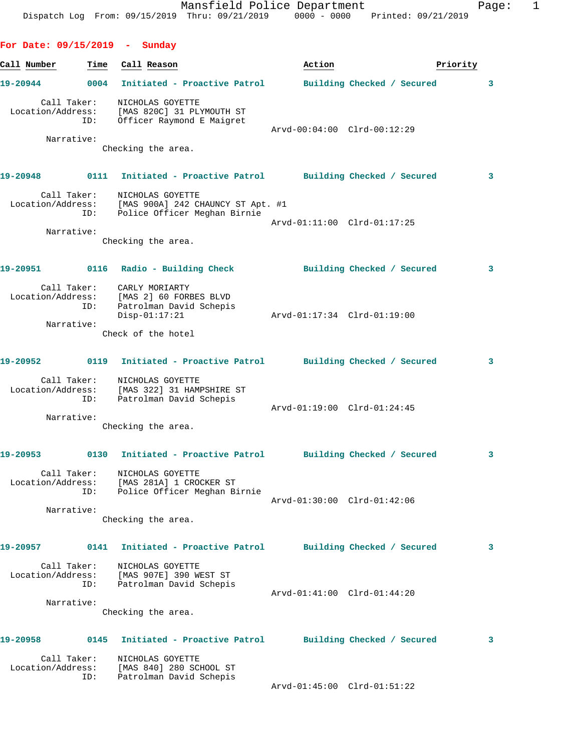| Call Number                      | Time | Call Reason                                                                                                                   | Action                      |                            | Priority                |
|----------------------------------|------|-------------------------------------------------------------------------------------------------------------------------------|-----------------------------|----------------------------|-------------------------|
| 19-20944                         |      | 0004 Initiated - Proactive Patrol Building Checked / Secured                                                                  |                             |                            | 3                       |
| Call Taker:                      |      | NICHOLAS GOYETTE<br>Location/Address: [MAS 820C] 31 PLYMOUTH ST<br>ID: Officer Raymond E Maigret<br>Officer Raymond E Maigret | Arvd-00:04:00 Clrd-00:12:29 |                            |                         |
| Narrative:                       |      | Checking the area.                                                                                                            |                             |                            |                         |
| 19-20948 0111                    |      | Initiated - Proactive Patrol Building Checked / Secured                                                                       |                             |                            | $\overline{\mathbf{3}}$ |
| Call Taker:                      |      | NICHOLAS GOYETTE<br>Location/Address: [MAS 900A] 242 CHAUNCY ST Apt. #1<br>ID: Police Officer Meghan Birnie                   |                             |                            |                         |
| Narrative:                       |      |                                                                                                                               | Arvd-01:11:00 Clrd-01:17:25 |                            |                         |
|                                  |      | Checking the area.                                                                                                            |                             |                            |                         |
|                                  |      | 19-20951    Q116    Radio - Building Check    Chailding Checked / Secured                                                     |                             |                            | $\mathbf{3}$            |
| Call Taker:<br>Location/Address: | ID:  | CARLY MORIARTY<br>[MAS 2] 60 FORBES BLVD<br>Patrolman David Schepis<br>$Disp-01:17:21$                                        |                             |                            |                         |
| Narrative:                       |      | Check of the hotel                                                                                                            |                             |                            |                         |
|                                  |      | 19-20952 0119 Initiated - Proactive Patrol Building Checked / Secured                                                         |                             |                            | $\mathbf{3}$            |
|                                  | ID:  | Call Taker: MICHOLAS GOYETTE<br>Location/Address: [MAS 322] 31 HAMPSHIRE ST<br>Patrolman David Schepis                        | Arvd-01:19:00 Clrd-01:24:45 |                            |                         |
| Narrative:                       |      | Checking the area.                                                                                                            |                             |                            |                         |
|                                  |      | 19-20953 0130 Initiated - Proactive Patrol Building Checked / Secured                                                         |                             |                            | $\mathbf{3}$            |
| Call Taker:<br>Location/Address: | ID:  | NICHOLAS GOYETTE<br>[MAS 281A] 1 CROCKER ST<br>Police Officer Meghan Birnie                                                   |                             |                            |                         |
| Narrative:                       |      |                                                                                                                               | Arvd-01:30:00 Clrd-01:42:06 |                            |                         |
|                                  |      | Checking the area.                                                                                                            |                             |                            |                         |
| 19-20957                         | 0141 | Initiated - Proactive Patrol                                                                                                  |                             | Building Checked / Secured | 3                       |
| Call Taker:<br>Location/Address: | ID:  | NICHOLAS GOYETTE<br>[MAS 907E] 390 WEST ST<br>Patrolman David Schepis                                                         |                             |                            |                         |
| Narrative:                       |      | Checking the area.                                                                                                            | Arvd-01:41:00 Clrd-01:44:20 |                            |                         |
| 19-20958                         | 0145 | Initiated - Proactive Patrol                                                                                                  |                             | Building Checked / Secured | 3                       |
| Call Taker:<br>Location/Address: |      | NICHOLAS GOYETTE<br>[MAS 840] 280 SCHOOL ST                                                                                   |                             |                            |                         |
|                                  | ID:  | Patrolman David Schepis                                                                                                       | Arvd-01:45:00 Clrd-01:51:22 |                            |                         |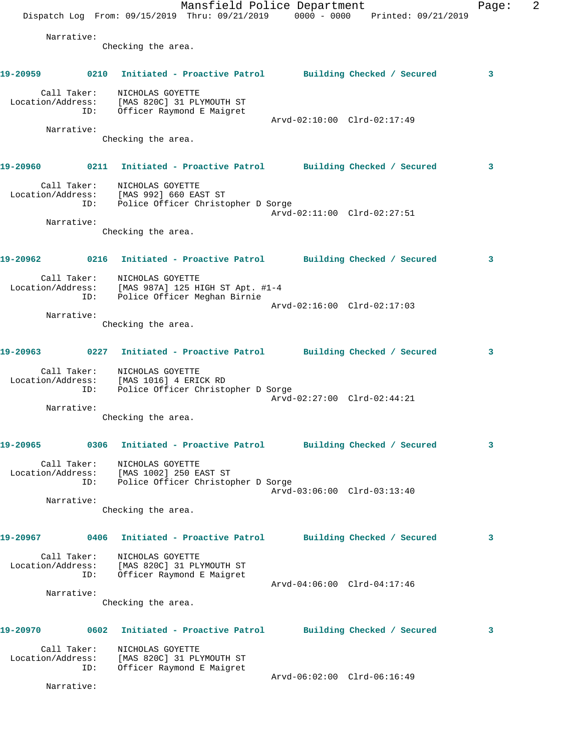|                   |                    |                                                                            | Mansfield Police Department<br>Dispatch Log From: 09/15/2019 Thru: 09/21/2019 0000 - 0000 Printed: 09/21/2019 |                             |  | Page: | 2 |
|-------------------|--------------------|----------------------------------------------------------------------------|---------------------------------------------------------------------------------------------------------------|-----------------------------|--|-------|---|
|                   | Narrative:         | Checking the area.                                                         |                                                                                                               |                             |  |       |   |
| 19-20959          |                    |                                                                            | 0210 Initiated - Proactive Patrol Building Checked / Secured                                                  |                             |  | 3     |   |
|                   | Call Taker:<br>ID: | NICHOLAS GOYETTE                                                           | Location/Address: [MAS 820C] 31 PLYMOUTH ST<br>Officer Raymond E Maigret                                      |                             |  |       |   |
|                   | Narrative:         |                                                                            |                                                                                                               | Arvd-02:10:00 Clrd-02:17:49 |  |       |   |
|                   |                    | Checking the area.                                                         |                                                                                                               |                             |  |       |   |
| 19-20960          |                    |                                                                            | 0211 Initiated - Proactive Patrol Building Checked / Secured                                                  |                             |  | 3     |   |
|                   | ID:                | Call Taker: NICHOLAS GOYETTE<br>Location/Address: [MAS 992] 660 EAST ST    | Police Officer Christopher D Sorge                                                                            | Arvd-02:11:00 Clrd-02:27:51 |  |       |   |
|                   | Narrative:         | Checking the area.                                                         |                                                                                                               |                             |  |       |   |
| 19-20962          |                    |                                                                            | 0216 Initiated - Proactive Patrol Building Checked / Secured                                                  |                             |  | 3     |   |
|                   | ID:                | Call Taker: NICHOLAS GOYETTE                                               | Location/Address: [MAS 987A] 125 HIGH ST Apt. #1-4<br>Police Officer Meghan Birnie                            | Arvd-02:16:00 Clrd-02:17:03 |  |       |   |
|                   | Narrative:         |                                                                            |                                                                                                               |                             |  |       |   |
|                   |                    | Checking the area.                                                         |                                                                                                               |                             |  |       |   |
|                   |                    |                                                                            | 19-20963 6227 Initiated - Proactive Patrol Building Checked / Secured                                         |                             |  | 3     |   |
|                   | ID:                | Call Taker:<br>NICHOLAS GOYETTE<br>Location/Address: [MAS 1016] 4 ERICK RD | Police Officer Christopher D Sorge                                                                            |                             |  |       |   |
|                   | Narrative:         |                                                                            |                                                                                                               | Arvd-02:27:00 Clrd-02:44:21 |  |       |   |
|                   |                    | Checking the area.                                                         |                                                                                                               |                             |  |       |   |
| 19-20965          |                    |                                                                            | 0306 Initiated - Proactive Patrol Building Checked / Secured                                                  |                             |  | 3     |   |
|                   | ID:                | Call Taker: NICHOLAS GOYETTE<br>Location/Address: [MAS 1002] 250 EAST ST   | Police Officer Christopher D Sorge                                                                            | Arvd-03:06:00 Clrd-03:13:40 |  |       |   |
|                   | Narrative:         | Checking the area.                                                         |                                                                                                               |                             |  |       |   |
| 19-20967          |                    |                                                                            | 0406 Initiated - Proactive Patrol Building Checked / Secured                                                  |                             |  | 3     |   |
|                   | ID:                | Call Taker: NICHOLAS GOYETTE                                               | Location/Address: [MAS 820C] 31 PLYMOUTH ST<br>Officer Raymond E Maigret                                      |                             |  |       |   |
|                   |                    |                                                                            |                                                                                                               | Arvd-04:06:00 Clrd-04:17:46 |  |       |   |
|                   | Narrative:         | Checking the area.                                                         |                                                                                                               |                             |  |       |   |
|                   |                    |                                                                            | 19-20970 0602 Initiated - Proactive Patrol Building Checked / Secured                                         |                             |  | 3     |   |
| Location/Address: | Call Taker:<br>ID: | NICHOLAS GOYETTE                                                           | [MAS 820C] 31 PLYMOUTH ST<br>Officer Raymond E Maigret                                                        |                             |  |       |   |
|                   | Narrative:         |                                                                            |                                                                                                               | Arvd-06:02:00 Clrd-06:16:49 |  |       |   |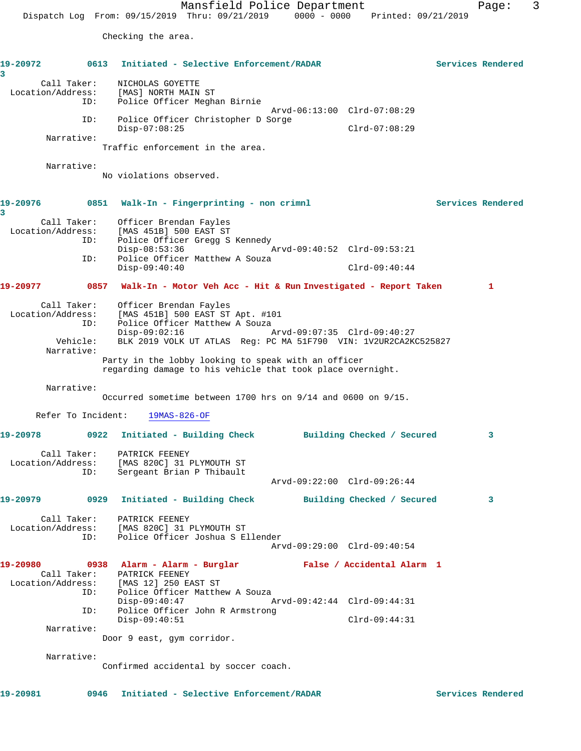Checking the area.

**19-20972 0613 Initiated - Selective Enforcement/RADAR Services Rendered 3**  Call Taker: NICHOLAS GOYETTE Location/Address: [MAS] NORTH MAIN ST ID: Police Officer Meghan Birnie Arvd-06:13:00 Clrd-07:08:29 ID: Police Officer Christopher D Sorge Disp-07:08:25 Clrd-07:08:29 Narrative: Traffic enforcement in the area. Narrative: No violations observed. 19-20976 0851 Walk-In - Fingerprinting - non crimnl Services Rendered **3**  Call Taker: Officer Brendan Fayles Location/Address: [MAS 451B] 500 EAST ST Police Officer Gregg S Kennedy Disp-08:53:36 Arvd-09:40:52 Clrd-09:53:21 ID: Police Officer Matthew A Souza Disp-09:40:40 Clrd-09:40:44 **19-20977 0857 Walk-In - Motor Veh Acc - Hit & Run Investigated - Report Taken 1** Call Taker: Officer Brendan Fayles Location/Address: [MAS 451B] 500 EAST ST Apt. #101 ID: Police Officer Matthew A Souza Disp-09:02:16 Arvd-09:07:35 Clrd-09:40:27 Vehicle: BLK 2019 VOLK UT ATLAS Reg: PC MA 51F790 VIN: 1V2UR2CA2KC525827 Narrative: Party in the lobby looking to speak with an officer regarding damage to his vehicle that took place overnight. Narrative: Occurred sometime between 1700 hrs on 9/14 and 0600 on 9/15. Refer To Incident: 19MAS-826-OF **19-20978 0922 Initiated - Building Check Building Checked / Secured 3** Call Taker: PATRICK FEENEY Location/Address: [MAS 820C] 31 PLYMOUTH ST ID: Sergeant Brian P Thibault Arvd-09:22:00 Clrd-09:26:44 **19-20979 0929 Initiated - Building Check Building Checked / Secured 3** Call Taker: PATRICK FEENEY Location/Address: [MAS 820C] 31 PLYMOUTH ST ID: Police Officer Joshua S Ellender Arvd-09:29:00 Clrd-09:40:54 **19-20980 0938 Alarm - Alarm - Burglar False / Accidental Alarm 1**  Call Taker: PATRICK FEENEY Location/Address: [MAS 12] 250 EAST ST ID: Police Officer Matthew A Souza Disp-09:40:47 Arvd-09:42:44 Clrd-09:44:31 Police Officer John R Armstrong Disp-09:30:1.<br>
Police Officer John R Armstrong<br>
Disp-09:40:51 Clrd-09:44:31 Narrative: Door 9 east, gym corridor. Narrative: Confirmed accidental by soccer coach.

**19-20981 0946 Initiated - Selective Enforcement/RADAR Services Rendered**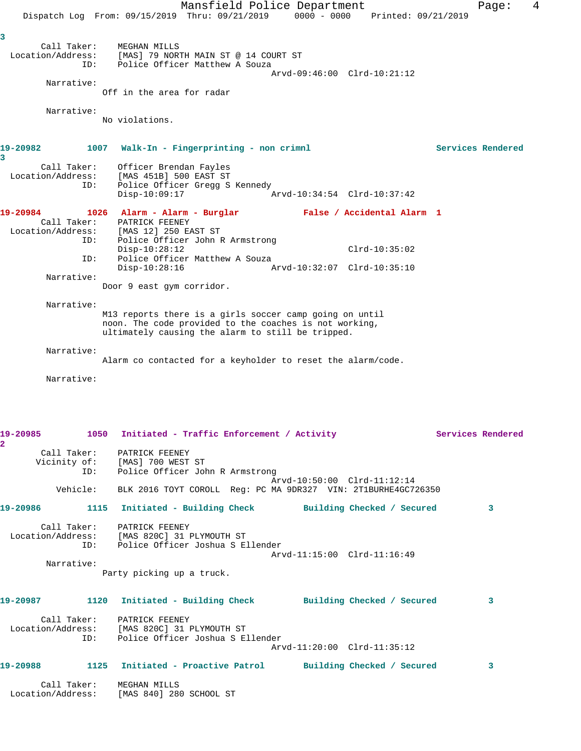|              |                                  | Mansfield Police Department                                                         |                             | Page:             | 4 |
|--------------|----------------------------------|-------------------------------------------------------------------------------------|-----------------------------|-------------------|---|
|              |                                  | Dispatch Log From: 09/15/2019 Thru: 09/21/2019 0000 - 0000 Printed: 09/21/2019      |                             |                   |   |
| 3            |                                  |                                                                                     |                             |                   |   |
|              | Call Taker:<br>Location/Address: | MEGHAN MILLS<br>[MAS] 79 NORTH MAIN ST @ 14 COURT ST                                |                             |                   |   |
|              | ID:                              | Police Officer Matthew A Souza                                                      |                             |                   |   |
|              | Narrative:                       |                                                                                     | Arvd-09:46:00 Clrd-10:21:12 |                   |   |
|              |                                  | Off in the area for radar                                                           |                             |                   |   |
|              |                                  |                                                                                     |                             |                   |   |
|              | Narrative:                       | No violations.                                                                      |                             |                   |   |
|              |                                  |                                                                                     |                             |                   |   |
| 19-20982     |                                  | 1007 Walk-In - Fingerprinting - non crimnl                                          |                             | Services Rendered |   |
| 3            |                                  |                                                                                     |                             |                   |   |
|              | Call Taker:<br>Location/Address: | Officer Brendan Fayles<br>[MAS 451B] 500 EAST ST                                    |                             |                   |   |
|              | ID:                              | Police Officer Gregg S Kennedy                                                      |                             |                   |   |
|              |                                  | $Disp-10:09:17$                                                                     | Arvd-10:34:54 Clrd-10:37:42 |                   |   |
| 19-20984     |                                  | 1026 Alarm - Alarm - Burglar - False / Accidental Alarm 1                           |                             |                   |   |
|              | Call Taker:                      | PATRICK FEENEY<br>Location/Address: [MAS 12] 250 EAST ST                            |                             |                   |   |
|              | ID:                              | Police Officer John R Armstrong                                                     |                             |                   |   |
|              | ID:                              | $Disp-10:28:12$<br>Police Officer Matthew A Souza                                   | $Clrd-10:35:02$             |                   |   |
|              |                                  | $Disp-10:28:16$                                                                     | Arvd-10:32:07 Clrd-10:35:10 |                   |   |
|              | Narrative:                       | Door 9 east gym corridor.                                                           |                             |                   |   |
|              |                                  |                                                                                     |                             |                   |   |
|              | Narrative:                       | M13 reports there is a girls soccer camp going on until                             |                             |                   |   |
|              |                                  | noon. The code provided to the coaches is not working,                              |                             |                   |   |
|              |                                  | ultimately causing the alarm to still be tripped.                                   |                             |                   |   |
|              | Narrative:                       |                                                                                     |                             |                   |   |
|              |                                  | Alarm co contacted for a keyholder to reset the alarm/code.                         |                             |                   |   |
|              | Narrative:                       |                                                                                     |                             |                   |   |
|              |                                  |                                                                                     |                             |                   |   |
|              |                                  |                                                                                     |                             |                   |   |
|              |                                  |                                                                                     |                             |                   |   |
|              |                                  | 19-20985 1050 Initiated - Traffic Enforcement / Activity 100 Services Rendered      |                             |                   |   |
| $\mathbf{2}$ |                                  | Call Taker: PATRICK FEENEY                                                          |                             |                   |   |
|              |                                  | Vicinity of: [MAS] 700 WEST ST<br>ID: Police Officer John R Armstrong               |                             |                   |   |
|              |                                  |                                                                                     | Arvd-10:50:00 Clrd-11:12:14 |                   |   |
|              |                                  | Vehicle: BLK 2016 TOYT COROLL Reg: PC MA 9DR327 VIN: 2T1BURHE4GC726350              |                             |                   |   |
|              |                                  |                                                                                     |                             |                   |   |
|              |                                  | 19-20986     1115 Initiated - Building Check      Building Checked / Secured        |                             | 3                 |   |
|              |                                  | Call Taker: PATRICK FEENEY                                                          |                             |                   |   |
|              |                                  | Location/Address: [MAS 820C] 31 PLYMOUTH ST<br>ID: Police Officer Joshua S Ellender |                             |                   |   |
|              |                                  |                                                                                     | Arvd-11:15:00 Clrd-11:16:49 |                   |   |
|              | Narrative:                       | Party picking up a truck.                                                           |                             |                   |   |
|              |                                  |                                                                                     |                             |                   |   |
|              |                                  | 19-20987 1120 Initiated - Building Check Building Checked / Secured                 |                             | 3                 |   |
|              |                                  |                                                                                     |                             |                   |   |
|              |                                  | Call Taker: PATRICK FEENEY<br>Location/Address: [MAS 820C] 31 PLYMOUTH ST           |                             |                   |   |
|              |                                  | ID: Police Officer Joshua S Ellender                                                |                             |                   |   |
|              |                                  |                                                                                     | Arvd-11:20:00 Clrd-11:35:12 |                   |   |
|              |                                  | 19-20988 1125 Initiated - Proactive Patrol Building Checked / Secured               |                             | 3                 |   |
|              |                                  |                                                                                     |                             |                   |   |
|              |                                  | Call Taker: MEGHAN MILLS<br>Location/Address: [MAS 840] 280 SCHOOL ST               |                             |                   |   |
|              |                                  |                                                                                     |                             |                   |   |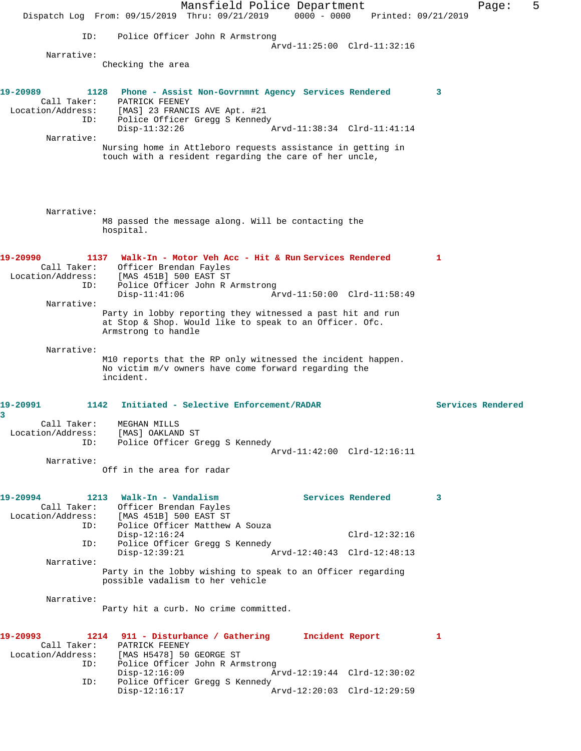Mansfield Police Department Fage: 5 Dispatch Log From: 09/15/2019 Thru: 09/21/2019 0000 - 0000 Printed: 09/21/2019 ID: Police Officer John R Armstrong Arvd-11:25:00 Clrd-11:32:16 Narrative: Checking the area **19-20989 1128 Phone - Assist Non-Govrnmnt Agency Services Rendered 3**  Call Taker: PATRICK FEENEY Location/Address: [MAS] 23 FRANCIS AVE Apt. #21 ID: Police Officer Gregg S Kennedy Disp-11:32:26 Arvd-11:38:34 Clrd-11:41:14 Narrative: Nursing home in Attleboro requests assistance in getting in touch with a resident regarding the care of her uncle, Narrative: M8 passed the message along. Will be contacting the hospital. **19-20990 1137 Walk-In - Motor Veh Acc - Hit & Run Services Rendered 1**  Call Taker: Officer Brendan Fayles Location/Address: [MAS 451B] 500 EAST ST ID: Police Officer John R Armstrong Disp-11:41:06 Arvd-11:50:00 Clrd-11:58:49 Narrative: Party in lobby reporting they witnessed a past hit and run at Stop & Shop. Would like to speak to an Officer. Ofc. Armstrong to handle Narrative: M10 reports that the RP only witnessed the incident happen. No victim m/v owners have come forward regarding the incident. **19-20991 1142 Initiated - Selective Enforcement/RADAR Services Rendered 3**  Call Taker: MEGHAN MILLS Location/Address: [MAS] OAKLAND ST ID: Police Officer Gregg S Kennedy Arvd-11:42:00 Clrd-12:16:11 Narrative: Off in the area for radar 19-20994 1213 Walk-In - Vandalism **Services Rendered** 3 Call Taker: Officer Brendan Fayles Location/Address: [MAS 451B] 500 EAST ST ID: Police Officer Matthew A Souza Disp-12:16:24 Clrd-12:32:16 ID: Police Officer Gregg S Kennedy Arvd-12:40:43 Clrd-12:48:13 Narrative: Party in the lobby wishing to speak to an Officer regarding possible vadalism to her vehicle Narrative: Party hit a curb. No crime committed. **19-20993 1214 911 - Disturbance / Gathering Incident Report 1**  Call Taker: PATRICK FEENEY Location/Address: [MAS H5478] 50 GEORGE ST ID: Police Officer John R Armstrong<br>Disp-12:16:09 Ar Disp-12:16:09 Arvd-12:19:44 Clrd-12:30:02 ID: Police Officer Gregg S Kennedy Disp-12:16:17 Arvd-12:20:03 Clrd-12:29:59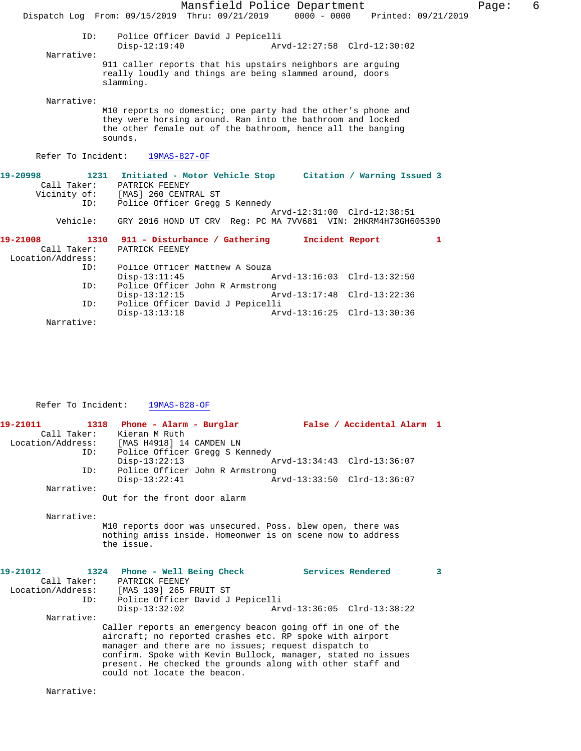|                                              | Mansfield Police Department<br>Page:<br>Dispatch Log From: 09/15/2019 Thru: 09/21/2019 0000 - 0000 Printed: 09/21/2019                                                                               | 6 |
|----------------------------------------------|------------------------------------------------------------------------------------------------------------------------------------------------------------------------------------------------------|---|
| ID:                                          | Police Officer David J Pepicelli<br>$Disp-12:19:40$<br>Arvd-12:27:58 Clrd-12:30:02                                                                                                                   |   |
| Narrative:                                   | 911 caller reports that his upstairs neighbors are arguing<br>really loudly and things are being slammed around, doors<br>slamming.                                                                  |   |
| Narrative:                                   | M10 reports no domestic; one party had the other's phone and<br>they were horsing around. Ran into the bathroom and locked<br>the other female out of the bathroom, hence all the banging<br>sounds. |   |
|                                              | Refer To Incident: 19MAS-827-OF                                                                                                                                                                      |   |
| 19-20998<br>Call Taker:<br>ID:               | 1231 Initiated - Motor Vehicle Stop Citation / Warning Issued 3<br>PATRICK FEENEY<br>Vicinity of: [MAS] 260 CENTRAL ST<br>Police Officer Gregg S Kennedy                                             |   |
| Vehicle:                                     | Arvd-12:31:00 Clrd-12:38:51<br>GRY 2016 HOND UT CRV Req: PC MA 7VV681 VIN: 2HKRM4H73GH605390                                                                                                         |   |
| 19-21008<br>Call Taker:<br>Location/Address: | Incident Report<br>1310 911 - Disturbance / Gathering<br>1<br>PATRICK FEENEY                                                                                                                         |   |
| ID:                                          | Police Officer Matthew A Souza                                                                                                                                                                       |   |
| ID:                                          | $Disp-13:11:45$<br>Arvd-13:16:03 Clrd-13:32:50<br>Police Officer John R Armstrong<br>$Disp-13:12:15$<br>Arvd-13:17:48 Clrd-13:22:36                                                                  |   |
| ID:                                          | Police Officer David J Pepicelli                                                                                                                                                                     |   |
| Narrative:                                   | Arvd-13:16:25 Clrd-13:30:36<br>$Disp-13:13:18$                                                                                                                                                       |   |
|                                              |                                                                                                                                                                                                      |   |

## Refer To Incident:  $\frac{19MAS-828-OF}{}$

| 19-21011          | 1318 Phone - Alarm - Burglar                             | False / Accidental Alarm 1                                   |
|-------------------|----------------------------------------------------------|--------------------------------------------------------------|
| Call Taker:       | Kieran M Ruth                                            |                                                              |
| Location/Address: | [MAS H4918] 14 CAMDEN LN                                 |                                                              |
| ID:               | Police Officer Gregg S Kennedy                           |                                                              |
|                   | $Disp-13:22:13$                                          | Arvd-13:34:43 Clrd-13:36:07                                  |
| ID:               | Police Officer John R Armstrong                          |                                                              |
|                   | $Disp-13:22:41$                                          | Arvd-13:33:50 Clrd-13:36:07                                  |
| Narrative:        |                                                          |                                                              |
|                   | Out for the front door alarm                             |                                                              |
| Narrative:        |                                                          |                                                              |
|                   |                                                          | M10 reports door was unsecured. Poss. blew open, there was   |
|                   |                                                          | nothing amiss inside. Homeonwer is on scene now to address   |
|                   | the issue.                                               |                                                              |
|                   |                                                          |                                                              |
| 19-21012          | 1324 Phone - Well Being Check                            | <b>Services Rendered</b><br>3                                |
|                   | Call Taker: PATRICK FEENEY                               |                                                              |
|                   | Location/Address: [MAS 139] 265 FRUIT ST                 |                                                              |
| ID:               | Police Officer David J Pepicelli                         |                                                              |
|                   | $Disp-13:32:02$                                          |                                                              |
| Narrative:        |                                                          |                                                              |
|                   |                                                          | Caller reports an emergency beacon going off in one of the   |
|                   | aircraft; no reported crashes etc. RP spoke with airport |                                                              |
|                   | manager and there are no issues; request dispatch to     |                                                              |
|                   |                                                          | confirm. Spoke with Kevin Bullock, manager, stated no issues |
|                   |                                                          | present. He checked the grounds along with other staff and   |
|                   | could not locate the beacon.                             |                                                              |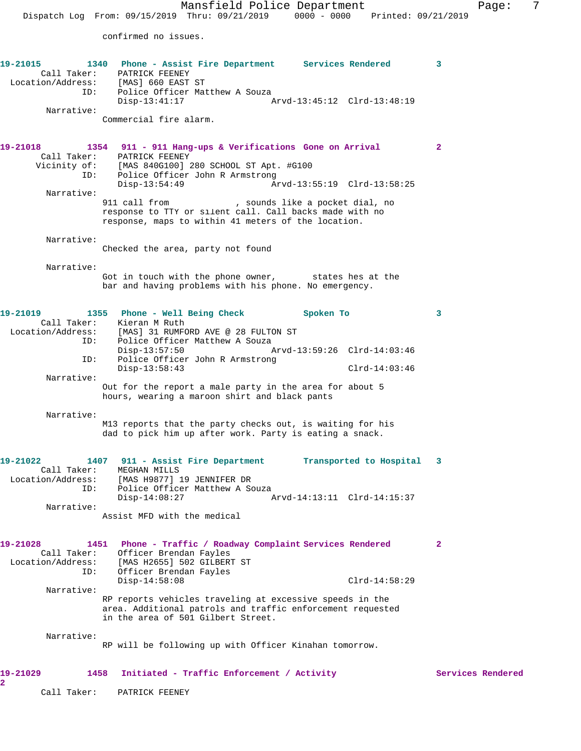confirmed no issues.

| 19-21015<br>ID:                                     | 1340 Phone - Assist Fire Department Services Rendered<br>Call Taker: PATRICK FEENEY<br>Location/Address: [MAS] 660 EAST ST<br>Police Officer Matthew A Souza                                       | 3                 |
|-----------------------------------------------------|----------------------------------------------------------------------------------------------------------------------------------------------------------------------------------------------------|-------------------|
| Narrative:                                          | $Disp-13:41:17$<br>Commercial fire alarm.                                                                                                                                                          |                   |
| 19-21018                                            | 1354<br>911 - 911 Hang-ups & Verifications Gone on Arrival<br>Call Taker: PATRICK FEENEY                                                                                                           | $\mathbf{2}$      |
| Vicinity of:<br>ID:                                 | [MAS 840G100] 280 SCHOOL ST Apt. #G100<br>Police Officer John R Armstrong<br>$Disp-13:54:49$<br>Arvd-13:55:19 Clrd-13:58:25                                                                        |                   |
| Narrative:                                          | 911 call from<br>, sounds like a pocket dial, no<br>response to TTY or silent call. Call backs made with no<br>response, maps to within 41 meters of the location.                                 |                   |
| Narrative:                                          | Checked the area, party not found                                                                                                                                                                  |                   |
| Narrative:                                          | Got in touch with the phone owner, states hes at the<br>bar and having problems with his phone. No emergency.                                                                                      |                   |
| 19-21019                                            | 1355 Phone - Well Being Check<br>Spoken To                                                                                                                                                         | 3                 |
| ID:                                                 | Call Taker: Kieran M Ruth<br>Location/Address: [MAS] 31 RUMFORD AVE @ 28 FULTON ST<br>Police Officer Matthew A Souza                                                                               |                   |
| ID:                                                 | $Disp-13:57:50$<br>Arvd-13:59:26 Clrd-14:03:46<br>Police Officer John R Armstrong<br>$Disp-13:58:43$<br>$Clrd-14:03:46$                                                                            |                   |
| Narrative:                                          | Out for the report a male party in the area for about 5<br>hours, wearing a maroon shirt and black pants                                                                                           |                   |
| Narrative:                                          | M13 reports that the party checks out, is waiting for his<br>dad to pick him up after work. Party is eating a snack.                                                                               |                   |
| 19-21022<br>Call Taker:<br>ID:                      | 1407 911 - Assist Fire Department<br>Transported to Hospital<br>MEGHAN MILLS<br>Location/Address: [MAS H9877] 19 JENNIFER DR<br>Police Officer Matthew A Souza                                     | 3                 |
| Narrative:                                          | $Disp-14:08:27$<br>Arvd-14:13:11 Clrd-14:15:37<br>Assist MFD with the medical                                                                                                                      |                   |
|                                                     |                                                                                                                                                                                                    |                   |
| 19-21028<br>Call Taker:<br>Location/Address:<br>ID: | 1451<br>Phone - Traffic / Roadway Complaint Services Rendered<br>Officer Brendan Fayles<br>[MAS H2655] 502 GILBERT ST<br>Officer Brendan Fayles                                                    | $\mathbf{2}$      |
| Narrative:                                          | $Disp-14:58:08$<br>$Clrd-14:58:29$<br>RP reports vehicles traveling at excessive speeds in the<br>area. Additional patrols and traffic enforcement requested<br>in the area of 501 Gilbert Street. |                   |
| Narrative:                                          | RP will be following up with Officer Kinahan tomorrow.                                                                                                                                             |                   |
| 19-21029<br>2                                       | 1458<br>Initiated - Traffic Enforcement / Activity                                                                                                                                                 | Services Rendered |

Call Taker: PATRICK FEENEY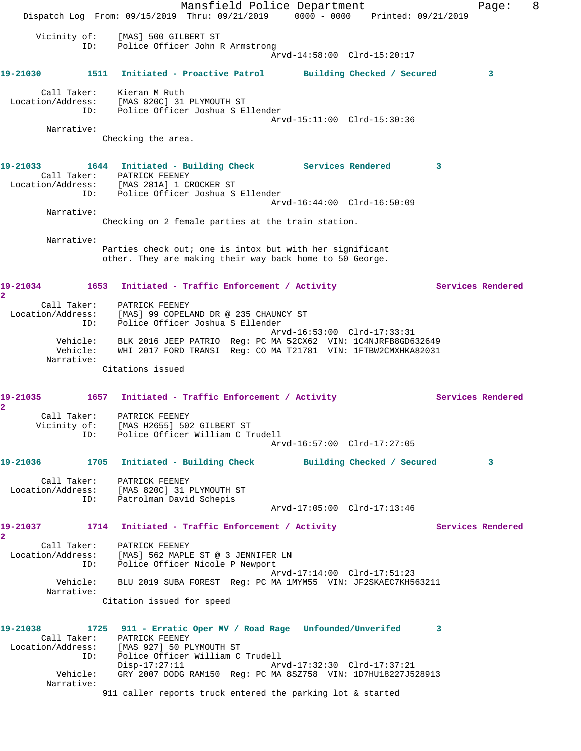Mansfield Police Department Fage: 8 Dispatch Log From: 09/15/2019 Thru: 09/21/2019 0000 - 0000 Printed: 09/21/2019 Vicinity of: [MAS] 500 GILBERT ST ID: Police Officer John R Armstrong Arvd-14:58:00 Clrd-15:20:17 **19-21030 1511 Initiated - Proactive Patrol Building Checked / Secured 3** Call Taker: Kieran M Ruth Location/Address: [MAS 820C] 31 PLYMOUTH ST ID: Police Officer Joshua S Ellender Arvd-15:11:00 Clrd-15:30:36 Narrative: Checking the area. **19-21033 1644 Initiated - Building Check Services Rendered 3**  Call Taker: PATRICK FEENEY Location/Address: [MAS 281A] 1 CROCKER ST ID: Police Officer Joshua S Ellender Arvd-16:44:00 Clrd-16:50:09 Narrative: Checking on 2 female parties at the train station. Narrative: Parties check out; one is intox but with her significant other. They are making their way back home to 50 George. 19-21034 1653 Initiated - Traffic Enforcement / Activity **Services Rendered 2**  Call Taker: PATRICK FEENEY Location/Address: [MAS] 99 COPELAND DR @ 235 CHAUNCY ST ID: Police Officer Joshua S Ellender Arvd-16:53:00 Clrd-17:33:31 Vehicle: BLK 2016 JEEP PATRIO Reg: PC MA 52CX62 VIN: 1C4NJRFB8GD632649 Vehicle: WHI 2017 FORD TRANSI Reg: CO MA T21781 VIN: 1FTBW2CMXHKA82031 Narrative: Citations issued 19-21035 1657 Initiated - Traffic Enforcement / Activity **Services Rendered 2**  Call Taker: PATRICK FEENEY Vicinity of: [MAS H2655] 502 GILBERT ST ID: Police Officer William C Trudell Arvd-16:57:00 Clrd-17:27:05 **19-21036 1705 Initiated - Building Check Building Checked / Secured 3** Call Taker: PATRICK FEENEY Location/Address: [MAS 820C] 31 PLYMOUTH ST ID: Patrolman David Schepis Arvd-17:05:00 Clrd-17:13:46 19-21037 1714 Initiated - Traffic Enforcement / Activity Services Rendered **2**  Call Taker: PATRICK FEENEY Location/Address: [MAS] 562 MAPLE ST @ 3 JENNIFER LN ID: Police Officer Nicole P Newport Arvd-17:14:00 Clrd-17:51:23 Vehicle: BLU 2019 SUBA FOREST Reg: PC MA 1MYM55 VIN: JF2SKAEC7KH563211 Narrative: Citation issued for speed **19-21038 1725 911 - Erratic Oper MV / Road Rage Unfounded/Unverifed 3**  Call Taker: PATRICK FEENEY Location/Address: [MAS 927] 50 PLYMOUTH ST ID: Police Officer William C Trudell Disp-17:27:11 Arvd-17:32:30 Clrd-17:37:21 Vehicle: GRY 2007 DODG RAM150 Reg: PC MA 8SZ758 VIN: 1D7HU18227J528913 Narrative: 911 caller reports truck entered the parking lot & started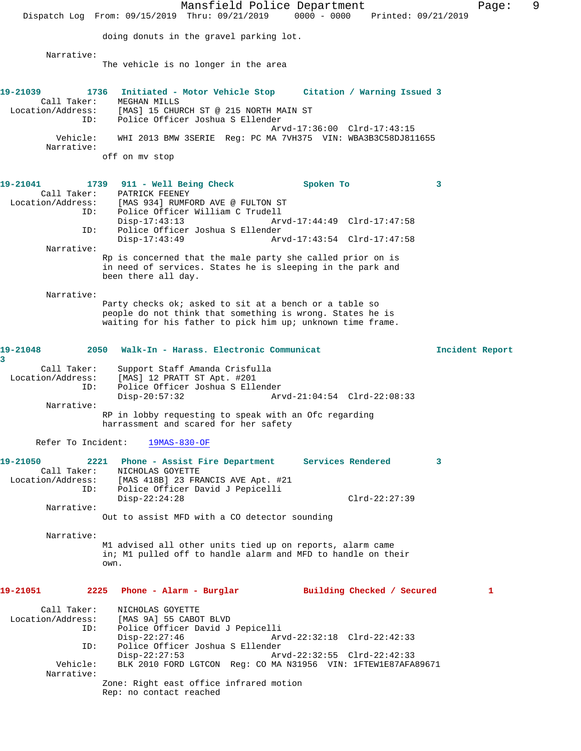Mansfield Police Department Fage: 9 Dispatch Log From: 09/15/2019 Thru: 09/21/2019 0000 - 0000 Printed: 09/21/2019 doing donuts in the gravel parking lot. Narrative: The vehicle is no longer in the area **19-21039 1736 Initiated - Motor Vehicle Stop Citation / Warning Issued 3**  Call Taker: MEGHAN MILLS Location/Address: [MAS] 15 CHURCH ST @ 215 NORTH MAIN ST ID: Police Officer Joshua S Ellender Arvd-17:36:00 Clrd-17:43:15 Vehicle: WHI 2013 BMW 3SERIE Reg: PC MA 7VH375 VIN: WBA3B3C58DJ811655 Narrative: off on mv stop **19-21041 1739 911 - Well Being Check Spoken To 3**  Call Taker: PATRICK FEENEY Location/Address: [MAS 934] RUMFORD AVE @ FULTON ST ID: Police Officer William C Trudell Disp-17:43:13 Arvd-17:44:49 Clrd-17:47:58<br>ID: Police Officer Joshua S Ellender Police Officer Joshua S Ellender<br>Disp-17:43:49 Arv Disp-17:43:49 Arvd-17:43:54 Clrd-17:47:58 Narrative: Rp is concerned that the male party she called prior on is in need of services. States he is sleeping in the park and been there all day. Narrative: Party checks ok; asked to sit at a bench or a table so people do not think that something is wrong. States he is waiting for his father to pick him up; unknown time frame. **19-21048 2050 Walk-In - Harass. Electronic Communicat Incident Report 3**  Call Taker: Support Staff Amanda Crisfulla Location/Address: [MAS] 12 PRATT ST Apt. #201 ID: Police Officer Joshua S Ellender Disp-20:57:32 Arvd-21:04:54 Clrd-22:08:33 Narrative: RP in lobby requesting to speak with an Ofc regarding harrassment and scared for her safety Refer To Incident: 19MAS-830-OF **19-21050 2221 Phone - Assist Fire Department Services Rendered 3**  Call Taker: NICHOLAS GOYETTE Location/Address: [MAS 418B] 23 FRANCIS AVE Apt. #21 ID: Police Officer David J Pepicelli Disp-22:24:28 Clrd-22:27:39 Narrative: Out to assist MFD with a CO detector sounding Narrative: M1 advised all other units tied up on reports, alarm came in; M1 pulled off to handle alarm and MFD to handle on their own. **19-21051 2225 Phone - Alarm - Burglar Building Checked / Secured 1** Call Taker: NICHOLAS GOYETTE Location/Address: [MAS 9A] 55 CABOT BLVD ID: Police Officer David J Pepicelli Disp-22:27:46 Arvd-22:32:18 Clrd-22:42:33 ID: Police Officer Joshua S Ellender Disp-22:27:53 Arvd-22:32:55 Clrd-22:42:33 Vehicle: BLK 2010 FORD LGTCON Reg: CO MA N31956 VIN: 1FTEW1E87AFA89671 Narrative: Zone: Right east office infrared motion Rep: no contact reached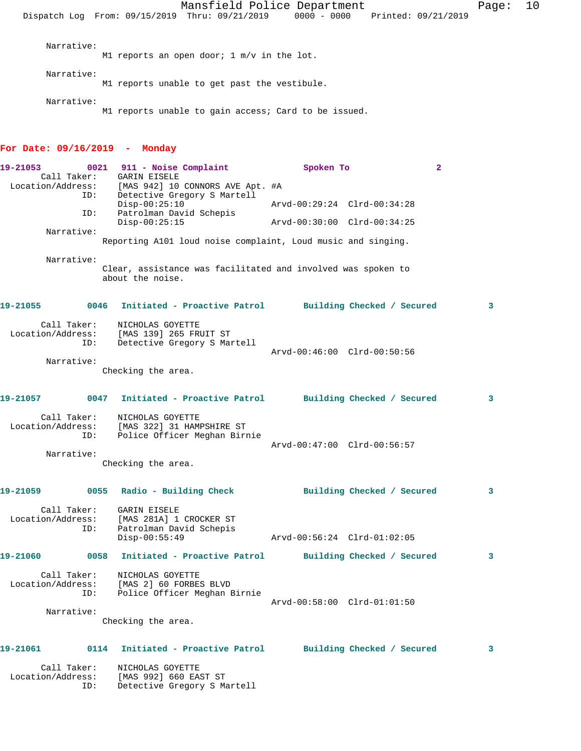M1 reports an open door; 1 m/v in the lot.

M1 reports unable to get past the vestibule. Narrative: M1 reports unable to gain access; Card to be issued. **For Date: 09/16/2019 - Monday 19-21053 0021 911 - Noise Complaint Spoken To 2**  Call Taker: GARIN EISELE<br>Location/Address: [MAS 942] 10 للموسود الموسود المستحدة (MAS 942) 10 CONNORS AVE Apt. #A<br>ID: Detective Gregory S Martell Detective Gregory S Martell<br>Disp-00:25:10 Disp-00:25:10 Arvd-00:29:24 Clrd-00:34:28 ID: Patrolman David Schepis Disp-00:25:15 Arvd-00:30:00 Clrd-00:34:25 Narrative: Reporting A101 loud noise complaint, Loud music and singing. Narrative: Clear, assistance was facilitated and involved was spoken to about the noise. **19-21055 0046 Initiated - Proactive Patrol Building Checked / Secured 3** Call Taker: NICHOLAS GOYETTE Location/Address: [MAS 139] 265 FRUIT ST ID: Detective Gregory S Martell Arvd-00:46:00 Clrd-00:50:56 Narrative: Checking the area. **19-21057 0047 Initiated - Proactive Patrol Building Checked / Secured 3** Call Taker: NICHOLAS GOYETTE Location/Address: [MAS 322] 31 HAMPSHIRE ST ID: Police Officer Meghan Birnie Arvd-00:47:00 Clrd-00:56:57 Narrative: Checking the area. **19-21059 0055 Radio - Building Check Building Checked / Secured 3** Call Taker: GARIN EISELE<br>Location/Address: [MAS 281A] 1 [MAS 281A] 1 CROCKER ST ID: Patrolman David Schepis Disp-00:55:49 Arvd-00:56:24 Clrd-01:02:05 **19-21060 0058 Initiated - Proactive Patrol Building Checked / Secured 3** Call Taker: NICHOLAS GOYETTE Location/Address: [MAS 2] 60 FORBES BLVD ID: Police Officer Meghan Birnie Arvd-00:58:00 Clrd-01:01:50

Narrative:

Narrative:

Narrative:

Checking the area.

#### **19-21061 0114 Initiated - Proactive Patrol Building Checked / Secured 3**

| Call Taker:       | NICHOLAS GOYETTE            |
|-------------------|-----------------------------|
| Location/Address: | [MAS 992] 660 EAST ST       |
| TD:               | Detective Gregory S Martell |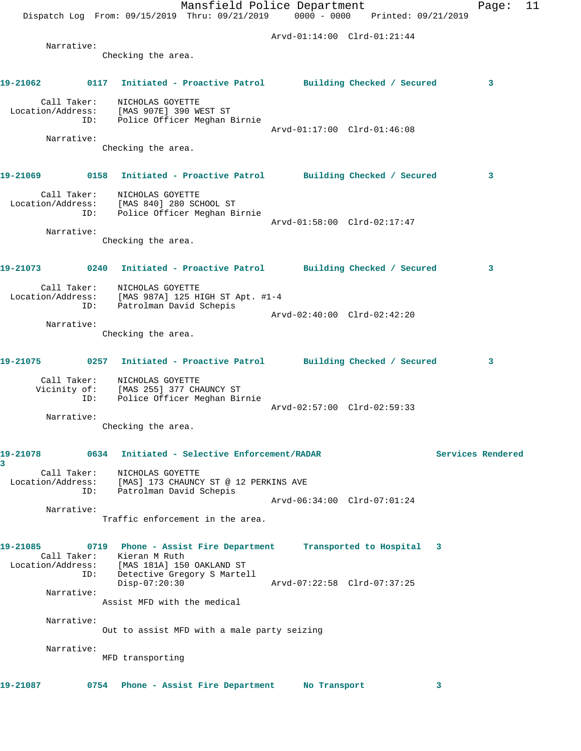|                   |                     | Mansfield Police Department<br>Dispatch Log From: 09/15/2019 Thru: 09/21/2019 0000 - 0000 Printed: 09/21/2019 |                             | 11<br>Page:       |
|-------------------|---------------------|---------------------------------------------------------------------------------------------------------------|-----------------------------|-------------------|
|                   |                     |                                                                                                               | Arvd-01:14:00 Clrd-01:21:44 |                   |
|                   | Narrative:          |                                                                                                               |                             |                   |
|                   |                     | Checking the area.                                                                                            |                             |                   |
| 19-21062          |                     | 0117 Initiated - Proactive Patrol Building Checked / Secured                                                  |                             | 3                 |
| Location/Address: | Call Taker:<br>ID:  | NICHOLAS GOYETTE<br>[MAS 907E] 390 WEST ST<br>Police Officer Meghan Birnie                                    |                             |                   |
|                   |                     |                                                                                                               | Arvd-01:17:00 Clrd-01:46:08 |                   |
|                   | Narrative:          | Checking the area.                                                                                            |                             |                   |
| 19-21069          |                     | 0158 Initiated - Proactive Patrol Building Checked / Secured                                                  |                             | 3                 |
| Location/Address: | Call Taker:<br>ID:  | NICHOLAS GOYETTE<br>[MAS 840] 280 SCHOOL ST<br>Police Officer Meghan Birnie                                   |                             |                   |
|                   | Narrative:          |                                                                                                               | Arvd-01:58:00 Clrd-02:17:47 |                   |
|                   |                     | Checking the area.                                                                                            |                             |                   |
| 19-21073          |                     | 0240 Initiated - Proactive Patrol Building Checked / Secured                                                  |                             | 3                 |
|                   | ID:                 | Call Taker: NICHOLAS GOYETTE<br>Location/Address: [MAS 987A] 125 HIGH ST Apt. #1-4<br>Patrolman David Schepis |                             |                   |
|                   | Narrative:          |                                                                                                               | Arvd-02:40:00 Clrd-02:42:20 |                   |
|                   |                     | Checking the area.                                                                                            |                             |                   |
|                   |                     | 19-21075 0257 Initiated - Proactive Patrol Building Checked / Secured                                         |                             | 3                 |
|                   | Vicinity of:<br>ID: | Call Taker: NICHOLAS GOYETTE<br>[MAS 255] 377 CHAUNCY ST<br>Police Officer Meghan Birnie                      | Arvd-02:57:00 Clrd-02:59:33 |                   |
|                   | Narrative:          |                                                                                                               |                             |                   |
|                   |                     | Checking the area.                                                                                            |                             |                   |
| 19-21078<br>3     |                     | 0634 Initiated - Selective Enforcement/RADAR                                                                  |                             | Services Rendered |
| Location/Address: | Call Taker:<br>ID:  | NICHOLAS GOYETTE<br>[MAS] 173 CHAUNCY ST @ 12 PERKINS AVE<br>Patrolman David Schepis                          |                             |                   |
|                   |                     |                                                                                                               | Arvd-06:34:00 Clrd-07:01:24 |                   |
|                   | Narrative:          | Traffic enforcement in the area.                                                                              |                             |                   |
| 19-21085          | Call Taker:         | 0719 Phone - Assist Fire Department Transported to Hospital 3<br>Kieran M Ruth                                |                             |                   |
|                   | ID:                 | Location/Address: [MAS 181A] 150 OAKLAND ST<br>Detective Gregory S Martell<br>$Disp-07:20:30$                 | Arvd-07:22:58 Clrd-07:37:25 |                   |
|                   | Narrative:          | Assist MFD with the medical                                                                                   |                             |                   |
|                   |                     |                                                                                                               |                             |                   |
|                   | Narrative:          | Out to assist MFD with a male party seizing                                                                   |                             |                   |
|                   | Narrative:          | MFD transporting                                                                                              |                             |                   |
| 19-21087          |                     | 0754 Phone - Assist Fire Department                                                                           | No Transport                | 3                 |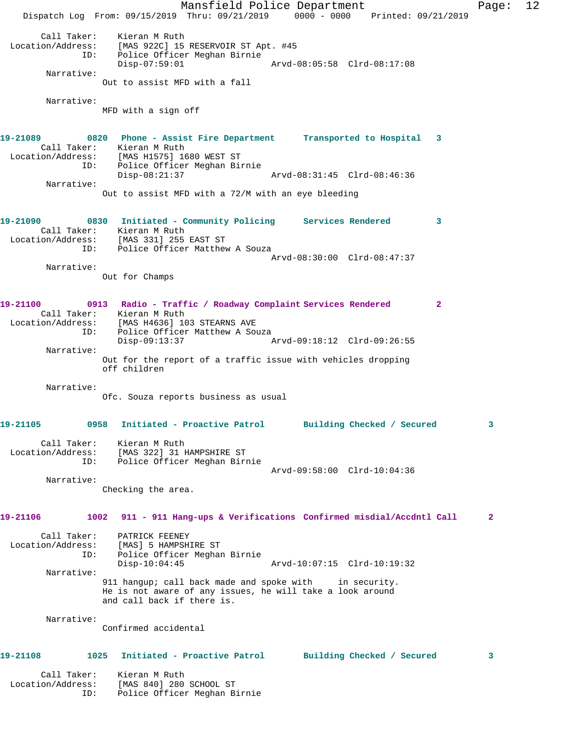Mansfield Police Department Fage: 12 Dispatch Log From: 09/15/2019 Thru: 09/21/2019 0000 - 0000 Printed: 09/21/2019 Call Taker: Kieran M Ruth Location/Address: [MAS 922C] 15 RESERVOIR ST Apt. #45<br>ID: Police Officer Meghan Birnie Police Officer Meghan Birnie<br>Disp-07:59:01 Disp-07:59:01 Arvd-08:05:58 Clrd-08:17:08 Narrative: Out to assist MFD with a fall Narrative: MFD with a sign off **19-21089 0820 Phone - Assist Fire Department Transported to Hospital 3**  Call Taker: Kieran M Ruth Location/Address: [MAS H1575] 1680 WEST ST ID: Police Officer Meghan Birnie Disp-08:21:37 Arvd-08:31:45 Clrd-08:46:36 Narrative: Out to assist MFD with a 72/M with an eye bleeding **19-21090 0830 Initiated - Community Policing Services Rendered 3**  Call Taker: Kieran M Ruth Location/Address: [MAS 331] 255 EAST ST ID: Police Officer Matthew A Souza Arvd-08:30:00 Clrd-08:47:37 Narrative: Out for Champs **19-21100 0913 Radio - Traffic / Roadway Complaint Services Rendered 2**  Call Taker: Kieran M Ruth Location/Address: [MAS H4636] 103 STEARNS AVE ID: Police Officer Matthew A Souza Disp-09:13:37 Arvd-09:18:12 Clrd-09:26:55 Narrative: Out for the report of a traffic issue with vehicles dropping off children Narrative: Ofc. Souza reports business as usual **19-21105 0958 Initiated - Proactive Patrol Building Checked / Secured 3** Call Taker: Kieran M Ruth Location/Address: [MAS 322] 31 HAMPSHIRE ST ID: Police Officer Meghan Birnie Arvd-09:58:00 Clrd-10:04:36 Narrative: Checking the area. **19-21106 1002 911 - 911 Hang-ups & Verifications Confirmed misdial/Accdntl Call 2** Call Taker: PATRICK FEENEY<br>ion/Address: [MAS] 5 HAMPSHIRE ST Location/Address:<br>ID: Police Officer Meghan Birnie<br>Disp-10:04:45 Disp-10:04:45 Arvd-10:07:15 Clrd-10:19:32 Narrative: 911 hangup; call back made and spoke with in security. He is not aware of any issues, he will take a look around and call back if there is. Narrative: Confirmed accidental **19-21108 1025 Initiated - Proactive Patrol Building Checked / Secured 3** Call Taker: Kieran M Ruth Location/Address: [MAS 840] 280 SCHOOL ST ID: Police Officer Meghan Birnie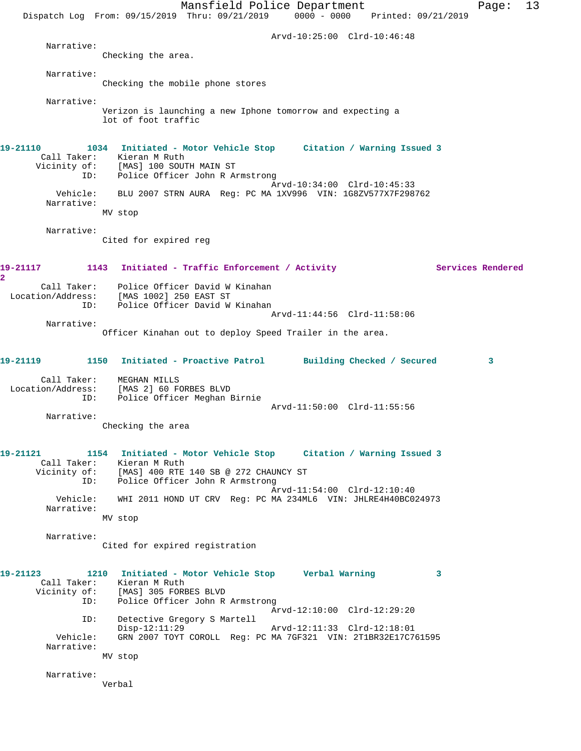Mansfield Police Department Page: 13 Dispatch Log From: 09/15/2019 Thru: 09/21/2019 0000 - 0000 Printed: 09/21/2019 Arvd-10:25:00 Clrd-10:46:48 Narrative: Checking the area. Narrative: Checking the mobile phone stores Narrative: Verizon is launching a new Iphone tomorrow and expecting a lot of foot traffic **19-21110 1034 Initiated - Motor Vehicle Stop Citation / Warning Issued 3**  Call Taker: Kieran M Ruth Vicinity of: [MAS] 100 SOUTH MAIN ST ID: Police Officer John R Armstrong Arvd-10:34:00 Clrd-10:45:33 Vehicle: BLU 2007 STRN AURA Reg: PC MA 1XV996 VIN: 1G8ZV577X7F298762 Narrative: MV stop Narrative: Cited for expired reg 19-21117 1143 Initiated - Traffic Enforcement / Activity **Services Rendered 2**  Call Taker: Police Officer David W Kinahan Location/Address: [MAS 1002] 250 EAST ST ID: Police Officer David W Kinahan Arvd-11:44:56 Clrd-11:58:06 Narrative: Officer Kinahan out to deploy Speed Trailer in the area. **19-21119 1150 Initiated - Proactive Patrol Building Checked / Secured 3** Call Taker: MEGHAN MILLS Location/Address: [MAS 2] 60 FORBES BLVD ID: Police Officer Meghan Birnie Arvd-11:50:00 Clrd-11:55:56 Narrative: Checking the area **19-21121 1154 Initiated - Motor Vehicle Stop Citation / Warning Issued 3**  Call Taker: Kieran M Ruth Vicinity of: [MAS] 400 RTE 140 SB @ 272 CHAUNCY ST ID: Police Officer John R Armstrong Arvd-11:54:00 Clrd-12:10:40 Vehicle: WHI 2011 HOND UT CRV Reg: PC MA 234ML6 VIN: JHLRE4H40BC024973 Narrative: MV stop Narrative: Cited for expired registration **19-21123 1210 Initiated - Motor Vehicle Stop Verbal Warning 3**  Call Taker: Kieran M Ruth Vicinity of: [MAS] 305 FORBES BLVD<br>TD: Police Officer John R Police Officer John R Armstrong Arvd-12:10:00 Clrd-12:29:20 ID: Detective Gregory S Martell Disp-12:11:29 Arvd-12:11:33 Clrd-12:18:01 Vehicle: GRN 2007 TOYT COROLL Reg: PC MA 7GF321 VIN: 2T1BR32E17C761595 Narrative: MV stop Narrative: Verbal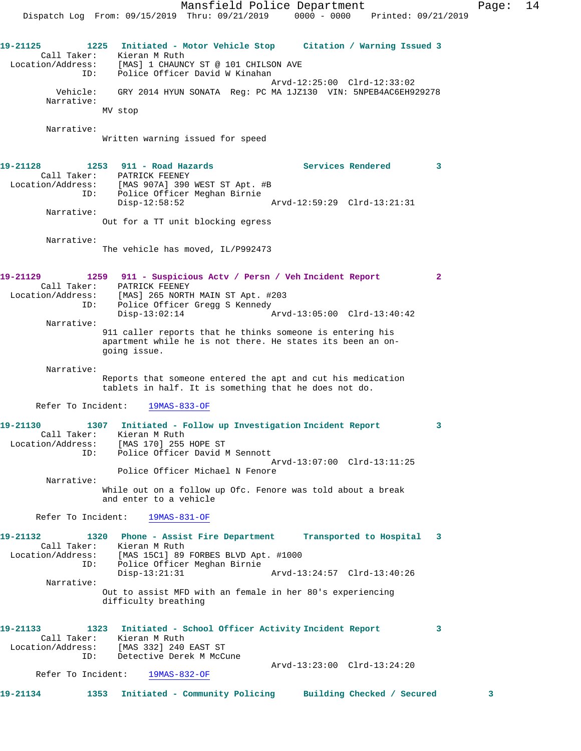Mansfield Police Department Page: 14 Dispatch Log From: 09/15/2019 Thru: 09/21/2019 0000 - 0000 Printed: 09/21/2019 **19-21125 1225 Initiated - Motor Vehicle Stop Citation / Warning Issued 3**  Call Taker: Kieran M Ruth Location/Address: [MAS] 1 CHAUNCY ST @ 101 CHILSON AVE ID: Police Officer David W Kinahan Arvd-12:25:00 Clrd-12:33:02 Vehicle: GRY 2014 HYUN SONATA Reg: PC MA 1JZ130 VIN: 5NPEB4AC6EH929278 Narrative: MV stop Narrative: Written warning issued for speed 19-21128 1253 911 - Road Hazards **1253 126 Services Rendered** 3 ID: Police Officer Meghan Birnie Disp-12:58:52 Arvd-12:59:29 Clrd-13:21:31 Out for a TT unit blocking egress The vehicle has moved, IL/P992473

 Call Taker: PATRICK FEENEY Location/Address: [MAS 907A] 390 WEST ST Apt. #B Narrative:

Narrative:

| 19-21129          |             | 1259 911 - Suspicious Actv / Persn / Veh Incident Report |                             |  |
|-------------------|-------------|----------------------------------------------------------|-----------------------------|--|
|                   | Call Taker: | PATRICK FEENEY                                           |                             |  |
| Location/Address: |             | [MAS] 265 NORTH MAIN ST Apt. #203                        |                             |  |
|                   | ID:         | Police Officer Gregg S Kennedy                           |                             |  |
|                   |             | $Disp-13:02:14$                                          | Arvd-13:05:00 Clrd-13:40:42 |  |
|                   | Narrative:  |                                                          |                             |  |

911 caller reports that he thinks someone is entering his apartment while he is not there. He states its been an ongoing issue.

 Narrative: Reports that someone entered the apt and cut his medication tablets in half. It is something that he does not do.

Refer To Incident: 19MAS-833-OF

| 19-21130          |     | 1307 Initiated - Follow up Investigation Incident Report    |  |
|-------------------|-----|-------------------------------------------------------------|--|
| Call Taker:       |     | Kieran M Ruth                                               |  |
| Location/Address: |     | [MAS 170] 255 HOPE ST                                       |  |
|                   | ID: | Police Officer David M Sennott                              |  |
|                   |     | Arvd-13:07:00 Clrd-13:11:25                                 |  |
|                   |     | Police Officer Michael N Fenore                             |  |
| Narrative:        |     |                                                             |  |
|                   |     | While out on a follow up Ofc, Fenore was told about a break |  |

While out on a follow up Ofc. Fenore was told about a break and enter to a vehicle

Refer To Incident: 19MAS-831-OF

**19-21132 1320 Phone - Assist Fire Department Transported to Hospital 3**  Call Taker: Kieran M Ruth<br>Location/Address: [MAS 15C1] 89 [MAS 15C1] 89 FORBES BLVD Apt. #1000 ID: Police Officer Meghan Birnie Disp-13:21:31 Arvd-13:24:57 Clrd-13:40:26 Narrative: Out to assist MFD with an female in her 80's experiencing difficulty breathing

**19-21133 1323 Initiated - School Officer Activity Incident Report 3**  Call Taker: Kieran M Ruth Location/Address: [MAS 332] 240 EAST ST ID: Detective Derek M McCune Arvd-13:23:00 Clrd-13:24:20

Refer To Incident: 19MAS-832-OF

| Building Checked / Secured<br>1353 Initiated - Community Policing<br>19-21134 |  |
|-------------------------------------------------------------------------------|--|
|-------------------------------------------------------------------------------|--|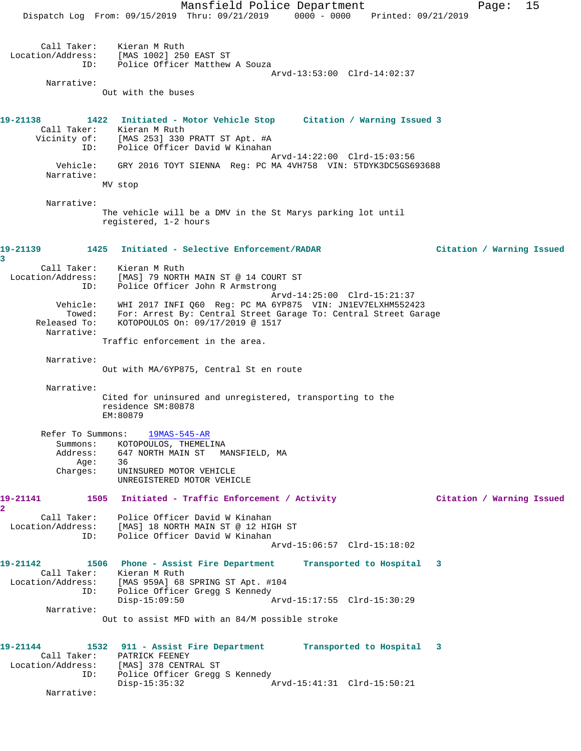Mansfield Police Department Fage: 15 Dispatch Log From: 09/15/2019 Thru: 09/21/2019 0000 - 0000 Printed: 09/21/2019 Call Taker: Kieran M Ruth Location/Address: [MAS 1002] 250 EAST ST ID: Police Officer Matthew A Souza Arvd-13:53:00 Clrd-14:02:37 Narrative: Out with the buses **19-21138 1422 Initiated - Motor Vehicle Stop Citation / Warning Issued 3**  Call Taker: Kieran M Ruth Vicinity of: [MAS 253] 330 PRATT ST Apt. #A ID: Police Officer David W Kinahan Arvd-14:22:00 Clrd-15:03:56 Vehicle: GRY 2016 TOYT SIENNA Reg: PC MA 4VH758 VIN: 5TDYK3DC5GS693688 Narrative: MV stop Narrative: The vehicle will be a DMV in the St Marys parking lot until registered, 1-2 hours **19-21139 1425 Initiated - Selective Enforcement/RADAR Citation / Warning Issued 3**  Call Taker: Kieran M Ruth Location/Address: [MAS] 79 NORTH MAIN ST @ 14 COURT ST ID: Police Officer John R Armstrong Arvd-14:25:00 Clrd-15:21:37 Vehicle: WHI 2017 INFI Q60 Reg: PC MA 6YP875 VIN: JN1EV7ELXHM552423 Towed: For: Arrest By: Central Street Garage To: Central Street Garage Released To: KOTOPOULOS On: 09/17/2019 @ 1517 Narrative: Traffic enforcement in the area. Narrative: Out with MA/6YP875, Central St en route Narrative: Cited for uninsured and unregistered, transporting to the residence SM:80878 EM:80879 Refer To Summons: 19MAS-545-AR Summons: KOTOPOULOS, THEMELINA Address: 647 NORTH MAIN ST MANSFIELD, MA Age: 36<br>Charges: UNI UNINSURED MOTOR VEHICLE UNREGISTERED MOTOR VEHICLE **19-21141 1505 Initiated - Traffic Enforcement / Activity Citation / Warning Issued 2**  Call Taker: Police Officer David W Kinahan Location/Address: [MAS] 18 NORTH MAIN ST @ 12 HIGH ST ID: Police Officer David W Kinahan Arvd-15:06:57 Clrd-15:18:02 **19-21142 1506 Phone - Assist Fire Department Transported to Hospital 3**  Call Taker: Kieran M Ruth Location/Address: [MAS 959A] 68 SPRING ST Apt. #104 ID: Police Officer Gregg S Kennedy Disp-15:09:50 Arvd-15:17:55 Clrd-15:30:29 Narrative: Out to assist MFD with an 84/M possible stroke **19-21144 1532 911 - Assist Fire Department Transported to Hospital 3**  Call Taker: PATRICK FEENEY Location/Address: [MAS] 378 CENTRAL ST ID: Police Officer Gregg S Kennedy<br>Disp-15:35:32 Disp-15:35:32 Arvd-15:41:31 Clrd-15:50:21 Narrative: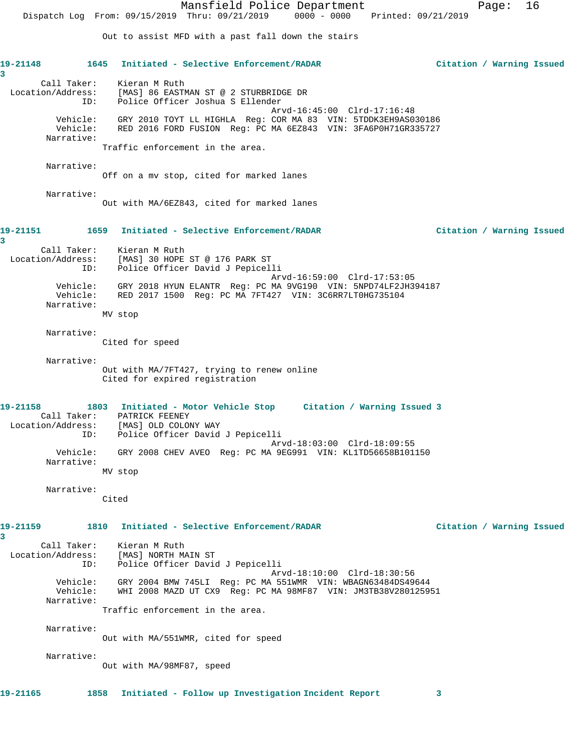Mansfield Police Department Page: 16 Dispatch Log From: 09/15/2019 Thru: 09/21/2019 0000 - 0000 Printed: 09/21/2019 Out to assist MFD with a past fall down the stairs **19-21148 1645 Initiated - Selective Enforcement/RADAR Citation / Warning Issued 3**  Call Taker: Kieran M Ruth Location/Address: [MAS] 86 EASTMAN ST @ 2 STURBRIDGE DR ID: Police Officer Joshua S Ellender Arvd-16:45:00 Clrd-17:16:48 Vehicle: GRY 2010 TOYT LL HIGHLA Reg: COR MA 83 VIN: 5TDDK3EH9AS030186 Vehicle: RED 2016 FORD FUSION Reg: PC MA 6EZ843 VIN: 3FA6P0H71GR335727 Narrative: Traffic enforcement in the area. Narrative: Off on a mv stop, cited for marked lanes Narrative: Out with MA/6EZ843, cited for marked lanes **19-21151 1659 Initiated - Selective Enforcement/RADAR Citation / Warning Issued 3**  Call Taker: Kieran M Ruth Location/Address: [MAS] 30 HOPE ST @ 176 PARK ST ID: Police Officer David J Pepicelli Arvd-16:59:00 Clrd-17:53:05 Vehicle: GRY 2018 HYUN ELANTR Reg: PC MA 9VG190 VIN: 5NPD74LF2JH394187 Vehicle: RED 2017 1500 Reg: PC MA 7FT427 VIN: 3C6RR7LT0HG735104 Narrative: MV stop Narrative: Cited for speed Narrative: Out with MA/7FT427, trying to renew online Cited for expired registration **19-21158 1803 Initiated - Motor Vehicle Stop Citation / Warning Issued 3**  Call Taker: PATRICK FEENEY Location/Address: [MAS] OLD COLONY WAY ID: Police Officer David J Pepicelli Arvd-18:03:00 Clrd-18:09:55 Vehicle: GRY 2008 CHEV AVEO Reg: PC MA 9EG991 VIN: KL1TD56658B101150 Narrative: MV stop Narrative: Cited **19-21159 1810 Initiated - Selective Enforcement/RADAR Citation / Warning Issued 3**  Call Taker: Kieran M Ruth Location/Address: [MAS] NORTH MAIN ST ID: Police Officer David J Pepicelli Arvd-18:10:00 Clrd-18:30:56 Vehicle: GRY 2004 BMW 745LI Reg: PC MA 551WMR VIN: WBAGN63484DS49644 Vehicle: WHI 2008 MAZD UT CX9 Reg: PC MA 98MF87 VIN: JM3TB38V280125951 Narrative: Traffic enforcement in the area. Narrative: Out with MA/551WMR, cited for speed Narrative: Out with MA/98MF87, speed **19-21165 1858 Initiated - Follow up Investigation Incident Report 3**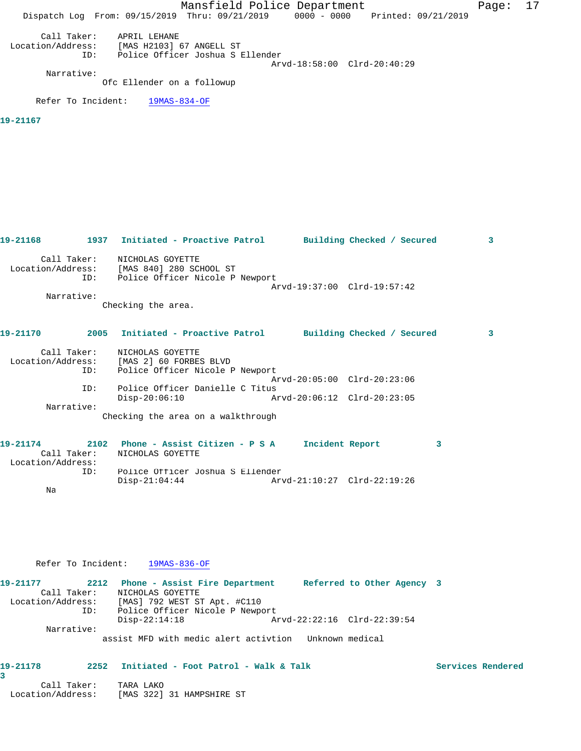Mansfield Police Department Fage: 17 Dispatch Log From: 09/15/2019 Thru: 09/21/2019 0000 - 0000 Printed: 09/21/2019 Call Taker: APRIL LEHANE Location/Address: [MAS H2103] 67 ANGELL ST ID: Police Officer Joshua S Ellender Arvd-18:58:00 Clrd-20:40:29 Narrative: Ofc Ellender on a followup Refer To Incident: 19MAS-834-OF **19-21167** 

| 19-21168 |             | 1937 Initiated - Proactive Patrol Building Checked / Secured                                                     |                             |  | 3 |
|----------|-------------|------------------------------------------------------------------------------------------------------------------|-----------------------------|--|---|
|          |             | Call Taker: NICHOLAS GOYETTE<br>Location/Address: [MAS 840] 280 SCHOOL ST<br>ID: Police Officer Nicole P Newport | Arvd-19:37:00 Clrd-19:57:42 |  |   |
|          | Narrative:  | Checking the area.                                                                                               |                             |  |   |
| 19-21170 |             | 2005 Initiated - Proactive Patrol Building Checked / Secured                                                     |                             |  | 3 |
|          | ID:         | Call Taker: NICHOLAS GOYETTE<br>Location/Address: [MAS 2] 60 FORBES BLVD<br>Police Officer Nicole P Newport      |                             |  |   |
|          | TD:         | Police Officer Danielle C Titus                                                                                  | Arvd-20:05:00 Clrd-20:23:06 |  |   |
|          |             | $Disp-20:06:10$                                                                                                  |                             |  |   |
|          | Narrative:  | Checking the area on a walkthrough                                                                               |                             |  |   |
| 19-21174 | Call Taker: | 2102 Phone - Assist Citizen - P S A<br>NICHOLAS GOYETTE                                                          | Incident Report             |  | 3 |

 Location/Address: ID: Police Officer Joshua S Ellender Disp-21:04:44 Arvd-21:10:27 Clrd-22:19:26 Na

### Refer To Incident: 19MAS-836-OF

| 19-21177          |             | 2212 Phone - Assist Fire Department   |                                 |  | Referred to Other Agency 3  |  |  |
|-------------------|-------------|---------------------------------------|---------------------------------|--|-----------------------------|--|--|
|                   | Call Taker: | NICHOLAS GOYETTE                      |                                 |  |                             |  |  |
| Location/Address: |             |                                       | [MAS] 792 WEST ST Apt. #C110    |  |                             |  |  |
|                   | ID:         |                                       | Police Officer Nicole P Newport |  |                             |  |  |
|                   |             | $Disp-22:14:18$                       |                                 |  | Arvd-22:22:16 Clrd-22:39:54 |  |  |
|                   | Narrative:  |                                       |                                 |  |                             |  |  |
|                   |             | assist MFD with medic alert activtion |                                 |  | Unknown medical             |  |  |

#### 19-21178 2252 Initiated - Foot Patrol - Walk & Talk **Services Rendered 3**

 Call Taker: TARA LAKO Location/Address: [MAS 322] 31 HAMPSHIRE ST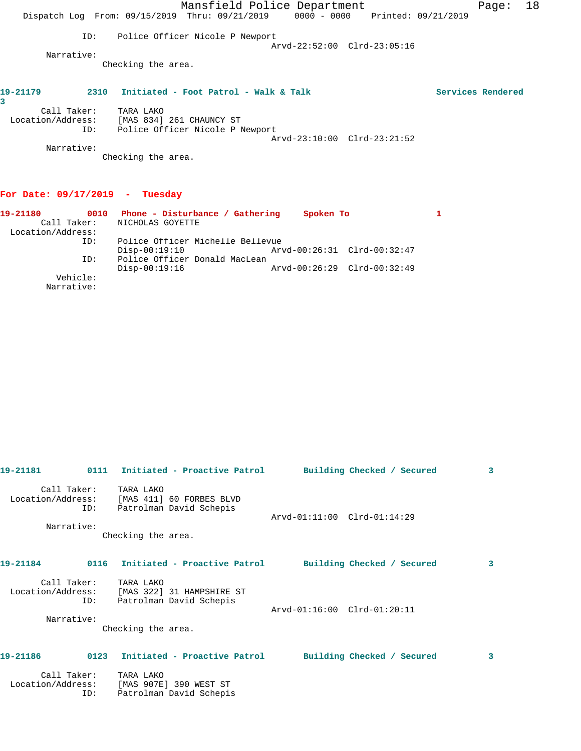|                   |      | Dispatch Log From: 09/15/2019 Thru: 09/21/2019 | Mansfield Police Department | 0000 - 0000 |                             | Printed: 09/21/2019 | Page:             | 18 |
|-------------------|------|------------------------------------------------|-----------------------------|-------------|-----------------------------|---------------------|-------------------|----|
|                   |      |                                                |                             |             |                             |                     |                   |    |
|                   | ID:  | Police Officer Nicole P Newport                |                             |             | Arvd-22:52:00 Clrd-23:05:16 |                     |                   |    |
| Narrative:        |      |                                                |                             |             |                             |                     |                   |    |
|                   |      | Checking the area.                             |                             |             |                             |                     |                   |    |
| 19-21179<br>3     | 2310 | Initiated - Foot Patrol - Walk & Talk          |                             |             |                             |                     | Services Rendered |    |
| Call Taker:       |      | TARA LAKO                                      |                             |             |                             |                     |                   |    |
| Location/Address: |      | [MAS 834] 261 CHAUNCY ST                       |                             |             |                             |                     |                   |    |
|                   | ID:  | Police Officer Nicole P Newport                |                             |             |                             |                     |                   |    |
|                   |      |                                                |                             |             | Arvd-23:10:00 Clrd-23:21:52 |                     |                   |    |
| Narrative:        |      |                                                |                             |             |                             |                     |                   |    |
|                   |      | Checking the area.                             |                             |             |                             |                     |                   |    |

# **For Date: 09/17/2019 - Tuesday**

| 19-21180          | 0010     | Phone - Disturbance / Gathering  | Spoken To                   |  |
|-------------------|----------|----------------------------------|-----------------------------|--|
| Call Taker:       |          | NICHOLAS GOYETTE                 |                             |  |
| Location/Address: |          |                                  |                             |  |
|                   | ID:      | Police Officer Michelle Bellevue |                             |  |
|                   |          | $Disp-00:19:10$                  | Arvd-00:26:31 Clrd-00:32:47 |  |
|                   | ID:      | Police Officer Donald MacLean    |                             |  |
|                   |          | $Disp-00:19:16$                  | Arvd-00:26:29 Clrd-00:32:49 |  |
|                   | Vehicle: |                                  |                             |  |
| Narrative:        |          |                                  |                             |  |

| 19-21181          |                    | 0111 Initiated - Proactive Patrol                                                   |                             | Building Checked / Secured | 3 |
|-------------------|--------------------|-------------------------------------------------------------------------------------|-----------------------------|----------------------------|---|
| Location/Address: | Call Taker:<br>ID: | TARA LAKO<br>[MAS 411] 60 FORBES BLVD<br>Patrolman David Schepis                    | Arvd-01:11:00 Clrd-01:14:29 |                            |   |
|                   | Narrative:         |                                                                                     |                             |                            |   |
|                   |                    | Checking the area.                                                                  |                             |                            |   |
| 19-21184          |                    | 0116 Initiated - Proactive Patrol                                                   |                             | Building Checked / Secured | 3 |
|                   | Call Taker:<br>ID: | TARA LAKO<br>Location/Address: [MAS 322] 31 HAMPSHIRE ST<br>Patrolman David Schepis | Arvd-01:16:00 Clrd-01:20:11 |                            |   |
| Narrative:        |                    | Checking the area.                                                                  |                             |                            |   |
| 19-21186          | 0123               | Initiated - Proactive Patrol                                                        |                             | Building Checked / Secured | 3 |
| Location/Address: | Call Taker:<br>ID: | TARA LAKO<br>[MAS 907E] 390 WEST ST<br>Patrolman David Schepis                      |                             |                            |   |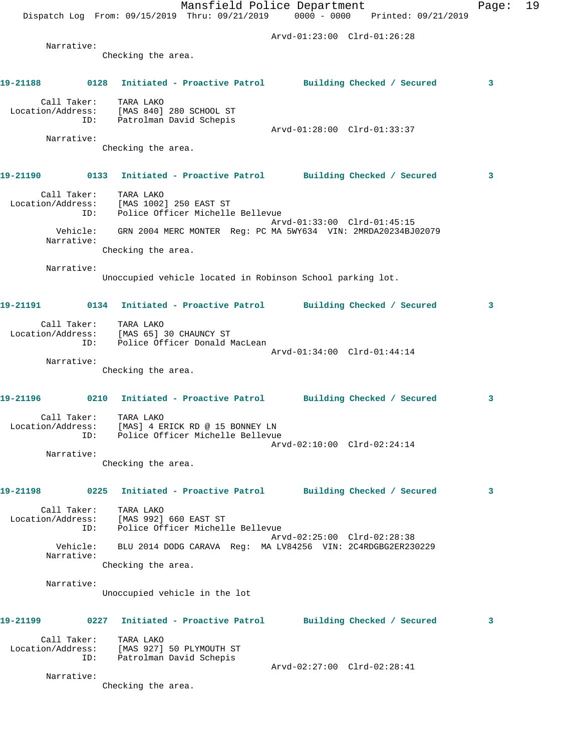Mansfield Police Department Fage: 19 Dispatch Log From: 09/15/2019 Thru: 09/21/2019 0000 - 0000 Printed: 09/21/2019 Arvd-01:23:00 Clrd-01:26:28 Narrative: Checking the area. **19-21188 0128 Initiated - Proactive Patrol Building Checked / Secured 3** Call Taker: TARA LAKO Location/Address: [MAS 840] 280 SCHOOL ST ID: Patrolman David Schepis Arvd-01:28:00 Clrd-01:33:37 Narrative: Checking the area. **19-21190 0133 Initiated - Proactive Patrol Building Checked / Secured 3** Call Taker: TARA LAKO Location/Address: [MAS 1002] 250 EAST ST ID: Police Officer Michelle Bellevue Arvd-01:33:00 Clrd-01:45:15 Vehicle: GRN 2004 MERC MONTER Reg: PC MA 5WY634 VIN: 2MRDA20234BJ02079 Narrative: Checking the area. Narrative: Unoccupied vehicle located in Robinson School parking lot. **19-21191 0134 Initiated - Proactive Patrol Building Checked / Secured 3** Call Taker: TARA LAKO Location/Address: [MAS 65] 30 CHAUNCY ST ID: Police Officer Donald MacLean Arvd-01:34:00 Clrd-01:44:14 Narrative: Checking the area. **19-21196 0210 Initiated - Proactive Patrol Building Checked / Secured 3** Call Taker: TARA LAKO Location/Address: [MAS] 4 ERICK RD @ 15 BONNEY LN ID: Police Officer Michelle Bellevue Arvd-02:10:00 Clrd-02:24:14 Narrative: Checking the area. **19-21198 0225 Initiated - Proactive Patrol Building Checked / Secured 3** Call Taker: TARA LAKO Location/Address: [MAS 992] 660 EAST ST ID: Police Officer Michelle Bellevue Arvd-02:25:00 Clrd-02:28:38 Vehicle: BLU 2014 DODG CARAVA Reg: MA LV84256 VIN: 2C4RDGBG2ER230229 Narrative: Checking the area. Narrative: Unoccupied vehicle in the lot **19-21199 0227 Initiated - Proactive Patrol Building Checked / Secured 3** Call Taker: TARA LAKO Location/Address: [MAS 927] 50 PLYMOUTH ST ID: Patrolman David Schepis Arvd-02:27:00 Clrd-02:28:41 Narrative: Checking the area.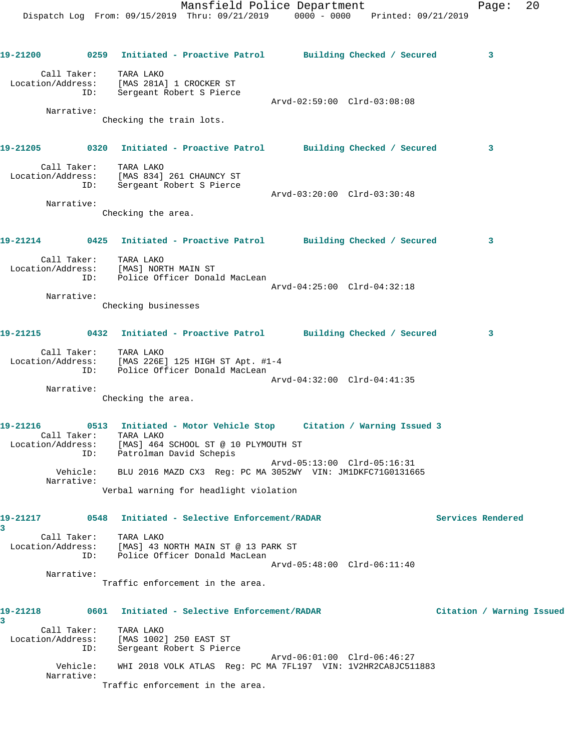Dispatch Log From: 09/15/2019 Thru: 09/21/2019 0000 - 0000 Printed: 09/21/2019 **19-21200 0259 Initiated - Proactive Patrol Building Checked / Secured 3** Call Taker: TARA LAKO Location/Address: [MAS 281A] 1 CROCKER ST ID: Sergeant Robert S Pierce Arvd-02:59:00 Clrd-03:08:08 Narrative: Checking the train lots. **19-21205 0320 Initiated - Proactive Patrol Building Checked / Secured 3** Call Taker: TARA LAKO Location/Address: [MAS 834] 261 CHAUNCY ST ID: Sergeant Robert S Pierce Arvd-03:20:00 Clrd-03:30:48 Narrative: Checking the area. **19-21214 0425 Initiated - Proactive Patrol Building Checked / Secured 3** Call Taker: TARA LAKO Location/Address: [MAS] NORTH MAIN ST ID: Police Officer Donald MacLean Arvd-04:25:00 Clrd-04:32:18 Narrative: Checking businesses **19-21215 0432 Initiated - Proactive Patrol Building Checked / Secured 3** Call Taker: TARA LAKO Location/Address: [MAS 226E] 125 HIGH ST Apt. #1-4 ID: Police Officer Donald MacLean Arvd-04:32:00 Clrd-04:41:35 Narrative: Checking the area. **19-21216 0513 Initiated - Motor Vehicle Stop Citation / Warning Issued 3**  Call Taker: TARA LAKO Location/Address: [MAS] 464 SCHOOL ST @ 10 PLYMOUTH ST ID: Patrolman David Schepis Arvd-05:13:00 Clrd-05:16:31 Vehicle: BLU 2016 MAZD CX3 Reg: PC MA 3052WY VIN: JM1DKFC71G0131665 Narrative: Verbal warning for headlight violation **19-21217 0548 Initiated - Selective Enforcement/RADAR Services Rendered 3**  Call Taker: TARA LAKO Location/Address: [MAS] 43 NORTH MAIN ST @ 13 PARK ST ID: Police Officer Donald MacLean Arvd-05:48:00 Clrd-06:11:40 Narrative: Traffic enforcement in the area. **19-21218 0601 Initiated - Selective Enforcement/RADAR Citation / Warning Issued 3**  Call Taker: TARA LAKO Location/Address: [MAS 1002] 250 EAST ST ID: Sergeant Robert S Pierce Arvd-06:01:00 Clrd-06:46:27 Vehicle: WHI 2018 VOLK ATLAS Reg: PC MA 7FL197 VIN: 1V2HR2CA8JC511883

Narrative:

Traffic enforcement in the area.

Mansfield Police Department Fage: 20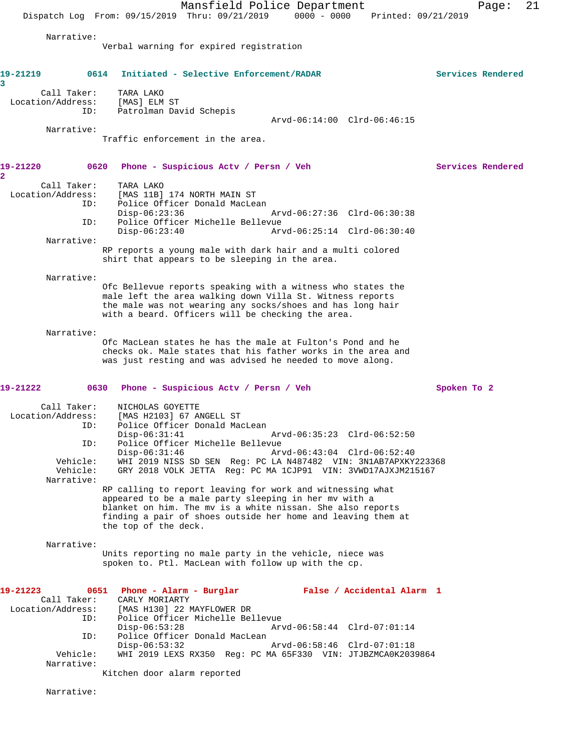Mansfield Police Department Page: 21 Dispatch Log From: 09/15/2019 Thru: 09/21/2019 0000 - 0000 Printed: 09/21/2019 Narrative: Verbal warning for expired registration **19-21219 0614 Initiated - Selective Enforcement/RADAR Services Rendered 3**  Call Taker: TARA LAKO Location/Address: [MAS] ELM ST ID: Patrolman David Schepis Arvd-06:14:00 Clrd-06:46:15 Narrative: Traffic enforcement in the area. **19-21220 0620 Phone - Suspicious Actv / Persn / Veh Services Rendered 2**  Call Taker: TARA LAKO Location/Address: [MAS 11B] 174 NORTH MAIN ST ID: Police Officer Donald MacLean Disp-06:23:36 Arvd-06:27:36 Clrd-06:30:38 ID: Police Officer Michelle Bellevue Disp-06:23:40 Arvd-06:25:14 Clrd-06:30:40 Narrative: RP reports a young male with dark hair and a multi colored shirt that appears to be sleeping in the area. Narrative: Ofc Bellevue reports speaking with a witness who states the male left the area walking down Villa St. Witness reports the male was not wearing any socks/shoes and has long hair with a beard. Officers will be checking the area. Narrative: Ofc MacLean states he has the male at Fulton's Pond and he checks ok. Male states that his father works in the area and was just resting and was advised he needed to move along. **19-21222 0630 Phone - Suspicious Actv / Persn / Veh Spoken To 2** Call Taker: NICHOLAS GOYETTE Location/Address: [MAS H2103] 67 ANGELL ST ID: Police Officer Donald MacLean Arvd-06:35:23 Clrd-06:52:50 ID: Police Officer Michelle Bellevue Disp-06:31:46 Arvd-06:43:04 Clrd-06:52:40 Vehicle: WHI 2019 NISS SD SEN Reg: PC LA N487482 VIN: 3N1AB7APXKY223368 GRY 2018 VOLK JETTA Reg: PC MA 1CJP91 VIN: 3VWD17AJXJM215167 Narrative: RP calling to report leaving for work and witnessing what appeared to be a male party sleeping in her mv with a blanket on him. The mv is a white nissan. She also reports finding a pair of shoes outside her home and leaving them at the top of the deck. Narrative: Units reporting no male party in the vehicle, niece was spoken to. Ptl. MacLean with follow up with the cp. **19-21223 0651 Phone - Alarm - Burglar False / Accidental Alarm 1**  Call Taker: CARLY MORIARTY<br>Location/Address: [MAS H130] 22 P [MAS H130] 22 MAYFLOWER DR ID: Police Officer Michelle Bellevue Disp-06:53:28 Arvd-06:58:44 Clrd-07:01:14 ID: Police Officer Donald MacLean Disp-06:53:32 Arvd-06:58:46 Clrd-07:01:18 Vehicle: WHI 2019 LEXS RX350 Reg: PC MA 65F330 VIN: JTJBZMCA0K2039864 Narrative: Kitchen door alarm reported

Narrative: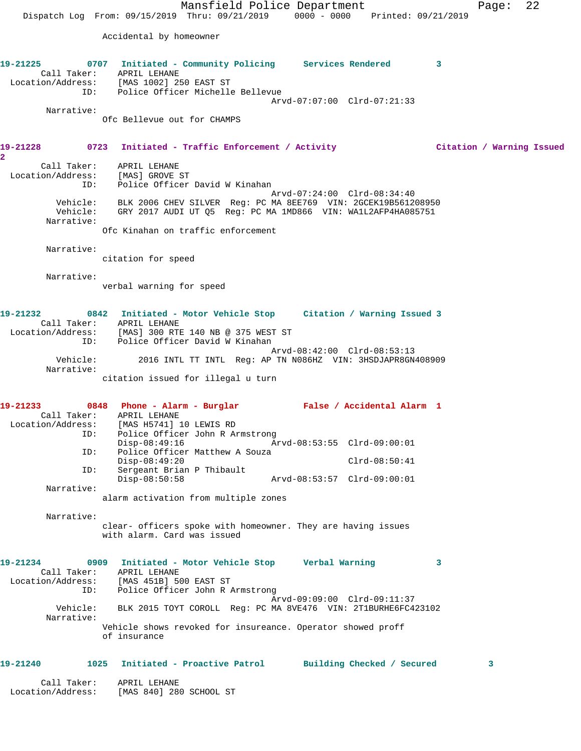Mansfield Police Department Fage: 22 Dispatch Log From: 09/15/2019 Thru: 09/21/2019 0000 - 0000 Printed: 09/21/2019 Accidental by homeowner **19-21225 0707 Initiated - Community Policing Services Rendered 3**  Call Taker: APRIL LEHANE Location/Address: [MAS 1002] 250 EAST ST ID: Police Officer Michelle Bellevue Arvd-07:07:00 Clrd-07:21:33 Narrative: Ofc Bellevue out for CHAMPS **19-21228 0723 Initiated - Traffic Enforcement / Activity Citation / Warning Issued 2**  Call Taker: APRIL LEHANE Location/Address: [MAS] GROVE ST ID: Police Officer David W Kinahan Arvd-07:24:00 Clrd-08:34:40 Vehicle: BLK 2006 CHEV SILVER Reg: PC MA 8EE769 VIN: 2GCEK19B561208950 Vehicle: GRY 2017 AUDI UT Q5 Reg: PC MA 1MD866 VIN: WA1L2AFP4HA085751 Narrative: Ofc Kinahan on traffic enforcement Narrative: citation for speed Narrative: verbal warning for speed **19-21232 0842 Initiated - Motor Vehicle Stop Citation / Warning Issued 3**  Call Taker: APRIL LEHANE Location/Address: [MAS] 300 RTE 140 NB @ 375 WEST ST ID: Police Officer David W Kinahan Arvd-08:42:00 Clrd-08:53:13 2016 INTL TT INTL Reg: AP TN N086HZ VIN: 3HSDJAPR8GN408909 Vehicle:<br>Narrative: citation issued for illegal u turn **19-21233 0848 Phone - Alarm - Burglar False / Accidental Alarm 1**  Call Taker: APRIL LEHANE Location/Address: [MAS H5741] 10 LEWIS RD ID: Police Officer John R Armstrong Disp-08:49:16 Arvd-08:53:55 Clrd-09:00:01 ID: Police Officer Matthew A Souza Disp-08:49:20 Clrd-08:50:41<br>
Disp-08:50:58 Arvd-08:53:57 Clrd-09:00:01<br>
Disp-08:50:58 Arvd-08:53:57 Clrd-09:00:01 Sergeant Brian P Thibault Disp-08:50:58 Arvd-08:53:57 Clrd-09:00:01 Narrative: alarm activation from multiple zones Narrative: clear- officers spoke with homeowner. They are having issues with alarm. Card was issued **19-21234 0909 Initiated - Motor Vehicle Stop Verbal Warning 3**  Call Taker: APRIL LEHANE Location/Address: [MAS 451B] 500 EAST ST ID: Police Officer John R Armstrong Arvd-09:09:00 Clrd-09:11:37 Vehicle: BLK 2015 TOYT COROLL Reg: PC MA 8VE476 VIN: 2T1BURHE6FC423102 Narrative: Vehicle shows revoked for insureance. Operator showed proff of insurance **19-21240 1025 Initiated - Proactive Patrol Building Checked / Secured 3** Call Taker: APRIL LEHANE Location/Address: [MAS 840] 280 SCHOOL ST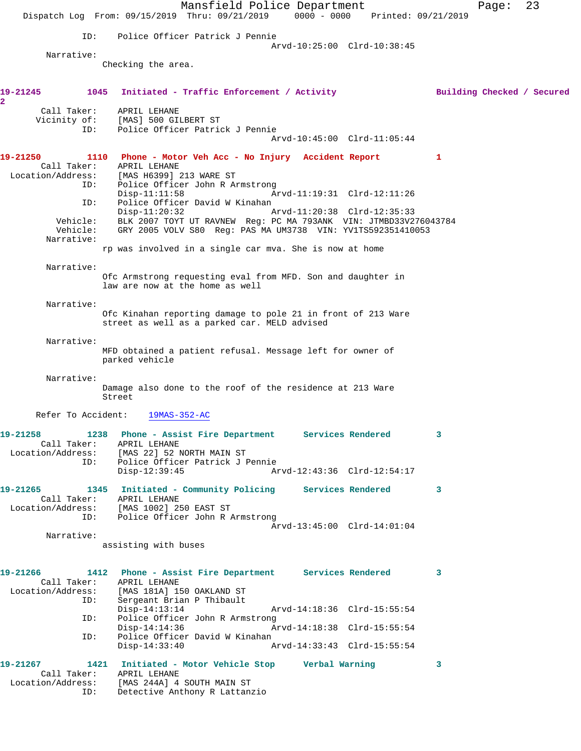Mansfield Police Department Page: 23 Dispatch Log From: 09/15/2019 Thru: 09/21/2019 0000 - 0000 Printed: 09/21/2019 ID: Police Officer Patrick J Pennie Arvd-10:25:00 Clrd-10:38:45 Narrative: Checking the area. **19-21245 1045 Initiated - Traffic Enforcement / Activity Building Checked / Secured 2**  Call Taker: APRIL LEHANE Vicinity of: [MAS] 500 GILBERT ST ID: Police Officer Patrick J Pennie Arvd-10:45:00 Clrd-11:05:44 **19-21250 1110 Phone - Motor Veh Acc - No Injury Accident Report 1**  Call Taker: APRIL LEHANE Location/Address: [MAS H6399] 213 WARE ST ID: Police Officer John R Armstrong Arvd-11:19:31 Clrd-12:11:26 ID: Police Officer David W Kinahan Disp-11:20:32 Arvd-11:20:38 Clrd-12:35:33 Vehicle: BLK 2007 TOYT UT RAVNEW Reg: PC MA 793ANK VIN: JTMBD33V276043784 Vehicle: GRY 2005 VOLV S80 Reg: PAS MA UM3738 VIN: YV1TS592351410053 Narrative: rp was involved in a single car mva. She is now at home Narrative: Ofc Armstrong requesting eval from MFD. Son and daughter in law are now at the home as well Narrative: Ofc Kinahan reporting damage to pole 21 in front of 213 Ware street as well as a parked car. MELD advised Narrative: MFD obtained a patient refusal. Message left for owner of parked vehicle Narrative: Damage also done to the roof of the residence at 213 Ware Street Refer To Accident: 19MAS-352-AC **19-21258 1238 Phone - Assist Fire Department Services Rendered 3**  Call Taker: APRIL LEHANE Location/Address: [MAS 22] 52 NORTH MAIN ST ID: Police Officer Patrick J Pennie Disp-12:39:45 Arvd-12:43:36 Clrd-12:54:17 **19-21265 1345 Initiated - Community Policing Services Rendered 3**  Call Taker: APRIL LEHANE Location/Address: [MAS 1002] 250 EAST ST ID: Police Officer John R Armstrong Arvd-13:45:00 Clrd-14:01:04 Narrative: assisting with buses **19-21266 1412 Phone - Assist Fire Department Services Rendered 3**  Call Taker: APRIL LEHANE Location/Address: [MAS 181A] 150 OAKLAND ST Sergeant Brian P Thibault<br>Disp-14:13:14 Disp-14:13:14 Arvd-14:18:36 Clrd-15:55:54 ID: Police Officer John R Armstrong Disp-14:14:36 Arvd-14:18:38 Clrd-15:55:54 ID: Police Officer David W Kinahan Disp-14:33:40 Arvd-14:33:43 Clrd-15:55:54 **19-21267 1421 Initiated - Motor Vehicle Stop Verbal Warning 3**  Call Taker: APRIL LEHANE Location/Address: [MAS 244A] 4 SOUTH MAIN ST ID: Detective Anthony R Lattanzio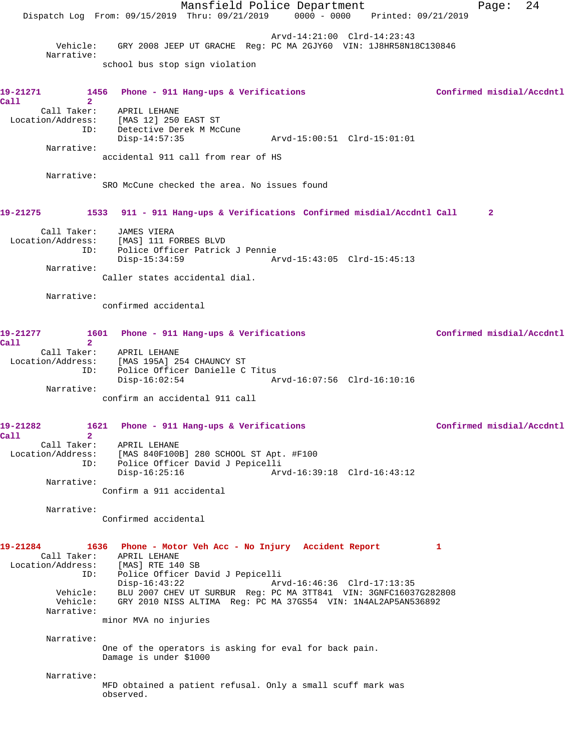|                                    |                                                                                                                                                     | Mansfield Police Department |                                                                  | Page:                     | 24 |
|------------------------------------|-----------------------------------------------------------------------------------------------------------------------------------------------------|-----------------------------|------------------------------------------------------------------|---------------------------|----|
|                                    | Dispatch Log From: 09/15/2019 Thru: 09/21/2019 0000 - 0000 Printed: 09/21/2019                                                                      |                             |                                                                  |                           |    |
|                                    |                                                                                                                                                     |                             | Arvd-14:21:00 Clrd-14:23:43                                      |                           |    |
| Vehicle:<br>Narrative:             |                                                                                                                                                     |                             | GRY 2008 JEEP UT GRACHE Req: PC MA 2GJY60 VIN: 1J8HR58N18C130846 |                           |    |
|                                    | school bus stop sign violation                                                                                                                      |                             |                                                                  |                           |    |
| 19-21271                           | 1456 Phone - 911 Hang-ups & Verifications                                                                                                           |                             |                                                                  | Confirmed misdial/Accdntl |    |
| Call<br>$\mathbf{2}$               |                                                                                                                                                     |                             |                                                                  |                           |    |
| Call Taker:                        | APRIL LEHANE<br>Location/Address: [MAS 12] 250 EAST ST                                                                                              |                             |                                                                  |                           |    |
| ID:                                | Detective Derek M McCune                                                                                                                            |                             |                                                                  |                           |    |
|                                    | $Disp-14:57:35$                                                                                                                                     |                             |                                                                  |                           |    |
| Narrative:                         |                                                                                                                                                     |                             |                                                                  |                           |    |
|                                    | accidental 911 call from rear of HS                                                                                                                 |                             |                                                                  |                           |    |
| Narrative:                         |                                                                                                                                                     |                             |                                                                  |                           |    |
|                                    | SRO McCune checked the area. No issues found                                                                                                        |                             |                                                                  |                           |    |
| 19-21275                           | 1533 911 - 911 Hang-ups & Verifications Confirmed misdial/Accdntl Call                                                                              |                             |                                                                  | 2                         |    |
| Call Taker:                        | JAMES VIERA                                                                                                                                         |                             |                                                                  |                           |    |
|                                    | Location/Address: [MAS] 111 FORBES BLVD                                                                                                             |                             |                                                                  |                           |    |
| ID:                                | Police Officer Patrick J Pennie<br>Disp-15:34:59                                                                                                    |                             | Arvd-15:43:05 Clrd-15:45:13                                      |                           |    |
| Narrative:                         |                                                                                                                                                     |                             |                                                                  |                           |    |
|                                    | Caller states accidental dial.                                                                                                                      |                             |                                                                  |                           |    |
| Narrative:                         |                                                                                                                                                     |                             |                                                                  |                           |    |
|                                    | confirmed accidental                                                                                                                                |                             |                                                                  |                           |    |
|                                    |                                                                                                                                                     |                             |                                                                  |                           |    |
| 19-21277<br>Call<br>$\overline{2}$ | Phone - 911 Hang-ups & Verifications<br>1601                                                                                                        |                             |                                                                  | Confirmed misdial/Accdntl |    |
|                                    | Call Taker: APRIL LEHANE                                                                                                                            |                             |                                                                  |                           |    |
| Location/Address:                  | [MAS 195A] 254 CHAUNCY ST                                                                                                                           |                             |                                                                  |                           |    |
| ID:                                | Police Officer Danielle C Titus<br>$Disp-16:02:54$                                                                                                  |                             |                                                                  |                           |    |
| Narrative:                         |                                                                                                                                                     |                             |                                                                  |                           |    |
|                                    | confirm an accidental 911 call                                                                                                                      |                             |                                                                  |                           |    |
|                                    |                                                                                                                                                     |                             |                                                                  |                           |    |
| 19-21282<br>Call<br>$\mathbf{2}$   | 1621 Phone - 911 Hang-ups & Verifications                                                                                                           |                             |                                                                  | Confirmed misdial/Accdntl |    |
|                                    | Call Taker: APRIL LEHANE                                                                                                                            |                             |                                                                  |                           |    |
|                                    | Location/Address: [MAS 840F100B] 280 SCHOOL ST Apt. #F100                                                                                           |                             |                                                                  |                           |    |
|                                    | ID: Police Officer David J Pepicelli<br>$Disp-16:25:16$                                                                                             |                             | Arvd-16:39:18 Clrd-16:43:12                                      |                           |    |
| Narrative:                         |                                                                                                                                                     |                             |                                                                  |                           |    |
|                                    | Confirm a 911 accidental                                                                                                                            |                             |                                                                  |                           |    |
| Narrative:                         |                                                                                                                                                     |                             |                                                                  |                           |    |
|                                    | Confirmed accidental                                                                                                                                |                             |                                                                  |                           |    |
|                                    |                                                                                                                                                     |                             |                                                                  |                           |    |
| 19-21284                           | 1636 Phone - Motor Veh Acc - No Injury Accident Report<br>Call Taker: APRIL LEHANE                                                                  |                             |                                                                  | 1                         |    |
|                                    | Location/Address: [MAS] RTE 140 SB                                                                                                                  |                             |                                                                  |                           |    |
|                                    | ID: Police Officer David J Pepicelli                                                                                                                |                             |                                                                  |                           |    |
|                                    | $Disp-16:43:22$                                                                                                                                     |                             | Arvd-16:46:36 Clrd-17:13:35                                      |                           |    |
|                                    | Vehicle: BLU 2007 CHEV UT SURBUR Reg: PC MA 3TT841 VIN: 3GNFC16037G282808<br>Vehicle: GRY 2010 NISS ALTIMA Req: PC MA 37GS54 VIN: 1N4AL2AP5AN536892 |                             |                                                                  |                           |    |
| Narrative:                         |                                                                                                                                                     |                             |                                                                  |                           |    |
|                                    | minor MVA no injuries                                                                                                                               |                             |                                                                  |                           |    |
| Narrative:                         |                                                                                                                                                     |                             |                                                                  |                           |    |
|                                    | One of the operators is asking for eval for back pain.                                                                                              |                             |                                                                  |                           |    |
|                                    | Damage is under \$1000                                                                                                                              |                             |                                                                  |                           |    |
| Narrative:                         |                                                                                                                                                     |                             |                                                                  |                           |    |
|                                    | MFD obtained a patient refusal. Only a small scuff mark was                                                                                         |                             |                                                                  |                           |    |
|                                    | observed.                                                                                                                                           |                             |                                                                  |                           |    |
|                                    |                                                                                                                                                     |                             |                                                                  |                           |    |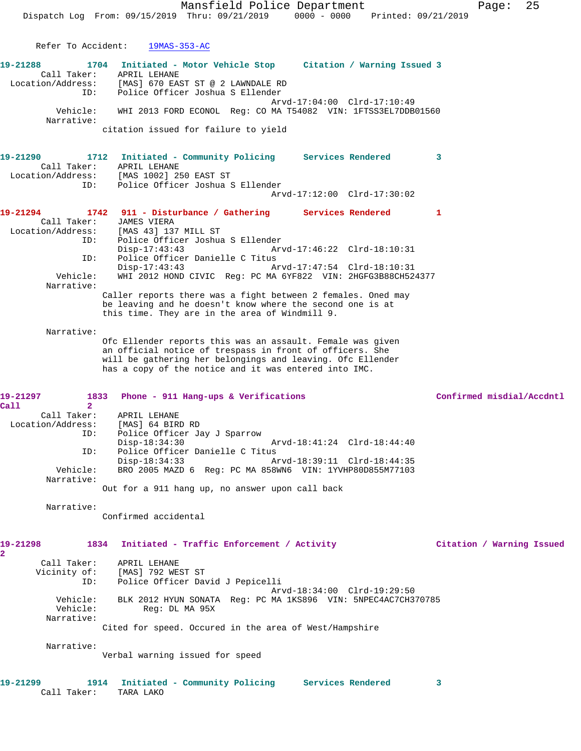Mansfield Police Department Fage: 25 Dispatch Log From: 09/15/2019 Thru: 09/21/2019 0000 - 0000 Printed: 09/21/2019 Refer To Accident: 19MAS-353-AC **19-21288 1704 Initiated - Motor Vehicle Stop Citation / Warning Issued 3**  Call Taker: APRIL LEHANE Location/Address: [MAS] 670 EAST ST @ 2 LAWNDALE RD ID: Police Officer Joshua S Ellender Arvd-17:04:00 Clrd-17:10:49 Vehicle: WHI 2013 FORD ECONOL Reg: CO MA T54082 VIN: 1FTSS3EL7DDB01560 Narrative: citation issued for failure to yield **19-21290 1712 Initiated - Community Policing Services Rendered 3**  Call Taker: APRIL LEHANE Location/Address: [MAS 1002] 250 EAST ST ID: Police Officer Joshua S Ellender Arvd-17:12:00 Clrd-17:30:02 **19-21294 1742 911 - Disturbance / Gathering Services Rendered 1**  Call Taker: JAMES VIERA Location/Address: [MAS 43] 137 MILL ST<br>ID: Police Officer Joshua ID: Police Officer Joshua S Ellender Disp-17:43:43 Arvd-17:46:22 Clrd-18:10:31 ID: Police Officer Danielle C Titus Disp-17:43:43 Arvd-17:47:54 Clrd-18:10:31 Vehicle: WHI 2012 HOND CIVIC Reg: PC MA 6YF822 VIN: 2HGFG3B88CH524377 Narrative: Caller reports there was a fight between 2 females. Oned may be leaving and he doesn't know where the second one is at this time. They are in the area of Windmill 9. Narrative: Ofc Ellender reports this was an assault. Female was given an official notice of trespass in front of officers. She will be gathering her belongings and leaving. Ofc Ellender has a copy of the notice and it was entered into IMC. 19-21297 1833 Phone - 911 Hang-ups & Verifications **Confirmed misdial/Accdntl Call 2**  Call Taker: APRIL LEHANE Location/Address: [MAS] 64 BIRD RD ID: Police Officer Jay J Sparrow Disp-18:34:30 Arvd-18:41:24 Clrd-18:44:40 ID: Police Officer Danielle C Titus Disp-18:34:33 Arvd-18:39:11 Clrd-18:44:35 Vehicle: BRO 2005 MAZD 6 Reg: PC MA 858WN6 VIN: 1YVHP80D855M77103 Narrative: Out for a 911 hang up, no answer upon call back Narrative: Confirmed accidental **19-21298 1834 Initiated - Traffic Enforcement / Activity Citation / Warning Issued 2**  Call Taker: APRIL LEHANE Vicinity of: [MAS] 792 WEST ST ID: Police Officer David J Pepicelli Arvd-18:34:00 Clrd-19:29:50 Vehicle: BLK 2012 HYUN SONATA Reg: PC MA 1KS896 VIN: 5NPEC4AC7CH370785 Reg: DL MA 95X Narrative: Cited for speed. Occured in the area of West/Hampshire Narrative: Verbal warning issued for speed

**19-21299 1914 Initiated - Community Policing Services Rendered 3**  Call Taker: TARA LAKO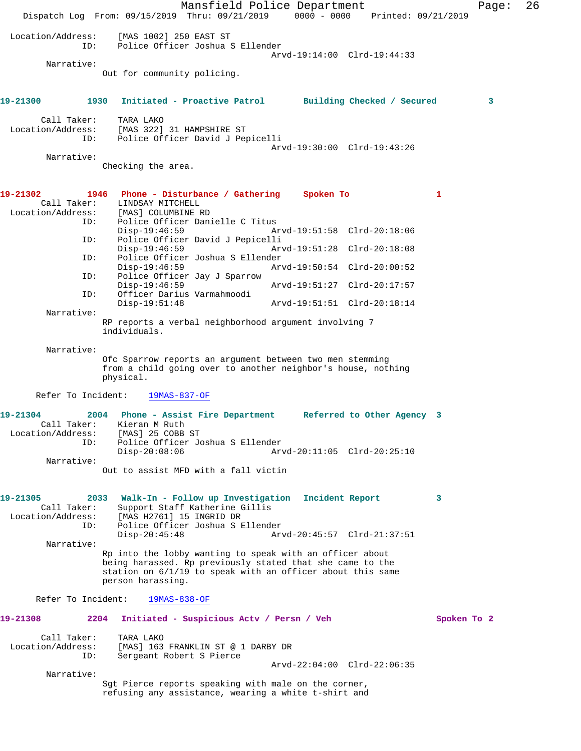Mansfield Police Department Fage: 26 Dispatch Log From: 09/15/2019 Thru: 09/21/2019 0000 - 0000 Printed: 09/21/2019 Location/Address: [MAS 1002] 250 EAST ST Police Officer Joshua S Ellender Arvd-19:14:00 Clrd-19:44:33 Narrative: Out for community policing. **19-21300 1930 Initiated - Proactive Patrol Building Checked / Secured 3** Call Taker: TARA LAKO<br>Location/Address: [MAS 322] ess: [MAS 322] 31 HAMPSHIRE ST<br>ID: Police Officer David J Per Police Officer David J Pepicelli Arvd-19:30:00 Clrd-19:43:26 Narrative: Checking the area. **19-21302 1946 Phone - Disturbance / Gathering Spoken To 1**  Call Taker: LINDSAY MITCHELL<br>Location/Address: [MAS] COLUMBINE H [MAS] COLUMBINE RD ID: Police Officer Danielle C Titus Disp-19:46:59 Arvd-19:51:58 Clrd-20:18:06<br>ID: Police Officer David J Pepicelli Police Officer David J Pepicelli<br>Disp-19:46:59 Ar Disp-19:46:59 Arvd-19:51:28 Clrd-20:18:08 ID: Police Officer Joshua S Ellender Disp-19:46:59 Arvd-19:50:54 Clrd-20:00:52<br>TD: Police Officer Jav J Sparrow Police Officer Jay J Sparrow<br>Disp-19:46:59 Disp-19:46:59 Arvd-19:51:27 Clrd-20:17:57 ID: Officer Darius Varmahmoodi Arvd-19:51:51 Clrd-20:18:14 Narrative: RP reports a verbal neighborhood argument involving 7 individuals. Narrative: Ofc Sparrow reports an argument between two men stemming from a child going over to another neighbor's house, nothing physical. Refer To Incident: 19MAS-837-OF **19-21304 2004 Phone - Assist Fire Department Referred to Other Agency 3**  Call Taker: Kieran M Ruth<br>ion/Address: [MAS] 25 COBB ST Location/Address: ID: Police Officer Joshua S Ellender Disp-20:08:06 Arvd-20:11:05 Clrd-20:25:10 Narrative: Out to assist MFD with a fall victin **19-21305 2033 Walk-In - Follow up Investigation Incident Report 3**  Call Taker: Support Staff Katherine Gillis<br>Location/Address: [MAS H2761] 15 INGRID DR ess: [MAS H2761] 15 INGRID DR<br>ID: Police Officer Joshua S.E Police Officer Joshua S Ellender<br>Disp-20:45:48 Ar Arvd-20:45:57 Clrd-21:37:51 Narrative: Rp into the lobby wanting to speak with an officer about being harassed. Rp previously stated that she came to the station on 6/1/19 to speak with an officer about this same person harassing. Refer To Incident: 19MAS-838-OF **19-21308 2204 Initiated - Suspicious Actv / Persn / Veh Spoken To 2** Call Taker: TARA LAKO Location/Address: [MAS] 163 FRANKLIN ST @ 1 DARBY DR<br>TD: Sergeant Robert S Pierce Sergeant Robert S Pierce Arvd-22:04:00 Clrd-22:06:35 Narrative: Sgt Pierce reports speaking with male on the corner, refusing any assistance, wearing a white t-shirt and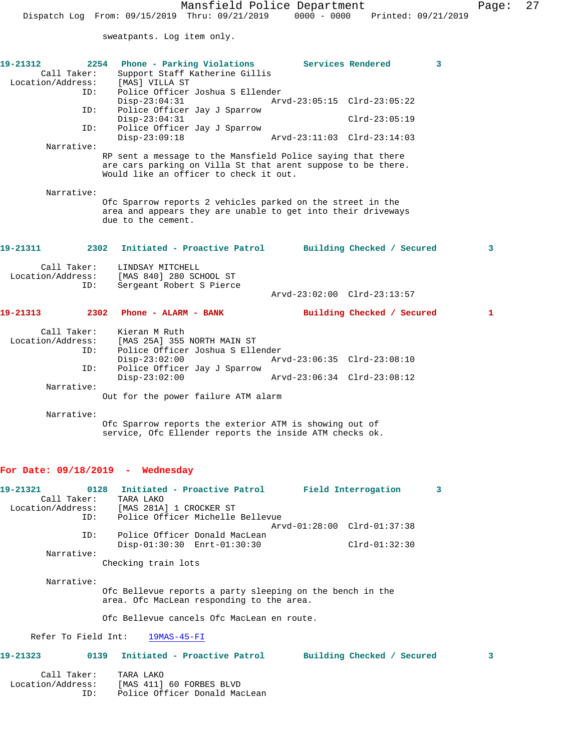sweatpants. Log item only.

| 19-21312<br>Call Taker:<br>Location/Address:<br>ID:         | Phone - Parking Violations<br>2254<br>Support Staff Katherine Gillis<br>[MAS] VILLA ST<br>Police Officer Joshua S Ellender                                            | Services Rendered                              | 3 |
|-------------------------------------------------------------|-----------------------------------------------------------------------------------------------------------------------------------------------------------------------|------------------------------------------------|---|
| ID:                                                         | $Disp-23:04:31$<br>Police Officer Jay J Sparrow                                                                                                                       | Arvd-23:05:15 Clrd-23:05:22                    |   |
| ID:                                                         | $Disp-23:04:31$<br>Police Officer Jay J Sparrow                                                                                                                       | $Clrd-23:05:19$                                |   |
| Narrative:                                                  | $Disp-23:09:18$                                                                                                                                                       | Arvd-23:11:03 Clrd-23:14:03                    |   |
|                                                             | RP sent a message to the Mansfield Police saying that there<br>are cars parking on Villa St that arent suppose to be there.<br>Would like an officer to check it out. |                                                |   |
| Narrative:                                                  | Ofc Sparrow reports 2 vehicles parked on the street in the<br>area and appears they are unable to get into their driveways<br>due to the cement.                      |                                                |   |
| 19-21311                                                    | Initiated - Proactive Patrol<br>2302                                                                                                                                  | Building Checked / Secured                     | 3 |
| Call Taker:<br>Location/Address:<br>ID:                     | LINDSAY MITCHELL<br>[MAS 840] 280 SCHOOL ST<br>Sergeant Robert S Pierce                                                                                               | Arvd-23:02:00 Clrd-23:13:57                    |   |
|                                                             |                                                                                                                                                                       |                                                |   |
| 19-21313                                                    | 2302 Phone - ALARM - BANK                                                                                                                                             | Building Checked / Secured                     | 1 |
| Call Taker:<br>Location/Address:<br>ID:<br>ID:              | Kieran M Ruth<br>[MAS 25A] 355 NORTH MAIN ST<br>Police Officer Joshua S Ellender<br>$Disp-23:02:00$<br>Police Officer Jay J Sparrow                                   | Arvd-23:06:35 Clrd-23:08:10                    |   |
| Narrative:                                                  | $Disp-23:02:00$<br>Out for the power failure ATM alarm                                                                                                                | Arvd-23:06:34 Clrd-23:08:12                    |   |
| Narrative:                                                  |                                                                                                                                                                       |                                                |   |
|                                                             | Ofc Sparrow reports the exterior ATM is showing out of<br>service, Ofc Ellender reports the inside ATM checks ok.                                                     |                                                |   |
| For Date: $09/18/2019$ - Wednesday                          |                                                                                                                                                                       |                                                |   |
| 19-21321<br>0128<br>Call Taker:<br>Location/Address:<br>ID: | Initiated - Proactive Patrol<br>TARA LAKO<br>[MAS 281A] 1 CROCKER ST<br>Police Officer Michelle Bellevue                                                              | Field Interrogation                            | 3 |
| ID:                                                         | Police Officer Donald MacLean<br>Disp-01:30:30 Enrt-01:30:30                                                                                                          | Arvd-01:28:00 Clrd-01:37:38<br>$Clrd-01:32:30$ |   |
| Narrative:                                                  | Checking train lots                                                                                                                                                   |                                                |   |
| Narrative:                                                  | Ofc Bellevue reports a party sleeping on the bench in the                                                                                                             |                                                |   |

area. Ofc MacLean responding to the area.

Ofc Bellevue cancels Ofc MacLean en route.

Refer To Field Int: 19MAS-45-FI

**19-21323 0139 Initiated - Proactive Patrol Building Checked / Secured 3**

| Call Taker:       | TARA LAKO                     |
|-------------------|-------------------------------|
| Location/Address: | [MAS 411] 60 FORBES BLVD      |
| TD:               | Police Officer Donald MacLean |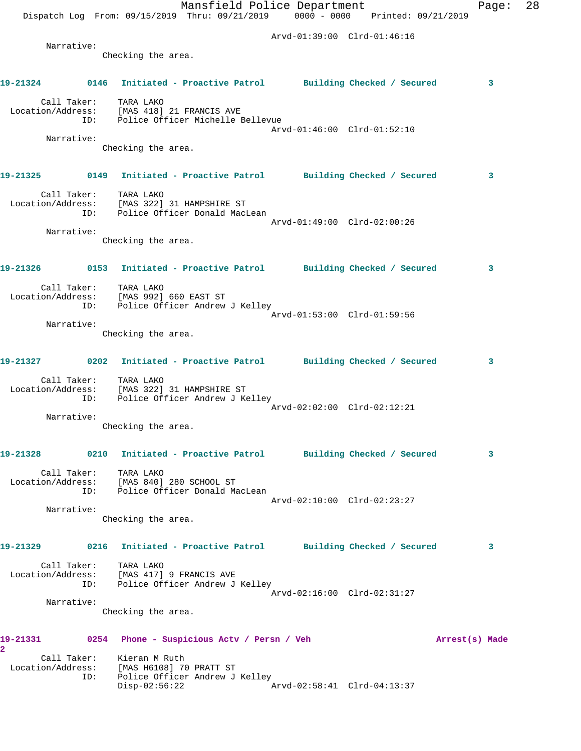|                                     |            | Dispatch Log From: 09/15/2019 Thru: 09/21/2019 0000 - 0000 Printed: 09/21/2019                           | Mansfield Police Department |                             |                | Page: | 28 |
|-------------------------------------|------------|----------------------------------------------------------------------------------------------------------|-----------------------------|-----------------------------|----------------|-------|----|
|                                     |            |                                                                                                          |                             | Arvd-01:39:00 Clrd-01:46:16 |                |       |    |
|                                     | Narrative: | Checking the area.                                                                                       |                             |                             |                |       |    |
|                                     |            |                                                                                                          |                             |                             |                |       |    |
|                                     |            | 19-21324 0146 Initiated - Proactive Patrol Building Checked / Secured                                    |                             |                             |                | 3     |    |
|                                     | ID:        | Call Taker: TARA LAKO<br>Location/Address: [MAS 418] 21 FRANCIS AVE<br>Police Officer Michelle Bellevue  |                             |                             |                |       |    |
|                                     | Narrative: |                                                                                                          |                             | Arvd-01:46:00 Clrd-01:52:10 |                |       |    |
|                                     |            | Checking the area.                                                                                       |                             |                             |                |       |    |
|                                     |            | 19-21325 0149 Initiated - Proactive Patrol Building Checked / Secured                                    |                             |                             |                | 3     |    |
|                                     | ID:        | Call Taker: TARA LAKO<br>Location/Address: [MAS 322] 31 HAMPSHIRE ST<br>Police Officer Donald MacLean    |                             |                             |                |       |    |
|                                     | Narrative: |                                                                                                          |                             | Arvd-01:49:00 Clrd-02:00:26 |                |       |    |
|                                     |            | Checking the area.                                                                                       |                             |                             |                |       |    |
|                                     |            | 19-21326 0153 Initiated - Proactive Patrol Building Checked / Secured                                    |                             |                             |                | 3     |    |
|                                     |            | Call Taker: TARA LAKO<br>Location/Address: [MAS 992] 660 EAST ST<br>ID: Police Officer Andrew J Kelley   |                             |                             |                |       |    |
|                                     | Narrative: |                                                                                                          |                             | Arvd-01:53:00 Clrd-01:59:56 |                |       |    |
|                                     |            | Checking the area.                                                                                       |                             |                             |                |       |    |
|                                     |            | 19-21327 0202 Initiated - Proactive Patrol Building Checked / Secured                                    |                             |                             |                | 3     |    |
|                                     | ID:        | Call Taker: TARA LAKO<br>Location/Address: [MAS 322] 31 HAMPSHIRE ST<br>Police Officer Andrew J Kelley   |                             | Arvd-02:02:00 Clrd-02:12:21 |                |       |    |
|                                     | Narrative: |                                                                                                          |                             |                             |                |       |    |
|                                     |            | Checking the area.                                                                                       |                             |                             |                |       |    |
| 19-21328                            |            | 0210 Initiated - Proactive Patrol Building Checked / Secured                                             |                             |                             |                | 3     |    |
|                                     | ID:        | Call Taker: TARA LAKO<br>Location/Address: [MAS 840] 280 SCHOOL ST<br>Police Officer Donald MacLean      |                             |                             |                |       |    |
|                                     | Narrative: |                                                                                                          |                             | Arvd-02:10:00 Clrd-02:23:27 |                |       |    |
|                                     |            | Checking the area.                                                                                       |                             |                             |                |       |    |
| 19-21329                            |            | 0216 Initiated - Proactive Patrol Building Checked / Secured                                             |                             |                             |                | 3     |    |
|                                     |            | Call Taker: TARA LAKO<br>Location/Address: [MAS 417] 9 FRANCIS AVE<br>ID: Police Officer Andrew J Kelley |                             |                             |                |       |    |
|                                     | Narrative: |                                                                                                          |                             | Arvd-02:16:00 Clrd-02:31:27 |                |       |    |
|                                     |            | Checking the area.                                                                                       |                             |                             |                |       |    |
| 19-21331<br>$\overline{\mathbf{2}}$ |            | 0254 Phone - Suspicious Actv / Persn / Veh                                                               |                             |                             | Arrest(s) Made |       |    |
|                                     | ID:        | Call Taker: Kieran M Ruth<br>Location/Address: [MAS H6108] 70 PRATT ST<br>Police Officer Andrew J Kelley |                             |                             |                |       |    |
|                                     |            | $Disp-02:56:22$                                                                                          |                             | Arvd-02:58:41 Clrd-04:13:37 |                |       |    |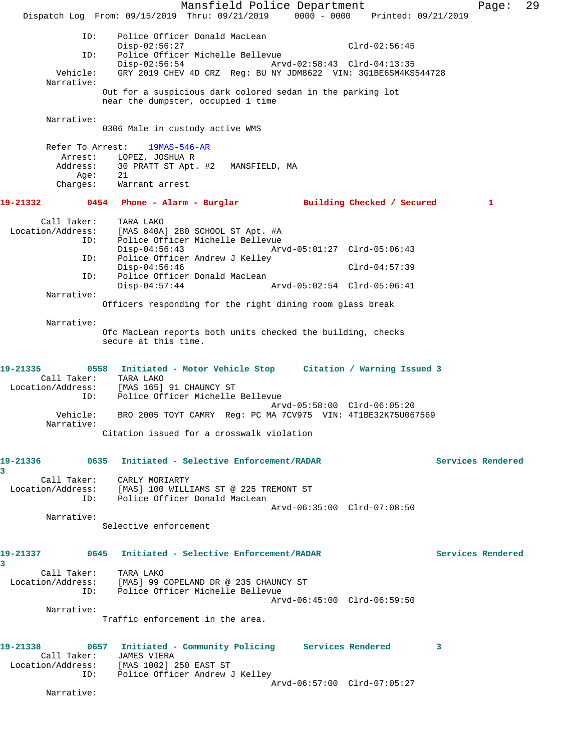Mansfield Police Department Fage: 29 Dispatch Log From: 09/15/2019 Thru: 09/21/2019 0000 - 0000 Printed: 09/21/2019 ID: Police Officer Donald MacLean Disp-02:56:27 Clrd-02:56:45 ID: Police Officer Michelle Bellevue Disp-02:56:54 Arvd-02:58:43 Clrd-04:13:35 Vehicle: GRY 2019 CHEV 4D CRZ Reg: BU NY JDM8622 VIN: 3G1BE6SM4KS544728 Narrative: Out for a suspicious dark colored sedan in the parking lot near the dumpster, occupied 1 time Narrative: 0306 Male in custody active WMS Refer To Arrest: 19MAS-546-AR Arrest: LOPEZ, JOSHUA R Address: 30 PRATT ST Apt. #2 MANSFIELD, MA Age: 21 Charges: Warrant arrest **19-21332 0454 Phone - Alarm - Burglar Building Checked / Secured 1** Call Taker: TARA LAKO Location/Address: [MAS 840A] 280 SCHOOL ST Apt. #A ID: Police Officer Michelle Bellevue Disp-04:56:43 Arvd-05:01:27 Clrd-05:06:43 ID: Police Officer Andrew J Kelley Disp-04:56:46 Clrd-04:57:39 ID: Police Officer Donald MacLean<br>Disp-04:57:44 Arvd-05:02:54 Clrd-05:06:41  $Disp-04:57:44$  Narrative: Officers responding for the right dining room glass break Narrative: Ofc MacLean reports both units checked the building, checks secure at this time. **19-21335 0558 Initiated - Motor Vehicle Stop Citation / Warning Issued 3**  Call Taker: TARA LAKO Location/Address: [MAS 165] 91 CHAUNCY ST ID: Police Officer Michelle Bellevue Arvd-05:58:00 Clrd-06:05:20 Vehicle: BRO 2005 TOYT CAMRY Reg: PC MA 7CV975 VIN: 4T1BE32K75U067569 Narrative: Citation issued for a crosswalk violation **19-21336 0635 Initiated - Selective Enforcement/RADAR Services Rendered 3**  Call Taker: CARLY MORIARTY Location/Address: [MAS] 100 WILLIAMS ST @ 225 TREMONT ST ID: Police Officer Donald MacLean Arvd-06:35:00 Clrd-07:08:50 Narrative: Selective enforcement **19-21337 0645 Initiated - Selective Enforcement/RADAR Services Rendered 3**  Call Taker: TARA LAKO Location/Address: [MAS] 99 COPELAND DR @ 235 CHAUNCY ST ID: Police Officer Michelle Bellevue Arvd-06:45:00 Clrd-06:59:50 Narrative: Traffic enforcement in the area. **19-21338 0657 Initiated - Community Policing Services Rendered 3**  Call Taker: JAMES VIERA Location/Address: [MAS 1002] 250 EAST ST ID: Police Officer Andrew J Kelley Arvd-06:57:00 Clrd-07:05:27 Narrative: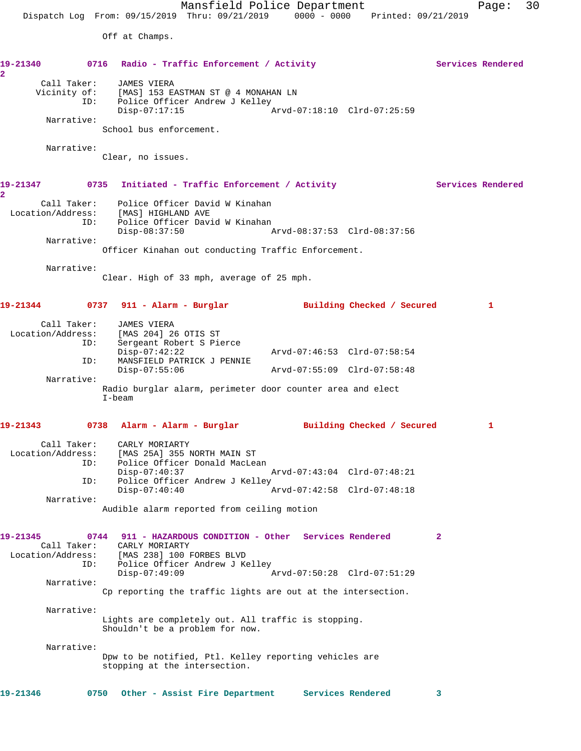Off at Champs.

| 19-21340<br>$\overline{2}$                          | 0716 Radio - Traffic Enforcement / Activity                                                                                                            |                                                            | Services Rendered |
|-----------------------------------------------------|--------------------------------------------------------------------------------------------------------------------------------------------------------|------------------------------------------------------------|-------------------|
| Call Taker:<br>ID:<br>Narrative:                    | <b>JAMES VIERA</b><br>Vicinity of: [MAS] 153 EASTMAN ST @ 4 MONAHAN LN<br>Police Officer Andrew J Kelley<br>$Disp-07:17:15$<br>School bus enforcement. | Arvd-07:18:10 Clrd-07:25:59                                |                   |
| Narrative:                                          | Clear, no issues.                                                                                                                                      |                                                            |                   |
| 19-21347<br>$\overline{2}$                          | 0735<br>Initiated - Traffic Enforcement / Activity                                                                                                     |                                                            | Services Rendered |
| Call Taker:<br>ID:                                  | Police Officer David W Kinahan<br>Location/Address: [MAS] HIGHLAND AVE<br>Police Officer David W Kinahan                                               |                                                            |                   |
| Narrative:                                          | $Disp-08:37:50$<br>Officer Kinahan out conducting Traffic Enforcement.                                                                                 |                                                            |                   |
| Narrative:                                          | Clear. High of 33 mph, average of 25 mph.                                                                                                              |                                                            |                   |
| 19-21344                                            | 0737   911 – Alarm – Burglar                                                                                                                           | Building Checked / Secured                                 | 1                 |
| Call Taker:<br>Location/Address:<br>ID:             | JAMES VIERA<br>[MAS 204] 26 OTIS ST<br>Sergeant Robert S Pierce                                                                                        |                                                            |                   |
| ID:                                                 | $Disp-07:42:22$<br>MANSFIELD PATRICK J PENNIE<br>$Disp-07:55:06$                                                                                       | Arvd-07:46:53 Clrd-07:58:54<br>Arvd-07:55:09 Clrd-07:58:48 |                   |
| Narrative:                                          | Radio burglar alarm, perimeter door counter area and elect<br>$I$ -beam                                                                                |                                                            |                   |
|                                                     | 19-21343 0738 Alarm - Alarm - Burglar Building Checked / Secured                                                                                       |                                                            | 1                 |
| Call Taker:<br>Location/Address:<br>ID:             | CARLY MORIARTY<br>[MAS 25A] 355 NORTH MAIN ST<br>Police Officer Donald MacLean<br>$Disp-07:40:37$                                                      | Arvd-07:43:04 Clrd-07:48:21                                |                   |
| ID:<br>Narrative:                                   | Police Officer Andrew J Kelley<br>$Disp-07:40:40$                                                                                                      | Arvd-07:42:58 Clrd-07:48:18                                |                   |
|                                                     | Audible alarm reported from ceiling motion                                                                                                             |                                                            |                   |
| 19-21345<br>Call Taker:<br>Location/Address:<br>ID: | 0744<br>911 - HAZARDOUS CONDITION - Other Services Rendered<br>CARLY MORIARTY<br>[MAS 238] 100 FORBES BLVD<br>Police Officer Andrew J Kelley           |                                                            | $\mathbf{2}$      |
| Narrative:                                          | $Disp-07:49:09$<br>Cp reporting the traffic lights are out at the intersection.                                                                        | Arvd-07:50:28 Clrd-07:51:29                                |                   |
| Narrative:                                          | Lights are completely out. All traffic is stopping.<br>Shouldn't be a problem for now.                                                                 |                                                            |                   |
| Narrative:                                          | Dpw to be notified, Ptl. Kelley reporting vehicles are<br>stopping at the intersection.                                                                |                                                            |                   |
|                                                     |                                                                                                                                                        |                                                            |                   |

**19-21346 0750 Other - Assist Fire Department Services Rendered 3**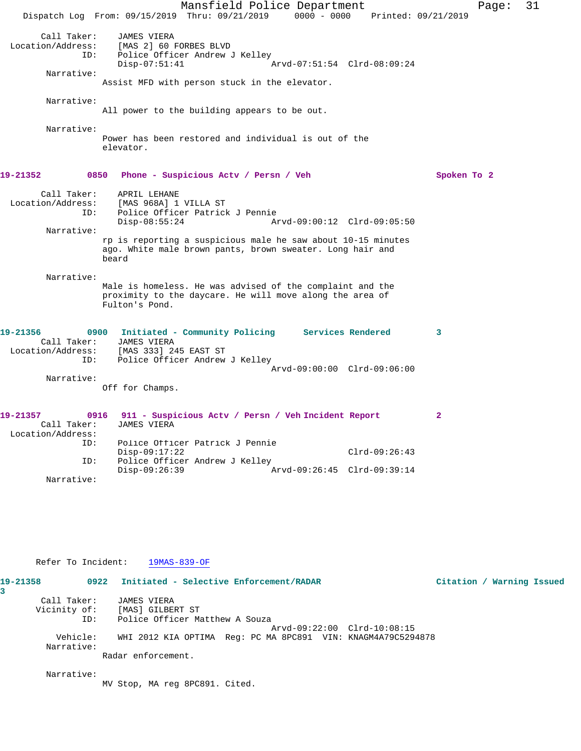Mansfield Police Department Page: 31 Dispatch Log From: 09/15/2019 Thru: 09/21/2019 0000 - 0000 Printed: 09/21/2019 Call Taker: JAMES VIERA Location/Address: [MAS 2] 60 FORBES BLVD ID: Police Officer Andrew J Kelley Disp-07:51:41 Arvd-07:51:54 Clrd-08:09:24 Narrative: Assist MFD with person stuck in the elevator. Narrative: All power to the building appears to be out. Narrative: Power has been restored and individual is out of the elevator. **19-21352 0850 Phone - Suspicious Actv / Persn / Veh Spoken To 2** Call Taker: APRIL LEHANE Location/Address: [MAS 968A] 1 VILLA ST ID: Police Officer Patrick J Pennie Disp-08:55:24 Arvd-09:00:12 Clrd-09:05:50 Narrative: rp is reporting a suspicious male he saw about 10-15 minutes ago. White male brown pants, brown sweater. Long hair and beard Narrative: Male is homeless. He was advised of the complaint and the proximity to the daycare. He will move along the area of Fulton's Pond. **19-21356 0900 Initiated - Community Policing Services Rendered 3**  Call Taker: JAMES VIERA<br>ion/Address: [MAS 333] 245 EAST ST Location/Address:<br>ID: Police Officer Andrew J Kelley Arvd-09:00:00 Clrd-09:06:00 Narrative: Off for Champs. **19-21357 0916 911 - Suspicious Actv / Persn / Veh Incident Report 2**  Call Taker: Location/Address: Police Officer Patrick J Pennie Disp-09:17:22 Clrd-09:26:43<br>ID: Police Officer Andrew J Kelley Police Officer Andrew J Kelley<br>Disp-09:26:39 Disp-09:26:39 Arvd-09:26:45 Clrd-09:39:14 Narrative:

## Refer To Incident: 19MAS-839-OF

**19-21358 0922 Initiated - Selective Enforcement/RADAR Citation / Warning Issued 3**  Call Taker: JAMES VIERA Vicinity of: [MAS] GILBERT ST ID: Police Officer Matthew A Souza Arvd-09:22:00 Clrd-10:08:15 Vehicle: WHI 2012 KIA OPTIMA Reg: PC MA 8PC891 VIN: KNAGM4A79C5294878 Narrative: Radar enforcement.

Narrative:

MV Stop, MA reg 8PC891. Cited.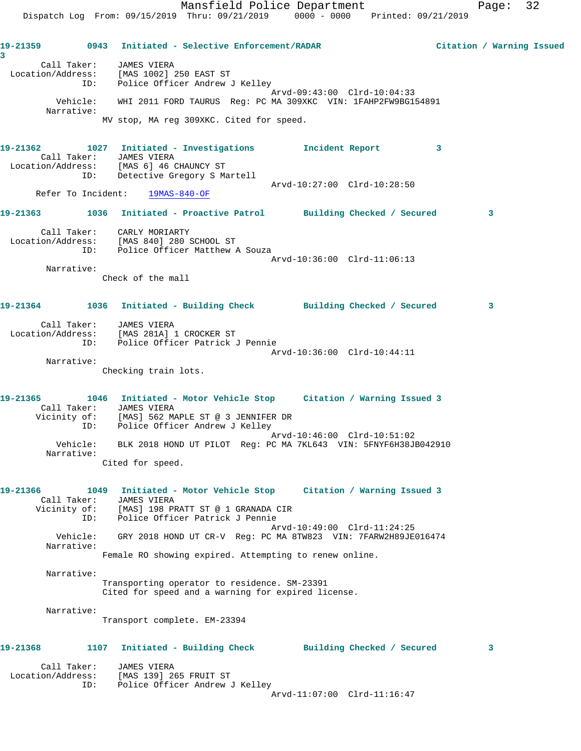Mansfield Police Department Fage: 32 Dispatch Log From: 09/15/2019 Thru: 09/21/2019 0000 - 0000 Printed: 09/21/2019 **19-21359 0943 Initiated - Selective Enforcement/RADAR Citation / Warning Issued** Call Taker: JAMES VIERA Location/Address: [MAS 1002] 250 EAST ST ID: Police Officer Andrew J Kelley Arvd-09:43:00 Clrd-10:04:33 Vehicle: WHI 2011 FORD TAURUS Reg: PC MA 309XKC VIN: 1FAHP2FW9BG154891 Narrative: MV stop, MA reg 309XKC. Cited for speed. **19-21362 1027 Initiated - Investigations Incident Report 3**  Call Taker: JAMES VIERA Location/Address: [MAS 6] 46 CHAUNCY ST ID: Detective Gregory S Martell Arvd-10:27:00 Clrd-10:28:50 Refer To Incident: 19MAS-840-OF **19-21363 1036 Initiated - Proactive Patrol Building Checked / Secured 3** Call Taker: CARLY MORIARTY Location/Address: [MAS 840] 280 SCHOOL ST ID: Police Officer Matthew A Souza Arvd-10:36:00 Clrd-11:06:13 Narrative: Check of the mall **19-21364 1036 Initiated - Building Check Building Checked / Secured 3** Call Taker: JAMES VIERA Location/Address: [MAS 281A] 1 CROCKER ST ID: Police Officer Patrick J Pennie Arvd-10:36:00 Clrd-10:44:11 Narrative: Checking train lots.

**19-21365 1046 Initiated - Motor Vehicle Stop Citation / Warning Issued 3**  Call Taker: JAMES VIERA Vicinity of: [MAS] 562 MAPLE ST @ 3 JENNIFER DR ID: Police Officer Andrew J Kelley Arvd-10:46:00 Clrd-10:51:02 Vehicle: BLK 2018 HOND UT PILOT Reg: PC MA 7KL643 VIN: 5FNYF6H38JB042910 Narrative:

Cited for speed.

**19-21366 1049 Initiated - Motor Vehicle Stop Citation / Warning Issued 3**  Call Taker: JAMES VIERA Vicinity of: [MAS] 198 PRATT ST @ 1 GRANADA CIR ID: Police Officer Patrick J Pennie Arvd-10:49:00 Clrd-11:24:25 Vehicle: GRY 2018 HOND UT CR-V Reg: PC MA 8TW823 VIN: 7FARW2H89JE016474 Narrative:

Female RO showing expired. Attempting to renew online.

Narrative:

**3** 

Transporting operator to residence. SM-23391 Cited for speed and a warning for expired license.

Narrative:

Transport complete. EM-23394

## **19-21368 1107 Initiated - Building Check Building Checked / Secured 3**

| Call Taker:       | JAMES VIERA                    |  |
|-------------------|--------------------------------|--|
| Location/Address: | [MAS 139] 265 FRUIT ST         |  |
| TD:               | Police Officer Andrew J Kelley |  |
|                   | Arvd-11:07:00 Clrd-11:16:47    |  |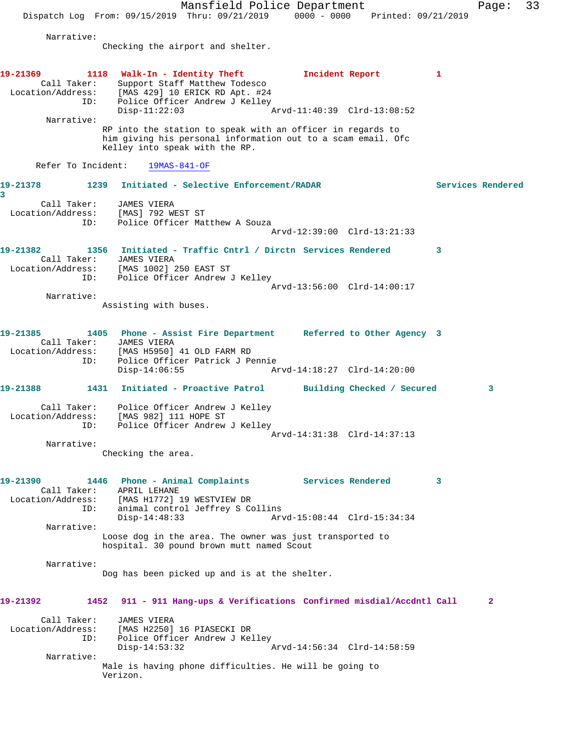Mansfield Police Department Page: 33 Dispatch Log From: 09/15/2019 Thru: 09/21/2019 0000 - 0000 Printed: 09/21/2019 Narrative: Checking the airport and shelter. 19-21369 1118 Walk-In - Identity Theft **Incident Report** 1 Call Taker: Support Staff Matthew Todesco Location/Address: [MAS 429] 10 ERICK RD Apt. #24 ID: Police Officer Andrew J Kelley<br>Disp-11:22:03 Disp-11:22:03 Arvd-11:40:39 Clrd-13:08:52 Narrative: RP into the station to speak with an officer in regards to him giving his personal information out to a scam email. Ofc Kelley into speak with the RP. Refer To Incident: 19MAS-841-OF **19-21378 1239 Initiated - Selective Enforcement/RADAR Services Rendered 3**  Call Taker: JAMES VIERA Location/Address: [MAS] 792 WEST ST ID: Police Officer Matthew A Souza Arvd-12:39:00 Clrd-13:21:33 **19-21382 1356 Initiated - Traffic Cntrl / Dirctn Services Rendered 3**  Call Taker: JAMES VIERA Location/Address: [MAS 1002] 250 EAST ST ID: Police Officer Andrew J Kelley Arvd-13:56:00 Clrd-14:00:17 Narrative: Assisting with buses. **19-21385 1405 Phone - Assist Fire Department Referred to Other Agency 3**  Call Taker: JAMES VIERA Location/Address: [MAS H5950] 41 OLD FARM RD<br>ID: Police Officer Patrick J Pe Police Officer Patrick J Pennie<br>Disp-14:06:55 Ar Disp-14:06:55 Arvd-14:18:27 Clrd-14:20:00 **19-21388 1431 Initiated - Proactive Patrol Building Checked / Secured 3** Call Taker: Police Officer Andrew J Kelley Location/Address: [MAS 982] 111 HOPE ST ID: Police Officer Andrew J Kelley Arvd-14:31:38 Clrd-14:37:13 Narrative: Checking the area. **19-21390 1446 Phone - Animal Complaints Services Rendered 3**  Call Taker: APRIL LEHANE Location/Address: [MAS H1772] 19 WESTVIEW DR ID: animal control Jeffrey S Collins<br>Disp-14:48:33 Arv Arvd-15:08:44 Clrd-15:34:34 Narrative: Loose dog in the area. The owner was just transported to hospital. 30 pound brown mutt named Scout Narrative: Dog has been picked up and is at the shelter. **19-21392 1452 911 - 911 Hang-ups & Verifications Confirmed misdial/Accdntl Call 2** Call Taker: JAMES VIERA Location/Address: [MAS H2250] 16 PIASECKI DR ID: Police Officer Andrew J Kelley Disp-14:53:32 Arvd-14:56:34 Clrd-14:58:59 Narrative: Male is having phone difficulties. He will be going to Verizon.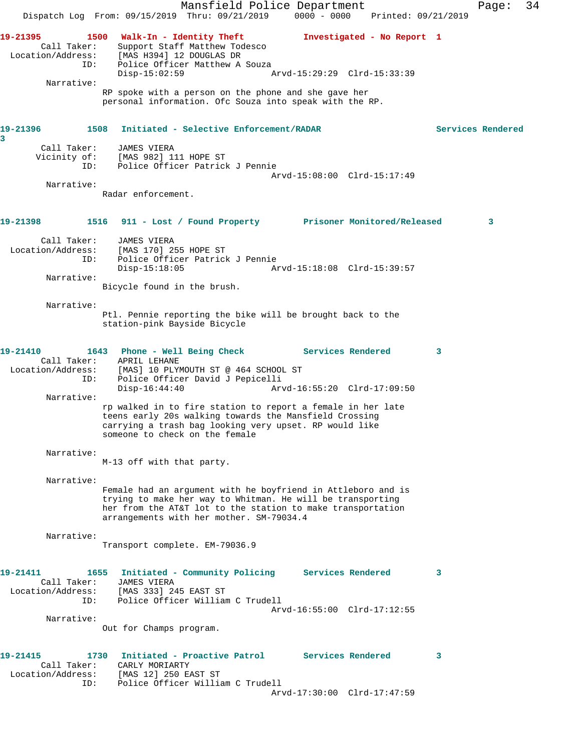Mansfield Police Department Page: 34 Dispatch Log From: 09/15/2019 Thru: 09/21/2019 0000 - 0000 Printed: 09/21/2019 **19-21395 1500 Walk-In - Identity Theft Investigated - No Report 1**  Call Taker: Support Staff Matthew Todesco Location/Address: [MAS H394] 12 DOUGLAS DR ID: Police Officer Matthew A Souza Disp-15:02:59 Arvd-15:29:29 Clrd-15:33:39 Narrative: RP spoke with a person on the phone and she gave her personal information. Ofc Souza into speak with the RP. **19-21396 1508 Initiated - Selective Enforcement/RADAR Services Rendered 3**  Call Taker: JAMES VIERA Vicinity of: [MAS 982] 111 HOPE ST ID: Police Officer Patrick J Pennie Arvd-15:08:00 Clrd-15:17:49 Narrative: Radar enforcement. **19-21398 1516 911 - Lost / Found Property Prisoner Monitored/Released 3** Call Taker: JAMES VIERA Location/Address: [MAS 170] 255 HOPE ST ID: Police Officer Patrick J Pennie Disp-15:18:05 Arvd-15:18:08 Clrd-15:39:57 Narrative: Bicycle found in the brush. Narrative: Ptl. Pennie reporting the bike will be brought back to the station-pink Bayside Bicycle **19-21410 1643 Phone - Well Being Check Services Rendered 3**  Call Taker: APRIL LEHANE<br>Location/Address: [MAS] 10 PLY! [MAS] 10 PLYMOUTH ST @ 464 SCHOOL ST ID: Police Officer David J Pepicelli<br>Disp-16:44:40 Arv Arvd-16:55:20 Clrd-17:09:50 Narrative: rp walked in to fire station to report a female in her late teens early 20s walking towards the Mansfield Crossing carrying a trash bag looking very upset. RP would like someone to check on the female Narrative: M-13 off with that party. Narrative: Female had an argument with he boyfriend in Attleboro and is trying to make her way to Whitman. He will be transporting her from the AT&T lot to the station to make transportation arrangements with her mother. SM-79034.4 Narrative: Transport complete. EM-79036.9 **19-21411 1655 Initiated - Community Policing Services Rendered 3**  Call Taker: JAMES VIERA Location/Address: [MAS 333] 245 EAST ST ID: Police Officer William C Trudell Arvd-16:55:00 Clrd-17:12:55 Narrative: Out for Champs program. **19-21415 1730 Initiated - Proactive Patrol Services Rendered 3**  Call Taker: CARLY MORIARTY Location/Address: [MAS 12] 250 EAST ST ID: Police Officer William C Trudell Arvd-17:30:00 Clrd-17:47:59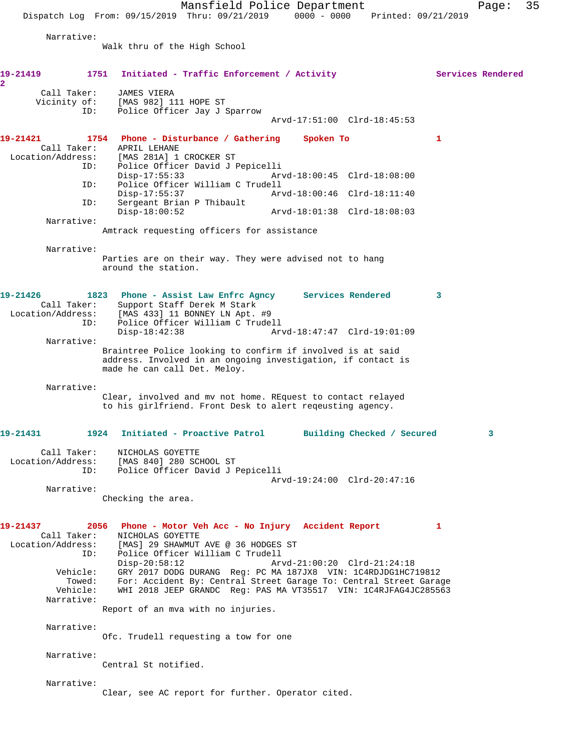Mansfield Police Department Fage: 35 Dispatch Log From: 09/15/2019 Thru: 09/21/2019 0000 - 0000 Printed: 09/21/2019 Narrative: Walk thru of the High School 19-21419 1751 Initiated - Traffic Enforcement / Activity **Services Rendered 2**  Call Taker: JAMES VIERA Vicinity of: [MAS 982] 111 HOPE ST ID: Police Officer Jay J Sparrow Arvd-17:51:00 Clrd-18:45:53 **19-21421 1754 Phone - Disturbance / Gathering Spoken To 1**  Call Taker: APRIL LEHANE Location/Address: [MAS 281A] 1 CROCKER ST ID: Police Officer David J Pepicelli Arvd-18:00:45 Clrd-18:08:00 ID: Police Officer William C Trudell Disp-17:55:37 Arvd-18:00:46 Clrd-18:11:40<br>ID: Sergeant Brian P Thibault Sergeant Brian P Thibault<br>Disp-18:00:52 Disp-18:00:52 Arvd-18:01:38 Clrd-18:08:03 Narrative: Amtrack requesting officers for assistance Narrative: Parties are on their way. They were advised not to hang around the station. **19-21426 1823 Phone - Assist Law Enfrc Agncy Services Rendered 3**  Call Taker: Support Staff Derek M Stark Location/Address: [MAS 433] 11 BONNEY LN Apt. #9 ID: Police Officer William C Trudell Disp-18:42:38 Arvd-18:47:47 Clrd-19:01:09 Narrative: Braintree Police looking to confirm if involved is at said address. Involved in an ongoing investigation, if contact is made he can call Det. Meloy. Narrative: Clear, involved and mv not home. REquest to contact relayed to his girlfriend. Front Desk to alert reqeusting agency. **19-21431 1924 Initiated - Proactive Patrol Building Checked / Secured 3** Call Taker: NICHOLAS GOYETTE Location/Address: [MAS 840] 280 SCHOOL ST<br>ID: Police Officer David J I Police Officer David J Pepicelli Arvd-19:24:00 Clrd-20:47:16 Narrative: Checking the area. **19-21437 2056 Phone - Motor Veh Acc - No Injury Accident Report 1**  Call Taker: NICHOLAS GOYETTE Location/Address: [MAS] 29 SHAWMUT AVE @ 36 HODGES ST ID: Police Officer William C Trudell Disp-20:58:12 Arvd-21:00:20 Clrd-21:24:18 Vehicle: GRY 2017 DODG DURANG Reg: PC MA 187JX8 VIN: 1C4RDJDG1HC719812 Towed: For: Accident By: Central Street Garage To: Central Street Garage Vehicle: WHI 2018 JEEP GRANDC Reg: PAS MA VT35517 VIN: 1C4RJFAG4JC285563 Narrative: Report of an mva with no injuries. Narrative: Ofc. Trudell requesting a tow for one Narrative: Central St notified. Narrative: Clear, see AC report for further. Operator cited.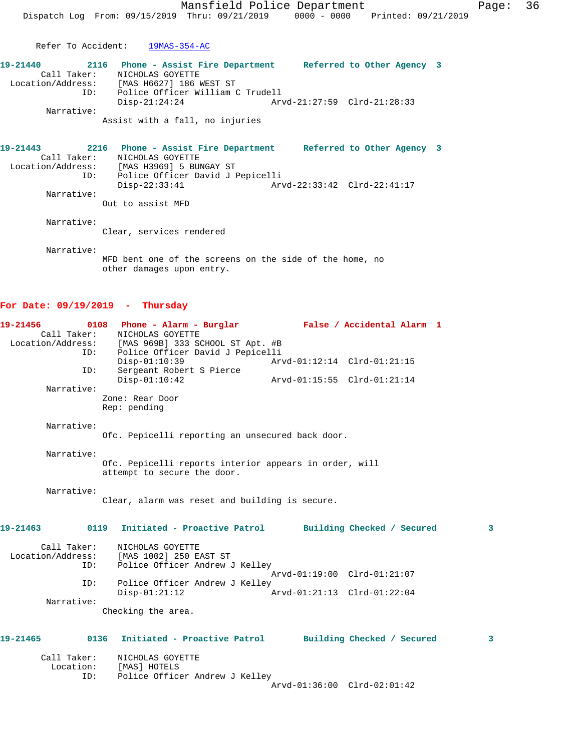Refer To Accident: 19MAS-354-AC

| 19-21440          | 2116 | Phone - Assist Fire Department   |                             | Referred to Other Agency 3 |  |
|-------------------|------|----------------------------------|-----------------------------|----------------------------|--|
| Call Taker:       |      | NICHOLAS GOYETTE                 |                             |                            |  |
| Location/Address: |      | [MAS H6627] 186 WEST ST          |                             |                            |  |
|                   | ID:  | Police Officer William C Trudell |                             |                            |  |
|                   |      | Disp-21:24:24                    | Arvd-21:27:59 Clrd-21:28:33 |                            |  |
| Narrative:        |      |                                  |                             |                            |  |
|                   |      | Assist with a fall, no injuries  |                             |                            |  |

**19-21443 2216 Phone - Assist Fire Department Referred to Other Agency 3**  Call Taker: NICHOLAS GOYETTE Location/Address: [MAS H3969] 5 BUNGAY ST ID: Police Officer David J Pepicelli Disp-22:33:41 Arvd-22:33:42 Clrd-22:41:17 Narrative: Out to assist MFD

Narrative:

Clear, services rendered

Narrative:

MFD bent one of the screens on the side of the home, no other damages upon entry.

## **For Date: 09/19/2019 - Thursday**

| 19-21456    |     | 0108 Phone - Alarm - Burglar                                                                            |                             | False / Accidental Alarm 1  |   |
|-------------|-----|---------------------------------------------------------------------------------------------------------|-----------------------------|-----------------------------|---|
| Call Taker: |     | NICHOLAS GOYETTE                                                                                        |                             |                             |   |
|             |     | Location/Address: [MAS 969B] 333 SCHOOL ST Apt. #B                                                      |                             |                             |   |
|             | ID: | Police Officer David J Pepicelli                                                                        |                             |                             |   |
|             |     | $Disp-01:10:39$                                                                                         |                             | Arvd-01:12:14 Clrd-01:21:15 |   |
|             | ID: | Sergeant Robert S Pierce                                                                                |                             |                             |   |
|             |     | $Disp-01:10:42$                                                                                         | Arvd-01:15:55 Clrd-01:21:14 |                             |   |
| Narrative:  |     |                                                                                                         |                             |                             |   |
|             |     | Zone: Rear Door                                                                                         |                             |                             |   |
|             |     | Rep: pending                                                                                            |                             |                             |   |
| Narrative:  |     |                                                                                                         |                             |                             |   |
|             |     | Ofc. Pepicelli reporting an unsecured back door.                                                        |                             |                             |   |
|             |     |                                                                                                         |                             |                             |   |
| Narrative:  |     |                                                                                                         |                             |                             |   |
|             |     | Ofc. Pepicelli reports interior appears in order, will                                                  |                             |                             |   |
|             |     | attempt to secure the door.                                                                             |                             |                             |   |
|             |     |                                                                                                         |                             |                             |   |
| Narrative:  |     |                                                                                                         |                             |                             |   |
|             |     | Clear, alarm was reset and building is secure.                                                          |                             |                             |   |
|             |     |                                                                                                         |                             |                             |   |
| 19-21463    |     | 0119 Initiated - Proactive Patrol Building Checked / Secured                                            |                             |                             | 3 |
|             |     |                                                                                                         |                             |                             |   |
| Call Taker: |     | NICHOLAS GOYETTE                                                                                        |                             |                             |   |
|             |     |                                                                                                         |                             |                             |   |
|             | ID: | Location/Address: [MAS 1002] 250 EAST ST<br>ID: Police Officer Andrew<br>Police Officer Andrew J Kelley |                             |                             |   |
|             |     |                                                                                                         |                             | Arvd-01:19:00 Clrd-01:21:07 |   |
|             | ID: | Police Officer Andrew J Kelley                                                                          |                             |                             |   |
|             |     | $Disp-01:21:12$                                                                                         | Arvd-01:21:13 Clrd-01:22:04 |                             |   |
| Narrative:  |     |                                                                                                         |                             |                             |   |
|             |     | Checking the area.                                                                                      |                             |                             |   |
|             |     |                                                                                                         |                             |                             |   |
|             |     |                                                                                                         |                             |                             |   |
| 19-21465    |     | 0136 Initiated - Proactive Patrol Building Checked / Secured                                            |                             |                             | 3 |
|             |     |                                                                                                         |                             |                             |   |
| Call Taker: |     | NICHOLAS GOYETTE                                                                                        |                             |                             |   |
|             |     | Location: [MAS] HOTELS                                                                                  |                             |                             |   |
|             | ID: | Police Officer Andrew J Kelley                                                                          |                             | Arvd-01:36:00 Clrd-02:01:42 |   |
|             |     |                                                                                                         |                             |                             |   |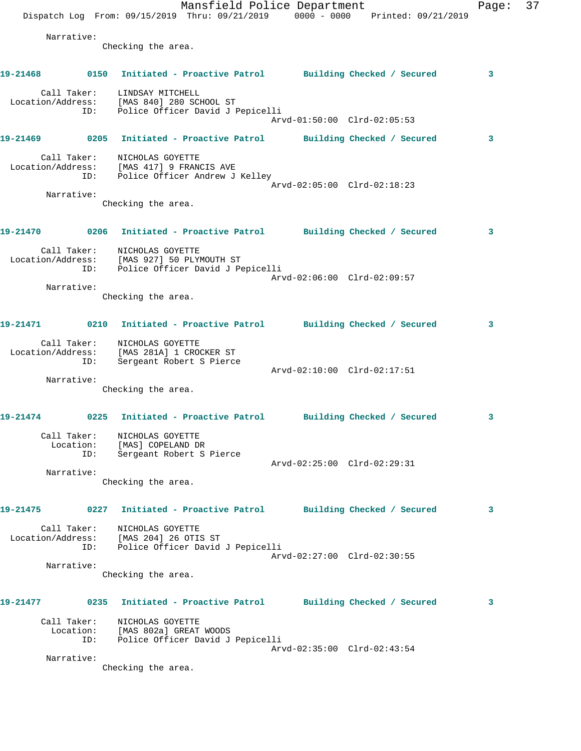|                   |                    | Dispatch Log From: 09/15/2019 Thru: 09/21/2019 0000 - 0000 Printed: 09/21/2019                                | Mansfield Police Department |                             |  | Page: | 37 |
|-------------------|--------------------|---------------------------------------------------------------------------------------------------------------|-----------------------------|-----------------------------|--|-------|----|
|                   | Narrative:         | Checking the area.                                                                                            |                             |                             |  |       |    |
|                   |                    | 19-21468 0150 Initiated - Proactive Patrol Building Checked / Secured                                         |                             |                             |  | 3     |    |
|                   | ID:                | Call Taker: LINDSAY MITCHELL<br>Location/Address: [MAS 840] 280 SCHOOL ST<br>Police Officer David J Pepicelli |                             | Arvd-01:50:00 Clrd-02:05:53 |  |       |    |
| 19-21469          |                    | 0205 Initiated - Proactive Patrol Building Checked / Secured                                                  |                             |                             |  | 3     |    |
| Location/Address: | ID:                | Call Taker: NICHOLAS GOYETTE<br>[MAS 417] 9 FRANCIS AVE<br>Police Officer Andrew J Kelley                     |                             | Arvd-02:05:00 Clrd-02:18:23 |  |       |    |
|                   | Narrative:         | Checking the area.                                                                                            |                             |                             |  |       |    |
| 19-21470          |                    | 0206 Initiated - Proactive Patrol Building Checked / Secured                                                  |                             |                             |  | 3     |    |
| Location/Address: | ID:                | Call Taker: NICHOLAS GOYETTE<br>[MAS 927] 50 PLYMOUTH ST<br>Police Officer David J Pepicelli                  |                             | Arvd-02:06:00 Clrd-02:09:57 |  |       |    |
|                   | Narrative:         | Checking the area.                                                                                            |                             |                             |  |       |    |
|                   |                    | 19-21471   0210   Initiated - Proactive Patrol   Building Checked / Secured                                   |                             |                             |  | 3     |    |
|                   | ID:                | Call Taker: NICHOLAS GOYETTE<br>Location/Address: [MAS 281A] 1 CROCKER ST<br>Sergeant Robert S Pierce         |                             | Arvd-02:10:00 Clrd-02:17:51 |  |       |    |
|                   | Narrative:         | Checking the area.                                                                                            |                             |                             |  |       |    |
| 19-21474          |                    | 0225 Initiated - Proactive Patrol Building Checked / Secured                                                  |                             |                             |  | 3     |    |
|                   | ID:                | Call Taker: NICHOLAS GOYETTE<br>Location: [MAS] COPELAND DR<br>Sergeant Robert S Pierce                       |                             |                             |  |       |    |
|                   | Narrative:         | Checking the area.                                                                                            |                             | Arvd-02:25:00 Clrd-02:29:31 |  |       |    |
| 19-21475          |                    | 0227 Initiated - Proactive Patrol                                                                             |                             | Building Checked / Secured  |  | 3     |    |
| Location/Address: | Call Taker:<br>ID: | NICHOLAS GOYETTE<br>[MAS 204] 26 OTIS ST<br>Police Officer David J Pepicelli                                  |                             |                             |  |       |    |
|                   | Narrative:         | Checking the area.                                                                                            |                             | Arvd-02:27:00 Clrd-02:30:55 |  |       |    |
| 19-21477          |                    | 0235 Initiated - Proactive Patrol Building Checked / Secured                                                  |                             |                             |  | 3     |    |
|                   | ID:                | Call Taker: NICHOLAS GOYETTE<br>Location: [MAS 802a] GREAT WOODS<br>Police Officer David J Pepicelli          |                             |                             |  |       |    |
|                   | Narrative:         | Checking the area.                                                                                            |                             | Arvd-02:35:00 Clrd-02:43:54 |  |       |    |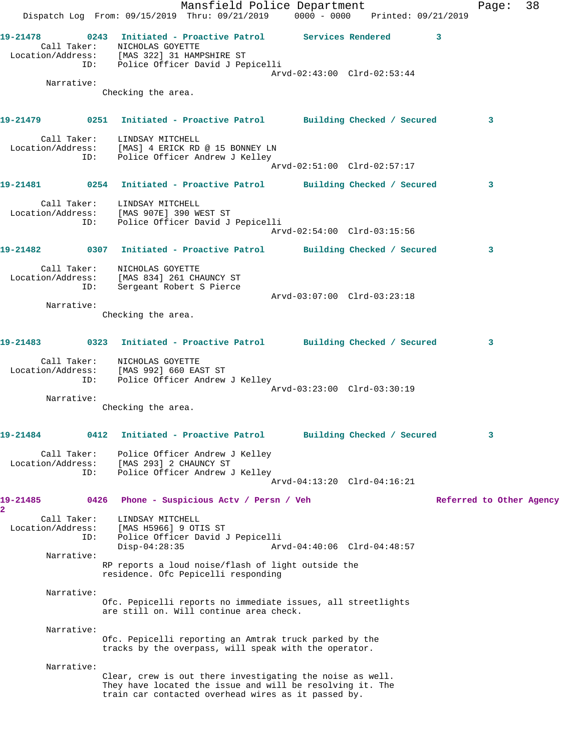|                                     |                    | Dispatch Log From: 09/15/2019 Thru: 09/21/2019 0000 - 0000 Printed: 09/21/2019                                                                                                               | Mansfield Police Department           |  |                             | Page:                    | 38 |
|-------------------------------------|--------------------|----------------------------------------------------------------------------------------------------------------------------------------------------------------------------------------------|---------------------------------------|--|-----------------------------|--------------------------|----|
|                                     |                    | 19-21478 		 0243 Initiated - Proactive Patrol Services Rendered 3<br>Call Taker:<br>NICHOLAS GOYETTE<br>Location/Address: [MAS 322] 31 HAMPSHIRE ST<br>ID: Police Officer David J Pepicelli  |                                       |  |                             |                          |    |
|                                     | Narrative:         | Checking the area.                                                                                                                                                                           |                                       |  | Arvd-02:43:00 Clrd-02:53:44 |                          |    |
|                                     |                    |                                                                                                                                                                                              |                                       |  |                             |                          |    |
|                                     |                    | 19-21479 		 0251 Initiated - Proactive Patrol 		 Building Checked / Secured                                                                                                                  |                                       |  |                             | 3                        |    |
|                                     |                    | Call Taker: LINDSAY MITCHELL<br>Location/Address: [MAS] 4 ERICK RD @ 15 BONNEY LN<br>ID: Police Officer Andrew J Kelley                                                                      |                                       |  | Arvd-02:51:00 Clrd-02:57:17 |                          |    |
|                                     |                    | 19-21481 		 0254 Initiated - Proactive Patrol 		 Building Checked / Secured                                                                                                                  |                                       |  |                             | 3                        |    |
|                                     |                    | Call Taker: LINDSAY MITCHELL<br>Location/Address: [MAS 907E] 390 WEST ST<br>ID: Police Officer David J Pepicelli                                                                             |                                       |  | Arvd-02:54:00 Clrd-03:15:56 |                          |    |
|                                     |                    |                                                                                                                                                                                              |                                       |  |                             |                          |    |
|                                     |                    | 19-21482 		 0307 Initiated - Proactive Patrol 		 Building Checked / Secured<br>Call Taker:<br>NICHOLAS GOYETTE<br>Location/Address: [MAS 834] 261 CHAUNCY ST<br>ID: Sergeant Robert S Pierce |                                       |  |                             | 3                        |    |
|                                     | Narrative:         |                                                                                                                                                                                              |                                       |  | Arvd-03:07:00 Clrd-03:23:18 |                          |    |
|                                     |                    | Checking the area.                                                                                                                                                                           |                                       |  |                             |                          |    |
|                                     |                    | 19-21483   0323 Initiated - Proactive Patrol   Building Checked / Secured                                                                                                                    |                                       |  |                             | 3                        |    |
|                                     |                    | Call Taker: NICHOLAS GOYETTE<br>Location/Address: [MAS 992] 660 EAST ST<br>ID: Police Officer Andrew J Kelley                                                                                |                                       |  | Arvd-03:23:00 Clrd-03:30:19 |                          |    |
|                                     | Narrative:         |                                                                                                                                                                                              |                                       |  |                             |                          |    |
|                                     |                    | Checking the area.                                                                                                                                                                           |                                       |  |                             |                          |    |
| 19-21484                            | 0412               |                                                                                                                                                                                              | Initiated - Proactive Patrol          |  | Building Checked / Secured  | 3                        |    |
| Location/Address:                   | Call Taker:<br>ID: | Police Officer Andrew J Kelley<br>[MAS 293] 2 CHAUNCY ST<br>Police Officer Andrew J Kelley                                                                                                   |                                       |  |                             |                          |    |
|                                     |                    |                                                                                                                                                                                              |                                       |  | Arvd-04:13:20 Clrd-04:16:21 |                          |    |
| 19-21485<br>$\overline{\mathbf{2}}$ | 0426               |                                                                                                                                                                                              | Phone - Suspicious Acty / Persn / Veh |  |                             | Referred to Other Agency |    |
| Location/Address:                   | Call Taker:<br>ID: | LINDSAY MITCHELL<br>[MAS H5966] 9 OTIS ST<br>Police Officer David J Pepicelli<br>$Disp-04:28:35$                                                                                             |                                       |  | Arvd-04:40:06 Clrd-04:48:57 |                          |    |
|                                     | Narrative:         | RP reports a loud noise/flash of light outside the<br>residence. Ofc Pepicelli responding                                                                                                    |                                       |  |                             |                          |    |
|                                     |                    |                                                                                                                                                                                              |                                       |  |                             |                          |    |
|                                     | Narrative:         | Ofc. Pepicelli reports no immediate issues, all streetlights<br>are still on. Will continue area check.                                                                                      |                                       |  |                             |                          |    |
|                                     | Narrative:         | Ofc. Pepicelli reporting an Amtrak truck parked by the<br>tracks by the overpass, will speak with the operator.                                                                              |                                       |  |                             |                          |    |
|                                     | Narrative:         | Clear, crew is out there investigating the noise as well.                                                                                                                                    |                                       |  |                             |                          |    |
|                                     |                    | They have located the issue and will be resolving it. The<br>train car contacted overhead wires as it passed by.                                                                             |                                       |  |                             |                          |    |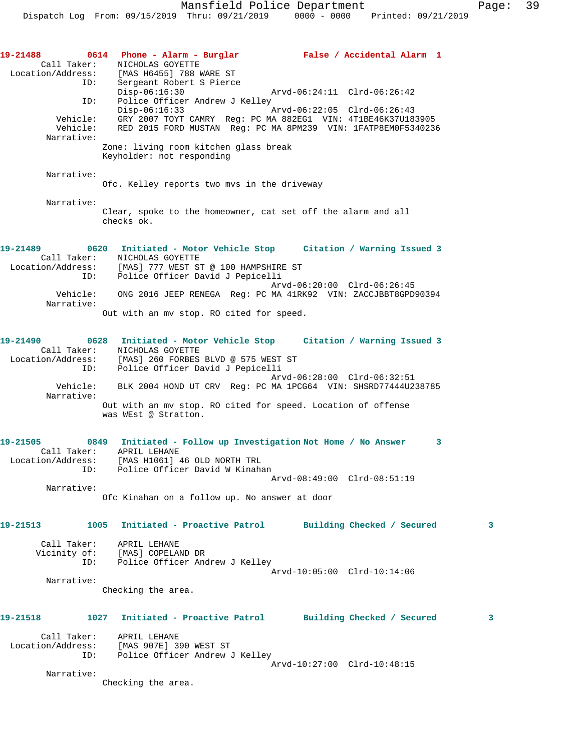| 19-21488<br>Call Taker:<br>Location/Address:<br>ID:<br>ID: | 0614 Phone - Alarm - Burglar Mark False / Accidental Alarm 1<br>NICHOLAS GOYETTE<br>[MAS H6455] 788 WARE ST<br>Sergeant Robert S Pierce<br>$Disp-06:16:30$<br>Arvd-06:24:11 Clrd-06:26:42<br>Police Officer Andrew J Kelley |
|------------------------------------------------------------|-----------------------------------------------------------------------------------------------------------------------------------------------------------------------------------------------------------------------------|
| Vehicle:<br>Vehicle:<br>Narrative:                         | $Disp-06:16:33$<br>Arvd-06:22:05 Clrd-06:26:43<br>GRY 2007 TOYT CAMRY Reg: PC MA 882EG1 VIN: 4T1BE46K37U183905<br>RED 2015 FORD MUSTAN Reg: PC MA 8PM239 VIN: 1FATP8EM0F5340236                                             |
|                                                            | Zone: living room kitchen glass break<br>Keyholder: not responding                                                                                                                                                          |
| Narrative:                                                 | Ofc. Kelley reports two mys in the driveway                                                                                                                                                                                 |
| Narrative:                                                 | Clear, spoke to the homeowner, cat set off the alarm and all<br>checks ok.                                                                                                                                                  |
| 19-21489<br>ID:                                            | 0620 Initiated - Motor Vehicle Stop Citation / Warning Issued 3<br>Call Taker: NICHOLAS GOYETTE<br>Location/Address: [MAS] 777 WEST ST @ 100 HAMPSHIRE ST<br>Police Officer David J Pepicelli                               |
| Vehicle:<br>Narrative:                                     | Arvd-06:20:00 Clrd-06:26:45<br>ONG 2016 JEEP RENEGA Req: PC MA 41RK92 VIN: ZACCJBBT8GPD90394<br>Out with an my stop. RO cited for speed.                                                                                    |
|                                                            |                                                                                                                                                                                                                             |
| 19-21490<br>Location/Address:<br>ID:                       | 0628 Initiated - Motor Vehicle Stop Citation / Warning Issued 3<br>Call Taker: NICHOLAS GOYETTE<br>[MAS] 260 FORBES BLVD @ 575 WEST ST<br>Police Officer David J Pepicelli                                                  |
| Vehicle:<br>Narrative:                                     | Arvd-06:28:00 Clrd-06:32:51<br>BLK 2004 HOND UT CRV Reg: PC MA 1PCG64 VIN: SHSRD77444U238785                                                                                                                                |
|                                                            | Out with an mv stop. RO cited for speed. Location of offense<br>was WEst @ Stratton.                                                                                                                                        |
| 19-21505<br>Location/Address:                              | 0849 Initiated - Follow up Investigation Not Home / No Answer<br>3<br>Call Taker: APRIL LEHANE<br>[MAS H1061] 46 OLD NORTH TRL<br>ID: Police Officer David W Kinahan<br>Arvd-08:49:00 Clrd-08:51:19                         |
| Narrative:                                                 | Ofc Kinahan on a follow up. No answer at door                                                                                                                                                                               |
|                                                            |                                                                                                                                                                                                                             |
| 19-21513                                                   | 1005 Initiated - Proactive Patrol Building Checked / Secured<br>3                                                                                                                                                           |
| Call Taker:                                                | APRIL LEHANE<br>Vicinity of: [MAS] COPELAND DR<br>Police Officer Andrew J Kelley<br>ID:<br>Arvd-10:05:00 Clrd-10:14:06                                                                                                      |
| Narrative:                                                 |                                                                                                                                                                                                                             |
|                                                            | Checking the area.                                                                                                                                                                                                          |
| 19-21518                                                   | 1027 Initiated - Proactive Patrol Building Checked / Secured<br>3                                                                                                                                                           |
| Call Taker:<br>Location/Address:                           | APRIL LEHANE<br>[MAS 907E] 390 WEST ST<br>ID:<br>Police Officer Andrew J Kelley<br>Arvd-10:27:00 Clrd-10:48:15                                                                                                              |
| Narrative:                                                 | Checking the area.                                                                                                                                                                                                          |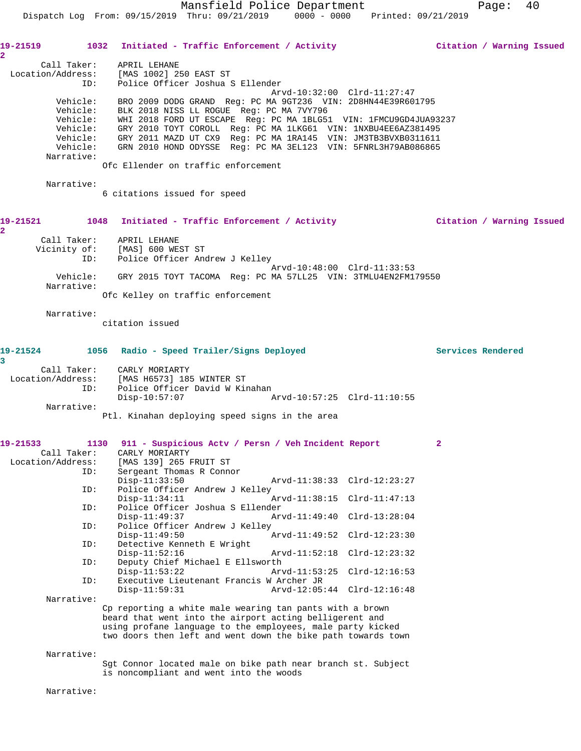| $\overline{\mathbf{2}}$       |                        | 19-21519 1032 Initiated - Traffic Enforcement / Activity 10 11 11 11 Citation / Warning Issued                                                                                                                                                                                                                                                                                                                                                              |                          |
|-------------------------------|------------------------|-------------------------------------------------------------------------------------------------------------------------------------------------------------------------------------------------------------------------------------------------------------------------------------------------------------------------------------------------------------------------------------------------------------------------------------------------------------|--------------------------|
|                               | ID:                    | Call Taker: APRIL LEHANE<br>Location/Address: [MAS 1002] 250 EAST ST<br>Police Officer Joshua S Ellender                                                                                                                                                                                                                                                                                                                                                    |                          |
|                               | Vehicle:<br>Narrative: | Arvd-10:32:00 Clrd-11:27:47<br>BRO 2009 DODG GRAND Reg: PC MA 9GT236 VIN: 2D8HN44E39R601795<br>Vehicle: BLK 2018 NISS LL ROGUE Reg: PC MA 7VY796<br>Vehicle: WHI 2018 FORD UT ESCAPE Reg: PC MA 1BLG51 VIN: 1FMCU9GD4JUA93237<br>Vehicle: GRY 2010 TOYT COROLL Reg: PC MA 1LKG61 VIN: 1NXBU4EE6AZ381495<br>Vehicle: GRY 2011 MAZD UT CX9 Reg: PC MA 1RA145 VIN: JM3TB3BVXB0311611<br>Vehicle: GRN 2010 HOND ODYSSE Reg: PC MA 3EL123 VIN: 5FNRL3H79AB086865 |                          |
|                               |                        | Ofc Ellender on traffic enforcement                                                                                                                                                                                                                                                                                                                                                                                                                         |                          |
|                               | Narrative:             | 6 citations issued for speed                                                                                                                                                                                                                                                                                                                                                                                                                                |                          |
| $\mathbf{2}^-$                |                        | 19-21521 1048 Initiated - Traffic Enforcement / Activity 19-21521 Citation / Warning Issued                                                                                                                                                                                                                                                                                                                                                                 |                          |
|                               |                        | Call Taker: APRIL LEHANE<br>Vicinity of: [MAS] 600 WEST ST<br>ID: Police Officer Andrew J Kelley                                                                                                                                                                                                                                                                                                                                                            |                          |
|                               | Narrative:             | Arvd-10:48:00 Clrd-11:33:53<br>Vehicle: GRY 2015 TOYT TACOMA Req: PC MA 57LL25 VIN: 3TMLU4EN2FM179550                                                                                                                                                                                                                                                                                                                                                       |                          |
|                               |                        | Ofc Kelley on traffic enforcement                                                                                                                                                                                                                                                                                                                                                                                                                           |                          |
|                               | Narrative:             | citation issued                                                                                                                                                                                                                                                                                                                                                                                                                                             |                          |
| $\overline{\mathbf{3}}$       |                        | 19-21524 1056 Radio - Speed Trailer/Signs Deployed                                                                                                                                                                                                                                                                                                                                                                                                          | <b>Services Rendered</b> |
|                               |                        | Call Taker: CARLY MORIARTY<br>Location/Address: [MAS H6573] 185 WINTER ST                                                                                                                                                                                                                                                                                                                                                                                   |                          |
|                               | ID:                    | Police Officer David W Kinahan                                                                                                                                                                                                                                                                                                                                                                                                                              |                          |
|                               | Narrative:             | Disp-10:57:07                                                                                                                                                                                                                                                                                                                                                                                                                                               |                          |
|                               |                        | Ptl. Kinahan deploying speed signs in the area                                                                                                                                                                                                                                                                                                                                                                                                              |                          |
| 19-21533<br>Location/Address: |                        | 1130 911 - Suspicious Actv / Persn / Veh Incident Report<br>Call Taker: CARLY MORIARTY<br>[MAS 139] 265 FRUIT ST                                                                                                                                                                                                                                                                                                                                            | $\mathbf{2}$             |
|                               | ID:                    | Sergeant Thomas R Connor<br>$Disp-11:33:50$<br>Arvd-11:38:33 Clrd-12:23:27                                                                                                                                                                                                                                                                                                                                                                                  |                          |
|                               | ID:                    | Police Officer Andrew J Kelley                                                                                                                                                                                                                                                                                                                                                                                                                              |                          |
|                               | ID:                    | $Disp-11:34:11$<br>Arvd-11:38:15 Clrd-11:47:13<br>Police Officer Joshua S Ellender                                                                                                                                                                                                                                                                                                                                                                          |                          |
|                               | ID:                    | $Disp-11:49:37$<br>Arvd-11:49:40 Clrd-13:28:04<br>Police Officer Andrew J Kelley                                                                                                                                                                                                                                                                                                                                                                            |                          |
|                               | ID:                    | $Disp-11:49:50$<br>Arvd-11:49:52 Clrd-12:23:30<br>Detective Kenneth E Wright                                                                                                                                                                                                                                                                                                                                                                                |                          |
|                               | ID:                    | $Disp-11:52:16$<br>Arvd-11:52:18 Clrd-12:23:32<br>Deputy Chief Michael E Ellsworth                                                                                                                                                                                                                                                                                                                                                                          |                          |
|                               |                        | $Disp-11:53:22$<br>Arvd-11:53:25 Clrd-12:16:53<br>Executive Lieutenant Francis W Archer JR                                                                                                                                                                                                                                                                                                                                                                  |                          |
|                               | ID:                    | Arvd-12:05:44 Clrd-12:16:48<br>$Disp-11:59:31$                                                                                                                                                                                                                                                                                                                                                                                                              |                          |
|                               | Narrative:             | Cp reporting a white male wearing tan pants with a brown<br>beard that went into the airport acting belligerent and<br>using profane language to the employees, male party kicked<br>two doors then left and went down the bike path towards town                                                                                                                                                                                                           |                          |
|                               | Narrative:             |                                                                                                                                                                                                                                                                                                                                                                                                                                                             |                          |
|                               |                        | Sgt Connor located male on bike path near branch st. Subject<br>is noncompliant and went into the woods                                                                                                                                                                                                                                                                                                                                                     |                          |
|                               | Narrative:             |                                                                                                                                                                                                                                                                                                                                                                                                                                                             |                          |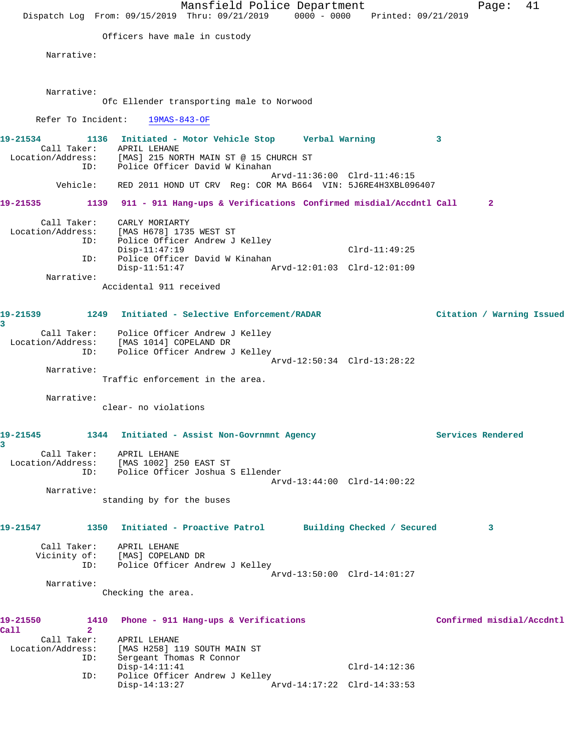|                                  | Dispatch Log From: 09/15/2019 Thru: 09/21/2019 0000 - 0000 Printed: 09/21/2019                                           | Mansfield Police Department |                             |   | Page:                     | 41 |
|----------------------------------|--------------------------------------------------------------------------------------------------------------------------|-----------------------------|-----------------------------|---|---------------------------|----|
|                                  |                                                                                                                          |                             |                             |   |                           |    |
|                                  | Officers have male in custody                                                                                            |                             |                             |   |                           |    |
| Narrative:                       |                                                                                                                          |                             |                             |   |                           |    |
| Narrative:                       |                                                                                                                          |                             |                             |   |                           |    |
|                                  | Ofc Ellender transporting male to Norwood                                                                                |                             |                             |   |                           |    |
| Refer To Incident:               | 19MAS-843-OF                                                                                                             |                             |                             |   |                           |    |
| 19-21534                         | 1136 Initiated - Motor Vehicle Stop Verbal Warning                                                                       |                             |                             | 3 |                           |    |
| ID:                              | Call Taker: APRIL LEHANE<br>Location/Address: [MAS] 215 NORTH MAIN ST @ 15 CHURCH ST<br>Police Officer David W Kinahan   |                             |                             |   |                           |    |
|                                  | Vehicle: RED 2011 HOND UT CRV Reg: COR MA B664 VIN: 5J6RE4H3XBL096407                                                    |                             | Arvd-11:36:00 Clrd-11:46:15 |   |                           |    |
| 19-21535                         | 1139 911 - 911 Hang-ups & Verifications Confirmed misdial/Accdntl Call                                                   |                             |                             |   | $\mathbf{2}$              |    |
| Call Taker:                      | CARLY MORIARTY                                                                                                           |                             |                             |   |                           |    |
| ID:                              | Location/Address: [MAS H678] 1735 WEST ST<br>Police Officer Andrew J Kelley                                              |                             |                             |   |                           |    |
| ID:                              | $Disp-11:47:19$<br>Police Officer David W Kinahan                                                                        |                             | $Clrd-11:49:25$             |   |                           |    |
| Narrative:                       | $Disp-11:51:47$                                                                                                          |                             |                             |   |                           |    |
|                                  | Accidental 911 received                                                                                                  |                             |                             |   |                           |    |
| 19-21539<br>3                    | 1249 Initiated - Selective Enforcement/RADAR                                                                             |                             |                             |   | Citation / Warning Issued |    |
| ID:                              | Call Taker: Police Officer Andrew J Kelley<br>Location/Address: [MAS 1014] COPELAND DR<br>Police Officer Andrew J Kelley |                             |                             |   |                           |    |
|                                  |                                                                                                                          |                             | Arvd-12:50:34 Clrd-13:28:22 |   |                           |    |
| Narrative:                       | Traffic enforcement in the area.                                                                                         |                             |                             |   |                           |    |
| Narrative:                       |                                                                                                                          |                             |                             |   |                           |    |
|                                  | clear- no violations                                                                                                     |                             |                             |   |                           |    |
| 19-21545<br>3                    | 1344 Initiated - Assist Non-Govrnmnt Agency                                                                              |                             |                             |   | Services Rendered         |    |
|                                  | Call Taker: APRIL LEHANE<br>Location/Address: [MAS 1002] 250 EAST ST                                                     |                             |                             |   |                           |    |
|                                  | ID: Police Officer Joshua S Ellender                                                                                     |                             | Arvd-13:44:00 Clrd-14:00:22 |   |                           |    |
| Narrative:                       |                                                                                                                          |                             |                             |   |                           |    |
|                                  | standing by for the buses                                                                                                |                             |                             |   |                           |    |
| 19-21547                         | 1350 Initiated - Proactive Patrol Building Checked / Secured                                                             |                             |                             |   | 3                         |    |
|                                  | Call Taker: APRIL LEHANE<br>Vicinity of: [MAS] COPELAND DR                                                               |                             |                             |   |                           |    |
|                                  | ID: Police Officer Andrew J Kelley                                                                                       |                             |                             |   |                           |    |
| Narrative:                       |                                                                                                                          |                             | Arvd-13:50:00 Clrd-14:01:27 |   |                           |    |
|                                  | Checking the area.                                                                                                       |                             |                             |   |                           |    |
| 19-21550<br>Call<br>$\mathbf{2}$ | 1410 Phone - 911 Hang-ups & Verifications                                                                                |                             |                             |   | Confirmed misdial/Accdntl |    |
| Call Taker:<br>Location/Address: | APRIL LEHANE<br>[MAS H258] 119 SOUTH MAIN ST                                                                             |                             |                             |   |                           |    |
| ID:                              | Sergeant Thomas R Connor                                                                                                 |                             |                             |   |                           |    |
| ID:                              | $Disp-14:11:41$<br>Police Officer Andrew J Kelley                                                                        |                             | $Clrd-14:12:36$             |   |                           |    |
|                                  | $Disp-14:13:27$                                                                                                          |                             | Arvd-14:17:22 Clrd-14:33:53 |   |                           |    |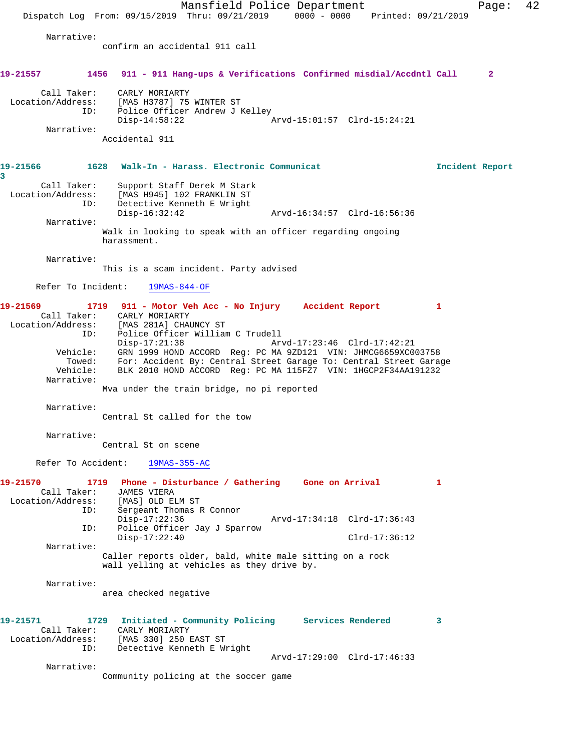Mansfield Police Department Fage: 42 Dispatch Log From: 09/15/2019 Thru: 09/21/2019 0000 - 0000 Printed: 09/21/2019 Narrative: confirm an accidental 911 call **19-21557 1456 911 - 911 Hang-ups & Verifications Confirmed misdial/Accdntl Call 2** Call Taker: CARLY MORIARTY Location/Address: [MAS H3787] 75 WINTER ST ID: Police Officer Andrew J Kelley Disp-14:58:22 Arvd-15:01:57 Clrd-15:24:21 Narrative: Accidental 911 **19-21566 1628 Walk-In - Harass. Electronic Communicat Incident Report 3**  Call Taker: Support Staff Derek M Stark Location/Address: [MAS H945] 102 FRANKLIN ST ID: Detective Kenneth E Wright Disp-16:32:42 Arvd-16:34:57 Clrd-16:56:36 Narrative: Walk in looking to speak with an officer regarding ongoing harassment. Narrative: This is a scam incident. Party advised Refer To Incident: 19MAS-844-OF **19-21569 1719 911 - Motor Veh Acc - No Injury Accident Report 1**  Call Taker: CARLY MORIARTY Location/Address: [MAS 281A] CHAUNCY ST ess: נשטאת נה ומוצא בית ומאז בית Police Officer William C Trudell<br>ID: Disp-17:21:38 Ar Disp-17:21:38 Arvd-17:23:46 Clrd-17:42:21 Vehicle: GRN 1999 HOND ACCORD Reg: PC MA 9ZD121 VIN: JHMCG6659XC003758 Towed: For: Accident By: Central Street Garage To: Central Street Garage Vehicle: BLK 2010 HOND ACCORD Reg: PC MA 115FZ7 VIN: 1HGCP2F34AA191232 Narrative: Mva under the train bridge, no pi reported Narrative: Central St called for the tow Narrative: Central St on scene Refer To Accident: 19MAS-355-AC **19-21570 1719 Phone - Disturbance / Gathering Gone on Arrival 1**  Call Taker: JAMES VIERA<br>Location/Address: [MAS] OLD EI Location/Address: [MAS] OLD ELM ST ID: Sergeant Thomas R Connor Disp-17:22:36 Arvd-17:34:18 Clrd-17:36:43 ID: Police Officer Jay J Sparrow Disp-17:22:40 Clrd-17:36:12 Narrative: Caller reports older, bald, white male sitting on a rock wall yelling at vehicles as they drive by. Narrative: area checked negative **19-21571 1729 Initiated - Community Policing Services Rendered 3**  Call Taker: CARLY MORIARTY Location/Address: [MAS 330] 250 EAST ST ID: Detective Kenneth E Wright Arvd-17:29:00 Clrd-17:46:33 Narrative: Community policing at the soccer game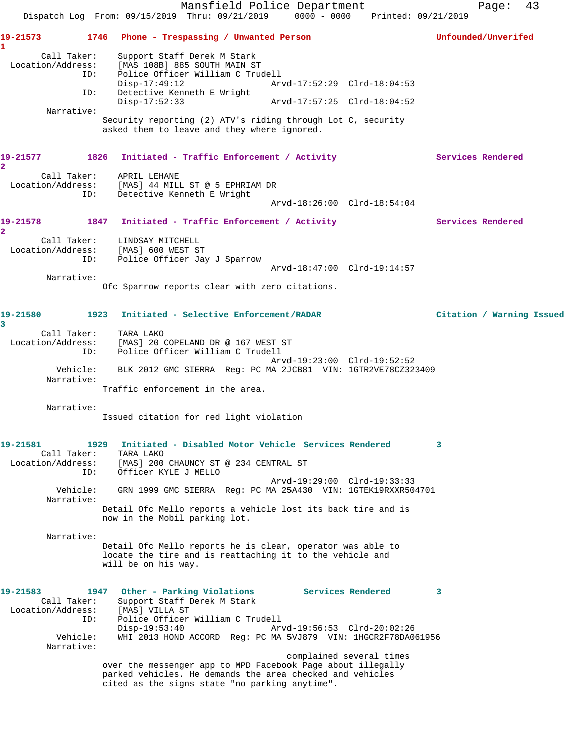|                                                                               | Mansfield Police Department<br>Dispatch Log From: 09/15/2019 Thru: 09/21/2019 0000 - 0000 Printed: 09/21/2019                                                                                                                                                          | 43<br>Page:               |
|-------------------------------------------------------------------------------|------------------------------------------------------------------------------------------------------------------------------------------------------------------------------------------------------------------------------------------------------------------------|---------------------------|
| 19-21573<br>1                                                                 | 1746 Phone - Trespassing / Unwanted Person                                                                                                                                                                                                                             | Unfounded/Unverifed       |
| Call Taker:<br>Location/Address:<br>ID:                                       | Support Staff Derek M Stark<br>[MAS 108B] 885 SOUTH MAIN ST<br>Police Officer William C Trudell<br>$Disp-17:49:12$<br>Arvd-17:52:29 Clrd-18:04:53                                                                                                                      |                           |
| ID:                                                                           | Detective Kenneth E Wright<br>$Disp-17:52:33$                                                                                                                                                                                                                          |                           |
| Narrative:                                                                    | Security reporting (2) ATV's riding through Lot C, security<br>asked them to leave and they where ignored.                                                                                                                                                             |                           |
| 19-21577<br>$\mathbf{2}$                                                      | 1826 Initiated - Traffic Enforcement / Activity                                                                                                                                                                                                                        | Services Rendered         |
|                                                                               | Call Taker: APRIL LEHANE<br>Location/Address: [MAS] 44 MILL ST @ 5 EPHRIAM DR<br>ID: Detective Kenneth E Wright<br>Arvd-18:26:00 Clrd-18:54:04                                                                                                                         |                           |
| 19-21578<br>$\overline{2}$                                                    | 1847 Initiated - Traffic Enforcement / Activity                                                                                                                                                                                                                        | <b>Services Rendered</b>  |
| ID:                                                                           | Call Taker: LINDSAY MITCHELL<br>Location/Address: [MAS] 600 WEST ST<br>Police Officer Jay J Sparrow                                                                                                                                                                    |                           |
| Narrative:                                                                    | Arvd-18:47:00 Clrd-19:14:57                                                                                                                                                                                                                                            |                           |
|                                                                               | Ofc Sparrow reports clear with zero citations.                                                                                                                                                                                                                         |                           |
| 19-21580<br>3                                                                 | 1923 Initiated - Selective Enforcement/RADAR                                                                                                                                                                                                                           | Citation / Warning Issued |
| Call Taker:<br>Location/Address:<br>ID:                                       | TARA LAKO<br>[MAS] 20 COPELAND DR @ 167 WEST ST<br>Police Officer William C Trudell                                                                                                                                                                                    |                           |
| Vehicle:<br>Narrative:                                                        | Arvd-19:23:00 Clrd-19:52:52<br>BLK 2012 GMC SIERRA Req: PC MA 2JCB81 VIN: 1GTR2VE78CZ323409                                                                                                                                                                            |                           |
|                                                                               | Traffic enforcement in the area.                                                                                                                                                                                                                                       |                           |
| Narrative:                                                                    | Issued citation for red light violation                                                                                                                                                                                                                                |                           |
| 19-21581<br>Call Taker:<br>Location/Address:<br>ID:                           | Initiated - Disabled Motor Vehicle Services Rendered<br>1929<br>TARA LAKO<br>[MAS] 200 CHAUNCY ST @ 234 CENTRAL ST<br>Officer KYLE J MELLO                                                                                                                             | 3                         |
| Vehicle:<br>Narrative:                                                        | Arvd-19:29:00 Clrd-19:33:33<br>GRN 1999 GMC SIERRA Reg: PC MA 25A430 VIN: 1GTEK19RXXR504701                                                                                                                                                                            |                           |
|                                                                               | Detail Ofc Mello reports a vehicle lost its back tire and is<br>now in the Mobil parking lot.                                                                                                                                                                          |                           |
| Narrative:                                                                    | Detail Ofc Mello reports he is clear, operator was able to<br>locate the tire and is reattaching it to the vehicle and<br>will be on his way.                                                                                                                          |                           |
| 19-21583<br>Call Taker:<br>Location/Address:<br>ID:<br>Vehicle:<br>Narrative: | Other - Parking Violations<br><b>Services Rendered</b><br>1947<br>Support Staff Derek M Stark<br>[MAS] VILLA ST<br>Police Officer William C Trudell<br>$Disp-19:53:40$<br>Arvd-19:56:53 Clrd-20:02:26<br>WHI 2013 HOND ACCORD Reg: PC MA 5VJ879 VIN: 1HGCR2F78DA061956 | 3                         |
|                                                                               | complained several times<br>over the messenger app to MPD Facebook Page about illegally<br>parked vehicles. He demands the area checked and vehicles<br>cited as the signs state "no parking anytime".                                                                 |                           |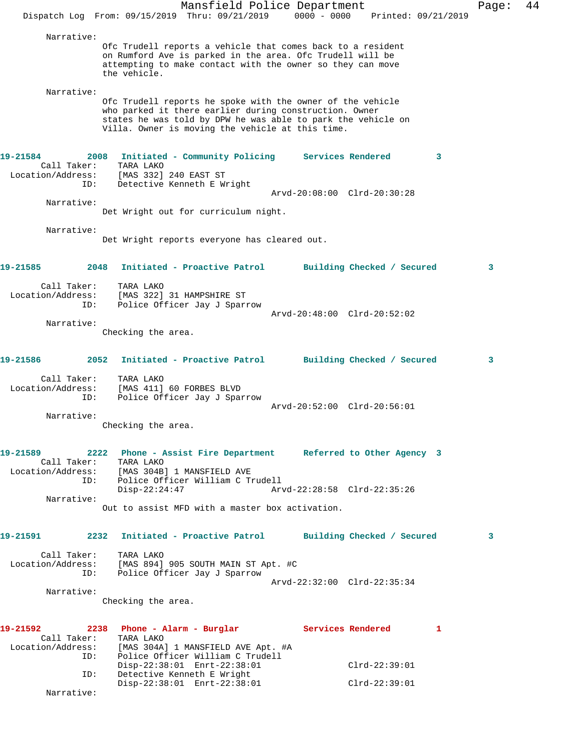|          |                                                 | Dispatch Log From: 09/15/2019 Thru: 09/21/2019                                                                                                                                                                                           | Mansfield Police Department  | $0000 - 0000$     |                                    | Printed: 09/21/2019 | Page: | 44 |
|----------|-------------------------------------------------|------------------------------------------------------------------------------------------------------------------------------------------------------------------------------------------------------------------------------------------|------------------------------|-------------------|------------------------------------|---------------------|-------|----|
|          | Narrative:                                      | Ofc Trudell reports a vehicle that comes back to a resident<br>on Rumford Ave is parked in the area. Ofc Trudell will be<br>attempting to make contact with the owner so they can move<br>the vehicle.                                   |                              |                   |                                    |                     |       |    |
|          | Narrative:                                      | Ofc Trudell reports he spoke with the owner of the vehicle<br>who parked it there earlier during construction. Owner<br>states he was told by DPW he was able to park the vehicle on<br>Villa. Owner is moving the vehicle at this time. |                              |                   |                                    |                     |       |    |
| 19-21584 | 2008<br>Call Taker:<br>Location/Address:<br>ID: | Initiated - Community Policing<br>TARA LAKO<br>[MAS 332] 240 EAST ST<br>Detective Kenneth E Wright                                                                                                                                       |                              | Services Rendered | Arvd-20:08:00 Clrd-20:30:28        | 3                   |       |    |
|          | Narrative:                                      | Det Wright out for curriculum night.                                                                                                                                                                                                     |                              |                   |                                    |                     |       |    |
|          | Narrative:                                      | Det Wright reports everyone has cleared out.                                                                                                                                                                                             |                              |                   |                                    |                     |       |    |
| 19-21585 | 2048                                            | Initiated - Proactive Patrol                                                                                                                                                                                                             |                              |                   | Building Checked / Secured         |                     | 3     |    |
|          | Call Taker:<br>Location/Address:<br>ID:         | TARA LAKO<br>[MAS 322] 31 HAMPSHIRE ST<br>Police Officer Jay J Sparrow                                                                                                                                                                   |                              |                   | Arvd-20:48:00 Clrd-20:52:02        |                     |       |    |
|          | Narrative:                                      | Checking the area.                                                                                                                                                                                                                       |                              |                   |                                    |                     |       |    |
| 19-21586 | 2052                                            |                                                                                                                                                                                                                                          | Initiated - Proactive Patrol |                   | Building Checked / Secured         |                     | 3     |    |
|          | Call Taker:<br>Location/Address:<br>ID:         | TARA LAKO<br>[MAS 411] 60 FORBES BLVD<br>Police Officer Jay J Sparrow                                                                                                                                                                    |                              |                   | Arvd-20:52:00 Clrd-20:56:01        |                     |       |    |
|          | Narrative:                                      | Checking the area.                                                                                                                                                                                                                       |                              |                   |                                    |                     |       |    |
| 19-21589 | ID:                                             | 2222 Phone - Assist Fire Department Referred to Other Agency 3<br>Call Taker: TARA LAKO<br>Location/Address: [MAS 304B] 1 MANSFIELD AVE<br>Police Officer William C Trudell<br>$Disp-22:24:47$                                           |                              |                   | Arvd-22:28:58 Clrd-22:35:26        |                     |       |    |
|          | Narrative:                                      | Out to assist MFD with a master box activation.                                                                                                                                                                                          |                              |                   |                                    |                     |       |    |
| 19-21591 |                                                 | 2232 Initiated - Proactive Patrol Building Checked / Secured                                                                                                                                                                             |                              |                   |                                    |                     | 3     |    |
|          | Call Taker:<br>ID:                              | TARA LAKO<br>Location/Address: [MAS 894] 905 SOUTH MAIN ST Apt. #C<br>Police Officer Jay J Sparrow                                                                                                                                       |                              |                   |                                    |                     |       |    |
|          | Narrative:                                      | Checking the area.                                                                                                                                                                                                                       |                              |                   | Arvd-22:32:00 Clrd-22:35:34        |                     |       |    |
| 19-21592 | Call Taker:<br>Location/Address:<br>ID:         | 2238 Phone - Alarm - Burglar Services Rendered<br>TARA LAKO<br>[MAS 304A] 1 MANSFIELD AVE Apt. #A<br>Police Officer William C Trudell                                                                                                    |                              |                   |                                    | $\mathbf{1}$        |       |    |
|          | ID:<br>Narrative:                               | Disp-22:38:01 Enrt-22:38:01<br>Detective Kenneth E Wright<br>Disp-22:38:01 Enrt-22:38:01                                                                                                                                                 |                              |                   | $Clrd-22:39:01$<br>$Clrd-22:39:01$ |                     |       |    |
|          |                                                 |                                                                                                                                                                                                                                          |                              |                   |                                    |                     |       |    |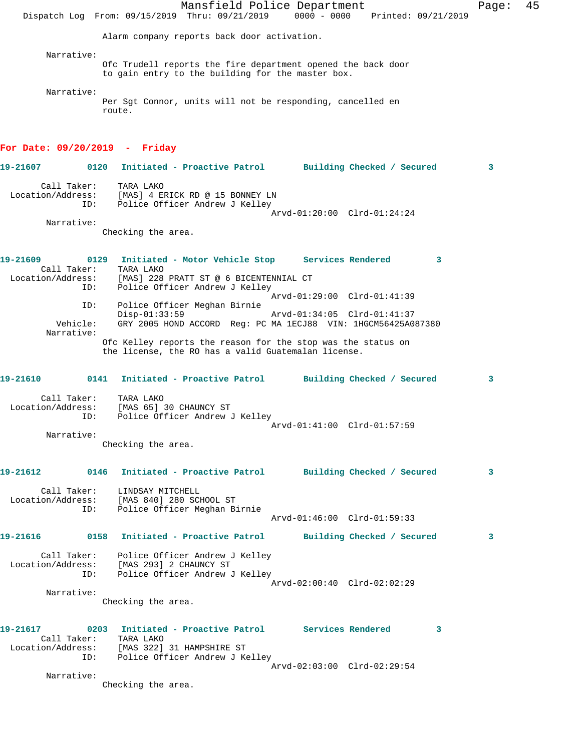|                                              |      | Mansfield Police Department<br>Dispatch Log From: 09/15/2019 Thru: 09/21/2019                                                                                 | 0000 - 0000 Printed: 09/21/2019 | Page: | 45 |
|----------------------------------------------|------|---------------------------------------------------------------------------------------------------------------------------------------------------------------|---------------------------------|-------|----|
|                                              |      | Alarm company reports back door activation.                                                                                                                   |                                 |       |    |
| Narrative:                                   |      |                                                                                                                                                               |                                 |       |    |
|                                              |      | Ofc Trudell reports the fire department opened the back door<br>to gain entry to the building for the master box.                                             |                                 |       |    |
| Narrative:                                   |      | Per Sgt Connor, units will not be responding, cancelled en<br>route.                                                                                          |                                 |       |    |
| For Date: $09/20/2019$ - Friday              |      |                                                                                                                                                               |                                 |       |    |
| 19-21607                                     | 0120 | Initiated - Proactive Patrol Building Checked / Secured                                                                                                       |                                 | 3     |    |
| Call Taker:<br>Location/Address:             | ID:  | TARA LAKO<br>[MAS] 4 ERICK RD @ 15 BONNEY LN<br>Police Officer Andrew J Kelley<br>Arvd-01:20:00 Clrd-01:24:24                                                 |                                 |       |    |
| Narrative:                                   |      | Checking the area.                                                                                                                                            |                                 |       |    |
| 19-21609<br>Call Taker:<br>Location/Address: | ID:  | 0129 Initiated - Motor Vehicle Stop Services Rendered<br>TARA LAKO<br>[MAS] 228 PRATT ST @ 6 BICENTENNIAL CT<br>Police Officer Andrew J Kelley                | 3                               |       |    |
|                                              | ID:  | Arvd-01:29:00 Clrd-01:41:39<br>Police Officer Meghan Birnie                                                                                                   |                                 |       |    |
| Vehicle:                                     |      | $Disp-01:33:59$<br>Arvd-01:34:05 Clrd-01:41:37<br>GRY 2005 HOND ACCORD Reg: PC MA 1ECJ88 VIN: 1HGCM56425A087380                                               |                                 |       |    |
| Narrative:                                   |      | Ofc Kelley reports the reason for the stop was the status on<br>the license, the RO has a valid Guatemalan license.                                           |                                 |       |    |
| 19-21610                                     | 0141 | Initiated - Proactive Patrol                                                                                                                                  | Building Checked / Secured      | 3     |    |
| Call Taker:<br>Location/Address:             | ID:  | TARA LAKO<br>[MAS 65] 30 CHAUNCY ST<br>Police Officer Andrew J Kelley                                                                                         |                                 |       |    |
| Narrative:                                   |      | Arvd-01:41:00 Clrd-01:57:59                                                                                                                                   |                                 |       |    |
|                                              |      | Checking the area.                                                                                                                                            |                                 |       |    |
| 19-21612                                     |      | 0146 Initiated - Proactive Patrol         Building Checked / Secured                                                                                          |                                 | 3     |    |
| Location/Address:                            | ID:  | Call Taker: LINDSAY MITCHELL<br>[MAS 840] 280 SCHOOL ST<br>Police Officer Meghan Birnie<br>Arvd-01:46:00 Clrd-01:59:33                                        |                                 |       |    |
|                                              |      |                                                                                                                                                               |                                 |       |    |
| 19-21616                                     |      | 0158 Initiated - Proactive Patrol                                                                                                                             | Building Checked / Secured      | 3     |    |
|                                              | ID:  | Call Taker: Police Officer Andrew J Kelley<br>Location/Address: [MAS 293] 2 CHAUNCY ST<br>Police Officer Andrew J Kelley                                      |                                 |       |    |
| Narrative:                                   |      | Arvd-02:00:40 Clrd-02:02:29                                                                                                                                   |                                 |       |    |
|                                              |      | Checking the area.                                                                                                                                            |                                 |       |    |
| 19-21617                                     | ID:  | 0203 Initiated - Proactive Patrol Services Rendered<br>Call Taker: TARA LAKO<br>Location/Address: [MAS 322] 31 HAMPSHIRE ST<br>Police Officer Andrew J Kelley | $\sim$ 3                        |       |    |
|                                              |      | Arvd-02:03:00 Clrd-02:29:54                                                                                                                                   |                                 |       |    |
| Narrative:                                   |      | Checking the area.                                                                                                                                            |                                 |       |    |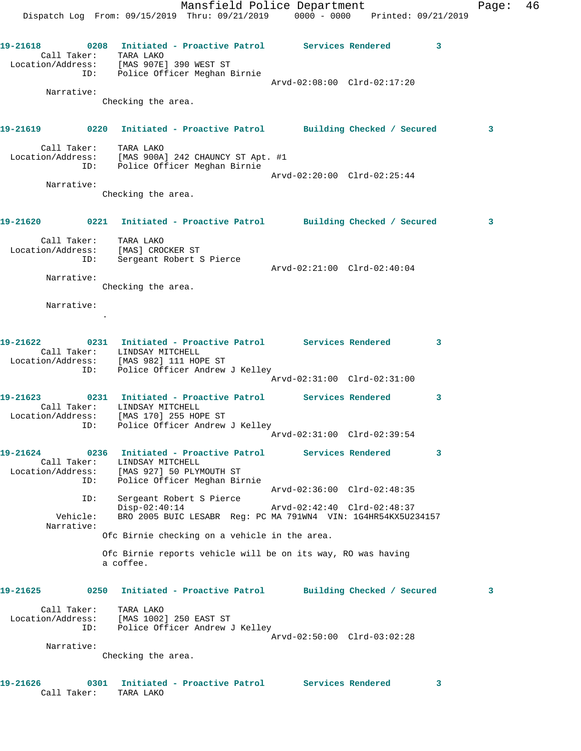Mansfield Police Department Fage: 46 Dispatch Log From: 09/15/2019 Thru: 09/21/2019 0000 - 0000 Printed: 09/21/2019 **19-21618 0208 Initiated - Proactive Patrol Services Rendered 3**  Call Taker: TARA LAKO Location/Address: [MAS 907E] 390 WEST ST ID: Police Officer Meghan Birnie Arvd-02:08:00 Clrd-02:17:20 Narrative: Checking the area. **19-21619 0220 Initiated - Proactive Patrol Building Checked / Secured 3** Call Taker: TARA LAKO Location/Address: [MAS 900A] 242 CHAUNCY ST Apt. #1 ID: Police Officer Meghan Birnie Arvd-02:20:00 Clrd-02:25:44 Narrative: Checking the area. **19-21620 0221 Initiated - Proactive Patrol Building Checked / Secured 3** Call Taker: TARA LAKO Location/Address: [MAS] CROCKER ST ID: Sergeant Robert S Pierce Arvd-02:21:00 Clrd-02:40:04 Narrative: Checking the area. Narrative: . **19-21622 0231 Initiated - Proactive Patrol Services Rendered 3**  Call Taker: LINDSAY MITCHELL Location/Address: [MAS 982] 111 HOPE ST ID: Police Officer Andrew J Kelley Arvd-02:31:00 Clrd-02:31:00 **19-21623 0231 Initiated - Proactive Patrol Services Rendered 3**  Call Taker: LINDSAY MITCHELL Location/Address: [MAS 170] 255 HOPE ST ID: Police Officer Andrew J Kelley Arvd-02:31:00 Clrd-02:39:54 **19-21624 0236 Initiated - Proactive Patrol Services Rendered 3**  Call Taker: LINDSAY MITCHELL Location/Address: [MAS 927] 50 PLYMOUTH ST ess: [MAS 927] 50 For Collect Degman Birnie<br>ID: Police Officer Meghan Birnie<br>Arvd-02:36:00 Clrd-02:48:35 Arvd-02:36:00 Clrd-02:48:35 ID: Sergeant Robert S Pierce Disp-02:40:14 Arvd-02:42:40 Clrd-02:48:37 Vehicle: BRO 2005 BUIC LESABR Reg: PC MA 791WN4 VIN: 1G4HR54KX5U234157 Narrative: Ofc Birnie checking on a vehicle in the area. Ofc Birnie reports vehicle will be on its way, RO was having a coffee. **19-21625 0250 Initiated - Proactive Patrol Building Checked / Secured 3** Call Taker: TARA LAKO Location/Address: [MAS 1002] 250 EAST ST ID: Police Officer Andrew J Kelley Arvd-02:50:00 Clrd-03:02:28 Narrative: Checking the area.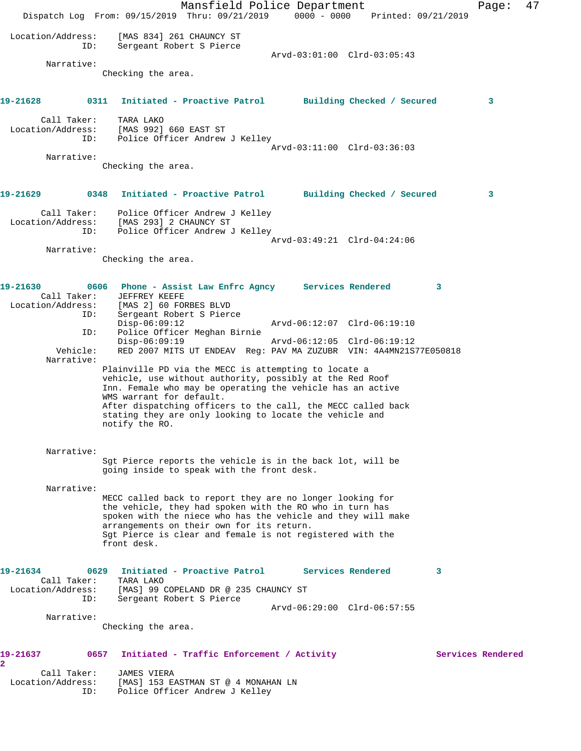Mansfield Police Department Page: 47 Dispatch Log From: 09/15/2019 Thru: 09/21/2019 0000 - 0000 Printed: 09/21/2019 Location/Address: [MAS 834] 261 CHAUNCY ST ID: Sergeant Robert S Pierce Arvd-03:01:00 Clrd-03:05:43 Narrative: Checking the area. **19-21628 0311 Initiated - Proactive Patrol Building Checked / Secured 3** Call Taker: TARA LAKO Location/Address: [MAS 992] 660 EAST ST ID: Police Officer Andrew J Kelley Arvd-03:11:00 Clrd-03:36:03 Narrative: Checking the area. **19-21629 0348 Initiated - Proactive Patrol Building Checked / Secured 3** Call Taker: Police Officer Andrew J Kelley Location/Address: [MAS 293] 2 CHAUNCY ST ID: Police Officer Andrew J Kelley Arvd-03:49:21 Clrd-04:24:06 Narrative: Checking the area. **19-21630 0606 Phone - Assist Law Enfrc Agncy Services Rendered 3**  Call Taker: JEFFREY KEEFE Location/Address: [MAS 2] 60 FORBES BLVD ID: Sergeant Robert S Pierce Disp-06:09:12 Arvd-06:12:07 Clrd-06:19:10 ID: Police Officer Meghan Birnie Disp-06:09:19 Arvd-06:12:05 Clrd-06:19:12 Vehicle: RED 2007 MITS UT ENDEAV Reg: PAV MA ZUZUBR VIN: 4A4MN21S77E050818 Narrative: Plainville PD via the MECC is attempting to locate a vehicle, use without authority, possibly at the Red Roof Inn. Female who may be operating the vehicle has an active WMS warrant for default. After dispatching officers to the call, the MECC called back stating they are only looking to locate the vehicle and notify the RO. Narrative: Sgt Pierce reports the vehicle is in the back lot, will be going inside to speak with the front desk. Narrative: MECC called back to report they are no longer looking for the vehicle, they had spoken with the RO who in turn has spoken with the niece who has the vehicle and they will make arrangements on their own for its return. Sgt Pierce is clear and female is not registered with the front desk. **19-21634 0629 Initiated - Proactive Patrol Services Rendered 3**  Call Taker:<br>Location/Address: [MAS] 99 COPELAND DR @ 235 CHAUNCY ST ID: Sergeant Robert S Pierce Arvd-06:29:00 Clrd-06:57:55 Narrative: Checking the area. 19-21637 **19-21637** 0657 Initiated - Traffic Enforcement / Activity **Services Rendered 2**  Call Taker: JAMES VIERA Location/Address: [MAS] 153 EASTMAN ST @ 4 MONAHAN LN ID: Police Officer Andrew J Kelley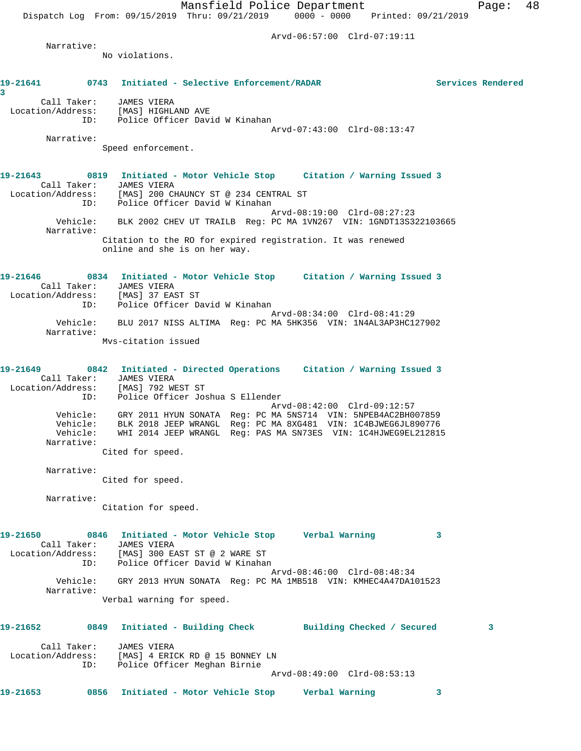Mansfield Police Department Fage: 48 Dispatch Log From: 09/15/2019 Thru: 09/21/2019 0000 - 0000 Printed: 09/21/2019 Arvd-06:57:00 Clrd-07:19:11 Narrative: No violations. **19-21641 0743 Initiated - Selective Enforcement/RADAR Services Rendered 3**  Call Taker: JAMES VIERA Location/Address: [MAS] HIGHLAND AVE ID: Police Officer David W Kinahan Arvd-07:43:00 Clrd-08:13:47 Narrative: Speed enforcement. **19-21643 0819 Initiated - Motor Vehicle Stop Citation / Warning Issued 3**  Call Taker: JAMES VIERA Location/Address: [MAS] 200 CHAUNCY ST @ 234 CENTRAL ST ID: Police Officer David W Kinahan Arvd-08:19:00 Clrd-08:27:23 Vehicle: BLK 2002 CHEV UT TRAILB Reg: PC MA 1VN267 VIN: 1GNDT13S322103665 Narrative: Citation to the RO for expired registration. It was renewed online and she is on her way. **19-21646 0834 Initiated - Motor Vehicle Stop Citation / Warning Issued 3**  Call Taker: JAMES VIERA Location/Address: [MAS] 37 EAST ST ID: Police Officer David W Kinahan Arvd-08:34:00 Clrd-08:41:29 Vehicle: BLU 2017 NISS ALTIMA Reg: PC MA 5HK356 VIN: 1N4AL3AP3HC127902 Narrative: Mvs-citation issued **19-21649 0842 Initiated - Directed Operations Citation / Warning Issued 3**  Call Taker: JAMES VIERA Location/Address: [MAS] 792 WEST ST ID: Police Officer Joshua S Ellender Arvd-08:42:00 Clrd-09:12:57 Vehicle: GRY 2011 HYUN SONATA Reg: PC MA 5NS714 VIN: 5NPEB4AC2BH007859 Vehicle: BLK 2018 JEEP WRANGL Reg: PC MA 8XG481 VIN: 1C4BJWEG6JL890776 Vehicle: WHI 2014 JEEP WRANGL Reg: PAS MA SN73ES VIN: 1C4HJWEG9EL212815 Narrative: Cited for speed. Narrative: Cited for speed. Narrative: Citation for speed. **19-21650 0846 Initiated - Motor Vehicle Stop Verbal Warning 3**  Call Taker: JAMES VIERA

 Location/Address: [MAS] 300 EAST ST @ 2 WARE ST ID: Police Officer David W Kinahan Arvd-08:46:00 Clrd-08:48:34 Vehicle: GRY 2013 HYUN SONATA Reg: PC MA 1MB518 VIN: KMHEC4A47DA101523 Narrative: Verbal warning for speed.

| 19-21652          | 0849        | Initiated - Building Check                     |                             | Building Checked / Secured |  |
|-------------------|-------------|------------------------------------------------|-----------------------------|----------------------------|--|
| Location/Address: | Call Taker: | JAMES VIERA<br>[MAS] 4 ERICK RD @ 15 BONNEY LN |                             |                            |  |
|                   | ID:         | Police Officer Meghan Birnie                   |                             |                            |  |
|                   |             |                                                | Arvd-08:49:00 Clrd-08:53:13 |                            |  |
| 19-21653          | 0856        | Initiated - Motor Vehicle Stop                 | Verbal Warning              |                            |  |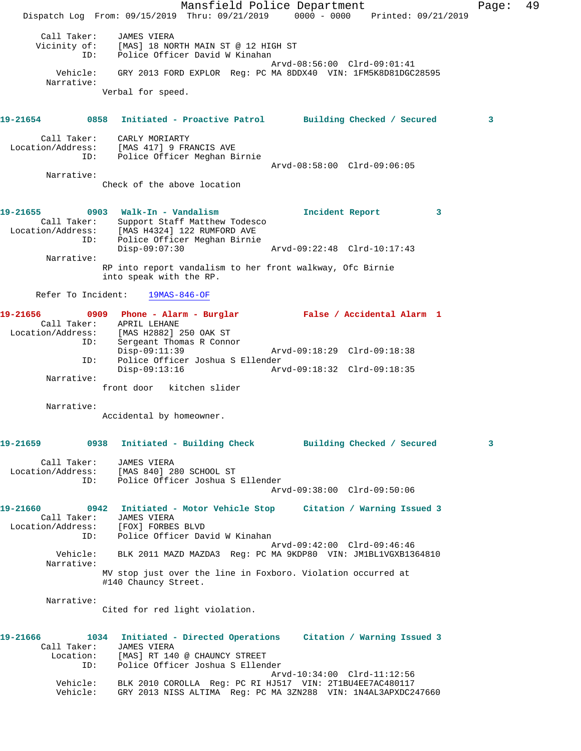Mansfield Police Department Fage: 49 Dispatch Log From: 09/15/2019 Thru: 09/21/2019 0000 - 0000 Printed: 09/21/2019 Call Taker: JAMES VIERA Vicinity of: [MAS] 18 NORTH MAIN ST @ 12 HIGH ST ID: Police Officer David W Kinahan Arvd-08:56:00 Clrd-09:01:41 Vehicle: GRY 2013 FORD EXPLOR Reg: PC MA 8DDX40 VIN: 1FM5K8D81DGC28595 Narrative: Verbal for speed. **19-21654 0858 Initiated - Proactive Patrol Building Checked / Secured 3** Call Taker: CARLY MORIARTY Location/Address: [MAS 417] 9 FRANCIS AVE ID: Police Officer Meghan Birnie Arvd-08:58:00 Clrd-09:06:05 Narrative: Check of the above location **19-21655 0903 Walk-In - Vandalism Incident Report 3**  Call Taker: Support Staff Matthew Todesco Location/Address: [MAS H4324] 122 RUMFORD AVE ID: Police Officer Meghan Birnie Disp-09:07:30 Arvd-09:22:48 Clrd-10:17:43 Narrative: RP into report vandalism to her front walkway, Ofc Birnie into speak with the RP. Refer To Incident: 19MAS-846-OF **19-21656 0909 Phone - Alarm - Burglar False / Accidental Alarm 1**  Call Taker: APRIL LEHANE Location/Address: [MAS H2882] 250 OAK ST ID: Sergeant Thomas R Connor<br>Disp-09:11:39<br>ID: Police Officer Joshua S El<br>Disp-09:13:16 Disp-09:11:39 Arvd-09:18:29 Clrd-09:18:38 Police Officer Joshua S Ellender Disp-09:13:16 Arvd-09:18:32 Clrd-09:18:35 Narrative: front door kitchen slider Narrative: Accidental by homeowner. **19-21659 0938 Initiated - Building Check Building Checked / Secured 3** Call Taker: JAMES VIERA Location/Address: [MAS 840] 280 SCHOOL ST ID: Police Officer Joshua S Ellender Arvd-09:38:00 Clrd-09:50:06 **19-21660 0942 Initiated - Motor Vehicle Stop Citation / Warning Issued 3**  Call Taker: JAMES VIERA Location/Address: [FOX] FORBES BLVD ID: Police Officer David W Kinahan Arvd-09:42:00 Clrd-09:46:46 Vehicle: BLK 2011 MAZD MAZDA3 Reg: PC MA 9KDP80 VIN: JM1BL1VGXB1364810 Narrative: MV stop just over the line in Foxboro. Violation occurred at #140 Chauncy Street. Narrative: Cited for red light violation. **19-21666 1034 Initiated - Directed Operations Citation / Warning Issued 3**  Call Taker: JAMES VIERA Location: [MAS] RT 140 @ CHAUNCY STREET ID: Police Officer Joshua S Ellender Arvd-10:34:00 Clrd-11:12:56 Vehicle: BLK 2010 COROLLA Reg: PC RI HJ517 VIN: 2T1BU4EE7AC480117 Vehicle: GRY 2013 NISS ALTIMA Reg: PC MA 3ZN288 VIN: 1N4AL3APXDC247660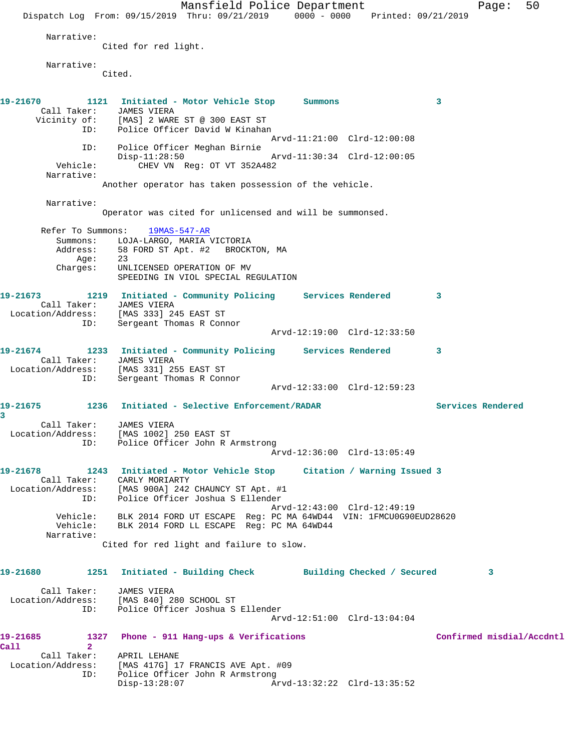Mansfield Police Department Fage: 50 Dispatch Log From: 09/15/2019 Thru: 09/21/2019 0000 - 0000 Printed: 09/21/2019 Narrative: Cited for red light. Narrative: Cited. **19-21670 1121 Initiated - Motor Vehicle Stop Summons 3**  Call Taker: JAMES VIERA Vicinity of: [MAS] 2 WARE ST @ 300 EAST ST ID: Police Officer David W Kinahan Arvd-11:21:00 Clrd-12:00:08 ID: Police Officer Meghan Birnie Disp-11:28:50 Arvd-11:30:34 Clrd-12:00:05<br>Vehicle: CHEV VN Reg: OT VT 352A482 CHEV VN Reg: OT VT 352A482 Narrative: Another operator has taken possession of the vehicle. Narrative: Operator was cited for unlicensed and will be summonsed. Refer To Summons: 19MAS-547-AR Summons: LOJA-LARGO, MARIA VICTORIA<br>Address: 58 FORD ST Apt. #2 BROCK 58 FORD ST Apt. #2 BROCKTON, MA Age: 23 Charges: UNLICENSED OPERATION OF MV SPEEDING IN VIOL SPECIAL REGULATION **19-21673 1219 Initiated - Community Policing Services Rendered 3**  Call Taker: JAMES VIERA Location/Address: [MAS 333] 245 EAST ST ID: Sergeant Thomas R Connor Arvd-12:19:00 Clrd-12:33:50 **19-21674 1233 Initiated - Community Policing Services Rendered 3**  Call Taker: JAMES VIERA Location/Address: [MAS 331] 255 EAST ST ID: Sergeant Thomas R Connor Arvd-12:33:00 Clrd-12:59:23 **19-21675 1236 Initiated - Selective Enforcement/RADAR Services Rendered 3**  Call Taker: JAMES VIERA Location/Address: [MAS 1002] 250 EAST ST ID: Police Officer John R Armstrong Arvd-12:36:00 Clrd-13:05:49 **19-21678 1243 Initiated - Motor Vehicle Stop Citation / Warning Issued 3**  Call Taker: CARLY MORIARTY Location/Address: [MAS 900A] 242 CHAUNCY ST Apt. #1 ID: Police Officer Joshua S Ellender Arvd-12:43:00 Clrd-12:49:19 Vehicle: BLK 2014 FORD UT ESCAPE Reg: PC MA 64WD44 VIN: 1FMCU0G90EUD28620 Vehicle: BLK 2014 FORD LL ESCAPE Reg: PC MA 64WD44 Narrative: Cited for red light and failure to slow. **19-21680 1251 Initiated - Building Check Building Checked / Secured 3** Call Taker: JAMES VIERA Location/Address: [MAS 840] 280 SCHOOL ST ID: Police Officer Joshua S Ellender Arvd-12:51:00 Clrd-13:04:04 19-21685 1327 Phone - 911 Hang-ups & Verifications **19-21685** Confirmed misdial/Accdntl **Call 2**  Call Taker: APRIL LEHANE Location/Address: [MAS 417G] 17 FRANCIS AVE Apt. #09 ID: Police Officer John R Armstrong Disp-13:28:07 Arvd-13:32:22 Clrd-13:35:52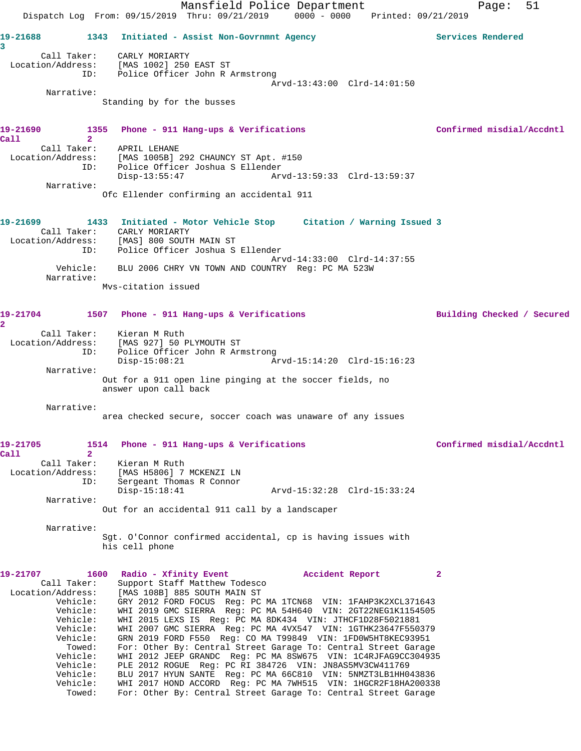Mansfield Police Department Fage: 51 Dispatch Log From: 09/15/2019 Thru: 09/21/2019 0000 - 0000 Printed: 09/21/2019 **19-21688 1343 Initiated - Assist Non-Govrnmnt Agency Services Rendered 3**  Call Taker: CARLY MORIARTY Location/Address: [MAS 1002] 250 EAST ST ID: Police Officer John R Armstrong Arvd-13:43:00 Clrd-14:01:50 Narrative: Standing by for the busses 19-21690 1355 Phone - 911 Hang-ups & Verifications **Confirmed misdial/Accdntl Call 2**  Call Taker: APRIL LEHANE Location/Address: [MAS 1005B] 292 CHAUNCY ST Apt. #150 ID: Police Officer Joshua S Ellender Disp-13:55:47 Arvd-13:59:33 Clrd-13:59:37 Narrative: Ofc Ellender confirming an accidental 911 **19-21699 1433 Initiated - Motor Vehicle Stop Citation / Warning Issued 3**  Call Taker: CARLY MORIARTY Location/Address: [MAS] 800 SOUTH MAIN ST ID: Police Officer Joshua S Ellender Arvd-14:33:00 Clrd-14:37:55 Vehicle: BLU 2006 CHRY VN TOWN AND COUNTRY Reg: PC MA 523W Narrative: Mvs-citation issued **19-21704 1507 Phone - 911 Hang-ups & Verifications Building Checked / Secured 2**  Call Taker: Kieran M Ruth Location/Address: [MAS 927] 50 PLYMOUTH ST ID: Police Officer John R Armstrong Disp-15:08:21 Arvd-15:14:20 Clrd-15:16:23 Narrative: Out for a 911 open line pinging at the soccer fields, no answer upon call back Narrative: area checked secure, soccer coach was unaware of any issues **19-21705 1514 Phone - 911 Hang-ups & Verifications Confirmed misdial/Accdntl Call 2**  Call Taker: Kieran M Ruth Location/Address: [MAS H5806] 7 MCKENZI LN ID: Sergeant Thomas R Connor Disp-15:18:41 Arvd-15:32:28 Clrd-15:33:24 Narrative: Out for an accidental 911 call by a landscaper Narrative: Sgt. O'Connor confirmed accidental, cp is having issues with his cell phone **19-21707 1600 Radio - Xfinity Event Accident Report 2**  Call Taker: Support Staff Matthew Todesco Location/Address: [MAS 108B] 885 SOUTH MAIN ST Vehicle: GRY 2012 FORD FOCUS Reg: PC MA 1TCN68 VIN: 1FAHP3K2XCL371643 Vehicle: WHI 2019 GMC SIERRA Reg: PC MA 54H640 VIN: 2GT22NEG1K1154505 Vehicle: WHI 2015 LEXS IS Reg: PC MA 8DK434 VIN: JTHCF1D28F5021881 Vehicle: WHI 2007 GMC SIERRA Reg: PC MA 4VX547 VIN: 1GTHK23647F550379 Vehicle: GRN 2019 FORD F550 Reg: CO MA T99849 VIN: 1FD0W5HT8KEC93951 Towed: For: Other By: Central Street Garage To: Central Street Garage Vehicle: WHI 2012 JEEP GRANDC Reg: PC MA 8SW675 VIN: 1C4RJFAG9CC304935 Vehicle: PLE 2012 ROGUE Reg: PC RI 384726 VIN: JN8AS5MV3CW411769 Vehicle: BLU 2017 HYUN SANTE Reg: PC MA 66C810 VIN: 5NMZT3LB1HH043836 Vehicle: WHI 2017 HOND ACCORD Reg: PC MA 7WH515 VIN: 1HGCR2F18HA200338 Towed: For: Other By: Central Street Garage To: Central Street Garage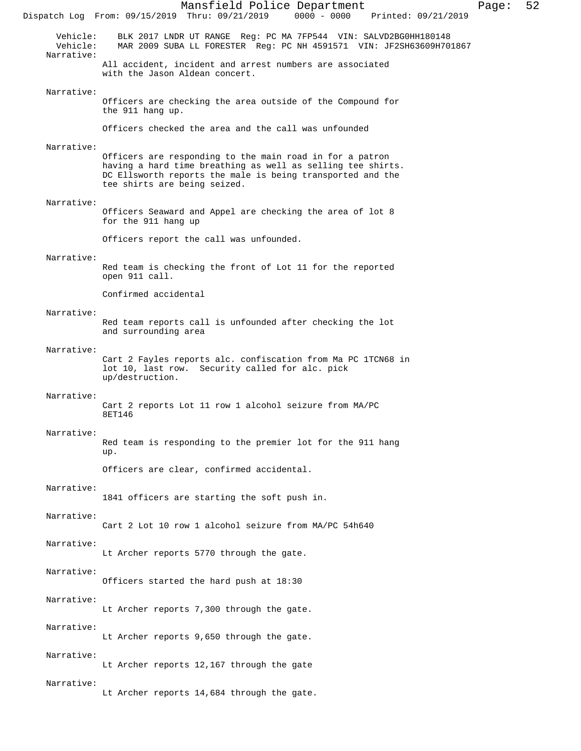Mansfield Police Department Page: 52 Dispatch Log From: 09/15/2019 Thru: 09/21/2019 Vehicle: BLK 2017 LNDR UT RANGE Reg: PC MA 7FP544 VIN: SALVD2BG0HH180148 MAR 2009 SUBA LL FORESTER Reg: PC NH 4591571 VIN: JF2SH63609H701867 Narrative: All accident, incident and arrest numbers are associated with the Jason Aldean concert. Narrative: Officers are checking the area outside of the Compound for the 911 hang up. Officers checked the area and the call was unfounded Narrative: Officers are responding to the main road in for a patron having a hard time breathing as well as selling tee shirts. DC Ellsworth reports the male is being transported and the tee shirts are being seized. Narrative: Officers Seaward and Appel are checking the area of lot 8 for the 911 hang up Officers report the call was unfounded. Narrative: Red team is checking the front of Lot 11 for the reported open 911 call. Confirmed accidental Narrative: Red team reports call is unfounded after checking the lot and surrounding area Narrative: Cart 2 Fayles reports alc. confiscation from Ma PC 1TCN68 in lot 10, last row. Security called for alc. pick up/destruction. Narrative: Cart 2 reports Lot 11 row 1 alcohol seizure from MA/PC 8ET146 Narrative: Red team is responding to the premier lot for the 911 hang up. Officers are clear, confirmed accidental. Narrative: 1841 officers are starting the soft push in. Narrative: Cart 2 Lot 10 row 1 alcohol seizure from MA/PC 54h640 Narrative: Lt Archer reports 5770 through the gate. Narrative: Officers started the hard push at 18:30 Narrative: Lt Archer reports 7,300 through the gate. Narrative: Lt Archer reports 9,650 through the gate. Narrative: Lt Archer reports 12,167 through the gate Narrative: Lt Archer reports 14,684 through the gate.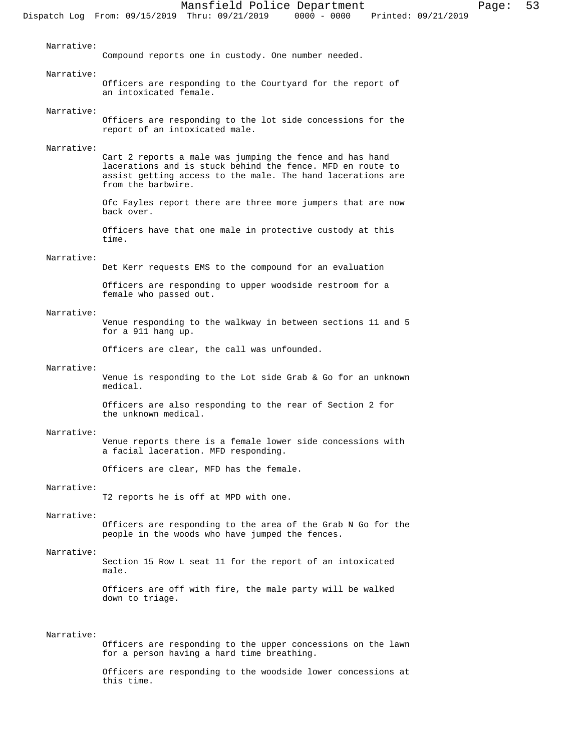Narrative: Compound reports one in custody. One number needed. Narrative: Officers are responding to the Courtyard for the report of an intoxicated female. Narrative: Officers are responding to the lot side concessions for the report of an intoxicated male. Narrative: Cart 2 reports a male was jumping the fence and has hand lacerations and is stuck behind the fence. MFD en route to assist getting access to the male. The hand lacerations are from the barbwire. Ofc Fayles report there are three more jumpers that are now back over. Officers have that one male in protective custody at this time. Narrative: Det Kerr requests EMS to the compound for an evaluation Officers are responding to upper woodside restroom for a female who passed out. Narrative: Venue responding to the walkway in between sections 11 and 5 for a 911 hang up. Officers are clear, the call was unfounded. Narrative: Venue is responding to the Lot side Grab & Go for an unknown medical. Officers are also responding to the rear of Section 2 for the unknown medical. Narrative: Venue reports there is a female lower side concessions with a facial laceration. MFD responding. Officers are clear, MFD has the female. Narrative: T2 reports he is off at MPD with one. Narrative: Officers are responding to the area of the Grab N Go for the people in the woods who have jumped the fences. Narrative: Section 15 Row L seat 11 for the report of an intoxicated male. Officers are off with fire, the male party will be walked

## Narrative:

down to triage.

Officers are responding to the upper concessions on the lawn for a person having a hard time breathing.

Officers are responding to the woodside lower concessions at this time.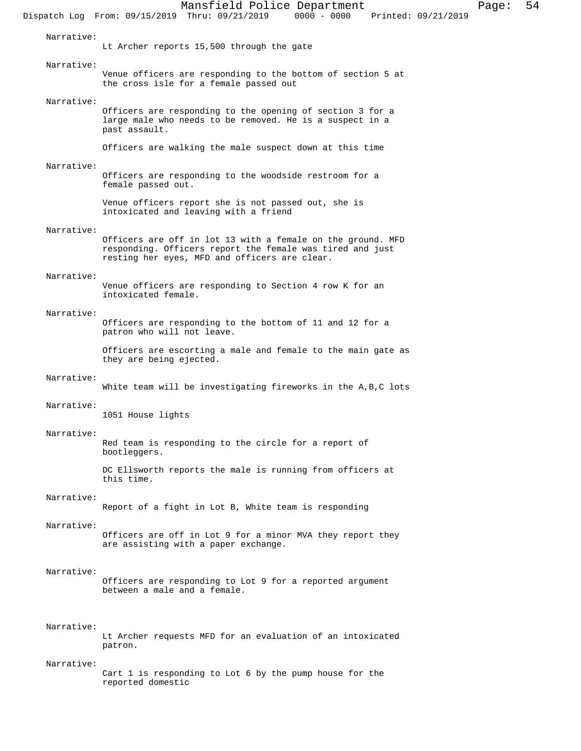Mansfield Police Department Page: 54 Dispatch Log From: 09/15/2019 Thru: 09/21/2019 Narrative: Lt Archer reports 15,500 through the gate Narrative: Venue officers are responding to the bottom of section 5 at the cross isle for a female passed out Narrative: Officers are responding to the opening of section 3 for a large male who needs to be removed. He is a suspect in a past assault. Officers are walking the male suspect down at this time Narrative: Officers are responding to the woodside restroom for a female passed out. Venue officers report she is not passed out, she is intoxicated and leaving with a friend Narrative: Officers are off in lot 13 with a female on the ground. MFD responding. Officers report the female was tired and just resting her eyes, MFD and officers are clear. Narrative: Venue officers are responding to Section 4 row K for an intoxicated female. Narrative: Officers are responding to the bottom of 11 and 12 for a patron who will not leave. Officers are escorting a male and female to the main gate as they are being ejected. Narrative: White team will be investigating fireworks in the A,B,C lots Narrative: 1051 House lights Narrative: Red team is responding to the circle for a report of bootleggers. DC Ellsworth reports the male is running from officers at this time. Narrative: Report of a fight in Lot B, White team is responding Narrative: Officers are off in Lot 9 for a minor MVA they report they are assisting with a paper exchange. Narrative: Officers are responding to Lot 9 for a reported argument between a male and a female. Narrative: Lt Archer requests MFD for an evaluation of an intoxicated patron. Narrative: Cart 1 is responding to Lot 6 by the pump house for the reported domestic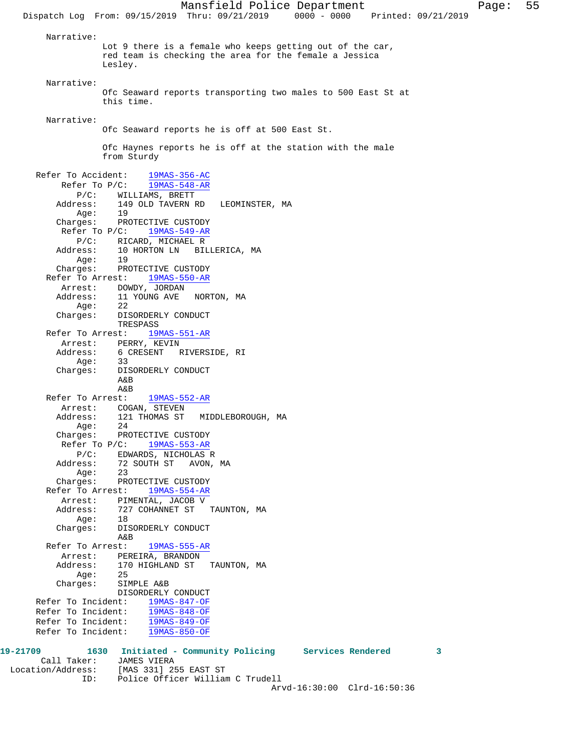Narrative: Lot 9 there is a female who keeps getting out of the car, red team is checking the area for the female a Jessica Lesley. Narrative: Ofc Seaward reports transporting two males to 500 East St at this time. Narrative: Ofc Seaward reports he is off at 500 East St. Ofc Haynes reports he is off at the station with the male from Sturdy Refer To Accident: 19MAS-356-AC Refer To P/C: 19MAS-548-AR P/C: WILLIAMS, BRETT Address: 149 OLD TAVERN RD LEOMINSTER, MA Age: 19 Charges: PROTECTIVE CUSTODY Refer To P/C: 19MAS-549-AR P/C: RICARD, MICHAEL R Address: 10 HORTON LN BILLERICA, MA Age: 19 Charges: PROTECTIVE CUSTODY Refer To Arrest: 19MAS-550-AR Arrest: DOWDY, JORDAN Address: 11 YOUNG AVE NORTON, MA Age: 22 Charges: DISORDERLY CONDUCT TRESPASS Refer To Arrest: 19MAS-551-AR Arrest: PERRY, KEVIN Address: 6 CRESENT RIVERSIDE, RI Age: 33 Charges: DISORDERLY CONDUCT A&B A&B Refer To Arrest: 19MAS-552-AR Arrest: COGAN, STEVEN Address: 121 THOMAS ST MIDDLEBOROUGH, MA Age: 24 Charges: PROTECTIVE CUSTODY Refer To P/C: 19MAS-553-AR P/C: EDWARDS, NICHOLAS R Address: 72 SOUTH ST AVON, MA Age: 23 Charges: PROTECTIVE CUSTODY Refer To Arrest: 19MAS-554-AR Arrest: PIMENTAL, JACOB V<br>Address: 727 COHANNET ST 727 COHANNET ST TAUNTON, MA Age: 18 Charges: DISORDERLY CONDUCT A&B Refer To Arrest: 19MAS-555-AR Arrest: PEREIRA, BRANDON<br>Address: 170 HIGHLAND ST 170 HIGHLAND ST TAUNTON, MA<br>25 Age: Charges: SIMPLE A&B DISORDERLY CONDUCT Refer To Incident: 19MAS-847-OF Refer To Incident: 19MAS-848-OF Refer To Incident: 19MAS-849-OF Refer To Incident: 19MAS-850-OF **19-21709 1630 Initiated - Community Policing Services Rendered 3**  Call Taker: JAMES VIERA

 Location/Address: [MAS 331] 255 EAST ST ID: Police Officer William C Trudell Arvd-16:30:00 Clrd-16:50:36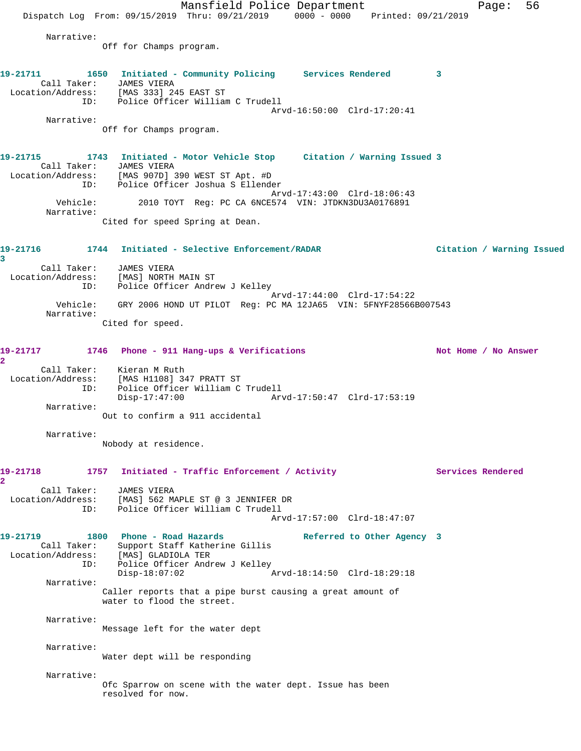Mansfield Police Department Fage: 56 Dispatch Log From:  $09/15/2019$  Thru:  $09/21/2019$  0000 - 0000 Printed:  $09/21/2019$  Narrative: Off for Champs program. **19-21711 1650 Initiated - Community Policing Services Rendered 3**  Call Taker: JAMES VIERA Location/Address: [MAS 333] 245 EAST ST ID: Police Officer William C Trudell Arvd-16:50:00 Clrd-17:20:41 Narrative: Off for Champs program. **19-21715 1743 Initiated - Motor Vehicle Stop Citation / Warning Issued 3**  Call Taker: JAMES VIERA Location/Address: [MAS 907D] 390 WEST ST Apt. #D ID: Police Officer Joshua S Ellender Arvd-17:43:00 Clrd-18:06:43 Vehicle: 2010 TOYT Reg: PC CA 6NCE574 VIN: JTDKN3DU3A0176891 Narrative: Cited for speed Spring at Dean. **19-21716 1744 Initiated - Selective Enforcement/RADAR Citation / Warning Issued 3**  Call Taker: JAMES VIERA Location/Address: [MAS] NORTH MAIN ST ID: Police Officer Andrew J Kelley Arvd-17:44:00 Clrd-17:54:22 Vehicle: GRY 2006 HOND UT PILOT Reg: PC MA 12JA65 VIN: 5FNYF28566B007543 Narrative: Cited for speed. 19-21717 1746 Phone - 911 Hang-ups & Verifications Not Home / No Answer **2**  Call Taker: Kieran M Ruth Location/Address: [MAS H1108] 347 PRATT ST ID: Police Officer William C Trudell Disp-17:47:00 Arvd-17:50:47 Clrd-17:53:19 Narrative: Out to confirm a 911 accidental Narrative: Nobody at residence. 19-21718 1757 Initiated - Traffic Enforcement / Activity **Services Rendered 2**  Call Taker: JAMES VIERA Location/Address: [MAS] 562 MAPLE ST @ 3 JENNIFER DR ID: Police Officer William C Trudell Arvd-17:57:00 Clrd-18:47:07 19-21719 1800 Phone - Road Hazards **Referred to Other Agency** 3 Call Taker: Support Staff Katherine Gillis Location/Address: [MAS] GLADIOLA TER ID: Police Officer Andrew J Kelley<br>Disp-18:07:02 Arvd-18:14:50 Clrd-18:29:18 Narrative: Caller reports that a pipe burst causing a great amount of water to flood the street. Narrative: Message left for the water dept Narrative: Water dept will be responding Narrative: Ofc Sparrow on scene with the water dept. Issue has been resolved for now.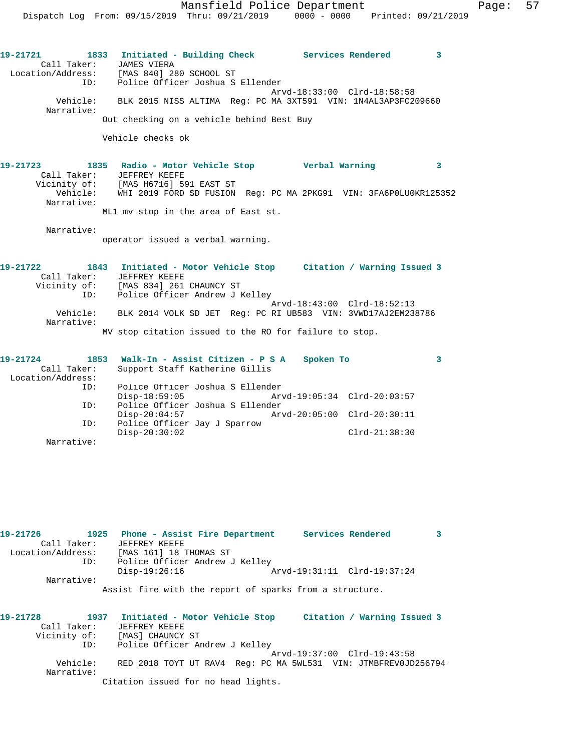Mansfield Police Department Fage: 57 Dispatch Log From: 09/15/2019 Thru: 09/21/2019 0000 - 0000 Printed: 09/21/2019

**19-21721 1833 Initiated - Building Check Services Rendered 3**  Call Taker: JAMES VIERA Location/Address: [MAS 840] 280 SCHOOL ST ID: Police Officer Joshua S Ellender Arvd-18:33:00 Clrd-18:58:58 Vehicle: BLK 2015 NISS ALTIMA Reg: PC MA 3XT591 VIN: 1N4AL3AP3FC209660 Narrative: Out checking on a vehicle behind Best Buy

Vehicle checks ok

**19-21723 1835 Radio - Motor Vehicle Stop Verbal Warning 3**  Call Taker: JEFFREY KEEFE Vicinity of: [MAS H6716] 591 EAST ST Vehicle: WHI 2019 FORD SD FUSION Reg: PC MA 2PKG91 VIN: 3FA6P0LU0KR125352 Narrative: ML1 mv stop in the area of East st.

Narrative:

operator issued a verbal warning.

**19-21722 1843 Initiated - Motor Vehicle Stop Citation / Warning Issued 3**  Call Taker: JEFFREY KEEFE Vicinity of: [MAS 834] 261 CHAUNCY ST ID: Police Officer Andrew J Kelley Arvd-18:43:00 Clrd-18:52:13 Vehicle: BLK 2014 VOLK SD JET Reg: PC RI UB583 VIN: 3VWD17AJ2EM238786 Narrative: MV stop citation issued to the RO for failure to stop.

**19-21724 1853 Walk-In - Assist Citizen - P S A Spoken To 3**  Call Taker: Support Staff Katherine Gillis Location/Address: ID: Police Officer Joshua S Ellender Disp-18:59:05 Arvd-19:05:34 Clrd-20:03:57<br>ID: Police Officer Joshua S Ellender Police Officer Joshua S Ellender Disp-20:04:57 Arvd-20:05:00 Clrd-20:30:11 ID: Police Officer Jay J Sparrow Disp-20:30:02 Clrd-21:38:30 Narrative:

**19-21726 1925 Phone - Assist Fire Department Services Rendered 3**  Call Taker: JEFFREY KEEFE Location/Address: [MAS 161] 18 THOMAS ST ID: Police Officer Andrew J Kelley<br>Disp-19:26:16 Disp-19:26:16 Arvd-19:31:11 Clrd-19:37:24 Narrative: Assist fire with the report of sparks from a structure.

| 19-21728     | 1937     |                  | Initiated - Motor Vehicle Stop                                 |  |                             |  | Citation / Warning Issued 3 |
|--------------|----------|------------------|----------------------------------------------------------------|--|-----------------------------|--|-----------------------------|
| Call Taker:  |          | JEFFREY KEEFE    |                                                                |  |                             |  |                             |
| Vicinity of: |          | [MAS] CHAUNCY ST |                                                                |  |                             |  |                             |
|              | ID:      |                  | Police Officer Andrew J Kelley                                 |  |                             |  |                             |
|              |          |                  |                                                                |  | Arvd-19:37:00 Clrd-19:43:58 |  |                             |
|              | Vehicle: |                  | RED 2018 TOYT UT RAV4 Req: PC MA 5WL531 VIN: JTMBFREV0JD256794 |  |                             |  |                             |
| Narrative:   |          |                  |                                                                |  |                             |  |                             |
|              |          |                  | Citation issued for no head lights.                            |  |                             |  |                             |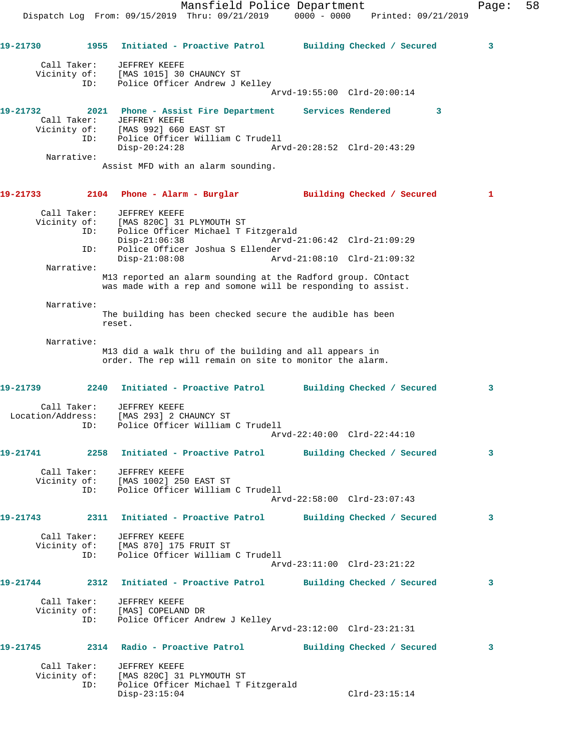Mansfield Police Department Fage: 58 Dispatch Log From: 09/15/2019 Thru: 09/21/2019 0000 - 0000 Printed: 09/21/2019 **19-21730 1955 Initiated - Proactive Patrol Building Checked / Secured 3** Call Taker: JEFFREY KEEFE Vicinity of: [MAS 1015] 30 CHAUNCY ST ID: Police Officer Andrew J Kelley Arvd-19:55:00 Clrd-20:00:14 **19-21732 2021 Phone - Assist Fire Department Services Rendered 3**  Call Taker: JEFFREY KEEFE Vicinity of: [MAS 992] 660 EAST ST ID: Police Officer William C Trudell Disp-20:24:28 Arvd-20:28:52 Clrd-20:43:29 Narrative: Assist MFD with an alarm sounding. **19-21733 2104 Phone - Alarm - Burglar Building Checked / Secured 1** Call Taker: JEFFREY KEEFE Vicinity of: [MAS 820C] 31 PLYMOUTH ST ID: Police Officer Michael T Fitzgerald Disp-21:06:38 Arvd-21:06:42 Clrd-21:09:29<br>ID: Police Officer Joshua S Ellender<br>Disp-21:08:08 Arvd-21:08:10 Clrd-21:09:32 Police Officer Joshua S Ellender Disp-21:08:08 Arvd-21:08:10 Clrd-21:09:32 Narrative: M13 reported an alarm sounding at the Radford group. COntact was made with a rep and somone will be responding to assist. Narrative: The building has been checked secure the audible has been reset. Narrative: M13 did a walk thru of the building and all appears in order. The rep will remain on site to monitor the alarm. **19-21739 2240 Initiated - Proactive Patrol Building Checked / Secured 3** Call Taker: JEFFREY KEEFE Location/Address: [MAS 293] 2 CHAUNCY ST ID: Police Officer William C Trudell Arvd-22:40:00 Clrd-22:44:10 **19-21741 2258 Initiated - Proactive Patrol Building Checked / Secured 3** Call Taker: JEFFREY KEEFE Vicinity of: [MAS 1002] 250 EAST ST ID: Police Officer William C Trudell Arvd-22:58:00 Clrd-23:07:43 **19-21743 2311 Initiated - Proactive Patrol Building Checked / Secured 3** Call Taker: JEFFREY KEEFE Vicinity of: [MAS 870] 175 FRUIT ST ID: Police Officer William C Trudell Arvd-23:11:00 Clrd-23:21:22 **19-21744 2312 Initiated - Proactive Patrol Building Checked / Secured 3** Call Taker: JEFFREY KEEFE Vicinity of: [MAS] COPELAND DR ID: Police Officer Andrew J Kelley Arvd-23:12:00 Clrd-23:21:31 **19-21745 2314 Radio - Proactive Patrol Building Checked / Secured 3** Call Taker: JEFFREY KEEFE Vicinity of: [MAS 820C] 31 PLYMOUTH ST Police Officer Michael T Fitzgerald

Disp-23:15:04 Clrd-23:15:14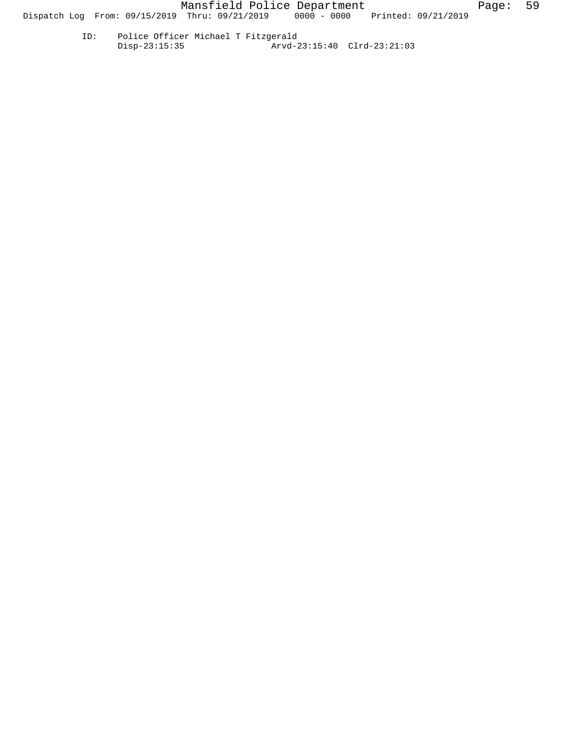ID: Police Officer Michael T Fitzgerald Disp-23:15:35 Arvd-23:15:40 Clrd-23:21:03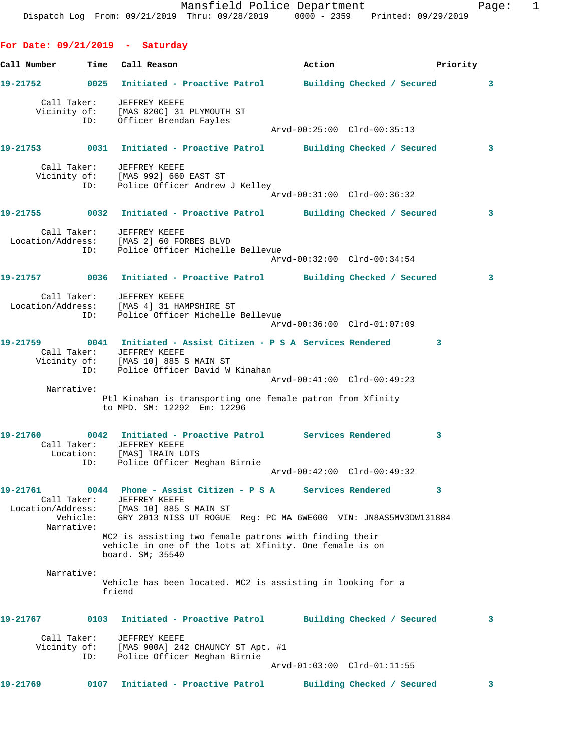**For Date: 09/21/2019 - Saturday** Call Number **Time** Call Reason **Business Call Action Priority 19-21752 0025 Initiated - Proactive Patrol Building Checked / Secured 3** Call Taker: JEFFREY KEEFE Vicinity of: [MAS 820C] 31 PLYMOUTH ST ID: Officer Brendan Fayles Arvd-00:25:00 Clrd-00:35:13 **19-21753 0031 Initiated - Proactive Patrol Building Checked / Secured 3** Call Taker: JEFFREY KEEFE Vicinity of: [MAS 992] 660 EAST ST ID: Police Officer Andrew J Kelley Arvd-00:31:00 Clrd-00:36:32 **19-21755 0032 Initiated - Proactive Patrol Building Checked / Secured 3** Call Taker: JEFFREY KEEFE Location/Address: [MAS 2] 60 FORBES BLVD ID: Police Officer Michelle Bellevue Arvd-00:32:00 Clrd-00:34:54 **19-21757 0036 Initiated - Proactive Patrol Building Checked / Secured 3** Call Taker: JEFFREY KEEFE Location/Address: [MAS 4] 31 HAMPSHIRE ST ID: Police Officer Michelle Bellevue Arvd-00:36:00 Clrd-01:07:09 **19-21759 0041 Initiated - Assist Citizen - P S A Services Rendered 3**  Call Taker: JEFFREY KEEFE Vicinity of: [MAS 10] 885 S MAIN ST ID: Police Officer David W Kinahan Arvd-00:41:00 Clrd-00:49:23 Narrative: Ptl Kinahan is transporting one female patron from Xfinity to MPD. SM: 12292 Em: 12296 **19-21760 0042 Initiated - Proactive Patrol Services Rendered 3**  Call Taker: JEFFREY KEEFE Location: [MAS] TRAIN LOTS ID: Police Officer Meghan Birnie Arvd-00:42:00 Clrd-00:49:32 **19-21761 0044 Phone - Assist Citizen - P S A Services Rendered 3**  Call Taker: JEFFREY KEEFE Location/Address: [MAS 10] 885 S MAIN ST Vehicle: GRY 2013 NISS UT ROGUE Reg: PC MA 6WE600 VIN: JN8AS5MV3DW131884 Narrative: MC2 is assisting two female patrons with finding their vehicle in one of the lots at Xfinity. One female is on board. SM; 35540 Narrative: Vehicle has been located. MC2 is assisting in looking for a friend **19-21767 0103 Initiated - Proactive Patrol Building Checked / Secured 3** Call Taker: JEFFREY KEEFE Vicinity of: [MAS 900A] 242 CHAUNCY ST Apt. #1 ID: Police Officer Meghan Birnie Arvd-01:03:00 Clrd-01:11:55 **19-21769 0107 Initiated - Proactive Patrol Building Checked / Secured 3**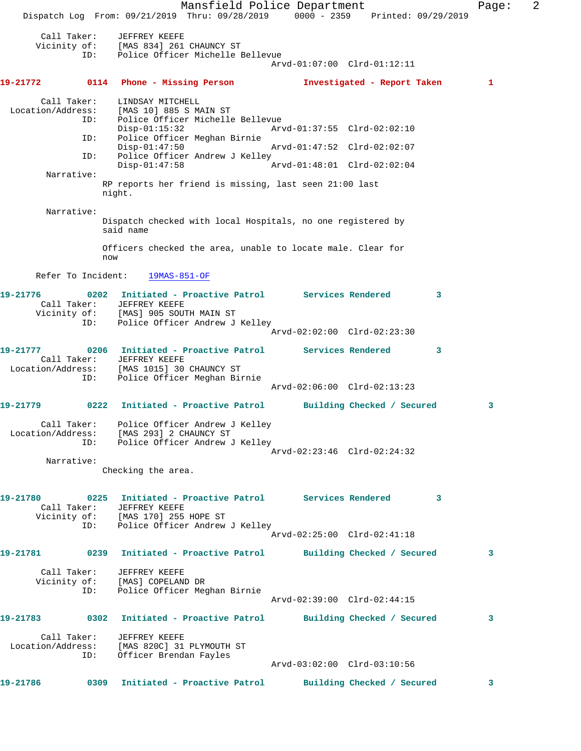Mansfield Police Department Fage: 2 Dispatch Log From: 09/21/2019 Thru: 09/28/2019 0000 - 2359 Printed: 09/29/2019 Call Taker: JEFFREY KEEFE Vicinity of: [MAS 834] 261 CHAUNCY ST ID: Police Officer Michelle Bellevue Arvd-01:07:00 Clrd-01:12:11 **19-21772 0114 Phone - Missing Person Investigated - Report Taken 1** Call Taker: LINDSAY MITCHELL Location/Address: [MAS 10] 885 S MAIN ST Police Officer Michelle Bellevue<br>Disp-01:15:32 Arv Disp-01:15:32 Arvd-01:37:55 Clrd-02:02:10 ID: Police Officer Meghan Birnie Disp-01:47:50 Arvd-01:47:52 Clrd-02:02:07 ID: Police Officer Andrew J Kelley<br>Disp-01:47:58 Disp-01:47:58 Arvd-01:48:01 Clrd-02:02:04 Narrative: RP reports her friend is missing, last seen 21:00 last night. Narrative: Dispatch checked with local Hospitals, no one registered by said name Officers checked the area, unable to locate male. Clear for now Refer To Incident: 19MAS-851-OF **19-21776 0202 Initiated - Proactive Patrol Services Rendered 3**  Call Taker: JEFFREY KEEFE Vicinity of: [MAS] 905 SOUTH MAIN ST ID: Police Officer Andrew J Kelley Arvd-02:02:00 Clrd-02:23:30 **19-21777 0206 Initiated - Proactive Patrol Services Rendered 3**  Call Taker: JEFFREY KEEFE Location/Address: [MAS 1015] 30 CHAUNCY ST ID: Police Officer Meghan Birnie Arvd-02:06:00 Clrd-02:13:23 **19-21779 0222 Initiated - Proactive Patrol Building Checked / Secured 3** Call Taker: Police Officer Andrew J Kelley Location/Address: [MAS 293] 2 CHAUNCY ST ID: Police Officer Andrew J Kelley Arvd-02:23:46 Clrd-02:24:32 Narrative: Checking the area. **19-21780 0225 Initiated - Proactive Patrol Services Rendered 3**  Call Taker: JEFFREY KEEFE Vicinity of: [MAS 170] 255 HOPE ST ID: Police Officer Andrew J Kelley Arvd-02:25:00 Clrd-02:41:18 **19-21781 0239 Initiated - Proactive Patrol Building Checked / Secured 3** Call Taker: JEFFREY KEEFE Vicinity of: [MAS] COPELAND DR ID: Police Officer Meghan Birnie Arvd-02:39:00 Clrd-02:44:15 **19-21783 0302 Initiated - Proactive Patrol Building Checked / Secured 3** Call Taker: JEFFREY KEEFE Location/Address: [MAS 820C] 31 PLYMOUTH ST ID: Officer Brendan Fayles Arvd-03:02:00 Clrd-03:10:56 **19-21786 0309 Initiated - Proactive Patrol Building Checked / Secured 3**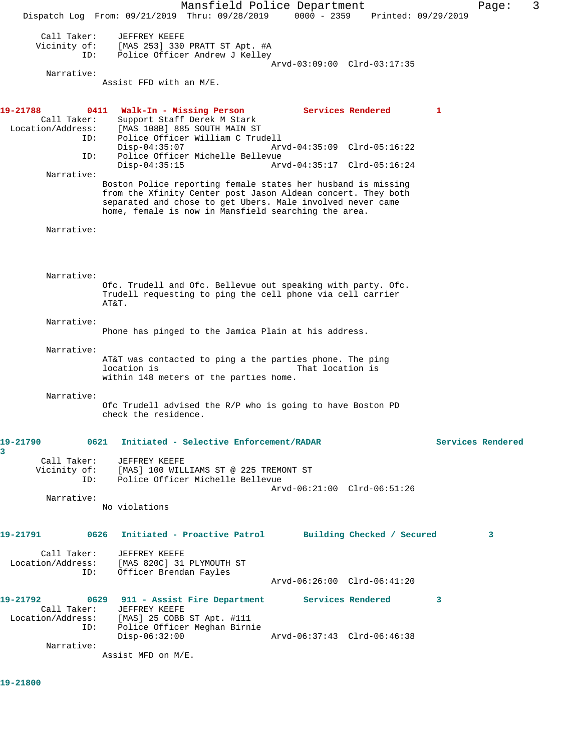Mansfield Police Department Fage: 3 Dispatch Log From: 09/21/2019 Thru: 09/28/2019 0000 - 2359 Printed: 09/29/2019 Call Taker: JEFFREY KEEFE Vicinity of: [MAS 253] 330 PRATT ST Apt. #A ID: Police Officer Andrew J Kelley Arvd-03:09:00 Clrd-03:17:35 Narrative: Assist FFD with an M/E. **19-21788 0411 Walk-In - Missing Person Services Rendered 1**  Call Taker: Support Staff Derek M Stark Location/Address: [MAS 108B] 885 SOUTH MAIN ST ID: Police Officer William C Trudell Disp-04:35:07 Arvd-04:35:09 Clrd-05:16:22 ID: Police Officer Michelle Bellevue Disp-04:35:15 Arvd-04:35:17 Clrd-05:16:24 Narrative: Boston Police reporting female states her husband is missing from the Xfinity Center post Jason Aldean concert. They both separated and chose to get Ubers. Male involved never came home, female is now in Mansfield searching the area. Narrative: Narrative: Ofc. Trudell and Ofc. Bellevue out speaking with party. Ofc. Trudell requesting to ping the cell phone via cell carrier AT&T. Narrative: Phone has pinged to the Jamica Plain at his address. Narrative: AT&T was contacted to ping a the parties phone. The ping<br>location is That location is location is That location is within 148 meters of the parties home. Narrative: Ofc Trudell advised the R/P who is going to have Boston PD check the residence. **19-21790 0621 Initiated - Selective Enforcement/RADAR Services Rendered 3**  Call Taker: JEFFREY KEEFE<br>Vicinity of: [MAS] 100 WILI of: [MAS] 100 WILLIAMS ST @ 225 TREMONT ST<br>TD: Police Officer Michelle Bellevue Police Officer Michelle Bellevue Arvd-06:21:00 Clrd-06:51:26 Narrative: No violations **19-21791 0626 Initiated - Proactive Patrol Building Checked / Secured 3** Call Taker: JEFFREY KEEFE Location/Address: [MAS 820C] 31 PLYMOUTH ST ID: Officer Brendan Fayles Arvd-06:26:00 Clrd-06:41:20 **19-21792 0629 911 - Assist Fire Department Services Rendered 3**  Call Taker: JEFFREY KEEFE Location/Address: [MAS] 25 COBB ST Apt. #111 ID: Police Officer Meghan Birnie Disp-06:32:00 Arvd-06:37:43 Clrd-06:46:38 Narrative: Assist MFD on M/E.

**19-21800**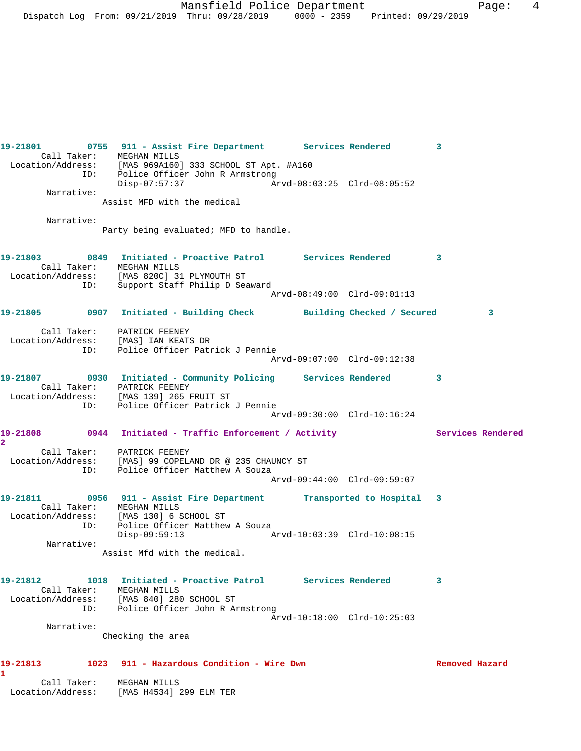| Call Taker: MEGHAN MILLS | 19-21801 0755 911 - Assist Fire Department Services Rendered 3                                                              |                             |                |   |
|--------------------------|-----------------------------------------------------------------------------------------------------------------------------|-----------------------------|----------------|---|
|                          | Location/Address: [MAS 969A160] 333 SCHOOL ST Apt. #A160<br>ID: Police Officer John R Armstrong                             |                             |                |   |
| Narrative:               | Disp-07:57:37                                                                                                               | Arvd-08:03:25 Clrd-08:05:52 |                |   |
|                          | Assist MFD with the medical                                                                                                 |                             |                |   |
| Narrative:               | Party being evaluated; MFD to handle.                                                                                       |                             |                |   |
|                          | 19-21803 0849 Initiated - Proactive Patrol Services Rendered 3                                                              |                             |                |   |
|                          | Call Taker: MEGHAN MILLS<br>Location/Address: [MAS 820C] 31 PLYMOUTH ST                                                     |                             |                |   |
|                          | ID: Support Staff Philip D Seaward                                                                                          | Arvd-08:49:00 Clrd-09:01:13 |                |   |
|                          | 19-21805 0907 Initiated - Building Check Building Checked / Secured                                                         |                             |                | 3 |
|                          |                                                                                                                             |                             |                |   |
|                          | Call Taker: PATRICK FEENEY<br>Location/Address: [MAS] IAN KEATS DR<br>ID: Police Officer Patrick J Pennie                   |                             |                |   |
|                          |                                                                                                                             | Arvd-09:07:00 Clrd-09:12:38 |                |   |
|                          | 19-21807 0930 Initiated - Community Policing Services Rendered 3                                                            |                             |                |   |
|                          | Call Taker: PATRICK FEENEY<br>Location/Address: [MAS 139] 265 FRUIT ST                                                      |                             |                |   |
|                          | ID: Police Officer Patrick J Pennie                                                                                         | Arvd-09:30:00 Clrd-10:16:24 |                |   |
|                          | 19-21808 0944 Initiated - Traffic Enforcement / Activity Services Rendered                                                  |                             |                |   |
| $\overline{\mathbf{2}}$  |                                                                                                                             |                             |                |   |
|                          | Call Taker: PATRICK FEENEY<br>Location/Address: [MAS] 99 COPELAND DR @ 235 CHAUNCY ST<br>ID: Police Officer Matthew A Souza |                             |                |   |
|                          |                                                                                                                             | Arvd-09:44:00 Clrd-09:59:07 |                |   |
|                          | 19-21811 0956 911 - Assist Fire Department Transported to Hospital 3                                                        |                             |                |   |
|                          | Call Taker: MEGHAN MILLS<br>Location/Address: [MAS 130] 6 SCHOOL ST                                                         |                             |                |   |
|                          | ID: Police Officer Matthew A Souza<br>Disp-09:59:13 Arvd-10:03:39 Clrd-10:08:15                                             |                             |                |   |
| Narrative:               | Assist Mfd with the medical.                                                                                                |                             |                |   |
|                          |                                                                                                                             |                             |                |   |
| Call Taker: MEGHAN MILLS | 19-21812 1018 Initiated - Proactive Patrol Services Rendered                                                                |                             | 3              |   |
|                          | Location/Address: [MAS 840] 280 SCHOOL ST<br>ID: Police Officer John R Armstrong                                            |                             |                |   |
| Narrative:               |                                                                                                                             | Arvd-10:18:00 Clrd-10:25:03 |                |   |
|                          | Checking the area                                                                                                           |                             |                |   |
|                          | 19-21813 1023 911 - Hazardous Condition - Wire Dwn                                                                          |                             | Removed Hazard |   |
| 1.                       | Call Taker: MEGHAN MILLS<br>Location/Address: [MAS H4534] 299 ELM TER                                                       |                             |                |   |
|                          |                                                                                                                             |                             |                |   |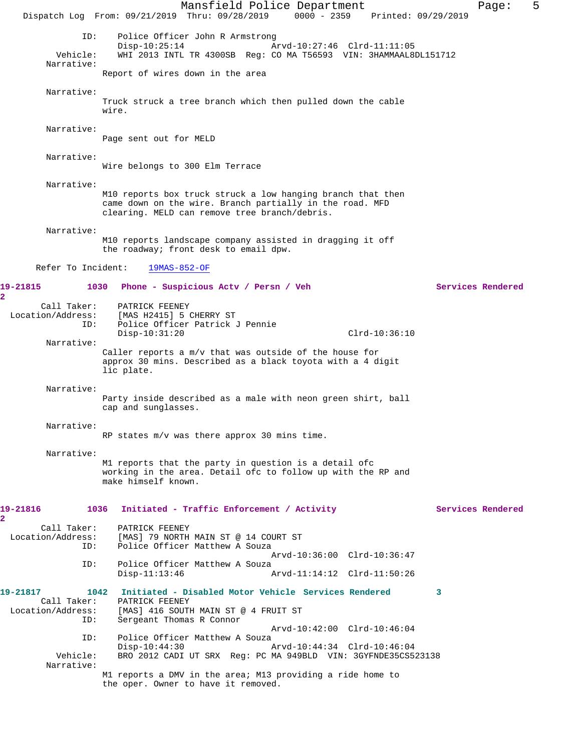Mansfield Police Department Fage: 5 Dispatch Log From: 09/21/2019 Thru: 09/28/2019 0000 - 2359 Printed: 09/29/2019 ID: Police Officer John R Armstrong<br>Disp-10:25:14 Ar Disp-10:25:14 <br>Vehicle: WHI 2013 INTL TR 4300SB Reg: CO MA T56593 VIN: 3HAMMAAL8 WHI 2013 INTL TR 4300SB Reg: CO MA T56593 VIN: 3HAMMAAL8DL151712 Narrative: Report of wires down in the area Narrative: Truck struck a tree branch which then pulled down the cable wire. Narrative: Page sent out for MELD Narrative: Wire belongs to 300 Elm Terrace Narrative: M10 reports box truck struck a low hanging branch that then came down on the wire. Branch partially in the road. MFD clearing. MELD can remove tree branch/debris. Narrative: M10 reports landscape company assisted in dragging it off the roadway; front desk to email dpw. Refer To Incident: 19MAS-852-OF **19-21815 1030 Phone - Suspicious Actv / Persn / Veh Services Rendered** Call Taker: PATRICK FEENEY Location/Address: [MAS H2415] 5 CHERRY ST ID: Police Officer Patrick J Pennie Disp-10:31:20 Clrd-10:36:10 Narrative: Caller reports a m/v that was outside of the house for approx 30 mins. Described as a black toyota with a 4 digit lic plate. Narrative: Party inside described as a male with neon green shirt, ball cap and sunglasses. Narrative: RP states m/v was there approx 30 mins time. Narrative: M1 reports that the party in question is a detail ofc working in the area. Detail ofc to follow up with the RP and make himself known. 19-21816 1036 Initiated - Traffic Enforcement / Activity Services Rendered Call Taker: PATRICK FEENEY Location/Address: [MAS] 79 NORTH MAIN ST @ 14 COURT ST<br>ID: Police Officer Matthew A Souza Police Officer Matthew A Souza Arvd-10:36:00 Clrd-10:36:47 ID: Police Officer Matthew A Souza<br>Disp-11:13:46 Arvd-11:14:12 Clrd-11:50:26 **19-21817 1042 Initiated - Disabled Motor Vehicle Services Rendered 3**  Call Taker: PATRICK FEENEY<br>Location/Address: [MAS] 416 SOUTI [MAS] 416 SOUTH MAIN ST @ 4 FRUIT ST ID: Sergeant Thomas R Connor Arvd-10:42:00 Clrd-10:46:04 ID: Police Officer Matthew A Souza Disp-10:44:30 Arvd-10:44:34 Clrd-10:46:04 BRO 2012 CADI UT SRX Reg: PC MA 949BLD VIN: 3GYFNDE35CS523138 Narrative: M1 reports a DMV in the area; M13 providing a ride home to the oper. Owner to have it removed.

**2** 

**2**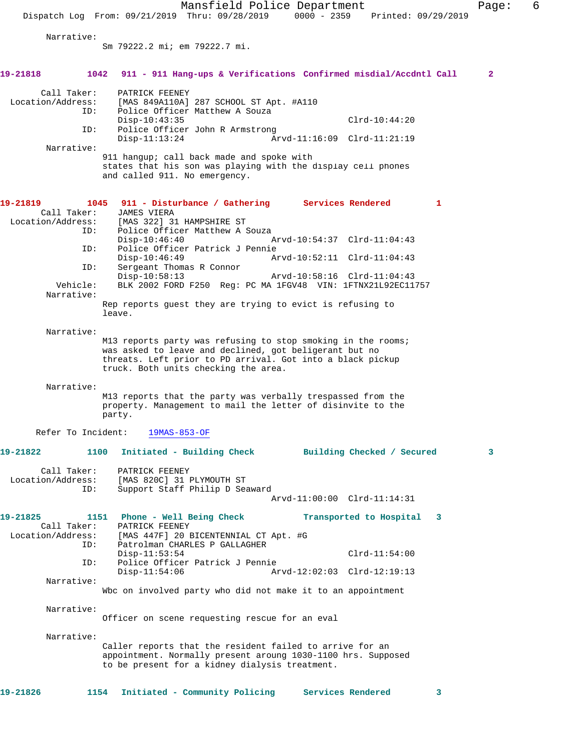Mansfield Police Department Fage: 6 Dispatch Log From: 09/21/2019 Thru: 09/28/2019 0000 - 2359 Printed: 09/29/2019 Narrative: Sm 79222.2 mi; em 79222.7 mi. **19-21818 1042 911 - 911 Hang-ups & Verifications Confirmed misdial/Accdntl Call 2** Call Taker: PATRICK FEENEY Location/Address: [MAS 849A110A] 287 SCHOOL ST Apt. #A110<br>TD: Police Officer Matthew A Souza Police Officer Matthew A Souza Disp-10:43:35 Clrd-10:44:20<br>ID: Police Officer John R Armstrong Clrd-10:44:20 Police Officer John R Armstrong<br>Disp-11:13:24 Ar Arvd-11:16:09 Clrd-11:21:19 Narrative: 911 hangup; call back made and spoke with states that his son was playing with the display cell phones and called 911. No emergency. **19-21819 1045 911 - Disturbance / Gathering Services Rendered 1 Call Taker:** JAMES VIERA Call Taker: Location/Address: [MAS 322] 31 HAMPSHIRE ST<br>: ID: Police Officer Matthew A Police Officer Matthew A Souza<br>Disp-10:46:40 Disp-10:46:40 Arvd-10:54:37 Clrd-11:04:43<br>TD: Police Officer Patrick J Pennie Police Officer Patrick J Pennie<br>Disp-10:46:49 A Disp-10:46:49 Arvd-10:52:11 Clrd-11:04:43 ID: Sergeant Thomas R Connor Disp-10:58:13 Arvd-10:58:16 Clrd-11:04:43<br>Vehicle: BLK 2002 FORD F250 Reg: PC MA 1FGV48 VIN: 1FTNX21L92EC11 BLK 2002 FORD F250 Reg: PC MA 1FGV48 VIN: 1FTNX21L92EC11757 Narrative: Rep reports guest they are trying to evict is refusing to leave. Narrative: M13 reports party was refusing to stop smoking in the rooms; was asked to leave and declined, got beligerant but no threats. Left prior to PD arrival. Got into a black pickup truck. Both units checking the area. Narrative: M13 reports that the party was verbally trespassed from the property. Management to mail the letter of disinvite to the party. Refer To Incident: 19MAS-853-OF **19-21822 1100 Initiated - Building Check Building Checked / Secured 3** Call Taker: PATRICK FEENEY<br>Location/Address: [MAS 820C] 31 I ess: [MAS 820C] 31 PLYMOUTH ST<br>ID: Support Staff Philip D Sea Support Staff Philip D Seaward Arvd-11:00:00 Clrd-11:14:31 **19-21825 1151 Phone - Well Being Check Transported to Hospital 3**  Call Taker: PATRICK FEENEY<br>Location/Address: [MAS 447F] 20 E [MAS 447F] 20 BICENTENNIAL CT Apt. #G ID: Patrolman CHARLES P GALLAGHER Disp-11:53:54 Clrd-11:54:00<br>ID: Police Officer Patrick J Pennie Police Officer Patrick J Pennie<br>Disp-11:54:06 Ar Arvd-12:02:03 Clrd-12:19:13 Narrative: Wbc on involved party who did not make it to an appointment Narrative: Officer on scene requesting rescue for an eval Narrative: Caller reports that the resident failed to arrive for an appointment. Normally present aroung 1030-1100 hrs. Supposed to be present for a kidney dialysis treatment. **19-21826 1154 Initiated - Community Policing Services Rendered 3**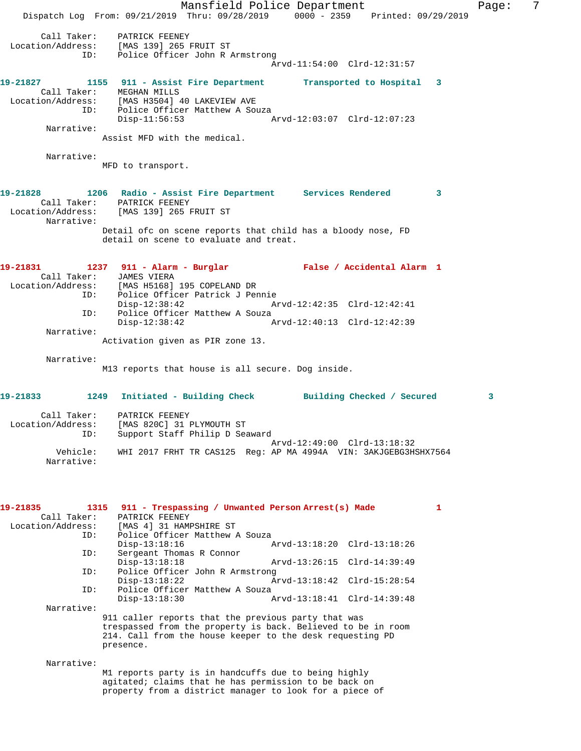Mansfield Police Department Fage: 7 Dispatch Log From: 09/21/2019 Thru: 09/28/2019 0000 - 2359 Printed: 09/29/2019 Call Taker: PATRICK FEENEY Location/Address: [MAS 139] 265 FRUIT ST ID: Police Officer John R Armstrong Arvd-11:54:00 Clrd-12:31:57 **19-21827 1155 911 - Assist Fire Department Transported to Hospital 3**  Call Taker: MEGHAN MILLS Location/Address: [MAS H3504] 40 LAKEVIEW AVE ID: Police Officer Matthew A Souza Disp-11:56:53 Arvd-12:03:07 Clrd-12:07:23 Narrative: Assist MFD with the medical. Narrative: MFD to transport. **19-21828 1206 Radio - Assist Fire Department Services Rendered 3**  Call Taker: PATRICK FEENEY Location/Address: [MAS 139] 265 FRUIT ST Narrative: Detail ofc on scene reports that child has a bloody nose, FD detail on scene to evaluate and treat. **19-21831 1237 911 - Alarm - Burglar False / Accidental Alarm 1**  Call Taker: JAMES VIERA<br>Location/Address: [MAS H5168] ess: [MAS H5168] 195 COPELAND DR<br>ID: Police Officer Patrick J Per Police Officer Patrick J Pennie Disp-12:38:42 Arvd-12:42:35 Clrd-12:42:41 ID: Police Officer Matthew A Souza<br>Disp-12:38:42 A Arvd-12:40:13 Clrd-12:42:39 Narrative: Activation given as PIR zone 13. Narrative: M13 reports that house is all secure. Dog inside. **19-21833 1249 Initiated - Building Check Building Checked / Secured 3** Call Taker: PATRICK FEENEY Location/Address: [MAS 820C] 31 PLYMOUTH ST ID: Support Staff Philip D Seaward Arvd-12:49:00 Clrd-13:18:32 Vehicle: WHI 2017 FRHT TR CAS125 Reg: AP MA 4994A VIN: 3AKJGEBG3HSHX7564 Narrative: **19-21835 1315 911 - Trespassing / Unwanted Person Arrest(s) Made 1**  Call Taker: PATRICK FEENEY<br>Location/Address: [MAS 4] 31 HAM! [MAS 4] 31 HAMPSHIRE ST ID: Police Officer Matthew A Souza Disp-13:18:16 Arvd-13:18:20 Clrd-13:18:26<br>ID: Sergeant Thomas R Connor Sergeant Thomas R Connor<br>Disp-13:18:18 Disp-13:18:18 Arvd-13:26:15 Clrd-14:39:49 ID: Police Officer John R Armstrong Disp-13:18:22 Arvd-13:18:42 Clrd-15:28:54 ID: Police Officer Matthew A Souza<br>Disp-13:18:30 Disp-13:18:30 Arvd-13:18:41 Clrd-14:39:48 Narrative: 911 caller reports that the previous party that was trespassed from the property is back. Believed to be in room 214. Call from the house keeper to the desk requesting PD presence. Narrative: M1 reports party is in handcuffs due to being highly agitated; claims that he has permission to be back on property from a district manager to look for a piece of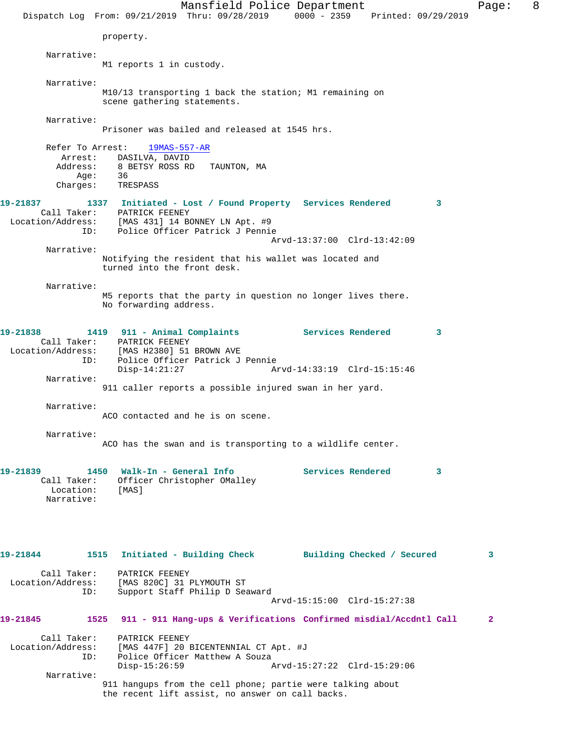Mansfield Police Department Fage: 8 Dispatch Log From: 09/21/2019 Thru: 09/28/2019 0000 - 2359 Printed: 09/29/2019 property. Narrative: M1 reports 1 in custody. Narrative: M10/13 transporting 1 back the station; M1 remaining on scene gathering statements. Narrative: Prisoner was bailed and released at 1545 hrs. Refer To Arrest: 19MAS-557-AR Arrest: DASILVA, DAVID<br>Address: 8 BETSY ROSS RD 8 BETSY ROSS RD TAUNTON, MA Age:<br>:Charges 36<br>TRESPASS **19-21837 1337 Initiated - Lost / Found Property Services Rendered 3**  Call Taker: PATRICK FEENEY Location/Address: [MAS 431] 14 BONNEY LN Apt. #9 ID: Police Officer Patrick J Pennie Arvd-13:37:00 Clrd-13:42:09 Narrative: Notifying the resident that his wallet was located and turned into the front desk. Narrative: M5 reports that the party in question no longer lives there. No forwarding address. **19-21838 1419 911 - Animal Complaints Services Rendered 3**  Call Taker: PATRICK FEENEY Location/Address: [MAS H2380] 51 BROWN AVE<br>ID: Police Officer Patrick J ID: Police Officer Patrick J Pennie Disp-14:21:27 Arvd-14:33:19 Clrd-15:15:46 Narrative: 911 caller reports a possible injured swan in her yard. Narrative: ACO contacted and he is on scene. Narrative: ACO has the swan and is transporting to a wildlife center. 19-21839 1450 Walk-In - General Info **Services Rendered** 3 Call Taker: Officer Christopher OMalley<br>Location: [MAS] Location: Narrative: **19-21844 1515 Initiated - Building Check Building Checked / Secured 3** Call Taker: PATRICK FEENEY Location/Address: [MAS 820C] 31 PLYMOUTH ST<br>ID: Support Staff Philip D Sea Support Staff Philip D Seaward Arvd-15:15:00 Clrd-15:27:38 **19-21845 1525 911 - 911 Hang-ups & Verifications Confirmed misdial/Accdntl Call 2** Call Taker: PATRICK FEENEY Location/Address: [MAS 447F] 20 BICENTENNIAL CT Apt. #J ID: Police Officer Matthew A Souza<br>Disp-15:26:59 A Arvd-15:27:22 Clrd-15:29:06 Narrative: 911 hangups from the cell phone; partie were talking about the recent lift assist, no answer on call backs.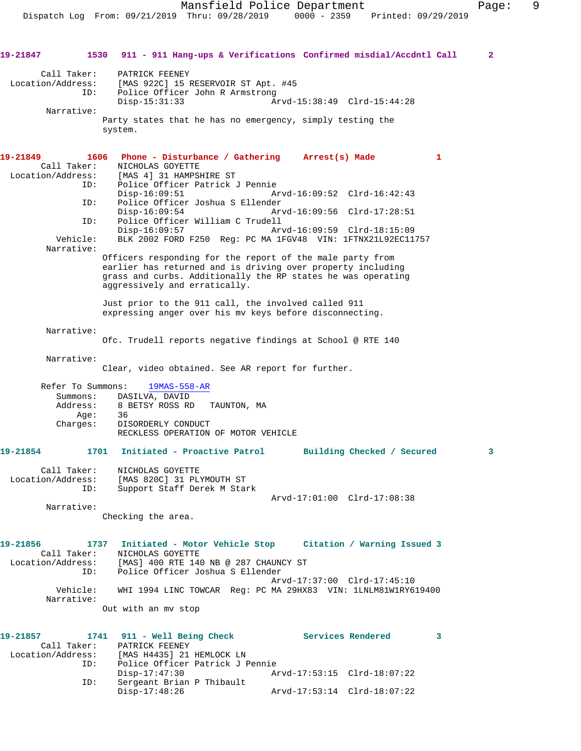**19-21847 1530 911 - 911 Hang-ups & Verifications Confirmed misdial/Accdntl Call 2** Call Taker: PATRICK FEENEY Location/Address: [MAS 922C] 15 RESERVOIR ST Apt. #45 ID: Police Officer John R Armstrong Disp-15:31:33 Arvd-15:38:49 Clrd-15:44:28 Narrative: Party states that he has no emergency, simply testing the system. **19-21849 1606 Phone - Disturbance / Gathering Arrest(s) Made 1**  Call Taker: NICHOLAS GOYETTE<br>Location/Address: [MAS 4] 31 HAMPSI [MAS 4] 31 HAMPSHIRE ST ID: Police Officer Patrick J Pennie Disp-16:09:51 Arvd-16:09:52 Clrd-16:42:43<br>ID: Police Officer Joshua S Ellender Police Officer Joshua S Ellender<br>Disp-16:09:54 Ar Disp-16:09:54 Arvd-16:09:56 Clrd-17:28:51 ID: Police Officer William C Trudell Disp-16:09:57 Arvd-16:09:59 Clrd-18:15:09 Vehicle: BLK 2002 FORD F250 Reg: PC MA 1FGV48 VIN: 1FTNX21L92EC11757 Narrative: Officers responding for the report of the male party from earlier has returned and is driving over property including grass and curbs. Additionally the RP states he was operating aggressively and erratically. Just prior to the 911 call, the involved called 911 expressing anger over his mv keys before disconnecting. Narrative: Ofc. Trudell reports negative findings at School @ RTE 140 Narrative: Clear, video obtained. See AR report for further. Refer To Summons: 19MAS-558-AR Summons: DASILVA, DAVID<br>Address: 8 BETSY ROSS RD 8 BETSY ROSS RD TAUNTON, MA<br>36 Age: Charges: DISORDERLY CONDUCT RECKLESS OPERATION OF MOTOR VEHICLE **19-21854 1701 Initiated - Proactive Patrol Building Checked / Secured 3** Call Taker: NICHOLAS GOYETTE Location/Address: [MAS 820C] 31 PLYMOUTH ST ID: Support Staff Derek M Stark Arvd-17:01:00 Clrd-17:08:38 Narrative: Checking the area. **19-21856 1737 Initiated - Motor Vehicle Stop Citation / Warning Issued 3**  Call Taker: NICHOLAS GOYETTE Location/Address: [MAS] 400 RTE 140 NB @ 287 CHAUNCY ST ID: Police Officer Joshua S Ellender Arvd-17:37:00 Clrd-17:45:10 Vehicle: WHI 1994 LINC TOWCAR Reg: PC MA 29HX83 VIN: 1LNLM81W1RY619400 Narrative: Out with an mv stop **19-21857 1741 911 - Well Being Check Services Rendered 3**  Call Taker: PATRICK FEENEY Location/Address: [MAS H4435] 21 HEMLOCK LN ID: Police Officer Patrick J Pennie Disp-17:47:30 Arvd-17:53:15 Clrd-18:07:22<br>TD: Sergeant Brian P Thibault Sergeant Brian P Thibault<br>Disp-17:48:26

Arvd-17:53:14 Clrd-18:07:22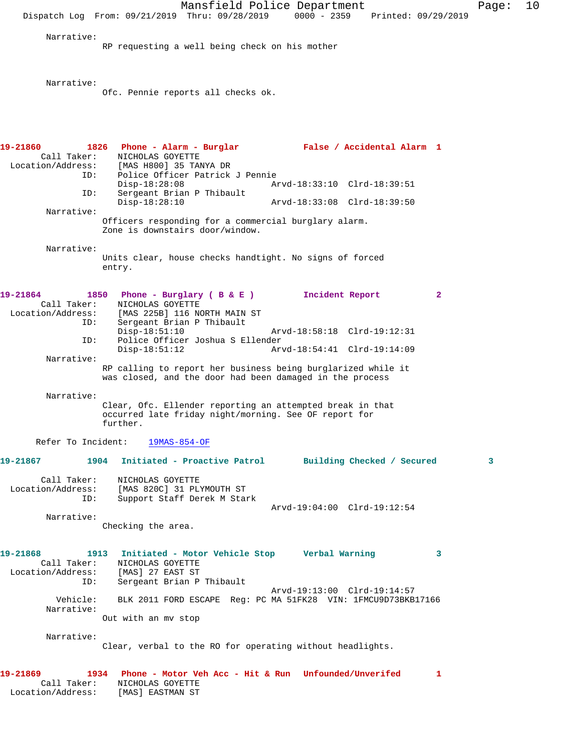Mansfield Police Department Page: 10 Dispatch Log From: 09/21/2019 Thru: 09/28/2019 0000 - 2359 Printed: 09/29/2019 Narrative: RP requesting a well being check on his mother Narrative: Ofc. Pennie reports all checks ok. **19-21860 1826 Phone - Alarm - Burglar False / Accidental Alarm 1**  Call Taker: NICHOLAS GOYETTE Location/Address: [MAS H800] 35 TANYA DR ID: Police Officer Patrick J Pennie Disp-18:28:08 Arvd-18:33:10 Clrd-18:39:51 ID: Sergeant Brian P Thibault Disp-18:28:10 Arvd-18:33:08 Clrd-18:39:50 Narrative: Officers responding for a commercial burglary alarm. Zone is downstairs door/window. Narrative: Units clear, house checks handtight. No signs of forced entry. **19-21864 1850 Phone - Burglary ( B & E ) Incident Report 2**  Call Taker: NICHOLAS GOYETTE Location/Address: [MAS 225B] 116 NORTH MAIN ST ID: Sergeant Brian P Thibault Arvd-18:58:18 Clrd-19:12:31 ID: Police Officer Joshua S Ellender Disp-18:51:12 Arvd-18:54:41 Clrd-19:14:09 Narrative: RP calling to report her business being burglarized while it was closed, and the door had been damaged in the process Narrative: Clear, Ofc. Ellender reporting an attempted break in that occurred late friday night/morning. See OF report for further. Refer To Incident: 19MAS-854-OF **19-21867 1904 Initiated - Proactive Patrol Building Checked / Secured 3** Call Taker: NICHOLAS GOYETTE Location/Address: [MAS 820C] 31 PLYMOUTH ST ID: Support Staff Derek M Stark Arvd-19:04:00 Clrd-19:12:54 Narrative: Checking the area. **19-21868 1913 Initiated - Motor Vehicle Stop Verbal Warning 3**  Call Taker: NICHOLAS GOYETTE Location/Address: [MAS] 27 EAST ST ID: Sergeant Brian P Thibault Arvd-19:13:00 Clrd-19:14:57 Vehicle: BLK 2011 FORD ESCAPE Reg: PC MA 51FK28 VIN: 1FMCU9D73BKB17166 Narrative: Out with an mv stop Narrative: Clear, verbal to the RO for operating without headlights. **19-21869 1934 Phone - Motor Veh Acc - Hit & Run Unfounded/Unverifed 1**  Call Taker: NICHOLAS GOYETTE

Location/Address: [MAS] EASTMAN ST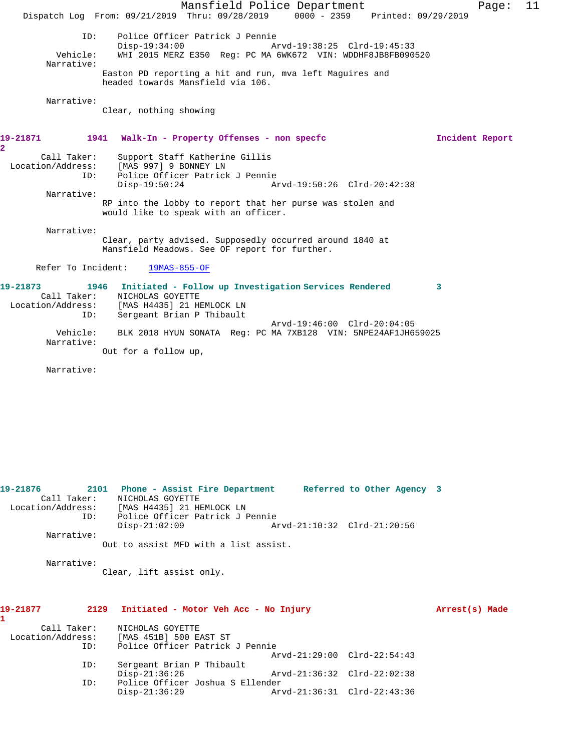Mansfield Police Department Fage: 11 Dispatch Log From: 09/21/2019 Thru: 09/28/2019 0000 - 2359 Printed: 09/29/2019 ID: Police Officer Patrick J Pennie Disp-19:34:00 Arvd-19:38:25 Clrd-19:45:33<br>Vehicle: WHI 2015 MERZ E350 Reg: PC MA 6WK672 VIN: WDDHF8JB8FB090 WHI 2015 MERZ E350 Reg: PC MA 6WK672 VIN: WDDHF8JB8FB090520 Narrative: Easton PD reporting a hit and run, mva left Maguires and headed towards Mansfield via 106. Narrative: Clear, nothing showing **19-21871 1941 Walk-In - Property Offenses - non specfc Incident Report 2**  Call Taker: Support Staff Katherine Gillis Location/Address: [MAS 997] 9 BONNEY LN ID: Police Officer Patrick J Pennie Disp-19:50:24 Arvd-19:50:26 Clrd-20:42:38 Narrative: RP into the lobby to report that her purse was stolen and would like to speak with an officer. Narrative: Clear, party advised. Supposedly occurred around 1840 at Mansfield Meadows. See OF report for further. Refer To Incident: 19MAS-855-OF **19-21873 1946 Initiated - Follow up Investigation Services Rendered 3**  Call Taker: NICHOLAS GOYETTE Location/Address: [MAS H4435] 21 HEMLOCK LN ID: Sergeant Brian P Thibault Arvd-19:46:00 Clrd-20:04:05 Vehicle: BLK 2018 HYUN SONATA Reg: PC MA 7XB128 VIN: 5NPE24AF1JH659025 Narrative:

Out for a follow up,

Narrative:

**19-21876 2101 Phone - Assist Fire Department Referred to Other Agency 3**  Call Taker: NICHOLAS GOYETTE Location/Address: [MAS H4435] 21 HEMLOCK LN ID: Police Officer Patrick J Pennie Disp-21:02:09 Arvd-21:10:32 Clrd-21:20:56 Narrative: Out to assist MFD with a list assist.

Narrative:

Clear, lift assist only.

## **1**  Call Taker: NICHOLAS GOYETTE Location/Address: [MAS 451B] 500 EAST ST Police Officer Patrick J Pennie Arvd-21:29:00 Clrd-22:54:43 ID: Sergeant Brian P Thibault

Disp-21:36:26 Arvd-21:36:32 Clrd-22:02:38<br>ID: Police Officer Joshua S Ellender

Disp-21:36:29 Arvd-21:36:31 Clrd-22:43:36

ID: Police Officer Joshua S Ellender

**19-21877 2129 Initiated - Motor Veh Acc - No Injury Arrest(s) Made**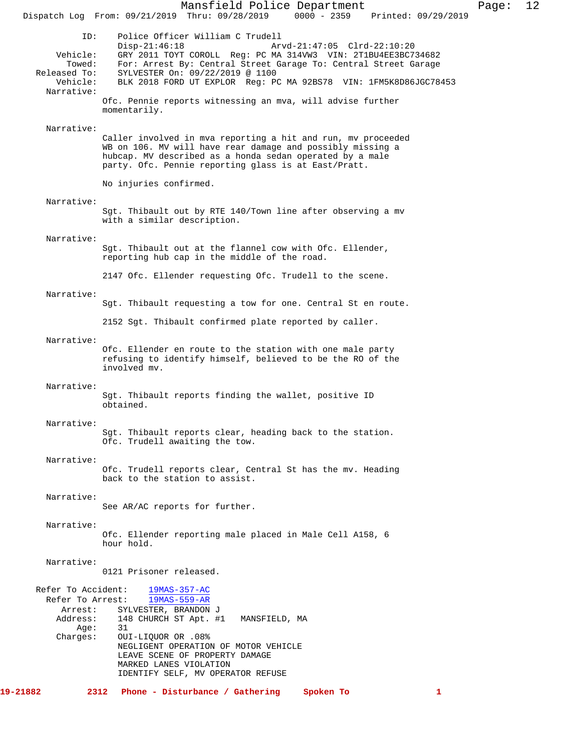Mansfield Police Department Page: 12 Dispatch Log From: 09/21/2019 Thru: 09/28/2019 ID: Police Officer William C Trudell Disp-21:46:18 Arvd-21:47:05 Clrd-22:10:20 Vehicle: GRY 2011 TOYT COROLL Reg: PC MA 314VW3 VIN: 2T1BU4EE3BC734682 Towed: For: Arrest By: Central Street Garage To: Central Street Garage Released To: SYLVESTER On: 09/22/2019 @ 1100 Vehicle: BLK 2018 FORD UT EXPLOR Reg: PC MA 92BS78 VIN: 1FM5K8D86JGC78453 Narrative: Ofc. Pennie reports witnessing an mva, will advise further momentarily. Narrative: Caller involved in mva reporting a hit and run, mv proceeded WB on 106. MV will have rear damage and possibly missing a hubcap. MV described as a honda sedan operated by a male party. Ofc. Pennie reporting glass is at East/Pratt. No injuries confirmed. Narrative: Sgt. Thibault out by RTE 140/Town line after observing a mv with a similar description. Narrative: Sgt. Thibault out at the flannel cow with Ofc. Ellender, reporting hub cap in the middle of the road. 2147 Ofc. Ellender requesting Ofc. Trudell to the scene. Narrative: Sgt. Thibault requesting a tow for one. Central St en route. 2152 Sgt. Thibault confirmed plate reported by caller. Narrative: Ofc. Ellender en route to the station with one male party refusing to identify himself, believed to be the RO of the involved mv. Narrative: Sgt. Thibault reports finding the wallet, positive ID obtained. Narrative: Sgt. Thibault reports clear, heading back to the station. Ofc. Trudell awaiting the tow. Narrative: Ofc. Trudell reports clear, Central St has the mv. Heading back to the station to assist. Narrative: See AR/AC reports for further. Narrative: Ofc. Ellender reporting male placed in Male Cell A158, 6 hour hold. Narrative: 0121 Prisoner released. Refer To Accident:  $\frac{19MAS-357-AC}{19MAS-559-AR}$ Refer To Arrest: Arrest: SYLVESTER, BRANDON J<br>Address: 148 CHURCH ST Apt. # 148 CHURCH ST Apt. #1 MANSFIELD, MA Age: 31 Charges: OUI-LIQUOR OR .08% NEGLIGENT OPERATION OF MOTOR VEHICLE LEAVE SCENE OF PROPERTY DAMAGE MARKED LANES VIOLATION IDENTIFY SELF, MV OPERATOR REFUSE **19-21882 2312 Phone - Disturbance / Gathering Spoken To 1**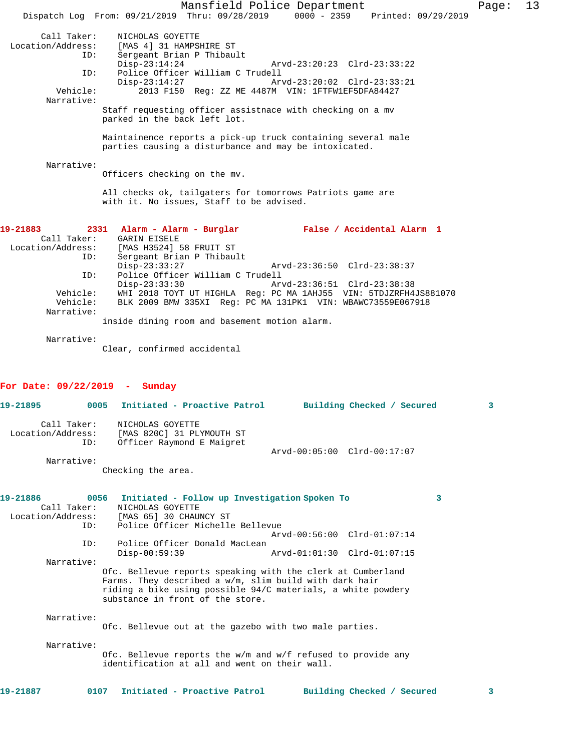|                                 | Mansfield Police Department                                                                                   |                            | Page: | 13 |
|---------------------------------|---------------------------------------------------------------------------------------------------------------|----------------------------|-------|----|
|                                 | Dispatch Log From: 09/21/2019 Thru: 09/28/2019 0000 - 2359 Printed: 09/29/2019                                |                            |       |    |
| Call Taker:                     | NICHOLAS GOYETTE                                                                                              |                            |       |    |
| Location/Address:               | [MAS 4] 31 HAMPSHIRE ST                                                                                       |                            |       |    |
| ID:                             | Sergeant Brian P Thibault                                                                                     |                            |       |    |
|                                 | $Disp-23:14:24$<br>Arvd-23:20:23 Clrd-23:33:22                                                                |                            |       |    |
| ID:                             | Police Officer William C Trudell                                                                              |                            |       |    |
| Vehicle:                        | Arvd-23:20:02 Clrd-23:33:21<br>$Disp-23:14:27$<br>2013 F150 Req: ZZ ME 4487M VIN: 1FTFW1EF5DFA84427           |                            |       |    |
| Narrative:                      |                                                                                                               |                            |       |    |
|                                 | Staff requesting officer assistnace with checking on a mv                                                     |                            |       |    |
|                                 | parked in the back left lot.                                                                                  |                            |       |    |
|                                 | Maintainence reports a pick-up truck containing several male                                                  |                            |       |    |
|                                 | parties causing a disturbance and may be intoxicated.                                                         |                            |       |    |
|                                 |                                                                                                               |                            |       |    |
| Narrative:                      |                                                                                                               |                            |       |    |
|                                 | Officers checking on the mv.                                                                                  |                            |       |    |
|                                 | All checks ok, tailgaters for tomorrows Patriots game are                                                     |                            |       |    |
|                                 | with it. No issues, Staff to be advised.                                                                      |                            |       |    |
|                                 |                                                                                                               |                            |       |    |
| 19-21883                        | 2331 Alarm - Alarm - Burglar<br>False / Accidental Alarm 1                                                    |                            |       |    |
| Call Taker:                     | <b>GARIN EISELE</b>                                                                                           |                            |       |    |
| Location/Address:               | [MAS H3524] 58 FRUIT ST                                                                                       |                            |       |    |
| ID:                             | Sergeant Brian P Thibault                                                                                     |                            |       |    |
|                                 | $Disp-23:33:27$<br>Arvd-23:36:50 Clrd-23:38:37<br>Police Officer William C Trudell                            |                            |       |    |
| ID:                             | Arvd-23:36:51 Clrd-23:38:38<br>$Disp-23:33:30$                                                                |                            |       |    |
| Vehicle:                        | WHI 2018 TOYT UT HIGHLA Req: PC MA 1AHJ55 VIN: 5TDJZRFH4JS881070                                              |                            |       |    |
| Vehicle:                        | BLK 2009 BMW 335XI Reg: PC MA 131PK1 VIN: WBAWC73559E067918                                                   |                            |       |    |
| Narrative:                      |                                                                                                               |                            |       |    |
|                                 | inside dining room and basement motion alarm.                                                                 |                            |       |    |
| Narrative:                      |                                                                                                               |                            |       |    |
|                                 | Clear, confirmed accidental                                                                                   |                            |       |    |
|                                 |                                                                                                               |                            |       |    |
|                                 |                                                                                                               |                            |       |    |
| For Date: $09/22/2019$ - Sunday |                                                                                                               |                            |       |    |
| 19-21895<br>0005                | Initiated - Proactive Patrol                                                                                  | Building Checked / Secured | 3     |    |
|                                 |                                                                                                               |                            |       |    |
| Call Taker:                     | NICHOLAS GOYETTE                                                                                              |                            |       |    |
| Location/Address:               | [MAS 820C] 31 PLYMOUTH ST                                                                                     |                            |       |    |
| ID:                             | Officer Raymond E Maigret                                                                                     |                            |       |    |
| Narrative:                      | Arvd-00:05:00 Clrd-00:17:07                                                                                   |                            |       |    |
|                                 | Checking the area.                                                                                            |                            |       |    |
|                                 |                                                                                                               |                            |       |    |
|                                 |                                                                                                               |                            |       |    |
| 19-21886<br>0056<br>Call Taker: | Initiated - Follow up Investigation Spoken To<br>NICHOLAS GOYETTE                                             | 3                          |       |    |
| Location/Address:               | [MAS 65] 30 CHAUNCY ST                                                                                        |                            |       |    |
| ID:                             | Police Officer Michelle Bellevue                                                                              |                            |       |    |
|                                 | Arvd-00:56:00 Clrd-01:07:14                                                                                   |                            |       |    |
| ID:                             | Police Officer Donald MacLean                                                                                 |                            |       |    |
| Narrative:                      | $Disp-00:59:39$<br>Arvd-01:01:30 Clrd-01:07:15                                                                |                            |       |    |
|                                 | Ofc. Bellevue reports speaking with the clerk at Cumberland                                                   |                            |       |    |
|                                 | Farms. They described a w/m, slim build with dark hair                                                        |                            |       |    |
|                                 | riding a bike using possible 94/C materials, a white powdery                                                  |                            |       |    |
|                                 | substance in front of the store.                                                                              |                            |       |    |
| Narrative:                      |                                                                                                               |                            |       |    |
|                                 | Ofc. Bellevue out at the gazebo with two male parties.                                                        |                            |       |    |
|                                 |                                                                                                               |                            |       |    |
| Narrative:                      |                                                                                                               |                            |       |    |
|                                 | Ofc. Bellevue reports the w/m and w/f refused to provide any<br>identification at all and went on their wall. |                            |       |    |
|                                 |                                                                                                               |                            |       |    |
|                                 |                                                                                                               |                            |       |    |
| 19-21887<br>0107                | Initiated - Proactive Patrol                                                                                  | Building Checked / Secured | 3     |    |
|                                 |                                                                                                               |                            |       |    |
|                                 |                                                                                                               |                            |       |    |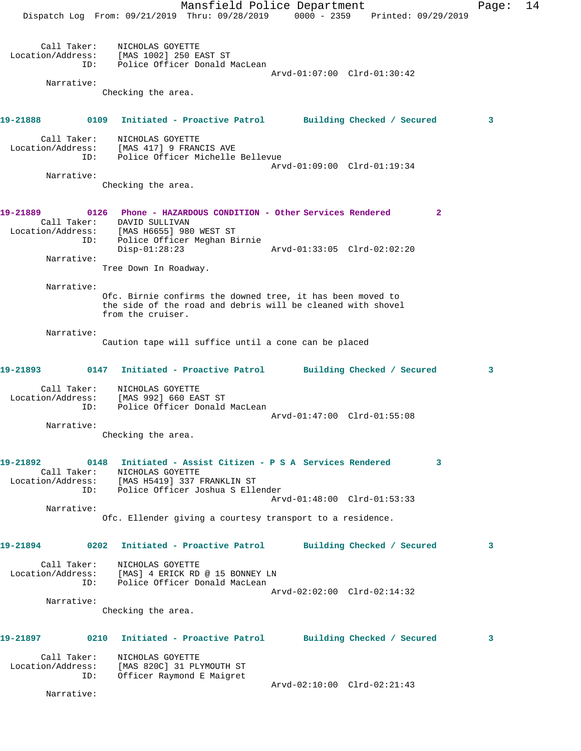Mansfield Police Department Fage: 14 Dispatch Log From: 09/21/2019 Thru: 09/28/2019 0000 - 2359 Printed: 09/29/2019 Call Taker: NICHOLAS GOYETTE Location/Address: [MAS 1002] 250 EAST ST ID: Police Officer Donald MacLean Arvd-01:07:00 Clrd-01:30:42 Narrative: Checking the area. **19-21888 0109 Initiated - Proactive Patrol Building Checked / Secured 3** Call Taker: NICHOLAS GOYETTE Location/Address: [MAS 417] 9 FRANCIS AVE ID: Police Officer Michelle Bellevue Arvd-01:09:00 Clrd-01:19:34 Narrative: Checking the area. **19-21889 0126 Phone - HAZARDOUS CONDITION - Other Services Rendered 2**  Call Taker: DAVID SULLIVAN Location/Address: [MAS H6655] 980 WEST ST ID: Police Officer Meghan Birnie Disp-01:28:23 Arvd-01:33:05 Clrd-02:02:20 Narrative: Tree Down In Roadway. Narrative: Ofc. Birnie confirms the downed tree, it has been moved to the side of the road and debris will be cleaned with shovel from the cruiser. Narrative: Caution tape will suffice until a cone can be placed **19-21893 0147 Initiated - Proactive Patrol Building Checked / Secured 3** Call Taker: NICHOLAS GOYETTE Location/Address: [MAS 992] 660 EAST ST ID: Police Officer Donald MacLean Arvd-01:47:00 Clrd-01:55:08 Narrative: Checking the area. **19-21892 0148 Initiated - Assist Citizen - P S A Services Rendered 3**  Call Taker: NICHOLAS GOYETTE Location/Address: [MAS H5419] 337 FRANKLIN ST ID: Police Officer Joshua S Ellender Arvd-01:48:00 Clrd-01:53:33 Narrative: Ofc. Ellender giving a courtesy transport to a residence. **19-21894 0202 Initiated - Proactive Patrol Building Checked / Secured 3** Call Taker: NICHOLAS GOYETTE Location/Address: [MAS] 4 ERICK RD @ 15 BONNEY LN ID: Police Officer Donald MacLean Arvd-02:02:00 Clrd-02:14:32 Narrative: Checking the area. **19-21897 0210 Initiated - Proactive Patrol Building Checked / Secured 3** Call Taker: NICHOLAS GOYETTE Location/Address: [MAS 820C] 31 PLYMOUTH ST ID: Officer Raymond E Maigret Arvd-02:10:00 Clrd-02:21:43 Narrative: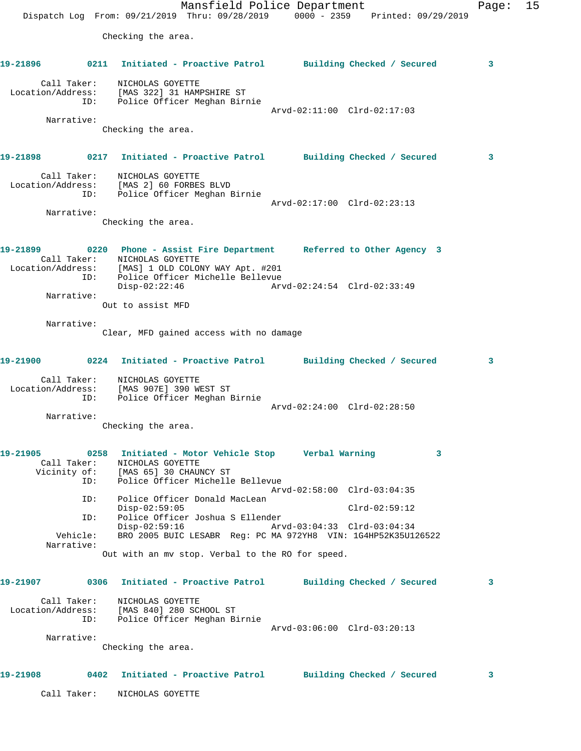Mansfield Police Department Fage: 15 Dispatch Log From: 09/21/2019 Thru: 09/28/2019 0000 - 2359 Printed: 09/29/2019 Checking the area. **19-21896 0211 Initiated - Proactive Patrol Building Checked / Secured 3** Call Taker: NICHOLAS GOYETTE Location/Address: [MAS 322] 31 HAMPSHIRE ST ID: Police Officer Meghan Birnie Arvd-02:11:00 Clrd-02:17:03 Narrative: Checking the area. **19-21898 0217 Initiated - Proactive Patrol Building Checked / Secured 3** Call Taker: NICHOLAS GOYETTE Location/Address: [MAS 2] 60 FORBES BLVD ID: Police Officer Meghan Birnie Arvd-02:17:00 Clrd-02:23:13 Narrative: Checking the area. **19-21899 0220 Phone - Assist Fire Department Referred to Other Agency 3**  Call Taker: NICHOLAS GOYETTE Location/Address: [MAS] 1 OLD COLONY WAY Apt. #201 ID: Police Officer Michelle Bellevue<br>Disp-02:22:46 Arv Disp-02:22:46 Arvd-02:24:54 Clrd-02:33:49 Narrative: Out to assist MFD Narrative: Clear, MFD gained access with no damage **19-21900 0224 Initiated - Proactive Patrol Building Checked / Secured 3** Call Taker: NICHOLAS GOYETTE Location/Address: [MAS 907E] 390 WEST ST ID: Police Officer Meghan Birnie Arvd-02:24:00 Clrd-02:28:50 Narrative: Checking the area. **19-21905 0258 Initiated - Motor Vehicle Stop Verbal Warning 3**  Call Taker: NICHOLAS GOYETTE Vicinity of: [MAS 65] 30 CHAUNCY ST ID: Police Officer Michelle Bellevue Arvd-02:58:00 Clrd-03:04:35 ID: Police Officer Donald MacLean Disp-02:59:05 Clrd-02:59:12 ID: Police Officer Joshua S Ellender Disp-02:59:16 Arvd-03:04:33 Clrd-03:04:34<br>Vehicle: BRO 2005 BUIC LESABR Req: PC MA 972YH8 VIN: 1G4HP52K35U12 BRO 2005 BUIC LESABR Reg: PC MA 972YH8 VIN: 1G4HP52K35U126522 Narrative: Out with an mv stop. Verbal to the RO for speed. **19-21907 0306 Initiated - Proactive Patrol Building Checked / Secured 3** Call Taker: NICHOLAS GOYETTE Location/Address: [MAS 840] 280 SCHOOL ST ID: Police Officer Meghan Birnie Arvd-03:06:00 Clrd-03:20:13 Narrative: Checking the area. **19-21908 0402 Initiated - Proactive Patrol Building Checked / Secured 3** Call Taker: NICHOLAS GOYETTE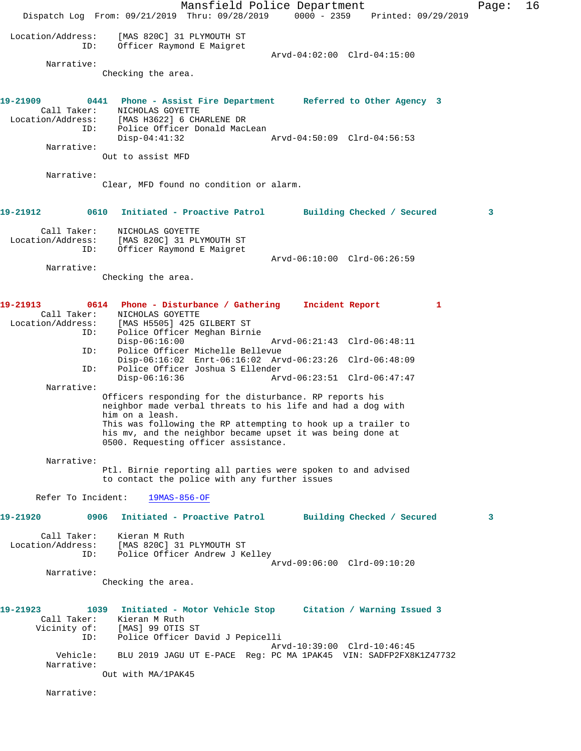Mansfield Police Department Fage: 16 Dispatch Log From: 09/21/2019 Thru: 09/28/2019 0000 - 2359 Printed: 09/29/2019 Location/Address: [MAS 820C] 31 PLYMOUTH ST ID: Officer Raymond E Maigret Arvd-04:02:00 Clrd-04:15:00 Narrative: Checking the area. **19-21909 0441 Phone - Assist Fire Department Referred to Other Agency 3**  Call Taker: NICHOLAS GOYETTE Location/Address: [MAS H3622] 6 CHARLENE DR ID: Police Officer Donald MacLean Disp-04:41:32 Arvd-04:50:09 Clrd-04:56:53 Narrative: Out to assist MFD Narrative: Clear, MFD found no condition or alarm. **19-21912 0610 Initiated - Proactive Patrol Building Checked / Secured 3** Call Taker: NICHOLAS GOYETTE Location/Address: [MAS 820C] 31 PLYMOUTH ST ID: Officer Raymond E Maigret Arvd-06:10:00 Clrd-06:26:59 Narrative: Checking the area. **19-21913 0614 Phone - Disturbance / Gathering Incident Report 1**  Call Taker: NICHOLAS GOYETTE Location/Address: [MAS H5505] 425 GILBERT ST ID: Police Officer Meghan Birnie Disp-06:16:00 Arvd-06:21:43 Clrd-06:48:11<br>ID: Police Officer Michelle Bellevue Police Officer Michelle Bellevue Disp-06:16:02 Enrt-06:16:02 Arvd-06:23:26 Clrd-06:48:09<br>ID: Police Officer Joshua S Ellender Police Officer Joshua S Ellender Disp-06:16:36 Arvd-06:23:51 Clrd-06:47:47 Narrative: Officers responding for the disturbance. RP reports his neighbor made verbal threats to his life and had a dog with him on a leash. This was following the RP attempting to hook up a trailer to his mv, and the neighbor became upset it was being done at 0500. Requesting officer assistance. Narrative: Ptl. Birnie reporting all parties were spoken to and advised to contact the police with any further issues Refer To Incident: 19MAS-856-OF **19-21920 0906 Initiated - Proactive Patrol Building Checked / Secured 3** Call Taker: Kieran M Ruth Location/Address: [MAS 820C] 31 PLYMOUTH ST ID: Police Officer Andrew J Kelley Arvd-09:06:00 Clrd-09:10:20 Narrative: Checking the area. **19-21923 1039 Initiated - Motor Vehicle Stop Citation / Warning Issued 3**  Call Taker: Kieran M Ruth Vicinity of: [MAS] 99 OTIS ST ID: Police Officer David J Pepicelli Arvd-10:39:00 Clrd-10:46:45 Vehicle: BLU 2019 JAGU UT E-PACE Reg: PC MA 1PAK45 VIN: SADFP2FX8K1Z47732 Narrative: Out with MA/1PAK45 Narrative: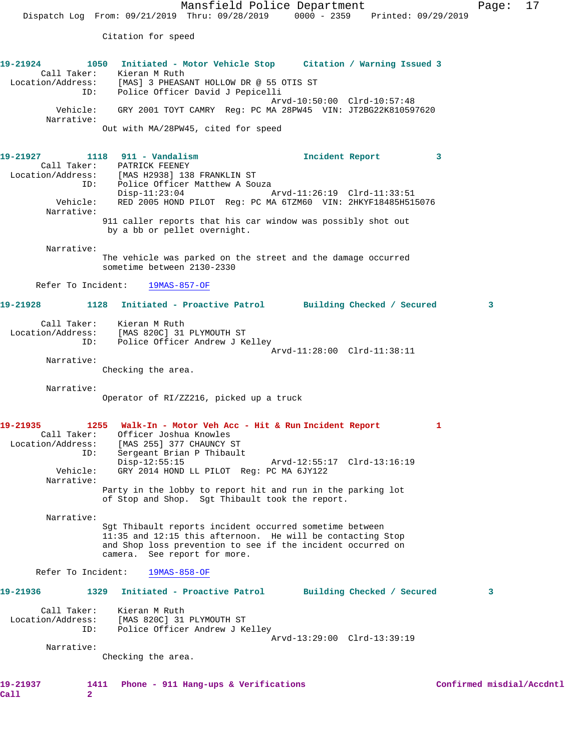Citation for speed

**19-21924 1050 Initiated - Motor Vehicle Stop Citation / Warning Issued 3**  Call Taker: Kieran M Ruth Location/Address: [MAS] 3 PHEASANT HOLLOW DR @ 55 OTIS ST ID: Police Officer David J Pepicelli Arvd-10:50:00 Clrd-10:57:48 Vehicle: GRY 2001 TOYT CAMRY Reg: PC MA 28PW45 VIN: JT2BG22K810597620 Narrative: Out with MA/28PW45, cited for speed

**19-21927 1118 911 - Vandalism Incident Report 3**  Call Taker: PATRICK FEENEY Location/Address: [MAS H2938] 138 FRANKLIN ST ess: [MAS H2938] 138 FRANKLIN ST<br>ID: Police Officer Matthew A Souza<br>Disp-11:23:04 Disp-11:23:04 Arvd-11:26:19 Clrd-11:33:51 Vehicle: RED 2005 HOND PILOT Reg: PC MA 6TZM60 VIN: 2HKYF18485H515076 Narrative: 911 caller reports that his car window was possibly shot out by a bb or pellet overnight.

Narrative:

The vehicle was parked on the street and the damage occurred sometime between 2130-2330

Refer To Incident: 19MAS-857-OF

## **19-21928 1128 Initiated - Proactive Patrol Building Checked / Secured 3**

| Call Taker:       | Kieran M Ruth                  |                             |
|-------------------|--------------------------------|-----------------------------|
| Location/Address: | [MAS 820C] 31 PLYMOUTH ST      |                             |
| TD:               | Police Officer Andrew J Kelley |                             |
|                   |                                | Arvd-11:28:00 Clrd-11:38:11 |

Narrative:

Checking the area.

Narrative:

Operator of RI/ZZ216, picked up a truck

```
19-21935 1255 Walk-In - Motor Veh Acc - Hit & Run Incident Report 1 
 Call Taker: Officer Joshua Knowles
 Location/Address: [MAS 255] 377 CHAUNCY ST
               ID: Sergeant Brian P Thibault
          Disp-12:55:15 Arvd-12:55:17 Clrd-13:16:19<br>Vehicle: GRY 2014 HOND LL PILOT Req: PC MA 6JY122
                    GRY 2014 HOND LL PILOT Reg: PC MA 6JY122
         Narrative: 
                   Party in the lobby to report hit and run in the parking lot
```
of Stop and Shop. Sgt Thibault took the report.

Narrative:

Sgt Thibault reports incident occurred sometime between 11:35 and 12:15 this afternoon. He will be contacting Stop and Shop loss prevention to see if the incident occurred on camera. See report for more.

Refer To Incident: 19MAS-858-OF

## **19-21936 1329 Initiated - Proactive Patrol Building Checked / Secured 3** Call Taker: Kieran M Ruth Location/Address: [MAS 820C] 31 PLYMOUTH ST

 ID: Police Officer Andrew J Kelley Arvd-13:29:00 Clrd-13:39:19

Narrative:

Checking the area.

**Call 2**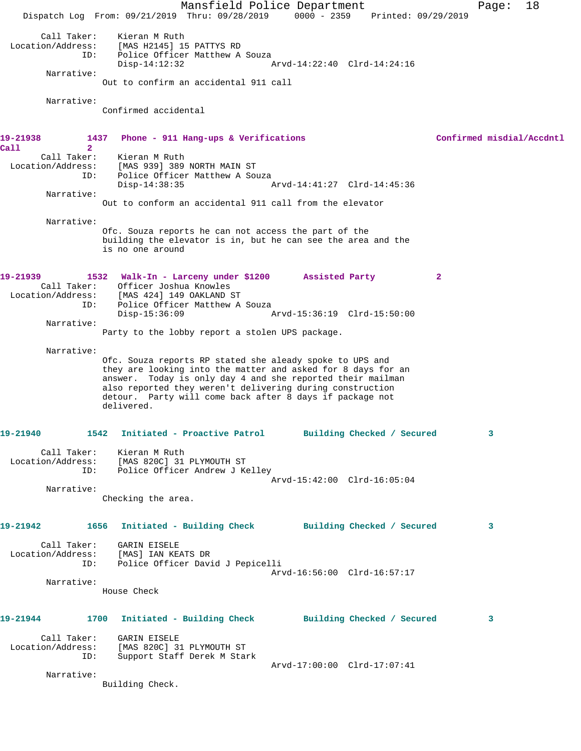Mansfield Police Department Fage: 18 Dispatch Log From: 09/21/2019 Thru: 09/28/2019 0000 - 2359 Printed: 09/29/2019 Call Taker: Kieran M Ruth Location/Address: [MAS H2145] 15 PATTYS RD ID: Police Officer Matthew A Souza Disp-14:12:32 Arvd-14:22:40 Clrd-14:24:16 Narrative: Out to confirm an accidental 911 call Narrative: Confirmed accidental **19-21938 1437 Phone - 911 Hang-ups & Verifications Confirmed misdial/Accdntl Call 2**  Call Taker: Kieran M Ruth Location/Address: [MAS 939] 389 NORTH MAIN ST ID: Police Officer Matthew A Souza Disp-14:38:35 Arvd-14:41:27 Clrd-14:45:36 Narrative: Out to conform an accidental 911 call from the elevator Narrative: Ofc. Souza reports he can not access the part of the building the elevator is in, but he can see the area and the is no one around **19-21939 1532 Walk-In - Larceny under \$1200 Assisted Party 2**  Call Taker: Officer Joshua Knowles Location/Address: [MAS 424] 149 OAKLAND ST ID: Police Officer Matthew A Souza Disp-15:36:09 Arvd-15:36:19 Clrd-15:50:00 Narrative: Party to the lobby report a stolen UPS package. Narrative: Ofc. Souza reports RP stated she aleady spoke to UPS and they are looking into the matter and asked for 8 days for an answer. Today is only day 4 and she reported their mailman also reported they weren't delivering during construction detour. Party will come back after 8 days if package not delivered. **19-21940 1542 Initiated - Proactive Patrol Building Checked / Secured 3** Call Taker: Kieran M Ruth Location/Address: [MAS 820C] 31 PLYMOUTH ST ID: Police Officer Andrew J Kelley Arvd-15:42:00 Clrd-16:05:04 Narrative: Checking the area. **19-21942 1656 Initiated - Building Check Building Checked / Secured 3** Call Taker: GARIN EISELE Location/Address: [MAS] IAN KEATS DR ID: Police Officer David J Pepicelli Arvd-16:56:00 Clrd-16:57:17 Narrative: House Check **19-21944 1700 Initiated - Building Check Building Checked / Secured 3** Call Taker: GARIN EISELE Location/Address: [MAS 820C] 31 PLYMOUTH ST ID: Support Staff Derek M Stark Arvd-17:00:00 Clrd-17:07:41 Narrative: Building Check.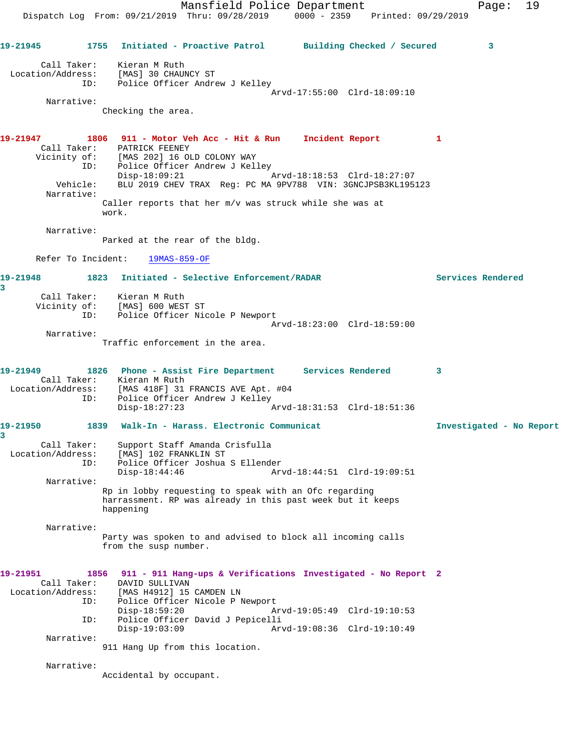Mansfield Police Department Fage: 19 Dispatch Log From: 09/21/2019 Thru: 09/28/2019 0000 - 2359 Printed: 09/29/2019 **19-21945 1755 Initiated - Proactive Patrol Building Checked / Secured 3** Call Taker: Kieran M Ruth Location/Address: [MAS] 30 CHAUNCY ST ID: Police Officer Andrew J Kelley Arvd-17:55:00 Clrd-18:09:10 Narrative: Checking the area. **19-21947 1806 911 - Motor Veh Acc - Hit & Run Incident Report 1**  Call Taker: PATRICK FEENEY Vicinity of: [MAS 202] 16 OLD COLONY WAY ID: Police Officer Andrew J Kelley Disp-18:09:21 Arvd-18:18:53 Clrd-18:27:07 Vehicle: BLU 2019 CHEV TRAX Reg: PC MA 9PV788 VIN: 3GNCJPSB3KL195123 Narrative: Caller reports that her m/v was struck while she was at work. Narrative: Parked at the rear of the bldg. Refer To Incident: 19MAS-859-OF **19-21948 1823 Initiated - Selective Enforcement/RADAR Services Rendered 3**  Call Taker: Kieran M Ruth Vicinity of: [MAS] 600 WEST ST ID: Police Officer Nicole P Newport Arvd-18:23:00 Clrd-18:59:00 Narrative: Traffic enforcement in the area. **19-21949 1826 Phone - Assist Fire Department Services Rendered 3**  Call Taker: Kieran M Ruth Location/Address: [MAS 418F] 31 FRANCIS AVE Apt. #04 ID: Police Officer Andrew J Kelley<br>Disp-18:27:23 Disp-18:27:23 Arvd-18:31:53 Clrd-18:51:36 **19-21950 1839 Walk-In - Harass. Electronic Communicat Investigated - No Report 3**  Call Taker: Support Staff Amanda Crisfulla Location/Address: [MAS] 102 FRANKLIN ST ID: Police Officer Joshua S Ellender Disp-18:44:46 Arvd-18:44:51 Clrd-19:09:51 Narrative: Rp in lobby requesting to speak with an Ofc regarding harrassment. RP was already in this past week but it keeps happening Narrative: Party was spoken to and advised to block all incoming calls from the susp number. **19-21951 1856 911 - 911 Hang-ups & Verifications Investigated - No Report 2**  Call Taker: DAVID SULLIVAN Location/Address: [MAS H4912] 15 CAMDEN LN ID: Police Officer Nicole P Newport<br>Disp-18:59:20 Am Disp-18:59:20 Arvd-19:05:49 Clrd-19:10:53 ID: Police Officer David J Pepicelli Disp-19:03:09 Arvd-19:08:36 Clrd-19:10:49 Narrative: 911 Hang Up from this location. Narrative:

Accidental by occupant.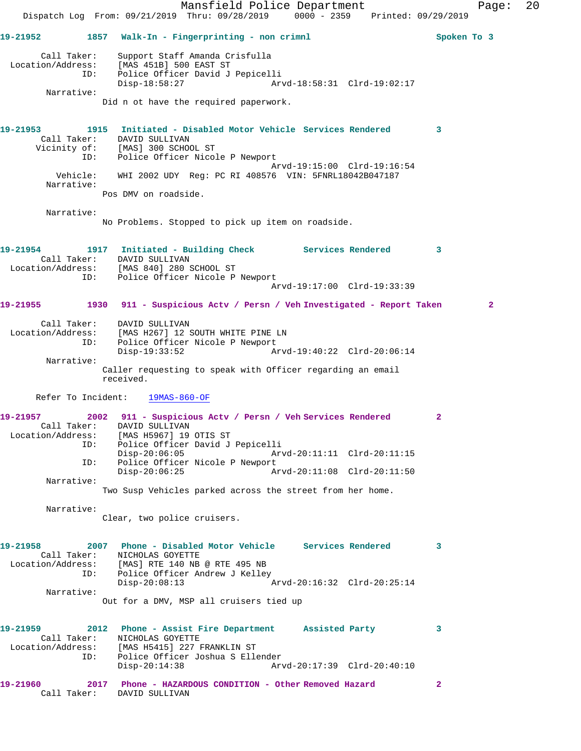Mansfield Police Department Fage: 20 Dispatch Log From: 09/21/2019 Thru: 09/28/2019 0000 - 2359 Printed: 09/29/2019 **19-21952 1857 Walk-In - Fingerprinting - non crimnl Spoken To 3** Call Taker: Support Staff Amanda Crisfulla Location/Address: [MAS 451B] 500 EAST ST ID: Police Officer David J Pepicelli Disp-18:58:27 Arvd-18:58:31 Clrd-19:02:17 Narrative: Did n ot have the required paperwork. **19-21953 1915 Initiated - Disabled Motor Vehicle Services Rendered 3**  Call Taker: DAVID SULLIVAN Vicinity of: [MAS] 300 SCHOOL ST ID: Police Officer Nicole P Newport Arvd-19:15:00 Clrd-19:16:54 Vehicle: WHI 2002 UDY Reg: PC RI 408576 VIN: 5FNRL18042B047187 Narrative: Pos DMV on roadside. Narrative: No Problems. Stopped to pick up item on roadside. **19-21954 1917 Initiated - Building Check Services Rendered 3**  Call Taker: DAVID SULLIVAN Location/Address: [MAS 840] 280 SCHOOL ST ID: Police Officer Nicole P Newport Arvd-19:17:00 Clrd-19:33:39 **19-21955 1930 911 - Suspicious Actv / Persn / Veh Investigated - Report Taken 2** Call Taker: DAVID SULLIVAN Location/Address: [MAS H267] 12 SOUTH WHITE PINE LN ID: Police Officer Nicole P Newport<br>Disp-19:33:52 A Arvd-19:40:22 Clrd-20:06:14 Narrative: Caller requesting to speak with Officer regarding an email received. Refer To Incident: 19MAS-860-OF **19-21957 2002 911 - Suspicious Actv / Persn / Veh Services Rendered 2**  Call Taker: DAVID SULLIVAN Location/Address: [MAS H5967] 19 OTIS ST ID: Police Officer David J Pepicelli<br>Disp-20:06:05 Arv Disp-20:06:05 Arvd-20:11:11 Clrd-20:11:15 ID: Police Officer Nicole P Newport<br>Disp-20:06:25 Az Disp-20:06:25 Arvd-20:11:08 Clrd-20:11:50 Narrative: Two Susp Vehicles parked across the street from her home. Narrative: Clear, two police cruisers. **19-21958 2007 Phone - Disabled Motor Vehicle Services Rendered 3**  Call Taker: NICHOLAS GOYETTE Location/Address: [MAS] RTE 140 NB @ RTE 495 NB ID: Police Officer Andrew J Kelley<br>Disp-20:08:13 Arvd-20:16:32 Clrd-20:25:14 Narrative: Out for a DMV, MSP all cruisers tied up **19-21959 2012 Phone - Assist Fire Department Assisted Party 3**  Call Taker: NICHOLAS GOYETTE Location/Address: [MAS H5415] 227 FRANKLIN ST ID: Police Officer Joshua S Ellender Disp-20:14:38 Arvd-20:17:39 Clrd-20:40:10 **19-21960 2017 Phone - HAZARDOUS CONDITION - Other Removed Hazard 2**  Call Taker: DAVID SULLIVAN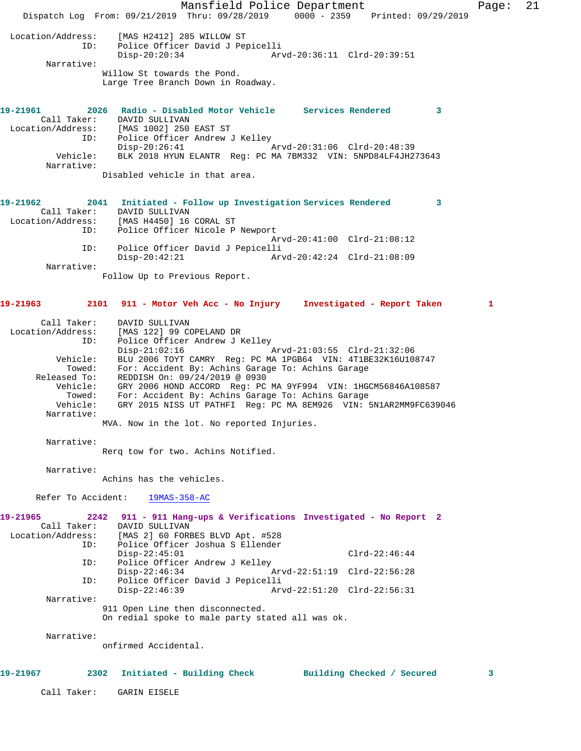Mansfield Police Department Fage: 21 Dispatch Log From: 09/21/2019 Thru: 09/28/2019 0000 - 2359 Printed: 09/29/2019 Location/Address: [MAS H2412] 285 WILLOW ST ID: Police Officer David J Pepicelli Disp-20:20:34 Arvd-20:36:11 Clrd-20:39:51 Narrative: Willow St towards the Pond. Large Tree Branch Down in Roadway. **19-21961 2026 Radio - Disabled Motor Vehicle Services Rendered 3**  Call Taker: DAVID SULLIVAN Location/Address: [MAS 1002] 250 EAST ST ID: Police Officer Andrew J Kelley<br>Disp-20:26:41 Disp-20:26:41 Arvd-20:31:06 Clrd-20:48:39 Vehicle: BLK 2018 HYUN ELANTR Reg: PC MA 7BM332 VIN: 5NPD84LF4JH273643 Narrative: Disabled vehicle in that area. **19-21962 2041 Initiated - Follow up Investigation Services Rendered 3**  Call Taker: DAVID SULLIVAN Location/Address: [MAS H4450] 16 CORAL ST ID: Police Officer Nicole P Newport Arvd-20:41:00 Clrd-21:08:12 ID: Police Officer David J Pepicelli Disp-20:42:21 Arvd-20:42:24 Clrd-21:08:09 Narrative: Follow Up to Previous Report. **19-21963 2101 911 - Motor Veh Acc - No Injury Investigated - Report Taken 1** Call Taker: DAVID SULLIVAN Location/Address: [MAS 122] 99 COPELAND DR ID: Police Officer Andrew J Kelley<br>Disp-21:02:16 Mrvd-21:03:55 Clrd-21:32:06 Disp-21:02:16 Arvd-21:03:55 Clrd-21:32:06 Vehicle: BLU 2006 TOYT CAMRY Reg: PC MA 1PGB64 VIN: 4T1BE32K16U108747 Towed: For: Accident By: Achins Garage To: Achins Garage Released To: REDDISH On: 09/24/2019 @ 0930 Vehicle: GRY 2006 HOND ACCORD Reg: PC MA 9YF994 VIN: 1HGCM56846A108587 Towed: For: Accident By: Achins Garage To: Achins Garage Vehicle: GRY 2015 NISS UT PATHFI Reg: PC MA 8EM926 VIN: 5N1AR2MM9FC639046 Narrative: MVA. Now in the lot. No reported Injuries. Narrative: Rerq tow for two. Achins Notified. Narrative: Achins has the vehicles. Refer To Accident: 19MAS-358-AC **19-21965 2242 911 - 911 Hang-ups & Verifications Investigated - No Report 2**  Call Taker: DAVID SULLIVAN<br>Location/Address: [MAS 2] 60 FORI [MAS 2] 60 FORBES BLVD Apt. #528 ID: Police Officer Joshua S Ellender Disp-22:45:01 Clrd-22:46:44<br>ID: Police Officer Andrew J Kelley Police Officer Andrew J Kelley<br>Disp-22:46:34 Disp-22:46:34 Arvd-22:51:19 Clrd-22:56:28<br>ID: Police Officer David J Pepicelli Police Officer David J Pepicelli Disp-22:46:39 Arvd-22:51:20 Clrd-22:56:31 Narrative: 911 Open Line then disconnected. On redial spoke to male party stated all was ok. Narrative: onfirmed Accidental. **19-21967 2302 Initiated - Building Check Building Checked / Secured 3** Call Taker: GARIN EISELE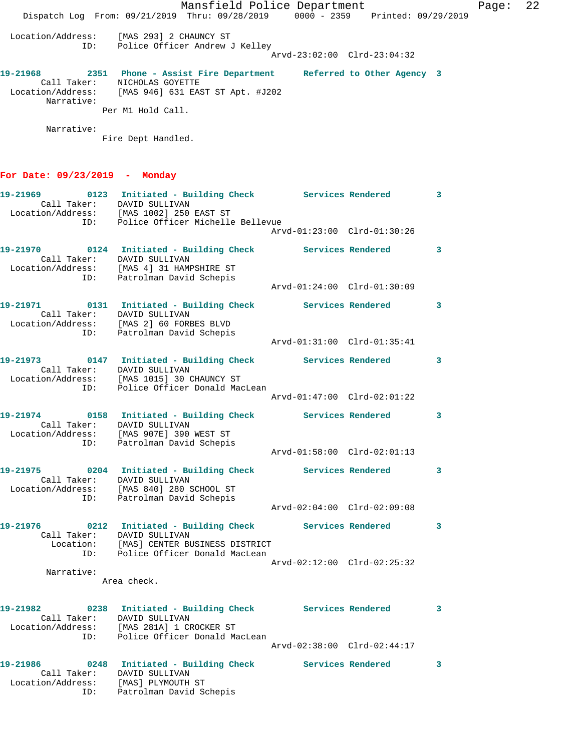|                                     | Mansfield Police Department<br>Dispatch Log From: 09/21/2019 Thru: 09/28/2019 0000 - 2359 Printed: 09/29/2019                                                                                   |                             |   | Page: | 22 |
|-------------------------------------|-------------------------------------------------------------------------------------------------------------------------------------------------------------------------------------------------|-----------------------------|---|-------|----|
|                                     | Location/Address: [MAS 293] 2 CHAUNCY ST<br>ID: Police Officer Andrew J Kelley                                                                                                                  | Arvd-23:02:00 Clrd-23:04:32 |   |       |    |
| Narrative:                          | 19-21968 2351 Phone - Assist Fire Department Referred to Other Agency 3<br>Call Taker: NICHOLAS GOYETTE<br>Location/Address: [MAS 946] 631 EAST ST Apt. #J202                                   |                             |   |       |    |
|                                     | Per M1 Hold Call.                                                                                                                                                                               |                             |   |       |    |
| Narrative:                          | Fire Dept Handled.                                                                                                                                                                              |                             |   |       |    |
| For Date: $09/23/2019$ - Monday     |                                                                                                                                                                                                 |                             |   |       |    |
|                                     | 19-21969 		 0123 Initiated - Building Check Services Rendered 3<br>Call Taker: DAVID SULLIVAN<br>Call Taker<br>Location/Address: [MAS 1002] 250 EAST ST<br>ID: Police Officer Michelle Bellevue |                             |   |       |    |
|                                     |                                                                                                                                                                                                 | Arvd-01:23:00 Clrd-01:30:26 |   |       |    |
|                                     | 19-21970 0124 Initiated - Building Check Services Rendered 3<br>Call Taker: DAVID SULLIVAN                                                                                                      |                             |   |       |    |
|                                     | Location/Address: [MAS 4] 31 HAMPSHIRE ST<br>ID: Patrolman David Schepis                                                                                                                        |                             |   |       |    |
|                                     |                                                                                                                                                                                                 | Arvd-01:24:00 Clrd-01:30:09 |   |       |    |
|                                     | 19-21971   0131   Initiated - Building Check   Services Rendered   3<br>Call Taker: DAVID SULLIVAN<br>Location/Address: [MAS 2] 60 FORBES BLVD                                                  |                             |   |       |    |
|                                     | ID: Patrolman David Schepis                                                                                                                                                                     |                             |   |       |    |
|                                     | 19-21973 0147 Initiated - Building Check Services Rendered 3<br>Call Taker: DAVID SULLIVAN<br>Call Taker.<br>Location/Address: [MAS 1015] 30 CHAUNCY ST<br>ID: Police Officer Donald MacLean    |                             |   |       |    |
|                                     |                                                                                                                                                                                                 | Arvd-01:47:00 Clrd-02:01:22 |   |       |    |
|                                     | 19-21974 0158 Initiated - Building Check Services Rendered 3<br>Call Taker: DAVID SULLIVAN<br>Location/Address: [MAS 907E] 390 WEST ST<br>ID: Patrolman David Schepis                           |                             |   |       |    |
|                                     |                                                                                                                                                                                                 | Arvd-01:58:00 Clrd-02:01:13 |   |       |    |
|                                     | 19-21975 0204 Initiated - Building Check Services Rendered 3<br>Call Taker: DAVID SULLIVAN<br>Location/Address: [MAS 840] 280 SCHOOL ST                                                         |                             |   |       |    |
|                                     | ID: Patrolman David Schepis                                                                                                                                                                     | Arvd-02:04:00 Clrd-02:09:08 |   |       |    |
|                                     | 19-21976 		 0212 Initiated - Building Check Services Rendered 3<br>Call Taker: DAVID SULLIVAN<br>Location: [MAS] CENTER BUSINESS DISTRICT<br>ID: Police Officer Donald MacLean                  |                             |   |       |    |
|                                     |                                                                                                                                                                                                 | Arvd-02:12:00 Clrd-02:25:32 |   |       |    |
| Narrative:                          | Area check.                                                                                                                                                                                     |                             |   |       |    |
|                                     | 19-21982 		 0238 Initiated - Building Check Services Rendered<br>Call Taker: DAVID SULLIVAN<br>Location/Address: [MAS 281A] 1 CROCKER ST<br>ID: Police Officer Donald MacLean                   |                             | 3 |       |    |
|                                     |                                                                                                                                                                                                 | Arvd-02:38:00 Clrd-02:44:17 |   |       |    |
| Location/Address: [MAS] PLYMOUTH ST | 19-21986 		 0248 Initiated - Building Check Services Rendered 3<br>Call Taker: DAVID SULLIVAN<br>ID: Patrolman David Schepis                                                                    |                             |   |       |    |
|                                     |                                                                                                                                                                                                 |                             |   |       |    |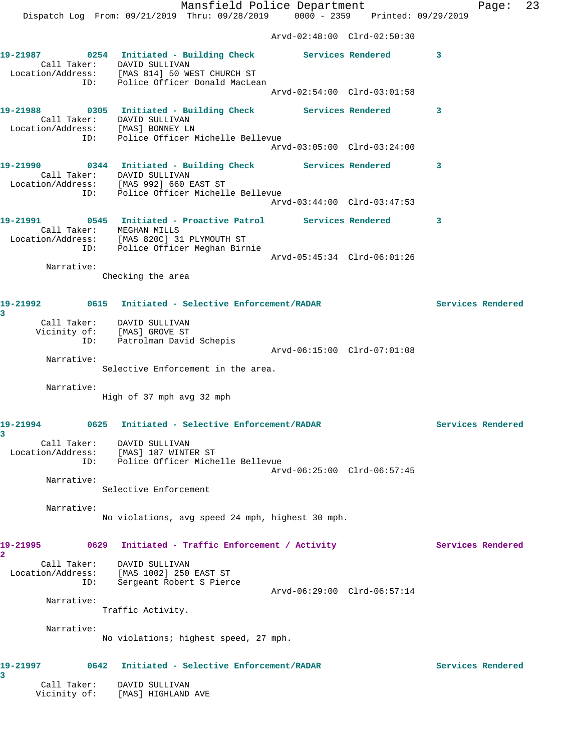Mansfield Police Department Fage: 23 Dispatch Log From: 09/21/2019 Thru: 09/28/2019 0000 - 2359 Printed: 09/29/2019 Arvd-02:48:00 Clrd-02:50:30 **19-21987 0254 Initiated - Building Check Services Rendered 3**  Call Taker: DAVID SULLIVAN Location/Address: [MAS 814] 50 WEST CHURCH ST ID: Police Officer Donald MacLean Arvd-02:54:00 Clrd-03:01:58 **19-21988 0305 Initiated - Building Check Services Rendered 3**  Call Taker: DAVID SULLIVAN Location/Address: [MAS] BONNEY LN ID: Police Officer Michelle Bellevue Arvd-03:05:00 Clrd-03:24:00 **19-21990 0344 Initiated - Building Check Services Rendered 3**  Call Taker: DAVID SULLIVAN Location/Address: [MAS 992] 660 EAST ST ITESS. ITHOUSSES IN THE SALL OF THE CONTROL OF THE POLICE OF THE POLICE OF THE POLICE OF THE POLICE OF THE POLICE OF THE POLICE OF THE POLICE OF THE POLICE OF THE POLICE OF THE POLICE OF THE POLICE OF THE POLICE OF THE POL Arvd-03:44:00 Clrd-03:47:53 **19-21991 0545 Initiated - Proactive Patrol Services Rendered 3**  Call Taker: MEGHAN MILLS Location/Address: [MAS 820C] 31 PLYMOUTH ST ID: Police Officer Meghan Birnie Arvd-05:45:34 Clrd-06:01:26 Narrative: Checking the area **19-21992 0615 Initiated - Selective Enforcement/RADAR Services Rendered 3**  Call Taker: DAVID SULLIVAN Vicinity of: [MAS] GROVE ST ID: Patrolman David Schepis Arvd-06:15:00 Clrd-07:01:08 Narrative: Selective Enforcement in the area. Narrative: High of 37 mph avg 32 mph **19-21994 0625 Initiated - Selective Enforcement/RADAR Services Rendered 3**  Call Taker: DAVID SULLIVAN Location/Address: [MAS] 187 WINTER ST ID: Police Officer Michelle Bellevue Arvd-06:25:00 Clrd-06:57:45 Narrative: Selective Enforcement Narrative: No violations, avg speed 24 mph, highest 30 mph. 19-21995 **0629** Initiated - Traffic Enforcement / Activity **Services Rendered 2**  Call Taker: DAVID SULLIVAN Location/Address: [MAS 1002] 250 EAST ST ID: Sergeant Robert S Pierce Arvd-06:29:00 Clrd-06:57:14 Narrative: Traffic Activity. Narrative: No violations; highest speed, 27 mph. **19-21997 0642 Initiated - Selective Enforcement/RADAR Services Rendered 3**  Call Taker: DAVID SULLIVAN

Vicinity of: [MAS] HIGHLAND AVE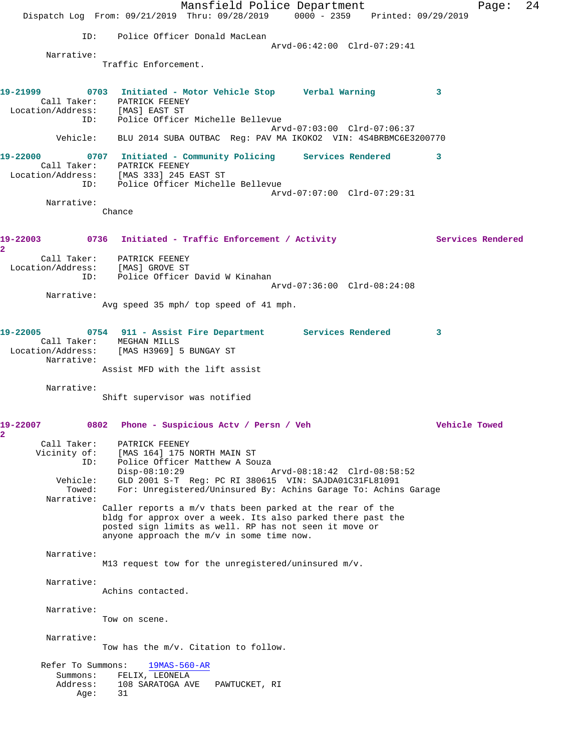Mansfield Police Department Fage: 24 Dispatch Log From: 09/21/2019 Thru: 09/28/2019 0000 - 2359 Printed: 09/29/2019 ID: Police Officer Donald MacLean Arvd-06:42:00 Clrd-07:29:41 Narrative: Traffic Enforcement. **19-21999 0703 Initiated - Motor Vehicle Stop Verbal Warning 3**  Call Taker: PATRICK FEENEY Location/Address: [MAS] EAST ST ID: Police Officer Michelle Bellevue Arvd-07:03:00 Clrd-07:06:37 Vehicle: BLU 2014 SUBA OUTBAC Reg: PAV MA IKOKO2 VIN: 4S4BRBMC6E3200770 **19-22000 0707 Initiated - Community Policing Services Rendered 3**  Call Taker: PATRICK FEENEY Location/Address: [MAS 333] 245 EAST ST ID: Police Officer Michelle Bellevue Arvd-07:07:00 Clrd-07:29:31 Narrative: Chance 19-22003 0736 Initiated - Traffic Enforcement / Activity **Services Rendered 2**  Call Taker: PATRICK FEENEY Location/Address: [MAS] GROVE ST ID: Police Officer David W Kinahan Arvd-07:36:00 Clrd-08:24:08 Narrative: Avg speed 35 mph/ top speed of 41 mph. **19-22005 0754 911 - Assist Fire Department Services Rendered 3**  Call Taker: MEGHAN MILLS Location/Address: [MAS H3969] 5 BUNGAY ST Narrative: Assist MFD with the lift assist Narrative: Shift supervisor was notified **19-22007 0802 Phone - Suspicious Actv / Persn / Veh Vehicle Towed 2**  Call Taker: PATRICK FEENEY Vicinity of: [MAS 164] 175 NORTH MAIN ST ID: Police Officer Matthew A Souza Arvd-08:18:42 Clrd-08:58:52 Vehicle: GLD 2001 S-T Reg: PC RI 380615 VIN: SAJDA01C31FL81091 Towed: For: Unregistered/Uninsured By: Achins Garage To: Achins Garage Narrative: Caller reports a m/v thats been parked at the rear of the bldg for approx over a week. Its also parked there past the posted sign limits as well. RP has not seen it move or anyone approach the m/v in some time now. Narrative: M13 request tow for the unregistered/uninsured m/v. Narrative: Achins contacted. Narrative: Tow on scene. Narrative: Tow has the m/v. Citation to follow. Refer To Summons: 19MAS-560-AR Summons: FELIX, LEONELA Address: 108 SARATOGA AVE PAWTUCKET, RI Age: 31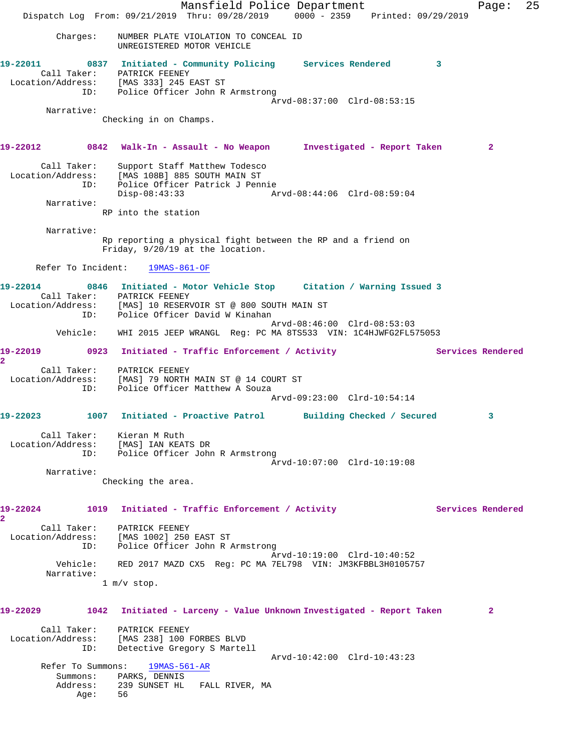Mansfield Police Department Fage: 25 Dispatch Log From: 09/21/2019 Thru: 09/28/2019 0000 - 2359 Printed: 09/29/2019 Charges: NUMBER PLATE VIOLATION TO CONCEAL ID UNREGISTERED MOTOR VEHICLE **19-22011 0837 Initiated - Community Policing Services Rendered 3**  Call Taker: PATRICK FEENEY Location/Address: [MAS 333] 245 EAST ST ID: Police Officer John R Armstrong Arvd-08:37:00 Clrd-08:53:15 Narrative: Checking in on Champs. **19-22012 0842 Walk-In - Assault - No Weapon Investigated - Report Taken 2** Call Taker: Support Staff Matthew Todesco Location/Address: [MAS 108B] 885 SOUTH MAIN ST ID: Police Officer Patrick J Pennie Disp-08:43:33 Arvd-08:44:06 Clrd-08:59:04 Narrative: RP into the station Narrative: Rp reporting a physical fight between the RP and a friend on Friday, 9/20/19 at the location. Refer To Incident: 19MAS-861-OF **19-22014 0846 Initiated - Motor Vehicle Stop Citation / Warning Issued 3**  Call Taker: PATRICK FEENEY Location/Address: [MAS] 10 RESERVOIR ST @ 800 SOUTH MAIN ST ID: Police Officer David W Kinahan Arvd-08:46:00 Clrd-08:53:03 Vehicle: WHI 2015 JEEP WRANGL Reg: PC MA 8TS533 VIN: 1C4HJWFG2FL575053 19-22019 0923 Initiated - Traffic Enforcement / Activity **Services Rendered 2**  Call Taker: PATRICK FEENEY Location/Address: [MAS] 79 NORTH MAIN ST @ 14 COURT ST ID: Police Officer Matthew A Souza Arvd-09:23:00 Clrd-10:54:14 **19-22023 1007 Initiated - Proactive Patrol Building Checked / Secured 3** Call Taker: Kieran M Ruth Location/Address: [MAS] IAN KEATS DR ID: Police Officer John R Armstrong Arvd-10:07:00 Clrd-10:19:08 Narrative: Checking the area. 19-22024 1019 Initiated - Traffic Enforcement / Activity Services Rendered **2**  Call Taker: PATRICK FEENEY Location/Address: [MAS 1002] 250 EAST ST ID: Police Officer John R Armstrong Arvd-10:19:00 Clrd-10:40:52 Vehicle: RED 2017 MAZD CX5 Reg: PC MA 7EL798 VIN: JM3KFBBL3H0105757 Narrative: 1 m/v stop. **19-22029 1042 Initiated - Larceny - Value Unknown Investigated - Report Taken 2** Call Taker: PATRICK FEENEY Location/Address: [MAS 238] 100 FORBES BLVD ID: Detective Gregory S Martell Arvd-10:42:00 Clrd-10:43:23 Refer To Summons: 19MAS-561-AR Summons: PARKS, DENNIS Address: 239 SUNSET HL FALL RIVER, MA Age: 56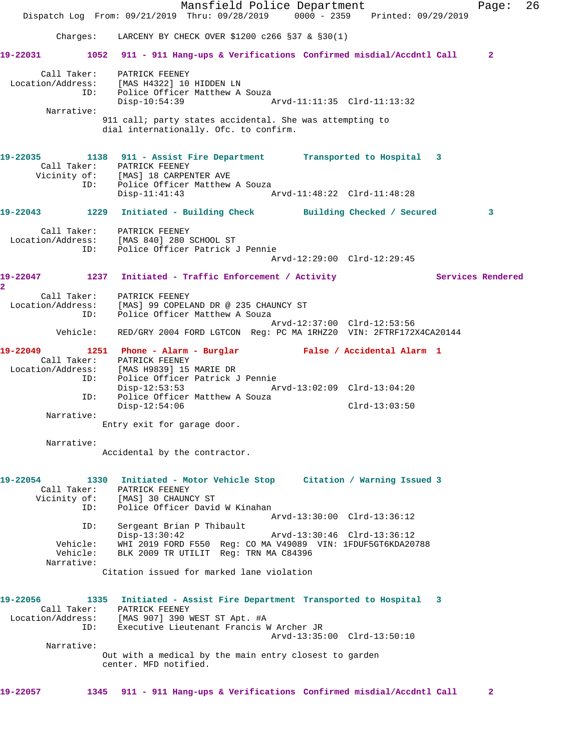Mansfield Police Department Page: 26 Dispatch Log From: 09/21/2019 Thru: 09/28/2019 0000 - 2359 Printed: 09/29/2019 Charges: LARCENY BY CHECK OVER \$1200 c266 §37 & §30(1) **19-22031 1052 911 - 911 Hang-ups & Verifications Confirmed misdial/Accdntl Call 2** Call Taker: PATRICK FEENEY Location/Address: [MAS H4322] 10 HIDDEN LN ID: Police Officer Matthew A Souza Disp-10:54:39 Arvd-11:11:35 Clrd-11:13:32 Narrative: 911 call; party states accidental. She was attempting to dial internationally. Ofc. to confirm. **19-22035 1138 911 - Assist Fire Department Transported to Hospital 3**  Call Taker: PATRICK FEENEY Vicinity of: [MAS] 18 CARPENTER AVE ID: Police Officer Matthew A Souza Disp-11:41:43 Arvd-11:48:22 Clrd-11:48:28 **19-22043 1229 Initiated - Building Check Building Checked / Secured 3** Call Taker: PATRICK FEENEY Location/Address: [MAS 840] 280 SCHOOL ST ID: Police Officer Patrick J Pennie Arvd-12:29:00 Clrd-12:29:45 19-22047 1237 Initiated - Traffic Enforcement / Activity **Services Rendered 2**  Call Taker: PATRICK FEENEY Location/Address: [MAS] 99 COPELAND DR @ 235 CHAUNCY ST ID: Police Officer Matthew A Souza Arvd-12:37:00 Clrd-12:53:56 Vehicle: RED/GRY 2004 FORD LGTCON Reg: PC MA 1RHZ20 VIN: 2FTRF172X4CA20144 **19-22049 1251 Phone - Alarm - Burglar False / Accidental Alarm 1**  Call Taker: PATRICK FEENEY Location/Address: [MAS H9839] 15 MARIE DR ID: Police Officer Patrick J Pennie<br>Disp-12:53:53 Ar Disp-12:53:53 Arvd-13:02:09 Clrd-13:04:20 ID: Police Officer Matthew A Souza Disp-12:54:06 Clrd-13:03:50 Narrative: Entry exit for garage door. Narrative: Accidental by the contractor. **19-22054 1330 Initiated - Motor Vehicle Stop Citation / Warning Issued 3**  Call Taker: PATRICK FEENEY Vicinity of: [MAS] 30 CHAUNCY ST ID: Police Officer David W Kinahan Arvd-13:30:00 Clrd-13:36:12 ID: Sergeant Brian P Thibault Disp-13:30:42 Arvd-13:30:46 Clrd-13:36:12 Vehicle: WHI 2019 FORD F550 Reg: CO MA V49089 VIN: 1FDUF5GT6KDA20788 Vehicle: BLK 2009 TR UTILIT Reg: TRN MA C84396 Narrative: Citation issued for marked lane violation **19-22056 1335 Initiated - Assist Fire Department Transported to Hospital 3**  Call Taker: PATRICK FEENEY Location/Address: [MAS 907] 390 WEST ST Apt. #A ID: Executive Lieutenant Francis W Archer JR Arvd-13:35:00 Clrd-13:50:10 Narrative: Out with a medical by the main entry closest to garden center. MFD notified. **19-22057 1345 911 - 911 Hang-ups & Verifications Confirmed misdial/Accdntl Call 2**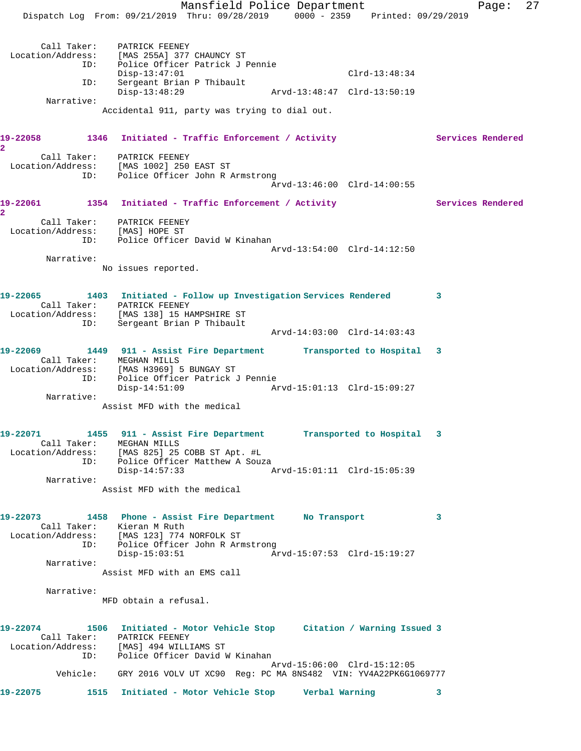Mansfield Police Department Fage: 27 Dispatch Log From: 09/21/2019 Thru: 09/28/2019 0000 - 2359 Printed: 09/29/2019 Call Taker: PATRICK FEENEY Location/Address: [MAS 255A] 377 CHAUNCY ST ID: Police Officer Patrick J Pennie Disp-13:47:01 Clrd-13:48:34 ID: Sergeant Brian P Thibault<br>Disp-13:48:29 Disp-13:48:29 Arvd-13:48:47 Clrd-13:50:19 Narrative: Accidental 911, party was trying to dial out. 19-22058 1346 Initiated - Traffic Enforcement / Activity **Services Rendered 2**  Call Taker: PATRICK FEENEY Location/Address: [MAS 1002] 250 EAST ST ID: Police Officer John R Armstrong Arvd-13:46:00 Clrd-14:00:55 19-22061 1354 Initiated - Traffic Enforcement / Activity **Services Rendered 2**  Call Taker: PATRICK FEENEY Location/Address: [MAS] HOPE ST ID: Police Officer David W Kinahan Arvd-13:54:00 Clrd-14:12:50 Narrative: No issues reported. **19-22065 1403 Initiated - Follow up Investigation Services Rendered 3**  Call Taker: PATRICK FEENEY Location/Address: [MAS 138] 15 HAMPSHIRE ST ID: Sergeant Brian P Thibault Arvd-14:03:00 Clrd-14:03:43 **19-22069 1449 911 - Assist Fire Department Transported to Hospital 3**  Call Taker: MEGHAN MILLS Location/Address: [MAS H3969] 5 BUNGAY ST ID: Police Officer Patrick J Pennie Disp-14:51:09 Arvd-15:01:13 Clrd-15:09:27 Narrative: Assist MFD with the medical **19-22071 1455 911 - Assist Fire Department Transported to Hospital 3**  Call Taker: MEGHAN MILLS Location/Address: [MAS 825] 25 COBB ST Apt. #L ID: Police Officer Matthew A Souza Disp-14:57:33 Arvd-15:01:11 Clrd-15:05:39 Narrative: Assist MFD with the medical **19-22073 1458 Phone - Assist Fire Department No Transport 3**  Call Taker: Kieran M Ruth Location/Address: [MAS 123] 774 NORFOLK ST ID: Police Officer John R Armstrong Disp-15:03:51 Arvd-15:07:53 Clrd-15:19:27 Narrative: Assist MFD with an EMS call Narrative: MFD obtain a refusal. **19-22074 1506 Initiated - Motor Vehicle Stop Citation / Warning Issued 3**  Call Taker: PATRICK FEENEY Location/Address: [MAS] 494 WILLIAMS ST ID: Police Officer David W Kinahan Arvd-15:06:00 Clrd-15:12:05 Vehicle: GRY 2016 VOLV UT XC90 Reg: PC MA 8NS482 VIN: YV4A22PK6G1069777 **19-22075 1515 Initiated - Motor Vehicle Stop Verbal Warning 3**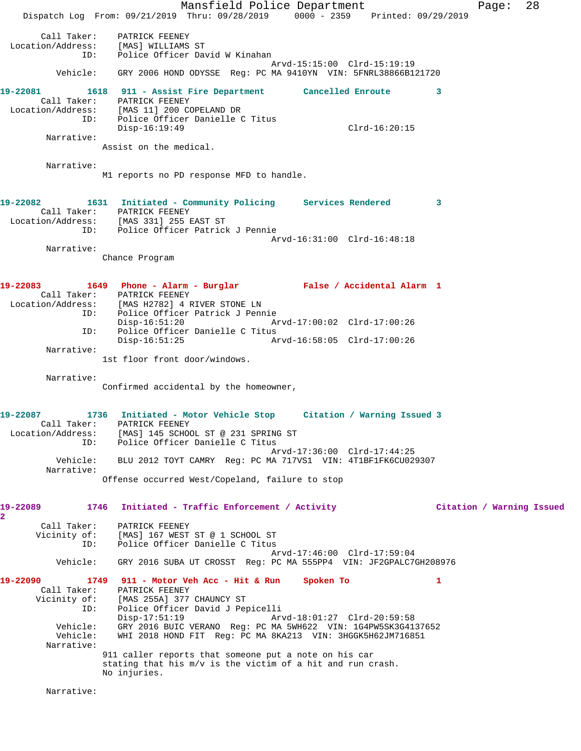Mansfield Police Department Fage: 28 Dispatch Log From: 09/21/2019 Thru: 09/28/2019 0000 - 2359 Printed: 09/29/2019 Call Taker: PATRICK FEENEY Location/Address: [MAS] WILLIAMS ST ID: Police Officer David W Kinahan Arvd-15:15:00 Clrd-15:19:19 Vehicle: GRY 2006 HOND ODYSSE Reg: PC MA 9410YN VIN: 5FNRL38866B121720 **19-22081 1618 911 - Assist Fire Department Cancelled Enroute 3**  Call Taker: PATRICK FEENEY Location/Address: [MAS 11] 200 COPELAND DR ID: Police Officer Danielle C Titus Disp-16:19:49 Clrd-16:20:15 Narrative: Assist on the medical. Narrative: M1 reports no PD response MFD to handle. **19-22082 1631 Initiated - Community Policing Services Rendered 3**  Call Taker: PATRICK FEENEY Location/Address: [MAS 331] 255 EAST ST ID: Police Officer Patrick J Pennie Arvd-16:31:00 Clrd-16:48:18 Narrative: Chance Program **19-22083 1649 Phone - Alarm - Burglar False / Accidental Alarm 1**  Call Taker: PATRICK FEENEY Location/Address: [MAS H2782] 4 RIVER STONE LN ID: Police Officer Patrick J Pennie Disp-16:51:20 Arvd-17:00:02 Clrd-17:00:26 ID: Police Officer Danielle C Titus Arvd-16:58:05 Clrd-17:00:26 Narrative: 1st floor front door/windows. Narrative: Confirmed accidental by the homeowner, **19-22087 1736 Initiated - Motor Vehicle Stop Citation / Warning Issued 3**  Call Taker: PATRICK FEENEY Location/Address: [MAS] 145 SCHOOL ST @ 231 SPRING ST ID: Police Officer Danielle C Titus Arvd-17:36:00 Clrd-17:44:25 Vehicle: BLU 2012 TOYT CAMRY Reg: PC MA 717VS1 VIN: 4T1BF1FK6CU029307 Narrative: Offense occurred West/Copeland, failure to stop **19-22089 1746 Initiated - Traffic Enforcement / Activity Citation / Warning Issued 2**  Call Taker: PATRICK FEENEY Vicinity of: [MAS] 167 WEST ST @ 1 SCHOOL ST ID: Police Officer Danielle C Titus Arvd-17:46:00 Clrd-17:59:04 Vehicle: GRY 2016 SUBA UT CROSST Reg: PC MA 555PP4 VIN: JF2GPALC7GH208976 **19-22090 1749 911 - Motor Veh Acc - Hit & Run Spoken To 1**  Call Taker: PATRICK FEENEY Vicinity of: [MAS 255A] 377 CHAUNCY ST ID: Police Officer David J Pepicelli Disp-17:51:19 Arvd-18:01:27 Clrd-20:59:58 Vehicle: GRY 2016 BUIC VERANO Reg: PC MA 5WH622 VIN: 1G4PW5SK3G4137652 WHI 2018 HOND FIT Reg: PC MA 8KA213 VIN: 3HGGK5H62JM716851 Narrative: 911 caller reports that someone put a note on his car stating that his m/v is the victim of a hit and run crash. No injuries. Narrative: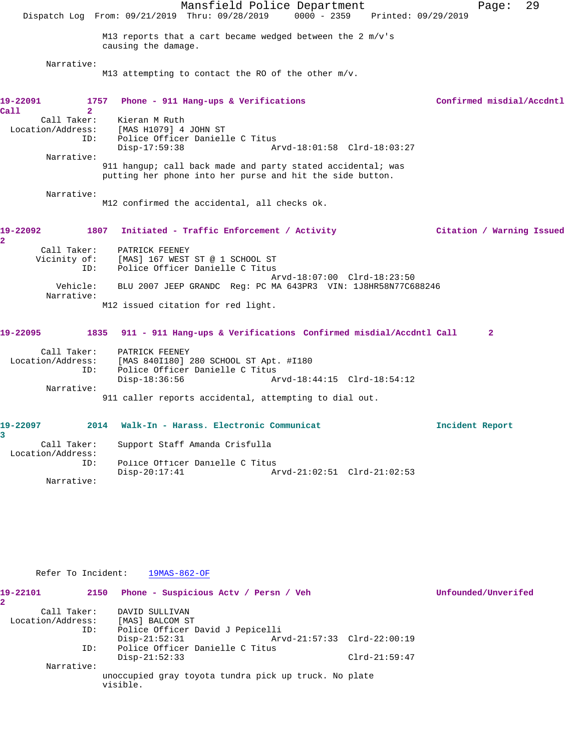|                                                       | Mansfield Police Department<br>Dispatch Log From: 09/21/2019 Thru: 09/28/2019                                            | $0000 - 2359$               | Printed: 09/29/2019 | Page:                     | 29 |
|-------------------------------------------------------|--------------------------------------------------------------------------------------------------------------------------|-----------------------------|---------------------|---------------------------|----|
|                                                       | M13 reports that a cart became wedged between the 2 $m/v$ 's<br>causing the damage.                                      |                             |                     |                           |    |
| Narrative:                                            | M13 attempting to contact the RO of the other $m/v$ .                                                                    |                             |                     |                           |    |
| 19-22091<br>1757<br>$\overline{2}$<br>Call            | Phone - 911 Hang-ups & Verifications                                                                                     |                             |                     | Confirmed misdial/Accdntl |    |
| Call Taker:<br>Location/Address:<br>ID:<br>Narrative: | Kieran M Ruth<br>[MAS H1079] 4 JOHN ST<br>Police Officer Danielle C Titus<br>$Disp-17:59:38$                             | Arvd-18:01:58 Clrd-18:03:27 |                     |                           |    |
|                                                       | 911 hangup; call back made and party stated accidental; was<br>putting her phone into her purse and hit the side button. |                             |                     |                           |    |
| Narrative:                                            | M12 confirmed the accidental, all checks ok.                                                                             |                             |                     |                           |    |
| 19-22092<br>1807<br>2                                 | Initiated - Traffic Enforcement / Activity                                                                               |                             |                     | Citation / Warning Issued |    |
| Call Taker:<br>Vicinity of:<br>ID:                    | PATRICK FEENEY<br>[MAS] 167 WEST ST @ 1 SCHOOL ST<br>Police Officer Danielle C Titus                                     | Arvd-18:07:00 Clrd-18:23:50 |                     |                           |    |
| Vehicle:<br>Narrative:                                | BLU 2007 JEEP GRANDC Req: PC MA 643PR3 VIN: 1J8HR58N77C688246                                                            |                             |                     |                           |    |
|                                                       | M12 issued citation for red light.                                                                                       |                             |                     |                           |    |
| 19-22095<br>1835                                      | 911 - 911 Hang-ups & Verifications Confirmed misdial/Accdntl Call                                                        |                             |                     | $\mathbf{2}$              |    |
| Call Taker:<br>Location/Address:<br>ID:               | PATRICK FEENEY<br>[MAS 840I180] 280 SCHOOL ST Apt. #I180<br>Police Officer Danielle C Titus<br>$Disp-18:36:56$           | Arvd-18:44:15 Clrd-18:54:12 |                     |                           |    |
| Narrative:                                            | 911 caller reports accidental, attempting to dial out.                                                                   |                             |                     |                           |    |
| 19-22097<br>2014<br>3                                 | Walk-In - Harass. Electronic Communicat                                                                                  |                             |                     | Incident Report           |    |
| Call Taker:<br>Location/Address:                      | Support Staff Amanda Crisfulla                                                                                           |                             |                     |                           |    |
| ID:<br>Narrative:                                     | Police Officer Danielle C Titus<br>$Disp-20:17:41$                                                                       | Arvd-21:02:51 Clrd-21:02:53 |                     |                           |    |

| Refer To Incident:    | 19MAS-862-OF                                                      |                             |                 |                     |
|-----------------------|-------------------------------------------------------------------|-----------------------------|-----------------|---------------------|
| 19-22101<br>2150<br>2 | Phone - Suspicious Acty / Persn / Veh                             |                             |                 | Unfounded/Unverifed |
| Call Taker:           | DAVID SULLIVAN                                                    |                             |                 |                     |
| Location/Address:     | [MAS] BALCOM ST                                                   |                             |                 |                     |
| ID:                   | Police Officer David J Pepicelli                                  |                             |                 |                     |
|                       | $Disp-21:52:31$                                                   | Arvd-21:57:33 Clrd-22:00:19 |                 |                     |
| ID:                   | Police Officer Danielle C Titus                                   |                             |                 |                     |
|                       | $Disp-21:52:33$                                                   |                             | $Clrd-21:59:47$ |                     |
| Narrative:            |                                                                   |                             |                 |                     |
|                       | unoccupied gray toyota tundra pick up truck. No plate<br>visible. |                             |                 |                     |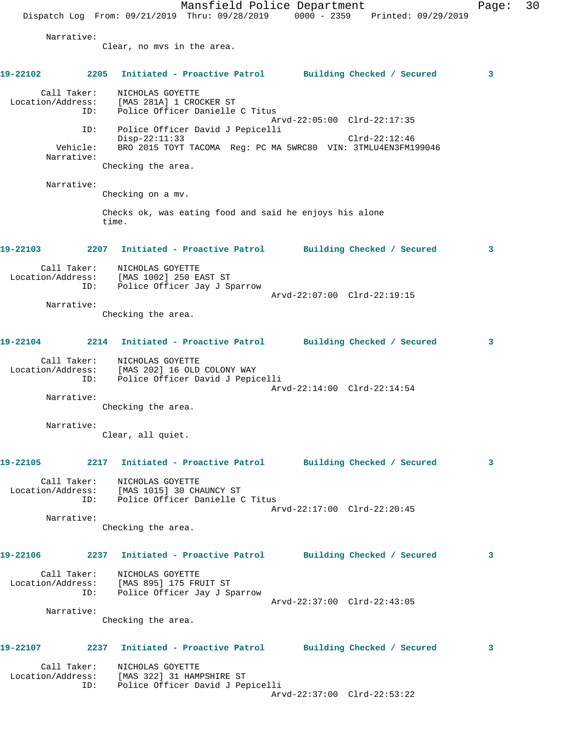Mansfield Police Department Page: 30 Dispatch Log From:  $09/21/2019$  Thru:  $09/28/2019$  0000 - 2359 Printed:  $09/29/2019$  Narrative: Clear, no mvs in the area. **19-22102 2205 Initiated - Proactive Patrol Building Checked / Secured 3** Call Taker: NICHOLAS GOYETTE Location/Address: [MAS 281A] 1 CROCKER ST ID: Police Officer Danielle C Titus Arvd-22:05:00 Clrd-22:17:35 ID: Police Officer David J Pepicelli Disp-22:11:33 Clrd-22:12:46 Vehicle: BRO 2015 TOYT TACOMA Reg: PC MA 5WRC80 VIN: 3TMLU4EN3FM199046 Narrative: Checking the area. Narrative: Checking on a mv. Checks ok, was eating food and said he enjoys his alone time. **19-22103 2207 Initiated - Proactive Patrol Building Checked / Secured 3** Call Taker: NICHOLAS GOYETTE Location/Address: [MAS 1002] 250 EAST ST ID: Police Officer Jay J Sparrow Arvd-22:07:00 Clrd-22:19:15 Narrative: Checking the area. **19-22104 2214 Initiated - Proactive Patrol Building Checked / Secured 3** Call Taker: NICHOLAS GOYETTE Location/Address: [MAS 202] 16 OLD COLONY WAY ID: Police Officer David J Pepicelli Arvd-22:14:00 Clrd-22:14:54 Narrative: Checking the area. Narrative: Clear, all quiet. **19-22105 2217 Initiated - Proactive Patrol Building Checked / Secured 3** Call Taker: NICHOLAS GOYETTE Location/Address: [MAS 1015] 30 CHAUNCY ST ID: Police Officer Danielle C Titus Arvd-22:17:00 Clrd-22:20:45 Narrative: Checking the area. **19-22106 2237 Initiated - Proactive Patrol Building Checked / Secured 3** Call Taker: NICHOLAS GOYETTE Location/Address: [MAS 895] 175 FRUIT ST ID: Police Officer Jay J Sparrow Arvd-22:37:00 Clrd-22:43:05 Narrative: Checking the area. **19-22107 2237 Initiated - Proactive Patrol Building Checked / Secured 3** Call Taker: NICHOLAS GOYETTE Location/Address: [MAS 322] 31 HAMPSHIRE ST ID: Police Officer David J Pepicelli Arvd-22:37:00 Clrd-22:53:22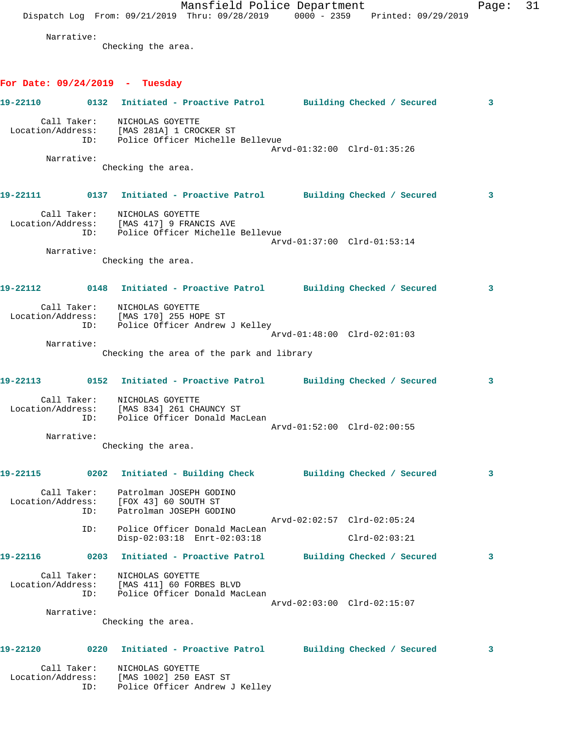Mansfield Police Department Page: 31 Dispatch Log From: 09/21/2019 Thru: 09/28/2019 0000 - 2359 Printed: 09/29/2019 Narrative: Checking the area. **For Date: 09/24/2019 - Tuesday 19-22110 0132 Initiated - Proactive Patrol Building Checked / Secured 3** Call Taker: NICHOLAS GOYETTE Location/Address: [MAS 281A] 1 CROCKER ST ID: Police Officer Michelle Bellevue Arvd-01:32:00 Clrd-01:35:26 Narrative: Checking the area. **19-22111 0137 Initiated - Proactive Patrol Building Checked / Secured 3** Call Taker: NICHOLAS GOYETTE Location/Address: [MAS 417] 9 FRANCIS AVE ID: Police Officer Michelle Bellevue Arvd-01:37:00 Clrd-01:53:14 Narrative: Checking the area. **19-22112 0148 Initiated - Proactive Patrol Building Checked / Secured 3** Call Taker: NICHOLAS GOYETTE Location/Address: [MAS 170] 255 HOPE ST ID: Police Officer Andrew J Kelley Arvd-01:48:00 Clrd-02:01:03 Narrative: Checking the area of the park and library **19-22113 0152 Initiated - Proactive Patrol Building Checked / Secured 3** Call Taker: NICHOLAS GOYETTE Location/Address: [MAS 834] 261 CHAUNCY ST ID: Police Officer Donald MacLean Arvd-01:52:00 Clrd-02:00:55 Narrative: Checking the area. **19-22115 0202 Initiated - Building Check Building Checked / Secured 3** Call Taker: Patrolman JOSEPH GODINO Location/Address: [FOX 43] 60 SOUTH ST ID: Patrolman JOSEPH GODINO Arvd-02:02:57 Clrd-02:05:24 ID: Police Officer Donald MacLean Disp-02:03:18 Enrt-02:03:18 Clrd-02:03:21 **19-22116 0203 Initiated - Proactive Patrol Building Checked / Secured 3** Call Taker: NICHOLAS GOYETTE Location/Address: [MAS 411] 60 FORBES BLVD ID: Police Officer Donald MacLean Arvd-02:03:00 Clrd-02:15:07 Narrative: Checking the area. **19-22120 0220 Initiated - Proactive Patrol Building Checked / Secured 3** Call Taker: NICHOLAS GOYETTE Location/Address: [MAS 1002] 250 EAST ST

ID: Police Officer Andrew J Kelley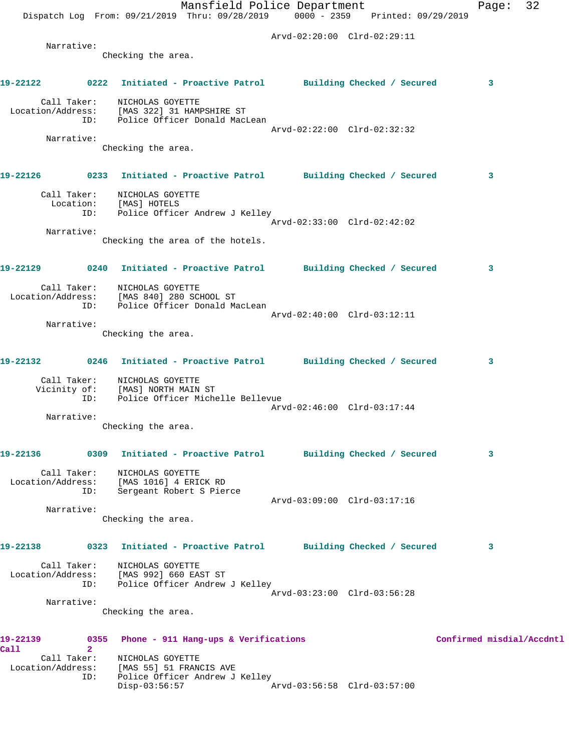|          |                | Mansfield Police Department                                                                                |                             | 32<br>Page:               |
|----------|----------------|------------------------------------------------------------------------------------------------------------|-----------------------------|---------------------------|
|          |                | Dispatch Log From: 09/21/2019 Thru: 09/28/2019 0000 - 2359 Printed: 09/29/2019                             |                             |                           |
|          |                |                                                                                                            | Arvd-02:20:00 Clrd-02:29:11 |                           |
|          | Narrative:     | Checking the area.                                                                                         |                             |                           |
|          |                |                                                                                                            |                             |                           |
| 19-22122 |                | 0222 Initiated - Proactive Patrol Building Checked / Secured                                               |                             | 3                         |
|          |                | Call Taker: NICHOLAS GOYETTE                                                                               |                             |                           |
|          |                | Location/Address: [MAS 322] 31 HAMPSHIRE ST<br>ID: Police Officer Donald MacLean                           |                             |                           |
|          | Narrative:     |                                                                                                            | Arvd-02:22:00 Clrd-02:32:32 |                           |
|          |                | Checking the area.                                                                                         |                             |                           |
|          |                |                                                                                                            |                             |                           |
|          |                | 19-22126 		 0233 Initiated - Proactive Patrol 		 Building Checked / Secured                                |                             | 3                         |
|          |                | Call Taker: NICHOLAS GOYETTE<br>Location: [MAS] HOTELS                                                     |                             |                           |
|          | ID:            | Police Officer Andrew J Kelley                                                                             |                             |                           |
|          | Narrative:     |                                                                                                            | Arvd-02:33:00 Clrd-02:42:02 |                           |
|          |                | Checking the area of the hotels.                                                                           |                             |                           |
|          |                |                                                                                                            |                             |                           |
|          |                | 19-22129 		 0240 Initiated - Proactive Patrol 		 Building Checked / Secured                                |                             | 3                         |
|          |                | Call Taker: NICHOLAS GOYETTE                                                                               |                             |                           |
|          |                | Location/Address: [MAS 840] 280 SCHOOL ST<br>ID: Police Officer Donald Ma<br>Police Officer Donald MacLean |                             |                           |
|          | Narrative:     |                                                                                                            | Arvd-02:40:00 Clrd-03:12:11 |                           |
|          |                | Checking the area.                                                                                         |                             |                           |
|          |                |                                                                                                            |                             |                           |
|          |                | 19-22132 0246 Initiated - Proactive Patrol Building Checked / Secured                                      |                             | 3                         |
|          |                | Call Taker: NICHOLAS GOYETTE                                                                               |                             |                           |
|          | ID:            | Vicinity of: [MAS] NORTH MAIN ST<br>Police Officer Michelle Bellevue                                       |                             |                           |
|          | Narrative:     |                                                                                                            | Arvd-02:46:00 Clrd-03:17:44 |                           |
|          |                | Checking the area.                                                                                         |                             |                           |
|          |                |                                                                                                            |                             |                           |
| 19-22136 |                | 0309 Initiated - Proactive Patrol Building Checked / Secured                                               |                             | 3                         |
|          |                | Call Taker: NICHOLAS GOYETTE<br>Location/Address: [MAS 1016] 4 ERICK RD                                    |                             |                           |
|          | ID:            | Sergeant Robert S Pierce                                                                                   | Arvd-03:09:00 Clrd-03:17:16 |                           |
|          | Narrative:     |                                                                                                            |                             |                           |
|          |                | Checking the area.                                                                                         |                             |                           |
| 19-22138 |                | 0323 Initiated - Proactive Patrol Building Checked / Secured                                               |                             | 3                         |
|          |                |                                                                                                            |                             |                           |
|          |                | Call Taker: NICHOLAS GOYETTE<br>Location/Address: [MAS 992] 660 EAST ST                                    |                             |                           |
|          |                | ID: Police Officer Andrew J Kelley                                                                         | Arvd-03:23:00 Clrd-03:56:28 |                           |
|          | Narrative:     |                                                                                                            |                             |                           |
|          |                | Checking the area.                                                                                         |                             |                           |
| 19-22139 |                | 0355 Phone - 911 Hang-ups & Verifications                                                                  |                             | Confirmed misdial/Accdntl |
| Call     | $\overline{2}$ | Call Taker: NICHOLAS GOYETTE                                                                               |                             |                           |
|          |                | Location/Address: [MAS 55] 51 FRANCIS AVE<br>ID: Police Officer Andrew J Kelley                            |                             |                           |
|          |                | $Disp-03:56:57$                                                                                            | Arvd-03:56:58 Clrd-03:57:00 |                           |
|          |                |                                                                                                            |                             |                           |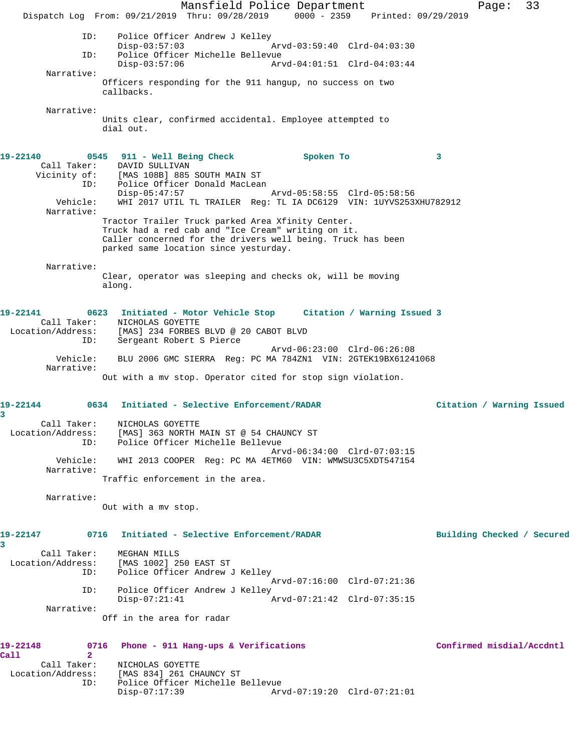Mansfield Police Department Fage: 33 Dispatch Log From: 09/21/2019 Thru: 09/28/2019 0000 - 2359 Printed: 09/29/2019 ID: Police Officer Andrew J Kelley Disp-03:57:03 Arvd-03:59:40 Clrd-04:03:30 ID: Police Officer Michelle Bellevue Disp-03:57:06 Arvd-04:01:51 Clrd-04:03:44 Narrative: Officers responding for the 911 hangup, no success on two callbacks. Narrative: Units clear, confirmed accidental. Employee attempted to dial out. **19-22140 0545 911 - Well Being Check Spoken To 3**  Call Taker: DAVID SULLIVAN<br>Vicinity of: [MAS 108B] 885 Vicinity of: [MAS 108B] 885 SOUTH MAIN ST ID: Police Officer Donald MacLean Disp-05:47:57 Arvd-05:58:55 Clrd-05:58:56 Vehicle: WHI 2017 UTIL TL TRAILER Reg: TL IA DC6129 VIN: 1UYVS253XHU782912 Narrative: Tractor Trailer Truck parked Area Xfinity Center. Truck had a red cab and "Ice Cream" writing on it. Caller concerned for the drivers well being. Truck has been parked same location since yesturday. Narrative: Clear, operator was sleeping and checks ok, will be moving along. **19-22141 0623 Initiated - Motor Vehicle Stop Citation / Warning Issued 3**  Call Taker: NICHOLAS GOYETTE Location/Address: [MAS] 234 FORBES BLVD @ 20 CABOT BLVD ID: Sergeant Robert S Pierce Arvd-06:23:00 Clrd-06:26:08 Vehicle: BLU 2006 GMC SIERRA Reg: PC MA 784ZN1 VIN: 2GTEK19BX61241068 Narrative: Out with a mv stop. Operator cited for stop sign violation. **19-22144 0634 Initiated - Selective Enforcement/RADAR Citation / Warning Issued 3**  Call Taker: NICHOLAS GOYETTE Location/Address: [MAS] 363 NORTH MAIN ST @ 54 CHAUNCY ST ID: Police Officer Michelle Bellevue Arvd-06:34:00 Clrd-07:03:15 Vehicle: WHI 2013 COOPER Reg: PC MA 4ETM60 VIN: WMWSU3C5XDT547154 Narrative: Traffic enforcement in the area. Narrative: Out with a mv stop. **19-22147 0716 Initiated - Selective Enforcement/RADAR Building Checked / Secured 3**  Call Taker: MEGHAN MILLS Location/Address: [MAS 1002] 250 EAST ST ID: Police Officer Andrew J Kelley Arvd-07:16:00 Clrd-07:21:36 ID: Police Officer Andrew J Kelley<br>Disp-07:21:41 Disp-07:21:41 Arvd-07:21:42 Clrd-07:35:15 Narrative: Off in the area for radar **19-22148 0716 Phone - 911 Hang-ups & Verifications Confirmed misdial/Accdntl Call 2**  Call Taker: NICHOLAS GOYETTE Location/Address: [MAS 834] 261 CHAUNCY ST Police Officer Michelle Bellevue<br>Disp-07:17:39 Ar Disp-07:17:39 Arvd-07:19:20 Clrd-07:21:01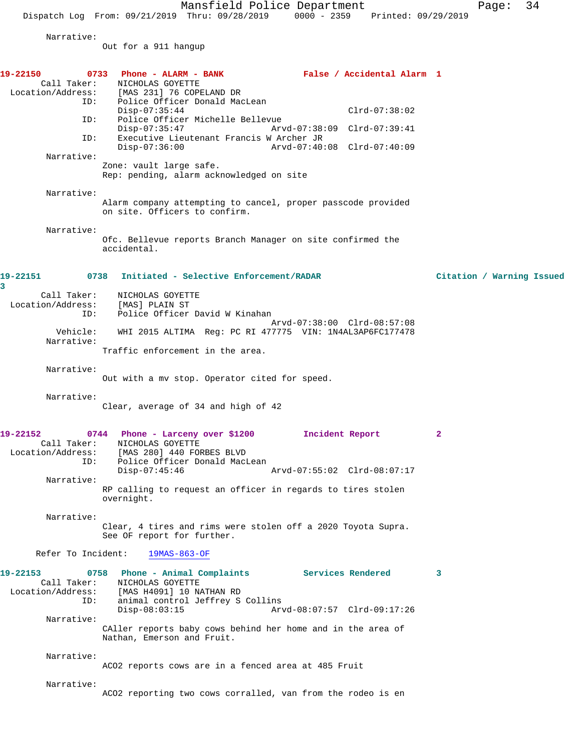Mansfield Police Department Fage: 34

Dispatch Log From: 09/21/2019 Thru: 09/28/2019 0000 - 2359 Printed: 09/29/2019

Narrative:

Out for a 911 hangup

| 19-22150<br>0733<br>Call Taker:<br>Location/Address: | Phone - ALARM - BANK<br>NICHOLAS GOYETTE<br>[MAS 231] 76 COPELAND DR                                                                                                      | False / Accidental Alarm 1                                 |                           |
|------------------------------------------------------|---------------------------------------------------------------------------------------------------------------------------------------------------------------------------|------------------------------------------------------------|---------------------------|
| ID:<br>ID:                                           | Police Officer Donald MacLean<br>$Disp-07:35:44$<br>Police Officer Michelle Bellevue                                                                                      | $Clrd-07:38:02$                                            |                           |
| ID:                                                  | $Disp-07:35:47$<br>Executive Lieutenant Francis W Archer JR<br>$Disp-07:36:00$                                                                                            | Arvd-07:38:09 Clrd-07:39:41<br>Arvd-07:40:08 Clrd-07:40:09 |                           |
| Narrative:                                           | Zone: vault large safe.<br>Rep: pending, alarm acknowledged on site                                                                                                       |                                                            |                           |
| Narrative:                                           | Alarm company attempting to cancel, proper passcode provided<br>on site. Officers to confirm.                                                                             |                                                            |                           |
| Narrative:                                           | Ofc. Bellevue reports Branch Manager on site confirmed the<br>accidental.                                                                                                 |                                                            |                           |
| 0738<br>19-22151<br>3                                | Initiated - Selective Enforcement/RADAR                                                                                                                                   |                                                            | Citation / Warning Issued |
| Call Taker:<br>Location/Address:<br>ID:              | NICHOLAS GOYETTE<br>[MAS] PLAIN ST<br>Police Officer David W Kinahan                                                                                                      |                                                            |                           |
| Vehicle:<br>Narrative:                               | WHI 2015 ALTIMA Reg: PC RI 477775 VIN: 1N4AL3AP6FC177478                                                                                                                  | Arvd-07:38:00 Clrd-08:57:08                                |                           |
| Narrative:                                           | Traffic enforcement in the area.<br>Out with a mv stop. Operator cited for speed.                                                                                         |                                                            |                           |
| Narrative:                                           | Clear, average of 34 and high of 42                                                                                                                                       |                                                            |                           |
| 19-22152<br>Call Taker:<br>Location/Address:<br>ID:  | 0744 Phone - Larceny over \$1200<br>NICHOLAS GOYETTE<br>[MAS 280] 440 FORBES BLVD<br>Police Officer Donald MacLean<br>$Disp-07:45:46$                                     | Incident Report<br>Arvd-07:55:02 Clrd-08:07:17             | 2                         |
| Narrative:                                           | RP calling to request an officer in regards to tires stolen<br>overnight.                                                                                                 |                                                            |                           |
| Narrative:                                           | Clear, 4 tires and rims were stolen off a 2020 Toyota Supra.<br>See OF report for further.                                                                                |                                                            |                           |
|                                                      | Refer To Incident: 19MAS-863-OF                                                                                                                                           |                                                            |                           |
| 19-22153<br>Call Taker:<br>ID:                       | 0758 Phone - Animal Complaints Services Rendered<br>NICHOLAS GOYETTE<br>Location/Address: [MAS H4091] 10 NATHAN RD<br>animal control Jeffrey S Collins<br>$Disp-08:03:15$ | Arvd-08:07:57 Clrd-09:17:26                                | 3                         |
| Narrative:                                           | CAller reports baby cows behind her home and in the area of<br>Nathan, Emerson and Fruit.                                                                                 |                                                            |                           |
| Narrative:                                           | ACO2 reports cows are in a fenced area at 485 Fruit                                                                                                                       |                                                            |                           |
| Narrative:                                           | ACO2 reporting two cows corralled, van from the rodeo is en                                                                                                               |                                                            |                           |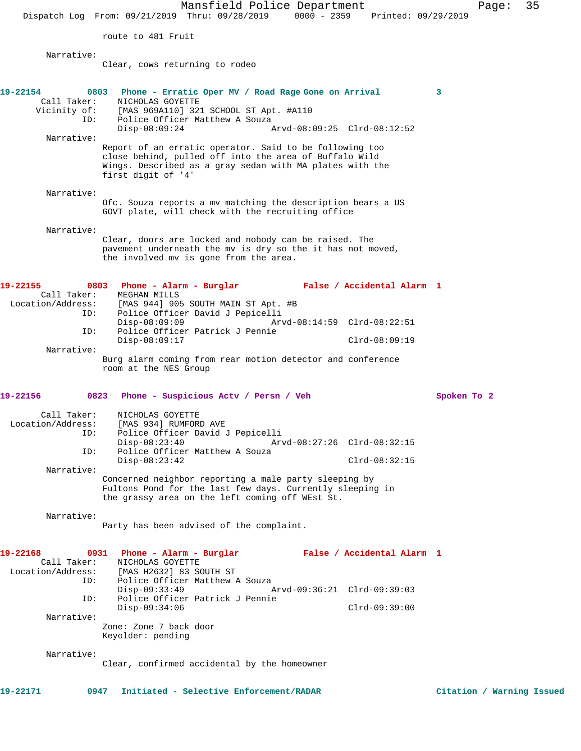Mansfield Police Department Fage: 35 Dispatch Log From: 09/21/2019 Thru: 09/28/2019 0000 - 2359 Printed: 09/29/2019 route to 481 Fruit Narrative: Clear, cows returning to rodeo **19-22154 0803 Phone - Erratic Oper MV / Road Rage Gone on Arrival 3**  Call Taker: NICHOLAS GOYETTE Vicinity of: [MAS 969A110] 321 SCHOOL ST Apt. #A110 Police Officer Matthew A Souza<br>Disp-08:09:24 / Disp-08:09:24 Arvd-08:09:25 Clrd-08:12:52 Narrative: Report of an erratic operator. Said to be following too close behind, pulled off into the area of Buffalo Wild Wings. Described as a gray sedan with MA plates with the first digit of '4' Narrative: Ofc. Souza reports a mv matching the description bears a US GOVT plate, will check with the recruiting office Narrative: Clear, doors are locked and nobody can be raised. The pavement underneath the mv is dry so the it has not moved, the involved mv is gone from the area. **19-22155 0803 Phone - Alarm - Burglar False / Accidental Alarm 1**  Call Taker: MEGHAN MILLS Location/Address: [MAS 944] 905 SOUTH MAIN ST Apt. #B ID: Police Officer David J Pepicelli Disp-08:09:09 Arvd-08:14:59 Clrd-08:22:51 ID: Police Officer Patrick J Pennie Disp-08:09:17 Clrd-08:09:19 Narrative: Burg alarm coming from rear motion detector and conference room at the NES Group **19-22156 0823 Phone - Suspicious Actv / Persn / Veh Spoken To 2** Call Taker: NICHOLAS GOYETTE Location/Address: [MAS 934] RUMFORD AVE ID: Police Officer David J Pepicelli Disp-08:23:40 Arvd-08:27:26 Clrd-08:32:15 ID: Police Officer Matthew A Souza Disp-08:23:42 Clrd-08:32:15 Narrative: Concerned neighbor reporting a male party sleeping by Fultons Pond for the last few days. Currently sleeping in the grassy area on the left coming off WEst St. Narrative: Party has been advised of the complaint. **19-22168 0931 Phone - Alarm - Burglar False / Accidental Alarm 1**  Call Taker: NICHOLAS GOYETTE Location/Address: [MAS H2632] 83 SOUTH ST ID: Police Officer Matthew A Souza Disp-09:33:49 Arvd-09:36:21 Clrd-09:39:03 ID: Police Officer Patrick J Pennie Disp-09:34:06 Clrd-09:39:00 Narrative: Zone: Zone 7 back door Keyolder: pending

Narrative:

Clear, confirmed accidental by the homeowner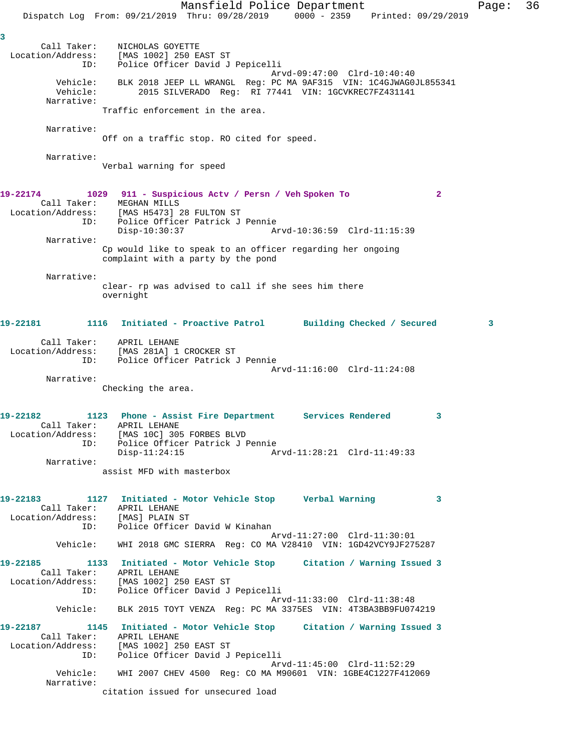Mansfield Police Department Fage: 36 Dispatch Log From: 09/21/2019 Thru: 09/28/2019 0000 - 2359 Printed: 09/29/2019 **3**  Call Taker: NICHOLAS GOYETTE Location/Address: [MAS 1002] 250 EAST ST ID: Police Officer David J Pepicelli Arvd-09:47:00 Clrd-10:40:40 Vehicle: BLK 2018 JEEP LL WRANGL Reg: PC MA 9AF315 VIN: 1C4GJWAG0JL855341 Vehicle: 2015 SILVERADO Reg: RI 77441 VIN: 1GCVKREC7FZ431141 Narrative: Traffic enforcement in the area. Narrative: Off on a traffic stop. RO cited for speed. Narrative: Verbal warning for speed **19-22174 1029 911 - Suspicious Actv / Persn / Veh Spoken To 2**  Call Taker: MEGHAN MILLS Location/Address: [MAS H5473] 28 FULTON ST ID: Police Officer Patrick J Pennie Disp-10:30:37 Arvd-10:36:59 Clrd-11:15:39 Narrative: Cp would like to speak to an officer regarding her ongoing complaint with a party by the pond Narrative: clear- rp was advised to call if she sees him there overnight **19-22181 1116 Initiated - Proactive Patrol Building Checked / Secured 3** Call Taker: APRIL LEHANE Location/Address: [MAS 281A] 1 CROCKER ST ID: Police Officer Patrick J Pennie Arvd-11:16:00 Clrd-11:24:08 Narrative: Checking the area. **19-22182 1123 Phone - Assist Fire Department Services Rendered 3**  Call Taker: APRIL LEHANE Location/Address: [MAS 10C] 305 FORBES BLVD ID: Police Officer Patrick J Pennie<br>Disp-11:24:15 Ar Disp-11:24:15 Arvd-11:28:21 Clrd-11:49:33 Narrative: assist MFD with masterbox **19-22183 1127 Initiated - Motor Vehicle Stop Verbal Warning 3**  Call Taker: APRIL LEHANE Location/Address: [MAS] PLAIN ST ID: Police Officer David W Kinahan Arvd-11:27:00 Clrd-11:30:01 Vehicle: WHI 2018 GMC SIERRA Reg: CO MA V28410 VIN: 1GD42VCY9JF275287 **19-22185 1133 Initiated - Motor Vehicle Stop Citation / Warning Issued 3**  Call Taker: APRIL LEHANE Location/Address: [MAS 1002] 250 EAST ST ID: Police Officer David J Pepicelli Arvd-11:33:00 Clrd-11:38:48 Vehicle: BLK 2015 TOYT VENZA Reg: PC MA 3375ES VIN: 4T3BA3BB9FU074219 **19-22187 1145 Initiated - Motor Vehicle Stop Citation / Warning Issued 3**  Call Taker: APRIL LEHANE Location/Address: [MAS 1002] 250 EAST ST ID: Police Officer David J Pepicelli Arvd-11:45:00 Clrd-11:52:29 Vehicle: WHI 2007 CHEV 4500 Reg: CO MA M90601 VIN: 1GBE4C1227F412069 Narrative: citation issued for unsecured load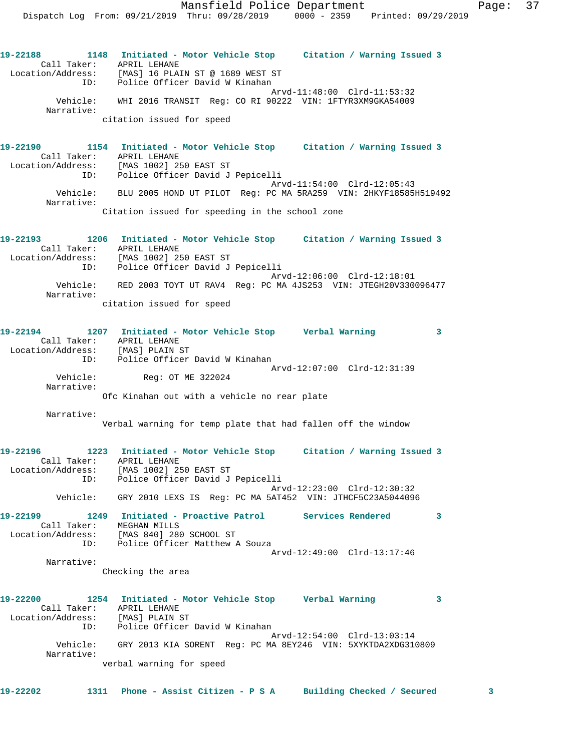**19-22188 1148 Initiated - Motor Vehicle Stop Citation / Warning Issued 3**  Call Taker: APRIL LEHANE Location/Address: [MAS] 16 PLAIN ST @ 1689 WEST ST ID: Police Officer David W Kinahan Arvd-11:48:00 Clrd-11:53:32 Vehicle: WHI 2016 TRANSIT Reg: CO RI 90222 VIN: 1FTYR3XM9GKA54009 Narrative: citation issued for speed **19-22190 1154 Initiated - Motor Vehicle Stop Citation / Warning Issued 3**  Call Taker: APRIL LEHANE Location/Address: [MAS 1002] 250 EAST ST ID: Police Officer David J Pepicelli Arvd-11:54:00 Clrd-12:05:43 Vehicle: BLU 2005 HOND UT PILOT Reg: PC MA 5RA259 VIN: 2HKYF18585H519492 Narrative: Citation issued for speeding in the school zone **19-22193 1206 Initiated - Motor Vehicle Stop Citation / Warning Issued 3**  Call Taker: APRIL LEHANE Location/Address: [MAS 1002] 250 EAST ST ID: Police Officer David J Pepicelli Arvd-12:06:00 Clrd-12:18:01 Vehicle: RED 2003 TOYT UT RAV4 Reg: PC MA 4JS253 VIN: JTEGH20V330096477 Narrative: citation issued for speed **19-22194 1207 Initiated - Motor Vehicle Stop Verbal Warning 3**  Call Taker: APRIL LEHANE Location/Address: [MAS] PLAIN ST ID: Police Officer David W Kinahan Arvd-12:07:00 Clrd-12:31:39 Reg: OT ME 322024 Narrative: Ofc Kinahan out with a vehicle no rear plate Narrative: Verbal warning for temp plate that had fallen off the window **19-22196 1223 Initiated - Motor Vehicle Stop Citation / Warning Issued 3**  Call Taker: APRIL LEHANE Location/Address: [MAS 1002] 250 EAST ST ID: Police Officer David J Pepicelli Arvd-12:23:00 Clrd-12:30:32 Vehicle: GRY 2010 LEXS IS Reg: PC MA 5AT452 VIN: JTHCF5C23A5044096 **19-22199 1249 Initiated - Proactive Patrol Services Rendered 3**  Call Taker: MEGHAN MILLS Location/Address: [MAS 840] 280 SCHOOL ST ID: Police Officer Matthew A Souza Arvd-12:49:00 Clrd-13:17:46 Narrative: Checking the area **19-22200 1254 Initiated - Motor Vehicle Stop Verbal Warning 3**  Call Taker: APRIL LEHANE Location/Address: [MAS] PLAIN ST ID: Police Officer David W Kinahan Arvd-12:54:00 Clrd-13:03:14 Vehicle: GRY 2013 KIA SORENT Reg: PC MA 8EY246 VIN: 5XYKTDA2XDG310809 Narrative: verbal warning for speed

**19-22202 1311 Phone - Assist Citizen - P S A Building Checked / Secured 3**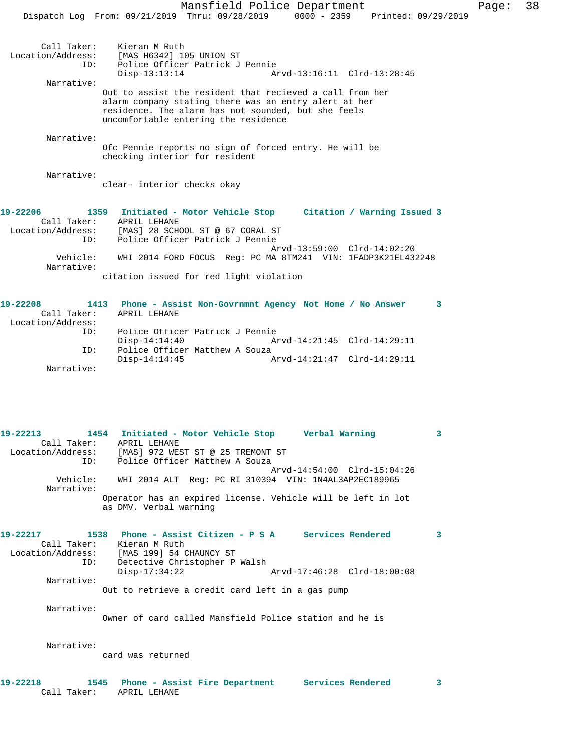Police Officer Patrick J Pennie Disp-13:13:14 Arvd-13:16:11 Clrd-13:28:45 Narrative: Out to assist the resident that recieved a call from her alarm company stating there was an entry alert at her residence. The alarm has not sounded, but she feels uncomfortable entering the residence

Narrative:

Ofc Pennie reports no sign of forced entry. He will be checking interior for resident

Narrative:

clear- interior checks okay

| 19-22206          |          |              | 1359 Initiated - Motor Vehicle Stop     |  |  |  | Citation / Warning Issued 3                                  |  |
|-------------------|----------|--------------|-----------------------------------------|--|--|--|--------------------------------------------------------------|--|
| Call Taker:       |          | APRIL LEHANE |                                         |  |  |  |                                                              |  |
| Location/Address: |          |              | [MAS] 28 SCHOOL ST @ 67 CORAL ST        |  |  |  |                                                              |  |
|                   | ID:      |              | Police Officer Patrick J Pennie         |  |  |  |                                                              |  |
|                   |          |              |                                         |  |  |  | Arvd-13:59:00 Clrd-14:02:20                                  |  |
| Narrative:        | Vehicle: |              |                                         |  |  |  | WHI 2014 FORD FOCUS Req: PC MA 8TM241 VIN: 1FADP3K21EL432248 |  |
|                   |          |              | citation issued for red light violation |  |  |  |                                                              |  |

| 19-22208          | 1413 | Phone - Assist Non-Govrnmnt Agency Not Home / No Answer |  |
|-------------------|------|---------------------------------------------------------|--|
| Call Taker:       |      | APRIL LEHANE                                            |  |
| Location/Address: |      |                                                         |  |
|                   | ID:  | Police Officer Patrick J Pennie                         |  |
|                   |      | Arvd-14:21:45 Clrd-14:29:11<br>Disp-14:14:40            |  |
|                   | TD:  | Police Officer Matthew A Souza                          |  |
|                   |      | Arvd-14:21:47 Clrd-14:29:11<br>$Disp-14:14:45$          |  |
| Narrative:        |      |                                                         |  |

**19-22213 1454 Initiated - Motor Vehicle Stop Verbal Warning 3**  Call Taker: APRIL LEHANE Location/Address: [MAS] 972 WEST ST @ 25 TREMONT ST ID: Police Officer Matthew A Souza Arvd-14:54:00 Clrd-15:04:26<br>Vehicle: WHI 2014 ALT Reg: PC RI 310394 VIN: 1N4AL3AP2EC189965 Vehicle: WHI 2014 ALT Reg: PC RI 310394 VIN: 1N4AL3AP2EC189965 Narrative: Operator has an expired license. Vehicle will be left in lot as DMV. Verbal warning

| 19-22217          | 1538        | Phone - Assist Citizen - P S A<br>Services Rendered |  |
|-------------------|-------------|-----------------------------------------------------|--|
|                   | Call Taker: | Kieran M Ruth                                       |  |
| Location/Address: |             | [MAS 199] 54 CHAUNCY ST                             |  |
|                   | ID:         | Detective Christopher P Walsh                       |  |
|                   |             | Disp-17:34:22<br>Arvd-17:46:28 Clrd-18:00:08        |  |
|                   | Narrative:  |                                                     |  |
|                   |             | Out to retrieve a credit card left in a gas pump    |  |

 Narrative: Owner of card called Mansfield Police station and he is

Narrative:

card was returned

**19-22218 1545 Phone - Assist Fire Department Services Rendered 3**  Call Taker: APRIL LEHANE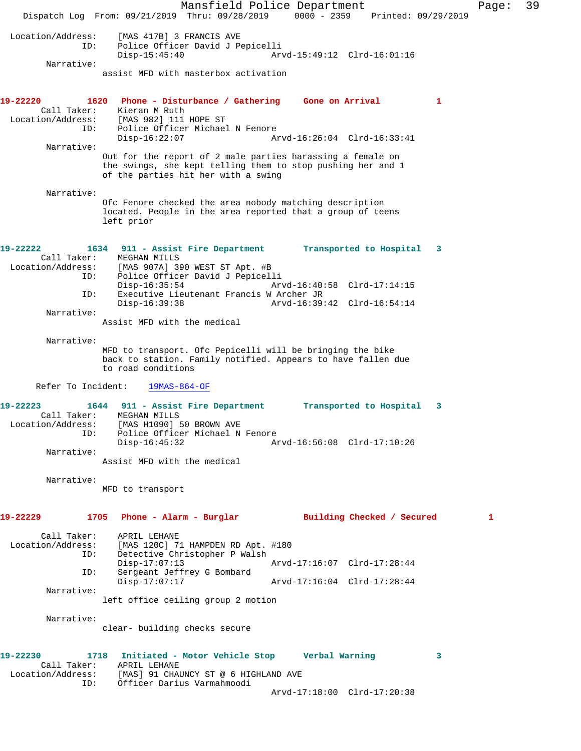Mansfield Police Department Page: 39 Dispatch Log From: 09/21/2019 Thru: 09/28/2019 0000 - 2359 Printed: 09/29/2019 Location/Address: [MAS 417B] 3 FRANCIS AVE ID: Police Officer David J Pepicelli Disp-15:45:40 Arvd-15:49:12 Clrd-16:01:16 Narrative: assist MFD with masterbox activation **19-22220 1620 Phone - Disturbance / Gathering Gone on Arrival 1**  Call Taker: Kieran M Ruth Location/Address: [MAS 982] 111 HOPE ST ESS. The Soap in Roll of<br>ID: Police Officer Michael N Fenore<br>Disp-16:22:07 Ap Disp-16:22:07 Arvd-16:26:04 Clrd-16:33:41 Narrative: Out for the report of 2 male parties harassing a female on the swings, she kept telling them to stop pushing her and 1 of the parties hit her with a swing Narrative: Ofc Fenore checked the area nobody matching description located. People in the area reported that a group of teens left prior **19-22222 1634 911 - Assist Fire Department Transported to Hospital 3**  Call Taker: MEGHAN MILLS Location/Address: [MAS 907A] 390 WEST ST Apt. #B Police Officer David J Pepicelli<br>Disp-16:35:54 Arv Arvd-16:40:58 Clrd-17:14:15 ID: Executive Lieutenant Francis W Archer JR Disp-16:39:38 Arvd-16:39:42 Clrd-16:54:14 Narrative: Assist MFD with the medical Narrative: MFD to transport. Ofc Pepicelli will be bringing the bike back to station. Family notified. Appears to have fallen due to road conditions Refer To Incident: 19MAS-864-OF **19-22223 1644 911 - Assist Fire Department Transported to Hospital 3**  Call Taker: MEGHAN MILLS Location/Address: [MAS H1090] 50 BROWN AVE ID: Police Officer Michael N Fenore<br>Disp-16:45:32 Am Disp-16:45:32 Arvd-16:56:08 Clrd-17:10:26 Narrative: Assist MFD with the medical Narrative: MFD to transport **19-22229 1705 Phone - Alarm - Burglar Building Checked / Secured 1** Call Taker: APRIL LEHANE<br>Location/Address: [MAS 120C] 7 ess: [MAS 120C] 71 HAMPDEN RD Apt. #180<br>ID: Detective Christopher P Walsh Detective Christopher P Walsh<br>Disp-17:07:13 Disp-17:07:13 Arvd-17:16:07 Clrd-17:28:44<br>ID: Sergeant Jeffrey G Bombard Sergeant Jeffrey G Bombard Disp-17:07:17 Arvd-17:16:04 Clrd-17:28:44 Narrative: left office ceiling group 2 motion Narrative: clear- building checks secure **19-22230 1718 Initiated - Motor Vehicle Stop Verbal Warning 3**  Call Taker: APRIL LEHANE Location/Address: [MAS] 91 CHAUNCY ST @ 6 HIGHLAND AVE ID: Officer Darius Varmahmoodi Arvd-17:18:00 Clrd-17:20:38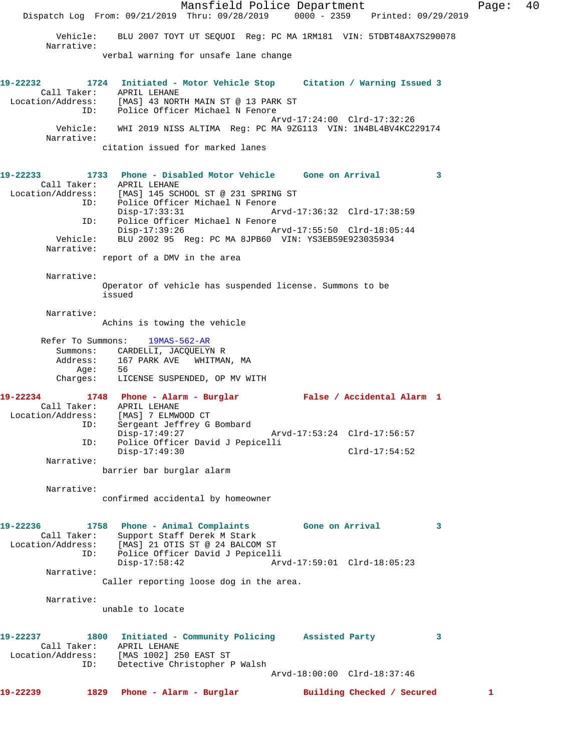Mansfield Police Department Form Page: 40 Dispatch Log From: 09/21/2019 Thru: 09/28/2019 0000 - 2359 Printed: 09/29/2019 Vehicle: BLU 2007 TOYT UT SEQUOI Reg: PC MA 1RM181 VIN: 5TDBT48AX7S290078 Narrative: verbal warning for unsafe lane change **19-22232 1724 Initiated - Motor Vehicle Stop Citation / Warning Issued 3**  Call Taker: APRIL LEHANE Location/Address: [MAS] 43 NORTH MAIN ST @ 13 PARK ST ID: Police Officer Michael N Fenore Arvd-17:24:00 Clrd-17:32:26 Vehicle: WHI 2019 NISS ALTIMA Reg: PC MA 9ZG113 VIN: 1N4BL4BV4KC229174 Narrative: citation issued for marked lanes **19-22233 1733 Phone - Disabled Motor Vehicle Gone on Arrival 3**  Call Taker: APRIL LEHANE Location/Address: [MAS] 145 SCHOOL ST @ 231 SPRING ST ID: Police Officer Michael N Fenore<br>Disp-17:33:31 A Disp-17:33:31 Arvd-17:36:32 Clrd-17:38:59 ID: Police Officer Michael N Fenore Disp-17:39:26 Arvd-17:55:50 Clrd-18:05:44 Vehicle: BLU 2002 95 Reg: PC MA 8JPB60 VIN: YS3EB59E923035934 Narrative: report of a DMV in the area Narrative: Operator of vehicle has suspended license. Summons to be issued Narrative: Achins is towing the vehicle Refer To Summons: 19MAS-562-AR Summons: CARDELLI, JACQUELYN R<br>Address: 167 PARK AVE WHITMAI 167 PARK AVE WHITMAN, MA Age: 56 Charges: LICENSE SUSPENDED, OP MV WITH **19-22234 1748 Phone - Alarm - Burglar False / Accidental Alarm 1**  Call Taker: APRIL LEHANE<br>Location/Address: [MAS] 7 ELMW Location/Address: [MAS] 7 ELMWOOD CT ID: Sergeant Jeffrey G Bombard Disp-17:49:27 Arvd-17:53:24 Clrd-17:56:57 ID: Police Officer David J Pepicelli Disp-17:49:30 Clrd-17:54:52 Narrative: barrier bar burglar alarm Narrative: confirmed accidental by homeowner **19-22236 1758 Phone - Animal Complaints Gone on Arrival 3**  Call Taker: Support Staff Derek M Stark Location/Address: [MAS] 21 OTIS ST @ 24 BALCOM ST ID: Police Officer David J Pepicelli<br>Disp-17:58:42 Arv Disp-17:58:42 Arvd-17:59:01 Clrd-18:05:23 Narrative: Caller reporting loose dog in the area. Narrative: unable to locate **19-22237 1800 Initiated - Community Policing Assisted Party 3**  Call Taker: APRIL LEHANE Location/Address: [MAS 1002] 250 EAST ST ID: Detective Christopher P Walsh Arvd-18:00:00 Clrd-18:37:46 **19-22239 1829 Phone - Alarm - Burglar Building Checked / Secured 1**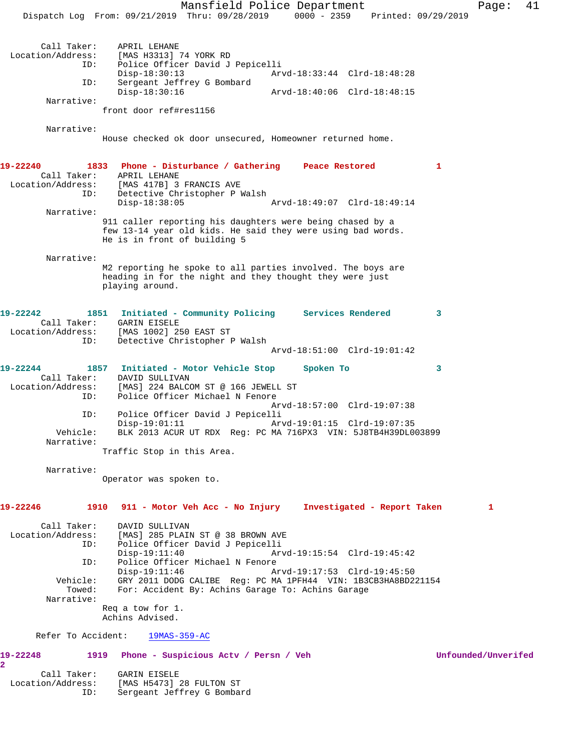Mansfield Police Department Fage: 41 Dispatch Log From: 09/21/2019 Thru: 09/28/2019 0000 - 2359 Printed: 09/29/2019 Call Taker: APRIL LEHANE<br>[MAS H3313] [MAS H3313] 74 YORK RD ID: Police Officer David J Pepicelli Disp-18:30:13 Arvd-18:33:44 Clrd-18:48:28<br>TD: Sergeant Jeffrey G Bombard Sergeant Jeffrey G Bombard<br>Disp-18:30:16 Disp-18:30:16 Arvd-18:40:06 Clrd-18:48:15 Narrative: front door ref#res1156 Narrative: House checked ok door unsecured, Homeowner returned home. **19-22240 1833 Phone - Disturbance / Gathering Peace Restored 1**  Call Taker: APRIL LEHANE Location/Address: [MAS 417B] 3 FRANCIS AVE<br>ID: Detective Christopher P 1 Detective Christopher P Walsh<br>Disp-18:38:05 Disp-18:38:05 Arvd-18:49:07 Clrd-18:49:14 Narrative: 911 caller reporting his daughters were being chased by a few 13-14 year old kids. He said they were using bad words. He is in front of building 5 Narrative: M2 reporting he spoke to all parties involved. The boys are heading in for the night and they thought they were just playing around. **19-22242 1851 Initiated - Community Policing Services Rendered 3**  Call Taker: GARIN EISELE<br>Location/Address: [MAS 1002] 29 [MAS 1002] 250 EAST ST ID: Detective Christopher P Walsh Arvd-18:51:00 Clrd-19:01:42 **19-22244 1857 Initiated - Motor Vehicle Stop Spoken To 3**  Call Taker: DAVID SULLIVAN Location/Address: [MAS] 224 BALCOM ST @ 166 JEWELL ST Police Officer Michael N Fenore Arvd-18:57:00 Clrd-19:07:38 ID: Police Officer David J Pepicelli Disp-19:01:11 Arvd-19:01:15 Clrd-19:07:35<br>Vehicle: BLK 2013 ACUR UT RDX Req: PC MA 716PX3 VIN: 5J8TB4H39DL0 BLK 2013 ACUR UT RDX Reg: PC MA 716PX3 VIN: 5J8TB4H39DL003899 Narrative: Traffic Stop in this Area. Narrative: Operator was spoken to. **19-22246 1910 911 - Motor Veh Acc - No Injury Investigated - Report Taken 1** Call Taker: DAVID SULLIVAN Location/Address: [MAS] 285 PLAIN ST @ 38 BROWN AVE Police Officer David J Pepicelli<br>Disp-19:11:40 Arv Disp-19:11:40 Arvd-19:15:54 Clrd-19:45:42<br>ID: Police Officer Michael N Fenore Police Officer Michael N Fenore Disp-19:11:46 Arvd-19:17:53 Clrd-19:45:50 Vehicle: GRY 2011 DODG CALIBE Reg: PC MA 1PFH44 VIN: 1B3CB3HA8BD221154 Towed: For: Accident By: Achins Garage To: Achins Garage Narrative: Req a tow for 1. Achins Advised. Refer To Accident: 19MAS-359-AC **19-22248 1919 Phone - Suspicious Actv / Persn / Veh Unfounded/Unverifed 2**  Call Taker: GARIN EISELE

Location/Address: [MAS H5473] 28 FULTON ST

ID: Sergeant Jeffrey G Bombard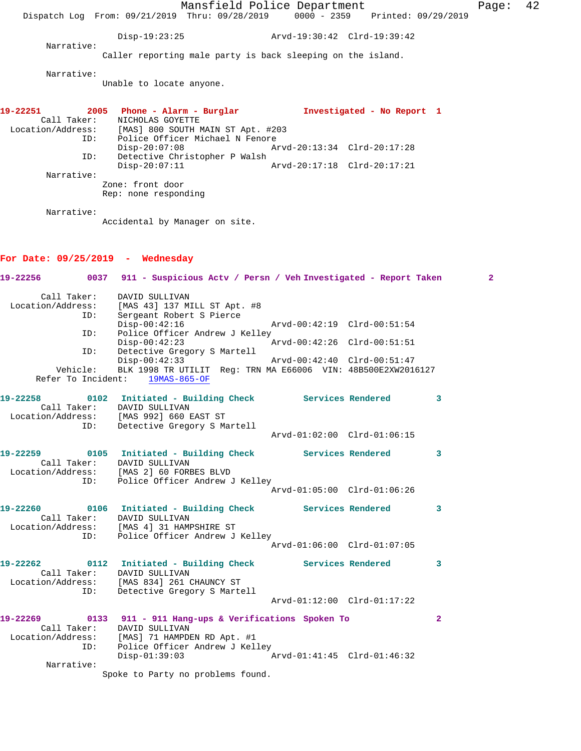Mansfield Police Department Fage: 42 Dispatch Log From: 09/21/2019 Thru: 09/28/2019 0000 - 2359 Printed: 09/29/2019 Disp-19:23:25 Arvd-19:30:42 Clrd-19:39:42 Narrative: Caller reporting male party is back sleeping on the island. Narrative: Unable to locate anyone. **19-22251 2005 Phone - Alarm - Burglar Investigated - No Report 1**  Call Taker: NICHOLAS GOYETTE Location/Address: [MAS] 800 SOUTH MAIN ST Apt. #203 ID: Police Officer Michael N Fenore Disp-20:07:08 Arvd-20:13:34 Clrd-20:17:28 ID: Detective Christopher P Walsh<br>Disp-20:07:11 Disp-20:07:11 Arvd-20:17:18 Clrd-20:17:21 Narrative: Zone: front door Rep: none responding Narrative: Accidental by Manager on site. **For Date: 09/25/2019 - Wednesday 19-22256 0037 911 - Suspicious Actv / Persn / Veh Investigated - Report Taken 2** Call Taker: DAVID SULLIVAN Location/Address: [MAS 43] 137 MILL ST Apt. #8 ID: Sergeant Robert S Pierce Disp-00:42:16 Arvd-00:42:19 Clrd-00:51:54 ID: Police Officer Andrew J Kelley<br>Disp-00:42:23 A Disp-00:42:23 Arvd-00:42:26 Clrd-00:51:51 ID: Detective Gregory S Martell Disp-00:42:33 Arvd-00:42:40 Clrd-00:51:47<br>Vehicle: BLK 1998 TR UTILIT Reg: TRN MA E66006 VIN: 48B500E2XW201 BLK 1998 TR UTILIT Reg: TRN MA E66006 VIN: 48B500E2XW2016127 Refer To Incident: 19MAS-865-OF **19-22258 0102 Initiated - Building Check Services Rendered 3**  Call Taker: DAVID SULLIVAN Location/Address: [MAS 992] 660 EAST ST ID: Detective Gregory S Martell Arvd-01:02:00 Clrd-01:06:15 **19-22259 0105 Initiated - Building Check Services Rendered 3**  Call Taker: DAVID SULLIVAN Location/Address: [MAS 2] 60 FORBES BLVD ID: Police Officer Andrew J Kelley Arvd-01:05:00 Clrd-01:06:26 **19-22260 0106 Initiated - Building Check Services Rendered 3**  Call Taker: DAVID SULLIVAN Location/Address: [MAS 4] 31 HAMPSHIRE ST ID: Police Officer Andrew J Kelley

 Arvd-01:06:00 Clrd-01:07:05 **19-22262 0112 Initiated - Building Check Services Rendered 3**  Call Taker: DAVID SULLIVAN Location/Address: [MAS 834] 261 CHAUNCY ST ID: Detective Gregory S Martell Arvd-01:12:00 Clrd-01:17:22

**19-22269 0133 911 - 911 Hang-ups & Verifications Spoken To 2**  Call Taker: DAVID SULLIVAN Location/Address: [MAS] 71 HAMPDEN RD Apt. #1 ID: Police Officer Andrew J Kelley<br>Disp-01:39:03 Arvd-01:41:45 Clrd-01:46:32 Narrative: Spoke to Party no problems found.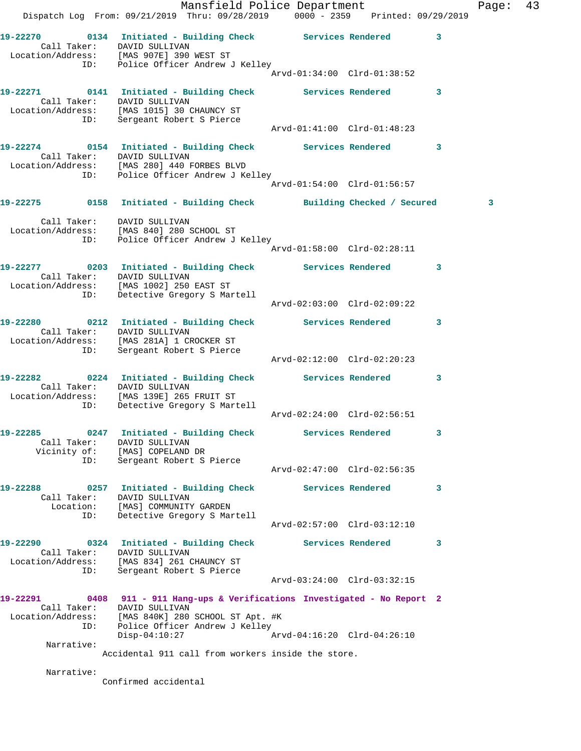|                                      | Mansfield Police Department<br>Dispatch Log From: 09/21/2019 Thru: 09/28/2019 0000 - 2359 Printed: 09/29/2019                                                                   |                             |              | Page:        | 43 |
|--------------------------------------|---------------------------------------------------------------------------------------------------------------------------------------------------------------------------------|-----------------------------|--------------|--------------|----|
|                                      | 19-22270 0134 Initiated - Building Check Services Rendered 3<br>Call Taker: DAVID SULLIVAN<br>Location/Address: [MAS 907E] 390 WEST ST<br>ID: Police Officer Andrew J Kelley    | Arvd-01:34:00 Clrd-01:38:52 |              |              |    |
| Call Taker: DAVID SULLIVAN           | 19-22271 0141 Initiated - Building Check Services Rendered 3<br>Location/Address: [MAS 1015] 30 CHAUNCY ST<br>ID: Sergeant Robert S Pierce                                      |                             |              |              |    |
|                                      |                                                                                                                                                                                 |                             |              |              |    |
|                                      | 19-22274 0154 Initiated - Building Check Services Rendered 3<br>Call Taker: DAVID SULLIVAN<br>Location/Address: [MAS 280] 440 FORBES BLVD<br>ID: Police Officer Andrew J Kelley |                             |              |              |    |
|                                      |                                                                                                                                                                                 | Arvd-01:54:00 Clrd-01:56:57 |              |              |    |
|                                      | 19-22275 0158 Initiated - Building Check Building Checked / Secured                                                                                                             |                             |              | $\mathbf{3}$ |    |
| Call Taker:     DAVID SULLIVAN       | Location/Address: [MAS 840] 280 SCHOOL ST<br>ID: Police Officer Andrew J Kelley                                                                                                 |                             |              |              |    |
|                                      |                                                                                                                                                                                 |                             |              |              |    |
|                                      | 19-22277 0203 Initiated - Building Check Services Rendered 3<br>Call Taker: DAVID SULLIVAN<br>Location/Address: [MAS 1002] 250 EAST ST<br>ID: Detective Gregory S Martell       |                             |              |              |    |
|                                      |                                                                                                                                                                                 | Arvd-02:03:00 Clrd-02:09:22 |              |              |    |
|                                      | 19-22280 0212 Initiated - Building Check Services Rendered 3<br>Call Taker: DAVID SULLIVAN<br>Location/Address: [MAS 281A] 1 CROCKER ST<br>ID: Sergeant Robert S Pierce         |                             |              |              |    |
|                                      |                                                                                                                                                                                 | Arvd-02:12:00 Clrd-02:20:23 |              |              |    |
| Call Taker: DAVID SULLIVAN           | 19-22282 0224 Initiated - Building Check Services Rendered<br>Location/Address: [MAS 139E] 265 FRUIT ST<br>ID: Detective Gregory S Martell                                      |                             | $\mathbf{3}$ |              |    |
|                                      |                                                                                                                                                                                 | Arvd-02:24:00 Clrd-02:56:51 |              |              |    |
| 19-22285<br>Call Taker:              | 0247 Initiated - Building Check Services Rendered<br>DAVID SULLIVAN<br>Vicinity of: [MAS] COPELAND DR                                                                           |                             | 3            |              |    |
| ID:                                  | Sergeant Robert S Pierce                                                                                                                                                        | Arvd-02:47:00 Clrd-02:56:35 |              |              |    |
| 19-22288<br>Call Taker:<br>Location: | 0257 Initiated - Building Check Services Rendered<br>DAVID SULLIVAN<br>[MAS] COMMUNITY GARDEN                                                                                   |                             | 3            |              |    |
| ID:                                  | Detective Gregory S Martell                                                                                                                                                     | Arvd-02:57:00 Clrd-03:12:10 |              |              |    |
| 19-22290<br>Call Taker:              | 0324 Initiated - Building Check<br>DAVID SULLIVAN<br>Location/Address: [MAS 834] 261 CHAUNCY ST                                                                                 | Services Rendered           | 3            |              |    |
| ID:                                  | Sergeant Robert S Pierce                                                                                                                                                        | Arvd-03:24:00 Clrd-03:32:15 |              |              |    |
| 19-22291                             | 0408 911 - 911 Hang-ups & Verifications Investigated - No Report 2<br>Call Taker: DAVID SULLIVAN<br>Location/Address: [MAS 840K] 280 SCHOOL ST Apt. #K                          |                             |              |              |    |
| ID:                                  | Police Officer Andrew J Kelley<br>$Disp-04:10:27$                                                                                                                               | Arvd-04:16:20 Clrd-04:26:10 |              |              |    |
| Narrative:                           | Accidental 911 call from workers inside the store.                                                                                                                              |                             |              |              |    |
| Narrative:                           | Confirmed accidental                                                                                                                                                            |                             |              |              |    |
|                                      |                                                                                                                                                                                 |                             |              |              |    |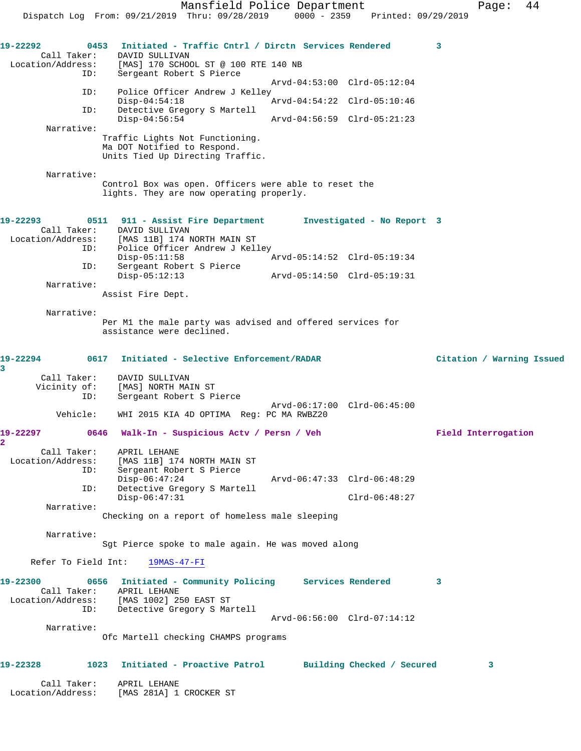Mansfield Police Department Fage: 44 Dispatch Log From: 09/21/2019 Thru: 09/28/2019 0000 - 2359 Printed: 09/29/2019 **19-22292 0453 Initiated - Traffic Cntrl / Dirctn Services Rendered 3**  Call Taker: DAVID SULLIVAN Location/Address: [MAS] 170 SCHOOL ST @ 100 RTE 140 NB ID: Sergeant Robert S Pierce Arvd-04:53:00 Clrd-05:12:04 ID: Police Officer Andrew J Kelley<br>Disp-04:54:18 Arvd-04:54:22 Clrd-05:10:46 Disp-04:54:18 Arvd-04:54:22 Clrd-05:10:46 ID: Detective Gregory S Martell Disp-04:56:54 Arvd-04:56:59 Clrd-05:21:23 Narrative: Traffic Lights Not Functioning. Ma DOT Notified to Respond. Units Tied Up Directing Traffic. Narrative: Control Box was open. Officers were able to reset the lights. They are now operating properly. **19-22293 0511 911 - Assist Fire Department Investigated - No Report 3**  Call Taker: DAVID SULLIVAN Location/Address: [MAS 11B] 174 NORTH MAIN ST ID: Police Officer Andrew J Kelley Disp-05:11:58 Arvd-05:14:52 Clrd-05:19:34 ID: Sergeant Robert S Pierce Disp-05:12:13 Arvd-05:14:50 Clrd-05:19:31 Narrative: Assist Fire Dept. Narrative: Per M1 the male party was advised and offered services for assistance were declined. **19-22294 0617 Initiated - Selective Enforcement/RADAR Citation / Warning Issued 3**  Call Taker: DAVID SULLIVAN Vicinity of: [MAS] NORTH MAIN ST ID: Sergeant Robert S Pierce Arvd-06:17:00 Clrd-06:45:00 Vehicle: WHI 2015 KIA 4D OPTIMA Reg: PC MA RWBZ20 **19-22297 0646 Walk-In - Suspicious Actv / Persn / Veh Field Interrogation 2**  Call Taker: APRIL LEHANE Location/Address: [MAS 11B] 174 NORTH MAIN ST ID: Sergeant Robert S Pierce Disp-06:47:24 Arvd-06:47:33 Clrd-06:48:29 ID: Detective Gregory S Martell Disp-06:47:31 Clrd-06:48:27 Narrative: Checking on a report of homeless male sleeping Narrative: Sgt Pierce spoke to male again. He was moved along Refer To Field Int: 19MAS-47-FI **19-22300 0656 Initiated - Community Policing Services Rendered 3**  Call Taker: APRIL LEHANE Location/Address: [MAS 1002] 250 EAST ST ID: Detective Gregory S Martell Arvd-06:56:00 Clrd-07:14:12 Narrative: Ofc Martell checking CHAMPS programs **19-22328 1023 Initiated - Proactive Patrol Building Checked / Secured 3** Call Taker: APRIL LEHANE Location/Address: [MAS 281A] 1 CROCKER ST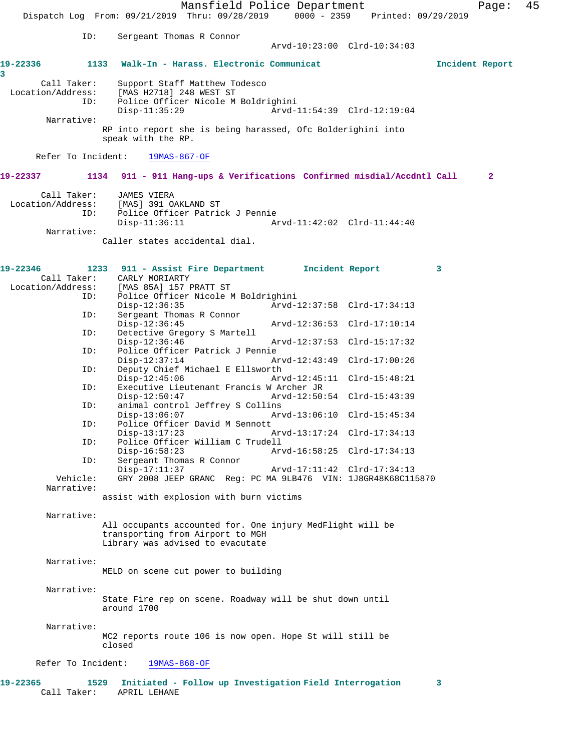Mansfield Police Department Form Page: 45 Dispatch Log From: 09/21/2019 Thru: 09/28/2019 0000 - 2359 Printed: 09/29/2019 ID: Sergeant Thomas R Connor Arvd-10:23:00 Clrd-10:34:03 **19-22336 1133 Walk-In - Harass. Electronic Communicat Incident Report 3**  Call Taker: Support Staff Matthew Todesco Location/Address: [MAS H2718] 248 WEST ST ID: Police Officer Nicole M Boldrighini Disp-11:35:29 Arvd-11:54:39 Clrd-12:19:04 Narrative: RP into report she is being harassed, Ofc Bolderighini into speak with the RP. Refer To Incident: 19MAS-867-OF **19-22337 1134 911 - 911 Hang-ups & Verifications Confirmed misdial/Accdntl Call 2** Call Taker: JAMES VIERA Location/Address: [MAS] 391 OAKLAND ST ID: Police Officer Patrick J Pennie Disp-11:36:11 Arvd-11:42:02 Clrd-11:44:40 Narrative: Caller states accidental dial. **19-22346 1233 911 - Assist Fire Department Incident Report 3**  Call Taker: CARLY MORIARTY<br>Location/Address: [MAS 85A] 157 E [MAS 85A] 157 PRATT ST ID: Police Officer Nicole M Boldrighini Disp-12:36:35 Arvd-12:37:58 Clrd-17:34:13 ID: Sergeant Thomas R Connor Disp-12:36:45 Arvd-12:36:53 Clrd-17:10:14<br>ID: Detective Gregory S Martell Detective Gregory S Martell<br>Disp-12:36:46 Arvd-12:37:53 Clrd-15:17:32 ID: Police Officer Patrick J Pennie Disp-12:37:14 Arvd-12:43:49 Clrd-17:00:26 ID: Deputy Chief Michael E Ellsworth Disp-12:45:06 Arvd-12:45:11 Clrd-15:48:21 ID: Executive Lieutenant Francis W Archer JR Disp-12:50:47 Arvd-12:50:54 Clrd-15:43:39<br>ID: animal control Jeffrey S Collins animal control Jeffrey S Collins Disp-13:06:07 Arvd-13:06:10 Clrd-15:45:34 ID: Police Officer David M Sennott Disp-13:17:23 Arvd-13:17:24 Clrd-17:34:13 ID: Police Officer William C Trudell Disp-16:58:23 Arvd-16:58:25 Clrd-17:34:13 ID: Sergeant Thomas R Connor<br>Disp-17:11:37 Disp-17:11:37 <br>
Disp-17:11:37 Arvd-17:11:42 Clrd-17:34:13<br>
Vehicle: GRY 2008 JEEP GRANC Reg: PC MA 9LB476 VIN: 1J8GR48K68C11 GRY 2008 JEEP GRANC Reg: PC MA 9LB476 VIN: 1J8GR48K68C115870 Narrative: assist with explosion with burn victims Narrative: All occupants accounted for. One injury MedFlight will be transporting from Airport to MGH Library was advised to evacutate Narrative: MELD on scene cut power to building Narrative: State Fire rep on scene. Roadway will be shut down until around 1700 Narrative: MC2 reports route 106 is now open. Hope St will still be closed Refer To Incident: 19MAS-868-OF **19-22365 1529 Initiated - Follow up Investigation Field Interrogation 3**  Call Taker: APRIL LEHANE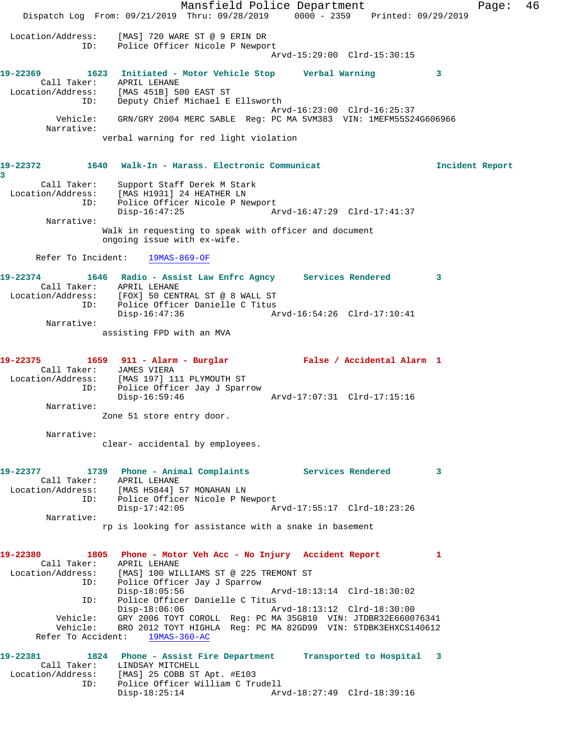Mansfield Police Department Fage: 46 Dispatch Log From: 09/21/2019 Thru: 09/28/2019 0000 - 2359 Printed: 09/29/2019 Location/Address: [MAS] 720 WARE ST @ 9 ERIN DR ID: Police Officer Nicole P Newport Arvd-15:29:00 Clrd-15:30:15 **19-22369 1623 Initiated - Motor Vehicle Stop Verbal Warning 3**  Call Taker: APRIL LEHANE Location/Address: [MAS 451B] 500 EAST ST ID: Deputy Chief Michael E Ellsworth Arvd-16:23:00 Clrd-16:25:37 Vehicle: GRN/GRY 2004 MERC SABLE Reg: PC MA 5VM383 VIN: 1MEFM55S24G606966 Narrative: verbal warning for red light violation **19-22372 1640 Walk-In - Harass. Electronic Communicat Incident Report 3**  Call Taker: Support Staff Derek M Stark Location/Address: [MAS H1931] 24 HEATHER LN ID: Police Officer Nicole P Newport<br>Disp-16:47:25 Ar Disp-16:47:25 Arvd-16:47:29 Clrd-17:41:37 Narrative: Walk in requesting to speak with officer and document ongoing issue with ex-wife. Refer To Incident: 19MAS-869-OF **19-22374 1646 Radio - Assist Law Enfrc Agncy Services Rendered 3**  Call Taker: APRIL LEHANE Location/Address: [FOX] 50 CENTRAL ST @ 8 WALL ST ID: Police Officer Danielle C Titus Disp-16:47:36 Arvd-16:54:26 Clrd-17:10:41 Narrative: assisting FPD with an MVA **19-22375 1659 911 - Alarm - Burglar False / Accidental Alarm 1**  Call Taker: JAMES VIERA Location/Address: [MAS 197] 111 PLYMOUTH ST ID: Police Officer Jay J Sparrow Disp-16:59:46 Arvd-17:07:31 Clrd-17:15:16 Narrative: Zone 51 store entry door. Narrative: clear- accidental by employees. **19-22377 1739 Phone - Animal Complaints Services Rendered 3**  Call Taker: APRIL LEHANE Location/Address: [MAS H5844] 57 MONAHAN LN ID: Police Officer Nicole P Newport Disp-17:42:05 Arvd-17:55:17 Clrd-18:23:26 Narrative: rp is looking for assistance with a snake in basement **19-22380 1805 Phone - Motor Veh Acc - No Injury Accident Report 1**  Call Taker: APRIL LEHANE Location/Address: [MAS] 100 WILLIAMS ST @ 225 TREMONT ST ID: Police Officer Jay J Sparrow Disp-18:05:56 Arvd-18:13:14 Clrd-18:30:02<br>ID: Police Officer Danielle C Titus ID: Police Officer Danielle C Titus Disp-18:06:06 Arvd-18:13:12 Clrd-18:30:00 Vehicle: GRY 2006 TOYT COROLL Reg: PC MA 35G810 VIN: JTDBR32E660076341 Vehicle: BRO 2012 TOYT HIGHLA Reg: PC MA 82GD99 VIN: 5TDBK3EHXCS140612 Refer To Accident: 19MAS-360-AC **19-22381 1824 Phone - Assist Fire Department Transported to Hospital 3**  Call Taker: LINDSAY MITCHELL Location/Address: [MAS] 25 COBB ST Apt. #E103 ID: Police Officer William C Trudell Disp-18:25:14 Arvd-18:27:49 Clrd-18:39:16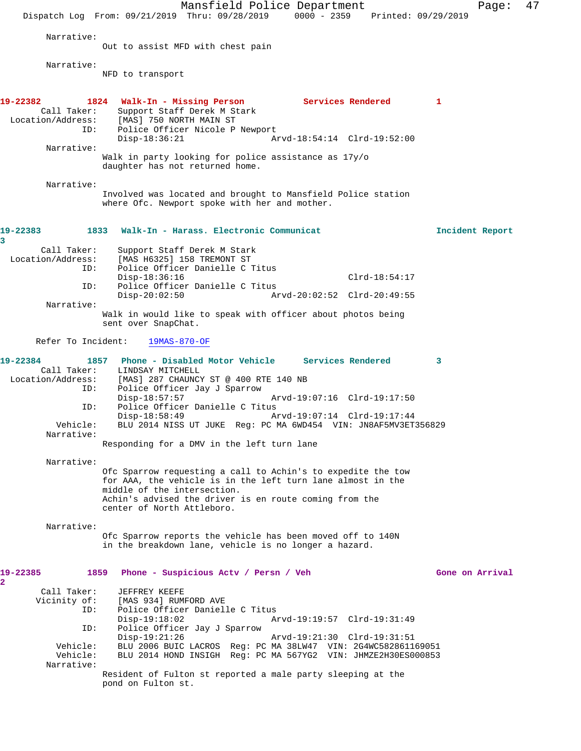Mansfield Police Department Page: 47 Dispatch Log From: 09/21/2019 Thru: 09/28/2019 0000 - 2359 Printed: 09/29/2019 Narrative: Out to assist MFD with chest pain Narrative: NFD to transport **19-22382 1824 Walk-In - Missing Person Services Rendered 1**  Call Taker: Support Staff Derek M Stark<br>Location/Address: [MAS] 750 NORTH MAIN ST ess: [MAS] 750 NORTH MAIN ST<br>ID: Police Officer Nicole P Police Officer Nicole P Newport<br>Disp-18:36:21 A Disp-18:36:21 Arvd-18:54:14 Clrd-19:52:00 Narrative: Walk in party looking for police assistance as 17y/o daughter has not returned home. Narrative: Involved was located and brought to Mansfield Police station where Ofc. Newport spoke with her and mother. **19-22383 1833 Walk-In - Harass. Electronic Communicat Incident Report 3**  Call Taker: Support Staff Derek M Stark<br>Location/Address: [MAS H6325] 158 TREMONT ST ess: [MAS H6325] 158 TREMONT ST<br>ID: Police Officer Danielle C . Police Officer Danielle C Titus Disp-18:36:16 Clrd-18:54:17<br>ID: Police Officer Danielle C Titus ID: Police Officer Danielle C Titus Disp-20:02:50 Arvd-20:02:52 Clrd-20:49:55 Narrative: Walk in would like to speak with officer about photos being sent over SnapChat. Refer To Incident: 19MAS-870-OF **19-22384 1857 Phone - Disabled Motor Vehicle Services Rendered 3**  Call Taker: LINDSAY MITCHELL Location/Address: [MAS] 287 CHAUNCY ST @ 400 RTE 140 NB ID: Police Officer Jay J Sparrow Disp-18:57:57 Arvd-19:07:16 Clrd-19:17:50 ID: Police Officer Danielle C Titus<br>Disp-18:58:49 A: Disp-18:58:49 Arvd-19:07:14 Clrd-19:17:44 Vehicle: BLU 2014 NISS UT JUKE Reg: PC MA 6WD454 VIN: JN8AF5MV3ET356829 Narrative: Responding for a DMV in the left turn lane Narrative: Ofc Sparrow requesting a call to Achin's to expedite the tow for AAA, the vehicle is in the left turn lane almost in the middle of the intersection. Achin's advised the driver is en route coming from the center of North Attleboro. Narrative: Ofc Sparrow reports the vehicle has been moved off to 140N in the breakdown lane, vehicle is no longer a hazard. **19-22385 1859 Phone - Suspicious Actv / Persn / Veh Gone on Arrival 2**  Call Taker: JEFFREY KEEFE<br>Vicinity of: [MAS 934] RUMI [MAS 934] RUMFORD AVE ID: Police Officer Danielle C Titus Disp-19:18:02 Arvd-19:19:57 Clrd-19:31:49 ID: Police Officer Jay J Sparrow Disp-19:21:26 Arvd-19:21:30 Clrd-19:31:51 Vehicle: BLU 2006 BUIC LACROS Reg: PC MA 38LW47 VIN: 2G4WC582861169051 Vehicle: BLU 2014 HOND INSIGH Reg: PC MA 567YG2 VIN: JHMZE2H30ES000853 Narrative: Resident of Fulton st reported a male party sleeping at the pond on Fulton st.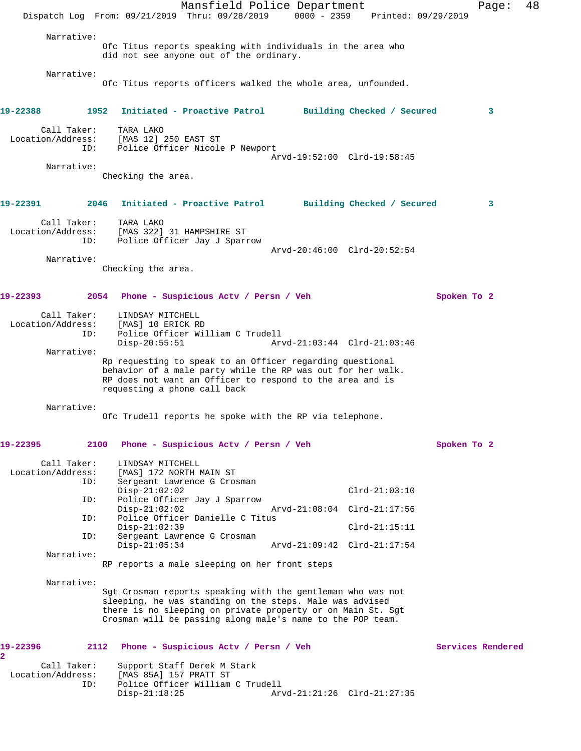Mansfield Police Department Fage: 48 Dispatch Log From: 09/21/2019 Thru: 09/28/2019 0000 - 2359 Printed: 09/29/2019 Narrative: Ofc Titus reports speaking with individuals in the area who did not see anyone out of the ordinary. Narrative: Ofc Titus reports officers walked the whole area, unfounded. **19-22388 1952 Initiated - Proactive Patrol Building Checked / Secured 3** Call Taker: TARA LAKO Location/Address: [MAS 12] 250 EAST ST ID: Police Officer Nicole P Newport Arvd-19:52:00 Clrd-19:58:45 Narrative: Checking the area. **19-22391 2046 Initiated - Proactive Patrol Building Checked / Secured 3** Call Taker: TARA LAKO Location/Address: [MAS 322] 31 HAMPSHIRE ST ID: Police Officer Jay J Sparrow Arvd-20:46:00 Clrd-20:52:54 Narrative: Checking the area. **19-22393 2054 Phone - Suspicious Actv / Persn / Veh Spoken To 2** Call Taker: LINDSAY MITCHELL Location/Address: [MAS] 10 ERICK RD ID: Police Officer William C Trudell<br>Disp-20:55:51 Ar Disp-20:55:51 Arvd-21:03:44 Clrd-21:03:46 Narrative: Rp requesting to speak to an Officer regarding questional behavior of a male party while the RP was out for her walk. RP does not want an Officer to respond to the area and is requesting a phone call back Narrative: Ofc Trudell reports he spoke with the RP via telephone. **19-22395 2100 Phone - Suspicious Actv / Persn / Veh Spoken To 2** Call Taker: LINDSAY MITCHELL Location/Address: [MAS] 172 NORTH MAIN ST Sergeant Lawrence G Crosman Disp-21:02:02<br>ID: Police Officer Jay J Sparrow Clrd-21:03:10 Police Officer Jay J Sparrow Disp-21:02:02 Arvd-21:08:04 Clrd-21:17:56<br>ID: Police Officer Danielle C Titus Police Officer Danielle C Titus Disp-21:02:39 Clrd-21:15:11<br>TD: Sergeant Lawrence G Crosman Sergeant Lawrence G Crosman<br>Disp-21:05:34 Disp-21:05:34 Arvd-21:09:42 Clrd-21:17:54 Narrative: RP reports a male sleeping on her front steps Narrative: Sgt Crosman reports speaking with the gentleman who was not sleeping, he was standing on the steps. Male was advised there is no sleeping on private property or on Main St. Sgt Crosman will be passing along male's name to the POP team. **19-22396 2112 Phone - Suspicious Actv / Persn / Veh Services Rendered 2**  Call Taker: Support Staff Derek M Stark Location/Address: [MAS 85A] 157 PRATT ST Police Officer William C Trudell<br>Disp-21:18:25 Ar Disp-21:18:25 Arvd-21:21:26 Clrd-21:27:35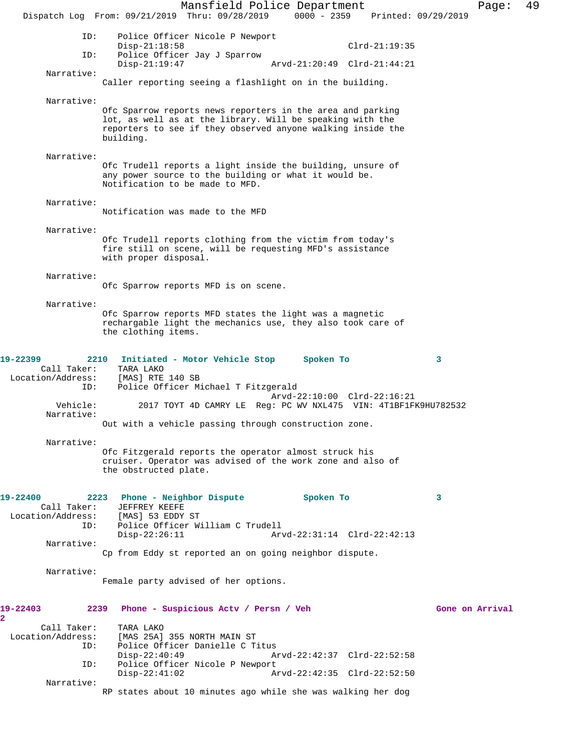Mansfield Police Department Fage: 49 Dispatch Log From: 09/21/2019 Thru: 09/28/2019 0000 - 2359 Printed: 09/29/2019 ID: Police Officer Nicole P Newport Disp-21:18:58 Clrd-21:19:35 ID: Police Officer Jay J Sparrow Disp-21:19:47 Arvd-21:20:49 Clrd-21:44:21 Narrative: Caller reporting seeing a flashlight on in the building. Narrative: Ofc Sparrow reports news reporters in the area and parking lot, as well as at the library. Will be speaking with the reporters to see if they observed anyone walking inside the building. Narrative: Ofc Trudell reports a light inside the building, unsure of any power source to the building or what it would be. Notification to be made to MFD. Narrative: Notification was made to the MFD Narrative: Ofc Trudell reports clothing from the victim from today's fire still on scene, will be requesting MFD's assistance with proper disposal. Narrative: Ofc Sparrow reports MFD is on scene. Narrative: Ofc Sparrow reports MFD states the light was a magnetic rechargable light the mechanics use, they also took care of the clothing items. **19-22399 2210 Initiated - Motor Vehicle Stop Spoken To 3**  Call Taker: TARA LAKO Location/Address: [MAS] RTE 140 SB ID: Police Officer Michael T Fitzgerald Arvd-22:10:00 Clrd-22:16:21<br>Vehicle: 2017 TOYT 4D CAMRY LE Req: PC WV NXL475 VIN: 4T1BF1F Vehicle: 2017 TOYT 4D CAMRY LE Reg: PC WV NXL475 VIN: 4T1BF1FK9HU782532 Narrative: Out with a vehicle passing through construction zone. Narrative: Ofc Fitzgerald reports the operator almost struck his cruiser. Operator was advised of the work zone and also of the obstructed plate. **19-22400 2223 Phone - Neighbor Dispute Spoken To 3**  Call Taker: JEFFREY KEEFE<br>.on/Address: [MAS] 53 EDDY ST Location/Address:<br>ID: Police Officer William C Trudell Disp-22:26:11 Arvd-22:31:14 Clrd-22:42:13 Narrative: Cp from Eddy st reported an on going neighbor dispute. Narrative: Female party advised of her options. **19-22403 2239 Phone - Suspicious Actv / Persn / Veh Gone on Arrival 2**  Call Taker: TARA LAKO Location/Address: [MAS 25A] 355 NORTH MAIN ST Police Officer Danielle C Titus<br>Disp-22:40:49 A Disp-22:40:49 Arvd-22:42:37 Clrd-22:52:58 ID: Police Officer Nicole P Newport Disp-22:41:02 Arvd-22:42:35 Clrd-22:52:50 Narrative: RP states about 10 minutes ago while she was walking her dog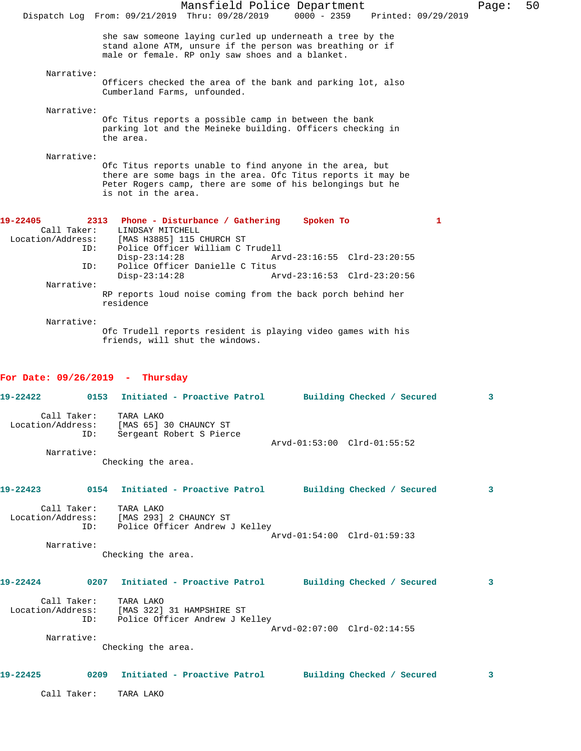|                                              | Dispatch Log From: 09/21/2019 Thru: 09/28/2019                                                                                                                                                                |                                  | Mansfield Police Department<br>$0000 - 2359$ | Printed: 09/29/2019 | Page: | 50 |
|----------------------------------------------|---------------------------------------------------------------------------------------------------------------------------------------------------------------------------------------------------------------|----------------------------------|----------------------------------------------|---------------------|-------|----|
|                                              | she saw someone laying curled up underneath a tree by the<br>stand alone ATM, unsure if the person was breathing or if<br>male or female. RP only saw shoes and a blanket.                                    |                                  |                                              |                     |       |    |
|                                              |                                                                                                                                                                                                               |                                  |                                              |                     |       |    |
| Narrative:                                   | Officers checked the area of the bank and parking lot, also<br>Cumberland Farms, unfounded.                                                                                                                   |                                  |                                              |                     |       |    |
| Narrative:                                   |                                                                                                                                                                                                               |                                  |                                              |                     |       |    |
|                                              | Ofc Titus reports a possible camp in between the bank<br>parking lot and the Meineke building. Officers checking in<br>the area.                                                                              |                                  |                                              |                     |       |    |
| Narrative:                                   | Ofc Titus reports unable to find anyone in the area, but<br>there are some bags in the area. Ofc Titus reports it may be<br>Peter Rogers camp, there are some of his belongings but he<br>is not in the area. |                                  |                                              |                     |       |    |
| 19-22405<br>Call Taker:<br>Location/Address: | 2313 Phone - Disturbance / Gathering<br>LINDSAY MITCHELL<br>[MAS H3885] 115 CHURCH ST<br>ID:                                                                                                                  | Police Officer William C Trudell | Spoken To                                    | 1                   |       |    |
|                                              | $Disp-23:14:28$                                                                                                                                                                                               |                                  | Arvd-23:16:55 Clrd-23:20:55                  |                     |       |    |
|                                              | ID:<br>$Disp-23:14:28$                                                                                                                                                                                        | Police Officer Danielle C Titus  | Arvd-23:16:53 Clrd-23:20:56                  |                     |       |    |
| Narrative:                                   |                                                                                                                                                                                                               |                                  |                                              |                     |       |    |
|                                              | RP reports loud noise coming from the back porch behind her<br>residence                                                                                                                                      |                                  |                                              |                     |       |    |
| Narrative:                                   | Ofc Trudell reports resident is playing video games with his<br>friends, will shut the windows.                                                                                                               |                                  |                                              |                     |       |    |
|                                              | For Date: $09/26/2019$ - Thursday                                                                                                                                                                             |                                  |                                              |                     |       |    |
| 19-22422                                     | 0153                                                                                                                                                                                                          | Initiated - Proactive Patrol     | Building Checked / Secured                   |                     | 3     |    |
| Call Taker:<br>Location/Address:             | TARA LAKO<br>[MAS 65] 30 CHAUNCY ST<br>Sergeant Robert S Pierce<br>ID:                                                                                                                                        |                                  |                                              |                     |       |    |
| Narrative:                                   |                                                                                                                                                                                                               |                                  | Arvd-01:53:00 Clrd-01:55:52                  |                     |       |    |
|                                              | Checking the area.                                                                                                                                                                                            |                                  |                                              |                     |       |    |
| 19-22423                                     | 0154 Initiated - Proactive Patrol Building Checked / Secured                                                                                                                                                  |                                  |                                              |                     | 3     |    |
|                                              | Call Taker: TARA LAKO<br>Location/Address: [MAS 293] 2 CHAUNCY ST<br>ID: Police Officer Andrew J Kelley                                                                                                       |                                  |                                              |                     |       |    |
| Narrative:                                   |                                                                                                                                                                                                               |                                  | Arvd-01:54:00 Clrd-01:59:33                  |                     |       |    |
|                                              | Checking the area.                                                                                                                                                                                            |                                  |                                              |                     |       |    |
|                                              | 19-22424 		 0207 Initiated - Proactive Patrol 		 Building Checked / Secured                                                                                                                                   |                                  |                                              |                     | 3     |    |
|                                              | Call Taker: TARA LAKO<br>Location/Address: [MAS 322] 31 HAMPSHIRE ST<br>ID: Police Officer Andrew J Kelley                                                                                                    |                                  |                                              |                     |       |    |
| Narrative:                                   |                                                                                                                                                                                                               |                                  | Arvd-02:07:00 Clrd-02:14:55                  |                     |       |    |
|                                              | Checking the area.                                                                                                                                                                                            |                                  |                                              |                     |       |    |
| 19-22425                                     | 0209 Initiated - Proactive Patrol Building Checked / Secured                                                                                                                                                  |                                  |                                              |                     | 3     |    |
| Call Taker:                                  | TARA LAKO                                                                                                                                                                                                     |                                  |                                              |                     |       |    |
|                                              |                                                                                                                                                                                                               |                                  |                                              |                     |       |    |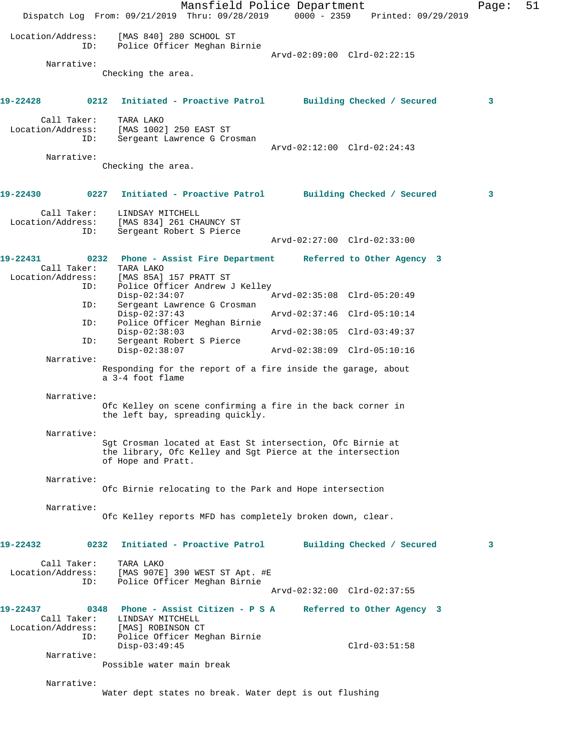Mansfield Police Department Page: 51 Dispatch Log From: 09/21/2019 Thru: 09/28/2019 0000 - 2359 Printed: 09/29/2019 Location/Address: [MAS 840] 280 SCHOOL ST ID: Police Officer Meghan Birnie Arvd-02:09:00 Clrd-02:22:15 Narrative: Checking the area. **19-22428 0212 Initiated - Proactive Patrol Building Checked / Secured 3** Call Taker: TARA LAKO Location/Address: [MAS 1002] 250 EAST ST ID: Sergeant Lawrence G Crosman Arvd-02:12:00 Clrd-02:24:43 Narrative: Checking the area. **19-22430 0227 Initiated - Proactive Patrol Building Checked / Secured 3** Call Taker: LINDSAY MITCHELL Location/Address: [MAS 834] 261 CHAUNCY ST ID: Sergeant Robert S Pierce Arvd-02:27:00 Clrd-02:33:00 **19-22431 0232 Phone - Assist Fire Department Referred to Other Agency 3**  Call Taker: TARA LAKO Location/Address: [MAS 85A] 157 PRATT ST ID: Police Officer Andrew J Kelley<br>Disp-02:34:07 Disp-02:34:07 Arvd-02:35:08 Clrd-05:20:49 ID: Sergeant Lawrence G Crosman Disp-02:37:43 Arvd-02:37:46 Clrd-05:10:14<br>ID: Police Officer Meghan Birnie Police Officer Meghan Birnie<br>Disp-02:38:03 Disp-02:38:03 Arvd-02:38:05 Clrd-03:49:37 ID: Sergeant Robert S Pierce Disp-02:38:07 Arvd-02:38:09 Clrd-05:10:16 Narrative: Responding for the report of a fire inside the garage, about a 3-4 foot flame Narrative: Ofc Kelley on scene confirming a fire in the back corner in the left bay, spreading quickly. Narrative: Sgt Crosman located at East St intersection, Ofc Birnie at the library, Ofc Kelley and Sgt Pierce at the intersection of Hope and Pratt. Narrative: Ofc Birnie relocating to the Park and Hope intersection Narrative: Ofc Kelley reports MFD has completely broken down, clear. **19-22432 0232 Initiated - Proactive Patrol Building Checked / Secured 3** Call Taker: TARA LAKO Location/Address: [MAS 907E] 390 WEST ST Apt. #E ID: Police Officer Meghan Birnie Arvd-02:32:00 Clrd-02:37:55 **19-22437 0348 Phone - Assist Citizen - P S A Referred to Other Agency 3**  Call Taker: LINDSAY MITCHELL Location/Address: [MAS] ROBINSON CT ID: Police Officer Meghan Birnie Clrd-03:51:58 Narrative: Possible water main break Narrative: Water dept states no break. Water dept is out flushing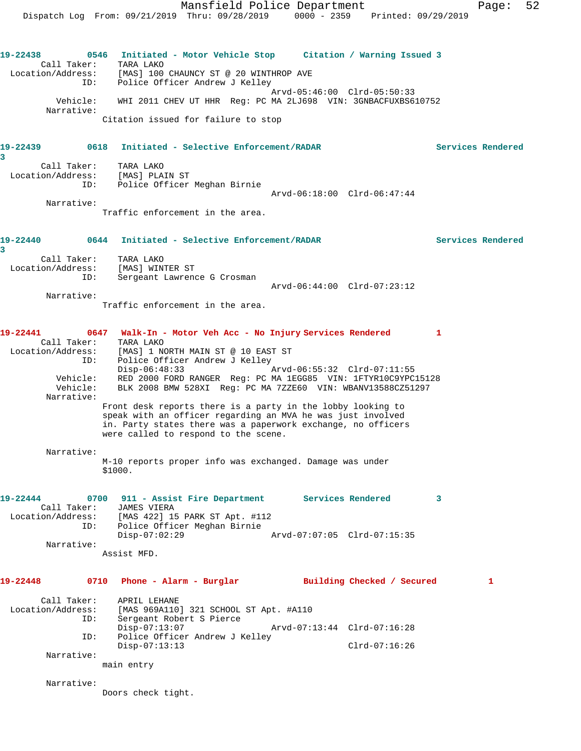**19-22438 0546 Initiated - Motor Vehicle Stop Citation / Warning Issued 3**  Call Taker: TARA LAKO Location/Address: [MAS] 100 CHAUNCY ST @ 20 WINTHROP AVE ID: Police Officer Andrew J Kelley Arvd-05:46:00 Clrd-05:50:33 Vehicle: WHI 2011 CHEV UT HHR Reg: PC MA 2LJ698 VIN: 3GNBACFUXBS610752 Narrative: Citation issued for failure to stop

## **19-22439 0618 Initiated - Selective Enforcement/RADAR Services Rendered 3**

 Call Taker: TARA LAKO Location/Address: [MAS] PLAIN ST ID: Police Officer Meghan Birnie Arvd-06:18:00 Clrd-06:47:44 Narrative:

Traffic enforcement in the area.

## **19-22440 0644 Initiated - Selective Enforcement/RADAR Services Rendered 3**

| Call Taker:<br>Location/Address:<br>ID: | TARA LAKO<br>[MAS] WINTER ST<br>Sergeant Lawrence G Crosman |                             |  |
|-----------------------------------------|-------------------------------------------------------------|-----------------------------|--|
|                                         |                                                             | Arvd-06:44:00 Clrd-07:23:12 |  |

Narrative:

Traffic enforcement in the area.

## **19-22441 0647 Walk-In - Motor Veh Acc - No Injury Services Rendered 1**  Call Taker: TARA LAKO Location/Address: [MAS] 1 NORTH MAIN ST @ 10 EAST ST ID: Police Officer Andrew J Kelley Disp-06:48:33 Arvd-06:55:32 Clrd-07:11:55 Vehicle: RED 2000 FORD RANGER Reg: PC MA 1EGG85 VIN: 1FTYR10C9YPC15128 Vehicle: KEE 2008 BMW 528XI Reg: PC MA 7ZZE60 VIN: WBANV13588CZ51297 Narrative: Front desk reports there is a party in the lobby looking to speak with an officer regarding an MVA he was just involved in. Party states there was a paperwork exchange, no officers were called to respond to the scene.

Narrative:

M-10 reports proper info was exchanged. Damage was under \$1000.

**19-22444 0700 911 - Assist Fire Department Services Rendered 3**  Call Taker: JAMES VIERA Location/Address: [MAS 422] 15 PARK ST Apt. #112 ID: Police Officer Meghan Birnie Disp-07:02:29 Arvd-07:07:05 Clrd-07:15:35 Narrative: Assist MFD.

**19-22448 0710 Phone - Alarm - Burglar Building Checked / Secured 1** Call Taker: APRIL LEHANE Location/Address: [MAS 969A110] 321 SCHOOL ST Apt. #A110 ID: Sergeant Robert S Pierce<br>Disp-07:13:07 Disp-07:13:07 Arvd-07:13:44 Clrd-07:16:28 ID: Police Officer Andrew J Kelley Disp-07:13:13 Clrd-07:16:26 Narrative:

main entry

Narrative:

Doors check tight.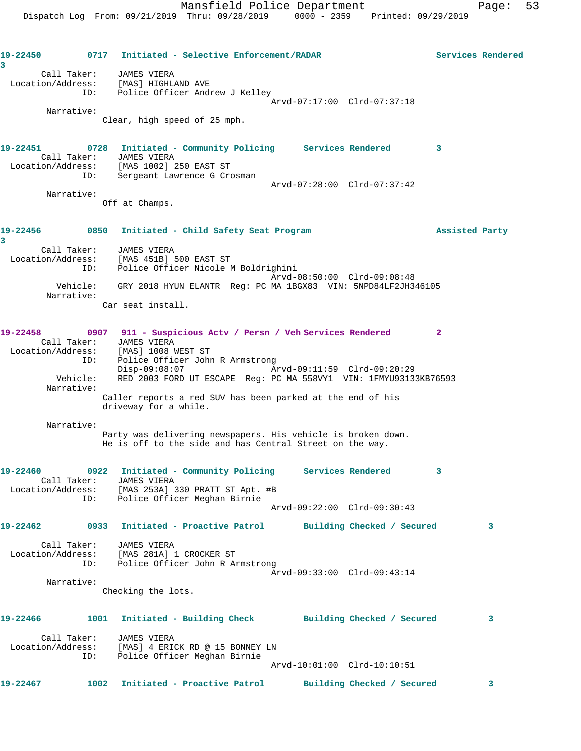**19-22450 0717 Initiated - Selective Enforcement/RADAR Services Rendered 3**  Call Taker: JAMES VIERA Location/Address: [MAS] HIGHLAND AVE ID: Police Officer Andrew J Kelley Arvd-07:17:00 Clrd-07:37:18 Narrative: Clear, high speed of 25 mph. **19-22451 0728 Initiated - Community Policing Services Rendered 3**  Call Taker: JAMES VIERA Location/Address: [MAS 1002] 250 EAST ST ID: Sergeant Lawrence G Crosman Arvd-07:28:00 Clrd-07:37:42 Narrative: Off at Champs. **19-22456 0850 Initiated - Child Safety Seat Program Assisted Party 3**  Call Taker: JAMES VIERA Location/Address: [MAS 451B] 500 EAST ST ID: Police Officer Nicole M Boldrighini Arvd-08:50:00 Clrd-09:08:48 Vehicle: GRY 2018 HYUN ELANTR Reg: PC MA 1BGX83 VIN: 5NPD84LF2JH346105 Narrative: Car seat install. **19-22458 0907 911 - Suspicious Actv / Persn / Veh Services Rendered 2**  Call Taker: JAMES VIERA Location/Address: [MAS] 1008 WEST ST ID: Police Officer John R Armstrong Disp-09:08:07 Arvd-09:11:59 Clrd-09:20:29 Vehicle: RED 2003 FORD UT ESCAPE Req: PC MA 558VY1 VIN: 1FMYU93133KB76593 Narrative: Caller reports a red SUV has been parked at the end of his driveway for a while. Narrative: Party was delivering newspapers. His vehicle is broken down. He is off to the side and has Central Street on the way. **19-22460 0922 Initiated - Community Policing Services Rendered 3**  Call Taker: JAMES VIERA Location/Address: [MAS 253A] 330 PRATT ST Apt. #B ID: Police Officer Meghan Birnie Arvd-09:22:00 Clrd-09:30:43 **19-22462 0933 Initiated - Proactive Patrol Building Checked / Secured 3** Call Taker: JAMES VIERA Location/Address: [MAS 281A] 1 CROCKER ST ID: Police Officer John R Armstrong Arvd-09:33:00 Clrd-09:43:14 Narrative: Checking the lots. **19-22466 1001 Initiated - Building Check Building Checked / Secured 3** Call Taker: JAMES VIERA Location/Address: [MAS] 4 ERICK RD @ 15 BONNEY LN ID: Police Officer Meghan Birnie Arvd-10:01:00 Clrd-10:10:51 **19-22467 1002 Initiated - Proactive Patrol Building Checked / Secured 3**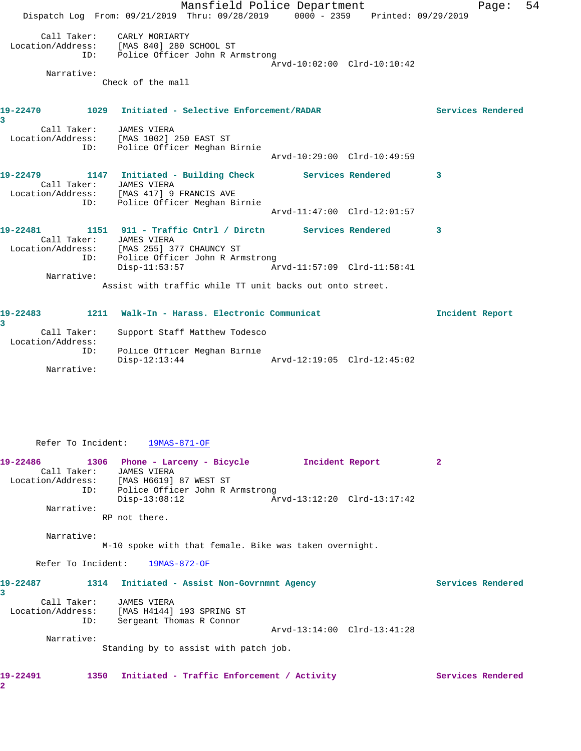Mansfield Police Department Fage: 54 Dispatch Log From: 09/21/2019 Thru: 09/28/2019 0000 - 2359 Printed: 09/29/2019 Call Taker: CARLY MORIARTY Location/Address: [MAS 840] 280 SCHOOL ST ID: Police Officer John R Armstrong Arvd-10:02:00 Clrd-10:10:42 Narrative: Check of the mall **19-22470 1029 Initiated - Selective Enforcement/RADAR Services Rendered 3**  Call Taker: JAMES VIERA Location/Address: [MAS 1002] 250 EAST ST ID: Police Officer Meghan Birnie Arvd-10:29:00 Clrd-10:49:59 **19-22479 1147 Initiated - Building Check Services Rendered 3**  Call Taker: JAMES VIERA Location/Address: [MAS 417] 9 FRANCIS AVE ID: Police Officer Meghan Birnie Arvd-11:47:00 Clrd-12:01:57 **19-22481 1151 911 - Traffic Cntrl / Dirctn Services Rendered 3**  Call Taker: JAMES VIERA Location/Address: [MAS 255] 377 CHAUNCY ST ID: Police Officer John R Armstrong Disp-11:53:57 Arvd-11:57:09 Clrd-11:58:41 Narrative: Assist with traffic while TT unit backs out onto street. **19-22483 1211 Walk-In - Harass. Electronic Communicat Incident Report 3**  Call Taker: Support Staff Matthew Todesco

Disp-12:13:44 Arvd-12:19:05 Clrd-12:45:02

 Location/Address: ID: Police Officer Meghan Birnie

Narrative:

Refer To Incident: 19MAS-871-OF

| 19-22486          |             | 1306 Phone - Larceny - Bicycle  | Incident Report |                             |  |
|-------------------|-------------|---------------------------------|-----------------|-----------------------------|--|
|                   | Call Taker: | JAMES VIERA                     |                 |                             |  |
| Location/Address: |             | [MAS H6619] 87 WEST ST          |                 |                             |  |
|                   | ID:         | Police Officer John R Armstrong |                 |                             |  |
|                   |             | $Disp-13:08:12$                 |                 | Arvd-13:12:20 Clrd-13:17:42 |  |
|                   | Narrative:  |                                 |                 |                             |  |

RP not there.

Narrative:

M-10 spoke with that female. Bike was taken overnight.

Refer To Incident: 19MAS-872-OF

| 19-22487          | 1314 | Initiated - Assist Non-Govrnmnt Agency |                             | Services Rendered |  |
|-------------------|------|----------------------------------------|-----------------------------|-------------------|--|
|                   |      |                                        |                             |                   |  |
| Call Taker:       |      | JAMES VIERA                            |                             |                   |  |
| Location/Address: |      | [MAS H4144] 193 SPRING ST              |                             |                   |  |
|                   | ID:  | Sergeant Thomas R Connor               |                             |                   |  |
|                   |      |                                        | Arvd-13:14:00 Clrd-13:41:28 |                   |  |
| Narrative:        |      |                                        |                             |                   |  |
|                   |      | Standing by to assist with patch job.  |                             |                   |  |
|                   |      |                                        |                             |                   |  |
|                   |      |                                        |                             |                   |  |

19-22491 1350 Initiated - Traffic Enforcement / Activity **Services Rendered** 

**2**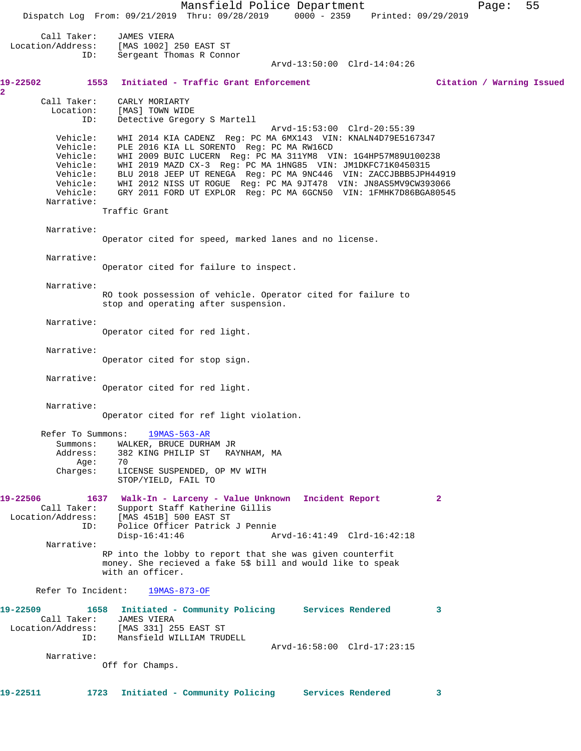Mansfield Police Department Page: 55 Dispatch Log From: 09/21/2019 Thru: 09/28/2019 0000 - 2359 Printed: 09/29/2019 Call Taker: JAMES VIERA<br>Location/Address: [MAS 1002] ess: [MAS 1002] 250 EAST ST<br>ID: Sergeant Thomas R Conne Sergeant Thomas R Connor Arvd-13:50:00 Clrd-14:04:26 **19-22502 1553 Initiated - Traffic Grant Enforcement Citation / Warning Issued 2**  Call Taker: CARLY MORIARTY<br>Location: [MAS] TOWN WIDP [MAS] TOWN WIDE ID: Detective Gregory S Martell Arvd-15:53:00 Clrd-20:55:39 Vehicle: WHI 2014 KIA CADENZ Reg: PC MA 6MX143 VIN: KNALN4D79E5167347 Vehicle: PLE 2016 KIA LL SORENTO Reg: PC MA RW16CD Vehicle: WHI 2009 BUIC LUCERN Reg: PC MA 311YM8 VIN: 1G4HP57M89U100238 Vehicle: WHI 2019 MAZD CX-3 Reg: PC MA 1HNG85 VIN: JM1DKFC71K0450315 Vehicle: BLU 2018 JEEP UT RENEGA Reg: PC MA 9NC446 VIN: ZACCJBBB5JPH44919 Vehicle: WHI 2012 NISS UT ROGUE Reg: PC MA 9JT478 VIN: JN8AS5MV9CW393066 Vehicle: GRY 2011 FORD UT EXPLOR Reg: PC MA 6GCN50 VIN: 1FMHK7D86BGA80545 Narrative: Traffic Grant Narrative: Operator cited for speed, marked lanes and no license. Narrative: Operator cited for failure to inspect. Narrative: RO took possession of vehicle. Operator cited for failure to stop and operating after suspension. Narrative: Operator cited for red light. Narrative: Operator cited for stop sign. Narrative: Operator cited for red light. Narrative: Operator cited for ref light violation. Refer To Summons: 19MAS-563-AR Summons: WALKER, BRUCE DURHAM JR<br>Address: 382 KING PHILIP ST RAY 382 KING PHILIP ST – RAYNHAM, MA<br>70 Age:<br>:Charges LICENSE SUSPENDED, OP MV WITH STOP/YIELD, FAIL TO **19-22506 1637 Walk-In - Larceny - Value Unknown Incident Report 2**  Call Taker: Support Staff Katherine Gillis Location/Address: [MAS 451B] 500 EAST ST Police Officer Patrick J Pennie<br>Disp-16:41:46 A Arvd-16:41:49 Clrd-16:42:18 Narrative: RP into the lobby to report that she was given counterfit money. She recieved a fake 5\$ bill and would like to speak with an officer. Refer To Incident: 19MAS-873-OF **19-22509 1658 Initiated - Community Policing Services Rendered 3**  Call Taker: JAMES VIERA<br>ion/Address: [MAS 331] 255 EAST ST Location/Address: ID: Mansfield WILLIAM TRUDELL Arvd-16:58:00 Clrd-17:23:15 Narrative: Off for Champs. **19-22511 1723 Initiated - Community Policing Services Rendered 3**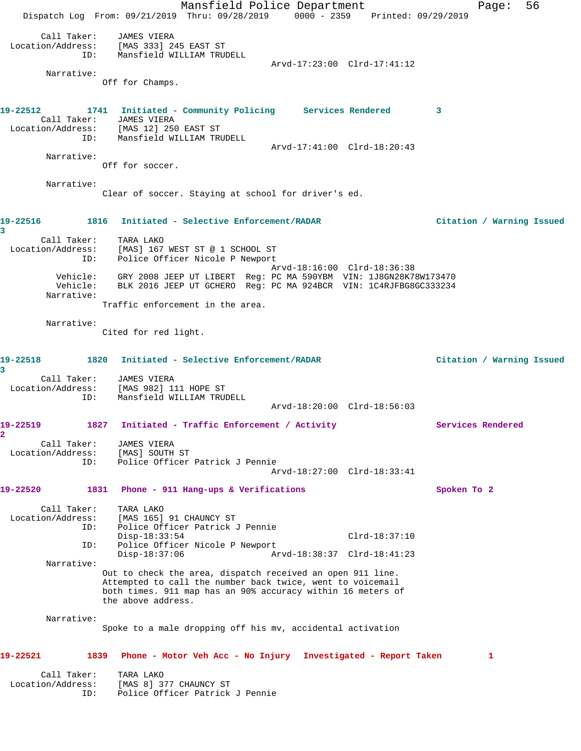Mansfield Police Department Fage: 56 Dispatch Log From: 09/21/2019 Thru: 09/28/2019 0000 - 2359 Printed: 09/29/2019 Call Taker: JAMES VIERA Location/Address: [MAS 333] 245 EAST ST ID: Mansfield WILLIAM TRUDELL Arvd-17:23:00 Clrd-17:41:12 Narrative: Off for Champs. **19-22512 1741 Initiated - Community Policing Services Rendered 3**  Call Taker: JAMES VIERA Location/Address: [MAS 12] 250 EAST ST ID: Mansfield WILLIAM TRUDELL Arvd-17:41:00 Clrd-18:20:43 Narrative: Off for soccer. Narrative: Clear of soccer. Staying at school for driver's ed. **19-22516 1816 Initiated - Selective Enforcement/RADAR Citation / Warning Issued 3**  Call Taker: TARA LAKO Location/Address: [MAS] 167 WEST ST @ 1 SCHOOL ST ID: Police Officer Nicole P Newport Arvd-18:16:00 Clrd-18:36:38 Vehicle: GRY 2008 JEEP UT LIBERT Reg: PC MA 590YBM VIN: 1J8GN28K78W173470 Vehicle: BLK 2016 JEEP UT GCHERO Reg: PC MA 924BCR VIN: 1C4RJFBG8GC333234 Narrative: Traffic enforcement in the area. Narrative: Cited for red light. **19-22518 1820 Initiated - Selective Enforcement/RADAR Citation / Warning Issued 3**  Call Taker: JAMES VIERA Location/Address: [MAS 982] 111 HOPE ST ID: Mansfield WILLIAM TRUDELL Arvd-18:20:00 Clrd-18:56:03 19-22519 1827 Initiated - Traffic Enforcement / Activity Services Rendered **2**  Call Taker: JAMES VIERA Location/Address: [MAS] SOUTH ST ID: Police Officer Patrick J Pennie Arvd-18:27:00 Clrd-18:33:41 **19-22520 1831 Phone - 911 Hang-ups & Verifications Spoken To 2** Call Taker: TARA LAKO Location/Address: [MAS 165] 91 CHAUNCY ST ID: Police Officer Patrick J Pennie Disp-18:33:54 Clrd-18:37:10 ID: Police Officer Nicole P Newport Disp-18:37:06 Arvd-18:38:37 Clrd-18:41:23 Narrative: Out to check the area, dispatch received an open 911 line. Attempted to call the number back twice, went to voicemail both times. 911 map has an 90% accuracy within 16 meters of the above address. Narrative: Spoke to a male dropping off his mv, accidental activation **19-22521 1839 Phone - Motor Veh Acc - No Injury Investigated - Report Taken 1** Call Taker: TARA LAKO Location/Address: [MAS 8] 377 CHAUNCY ST ID: Police Officer Patrick J Pennie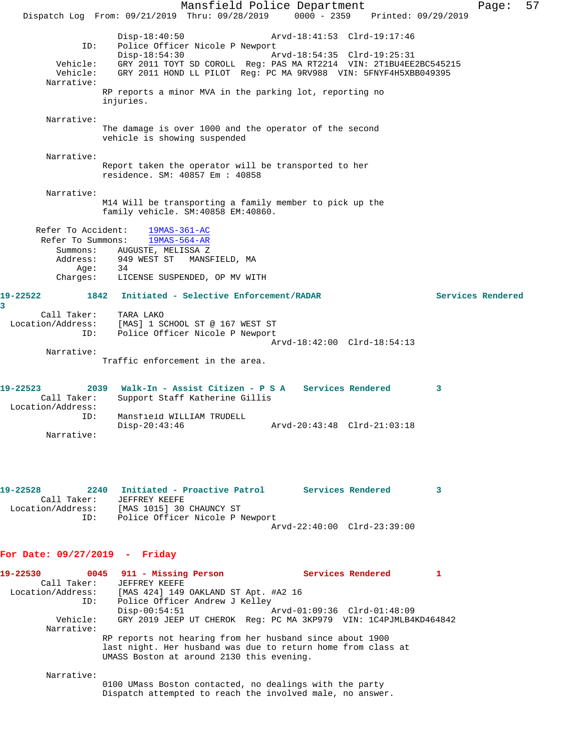Mansfield Police Department Page: 57 Dispatch Log From: 09/21/2019 Thru: 09/28/2019 0000 - 2359 Printed: 09/29/2019 Disp-18:40:50 Arvd-18:41:53 Clrd-19:17:46 ID: Police Officer Nicole P Newport Disp-18:54:30 Arvd-18:54:35 Clrd-19:25:31 Vehicle: GRY 2011 TOYT SD COROLL Reg: PAS MA RT2214 VIN: 2T1BU4EE2BC545215 Vehicle: GRY 2011 HOND LL PILOT Reg: PC MA 9RV988 VIN: 5FNYF4H5XBB049395 Narrative: RP reports a minor MVA in the parking lot, reporting no injuries. Narrative: The damage is over 1000 and the operator of the second vehicle is showing suspended Narrative: Report taken the operator will be transported to her residence. SM: 40857 Em : 40858 Narrative: M14 Will be transporting a family member to pick up the family vehicle. SM:40858 EM:40860. Refer To Accident: 19MAS-361-AC Refer To Summons: 19MAS-564-AR Summons: AUGUSTE, MELISSA Z Address: 949 WEST ST MANSFIELD, MA Age: 34 Charges: LICENSE SUSPENDED, OP MV WITH **19-22522 1842 Initiated - Selective Enforcement/RADAR Services Rendered** Call Taker: TARA LAKO Location/Address: [MAS] 1 SCHOOL ST @ 167 WEST ST ID: Police Officer Nicole P Newport Arvd-18:42:00 Clrd-18:54:13 Narrative: Traffic enforcement in the area. **19-22523 2039 Walk-In - Assist Citizen - P S A Services Rendered 3**  Call Taker: Support Staff Katherine Gillis Location/Address: ID: Mansfield WILLIAM TRUDELL Disp-20:43:46 Arvd-20:43:48 Clrd-21:03:18 Narrative: **19-22528 2240 Initiated - Proactive Patrol Services Rendered 3**  Call Taker: JEFFREY KEEFE Location/Address: [MAS 1015] 30 CHAUNCY ST ID: Police Officer Nicole P Newport Arvd-22:40:00 Clrd-23:39:00 **For Date: 09/27/2019 - Friday 19-22530 0045 911 - Missing Person Services Rendered 1**  Call Taker: JEFFREY KEEFE Location/Address: [MAS 424] 149 OAKLAND ST Apt. #A2 16 ID: Police Officer Andrew J Kelley<br>Disp-00:54:51 Disp-00:54:51 Arvd-01:09:36 Clrd-01:48:09 Vehicle: GRY 2019 JEEP UT CHEROK Reg: PC MA 3KP979 VIN: 1C4PJMLB4KD464842 Narrative: RP reports not hearing from her husband since about 1900 last night. Her husband was due to return home from class at UMASS Boston at around 2130 this evening. Narrative:

**3** 

0100 UMass Boston contacted, no dealings with the party Dispatch attempted to reach the involved male, no answer.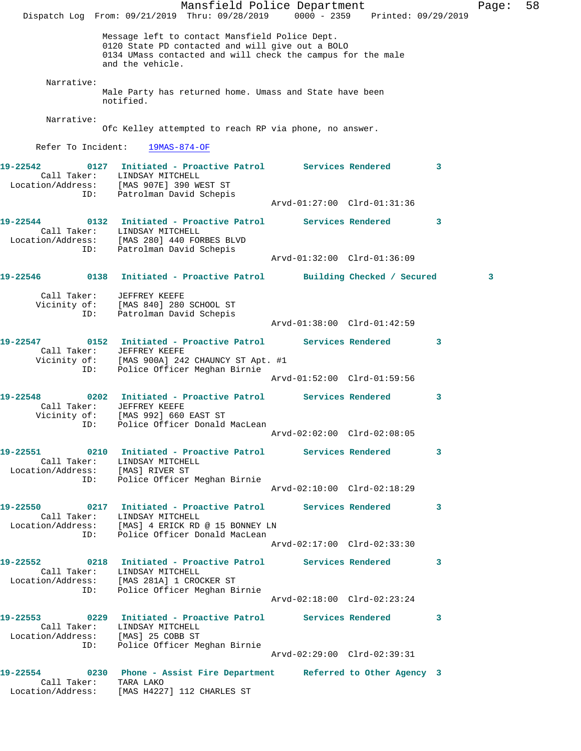Mansfield Police Department Fage: 58 Dispatch Log From: 09/21/2019 Thru: 09/28/2019 0000 - 2359 Printed: 09/29/2019 Message left to contact Mansfield Police Dept. 0120 State PD contacted and will give out a BOLO 0134 UMass contacted and will check the campus for the male and the vehicle. Narrative: Male Party has returned home. Umass and State have been notified. Narrative: Ofc Kelley attempted to reach RP via phone, no answer. Refer To Incident: 19MAS-874-OF **19-22542 0127 Initiated - Proactive Patrol Services Rendered 3**  Call Taker: LINDSAY MITCHELL Location/Address: [MAS 907E] 390 WEST ST ID: Patrolman David Schepis Arvd-01:27:00 Clrd-01:31:36 **19-22544 0132 Initiated - Proactive Patrol Services Rendered 3**  Call Taker: LINDSAY MITCHELL Location/Address: [MAS 280] 440 FORBES BLVD ID: Patrolman David Schepis Arvd-01:32:00 Clrd-01:36:09 **19-22546 0138 Initiated - Proactive Patrol Building Checked / Secured 3** Call Taker: JEFFREY KEEFE Vicinity of: [MAS 840] 280 SCHOOL ST ID: Patrolman David Schepis Arvd-01:38:00 Clrd-01:42:59 **19-22547 0152 Initiated - Proactive Patrol Services Rendered 3**  Call Taker: JEFFREY KEEFE Vicinity of: [MAS 900A] 242 CHAUNCY ST Apt. #1 ID: Police Officer Meghan Birnie Arvd-01:52:00 Clrd-01:59:56 **19-22548 0202 Initiated - Proactive Patrol Services Rendered 3**  Call Taker: JEFFREY KEEFE Vicinity of: [MAS 992] 660 EAST ST ID: Police Officer Donald MacLean Arvd-02:02:00 Clrd-02:08:05 **19-22551 0210 Initiated - Proactive Patrol Services Rendered 3**  Call Taker: LINDSAY MITCHELL Location/Address: [MAS] RIVER ST ID: Police Officer Meghan Birnie Arvd-02:10:00 Clrd-02:18:29 **19-22550 0217 Initiated - Proactive Patrol Services Rendered 3**  Call Taker: LINDSAY MITCHELL Location/Address: [MAS] 4 ERICK RD @ 15 BONNEY LN ID: Police Officer Donald MacLean Arvd-02:17:00 Clrd-02:33:30 **19-22552 0218 Initiated - Proactive Patrol Services Rendered 3**  Call Taker: LINDSAY MITCHELL Location/Address: [MAS 281A] 1 CROCKER ST ID: Police Officer Meghan Birnie Arvd-02:18:00 Clrd-02:23:24 **19-22553 0229 Initiated - Proactive Patrol Services Rendered 3**  Call Taker: LINDSAY MITCHELL Location/Address: [MAS] 25 COBB ST ID: Police Officer Meghan Birnie Arvd-02:29:00 Clrd-02:39:31 **19-22554 0230 Phone - Assist Fire Department Referred to Other Agency 3**  Call Taker: TARA LAKO Location/Address: [MAS H4227] 112 CHARLES ST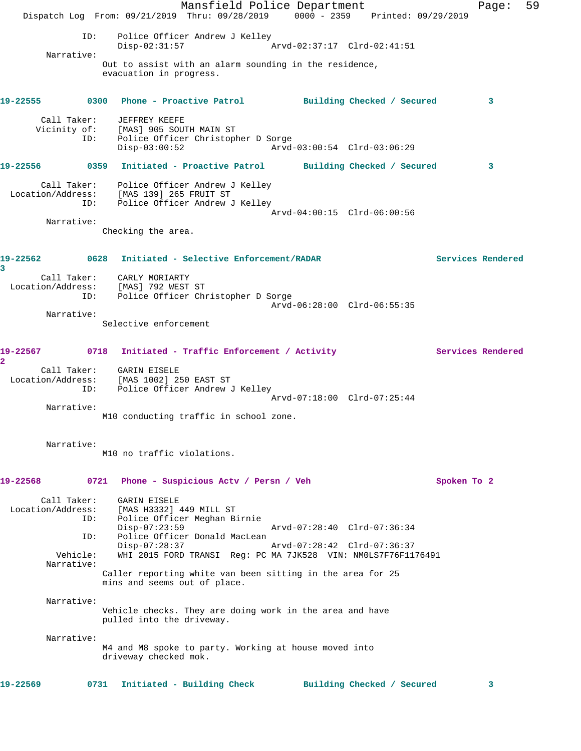Mansfield Police Department Fage: 59 Dispatch Log From: 09/21/2019 Thru: 09/28/2019 0000 - 2359 Printed: 09/29/2019 ID: Police Officer Andrew J Kelley<br>Disp-02:31:57 A Disp-02:31:57 Arvd-02:37:17 Clrd-02:41:51 Narrative: Out to assist with an alarm sounding in the residence, evacuation in progress. **19-22555 0300 Phone - Proactive Patrol Building Checked / Secured 3** Call Taker: JEFFREY KEEFE Vicinity of: [MAS] 905 SOUTH MAIN ST ID: Police Officer Christopher D Sorge Disp-03:00:52 Arvd-03:00:54 Clrd-03:06:29 **19-22556 0359 Initiated - Proactive Patrol Building Checked / Secured 3** Call Taker: Police Officer Andrew J Kelley Location/Address: [MAS 139] 265 FRUIT ST ID: Police Officer Andrew J Kelley Arvd-04:00:15 Clrd-06:00:56 Narrative: Checking the area. **19-22562 0628 Initiated - Selective Enforcement/RADAR Services Rendered 3**  Call Taker: CARLY MORIARTY Location/Address: [MAS] 792 WEST ST ID: Police Officer Christopher D Sorge Arvd-06:28:00 Clrd-06:55:35 Narrative: Selective enforcement 19-22567 0718 Initiated - Traffic Enforcement / Activity **Services Rendered 2**  Call Taker: GARIN EISELE Location/Address: [MAS 1002] 250 EAST ST ID: Police Officer Andrew J Kelley Arvd-07:18:00 Clrd-07:25:44 Narrative: M10 conducting traffic in school zone. Narrative: M10 no traffic violations. **19-22568 0721 Phone - Suspicious Actv / Persn / Veh Spoken To 2** Call Taker: GARIN EISELE Location/Address: [MAS H3332] 449 MILL ST ID: Police Officer Meghan Birnie Disp-07:23:59 Arvd-07:28:40 Clrd-07:36:34 ID: Police Officer Donald MacLean<br>Disp-07:28:37 Disp-07:28:37 Arvd-07:28:42 Clrd-07:36:37 Vehicle: WHI 2015 FORD TRANSI Reg: PC MA 7JK528 VIN: NM0LS7F76F1176491 Narrative: Caller reporting white van been sitting in the area for 25 mins and seems out of place. Narrative: Vehicle checks. They are doing work in the area and have pulled into the driveway. Narrative: M4 and M8 spoke to party. Working at house moved into driveway checked mok. **19-22569 0731 Initiated - Building Check Building Checked / Secured 3**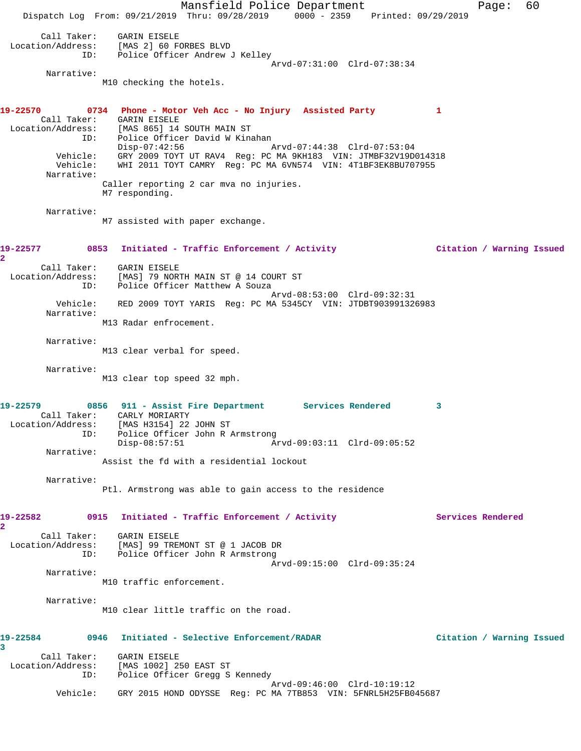Mansfield Police Department Page: 60 Dispatch Log From: 09/21/2019 Thru: 09/28/2019 0000 - 2359 Printed: 09/29/2019 Call Taker: GARIN EISELE Location/Address: [MAS 2] 60 FORBES BLVD ID: Police Officer Andrew J Kelley Arvd-07:31:00 Clrd-07:38:34 Narrative: M10 checking the hotels. **19-22570 0734 Phone - Motor Veh Acc - No Injury Assisted Party 1**  Call Taker: GARIN EISELE Location/Address: [MAS 865] 14 SOUTH MAIN ST ID: Police Officer David W Kinahan<br>Disp-07:42:56 A Disp-07:42:56 Arvd-07:44:38 Clrd-07:53:04 Vehicle: GRY 2009 TOYT UT RAV4 Reg: PC MA 9KH183 VIN: JTMBF32V19D014318 Vehicle: WHI 2011 TOYT CAMRY Reg: PC MA 6VN574 VIN: 4T1BF3EK8BU707955 Narrative: Caller reporting 2 car mva no injuries. M7 responding. Narrative: M7 assisted with paper exchange. **19-22577 0853 Initiated - Traffic Enforcement / Activity Citation / Warning Issued 2**  Call Taker: GARIN EISELE Location/Address: [MAS] 79 NORTH MAIN ST @ 14 COURT ST ID: Police Officer Matthew A Souza Arvd-08:53:00 Clrd-09:32:31 Vehicle: RED 2009 TOYT YARIS Reg: PC MA 5345CY VIN: JTDBT903991326983 Narrative: M13 Radar enfrocement. Narrative: M13 clear verbal for speed. Narrative: M13 clear top speed 32 mph. **19-22579 0856 911 - Assist Fire Department Services Rendered 3**  Call Taker: CARLY MORIARTY Location/Address: [MAS H3154] 22 JOHN ST ID: Police Officer John R Armstrong<br>Disp-08:57:51 Disp-08:57:51 Arvd-09:03:11 Clrd-09:05:52 Narrative: Assist the fd with a residential lockout Narrative: Ptl. Armstrong was able to gain access to the residence 19-22582 0915 Initiated - Traffic Enforcement / Activity **Services Rendered 2**  Call Taker: GARIN EISELE Location/Address: [MAS] 99 TREMONT ST @ 1 JACOB DR ID: Police Officer John R Armstrong Arvd-09:15:00 Clrd-09:35:24 Narrative: M10 traffic enforcement. Narrative: M10 clear little traffic on the road. **19-22584 0946 Initiated - Selective Enforcement/RADAR Citation / Warning Issued 3**  Call Taker: GARIN EISELE<br>.on/Address: [MAS 1002] 250 EAST ST Location/Address:<br>ID: Police Officer Gregg S Kennedy Arvd-09:46:00 Clrd-10:19:12 Vehicle: GRY 2015 HOND ODYSSE Reg: PC MA 7TB853 VIN: 5FNRL5H25FB045687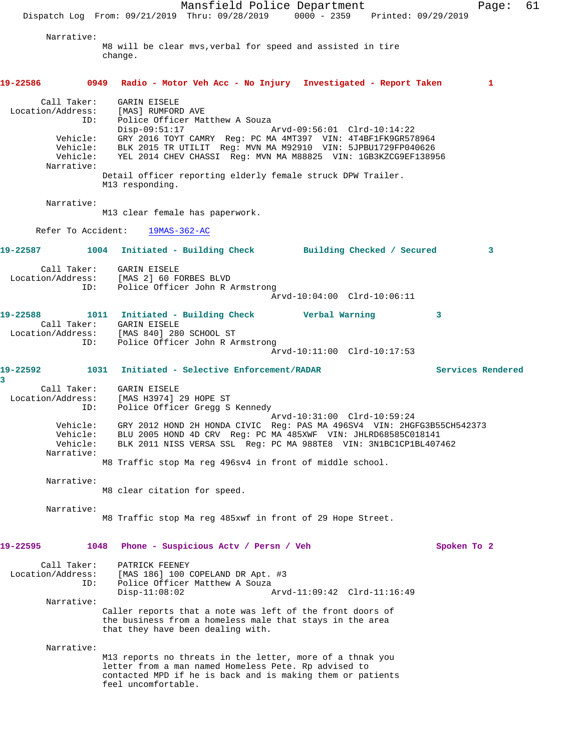Mansfield Police Department Fage: 61 Dispatch Log From: 09/21/2019 Thru: 09/28/2019 0000 - 2359 Printed: 09/29/2019 Narrative: M8 will be clear mvs,verbal for speed and assisted in tire change. **19-22586 0949 Radio - Motor Veh Acc - No Injury Investigated - Report Taken 1** Call Taker: GARIN EISELE Location/Address: [MAS] RUMFORD AVE<br>ID: Police Officer Mat ID: Police Officer Matthew A Souza Disp-09:51:17 Arvd-09:56:01 Clrd-10:14:22 Vehicle: GRY 2016 TOYT CAMRY Reg: PC MA 4MT397 VIN: 4T4BF1FK9GR578964 Vehicle: BLK 2015 TR UTILIT Reg: MVN MA M92910 VIN: 5JPBU1729FP040626 Vehicle: YEL 2014 CHEV CHASSI Reg: MVN MA M88825 VIN: 1GB3KZCG9EF138956 Narrative: Detail officer reporting elderly female struck DPW Trailer. M13 responding. Narrative: M13 clear female has paperwork. Refer To Accident: 19MAS-362-AC **19-22587 1004 Initiated - Building Check Building Checked / Secured 3** Call Taker: GARIN EISELE Location/Address: [MAS 2] 60 FORBES BLVD ID: Police Officer John R Armstrong Arvd-10:04:00 Clrd-10:06:11 **19-22588 1011 Initiated - Building Check Verbal Warning 3**  Call Taker: GARIN EISELE Location/Address: [MAS 840] 280 SCHOOL ST ID: Police Officer John R Armstrong Arvd-10:11:00 Clrd-10:17:53 **19-22592 1031 Initiated - Selective Enforcement/RADAR Services Rendered 3**  Call Taker: GARIN EISELE Location/Address: [MAS H3974] 29 HOPE ST ID: Police Officer Gregg S Kennedy Arvd-10:31:00 Clrd-10:59:24 Vehicle: GRY 2012 HOND 2H HONDA CIVIC Reg: PAS MA 496SV4 VIN: 2HGFG3B55CH542373 Vehicle: BLU 2005 HOND 4D CRV Reg: PC MA 485XWF VIN: JHLRD68585C018141 Vehicle: BLK 2011 NISS VERSA SSL Reg: PC MA 988TE8 VIN: 3N1BC1CP1BL407462 Narrative: M8 Traffic stop Ma reg 496sv4 in front of middle school. Narrative: M8 clear citation for speed. Narrative: M8 Traffic stop Ma reg 485xwf in front of 29 Hope Street. **19-22595 1048 Phone - Suspicious Actv / Persn / Veh Spoken To 2** Call Taker: PATRICK FEENEY Location/Address: [MAS 186] 100 COPELAND DR Apt. #3 ID: Police Officer Matthew A Souza<br>Disp-11:08:02 Ary Disp-11:08:02 Arvd-11:09:42 Clrd-11:16:49 Narrative: Caller reports that a note was left of the front doors of the business from a homeless male that stays in the area that they have been dealing with. Narrative: M13 reports no threats in the letter, more of a thnak you letter from a man named Homeless Pete. Rp advised to contacted MPD if he is back and is making them or patients feel uncomfortable.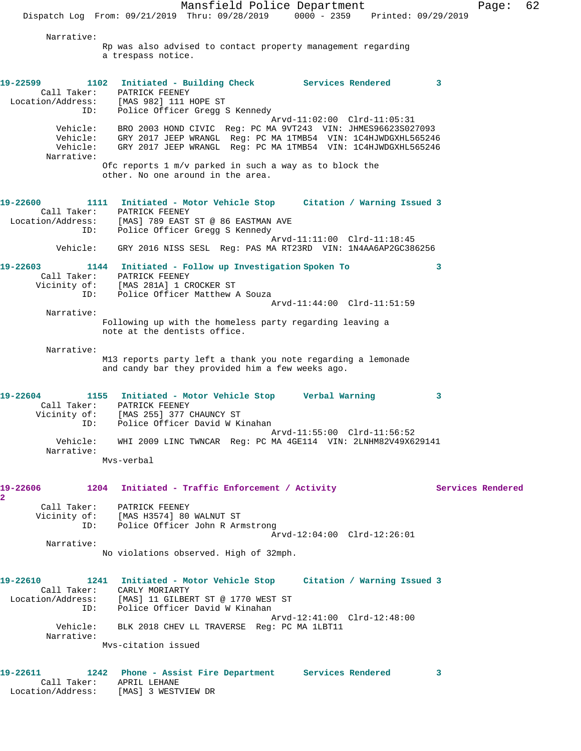Mansfield Police Department Fage: 62 Dispatch Log From: 09/21/2019 Thru: 09/28/2019 0000 - 2359 Printed: 09/29/2019 Narrative: Rp was also advised to contact property management regarding a trespass notice. **19-22599 1102 Initiated - Building Check Services Rendered 3**  Call Taker: PATRICK FEENEY Location/Address: [MAS 982] 111 HOPE ST ID: Police Officer Gregg S Kennedy Arvd-11:02:00 Clrd-11:05:31 Vehicle: BRO 2003 HOND CIVIC Reg: PC MA 9VT243 VIN: JHMES96623S027093 Vehicle: GRY 2017 JEEP WRANGL Reg: PC MA 1TMB54 VIN: 1C4HJWDGXHL565246 Vehicle: GRY 2017 JEEP WRANGL Reg: PC MA 1TMB54 VIN: 1C4HJWDGXHL565246 Narrative: Ofc reports 1 m/v parked in such a way as to block the other. No one around in the area. **19-22600 1111 Initiated - Motor Vehicle Stop Citation / Warning Issued 3**  Call Taker: PATRICK FEENEY Location/Address: [MAS] 789 EAST ST @ 86 EASTMAN AVE ID: Police Officer Gregg S Kennedy Arvd-11:11:00 Clrd-11:18:45 Vehicle: GRY 2016 NISS SESL Reg: PAS MA RT23RD VIN: 1N4AA6AP2GC386256 **19-22603 1144 Initiated - Follow up Investigation Spoken To 3**  Call Taker: PATRICK FEENEY Vicinity of: [MAS 281A] 1 CROCKER ST ID: Police Officer Matthew A Souza Arvd-11:44:00 Clrd-11:51:59 Narrative: Following up with the homeless party regarding leaving a note at the dentists office. Narrative: M13 reports party left a thank you note regarding a lemonade and candy bar they provided him a few weeks ago. **19-22604 1155 Initiated - Motor Vehicle Stop Verbal Warning 3**  Call Taker: PATRICK FEENEY Vicinity of: [MAS 255] 377 CHAUNCY ST ID: Police Officer David W Kinahan Arvd-11:55:00 Clrd-11:56:52 Vehicle: WHI 2009 LINC TWNCAR Reg: PC MA 4GE114 VIN: 2LNHM82V49X629141 Narrative: Mvs-verbal **19-22606 1204 Initiated - Traffic Enforcement / Activity Services Rendered 2**  Call Taker: PATRICK FEENEY Vicinity of: [MAS H3574] 80 WALNUT ST ID: Police Officer John R Armstrong Arvd-12:04:00 Clrd-12:26:01 Narrative: No violations observed. High of 32mph. **19-22610 1241 Initiated - Motor Vehicle Stop Citation / Warning Issued 3**  Call Taker: CARLY MORIARTY Location/Address: [MAS] 11 GILBERT ST @ 1770 WEST ST ID: Police Officer David W Kinahan Arvd-12:41:00 Clrd-12:48:00 Vehicle: BLK 2018 CHEV LL TRAVERSE Reg: PC MA 1LBT11 Narrative: Mvs-citation issued

**19-22611 1242 Phone - Assist Fire Department Services Rendered 3**  Call Taker: APRIL LEHANE Location/Address: [MAS] 3 WESTVIEW DR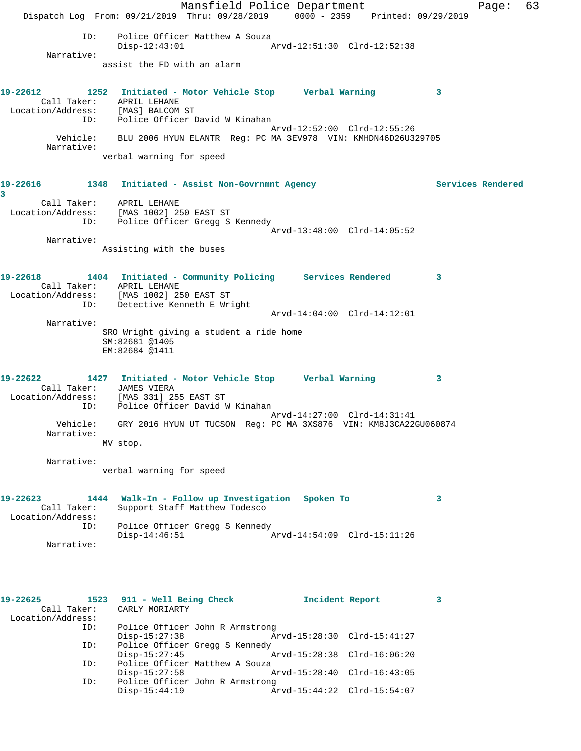Mansfield Police Department Fage: 63 Dispatch Log From: 09/21/2019 Thru: 09/28/2019 0000 - 2359 Printed: 09/29/2019 ID: Police Officer Matthew A Souza Disp-12:43:01 Arvd-12:51:30 Clrd-12:52:38 Narrative: assist the FD with an alarm **19-22612 1252 Initiated - Motor Vehicle Stop Verbal Warning 3**  Call Taker: APRIL LEHANE Location/Address: [MAS] BALCOM ST ID: Police Officer David W Kinahan Arvd-12:52:00 Clrd-12:55:26 Vehicle: BLU 2006 HYUN ELANTR Reg: PC MA 3EV978 VIN: KMHDN46D26U329705 Narrative: verbal warning for speed 19-22616 1348 Initiated - Assist Non-Govrnmnt Agency **Services Rendered 3**  Call Taker: APRIL LEHANE Location/Address: [MAS 1002] 250 EAST ST ID: Police Officer Gregg S Kennedy Arvd-13:48:00 Clrd-14:05:52 Narrative: Assisting with the buses **19-22618 1404 Initiated - Community Policing Services Rendered 3**  Call Taker: APRIL LEHANE Location/Address: [MAS 1002] 250 EAST ST ID: Detective Kenneth E Wright Arvd-14:04:00 Clrd-14:12:01 Narrative: SRO Wright giving a student a ride home SM:82681 @1405 EM:82684 @1411 **19-22622 1427 Initiated - Motor Vehicle Stop Verbal Warning 3**  Call Taker: JAMES VIERA Location/Address: [MAS 331] 255 EAST ST ID: Police Officer David W Kinahan Arvd-14:27:00 Clrd-14:31:41 Vehicle: GRY 2016 HYUN UT TUCSON Reg: PC MA 3XS876 VIN: KM8J3CA22GU060874 Narrative: MV stop. Narrative: verbal warning for speed **19-22623 1444 Walk-In - Follow up Investigation Spoken To 3**  Call Taker: Support Staff Matthew Todesco Location/Address: ID: Police Officer Gregg S Kennedy Disp-14:46:51 Arvd-14:54:09 Clrd-15:11:26 Narrative: **19-22625 1523 911 - Well Being Check Incident Report 3**  Call Taker: CARLY MORIARTY Location/Address: ID: Police Officer John R Armstrong Disp-15:27:38 Arvd-15:28:30 Clrd-15:41:27 ID: Police Officer Gregg S Kennedy Disp-15:27:45 Arvd-15:28:38 Clrd-16:06:20 ID: Police Officer Matthew A Souza<br>Disp-15:27:58

Disp-15:27:58 Arvd-15:28:40 Clrd-16:43:05<br>ID: Police Officer John R Armstrong

Disp-15:44:19 Arvd-15:44:22 Clrd-15:54:07

Police Officer John R Armstrong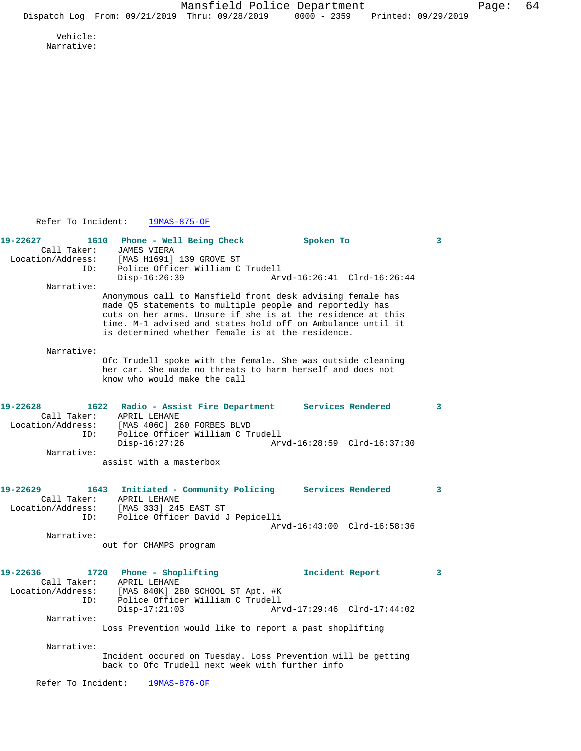Vehicle: Narrative:

Refer To Incident: 19MAS-875-OF

**19-22627 1610 Phone - Well Being Check Spoken To 3**  Call Taker: JAMES VIERA Location/Address: [MAS H1691] 139 GROVE ST ISS. THAS HIGSIT ISS GROVE SI<br>ID: Police Officer William C Trudell<br>Disp-16:26:39 Arv Disp-16:26:39 Arvd-16:26:41 Clrd-16:26:44 Narrative: Anonymous call to Mansfield front desk advising female has made Q5 statements to multiple people and reportedly has cuts on her arms. Unsure if she is at the residence at this time. M-1 advised and states hold off on Ambulance until it is determined whether female is at the residence. Narrative: Ofc Trudell spoke with the female. She was outside cleaning her car. She made no threats to harm herself and does not know who would make the call **19-22628 1622 Radio - Assist Fire Department Services Rendered 3**  Call Taker: APRIL LEHANE Location/Address: [MAS 406C] 260 FORBES BLVD ID: Police Officer William C Trudell Disp-16:27:26 Arvd-16:28:59 Clrd-16:37:30 Narrative: assist with a masterbox **19-22629 1643 Initiated - Community Policing Services Rendered 3**  Call Taker: APRIL LEHANE Location/Address: [MAS 333] 245 EAST ST ID: Police Officer David J Pepicelli Arvd-16:43:00 Clrd-16:58:36 Narrative: out for CHAMPS program **19-22636 1720 Phone - Shoplifting Incident Report 3**  Call Taker: APRIL LEHANE<br>Location/Address: [MAS 840K] 28 Location/Address: [MAS 840K] 280 SCHOOL ST Apt. #K ID: Police Officer William C Trudell Disp-17:21:03 Arvd-17:29:46 Clrd-17:44:02 Narrative: Loss Prevention would like to report a past shoplifting Narrative: Incident occured on Tuesday. Loss Prevention will be getting back to Ofc Trudell next week with further info Refer To Incident: 19MAS-876-OF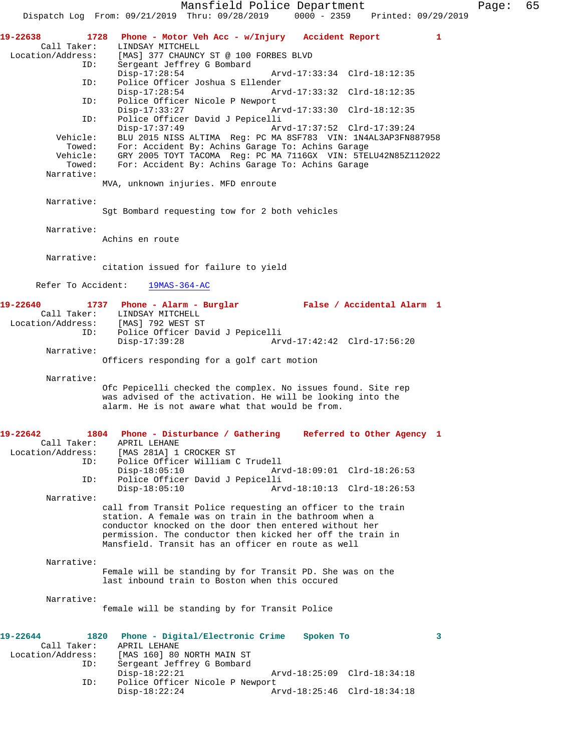Mansfield Police Department Page: 65 Dispatch Log From: 09/21/2019 Thru: 09/28/2019 **19-22638 1728 Phone - Motor Veh Acc - w/Injury Accident Report 1**  Call Taker: LINDSAY MITCHELL<br>Location/Address: [MAS] 377 CHAUNCY [MAS] 377 CHAUNCY ST @ 100 FORBES BLVD ID: Sergeant Jeffrey G Bombard Disp-17:28:54 Arvd-17:33:34 Clrd-18:12:35<br>ID: Police Officer Joshua S Ellender Police Officer Joshua S Ellender<br>Disp-17:28:54 Ar Arvd-17:33:32 Clrd-18:12:35 ID: Police Officer Nicole P Newport<br>Disp-17:33:27 Al Disp-17:33:27 Arvd-17:33:30 Clrd-18:12:35 ID: Police Officer David J Pepicelli Disp-17:37:49 Arvd-17:37:52 Clrd-17:39:24 Vehicle: BLU 2015 NISS ALTIMA Reg: PC MA 8SF783 VIN: 1N4AL3AP3FN887958 Towed: For: Accident By: Achins Garage To: Achins Garage Vehicle: GRY 2005 TOYT TACOMA Reg: PC MA 7116GX VIN: 5TELU42N85Z112022 Towed: For: Accident By: Achins Garage To: Achins Garage Narrative: MVA, unknown injuries. MFD enroute Narrative: Sgt Bombard requesting tow for 2 both vehicles Narrative: Achins en route Narrative: citation issued for failure to yield Refer To Accident: 19MAS-364-AC **19-22640 1737 Phone - Alarm - Burglar False / Accidental Alarm 1**  Call Taker: LINDSAY MITCHELL Location/Address: [MAS] 792 WEST ST ID: Police Officer David J Pepicelli Disp-17:39:28 Arvd-17:42:42 Clrd-17:56:20 Narrative: Officers responding for a golf cart motion Narrative: Ofc Pepicelli checked the complex. No issues found. Site rep was advised of the activation. He will be looking into the alarm. He is not aware what that would be from. **19-22642 1804 Phone - Disturbance / Gathering Referred to Other Agency 1**  Call Taker: APRIL LEHANE<br>Location/Address: [MAS 281A] 1 ess: [MAS 281A] 1 CROCKER ST<br>ID: Police Officer William ( Police Officer William C Trudell Disp-18:05:10 Arvd-18:09:01 Clrd-18:26:53<br>ID: Police Officer David J Pepicelli Police Officer David J Pepicelli<br>Disp-18:05:10 Ar Arvd-18:10:13 Clrd-18:26:53 Narrative: call from Transit Police requesting an officer to the train station. A female was on train in the bathroom when a conductor knocked on the door then entered without her permission. The conductor then kicked her off the train in Mansfield. Transit has an officer en route as well Narrative: Female will be standing by for Transit PD. She was on the last inbound train to Boston when this occured Narrative: female will be standing by for Transit Police **19-22644 1820 Phone - Digital/Electronic Crime Spoken To 3**  Call Taker: APRIL LEHANE<br>Location/Address: [MAS 160] 80 [MAS 160] 80 NORTH MAIN ST ID: Sergeant Jeffrey G Bombard<br>Disp-18:22:21 Disp-18:22:21 Arvd-18:25:09 Clrd-18:34:18<br>TD: Police Officer Nicole P Newport Police Officer Nicole P Newport<br>Disp-18:22:24 Az Disp-18:22:24 Arvd-18:25:46 Clrd-18:34:18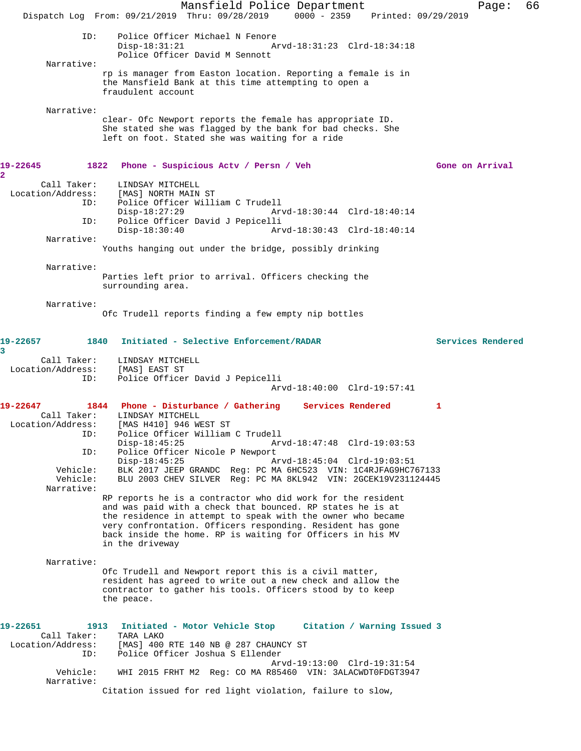Mansfield Police Department Fage: 66 Dispatch Log From: 09/21/2019 Thru: 09/28/2019 0000 - 2359 Printed: 09/29/2019 ID: Police Officer Michael N Fenore<br>Disp-18:31:21 Ar Disp-18:31:21 Arvd-18:31:23 Clrd-18:34:18 Police Officer David M Sennott Narrative: rp is manager from Easton location. Reporting a female is in the Mansfield Bank at this time attempting to open a fraudulent account Narrative: clear- Ofc Newport reports the female has appropriate ID. She stated she was flagged by the bank for bad checks. She left on foot. Stated she was waiting for a ride **19-22645 1822 Phone - Suspicious Actv / Persn / Veh Gone on Arrival 2**  Call Taker: LINDSAY MITCHELL<br>Location/Address: [MAS] NORTH MAIN [MAS] NORTH MAIN ST ID: Police Officer William C Trudell Disp-18:27:29 Arvd-18:30:44 Clrd-18:40:14 ID: Police Officer David J Pepicelli Disp-18:30:40 Arvd-18:30:43 Clrd-18:40:14 Narrative: Youths hanging out under the bridge, possibly drinking Narrative: Parties left prior to arrival. Officers checking the surrounding area. Narrative: Ofc Trudell reports finding a few empty nip bottles **19-22657 1840 Initiated - Selective Enforcement/RADAR Services Rendered 3**  Call Taker: LINDSAY MITCHELL<br>ion/Address: [MAS] EAST ST Location/Address: ID: Police Officer David J Pepicelli Arvd-18:40:00 Clrd-19:57:41 **19-22647 1844 Phone - Disturbance / Gathering Services Rendered 1**  Call Taker: LINDSAY MITCHELL Location/Address: [MAS H410] 946 WEST ST ID: Police Officer William C Trudell Disp-18:45:25 Arvd-18:47:48 Clrd-19:03:53 ID: Police Officer Nicole P Newport Disp-18:45:25 Arvd-18:45:04 Clrd-19:03:51<br>Vehicle: BLK 2017 JEEP GRANDC Req: PC MA 6HC523 VIN: 1C4RJFAG9HC7 Vehicle: BLK 2017 JEEP GRANDC Reg: PC MA 6HC523 VIN: 1C4RJFAG9HC767133 Vehicle: BLU 2003 CHEV SILVER Reg: PC MA 8KL942 VIN: 2GCEK19V231124445 Narrative: RP reports he is a contractor who did work for the resident and was paid with a check that bounced. RP states he is at the residence in attempt to speak with the owner who became very confrontation. Officers responding. Resident has gone back inside the home. RP is waiting for Officers in his MV in the driveway Narrative: Ofc Trudell and Newport report this is a civil matter, resident has agreed to write out a new check and allow the contractor to gather his tools. Officers stood by to keep the peace. **19-22651 1913 Initiated - Motor Vehicle Stop Citation / Warning Issued 3**  Call Taker: TARA LAKO<br>Location/Address: [MAS] 400 [MAS] 400 RTE 140 NB @ 287 CHAUNCY ST ID: Police Officer Joshua S Ellender Arvd-19:13:00 Clrd-19:31:54<br>Vehicle: WHI 2015 FRHT M2 Reg: CO MA R85460 VIN: 3ALACWDT0FDGT394 WHI 2015 FRHT M2 Reg: CO MA R85460 VIN: 3ALACWDT0FDGT3947 Narrative: Citation issued for red light violation, failure to slow,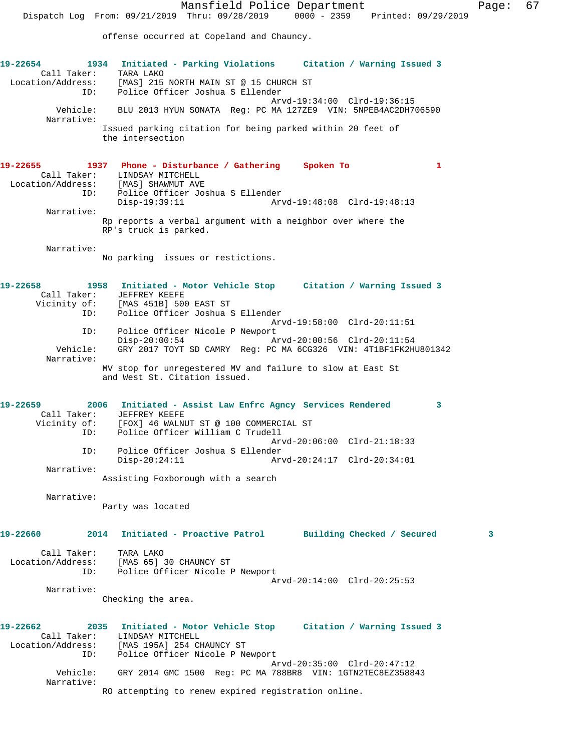offense occurred at Copeland and Chauncy.

**19-22654 1934 Initiated - Parking Violations Citation / Warning Issued 3**  Call Taker: TARA LAKO Location/Address: [MAS] 215 NORTH MAIN ST @ 15 CHURCH ST ID: Police Officer Joshua S Ellender Arvd-19:34:00 Clrd-19:36:15<br>Vehicle: BLU 2013 HYUN SONATA Reg: PC MA 127ZE9 VIN: 5NPEB4AC2DH7 BLU 2013 HYUN SONATA Reg: PC MA 127ZE9 VIN: 5NPEB4AC2DH706590 Narrative: Issued parking citation for being parked within 20 feet of the intersection **19-22655 1937 Phone - Disturbance / Gathering Spoken To 1**  Call Taker: LINDSAY MITCHELL Location/Address: [MAS] SHAWMUT AVE ID: Police Officer Joshua S Ellender Disp-19:39:11 Arvd-19:48:08 Clrd-19:48:13 Narrative: Rp reports a verbal argument with a neighbor over where the RP's truck is parked. Narrative: No parking issues or restictions. **19-22658 1958 Initiated - Motor Vehicle Stop Citation / Warning Issued 3**  Call Taker: JEFFREY KEEFE Vicinity of: [MAS 451B] 500 EAST ST ID: Police Officer Joshua S Ellender Arvd-19:58:00 Clrd-20:11:51 ID: Police Officer Nicole P Newport<br>Disp-20:00:54 A Arvd-20:00:56 Clrd-20:11:54 Vehicle: GRY 2017 TOYT SD CAMRY Reg: PC MA 6CG326 VIN: 4T1BF1FK2HU801342 Narrative: MV stop for unregestered MV and failure to slow at East St and West St. Citation issued. **19-22659 2006 Initiated - Assist Law Enfrc Agncy Services Rendered 3**  Call Taker: JEFFREY KEEFE Vicinity of: [FOX] 46 WALNUT ST @ 100 COMMERCIAL ST ID: Police Officer William C Trudell Arvd-20:06:00 Clrd-21:18:33<br>ID: Police Officer Joshua S Ellender Police Officer Joshua S Ellender<br>Disp-20:24:11 Ar Disp-20:24:11 Arvd-20:24:17 Clrd-20:34:01 Narrative: Assisting Foxborough with a search Narrative: Party was located **19-22660 2014 Initiated - Proactive Patrol Building Checked / Secured 3** Call Taker: TARA LAKO Location/Address: [MAS 65] 30 CHAUNCY ST ID: Police Officer Nicole P Newport Arvd-20:14:00 Clrd-20:25:53 Narrative: Checking the area. **19-22662 2035 Initiated - Motor Vehicle Stop Citation / Warning Issued 3**  Call Taker: LINDSAY MITCHELL Location/Address: [MAS 195A] 254 CHAUNCY ST ID: Police Officer Nicole P Newport Arvd-20:35:00 Clrd-20:47:12 Vehicle: GRY 2014 GMC 1500 Reg: PC MA 788BR8 VIN: 1GTN2TEC8EZ358843 Narrative: RO attempting to renew expired registration online.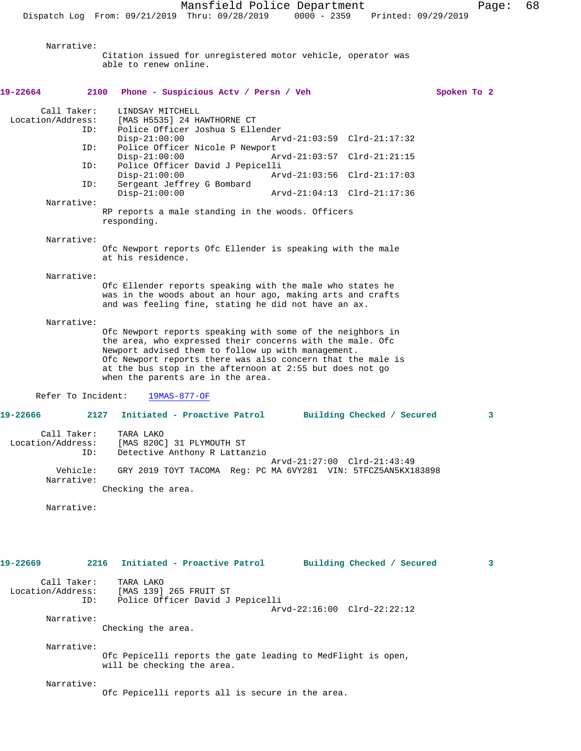Narrative: Citation issued for unregistered motor vehicle, operator was able to renew online. **19-22664 2100 Phone - Suspicious Actv / Persn / Veh Spoken To 2** Call Taker: LINDSAY MITCHELL<br>Location/Address: [MAS H5535] 24 H ess: [MAS H5535] 24 HAWTHORNE CT<br>ID: Police Officer Joshua S Ell Police Officer Joshua S Ellender<br>Disp-21:00:00 Ar Disp-21:00:00 Arvd-21:03:59 Clrd-21:17:32 ID: Police Officer Nicole P Newport Disp-21:00:00 Arvd-21:03:57 Clrd-21:21:15<br>TD: Police Officer David J Pepicelli Police Officer David J Pepicelli Disp-21:00:00 Arvd-21:03:56 Clrd-21:17:03 ID: Sergeant Jeffrey G Bombard Disp-21:00:00 Arvd-21:04:13 Clrd-21:17:36 Narrative: RP reports a male standing in the woods. Officers responding. Narrative: Ofc Newport reports Ofc Ellender is speaking with the male at his residence. Narrative: Ofc Ellender reports speaking with the male who states he was in the woods about an hour ago, making arts and crafts and was feeling fine, stating he did not have an ax. Narrative: Ofc Newport reports speaking with some of the neighbors in the area, who expressed their concerns with the male. Ofc Newport advised them to follow up with management. Ofc Newport reports there was also concern that the male is at the bus stop in the afternoon at 2:55 but does not go when the parents are in the area. Refer To Incident: 19MAS-877-OF **19-22666 2127 Initiated - Proactive Patrol Building Checked / Secured 3** Call Taker: TARA LAKO Location/Address: [MAS 820C] 31 PLYMOUTH ST ID: Detective Anthony R Lattanzio Arvd-21:27:00 Clrd-21:43:49 Vehicle: GRY 2019 TOYT TACOMA Reg: PC MA 6VY281 VIN: 5TFCZ5AN5KX183898 Narrative: Checking the area. Narrative: **19-22669 2216 Initiated - Proactive Patrol Building Checked / Secured 3** Call Taker: TARA LAKO<br>Location/Address: [MAS 139] ess: [MAS 139] 265 FRUIT ST<br>ID: Police Officer David J Police Officer David J Pepicelli Arvd-22:16:00 Clrd-22:22:12 Narrative: Checking the area. Narrative: Ofc Pepicelli reports the gate leading to MedFlight is open, will be checking the area. Narrative: Ofc Pepicelli reports all is secure in the area.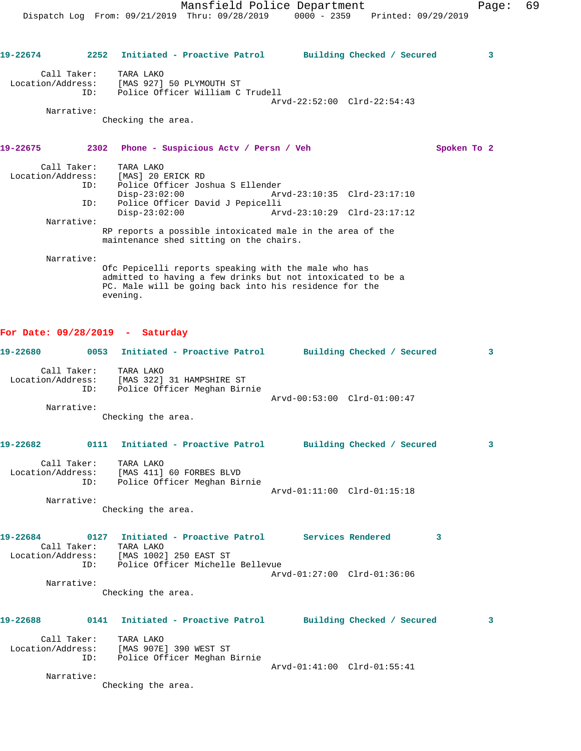**19-22674 2252 Initiated - Proactive Patrol Building Checked / Secured 3** Call Taker: TARA LAKO Location/Address: [MAS 927] 50 PLYMOUTH ST ID: Police Officer William C Trudell Arvd-22:52:00 Clrd-22:54:43 Narrative: Checking the area. **19-22675 2302 Phone - Suspicious Actv / Persn / Veh Spoken To 2** Call Taker: TARA LAKO Location/Address: [MAS] 20 ERICK RD ID: Police Officer Joshua S Ellender Disp-23:02:00 Arvd-23:10:35 Clrd-23:17:10 ID: Police Officer David J Pepicelli Disp-23:02:00 Arvd-23:10:29 Clrd-23:17:12 Narrative: RP reports a possible intoxicated male in the area of the maintenance shed sitting on the chairs. Narrative: Ofc Pepicelli reports speaking with the male who has admitted to having a few drinks but not intoxicated to be a PC. Male will be going back into his residence for the evening. **For Date: 09/28/2019 - Saturday 19-22680 0053 Initiated - Proactive Patrol Building Checked / Secured 3** Call Taker: TARA LAKO Location/Address: [MAS 322] 31 HAMPSHIRE ST ID: Police Officer Meghan Birnie Arvd-00:53:00 Clrd-01:00:47 Narrative: Checking the area. **19-22682 0111 Initiated - Proactive Patrol Building Checked / Secured 3** Call Taker: TARA LAKO Location/Address: [MAS 411] 60 FORBES BLVD ID: Police Officer Meghan Birnie Arvd-01:11:00 Clrd-01:15:18 Narrative: Checking the area. **19-22684 0127 Initiated - Proactive Patrol Services Rendered 3**  Call Taker: TARA LAKO Location/Address: [MAS 1002] 250 EAST ST ID: Police Officer Michelle Bellevue Arvd-01:27:00 Clrd-01:36:06 Narrative: Checking the area. **19-22688 0141 Initiated - Proactive Patrol Building Checked / Secured 3** Call Taker: TARA LAKO Location/Address: [MAS 907E] 390 WEST ST ID: Police Officer Meghan Birnie Arvd-01:41:00 Clrd-01:55:41 Narrative: Checking the area.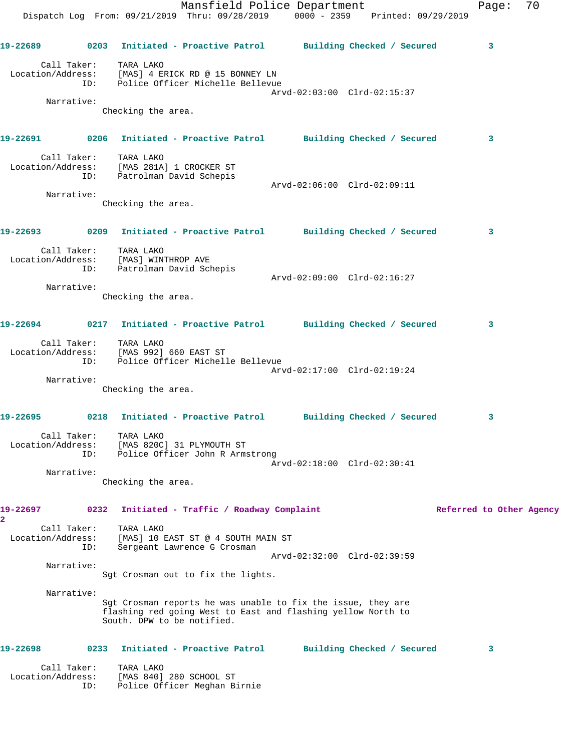Mansfield Police Department Fage: 70 Dispatch Log From: 09/21/2019 Thru: 09/28/2019 0000 - 2359 Printed: 09/29/2019 **19-22689 0203 Initiated - Proactive Patrol Building Checked / Secured 3** Call Taker: TARA LAKO Location/Address: [MAS] 4 ERICK RD @ 15 BONNEY LN ID: Police Officer Michelle Bellevue Arvd-02:03:00 Clrd-02:15:37 Narrative: Checking the area. **19-22691 0206 Initiated - Proactive Patrol Building Checked / Secured 3** Call Taker: TARA LAKO Location/Address: [MAS 281A] 1 CROCKER ST ID: Patrolman David Schepis Arvd-02:06:00 Clrd-02:09:11 Narrative: Checking the area. **19-22693 0209 Initiated - Proactive Patrol Building Checked / Secured 3** Call Taker: TARA LAKO Location/Address: [MAS] WINTHROP AVE ID: Patrolman David Schepis Arvd-02:09:00 Clrd-02:16:27 Narrative: Checking the area. **19-22694 0217 Initiated - Proactive Patrol Building Checked / Secured 3** Call Taker: TARA LAKO Location/Address: [MAS 992] 660 EAST ST ID: Police Officer Michelle Bellevue Arvd-02:17:00 Clrd-02:19:24 Narrative: Checking the area. **19-22695 0218 Initiated - Proactive Patrol Building Checked / Secured 3** Call Taker: TARA LAKO Location/Address: [MAS 820C] 31 PLYMOUTH ST ID: Police Officer John R Armstrong Arvd-02:18:00 Clrd-02:30:41 Narrative: Checking the area. **19-22697 0232 Initiated - Traffic / Roadway Complaint Referred to Other Agency 2**  Call Taker: TARA LAKO Location/Address: [MAS] 10 EAST ST @ 4 SOUTH MAIN ST ID: Sergeant Lawrence G Crosman Arvd-02:32:00 Clrd-02:39:59 Narrative: Sgt Crosman out to fix the lights. Narrative: Sgt Crosman reports he was unable to fix the issue, they are flashing red going West to East and flashing yellow North to South. DPW to be notified. **19-22698 0233 Initiated - Proactive Patrol Building Checked / Secured 3** Call Taker: TARA LAKO Location/Address: [MAS 840] 280 SCHOOL ST

ID: Police Officer Meghan Birnie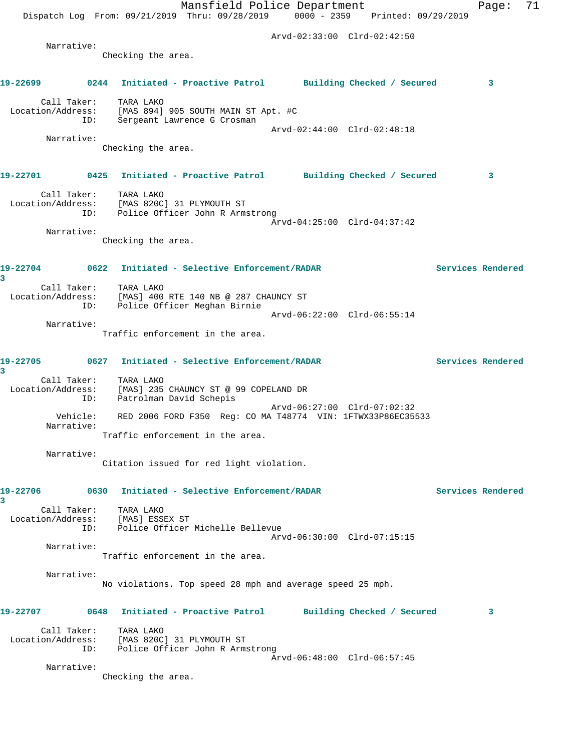|               |                        | Dispatch Log From: 09/21/2019 Thru: 09/28/2019 0000 - 2359 Printed: 09/29/2019                          | Mansfield Police Department |                             |                   | Page: | 71 |
|---------------|------------------------|---------------------------------------------------------------------------------------------------------|-----------------------------|-----------------------------|-------------------|-------|----|
|               |                        |                                                                                                         | Arvd-02:33:00 Clrd-02:42:50 |                             |                   |       |    |
|               | Narrative:             | Checking the area.                                                                                      |                             |                             |                   |       |    |
|               |                        |                                                                                                         |                             |                             |                   |       |    |
| 19-22699      |                        | 0244 Initiated - Proactive Patrol Building Checked / Secured                                            |                             |                             |                   | 3     |    |
|               | Call Taker:<br>ID:     | TARA LAKO<br>Location/Address: [MAS 894] 905 SOUTH MAIN ST Apt. #C<br>Sergeant Lawrence G Crosman       | Arvd-02:44:00 Clrd-02:48:18 |                             |                   |       |    |
|               | Narrative:             |                                                                                                         |                             |                             |                   |       |    |
|               |                        | Checking the area.                                                                                      |                             |                             |                   |       |    |
| 19-22701      |                        | 0425 Initiated - Proactive Patrol Building Checked / Secured                                            |                             |                             |                   | 3     |    |
|               | ID:                    | Call Taker: TARA LAKO<br>Location/Address: [MAS 820C] 31 PLYMOUTH ST<br>Police Officer John R Armstrong | Arvd-04:25:00 Clrd-04:37:42 |                             |                   |       |    |
|               | Narrative:             |                                                                                                         |                             |                             |                   |       |    |
|               |                        | Checking the area.                                                                                      |                             |                             |                   |       |    |
| 3             |                        |                                                                                                         |                             |                             | Services Rendered |       |    |
|               | Call Taker:<br>ID:     | TARA LAKO<br>Location/Address: [MAS] 400 RTE 140 NB @ 287 CHAUNCY ST<br>Police Officer Meghan Birnie    |                             |                             |                   |       |    |
|               | Narrative:             |                                                                                                         |                             | Arvd-06:22:00 Clrd-06:55:14 |                   |       |    |
|               |                        | Traffic enforcement in the area.                                                                        |                             |                             |                   |       |    |
| 19-22705<br>3 |                        | 0627 Initiated - Selective Enforcement/RADAR                                                            |                             |                             | Services Rendered |       |    |
|               | Call Taker:<br>ID:     | TARA LAKO<br>Location/Address: [MAS] 235 CHAUNCY ST @ 99 COPELAND DR<br>Patrolman David Schepis         |                             | Arvd-06:27:00 Clrd-07:02:32 |                   |       |    |
|               | Vehicle:<br>Narrative: | RED 2006 FORD F350 Req: CO MA T48774 VIN: 1FTWX33P86EC35533<br>Traffic enforcement in the area.         |                             |                             |                   |       |    |
|               |                        |                                                                                                         |                             |                             |                   |       |    |
|               | Narrative:             | Citation issued for red light violation.                                                                |                             |                             |                   |       |    |
| 19-22706<br>3 |                        | 0630 Initiated - Selective Enforcement/RADAR                                                            |                             |                             | Services Rendered |       |    |
|               | Call Taker:<br>ID:     | TARA LAKO<br>Location/Address: [MAS] ESSEX ST<br>Police Officer Michelle Bellevue                       |                             | Arvd-06:30:00 Clrd-07:15:15 |                   |       |    |
|               | Narrative:             | Traffic enforcement in the area.                                                                        |                             |                             |                   |       |    |
|               | Narrative:             |                                                                                                         |                             |                             |                   |       |    |
|               |                        | No violations. Top speed 28 mph and average speed 25 mph.                                               |                             |                             |                   |       |    |
| 19-22707      |                        | 0648 Initiated - Proactive Patrol                                                                       |                             | Building Checked / Secured  |                   | 3     |    |
|               | Call Taker:<br>ID:     | TARA LAKO<br>Location/Address: [MAS 820C] 31 PLYMOUTH ST<br>Police Officer John R Armstrong             |                             |                             |                   |       |    |
|               | Narrative:             |                                                                                                         |                             | Arvd-06:48:00 Clrd-06:57:45 |                   |       |    |
|               |                        | Checking the area.                                                                                      |                             |                             |                   |       |    |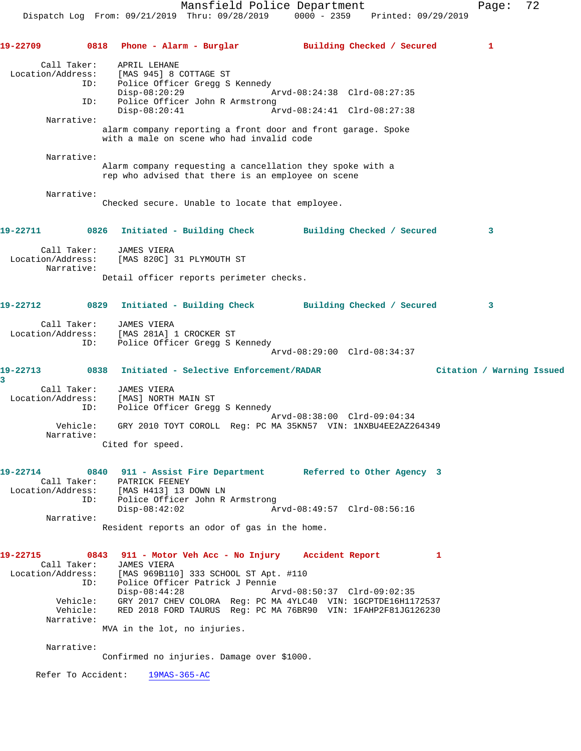Call Taker: APRIL LEHANE Location/Address: [MAS 945] 8 COTTAGE ST ID: Police Officer Gregg S Kennedy Disp-08:20:29 Arvd-08:24:38 Clrd-08:27:35 ID: Police Officer John R Armstrong Disp-08:20:41 Arvd-08:24:41 Clrd-08:27:38 Narrative: alarm company reporting a front door and front garage. Spoke with a male on scene who had invalid code Narrative: Alarm company requesting a cancellation they spoke with a rep who advised that there is an employee on scene Narrative: Checked secure. Unable to locate that employee. **19-22711 0826 Initiated - Building Check Building Checked / Secured 3** Call Taker: JAMES VIERA Location/Address: [MAS 820C] 31 PLYMOUTH ST Narrative: Detail officer reports perimeter checks. **19-22712 0829 Initiated - Building Check Building Checked / Secured 3** Call Taker: JAMES VIERA Location/Address: [MAS 281A] 1 CROCKER ST ID: Police Officer Gregg S Kennedy Arvd-08:29:00 Clrd-08:34:37 **19-22713 0838 Initiated - Selective Enforcement/RADAR Citation / Warning Issued** Call Taker: JAMES VIERA Location/Address: [MAS] NORTH MAIN ST ID: Police Officer Gregg S Kennedy Arvd-08:38:00 Clrd-09:04:34 Vehicle: GRY 2010 TOYT COROLL Reg: PC MA 35KN57 VIN: 1NXBU4EE2AZ264349 Narrative: Cited for speed. **19-22714 0840 911 - Assist Fire Department Referred to Other Agency 3**  Call Taker: PATRICK FEENEY Location/Address: [MAS H413] 13 DOWN LN ID: Police Officer John R Armstrong Disp-08:42:02 Arvd-08:49:57 Clrd-08:56:16 Narrative: Resident reports an odor of gas in the home. **19-22715 0843 911 - Motor Veh Acc - No Injury Accident Report 1**  Call Taker: JAMES VIERA Location/Address: [MAS 969B110] 333 SCHOOL ST Apt. #110 ID: Police Officer Patrick J Pennie Disp-08:44:28 Arvd-08:50:37 Clrd-09:02:35 Vehicle: GRY 2017 CHEV COLORA Reg: PC MA 4YLC40 VIN: 1GCPTDE16H1172537 Vehicle: RED 2018 FORD TAURUS Reg: PC MA 76BR90 VIN: 1FAHP2F81JG126230 Narrative: MVA in the lot, no injuries.

**19-22709 0818 Phone - Alarm - Burglar Building Checked / Secured 1**

Narrative:

**3** 

Confirmed no injuries. Damage over \$1000.

Refer To Accident: 19MAS-365-AC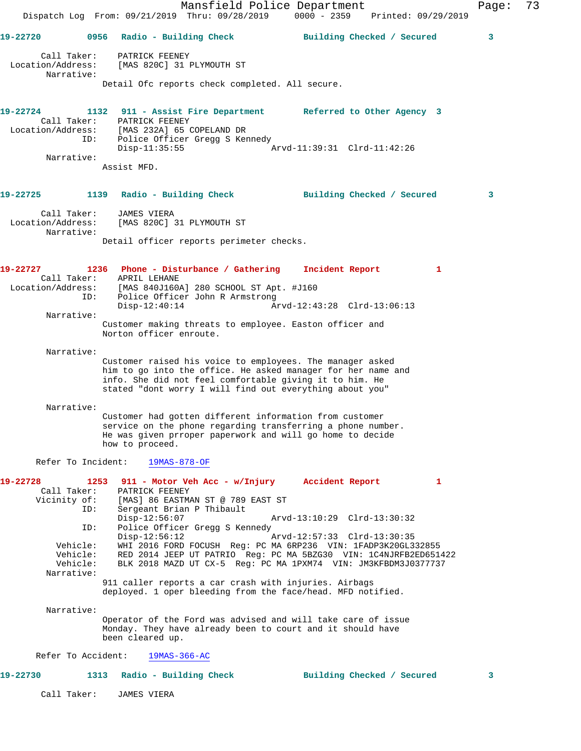Mansfield Police Department Fage: 73 Dispatch Log From: 09/21/2019 Thru: 09/28/2019 0000 - 2359 Printed: 09/29/2019 **19-22720 0956 Radio - Building Check Building Checked / Secured 3** Call Taker: PATRICK FEENEY Location/Address: [MAS 820C] 31 PLYMOUTH ST Narrative: Detail Ofc reports check completed. All secure. **19-22724 1132 911 - Assist Fire Department Referred to Other Agency 3**  Call Taker: PATRICK FEENEY Location/Address: [MAS 232A] 65 COPELAND DR ID: Police Officer Gregg S Kennedy Disp-11:35:55 Arvd-11:39:31 Clrd-11:42:26 Narrative: Assist MFD. **19-22725 1139 Radio - Building Check Building Checked / Secured 3** Call Taker: JAMES VIERA Location/Address: [MAS 820C] 31 PLYMOUTH ST Narrative: Detail officer reports perimeter checks. **19-22727 1236 Phone - Disturbance / Gathering Incident Report 1**  Call Taker: APRIL LEHANE Location/Address: [MAS 840J160A] 280 SCHOOL ST Apt. #J160 ID: Police Officer John R Armstrong<br>Disp-12:40:14 Am Disp-12:40:14 Arvd-12:43:28 Clrd-13:06:13 Narrative: Customer making threats to employee. Easton officer and Norton officer enroute. Narrative: Customer raised his voice to employees. The manager asked him to go into the office. He asked manager for her name and info. She did not feel comfortable giving it to him. He stated "dont worry I will find out everything about you" Narrative: Customer had gotten different information from customer service on the phone regarding transferring a phone number. He was given prroper paperwork and will go home to decide how to proceed. Refer To Incident: 19MAS-878-OF **19-22728 1253 911 - Motor Veh Acc - w/Injury Accident Report 1**  Call Taker: PATRICK FEENEY Vicinity of: [MAS] 86 EASTMAN ST @ 789 EAST ST OI: IMASI OU ENDINENT LET<br>ID: Sergeant Brian P Thibault<br>Disp-12:56:07 Disp-12:56:07 Arvd-13:10:29 Clrd-13:30:32 ID: Police Officer Gregg S Kennedy<br>Disp-12:56:12 A Arvd-12:57:33 Clrd-13:30:35 Vehicle: WHI 2016 FORD FOCUSH Reg: PC MA 6RP236 VIN: 1FADP3K20GL332855 Vehicle: RED 2014 JEEP UT PATRIO Reg: PC MA 5BZG30 VIN: 1C4NJRFB2ED651422 Vehicle: RED 2014 OEEF OF FAINIVERS' IS NO SERVICE TO A SERVICE THE VEHICLE: BLK 2018 MAZD UT CX-5 Reg: PC MA 1PXM74 VIN: JM3KFBDM3J0377737 Narrative: 911 caller reports a car crash with injuries. Airbags deployed. 1 oper bleeding from the face/head. MFD notified. Narrative: Operator of the Ford was advised and will take care of issue Monday. They have already been to court and it should have been cleared up. Refer To Accident: 19MAS-366-AC **19-22730 1313 Radio - Building Check Building Checked / Secured 3** Call Taker: JAMES VIERA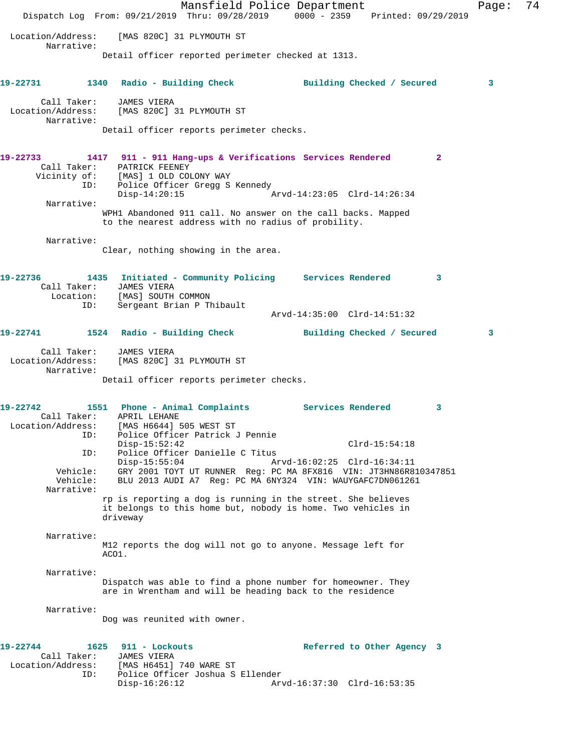Mansfield Police Department Page: 74 Dispatch Log From: 09/21/2019 Thru: 09/28/2019 0000 - 2359 Printed: 09/29/2019 Location/Address: [MAS 820C] 31 PLYMOUTH ST Narrative: Detail officer reported perimeter checked at 1313. **19-22731 1340 Radio - Building Check Building Checked / Secured 3** Call Taker: JAMES VIERA Location/Address: [MAS 820C] 31 PLYMOUTH ST Narrative: Detail officer reports perimeter checks. **19-22733 1417 911 - 911 Hang-ups & Verifications Services Rendered 2**  Call Taker: PATRICK FEENEY Vicinity of: [MAS] 1 OLD COLONY WAY ID: Police Officer Gregg S Kennedy Disp-14:20:15 Arvd-14:23:05 Clrd-14:26:34 Narrative: WPH1 Abandoned 911 call. No answer on the call backs. Mapped to the nearest address with no radius of probility. Narrative: Clear, nothing showing in the area. **19-22736 1435 Initiated - Community Policing Services Rendered 3**  Call Taker: JAMES VIERA Location: [MAS] SOUTH COMMON ID: Sergeant Brian P Thibault Arvd-14:35:00 Clrd-14:51:32 **19-22741 1524 Radio - Building Check Building Checked / Secured 3** Call Taker: JAMES VIERA Location/Address: [MAS 820C] 31 PLYMOUTH ST Narrative: Detail officer reports perimeter checks. **19-22742 1551 Phone - Animal Complaints Services Rendered 3**  Call Taker: APRIL LEHANE Location/Address: [MAS H6644] 505 WEST ST ID: Police Officer Patrick J Pennie Disp-15:52:42 Clrd-15:54:18 ID: Police Officer Danielle C Titus Disp-15:55:04 Arvd-16:02:25 Clrd-16:34:11 Vehicle: GRY 2001 TOYT UT RUNNER Reg: PC MA 8FX816 VIN: JT3HN86R810347851 Vehicle: BLU 2013 AUDI A7 Reg: PC MA 6NY324 VIN: WAUYGAFC7DN061261 Narrative: rp is reporting a dog is running in the street. She believes it belongs to this home but, nobody is home. Two vehicles in driveway Narrative: M12 reports the dog will not go to anyone. Message left for ACO1. Narrative: Dispatch was able to find a phone number for homeowner. They are in Wrentham and will be heading back to the residence Narrative: Dog was reunited with owner. **19-22744 1625 911 - Lockouts Referred to Other Agency 3**  Call Taker: JAMES VIERA Location/Address: [MAS H6451] 740 WARE ST<br>ID: Police Officer Joshua S ID: Police Officer Joshua S Ellender Arvd-16:37:30 Clrd-16:53:35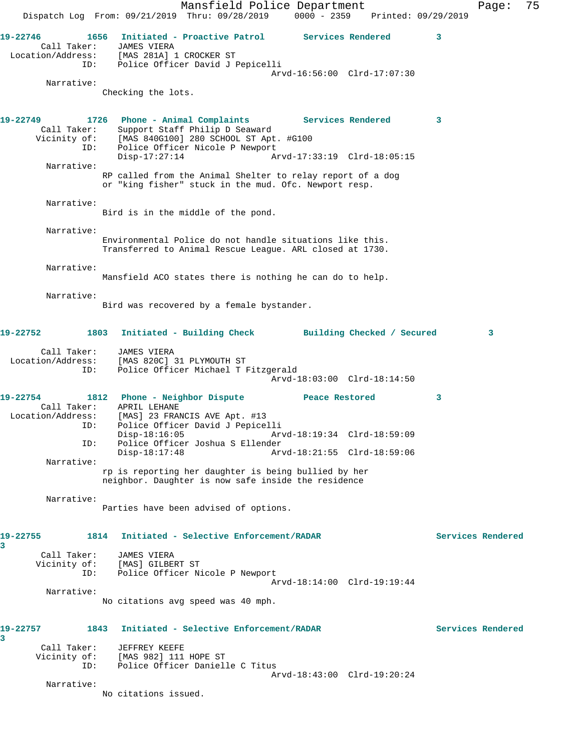Mansfield Police Department Fage: 75 Dispatch Log From: 09/21/2019 Thru: 09/28/2019 0000 - 2359 Printed: 09/29/2019 **19-22746 1656 Initiated - Proactive Patrol Services Rendered 3**  Call Taker: JAMES VIERA Location/Address: [MAS 281A] 1 CROCKER ST ID: Police Officer David J Pepicelli Arvd-16:56:00 Clrd-17:07:30 Narrative: Checking the lots. **19-22749 1726 Phone - Animal Complaints Services Rendered 3**  Call Taker: Support Staff Philip D Seaward Vicinity of: [MAS 840G100] 280 SCHOOL ST Apt. #G100 ID: Police Officer Nicole P Newport Disp-17:27:14 Arvd-17:33:19 Clrd-18:05:15 Narrative: RP called from the Animal Shelter to relay report of a dog or "king fisher" stuck in the mud. Ofc. Newport resp. Narrative: Bird is in the middle of the pond. Narrative: Environmental Police do not handle situations like this. Transferred to Animal Rescue League. ARL closed at 1730. Narrative: Mansfield ACO states there is nothing he can do to help. Narrative: Bird was recovered by a female bystander. **19-22752 1803 Initiated - Building Check Building Checked / Secured 3** Call Taker: JAMES VIERA Location/Address: [MAS 820C] 31 PLYMOUTH ST ID: Police Officer Michael T Fitzgerald Arvd-18:03:00 Clrd-18:14:50 **19-22754 1812 Phone - Neighbor Dispute Peace Restored 3**  Call Taker: APRIL LEHANE Location/Address: [MAS] 23 FRANCIS AVE Apt. #13 ID: Police Officer David J Pepicelli Disp-18:16:05 Arvd-18:19:34 Clrd-18:59:09 ID: Police Officer Joshua S Ellender Disp-18:17:48 Arvd-18:21:55 Clrd-18:59:06 Narrative: rp is reporting her daughter is being bullied by her neighbor. Daughter is now safe inside the residence Narrative: Parties have been advised of options. **19-22755 1814 Initiated - Selective Enforcement/RADAR Services Rendered 3**  Call Taker: JAMES VIERA Vicinity of: [MAS] GILBERT ST ID: Police Officer Nicole P Newport Arvd-18:14:00 Clrd-19:19:44 Narrative: No citations avg speed was 40 mph. **19-22757 1843 Initiated - Selective Enforcement/RADAR Services Rendered 3**  Call Taker: JEFFREY KEEFE Vicinity of: [MAS 982] 111 HOPE ST ID: Police Officer Danielle C Titus Arvd-18:43:00 Clrd-19:20:24 Narrative: No citations issued.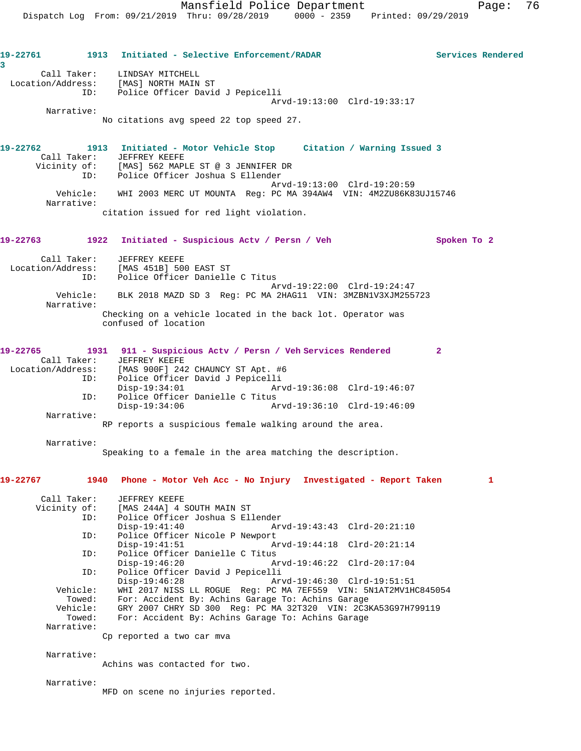**19-22761 1913 Initiated - Selective Enforcement/RADAR Services Rendered 3**  Call Taker: LINDSAY MITCHELL Location/Address: [MAS] NORTH MAIN ST ID: Police Officer David J Pepicelli Arvd-19:13:00 Clrd-19:33:17 Narrative: No citations avg speed 22 top speed 27. **19-22762 1913 Initiated - Motor Vehicle Stop Citation / Warning Issued 3**  Call Taker: JEFFREY KEEFE Vicinity of: [MAS] 562 MAPLE ST @ 3 JENNIFER DR ID: Police Officer Joshua S Ellender Arvd-19:13:00 Clrd-19:20:59 Vehicle: WHI 2003 MERC UT MOUNTA Reg: PC MA 394AW4 VIN: 4M2ZU86K83UJ15746 Narrative: citation issued for red light violation. **19-22763 1922 Initiated - Suspicious Actv / Persn / Veh Spoken To 2** Call Taker: JEFFREY KEEFE Location/Address: [MAS 451B] 500 EAST ST ID: Police Officer Danielle C Titus Arvd-19:22:00 Clrd-19:24:47 Vehicle: BLK 2018 MAZD SD 3 Reg: PC MA 2HAG11 VIN: 3MZBN1V3XJM255723 Narrative: Checking on a vehicle located in the back lot. Operator was confused of location **19-22765 1931 911 - Suspicious Actv / Persn / Veh Services Rendered 2**  Call Taker: JEFFREY KEEFE Location/Address: [MAS 900F] 242 CHAUNCY ST Apt. #6 ID: Police Officer David J Pepicelli Disp-19:34:01 Arvd-19:36:08 Clrd-19:46:07 ID: Police Officer Danielle C Titus Disp-19:34:06 Arvd-19:36:10 Clrd-19:46:09 Narrative: RP reports a suspicious female walking around the area. Narrative: Speaking to a female in the area matching the description. **19-22767 1940 Phone - Motor Veh Acc - No Injury Investigated - Report Taken 1** Call Taker: JEFFREY KEEFE Vicinity of: [MAS 244A] 4 SOUTH MAIN ST ID: Police Officer Joshua S Ellender Disp-19:41:40 Arvd-19:43:43 Clrd-20:21:10<br>TD: Police Officer Nicole P Newport Police Officer Nicole P Newport Disp-19:41:51 Arvd-19:44:18 Clrd-20:21:14 ID: Police Officer Danielle C Titus Disp-19:46:20 Arvd-19:46:22 Clrd-20:17:04<br>TD: Police Officer David J Pepicelli Police Officer David J Pepicelli<br>Disp-19:46:28 Ar Disp-19:46:28 Arvd-19:46:30 Clrd-19:51:51 Vehicle: WHI 2017 NISS LL ROGUE Reg: PC MA 7EF559 VIN: 5N1AT2MV1HC845054 Towed: For: Accident By: Achins Garage To: Achins Garage Vehicle: GRY 2007 CHRY SD 300 Reg: PC MA 32T320 VIN: 2C3KA53G97H799119 Towed: For: Accident By: Achins Garage To: Achins Garage Narrative: Cp reported a two car mva Narrative: Achins was contacted for two. Narrative: MFD on scene no injuries reported.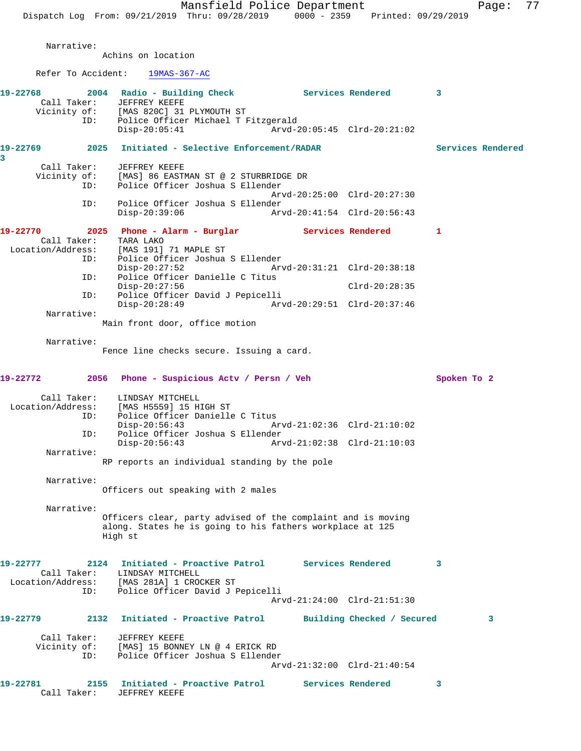Narrative:

Achins on location

Refer To Accident: 19MAS-367-AC

| 19-22768                 | 2004 Radio - Building Check Services Rendered<br>Call Taker: JEFFREY KEEFE<br>Vicinity of: [MAS 820C] 31 PLYMOUTH ST<br>ID:<br>Police Officer Michael T Fitzgerald |                             |                            | $\mathbf{3}$      |
|--------------------------|--------------------------------------------------------------------------------------------------------------------------------------------------------------------|-----------------------------|----------------------------|-------------------|
|                          | Disp-20:05:41                                                                                                                                                      | Arvd-20:05:45 Clrd-20:21:02 |                            |                   |
| 3                        | 19-22769  2025  Initiated - Selective Enforcement/RADAR                                                                                                            |                             |                            | Services Rendered |
| Call Taker:              | JEFFREY KEEFE                                                                                                                                                      |                             |                            |                   |
| ID:                      | Vicinity of: [MAS] 86 EASTMAN ST @ 2 STURBRIDGE DR<br>Police Officer Joshua S Ellender                                                                             |                             |                            |                   |
| ID:                      | Police Officer Joshua S Ellender                                                                                                                                   | Arvd-20:25:00 Clrd-20:27:30 |                            |                   |
|                          | $Disp-20:39:06$                                                                                                                                                    |                             |                            |                   |
| 19-22770                 | 2025 Phone - Alarm - Burglar               Services Rendered           1                                                                                           |                             |                            |                   |
|                          | Call Taker: TARA LAKO                                                                                                                                              |                             |                            |                   |
|                          | Location/Address: [MAS 191] 71 MAPLE ST<br>ID: Police Officer Joshua<br>Police Officer Joshua S Ellender                                                           |                             |                            |                   |
|                          | $Disp-20:27:52$                                                                                                                                                    | Arvd-20:31:21 Clrd-20:38:18 |                            |                   |
| ID:                      | Police Officer Danielle C Titus<br>$Disp-20:27:56$                                                                                                                 |                             | Clrd-20:28:35              |                   |
| ID:                      | Police Officer David J Pepicelli                                                                                                                                   |                             |                            |                   |
| Narrative:               | $Disp-20:28:49$                                                                                                                                                    |                             |                            |                   |
|                          | Main front door, office motion                                                                                                                                     |                             |                            |                   |
| Narrative:               |                                                                                                                                                                    |                             |                            |                   |
|                          | Fence line checks secure. Issuing a card.                                                                                                                          |                             |                            |                   |
| 19-22772                 | 2056 Phone - Suspicious Acty / Persn / Veh                                                                                                                         |                             |                            | Spoken To 2       |
|                          | Call Taker: LINDSAY MITCHELL<br>Location/Address: [MAS H5559] 15 HIGH ST                                                                                           |                             |                            |                   |
|                          |                                                                                                                                                                    |                             |                            |                   |
| ID:                      | Police Officer Danielle C Titus<br>$Disp-20:56:43$                                                                                                                 | Arvd-21:02:36 Clrd-21:10:02 |                            |                   |
| ID:                      | Police Officer Joshua S Ellender                                                                                                                                   |                             |                            |                   |
| Narrative:               | $Disp-20:56:43$                                                                                                                                                    | Arvd-21:02:38 Clrd-21:10:03 |                            |                   |
|                          | RP reports an individual standing by the pole                                                                                                                      |                             |                            |                   |
| Narrative:               |                                                                                                                                                                    |                             |                            |                   |
|                          | Officers out speaking with 2 males                                                                                                                                 |                             |                            |                   |
| Narrative:               |                                                                                                                                                                    |                             |                            |                   |
|                          | Officers clear, party advised of the complaint and is moving<br>along. States he is going to his fathers workplace at 125<br>High st                               |                             |                            |                   |
| 19-22777<br>Call Taker:  | Initiated - Proactive Patrol<br>2124<br>LINDSAY MITCHELL                                                                                                           |                             | Services Rendered          | 3                 |
| Location/Address:<br>ID: | [MAS 281A] 1 CROCKER ST<br>Police Officer David J Pepicelli                                                                                                        |                             |                            |                   |
|                          |                                                                                                                                                                    | Arvd-21:24:00 Clrd-21:51:30 |                            |                   |
| 19-22779                 | Initiated - Proactive Patrol<br>2132                                                                                                                               |                             | Building Checked / Secured | 3                 |
| Call Taker:              | JEFFREY KEEFE                                                                                                                                                      |                             |                            |                   |
| Vicinity of:<br>ID:      | [MAS] 15 BONNEY LN @ 4 ERICK RD<br>Police Officer Joshua S Ellender                                                                                                |                             |                            |                   |
|                          |                                                                                                                                                                    | Arvd-21:32:00 Clrd-21:40:54 |                            |                   |
| 19-22781                 | 2155<br>Initiated - Proactive Patrol                                                                                                                               |                             | Services Rendered          | 3                 |
| Call Taker:              | JEFFREY KEEFE                                                                                                                                                      |                             |                            |                   |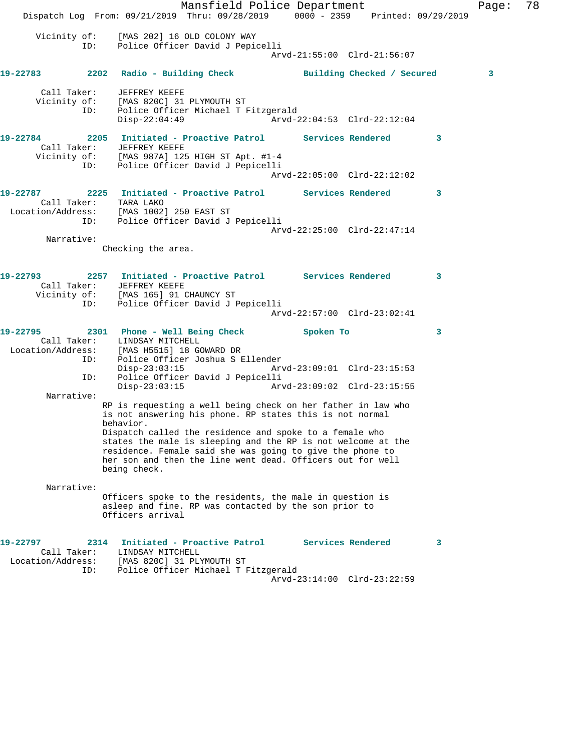Mansfield Police Department Fage: 78 Dispatch Log From: 09/21/2019 Thru: 09/28/2019 0000 - 2359 Printed: 09/29/2019 Vicinity of: [MAS 202] 16 OLD COLONY WAY ID: Police Officer David J Pepicelli Arvd-21:55:00 Clrd-21:56:07 **19-22783 2202 Radio - Building Check Building Checked / Secured 3** Call Taker: JEFFREY KEEFE Vicinity of: [MAS 820C] 31 PLYMOUTH ST ID: Police Officer Michael T Fitzgerald Disp-22:04:49 Arvd-22:04:53 Clrd-22:12:04 **19-22784 2205 Initiated - Proactive Patrol Services Rendered 3**  Call Taker: JEFFREY KEEFE Vicinity of: [MAS 987A] 125 HIGH ST Apt. #1-4 ID: Police Officer David J Pepicelli Arvd-22:05:00 Clrd-22:12:02 **19-22787 2225 Initiated - Proactive Patrol Services Rendered 3**  Call Taker: TARA LAKO Location/Address: [MAS 1002] 250 EAST ST ID: Police Officer David J Pepicelli Arvd-22:25:00 Clrd-22:47:14 Narrative: Checking the area. **19-22793 2257 Initiated - Proactive Patrol Services Rendered 3**  Call Taker: JEFFREY KEEFE Vicinity of: [MAS 165] 91 CHAUNCY ST ID: Police Officer David J Pepicelli Arvd-22:57:00 Clrd-23:02:41 **19-22795 2301 Phone - Well Being Check Spoken To 3**  Call Taker: LINDSAY MITCHELL<br>Location/Address: [MAS H5515] 18 GO [MAS H5515] 18 GOWARD DR ID: Police Officer Joshua S Ellender<br>Disp-23:03:15 Arv Disp-23:03:15 Arvd-23:09:01 Clrd-23:15:53 ID: Police Officer David J Pepicelli Disp-23:03:15 Arvd-23:09:02 Clrd-23:15:55 Narrative: RP is requesting a well being check on her father in law who is not answering his phone. RP states this is not normal behavior. Dispatch called the residence and spoke to a female who states the male is sleeping and the RP is not welcome at the residence. Female said she was going to give the phone to her son and then the line went dead. Officers out for well being check. Narrative: Officers spoke to the residents, the male in question is asleep and fine. RP was contacted by the son prior to Officers arrival **19-22797 2314 Initiated - Proactive Patrol Services Rendered 3**  Call Taker: LINDSAY MITCHELL Location/Address: [MAS 820C] 31 PLYMOUTH ST ID: Police Officer Michael T Fitzgerald Arvd-23:14:00 Clrd-23:22:59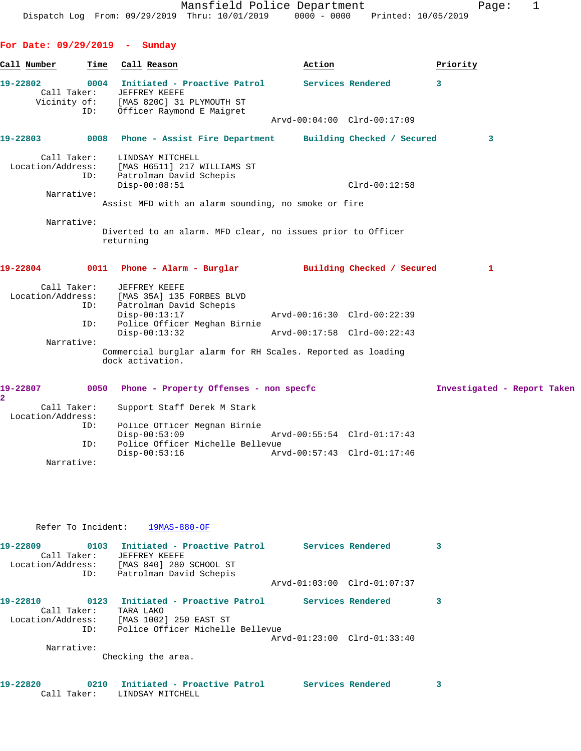|                                                             |      | Mansfield Police Department<br>Dispatch Log From: 09/29/2019 Thru: 10/01/2019 0000 - 0000 Printed: 10/05/2019                                 |                             |                   | 1<br>Page:                  |
|-------------------------------------------------------------|------|-----------------------------------------------------------------------------------------------------------------------------------------------|-----------------------------|-------------------|-----------------------------|
| For Date: 09/29/2019 - Sunday                               |      |                                                                                                                                               |                             |                   |                             |
| Call Number                                                 | Time | Call Reason                                                                                                                                   | Action                      |                   | Priority                    |
| 19-22802                                                    | ID:  | 0004 Initiated - Proactive Patrol<br>Call Taker: JEFFREY KEEFE<br>Vicinity of: [MAS 820C] 31 PLYMOUTH ST<br>Officer Raymond E Maigret         | Arvd-00:04:00 Clrd-00:17:09 | Services Rendered | 3                           |
|                                                             |      | 19-22803 0008 Phone - Assist Fire Department Building Checked / Secured                                                                       |                             |                   | 3                           |
| Call Taker:<br>Narrative:                                   | ID:  | LINDSAY MITCHELL<br>Location/Address: [MAS H6511] 217 WILLIAMS ST<br>Patrolman David Schepis<br>$Disp-00:08:51$                               |                             | $Clrd-00:12:58$   |                             |
|                                                             |      | Assist MFD with an alarm sounding, no smoke or fire                                                                                           |                             |                   |                             |
| Narrative:                                                  |      | Diverted to an alarm. MFD clear, no issues prior to Officer<br>returning                                                                      |                             |                   |                             |
|                                                             |      | 19-22804     0011  Phone - Alarm - Burglar       Building Checked / Secured                                                                   |                             |                   | 1                           |
| Call Taker:                                                 | ID:  | JEFFREY KEEFE<br>Location/Address: [MAS 35A] 135 FORBES BLVD<br>Patrolman David Schepis<br>$Disp-00:13:17$                                    | Arvd-00:16:30 Clrd-00:22:39 |                   |                             |
|                                                             | ID:  | Police Officer Meghan Birnie<br>$Disp-00:13:32$                                                                                               | Arvd-00:17:58 Clrd-00:22:43 |                   |                             |
| Narrative:                                                  |      | Commercial burglar alarm for RH Scales. Reported as loading<br>dock activation.                                                               |                             |                   |                             |
|                                                             |      | 19-22807 0050 Phone - Property Offenses - non specfc                                                                                          |                             |                   | Investigated - Report Taken |
| $\overline{\mathbf{2}}$<br>Call Taker:<br>Location/Address: | ID:  | Support Staff Derek M Stark<br>Police Officer Meghan Birnie<br>$Disp-00:53:09$                                                                | Arvd-00:55:54 Clrd-01:17:43 |                   |                             |
| Narrative:                                                  | ID:  | Police Officer Michelle Bellevue<br>$Disp-00:53:16$                                                                                           | Arvd-00:57:43 Clrd-01:17:46 |                   |                             |
|                                                             |      | Refer To Incident: 19MAS-880-OF                                                                                                               |                             |                   |                             |
|                                                             |      | 19-22809        0103     Initiated - Proactive Patrol       Services Rendered                                                                 |                             |                   | 3                           |
|                                                             | ID:  | Call Taker: JEFFREY KEEFE<br>Location/Address: [MAS 840] 280 SCHOOL ST<br>Patrolman David Schepis                                             | Arvd-01:03:00 Clrd-01:07:37 |                   |                             |
|                                                             |      | 19-22810      0123   Initiated - Proactive Patrol      Services Rendered<br>Call Taker: TARA LAKO<br>Location/Address: [MAS 1002] 250 EAST ST |                             |                   | 3                           |
|                                                             | ID:  | Police Officer Michelle Bellevue                                                                                                              | Arvd-01:23:00 Clrd-01:33:40 |                   |                             |
| Narrative:                                                  |      | Checking the area.                                                                                                                            |                             |                   |                             |
| 19-22820<br>Call Taker:                                     |      | 0210 Initiated - Proactive Patrol<br>LINDSAY MITCHELL                                                                                         | Services Rendered           |                   | 3                           |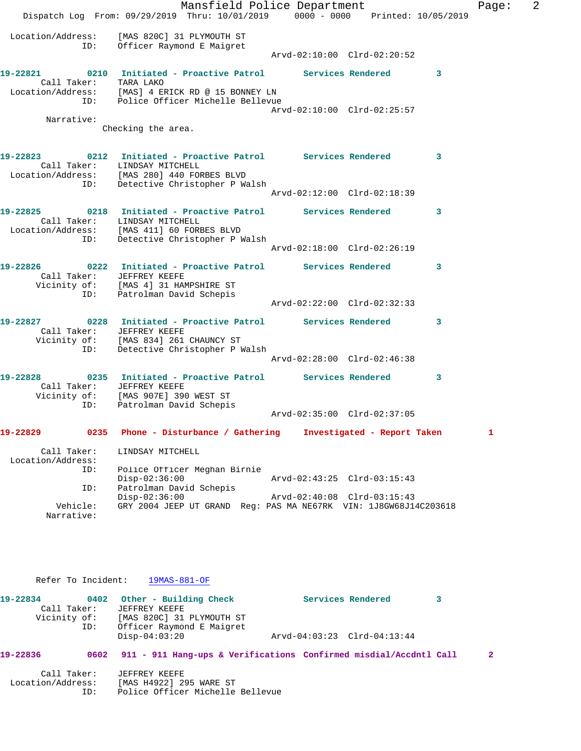|                                  | Mansfield Police Department<br>Dispatch Log From: 09/29/2019 Thru: 10/01/2019 0000 - 0000 Printed: 10/05/2019                                                                      |                                                                          |                             |   | Pa <sub>'</sub> |
|----------------------------------|------------------------------------------------------------------------------------------------------------------------------------------------------------------------------------|--------------------------------------------------------------------------|-----------------------------|---|-----------------|
|                                  | Location/Address: [MAS 820C] 31 PLYMOUTH ST<br>ID: Officer Raymond E Maigret                                                                                                       | Arvd-02:10:00 Clrd-02:20:52                                              |                             |   |                 |
|                                  | 19-22821 0210 Initiated - Proactive Patrol Services Rendered<br>Call Taker: TARA LAKO<br>Location/Address: [MAS] 4 ERICK RD @ 15 BONNEY LN<br>ID: Police Officer Michelle Bellevue |                                                                          |                             | 3 |                 |
|                                  |                                                                                                                                                                                    | Arvd-02:10:00 Clrd-02:25:57                                              |                             |   |                 |
| Narrative:                       | Checking the area.                                                                                                                                                                 |                                                                          |                             |   |                 |
| ID:                              | 19-22823 0212 Initiated - Proactive Patrol Services Rendered 3<br>Call Taker: LINDSAY MITCHELL<br>Location/Address: [MAS 280] 440 FORBES BLVD<br>Detective Christopher P Walsh     |                                                                          |                             |   |                 |
|                                  |                                                                                                                                                                                    | Arvd-02:12:00 Clrd-02:18:39                                              |                             |   |                 |
|                                  | 19-22825 0218 Initiated - Proactive Patrol Services Rendered<br>Call Taker: LINDSAY MITCHELL<br>Location/Address: [MAS 411] 60 FORBES BLVD                                         |                                                                          |                             | 3 |                 |
|                                  | ID: Detective Christopher P Walsh                                                                                                                                                  | Arvd-02:18:00 Clrd-02:26:19                                              |                             |   |                 |
|                                  | 19-22826 0222 Initiated - Proactive Patrol Services Rendered<br>Call Taker: JEFFREY KEEFE<br>Vicinity of: [MAS 4] 31 HAMPSHIRE ST<br>ID: Patrolman David Schepis                   |                                                                          |                             | 3 |                 |
|                                  |                                                                                                                                                                                    | Arvd-02:22:00 Clrd-02:32:33                                              |                             |   |                 |
| ID:                              | 19-22827 0228 Initiated - Proactive Patrol Services Rendered<br>Call Taker: JEFFREY KEEFE<br>Vicinity of: [MAS 834] 261 CHAUNCY ST<br>Detective Christopher P Walsh                |                                                                          |                             | 3 |                 |
|                                  |                                                                                                                                                                                    | Arvd-02:28:00 Clrd-02:46:38                                              |                             |   |                 |
|                                  | 19-22828 0235 Initiated - Proactive Patrol Services Rendered<br>Call Taker: JEFFREY KEEFE<br>Vicinity of: [MAS 907E] 390 WEST ST<br>ID: Patrolman David Schepis                    |                                                                          |                             | 3 |                 |
|                                  |                                                                                                                                                                                    | Arvd-02:35:00 Clrd-02:37:05                                              |                             |   |                 |
| 19-22829<br>0235                 | Phone - Disturbance / Gathering                                                                                                                                                    |                                                                          | Investigated - Report Taken |   | 1               |
| Call Taker:<br>Location/Address: | LINDSAY MITCHELL                                                                                                                                                                   |                                                                          |                             |   |                 |
| ID:<br>ID:                       | Police Officer Meghan Birnie<br>Disp-02:36:00<br>Patrolman David Schepis                                                                                                           | Arvd-02:43:25 Clrd-03:15:43                                              |                             |   |                 |
| Vehicle:<br>Narrative:           | $Disp-02:36:00$<br>GRY 2004 JEEP UT GRAND                                                                                                                                          | Arvd-02:40:08 Clrd-03:15:43<br>Req: PAS MA NE67RK VIN: 1J8GW68J14C203618 |                             |   |                 |

Refer To Incident: 19MAS-881-OF

| 19-22834     |     | 0402 Other - Building Check |                             | Services Rendered |  |
|--------------|-----|-----------------------------|-----------------------------|-------------------|--|
| Call Taker:  |     | JEFFREY KEEFE               |                             |                   |  |
| Vicinity of: |     | [MAS 820C] 31 PLYMOUTH ST   |                             |                   |  |
|              | ID: | Officer Raymond E Maigret   |                             |                   |  |
|              |     | Disp-04:03:20               | Arvd-04:03:23 Clrd-04:13:44 |                   |  |
|              |     |                             |                             |                   |  |

**19-22836 0602 911 - 911 Hang-ups & Verifications Confirmed misdial/Accdntl Call 2**

 Call Taker: JEFFREY KEEFE Location/Address: [MAS H4922] 295 WARE ST ID: Police Officer Michelle Bellevue Page: 2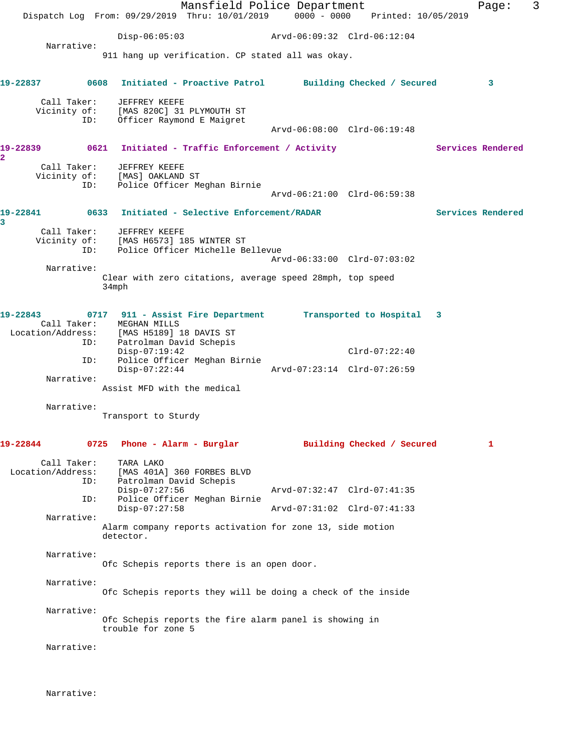|                         |                                  |                                                                       | Mansfield Police Department<br>Dispatch Log From: 09/29/2019 Thru: 10/01/2019 0000 - 0000 Printed: 10/05/2019 |                             |                            |                   | Page:             | 3 |
|-------------------------|----------------------------------|-----------------------------------------------------------------------|---------------------------------------------------------------------------------------------------------------|-----------------------------|----------------------------|-------------------|-------------------|---|
|                         |                                  |                                                                       |                                                                                                               |                             |                            |                   |                   |   |
|                         | Narrative:                       | $Disp-06:05:03$                                                       |                                                                                                               |                             |                            |                   |                   |   |
|                         |                                  |                                                                       | 911 hang up verification. CP stated all was okay.                                                             |                             |                            |                   |                   |   |
| 19-22837                |                                  | 0608                                                                  | Initiated - Proactive Patrol Building Checked / Secured                                                       |                             |                            |                   | 3                 |   |
|                         | Call Taker:                      | JEFFREY KEEFE                                                         |                                                                                                               |                             |                            |                   |                   |   |
|                         | ID:                              | Vicinity of: [MAS 820C] 31 PLYMOUTH ST<br>Officer Raymond E Maigret   |                                                                                                               |                             |                            |                   |                   |   |
|                         |                                  |                                                                       |                                                                                                               | Arvd-06:08:00 Clrd-06:19:48 |                            |                   |                   |   |
| $\overline{\mathbf{2}}$ |                                  |                                                                       |                                                                                                               |                             |                            | Services Rendered |                   |   |
|                         |                                  | Call Taker: JEFFREY KEEFE<br>Vicinity of: [MAS] OAKLAND ST            |                                                                                                               |                             |                            |                   |                   |   |
|                         | ID:                              |                                                                       | Police Officer Meghan Birnie                                                                                  |                             |                            |                   |                   |   |
|                         |                                  |                                                                       |                                                                                                               | Arvd-06:21:00 Clrd-06:59:38 |                            |                   |                   |   |
|                         |                                  |                                                                       |                                                                                                               |                             |                            |                   | Services Rendered |   |
| 3                       |                                  | Call Taker: JEFFREY KEEFE                                             |                                                                                                               |                             |                            |                   |                   |   |
|                         |                                  |                                                                       | Vicinity of: [MAS H6573] 185 WINTER ST<br>ID: Police Officer Michelle Bellevue                                |                             |                            |                   |                   |   |
|                         |                                  |                                                                       |                                                                                                               | Arvd-06:33:00 Clrd-07:03:02 |                            |                   |                   |   |
|                         | Narrative:                       |                                                                       | Clear with zero citations, average speed 28mph, top speed                                                     |                             |                            |                   |                   |   |
|                         |                                  | 34mph                                                                 |                                                                                                               |                             |                            |                   |                   |   |
| 19-22843                |                                  |                                                                       | 0717 911 - Assist Fire Department Transported to Hospital 3                                                   |                             |                            |                   |                   |   |
|                         |                                  | Call Taker: MEGHAN MILLS<br>Location/Address: [MAS H5189] 18 DAVIS ST |                                                                                                               |                             |                            |                   |                   |   |
|                         | ID:                              | Patrolman David Schepis                                               |                                                                                                               |                             |                            |                   |                   |   |
|                         | ID:                              | $Disp-07:19:42$                                                       | Police Officer Meghan Birnie                                                                                  |                             | $Clrd-07:22:40$            |                   |                   |   |
|                         | Narrative:                       | $Disp-07:22:44$                                                       |                                                                                                               | Arvd-07:23:14 Clrd-07:26:59 |                            |                   |                   |   |
|                         |                                  | Assist MFD with the medical                                           |                                                                                                               |                             |                            |                   |                   |   |
|                         | Narrative:                       |                                                                       |                                                                                                               |                             |                            |                   |                   |   |
|                         |                                  | Transport to Sturdy                                                   |                                                                                                               |                             |                            |                   |                   |   |
| 19-22844                |                                  | 0725 Phone - Alarm - Burglar                                          |                                                                                                               |                             | Building Checked / Secured |                   | 1                 |   |
|                         | Call Taker:<br>Location/Address: | TARA LAKO                                                             | [MAS 401A] 360 FORBES BLVD                                                                                    |                             |                            |                   |                   |   |
|                         | ID:                              | Patrolman David Schepis                                               |                                                                                                               |                             |                            |                   |                   |   |
|                         | ID:                              | $Disp-07:27:56$                                                       | Police Officer Meghan Birnie                                                                                  | Arvd-07:32:47 Clrd-07:41:35 |                            |                   |                   |   |
|                         | Narrative:                       | $Disp-07:27:58$                                                       |                                                                                                               | Arvd-07:31:02 Clrd-07:41:33 |                            |                   |                   |   |
|                         |                                  | detector.                                                             | Alarm company reports activation for zone 13, side motion                                                     |                             |                            |                   |                   |   |
|                         | Narrative:                       |                                                                       |                                                                                                               |                             |                            |                   |                   |   |
|                         |                                  |                                                                       | Ofc Schepis reports there is an open door.                                                                    |                             |                            |                   |                   |   |
|                         | Narrative:                       |                                                                       |                                                                                                               |                             |                            |                   |                   |   |
|                         |                                  |                                                                       | Ofc Schepis reports they will be doing a check of the inside                                                  |                             |                            |                   |                   |   |
|                         | Narrative:                       |                                                                       |                                                                                                               |                             |                            |                   |                   |   |
|                         |                                  | trouble for zone 5                                                    | Ofc Schepis reports the fire alarm panel is showing in                                                        |                             |                            |                   |                   |   |
|                         | Narrative:                       |                                                                       |                                                                                                               |                             |                            |                   |                   |   |
|                         |                                  |                                                                       |                                                                                                               |                             |                            |                   |                   |   |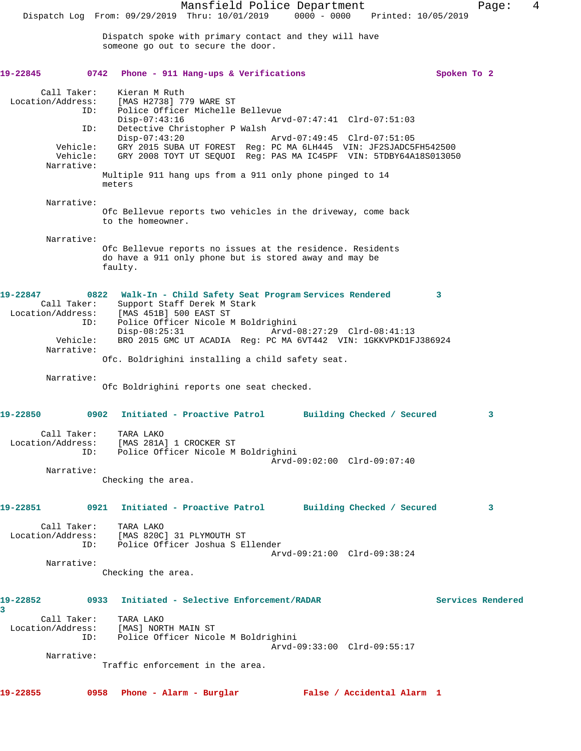Mansfield Police Department Fage: 4 Dispatch Log From: 09/29/2019 Thru: 10/01/2019 0000 - 0000 Printed: 10/05/2019 Dispatch spoke with primary contact and they will have someone go out to secure the door. **19-22845 0742 Phone - 911 Hang-ups & Verifications Spoken To 2** Call Taker: Kieran M Ruth Location/Address: [MAS H2738] 779 WARE ST Police Officer Michelle Bellevue<br>Disp-07:43:16 Ar Disp-07:43:16 Arvd-07:47:41 Clrd-07:51:03 ID: Detective Christopher P Walsh Disp-07:43:20 Arvd-07:49:45 Clrd-07:51:05 Vehicle: GRY 2015 SUBA UT FOREST Reg: PC MA 6LH445 VIN: JF2SJADC5FH542500 Vehicle: GRY 2008 TOYT UT SEQUOI Reg: PAS MA IC45PF VIN: 5TDBY64A18S013050 Narrative: Multiple 911 hang ups from a 911 only phone pinged to 14 meters Narrative: Ofc Bellevue reports two vehicles in the driveway, come back to the homeowner. Narrative: Ofc Bellevue reports no issues at the residence. Residents do have a 911 only phone but is stored away and may be faulty. **19-22847 0822 Walk-In - Child Safety Seat Program Services Rendered 3**  Call Taker: Support Staff Derek M Stark Location/Address: [MAS 451B] 500 EAST ST ID: Police Officer Nicole M Boldrighini Disp-08:25:31 Arvd-08:27:29 Clrd-08:41:13 Vehicle: BRO 2015 GMC UT ACADIA Reg: PC MA 6VT442 VIN: 1GKKVPKD1FJ386924 Narrative: Ofc. Boldrighini installing a child safety seat. Narrative: Ofc Boldrighini reports one seat checked. **19-22850 0902 Initiated - Proactive Patrol Building Checked / Secured 3** Call Taker: TARA LAKO Location/Address: [MAS 281A] 1 CROCKER ST ID: Police Officer Nicole M Boldrighini Arvd-09:02:00 Clrd-09:07:40 Narrative: Checking the area. **19-22851 0921 Initiated - Proactive Patrol Building Checked / Secured 3** Call Taker: TARA LAKO Location/Address: [MAS 820C] 31 PLYMOUTH ST ID: Police Officer Joshua S Ellender Arvd-09:21:00 Clrd-09:38:24 Narrative: Checking the area. **19-22852 0933 Initiated - Selective Enforcement/RADAR Services Rendered 3**  Call Taker: TARA LAKO Location/Address: [MAS] NORTH MAIN ST ID: Police Officer Nicole M Boldrighini Arvd-09:33:00 Clrd-09:55:17 Narrative: Traffic enforcement in the area. **19-22855 0958 Phone - Alarm - Burglar False / Accidental Alarm 1**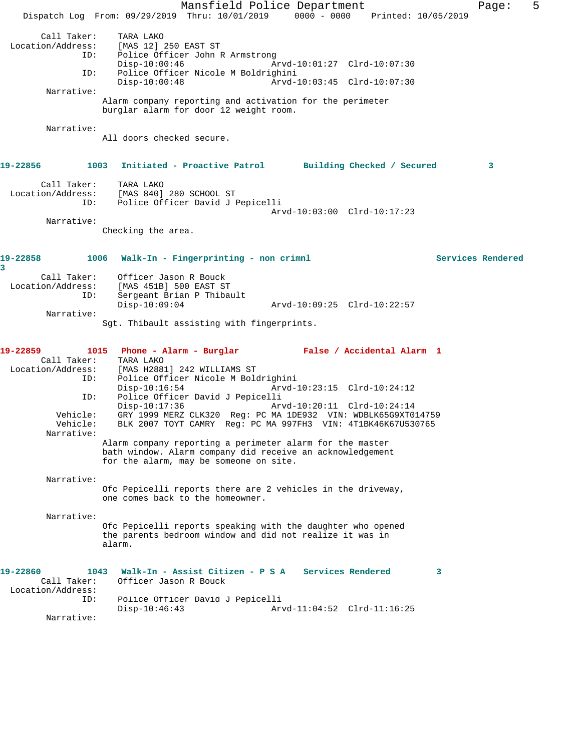|                                                                                                  | Mansfield Police Department<br>Dispatch Log From: 09/29/2019 Thru: 10/01/2019 0000 - 0000 Printed: 10/05/2019                                                                                                                                                                                                                                                                                                                                                                                                                                                                               | Page:             | 5 |
|--------------------------------------------------------------------------------------------------|---------------------------------------------------------------------------------------------------------------------------------------------------------------------------------------------------------------------------------------------------------------------------------------------------------------------------------------------------------------------------------------------------------------------------------------------------------------------------------------------------------------------------------------------------------------------------------------------|-------------------|---|
| Call Taker:<br>Location/Address:<br>ID:<br>ID:                                                   | TARA LAKO<br>[MAS 12] 250 EAST ST<br>Police Officer John R Armstrong<br>$Disp-10:00:46$<br>Arvd-10:01:27 Clrd-10:07:30<br>Police Officer Nicole M Boldrighini<br>$Disp-10:00:48$<br>Arvd-10:03:45 Clrd-10:07:30                                                                                                                                                                                                                                                                                                                                                                             |                   |   |
| Narrative:                                                                                       | Alarm company reporting and activation for the perimeter<br>burglar alarm for door 12 weight room.                                                                                                                                                                                                                                                                                                                                                                                                                                                                                          |                   |   |
| Narrative:                                                                                       | All doors checked secure.                                                                                                                                                                                                                                                                                                                                                                                                                                                                                                                                                                   |                   |   |
| 19-22856                                                                                         | 1003 Initiated - Proactive Patrol Building Checked / Secured                                                                                                                                                                                                                                                                                                                                                                                                                                                                                                                                | 3                 |   |
| Call Taker:<br>Location/Address:<br>ID:                                                          | TARA LAKO<br>[MAS 840] 280 SCHOOL ST<br>Police Officer David J Pepicelli<br>Arvd-10:03:00 Clrd-10:17:23                                                                                                                                                                                                                                                                                                                                                                                                                                                                                     |                   |   |
| Narrative:                                                                                       | Checking the area.                                                                                                                                                                                                                                                                                                                                                                                                                                                                                                                                                                          |                   |   |
| 19-22858<br>3                                                                                    | 1006 Walk-In - Fingerprinting - non crimnl                                                                                                                                                                                                                                                                                                                                                                                                                                                                                                                                                  | Services Rendered |   |
| Call Taker:<br>ID:                                                                               | Officer Jason R Bouck<br>Location/Address: [MAS 451B] 500 EAST ST<br>Sergeant Brian P Thibault<br>$Disp-10:09:04$<br>Arvd-10:09:25 Clrd-10:22:57                                                                                                                                                                                                                                                                                                                                                                                                                                            |                   |   |
| Narrative:                                                                                       | Sgt. Thibault assisting with fingerprints.                                                                                                                                                                                                                                                                                                                                                                                                                                                                                                                                                  |                   |   |
| 19-22859<br>Call Taker:<br>Location/Address:<br>ID:<br>ID:<br>Vehicle:<br>Vehicle:<br>Narrative: | 1015 Phone - Alarm - Burglar Mark False / Accidental Alarm 1<br>TARA LAKO<br>[MAS H2881] 242 WILLIAMS ST<br>Police Officer Nicole M Boldrighini<br>$Disp-10:16:54$<br>Arvd-10:23:15 Clrd-10:24:12<br>Police Officer David J Pepicelli<br>$Disp-10:17:36$<br>Arvd-10:20:11 Clrd-10:24:14<br>GRY 1999 MERZ CLK320 Reg: PC MA 1DE932 VIN: WDBLK65G9XT014759<br>BLK 2007 TOYT CAMRY Reg: PC MA 997FH3 VIN: 4T1BK46K67U530765<br>Alarm company reporting a perimeter alarm for the master<br>bath window. Alarm company did receive an acknowledgement<br>for the alarm, may be someone on site. |                   |   |
| Narrative:                                                                                       | Ofc Pepicelli reports there are 2 vehicles in the driveway,<br>one comes back to the homeowner.                                                                                                                                                                                                                                                                                                                                                                                                                                                                                             |                   |   |
| Narrative:                                                                                       | Ofc Pepicelli reports speaking with the daughter who opened<br>the parents bedroom window and did not realize it was in<br>alarm.                                                                                                                                                                                                                                                                                                                                                                                                                                                           |                   |   |
| 19-22860<br>Call Taker:<br>Location/Address:<br>ID:<br>Narrative:                                | Walk-In - Assist Citizen - P S A Services Rendered<br>1043<br>3<br>Officer Jason R Bouck<br>Police Officer David J Pepicelli<br>$Disp-10:46:43$<br>Arvd-11:04:52 Clrd-11:16:25                                                                                                                                                                                                                                                                                                                                                                                                              |                   |   |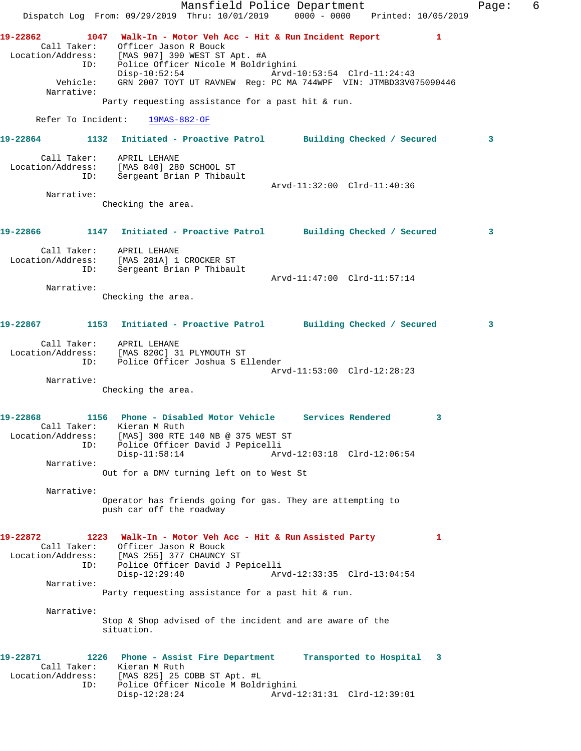Mansfield Police Department Fage: 6 Dispatch Log From: 09/29/2019 Thru: 10/01/2019 0000 - 0000 Printed: 10/05/2019 **19-22862 1047 Walk-In - Motor Veh Acc - Hit & Run Incident Report 1**  Call Taker: Officer Jason R Bouck Location/Address: [MAS 907] 390 WEST ST Apt. #A ID: Police Officer Nicole M Boldrighini Disp-10:52:54 Arvd-10:53:54 Clrd-11:24:43 Vehicle: GRN 2007 TOYT UT RAVNEW Reg: PC MA 744WPF VIN: JTMBD33V075090446 Narrative: Party requesting assistance for a past hit & run. Refer To Incident: 19MAS-882-OF **19-22864 1132 Initiated - Proactive Patrol Building Checked / Secured 3** Call Taker: APRIL LEHANE Location/Address: [MAS 840] 280 SCHOOL ST ID: Sergeant Brian P Thibault Arvd-11:32:00 Clrd-11:40:36 Narrative: Checking the area. **19-22866 1147 Initiated - Proactive Patrol Building Checked / Secured 3** Call Taker: APRIL LEHANE Location/Address: [MAS 281A] 1 CROCKER ST ID: Sergeant Brian P Thibault Arvd-11:47:00 Clrd-11:57:14 Narrative: Checking the area. **19-22867 1153 Initiated - Proactive Patrol Building Checked / Secured 3** Call Taker: APRIL LEHANE Location/Address: [MAS 820C] 31 PLYMOUTH ST ID: Police Officer Joshua S Ellender Arvd-11:53:00 Clrd-12:28:23 Narrative: Checking the area. **19-22868 1156 Phone - Disabled Motor Vehicle Services Rendered 3**  Call Taker: Kieran M Ruth Location/Address: [MAS] 300 RTE 140 NB @ 375 WEST ST ID: Police Officer David J Pepicelli Disp-11:58:14 Arvd-12:03:18 Clrd-12:06:54 Narrative: Out for a DMV turning left on to West St Narrative: Operator has friends going for gas. They are attempting to push car off the roadway **19-22872 1223 Walk-In - Motor Veh Acc - Hit & Run Assisted Party 1**  Call Taker: Officer Jason R Bouck Location/Address: [MAS 255] 377 CHAUNCY ST ID: Police Officer David J Pepicelli Disp-12:29:40 Arvd-12:33:35 Clrd-13:04:54 Narrative: Party requesting assistance for a past hit & run. Narrative: Stop & Shop advised of the incident and are aware of the situation. **19-22871 1226 Phone - Assist Fire Department Transported to Hospital 3**  Call Taker: Kieran M Ruth Location/Address: [MAS 825] 25 COBB ST Apt. #L ID: Police Officer Nicole M Boldrighini Disp-12:28:24 Arvd-12:31:31 Clrd-12:39:01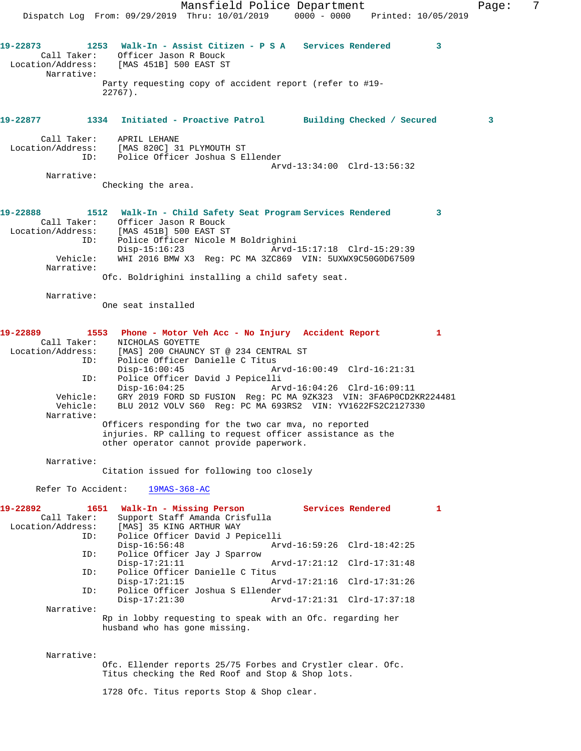Mansfield Police Department Fage: 7 Dispatch Log From: 09/29/2019 Thru: 10/01/2019 0000 - 0000 Printed: 10/05/2019 **19-22873 1253 Walk-In - Assist Citizen - P S A Services Rendered 3**  Call Taker: Officer Jason R Bouck Location/Address: [MAS 451B] 500 EAST ST Narrative: Party requesting copy of accident report (refer to #19- 22767). **19-22877 1334 Initiated - Proactive Patrol Building Checked / Secured 3** Call Taker: APRIL LEHANE Location/Address: [MAS 820C] 31 PLYMOUTH ST ID: Police Officer Joshua S Ellender Arvd-13:34:00 Clrd-13:56:32 Narrative: Checking the area. **19-22888 1512 Walk-In - Child Safety Seat Program Services Rendered 3**  Call Taker: Officer Jason R Bouck Location/Address: [MAS 451B] 500 EAST ST<br>ID: Police Officer Nicole M Police Officer Nicole M Boldrighini<br>Disp-15:16:23 Arvd-1 Disp-15:16:23 Arvd-15:17:18 Clrd-15:29:39 Vehicle: WHI 2016 BMW X3 Reg: PC MA 3ZC869 VIN: 5UXWX9C50G0D67509 Narrative: Ofc. Boldrighini installing a child safety seat. Narrative: One seat installed **19-22889 1553 Phone - Motor Veh Acc - No Injury Accident Report 1**  Call Taker: NICHOLAS GOYETTE Location/Address: [MAS] 200 CHAUNCY ST @ 234 CENTRAL ST<br>ID: Police Officer Danielle C Titus Police Officer Danielle C Titus Disp-16:00:45 Arvd-16:00:49 Clrd-16:21:31 ID: Police Officer David J Pepicelli Disp-16:04:25 Arvd-16:04:26 Clrd-16:09:11 Vehicle: GRY 2019 FORD SD FUSION Reg: PC MA 9ZK323 VIN: 3FA6P0CD2KR224481<br>Vehicle: BLU 2012 VOLV S60 Reg: PC MA 693RS2 VIN: YV1622FS2C2127330 BLU 2012 VOLV S60 Reg: PC MA 693RS2 VIN: YV1622FS2C2127330 Narrative: Officers responding for the two car mva, no reported injuries. RP calling to request officer assistance as the other operator cannot provide paperwork. Narrative: Citation issued for following too closely Refer To Accident: 19MAS-368-AC **19-22892 1651 Walk-In - Missing Person Services Rendered 1**  Call Taker: Support Staff Amanda Crisfulla Location/Address: [MAS] 35 KING ARTHUR WAY ID: Police Officer David J Pepicelli Disp-16:56:48 Arvd-16:59:26 Clrd-18:42:25 ID: Police Officer Jay J Sparrow Disp-17:21:11 Arvd-17:21:12 Clrd-17:31:48<br>ID: Police Officer Danielle C Titus Police Officer Danielle C Titus Disp-17:21:15 Arvd-17:21:16 Clrd-17:31:26<br>ID: Police Officer Joshua S Ellender Police Officer Joshua S Ellender<br>Disp-17:21:30 Ar Disp-17:21:30 Arvd-17:21:31 Clrd-17:37:18 Narrative: Rp in lobby requesting to speak with an Ofc. regarding her husband who has gone missing. Narrative: Ofc. Ellender reports 25/75 Forbes and Crystler clear. Ofc. Titus checking the Red Roof and Stop & Shop lots. 1728 Ofc. Titus reports Stop & Shop clear.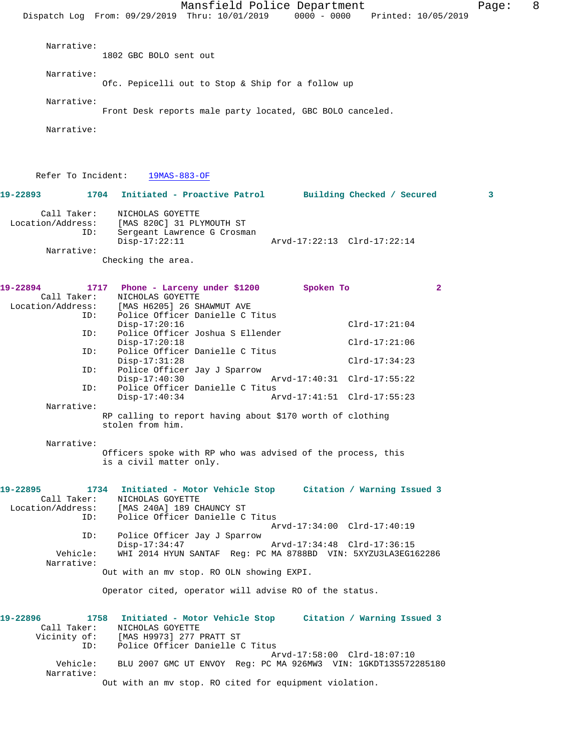Dispatch Log From: 09/29/2019 Thru: 10/01/2019 0000 - 0000 Printed: 10/05/2019 Narrative: 1802 GBC BOLO sent out Narrative: Ofc. Pepicelli out to Stop & Ship for a follow up Narrative: Front Desk reports male party located, GBC BOLO canceled. Narrative: Refer To Incident: 19MAS-883-OF **19-22893 1704 Initiated - Proactive Patrol Building Checked / Secured 3** Call Taker: NICHOLAS GOYETTE Location/Address: [MAS 820C] 31 PLYMOUTH ST ID: Sergeant Lawrence G Crosman<br>Disp-17:22:11 Disp-17:22:11 Arvd-17:22:13 Clrd-17:22:14 Narrative: Checking the area. **19-22894 1717 Phone - Larceny under \$1200 Spoken To 2**  Call Taker: NICHOLAS GOYETTE<br>Location/Address: [MAS H6205] 26 S [MAS H6205] 26 SHAWMUT AVE ID: Police Officer Danielle C Titus Disp-17:20:16 Clrd-17:21:04<br>TD: Police Officer Joshua S Ellender Police Officer Joshua S Ellender Disp-17:20:18 Clrd-17:21:06 ID: Police Officer Danielle C Titus Disp-17:31:28 Clrd-17:34:23<br>ID: Police Officer Jay J Sparrow Police Officer Jay J Sparrow<br>Disp-17:40:30 Disp-17:40:30 Arvd-17:40:31 Clrd-17:55:22 ID: Police Officer Danielle C Titus Disp-17:40:34 Arvd-17:41:51 Clrd-17:55:23 Narrative: RP calling to report having about \$170 worth of clothing stolen from him. Narrative: Officers spoke with RP who was advised of the process, this is a civil matter only. **19-22895 1734 Initiated - Motor Vehicle Stop Citation / Warning Issued 3**  NICHOLAS GOYETTE Location/Address: [MAS 240A] 189 CHAUNCY ST ID: Police Officer Danielle C Titus Arvd-17:34:00 Clrd-17:40:19<br>ID: Police Officer Jay J Sparrow Police Officer Jay J Sparrow Disp-17:34:47 Arvd-17:34:48 Clrd-17:36:15<br>Vehicle: WHI 2014 HYUN SANTAF Req: PC MA 8788BD VIN: 5XYZU3LA3EG1 Vehicle: WHI 2014 HYUN SANTAF Reg: PC MA 8788BD VIN: 5XYZU3LA3EG162286 Narrative: Out with an mv stop. RO OLN showing EXPI. Operator cited, operator will advise RO of the status. **19-22896 1758 Initiated - Motor Vehicle Stop Citation / Warning Issued 3**  Call Taker: NICHOLAS GOYETTE<br>Vicinity of: [MAS H9973] 277 of: [MAS H9973] 277 PRATT ST<br>ID: Police Officer Danielle ( Police Officer Danielle C Titus Arvd-17:58:00 Clrd-18:07:10 Vehicle: BLU 2007 GMC UT ENVOY Reg: PC MA 926MW3 VIN: 1GKDT13S572285180 Narrative: Out with an mv stop. RO cited for equipment violation.

Mansfield Police Department Fage: 8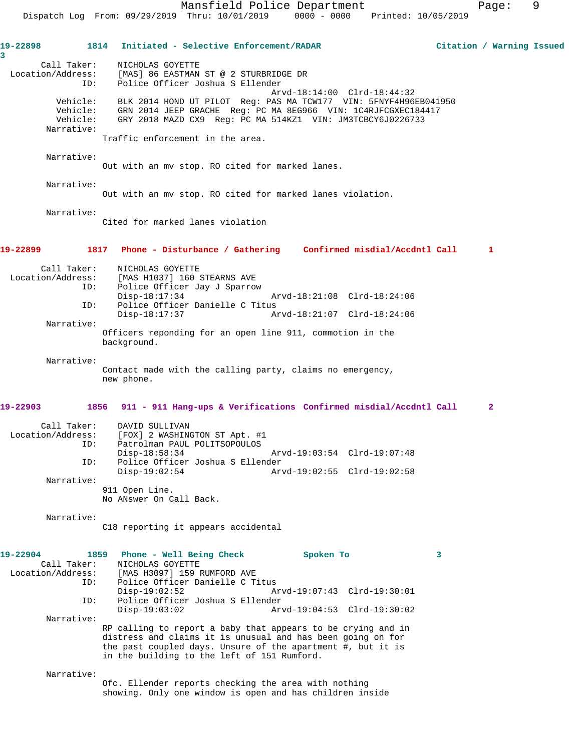**19-22898 1814 Initiated - Selective Enforcement/RADAR Citation / Warning Issued 3**  Call Taker: NICHOLAS GOYETTE Location/Address: [MAS] 86 EASTMAN ST @ 2 STURBRIDGE DR ID: Police Officer Joshua S Ellender Arvd-18:14:00 Clrd-18:44:32 Vehicle: BLK 2014 HOND UT PILOT Reg: PAS MA TCW177 VIN: 5FNYF4H96EB041950 Vehicle: GRN 2014 JEEP GRACHE Reg: PC MA 8EG966 VIN: 1C4RJFCGXEC184417 Vehicle: GRY 2018 MAZD CX9 Reg: PC MA 514KZ1 VIN: JM3TCBCY6J0226733 Narrative: Traffic enforcement in the area. Narrative: Out with an mv stop. RO cited for marked lanes. Narrative: Out with an mv stop. RO cited for marked lanes violation. Narrative: Cited for marked lanes violation **19-22899 1817 Phone - Disturbance / Gathering Confirmed misdial/Accdntl Call 1** Call Taker: NICHOLAS GOYETTE<br>! Location/Address: [MAS H1037] 160 [MAS H1037] 160 STEARNS AVE ID: Police Officer Jay J Sparrow Disp-18:17:34 Arvd-18:21:08 Clrd-18:24:06 ID: Police Officer Danielle C Titus Disp-18:17:37 Arvd-18:21:07 Clrd-18:24:06 Narrative: Officers reponding for an open line 911, commotion in the background. Narrative: Contact made with the calling party, claims no emergency, new phone. **19-22903 1856 911 - 911 Hang-ups & Verifications Confirmed misdial/Accdntl Call 2** Call Taker: DAVID SULLIVAN Location/Address: [FOX] 2 WASHINGTON ST Apt. #1 ID: Patrolman PAUL POLITSOPOULOS<br>Disp-18:58:34 Disp-18:58:34 Arvd-19:03:54 Clrd-19:07:48<br>TD: Police Officer Joshua S Ellender Police Officer Joshua S Ellender<br>Disp-19:02:54 Arv Disp-19:02:54 Arvd-19:02:55 Clrd-19:02:58 Narrative: 911 Open Line. No ANswer On Call Back. Narrative: C18 reporting it appears accidental **19-22904 1859 Phone - Well Being Check Spoken To 3**  Call Taker: NICHOLAS GOYETTE<br>Location/Address: [MAS H3097] 159 1 ess: [MAS H3097] 159 RUMFORD AVE<br>ID: Police Officer Danielle C T: Police Officer Danielle C Titus Disp-19:02:52 Arvd-19:07:43 Clrd-19:30:01<br>ID: Police Officer Joshua S Ellender Police Officer Joshua S Ellender<br>Disp-19:03:02 Ar Disp-19:03:02 Arvd-19:04:53 Clrd-19:30:02 Narrative: RP calling to report a baby that appears to be crying and in distress and claims it is unusual and has been going on for the past coupled days. Unsure of the apartment #, but it is in the building to the left of 151 Rumford. Narrative: Ofc. Ellender reports checking the area with nothing

showing. Only one window is open and has children inside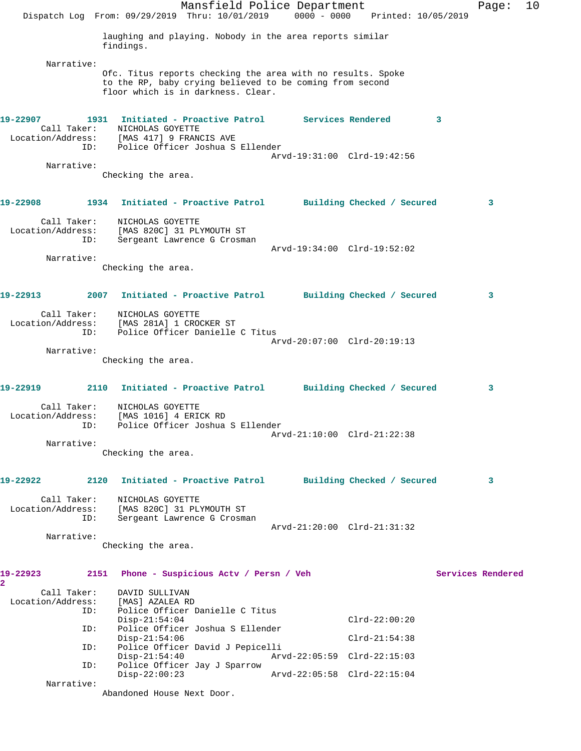|                                                                                                     |      | Dispatch Log From: 09/29/2019 Thru: 10/01/2019 0000 - 0000 Printed: 10/05/2019                                                                                |  | Mansfield Police Department |                 |                         | Page:             | 10 |
|-----------------------------------------------------------------------------------------------------|------|---------------------------------------------------------------------------------------------------------------------------------------------------------------|--|-----------------------------|-----------------|-------------------------|-------------------|----|
|                                                                                                     |      | laughing and playing. Nobody in the area reports similar<br>findings.                                                                                         |  |                             |                 |                         |                   |    |
| Narrative:                                                                                          |      | Ofc. Titus reports checking the area with no results. Spoke<br>to the RP, baby crying believed to be coming from second<br>floor which is in darkness. Clear. |  |                             |                 |                         |                   |    |
| 19-22907<br>Call Taker:<br>Location/Address: [MAS 417] 9 FRANCIS AVE<br>ID: Police Officer Joshua S | ID:  | 1931 Initiated - Proactive Patrol Services Rendered<br>NICHOLAS GOYETTE<br>Police Officer Joshua S Ellender                                                   |  |                             |                 | $\overline{\mathbf{3}}$ |                   |    |
| Narrative:                                                                                          |      |                                                                                                                                                               |  | Arvd-19:31:00 Clrd-19:42:56 |                 |                         |                   |    |
|                                                                                                     |      | Checking the area.                                                                                                                                            |  |                             |                 |                         |                   |    |
| 19-22908 2012                                                                                       |      | 1934 Initiated - Proactive Patrol Building Checked / Secured                                                                                                  |  |                             |                 |                         | 3                 |    |
| Call Taker:<br>Location/Address: [MAS 820C] 31 PLYMOUTH ST                                          | ID:  | NICHOLAS GOYETTE<br>Sergeant Lawrence G Crosman                                                                                                               |  |                             |                 |                         |                   |    |
|                                                                                                     |      |                                                                                                                                                               |  | Arvd-19:34:00 Clrd-19:52:02 |                 |                         |                   |    |
| Narrative:                                                                                          |      | Checking the area.                                                                                                                                            |  |                             |                 |                         |                   |    |
| 19-22913 2014                                                                                       |      | 2007 Initiated - Proactive Patrol Building Checked / Secured                                                                                                  |  |                             |                 |                         | 3                 |    |
| Call Taker:<br>Location/Address: [MAS 281A] 1 CROCKER ST                                            | ID:  | NICHOLAS GOYETTE<br>Police Officer Danielle C Titus                                                                                                           |  |                             |                 |                         |                   |    |
| Narrative:                                                                                          |      |                                                                                                                                                               |  | Arvd-20:07:00 Clrd-20:19:13 |                 |                         |                   |    |
|                                                                                                     |      | Checking the area.                                                                                                                                            |  |                             |                 |                         |                   |    |
| 19-22919                                                                                            |      | 2110 Initiated - Proactive Patrol Building Checked / Secured                                                                                                  |  |                             |                 |                         | 3                 |    |
| Call Taker:<br>Location/Address:<br>ID: Police Officer Joshua S Ellender                            |      | NICHOLAS GOYETTE<br>[MAS 1016] 4 ERICK RD                                                                                                                     |  |                             |                 |                         |                   |    |
| Narrative:                                                                                          |      |                                                                                                                                                               |  | Arvd-21:10:00 Clrd-21:22:38 |                 |                         |                   |    |
|                                                                                                     |      | Checking the area.                                                                                                                                            |  |                             |                 |                         |                   |    |
| 19-22922                                                                                            | 2120 | Initiated - Proactive Patrol Building Checked / Secured                                                                                                       |  |                             |                 |                         | 3                 |    |
| Call Taker:<br>Location/Address:                                                                    | ID:  | NICHOLAS GOYETTE<br>[MAS 820C] 31 PLYMOUTH ST<br>Sergeant Lawrence G Crosman                                                                                  |  |                             |                 |                         |                   |    |
| Narrative:                                                                                          |      | Checking the area.                                                                                                                                            |  | Arvd-21:20:00 Clrd-21:31:32 |                 |                         |                   |    |
| 19-22923<br>2                                                                                       |      | 2151 Phone - Suspicious Actv / Persn / Veh                                                                                                                    |  |                             |                 |                         | Services Rendered |    |
| Call Taker:<br>Location/Address:                                                                    | ID:  | DAVID SULLIVAN<br>[MAS] AZALEA RD<br>Police Officer Danielle C Titus                                                                                          |  |                             |                 |                         |                   |    |
|                                                                                                     | ID:  | $Disp-21:54:04$<br>Police Officer Joshua S Ellender                                                                                                           |  |                             | $Clrd-22:00:20$ |                         |                   |    |
|                                                                                                     | ID:  | $Disp-21:54:06$<br>Police Officer David J Pepicelli                                                                                                           |  |                             | $Clrd-21:54:38$ |                         |                   |    |
|                                                                                                     | ID:  | $Disp-21:54:40$<br>Police Officer Jay J Sparrow                                                                                                               |  | Arvd-22:05:59 Clrd-22:15:03 |                 |                         |                   |    |
| Narrative:                                                                                          |      | $Disp-22:00:23$<br>Abandoned House Next Door.                                                                                                                 |  | Arvd-22:05:58 Clrd-22:15:04 |                 |                         |                   |    |
|                                                                                                     |      |                                                                                                                                                               |  |                             |                 |                         |                   |    |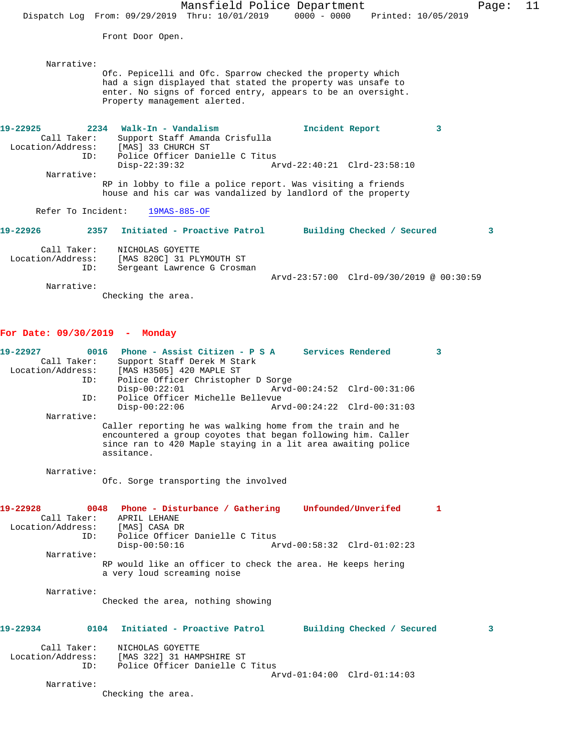Mansfield Police Department Fage: 11 Dispatch Log From: 09/29/2019 Thru: 10/01/2019 0000 - 0000 Printed: 10/05/2019 Front Door Open. Narrative: Ofc. Pepicelli and Ofc. Sparrow checked the property which had a sign displayed that stated the property was unsafe to enter. No signs of forced entry, appears to be an oversight. Property management alerted. **19-22925 2234 Walk-In - Vandalism Incident Report 3**  Call Taker: Support Staff Amanda Crisfulla Location/Address: [MAS] 33 CHURCH ST ID: Police Officer Danielle C Titus<br>Disp-22:39:32 Ar Disp-22:39:32 Arvd-22:40:21 Clrd-23:58:10 Narrative: RP in lobby to file a police report. Was visiting a friends house and his car was vandalized by landlord of the property Refer To Incident: 19MAS-885-OF **19-22926 2357 Initiated - Proactive Patrol Building Checked / Secured 3** Call Taker: NICHOLAS GOYETTE Location/Address: [MAS 820C] 31 PLYMOUTH ST ID: Sergeant Lawrence G Crosman Arvd-23:57:00 Clrd-09/30/2019 @ 00:30:59

Narrative:

Checking the area.

## **For Date: 09/30/2019 - Monday**

| 19-22927<br>0016<br>Call Taker:<br>ID:                           | Phone - Assist Citizen - P S A Services Rendered<br>3<br>Support Staff Derek M Stark<br>Location/Address: [MAS H3505] 420 MAPLE ST<br>Police Officer Christopher D Sorge                                                                                                      |   |
|------------------------------------------------------------------|-------------------------------------------------------------------------------------------------------------------------------------------------------------------------------------------------------------------------------------------------------------------------------|---|
| ID:                                                              | $Disp-00:22:01$<br>Arvd-00:24:52 Clrd-00:31:06<br>Police Officer Michelle Bellevue<br>$Disp-00:22:06$<br>Arvd-00:24:22 Clrd-00:31:03                                                                                                                                          |   |
| Narrative:                                                       | Caller reporting he was walking home from the train and he<br>encountered a group coyotes that began following him. Caller<br>since ran to 420 Maple staying in a lit area awaiting police<br>assitance.                                                                      |   |
| Narrative:                                                       | Ofc. Sorge transporting the involved                                                                                                                                                                                                                                          |   |
| 19-22928<br>Location/Address: [MAS] CASA DR<br>TD:<br>Narrative: | 0048 Phone - Disturbance / Gathering Unfounded/Unverifed<br>1.<br>Call Taker: APRIL LEHANE<br>Police Officer Danielle C Titus<br>$Disp-00:50:16$<br>Arvd-00:58:32 Clrd-01:02:23<br>RP would like an officer to check the area. He keeps hering<br>a very loud screaming noise |   |
| Narrative:                                                       | Checked the area, nothing showing                                                                                                                                                                                                                                             |   |
| 19-22934                                                         | 0104<br>Initiated - Proactive Patrol<br>Building Checked / Secured                                                                                                                                                                                                            | 3 |
| Call Taker:<br>ID:<br>Narrative:                                 | NICHOLAS GOYETTE<br>Location/Address: [MAS 322] 31 HAMPSHIRE ST<br>Police Officer Danielle C Titus<br>$Arvd-01:04:00$ $Clrd-01:14:03$<br>Checking the area.                                                                                                                   |   |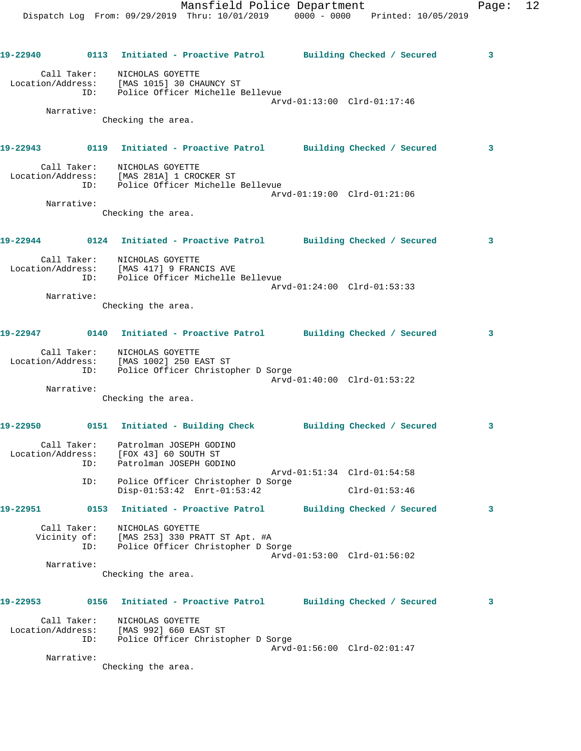|          |                    | 19-22940 0113 Initiated - Proactive Patrol Building Checked / Secured 3                                               |  |                             |                            |                 |   |
|----------|--------------------|-----------------------------------------------------------------------------------------------------------------------|--|-----------------------------|----------------------------|-----------------|---|
|          |                    | Call Taker:<br>NICHOLAS GOYETTE<br>Location/Address: [MAS 1015] 30 CHAUNCY ST<br>ID: Police Officer Michelle Bellevue |  | Arvd-01:13:00 Clrd-01:17:46 |                            |                 |   |
|          | Narrative:         | Checking the area.                                                                                                    |  |                             |                            |                 |   |
|          |                    | 19-22943 0119 Initiated - Proactive Patrol Building Checked / Secured 3                                               |  |                             |                            |                 |   |
|          |                    | Call Taker: NICHOLAS GOYETTE<br>Location/Address: [MAS 281A] 1 CROCKER ST<br>ID: Police Officer Michelle Bellevue     |  | Arvd-01:19:00 Clrd-01:21:06 |                            |                 |   |
|          | Narrative:         | Checking the area.                                                                                                    |  |                             |                            |                 |   |
|          |                    | 19-22944 0124 Initiated - Proactive Patrol Building Checked / Secured 3                                               |  |                             |                            |                 |   |
|          |                    | Call Taker: NICHOLAS GOYETTE<br>Location/Address: [MAS 417] 9 FRANCIS AVE<br>ID: Police Officer Michelle Bellevue     |  | Arvd-01:24:00 Clrd-01:53:33 |                            |                 |   |
|          | Narrative:         | Checking the area.                                                                                                    |  |                             |                            |                 |   |
|          |                    | 19-22947 0140 Initiated - Proactive Patrol Building Checked / Secured 3                                               |  |                             |                            |                 |   |
|          |                    | Call Taker: NICHOLAS GOYETTE<br>Location/Address: [MAS 1002] 250 EAST ST<br>ID: Police Officer Christopher D Sorge    |  | Arvd-01:40:00 Clrd-01:53:22 |                            |                 |   |
|          | Narrative:         | Checking the area.                                                                                                    |  |                             |                            |                 |   |
|          |                    | 19-22950 0151 Initiated - Building Check Building Checked / Secured 3                                                 |  |                             |                            |                 |   |
|          |                    | Call Taker: Patrolman JOSEPH GODINO<br>  Location/Address: [FOX 43] 60 SOUTH ST<br>ID: Patrolman JOSEPH GODINO        |  |                             |                            |                 |   |
|          | ID:                | Police Officer Christopher D Sorge<br>Disp-01:53:42 Enrt-01:53:42                                                     |  | Arvd-01:51:34 Clrd-01:54:58 |                            | $Clrd-01:53:46$ |   |
| 19-22951 |                    | 0153 Initiated - Proactive Patrol                                                                                     |  |                             | Building Checked / Secured |                 | 3 |
|          | Call Taker:<br>ID: | NICHOLAS GOYETTE<br>Vicinity of: [MAS 253] 330 PRATT ST Apt. #A<br>Police Officer Christopher D Sorge                 |  | Arvd-01:53:00 Clrd-01:56:02 |                            |                 |   |
|          | Narrative:         | Checking the area.                                                                                                    |  |                             |                            |                 |   |
| 19-22953 |                    | 0156 Initiated - Proactive Patrol Building Checked / Secured                                                          |  |                             |                            |                 | 3 |
|          | Call Taker:<br>ID: | NICHOLAS GOYETTE<br>Location/Address: [MAS 992] 660 EAST ST<br>Police Officer Christopher D Sorge                     |  |                             |                            |                 |   |
|          | Narrative:         | Checking the area.                                                                                                    |  | Arvd-01:56:00 Clrd-02:01:47 |                            |                 |   |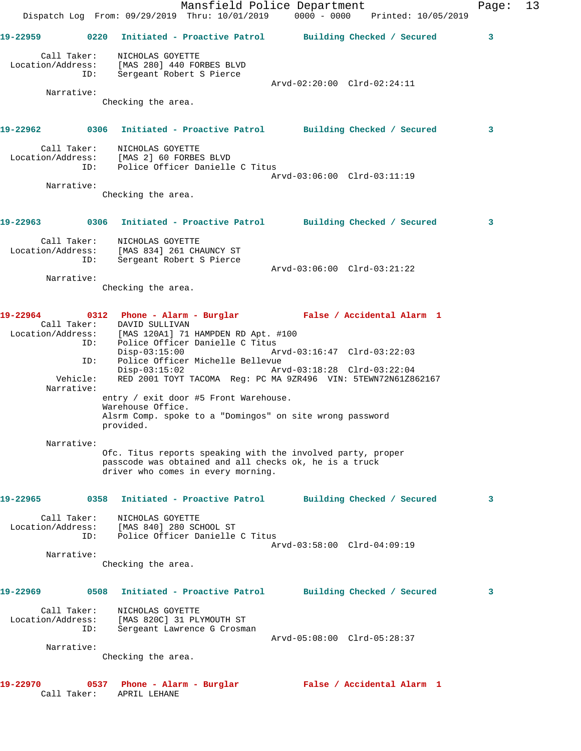|                   |                    |                                                                                                        | Mansfield Police Department<br>Dispatch Log From: 09/29/2019 Thru: 10/01/2019 0000 - 0000 Printed: 10/05/2019         |                             |                            | Page: | 13 |
|-------------------|--------------------|--------------------------------------------------------------------------------------------------------|-----------------------------------------------------------------------------------------------------------------------|-----------------------------|----------------------------|-------|----|
| 19-22959          |                    |                                                                                                        | 0220 Initiated - Proactive Patrol Building Checked / Secured                                                          |                             |                            | 3     |    |
| Location/Address: | Call Taker:        | NICHOLAS GOYETTE<br>[MAS 280] 440 FORBES BLVD                                                          |                                                                                                                       |                             |                            |       |    |
|                   | ID:                | Sergeant Robert S Pierce                                                                               |                                                                                                                       | Arvd-02:20:00 Clrd-02:24:11 |                            |       |    |
|                   | Narrative:         | Checking the area.                                                                                     |                                                                                                                       |                             |                            |       |    |
|                   |                    |                                                                                                        | 19-22962 0306 Initiated - Proactive Patrol Building Checked / Secured                                                 |                             |                            | 3     |    |
|                   | Call Taker:<br>ID: | NICHOLAS GOYETTE<br>Location/Address: [MAS 2] 60 FORBES BLVD                                           | Police Officer Danielle C Titus                                                                                       |                             |                            |       |    |
|                   | Narrative:         |                                                                                                        |                                                                                                                       | Arvd-03:06:00 Clrd-03:11:19 |                            |       |    |
|                   |                    | Checking the area.                                                                                     |                                                                                                                       |                             |                            |       |    |
| 19-22963          |                    |                                                                                                        | 0306 Initiated - Proactive Patrol Building Checked / Secured                                                          |                             |                            | 3     |    |
|                   | ID:                | Call Taker: NICHOLAS GOYETTE<br>Location/Address: [MAS 834] 261 CHAUNCY ST<br>Sergeant Robert S Pierce |                                                                                                                       |                             |                            |       |    |
|                   |                    |                                                                                                        |                                                                                                                       | Arvd-03:06:00 Clrd-03:21:22 |                            |       |    |
|                   | Narrative:         | Checking the area.                                                                                     |                                                                                                                       |                             |                            |       |    |
| 19-22964          |                    | Call Taker: DAVID SULLIVAN                                                                             | 0312 Phone - Alarm - Burglar               False / Accidental Alarm 1                                                 |                             |                            |       |    |
|                   | ID:                | $Disp-03:15:00$                                                                                        | Location/Address: [MAS 120A1] 71 HAMPDEN RD Apt. #100<br>Police Officer Danielle C Titus                              | Arvd-03:16:47 Clrd-03:22:03 |                            |       |    |
|                   | ID:<br>Vehicle:    | $Disp-03:15:02$                                                                                        | Police Officer Michelle Bellevue<br>RED 2001 TOYT TACOMA Req: PC MA 9ZR496 VIN: 5TEWN72N61Z862167                     | Arvd-03:18:28 Clrd-03:22:04 |                            |       |    |
|                   | Narrative:         |                                                                                                        | entry / exit door #5 Front Warehouse.                                                                                 |                             |                            |       |    |
|                   |                    | Warehouse Office.<br>provided.                                                                         | Alsrm Comp. spoke to a "Domingos" on site wrong password                                                              |                             |                            |       |    |
|                   | Narrative:         |                                                                                                        | Ofc. Titus reports speaking with the involved party, proper<br>passcode was obtained and all checks ok, he is a truck |                             |                            |       |    |
|                   |                    |                                                                                                        | driver who comes in every morning.                                                                                    |                             |                            |       |    |
| 19-22965          | 0358               |                                                                                                        | Initiated - Proactive Patrol                                                                                          |                             | Building Checked / Secured | 3     |    |
| Location/Address: | Call Taker:<br>ID: | NICHOLAS GOYETTE<br>[MAS 840] 280 SCHOOL ST                                                            | Police Officer Danielle C Titus                                                                                       |                             |                            |       |    |
|                   | Narrative:         |                                                                                                        |                                                                                                                       | Arvd-03:58:00 Clrd-04:09:19 |                            |       |    |
|                   |                    | Checking the area.                                                                                     |                                                                                                                       |                             |                            |       |    |
| 19-22969          |                    |                                                                                                        | 0508 Initiated - Proactive Patrol                                                                                     |                             | Building Checked / Secured | 3     |    |
| Location/Address: | Call Taker:<br>ID: | NICHOLAS GOYETTE<br>[MAS 820C] 31 PLYMOUTH ST                                                          | Sergeant Lawrence G Crosman                                                                                           |                             |                            |       |    |
|                   |                    |                                                                                                        |                                                                                                                       | Arvd-05:08:00 Clrd-05:28:37 |                            |       |    |
|                   | Narrative:         | Checking the area.                                                                                     |                                                                                                                       |                             |                            |       |    |
| 19-22970          | Call Taker:        | 0537 Phone - Alarm - Burglar<br>APRIL LEHANE                                                           |                                                                                                                       |                             | False / Accidental Alarm 1 |       |    |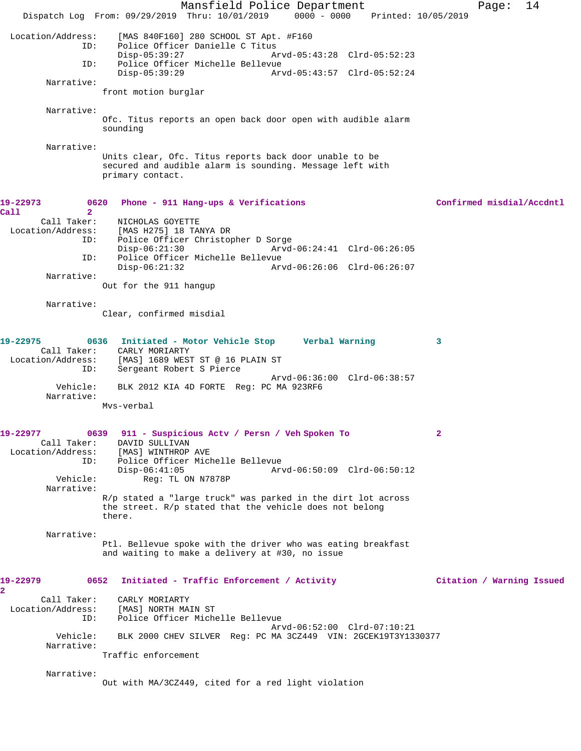Mansfield Police Department Form Page: 14 Dispatch Log From: 09/29/2019 Thru: 10/01/2019 0000 - 0000 Printed: 10/05/2019 Location/Address: [MAS 840F160] 280 SCHOOL ST Apt. #F160 Police Officer Danielle C Titus Disp-05:39:27 Arvd-05:43:28 Clrd-05:52:23 ID: Police Officer Michelle Bellevue Disp-05:39:29 Arvd-05:43:57 Clrd-05:52:24 Narrative: front motion burglar Narrative: Ofc. Titus reports an open back door open with audible alarm sounding Narrative: Units clear, Ofc. Titus reports back door unable to be secured and audible alarm is sounding. Message left with primary contact. **19-22973 0620 Phone - 911 Hang-ups & Verifications Confirmed misdial/Accdntl Call 2**  Call Taker: NICHOLAS GOYETTE<br>Location/Address: [MAS H275] 18 TAI لمصديد.<br>Location: [MAS H275] 18 TANYA DR<br>ID: Police Office: 2 Police Officer Christopher D Sorge<br>Disp-06:21:30 Arvd- Disp-06:21:30 Arvd-06:24:41 Clrd-06:26:05 ID: Police Officer Michelle Bellevue Disp-06:21:32 Arvd-06:26:06 Clrd-06:26:07 Narrative: Out for the 911 hangup Narrative: Clear, confirmed misdial **19-22975 0636 Initiated - Motor Vehicle Stop Verbal Warning 3**  Call Taker: CARLY MORIARTY Location/Address: [MAS] 1689 WEST ST @ 16 PLAIN ST ID: Sergeant Robert S Pierce Arvd-06:36:00 Clrd-06:38:57 Vehicle: BLK 2012 KIA 4D FORTE Reg: PC MA 923RF6 Narrative: Mvs-verbal **19-22977 0639 911 - Suspicious Actv / Persn / Veh Spoken To 2**  Call Taker: DAVID SULLIVAN Location/Address: [MAS] WINTHROP AVE ID: Police Officer Michelle Bellevue Disp-06:41:05 Arvd-06:50:09 Clrd-06:50:12 Vehicle: Reg: TL ON N7878P Narrative: R/p stated a "large truck" was parked in the dirt lot across the street. R/p stated that the vehicle does not belong there. Narrative: Ptl. Bellevue spoke with the driver who was eating breakfast and waiting to make a delivery at #30, no issue **19-22979 0652 Initiated - Traffic Enforcement / Activity Citation / Warning Issued 2**  Call Taker: CARLY MORIARTY Location/Address: [MAS] NORTH MAIN ST ID: Police Officer Michelle Bellevue Arvd-06:52:00 Clrd-07:10:21 Vehicle: BLK 2000 CHEV SILVER Reg: PC MA 3CZ449 VIN: 2GCEK19T3Y1330377 Narrative: Traffic enforcement Narrative: Out with MA/3CZ449, cited for a red light violation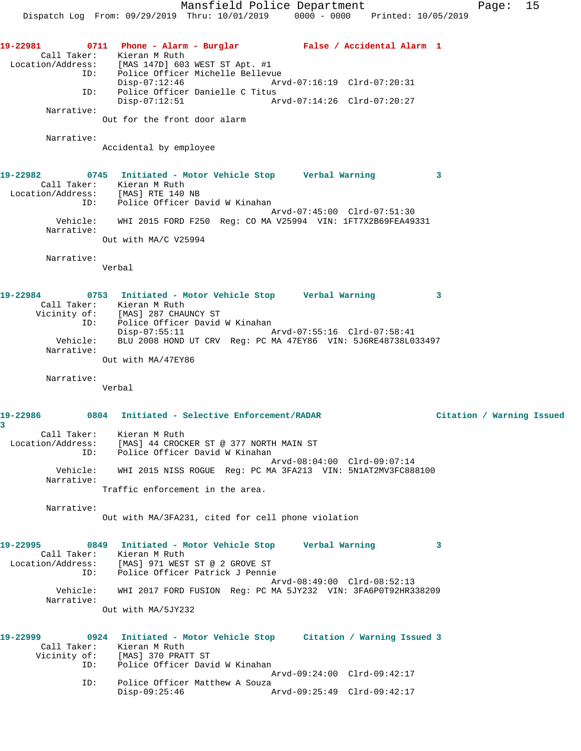Mansfield Police Department Fage: 15 Dispatch Log From: 09/29/2019 Thru: 10/01/2019 0000 - 0000 Printed: 10/05/2019 **19-22981 0711 Phone - Alarm - Burglar False / Accidental Alarm 1**  Call Taker: Kieran M Ruth Location/Address: [MAS 147D] 603 WEST ST Apt. #1 ID: Police Officer Michelle Bellevue Disp-07:12:46 Arvd-07:16:19 Clrd-07:20:31 ID: Police Officer Danielle C Titus Disp-07:12:51 Arvd-07:14:26 Clrd-07:20:27 Narrative: Out for the front door alarm Narrative: Accidental by employee **19-22982 0745 Initiated - Motor Vehicle Stop Verbal Warning 3**  Call Taker: Kieran M Ruth Location/Address: [MAS] RTE 140 NB ID: Police Officer David W Kinahan Arvd-07:45:00 Clrd-07:51:30 Vehicle: WHI 2015 FORD F250 Reg: CO MA V25994 VIN: 1FT7X2B69FEA49331 Narrative: Out with MA/C V25994 Narrative: Verbal **19-22984 0753 Initiated - Motor Vehicle Stop Verbal Warning 3**  Call Taker: Kieran M Ruth Vicinity of: [MAS] 287 CHAUNCY ST ID: Police Officer David W Kinahan<br>Disp-07:55:11 Arvd-07:55:16 Clrd-07:58:41 Vehicle: BLU 2008 HOND UT CRV Reg: PC MA 47EY86 VIN: 5J6RE48738L033497 Narrative: Out with MA/47EY86 Narrative: Verbal **19-22986 0804 Initiated - Selective Enforcement/RADAR Citation / Warning Issued 3**  Call Taker: Kieran M Ruth Location/Address: [MAS] 44 CROCKER ST @ 377 NORTH MAIN ST ID: Police Officer David W Kinahan Arvd-08:04:00 Clrd-09:07:14 Vehicle: WHI 2015 NISS ROGUE Reg: PC MA 3FA213 VIN: 5N1AT2MV3FC888100 Narrative: Traffic enforcement in the area. Narrative: Out with MA/3FA231, cited for cell phone violation **19-22995 0849 Initiated - Motor Vehicle Stop Verbal Warning 3**  Call Taker: Kieran M Ruth Location/Address: [MAS] 971 WEST ST @ 2 GROVE ST ID: Police Officer Patrick J Pennie Arvd-08:49:00 Clrd-08:52:13 Vehicle: WHI 2017 FORD FUSION Reg: PC MA 5JY232 VIN: 3FA6P0T92HR338209 Narrative: Out with MA/5JY232 **19-22999 0924 Initiated - Motor Vehicle Stop Citation / Warning Issued 3**  Call Taker: Kieran M Ruth Vicinity of: [MAS] 370 PRATT ST of: [MAS] 370 PRATT ST<br>ID: Police Officer David W Kinahan Arvd-09:24:00 Clrd-09:42:17 ID: Police Officer Matthew A Souza<br>Disp-09:25:46 A Disp-09:25:46 Arvd-09:25:49 Clrd-09:42:17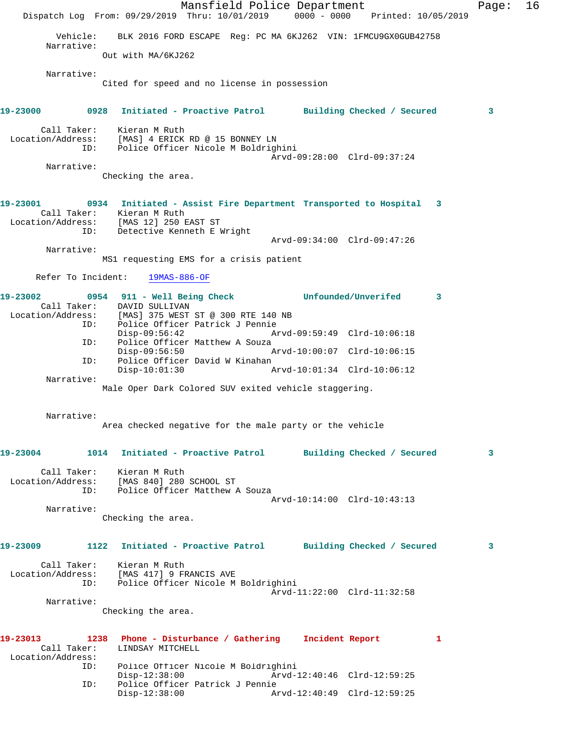Mansfield Police Department Fage: 16 Dispatch Log From: 09/29/2019 Thru: 10/01/2019 0000 - 0000 Printed: 10/05/2019 Vehicle: BLK 2016 FORD ESCAPE Reg: PC MA 6KJ262 VIN: 1FMCU9GX0GUB42758 Narrative: Out with MA/6KJ262 Narrative: Cited for speed and no license in possession **19-23000 0928 Initiated - Proactive Patrol Building Checked / Secured 3** Call Taker: Kieran M Ruth Location/Address: [MAS] 4 ERICK RD @ 15 BONNEY LN ID: Police Officer Nicole M Boldrighini Arvd-09:28:00 Clrd-09:37:24 Narrative: Checking the area. **19-23001 0934 Initiated - Assist Fire Department Transported to Hospital 3**  Call Taker: Kieran M Ruth Location/Address: [MAS 12] 250 EAST ST ID: Detective Kenneth E Wright Arvd-09:34:00 Clrd-09:47:26 Narrative: MS1 requesting EMS for a crisis patient Refer To Incident: 19MAS-886-OF **19-23002 0954 911 - Well Being Check Unfounded/Unverifed 3**  Call Taker: DAVID SULLIVAN<br>Location/Address: [MAS] 375 WEST Location/Address: [MAS] 375 WEST ST @ 300 RTE 140 NB ID: Police Officer Patrick J Pennie Disp-09:56:42 Arvd-09:59:49 Clrd-10:06:18 ID: Police Officer Matthew A Souza<br>Disp-09:56:50 Disp-09:56:50 Arvd-10:00:07 Clrd-10:06:15<br>ID: Police Officer David W Kinahan Police Officer David W Kinahan<br>Disp-10:01:30 P Arvd-10:01:34 Clrd-10:06:12 Narrative: Male Oper Dark Colored SUV exited vehicle staggering. Narrative: Area checked negative for the male party or the vehicle **19-23004 1014 Initiated - Proactive Patrol Building Checked / Secured 3** Call Taker: Kieran M Ruth Location/Address: [MAS 840] 280 SCHOOL ST ID: Police Officer Matthew A Souza Arvd-10:14:00 Clrd-10:43:13 Narrative: Checking the area. **19-23009 1122 Initiated - Proactive Patrol Building Checked / Secured 3** Call Taker: Kieran M Ruth Location/Address: [MAS 417] 9 FRANCIS AVE ID: Police Officer Nicole M Boldrighini Arvd-11:22:00 Clrd-11:32:58 Narrative: Checking the area. **19-23013 1238 Phone - Disturbance / Gathering Incident Report 1**  Call Taker: LINDSAY MITCHELL Location/Address: ID: Police Officer Nicole M Boldrighini Disp-12:38:00 Arvd-12:40:46 Clrd-12:59:25<br>ID: Police Officer Patrick J Pennie Police Officer Patrick J Pennie<br>Disp-12:38:00 Ar Disp-12:38:00 Arvd-12:40:49 Clrd-12:59:25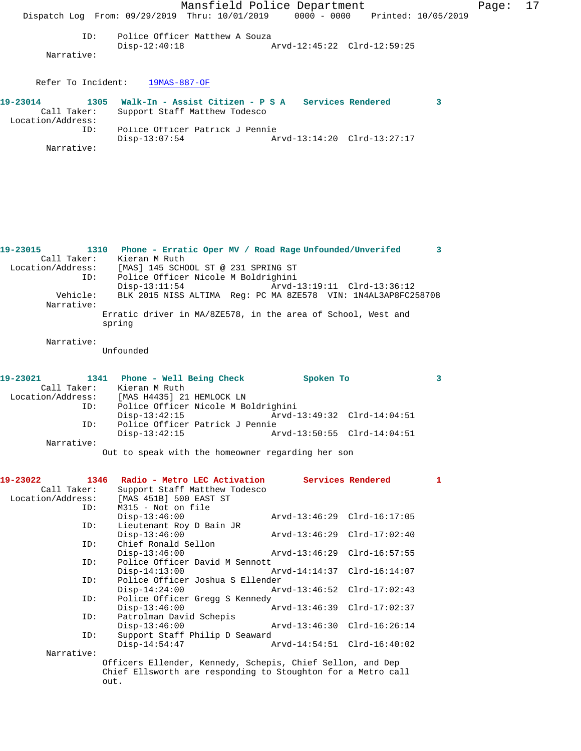|                                              | Mansfield Police Department<br>Dispatch Log From: 09/29/2019 Thru: 10/01/2019 0000 - 0000 Printed: 10/05/2019 |                             | Page: | 17 |
|----------------------------------------------|---------------------------------------------------------------------------------------------------------------|-----------------------------|-------|----|
| ID:<br>Narrative:                            | Police Officer Matthew A Souza<br>$Disp-12:40:18$                                                             | Arvd-12:45:22 Clrd-12:59:25 |       |    |
| Refer To Incident:                           | 19MAS-887-OF                                                                                                  |                             |       |    |
| 19-23014<br>Call Taker:<br>Location/Address: | 1305 Walk-In - Assist Citizen - P S A Services Rendered<br>Support Staff Matthew Todesco                      |                             |       |    |
| ID:<br>Narrative:                            | Police Officer Patrick J Pennie<br>$Disp-13:07:54$                                                            | Arvd-13:14:20 Clrd-13:27:17 |       |    |

**19-23015 1310 Phone - Erratic Oper MV / Road Rage Unfounded/Unverifed 3**  Call Taker: Kieran M Ruth Location/Address: [MAS] 145 SCHOOL ST @ 231 SPRING ST ID: Police Officer Nicole M Boldrighini Disp-13:11:54 <br>Vehicle: BLK 2015 NISS ALTIMA Req: PC MA 8ZE578 VIN: 1N4AL3AP8FC2! BLK 2015 NISS ALTIMA Reg: PC MA 8ZE578 VIN: 1N4AL3AP8FC258708 Narrative: Erratic driver in MA/8ZE578, in the area of School, West and spring

## Narrative:

Unfounded

| 19-23021          |     | 1341 Phone - Well Being Check       |  | Spoken To                                         |  |
|-------------------|-----|-------------------------------------|--|---------------------------------------------------|--|
| Call Taker:       |     | Kieran M Ruth                       |  |                                                   |  |
| Location/Address: |     | [MAS H4435] 21 HEMLOCK LN           |  |                                                   |  |
|                   | ID: | Police Officer Nicole M Boldrighini |  |                                                   |  |
|                   |     | $Disp-13:42:15$                     |  | Arvd-13:49:32 Clrd-14:04:51                       |  |
|                   | ID: | Police Officer Patrick J Pennie     |  |                                                   |  |
|                   |     | $Disp-13:42:15$                     |  | Arvd-13:50:55 Clrd-14:04:51                       |  |
| Narrative:        |     |                                     |  |                                                   |  |
|                   |     |                                     |  | Out to speak with the homeowner regarding her son |  |

| 19-23022          | 1346<br>Radio - Metro LEC Activation                         | <b>Services Rendered</b>    | $\mathbf{1}$ |
|-------------------|--------------------------------------------------------------|-----------------------------|--------------|
| Call Taker:       | Support Staff Matthew Todesco                                |                             |              |
| Location/Address: | [MAS 451B] 500 EAST ST                                       |                             |              |
| ID:               | M315 - Not on file                                           |                             |              |
|                   | $Disp-13:46:00$                                              | Arvd-13:46:29 Clrd-16:17:05 |              |
| ID:               | Lieutenant Roy D Bain JR                                     |                             |              |
|                   | $Disp-13:46:00$                                              | Arvd-13:46:29 Clrd-17:02:40 |              |
| ID:               | Chief Ronald Sellon                                          |                             |              |
|                   | $Disp-13:46:00$                                              |                             |              |
| ID:               | Police Officer David M Sennott                               |                             |              |
|                   | $Disp-14:13:00$                                              |                             |              |
| ID:               | Police Officer Joshua S Ellender                             |                             |              |
|                   | $Disp-14:24:00$                                              | Arvd-13:46:52 Clrd-17:02:43 |              |
| ID:               | Police Officer Gregg S Kennedy                               |                             |              |
|                   | $Disp-13:46:00$                                              | Arvd-13:46:39 Clrd-17:02:37 |              |
| ID:               | Patrolman David Schepis                                      |                             |              |
|                   | $Disp-13:46:00$                                              | Arvd-13:46:30 Clrd-16:26:14 |              |
| ID:               | Support Staff Philip D Seaward                               |                             |              |
|                   | $Disp-14:54:47$                                              | Arvd-14:54:51 Clrd-16:40:02 |              |
| Narrative:        |                                                              |                             |              |
|                   | Officers Ellender, Kennedy, Schepis, Chief Sellon, and Dep   |                             |              |
|                   | Chief Ellsworth are responding to Stoughton for a Metro call |                             |              |

out.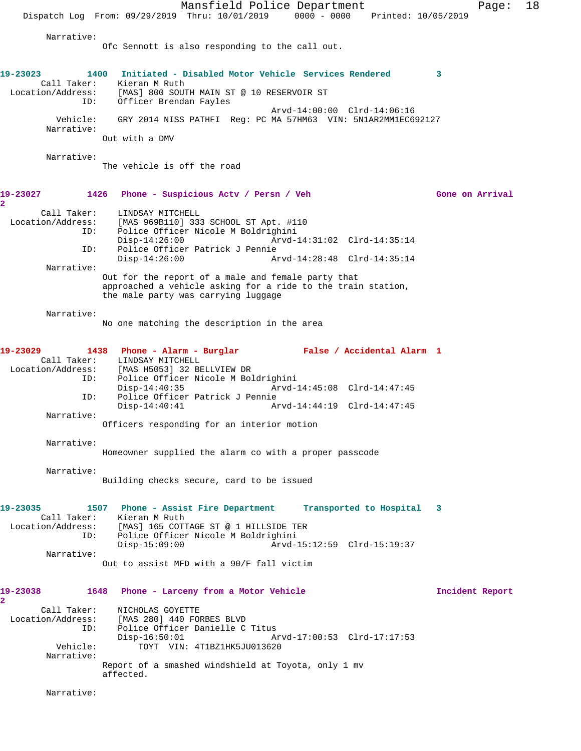Mansfield Police Department Fage: 18 Dispatch Log From: 09/29/2019 Thru: 10/01/2019 0000 - 0000 Printed: 10/05/2019 Narrative: Ofc Sennott is also responding to the call out. **19-23023 1400 Initiated - Disabled Motor Vehicle Services Rendered 3**  Call Taker: Kieran M Ruth Location/Address: [MAS] 800 SOUTH MAIN ST @ 10 RESERVOIR ST ID: Officer Brendan Fayles Arvd-14:00:00 Clrd-14:06:16 Vehicle: GRY 2014 NISS PATHFI Reg: PC MA 57HM63 VIN: 5N1AR2MM1EC692127 Narrative: Out with a DMV Narrative: The vehicle is off the road **19-23027 1426 Phone - Suspicious Actv / Persn / Veh Gone on Arrival 2**  Call Taker: LINDSAY MITCHELL Location/Address: [MAS 969B110] 333 SCHOOL ST Apt. #110 ID: Police Officer Nicole M Boldrighini Disp-14:26:00 Arvd-14:31:02 Clrd-14:35:14<br>ID: Police Officer Patrick J Pennie Police Officer Patrick J Pennie Disp-14:26:00 Arvd-14:28:48 Clrd-14:35:14 Narrative: Out for the report of a male and female party that approached a vehicle asking for a ride to the train station, the male party was carrying luggage Narrative: No one matching the description in the area **19-23029 1438 Phone - Alarm - Burglar False / Accidental Alarm 1**  Call Taker: LINDSAY MITCHELL Location/Address: [MAS H5053] 32 BELLVIEW DR ID: Police Officer Nicole M Boldrighini Disp-14:40:35 Arvd-14:45:08 Clrd-14:47:45 ID: Police Officer Patrick J Pennie Disp-14:40:41 Arvd-14:44:19 Clrd-14:47:45 Narrative: Officers responding for an interior motion Narrative: Homeowner supplied the alarm co with a proper passcode Narrative: Building checks secure, card to be issued **19-23035 1507 Phone - Assist Fire Department Transported to Hospital 3**  Call Taker: Kieran M Ruth Location/Address: [MAS] 165 COTTAGE ST @ 1 HILLSIDE TER ID: Police Officer Nicole M Boldrighini Disp-15:09:00 Arvd-15:12:59 Clrd-15:19:37 Narrative: Out to assist MFD with a 90/F fall victim **19-23038 1648 Phone - Larceny from a Motor Vehicle Incident Report 2**  Call Taker: NICHOLAS GOYETTE Location/Address: [MAS 280] 440 FORBES BLVD ID: Police Officer Danielle C Titus Disp-16:50:01 Arvd-17:00:53 Clrd-17:17:53<br>Vehicle: TOYT VIN: 4T1BZ1HK5JU013620 TOYT VIN: 4T1BZ1HK5JU013620 Narrative: Report of a smashed windshield at Toyota, only 1 mv affected. Narrative: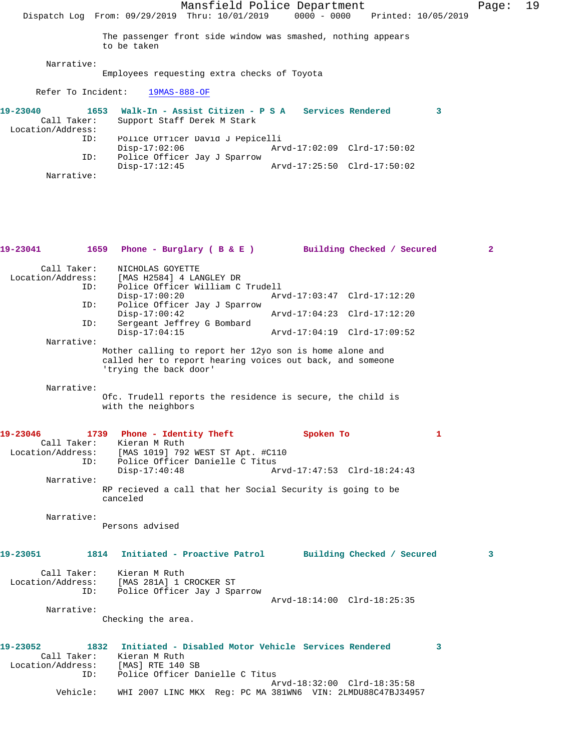Mansfield Police Department Fage: 19 Dispatch Log From: 09/29/2019 Thru: 10/01/2019 0000 - 0000 Printed: 10/05/2019 The passenger front side window was smashed, nothing appears to be taken Narrative: Employees requesting extra checks of Toyota Refer To Incident: 19MAS-888-OF **19-23040 1653 Walk-In - Assist Citizen - P S A Services Rendered 3**  Call Taker: Support Staff Derek M Stark Location/Address: ID: Police Officer David J Pepicelli Disp-17:02:06 Arvd-17:02:09 Clrd-17:50:02 ID: Police Officer Jay J Sparrow Disp-17:12:45 Arvd-17:25:50 Clrd-17:50:02 Narrative: **19-23041 1659 Phone - Burglary ( B & E ) Building Checked / Secured 2** Call Taker: NICHOLAS GOYETTE Location/Address: [MAS H2584] 4 LANGLEY DR ID: Police Officer William C Trudell Disp-17:00:20 Arvd-17:03:47 Clrd-17:12:20 ID: Police Officer Jay J Sparrow Disp-17:00:42 Arvd-17:04:23 Clrd-17:12:20<br>ID: Sergeant Jeffrey G Bombard Sergeant Jeffrey G Bombard<br>Disp-17:04:15 Disp-17:04:15 Arvd-17:04:19 Clrd-17:09:52 Narrative: Mother calling to report her 12yo son is home alone and called her to report hearing voices out back, and someone 'trying the back door' Narrative: Ofc. Trudell reports the residence is secure, the child is with the neighbors **19-23046 1739 Phone - Identity Theft Spoken To 1**  Call Taker: Kieran M Ruth Location/Address: [MAS 1019] 792 WEST ST Apt. #C110 ID: Police Officer Danielle C Titus<br>Disp-17:40:48 A Arvd-17:47:53 Clrd-18:24:43 Narrative: RP recieved a call that her Social Security is going to be canceled Narrative: Persons advised **19-23051 1814 Initiated - Proactive Patrol Building Checked / Secured 3** Call Taker: Kieran M Ruth Location/Address: [MAS 281A] 1 CROCKER ST ID: Police Officer Jay J Sparrow Arvd-18:14:00 Clrd-18:25:35 Narrative: Checking the area. **19-23052 1832 Initiated - Disabled Motor Vehicle Services Rendered 3**  Call Taker: Kieran M Ruth Location/Address: [MAS] RTE 140 SB ID: Police Officer Danielle C Titus Arvd-18:32:00 Clrd-18:35:58 Vehicle: WHI 2007 LINC MKX Reg: PC MA 381WN6 VIN: 2LMDU88C47BJ34957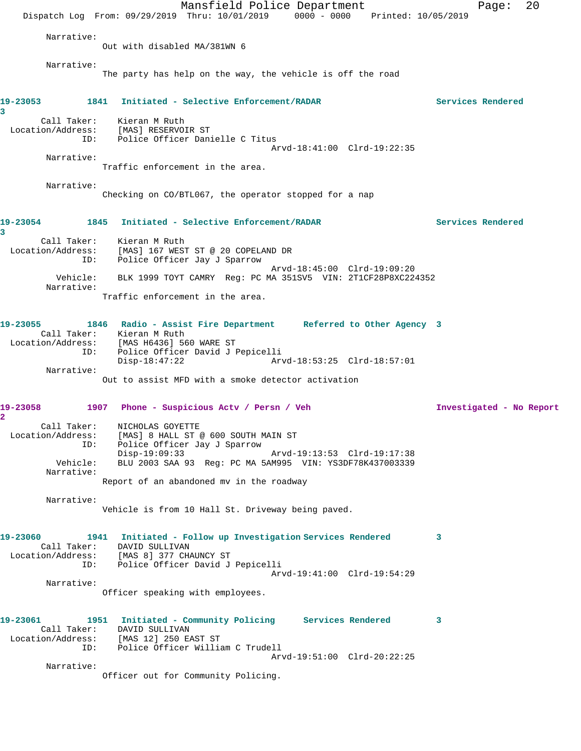|                                         | Dispatch Log From: 09/29/2019 Thru: 10/01/2019 0000 - 0000 Printed: 10/05/2019                                                                                                                                                  | Mansfield Police Department |                             |                   | 20<br>Page:              |
|-----------------------------------------|---------------------------------------------------------------------------------------------------------------------------------------------------------------------------------------------------------------------------------|-----------------------------|-----------------------------|-------------------|--------------------------|
| Narrative:                              |                                                                                                                                                                                                                                 |                             |                             |                   |                          |
|                                         | Out with disabled MA/381WN 6                                                                                                                                                                                                    |                             |                             |                   |                          |
| Narrative:                              | The party has help on the way, the vehicle is off the road                                                                                                                                                                      |                             |                             |                   |                          |
| 19-23053<br>3                           | 1841 Initiated - Selective Enforcement/RADAR                                                                                                                                                                                    |                             |                             | Services Rendered |                          |
|                                         | Call Taker: Kieran M Ruth<br>Location/Address: [MAS] RESERVOIR ST<br>ID: Police Officer Danielle C Titus                                                                                                                        |                             | Arvd-18:41:00 Clrd-19:22:35 |                   |                          |
| Narrative:                              | Traffic enforcement in the area.                                                                                                                                                                                                |                             |                             |                   |                          |
| Narrative:                              | Checking on CO/BTL067, the operator stopped for a nap                                                                                                                                                                           |                             |                             |                   |                          |
| 19-23054<br>3                           | 1845 Initiated - Selective Enforcement/RADAR                                                                                                                                                                                    |                             |                             | Services Rendered |                          |
| Call Taker:<br>Location/Address:<br>ID: | Kieran M Ruth<br>[MAS] 167 WEST ST @ 20 COPELAND DR<br>Police Officer Jay J Sparrow                                                                                                                                             |                             |                             |                   |                          |
| Vehicle:<br>Narrative:                  | BLK 1999 TOYT CAMRY Req: PC MA 351SV5 VIN: 2T1CF28P8XC224352                                                                                                                                                                    |                             | Arvd-18:45:00 Clrd-19:09:20 |                   |                          |
|                                         | Traffic enforcement in the area.                                                                                                                                                                                                |                             |                             |                   |                          |
| 19-23055                                | 1846 Radio - Assist Fire Department Referred to Other Agency 3<br>Call Taker: Kieran M Ruth<br>Location/Address: [MAS H6436] 560 WARE ST<br>ID: Police Officer David J J<br>Police Officer David J Pepicelli<br>$Disp-18:47:22$ |                             | Arvd-18:53:25 Clrd-18:57:01 |                   |                          |
| Narrative:                              | Out to assist MFD with a smoke detector activation                                                                                                                                                                              |                             |                             |                   |                          |
| 19-23058<br>$\mathbf{2}^-$              | 1907 Phone - Suspicious Actv / Persn / Veh                                                                                                                                                                                      |                             |                             |                   | Investigated - No Report |
| Location/Address:<br>ID:<br>Vehicle:    | Call Taker: NICHOLAS GOYETTE<br>[MAS] 8 HALL ST @ 600 SOUTH MAIN ST<br>Police Officer Jay J Sparrow<br>$Disp-19:09:33$<br>BLU 2003 SAA 93 Reg: PC MA 5AM995 VIN: YS3DF78K437003339                                              |                             | Arvd-19:13:53 Clrd-19:17:38 |                   |                          |
| Narrative:                              | Report of an abandoned my in the roadway                                                                                                                                                                                        |                             |                             |                   |                          |
| Narrative:                              | Vehicle is from 10 Hall St. Driveway being paved.                                                                                                                                                                               |                             |                             |                   |                          |
| 19-23060<br>Call Taker:                 | 1941 Initiated - Follow up Investigation Services Rendered<br>DAVID SULLIVAN<br>Location/Address: [MAS 8] 377 CHAUNCY ST<br>ID: Police Officer David J Pepicelli                                                                |                             | Arvd-19:41:00 Clrd-19:54:29 | 3                 |                          |
| Narrative:                              | Officer speaking with employees.                                                                                                                                                                                                |                             |                             |                   |                          |
| 19-23061<br>ID:                         | 1951 Initiated - Community Policing Services Rendered<br>Call Taker: DAVID SULLIVAN<br>Location/Address: [MAS 12] 250 EAST ST<br>ID: Police Officer Willia<br>Police Officer William C Trudell                                  |                             | Arvd-19:51:00 Clrd-20:22:25 | 3                 |                          |
| Narrative:                              | Officer out for Community Policing.                                                                                                                                                                                             |                             |                             |                   |                          |
|                                         |                                                                                                                                                                                                                                 |                             |                             |                   |                          |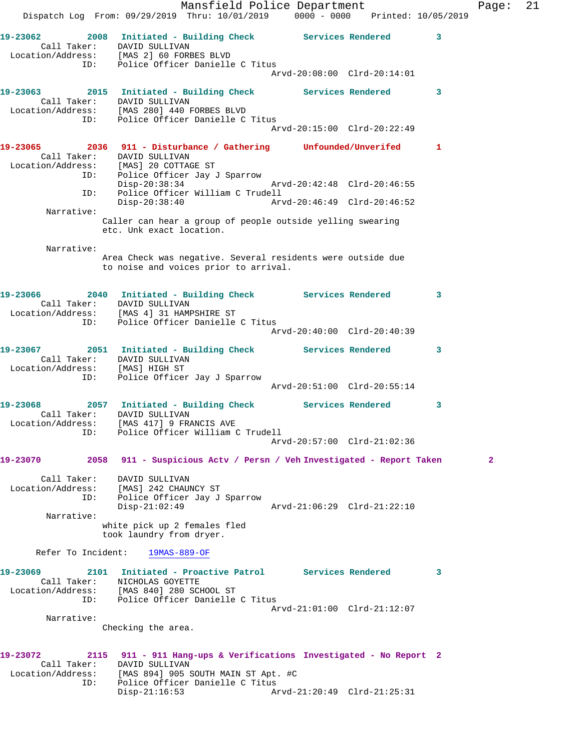Mansfield Police Department Fage: 21 Dispatch Log From: 09/29/2019 Thru: 10/01/2019 0000 - 0000 Printed: 10/05/2019 **19-23062 2008 Initiated - Building Check Services Rendered 3**  Call Taker: DAVID SULLIVAN Location/Address: [MAS 2] 60 FORBES BLVD ID: Police Officer Danielle C Titus Arvd-20:08:00 Clrd-20:14:01 19-23063 2015 Initiated - Building Check Services Rendered 3 Call Taker: DAVID SULLIVAN Location/Address: [MAS 280] 440 FORBES BLVD ID: Police Officer Danielle C Titus Arvd-20:15:00 Clrd-20:22:49 **19-23065 2036 911 - Disturbance / Gathering Unfounded/Unverifed 1**  Call Taker: DAVID SULLIVAN Location/Address: [MAS] 20 COTTAGE ST ID: Police Officer Jay J Sparrow Disp-20:38:34 Arvd-20:42:48 Clrd-20:46:55 ID: Police Officer William C Trudell Disp-20:38:40 Arvd-20:46:49 Clrd-20:46:52 Narrative: Caller can hear a group of people outside yelling swearing etc. Unk exact location. Narrative: Area Check was negative. Several residents were outside due to noise and voices prior to arrival. **19-23066 2040 Initiated - Building Check Services Rendered 3**  Call Taker: DAVID SULLIVAN Location/Address: [MAS 4] 31 HAMPSHIRE ST ID: Police Officer Danielle C Titus Arvd-20:40:00 Clrd-20:40:39 **19-23067 2051 Initiated - Building Check Services Rendered 3**  Call Taker: DAVID SULLIVAN Location/Address: [MAS] HIGH ST ID: Police Officer Jay J Sparrow Arvd-20:51:00 Clrd-20:55:14 **19-23068 2057 Initiated - Building Check Services Rendered 3**  Call Taker: DAVID SULLIVAN Location/Address: [MAS 417] 9 FRANCIS AVE ID: Police Officer William C Trudell Arvd-20:57:00 Clrd-21:02:36 **19-23070 2058 911 - Suspicious Actv / Persn / Veh Investigated - Report Taken 2** Call Taker: DAVID SULLIVAN Location/Address: [MAS] 242 CHAUNCY ST ID: Police Officer Jay J Sparrow Disp-21:02:49 Arvd-21:06:29 Clrd-21:22:10 Narrative: white pick up 2 females fled took laundry from dryer. Refer To Incident: 19MAS-889-OF **19-23069 2101 Initiated - Proactive Patrol Services Rendered 3**  Call Taker: NICHOLAS GOYETTE Location/Address: [MAS 840] 280 SCHOOL ST ID: Police Officer Danielle C Titus Arvd-21:01:00 Clrd-21:12:07 Narrative: Checking the area. **19-23072 2115 911 - 911 Hang-ups & Verifications Investigated - No Report 2**  Call Taker: DAVID SULLIVAN Location/Address: [MAS 894] 905 SOUTH MAIN ST Apt. #C ID: Police Officer Danielle C Titus Disp-21:16:53 Arvd-21:20:49 Clrd-21:25:31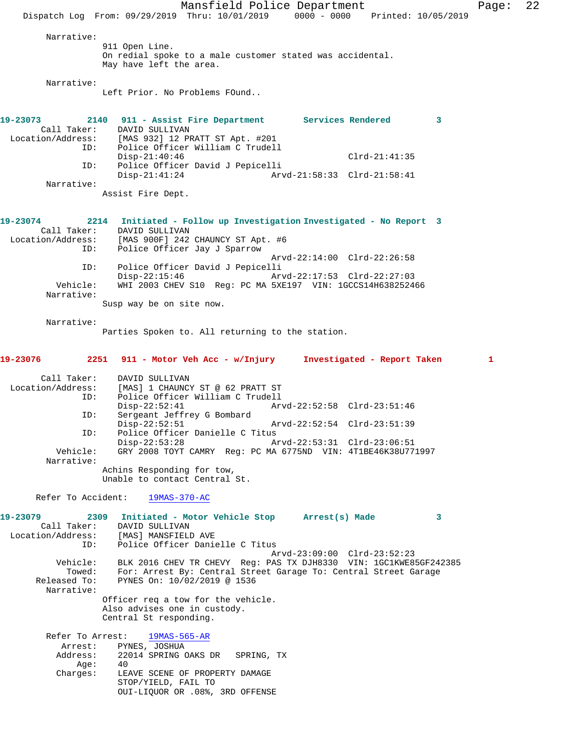Mansfield Police Department Page: 22 Dispatch Log From: 09/29/2019 Thru: 10/01/2019 0000 - 0000 Printed: 10/05/2019 Narrative: 911 Open Line. On redial spoke to a male customer stated was accidental. May have left the area. Narrative: Left Prior. No Problems FOund.. **19-23073 2140 911 - Assist Fire Department Services Rendered 3**  Call Taker:<br>Location/Address: [MAS 932] 12 PRATT ST Apt. #201 ID: Police Officer William C Trudell Disp-21:40:46 Clrd-21:41:35<br>ID: Police Officer David J Pepicelli Police Officer David J Pepicelli<br>Disp-21:41:24 Arv Arvd-21:58:33 Clrd-21:58:41 Narrative: Assist Fire Dept. **19-23074 2214 Initiated - Follow up Investigation Investigated - No Report 3**  Call Taker: DAVID SULLIVAN<br>Location/Address: [MAS 900F] 242 ess: [MAS 900F] 242 CHAUNCY ST Apt. #6<br>ID: Police Officer Jav J Sparrow Police Officer Jay J Sparrow Arvd-22:14:00 Clrd-22:26:58 ID: Police Officer David J Pepicelli Disp-22:15:46 Arvd-22:17:53 Clrd-22:27:03<br>Vehicle: WHI 2003 CHEV S10 Req: PC MA 5XE197 VIN: 1GCCS14H63825244 WHI 2003 CHEV S10 Reg: PC MA 5XE197 VIN: 1GCCS14H638252466 Narrative: Susp way be on site now. Narrative: Parties Spoken to. All returning to the station. **19-23076 2251 911 - Motor Veh Acc - w/Injury Investigated - Report Taken 1** Call Taker: DAVID SULLIVAN Location/Address: [MAS] 1 CHAUNCY ST @ 62 PRATT ST ID: Police Officer William C Trudell Disp-22:52:41 Arvd-22:52:58 Clrd-23:51:46 ID: Sergeant Jeffrey G Bombard Disp-22:52:51 Arvd-22:52:54 Clrd-23:51:39<br>ID: Police Officer Danielle C Titus Police Officer Danielle C Titus<br>Disp-22:53:28 A Disp-22:53:28 Arvd-22:53:31 Clrd-23:06:51<br>Vehicle: GRY 2008 TOYT CAMRY Reg: PC MA 6775ND VIN: 4T1BE46K38U77 GRY 2008 TOYT CAMRY Reg: PC MA 6775ND VIN: 4T1BE46K38U771997 Narrative: Achins Responding for tow, Unable to contact Central St. Refer To Accident: 19MAS-370-AC **19-23079 2309 Initiated - Motor Vehicle Stop Arrest(s) Made 3**  Call Taker: DAVID SULLIVAN Location/Address: [MAS] MANSFIELD AVE ID: Police Officer Danielle C Titus Arvd-23:09:00 Clrd-23:52:23 Vehicle: BLK 2016 CHEV TR CHEVY Reg: PAS TX DJH8330 VIN: 1GC1KWE85GF242385 Towed: For: Arrest By: Central Street Garage To: Central Street Garage Released To: PYNES On: 10/02/2019 @ 1536 PYNES On: 10/02/2019 @ 1536 Narrative: Officer req a tow for the vehicle. Also advises one in custody. Central St responding. Refer To Arrest: 19MAS-565-AR Arrest: PYNES, JOSHUA Address: 22014 SPRING OAKS DR SPRING, TX<br>Age: 40 Age:<br>:Charges LEAVE SCENE OF PROPERTY DAMAGE STOP/YIELD, FAIL TO OUI-LIQUOR OR .08%, 3RD OFFENSE